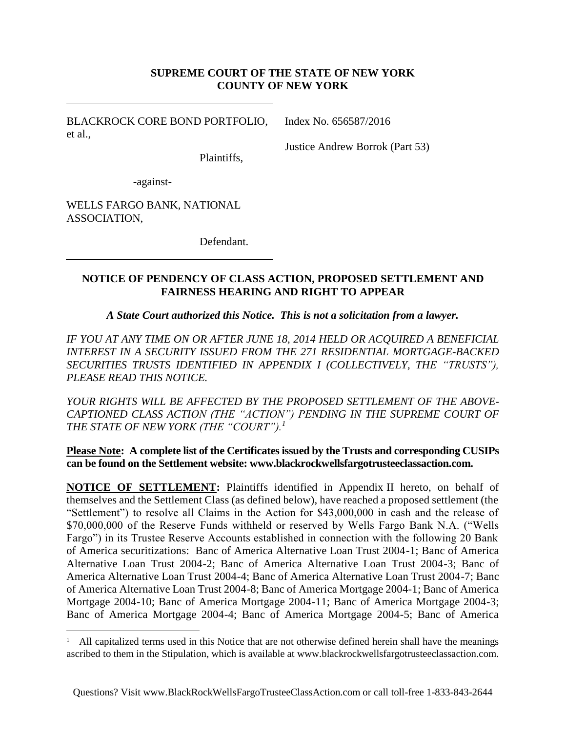#### **SUPREME COURT OF THE STATE OF NEW YORK COUNTY OF NEW YORK**

BLACKROCK CORE BOND PORTFOLIO, et al.,

Index No. 656587/2016

Justice Andrew Borrok (Part 53)

-against-

WELLS FARGO BANK, NATIONAL ASSOCIATION,

 $\overline{a}$ 

Defendant.

Plaintiffs,

### **NOTICE OF PENDENCY OF CLASS ACTION, PROPOSED SETTLEMENT AND FAIRNESS HEARING AND RIGHT TO APPEAR**

*A State Court authorized this Notice. This is not a solicitation from a lawyer.*

*IF YOU AT ANY TIME ON OR AFTER JUNE 18, 2014 HELD OR ACQUIRED A BENEFICIAL INTEREST IN A SECURITY ISSUED FROM THE 271 RESIDENTIAL MORTGAGE-BACKED SECURITIES TRUSTS IDENTIFIED IN APPENDIX I (COLLECTIVELY, THE "TRUSTS"), PLEASE READ THIS NOTICE.*

*YOUR RIGHTS WILL BE AFFECTED BY THE PROPOSED SETTLEMENT OF THE ABOVE-CAPTIONED CLASS ACTION (THE "ACTION") PENDING IN THE SUPREME COURT OF THE STATE OF NEW YORK (THE "COURT").<sup>1</sup>*

#### **Please Note: A complete list of the Certificates issued by the Trusts and corresponding CUSIPs can be found on the Settlement website: www.blackrockwellsfargotrusteeclassaction.com.**

**NOTICE OF SETTLEMENT:** Plaintiffs identified in Appendix II hereto, on behalf of themselves and the Settlement Class (as defined below), have reached a proposed settlement (the "Settlement") to resolve all Claims in the Action for \$43,000,000 in cash and the release of \$70,000,000 of the Reserve Funds withheld or reserved by Wells Fargo Bank N.A. ("Wells Fargo") in its Trustee Reserve Accounts established in connection with the following 20 Bank of America securitizations: Banc of America Alternative Loan Trust 2004-1; Banc of America Alternative Loan Trust 2004-2; Banc of America Alternative Loan Trust 2004-3; Banc of America Alternative Loan Trust 2004-4; Banc of America Alternative Loan Trust 2004-7; Banc of America Alternative Loan Trust 2004-8; Banc of America Mortgage 2004-1; Banc of America Mortgage 2004-10; Banc of America Mortgage 2004-11; Banc of America Mortgage 2004-3; Banc of America Mortgage 2004-4; Banc of America Mortgage 2004-5; Banc of America

<sup>1</sup> All capitalized terms used in this Notice that are not otherwise defined herein shall have the meanings ascribed to them in the Stipulation, which is available at www.blackrockwellsfargotrusteeclassaction.com.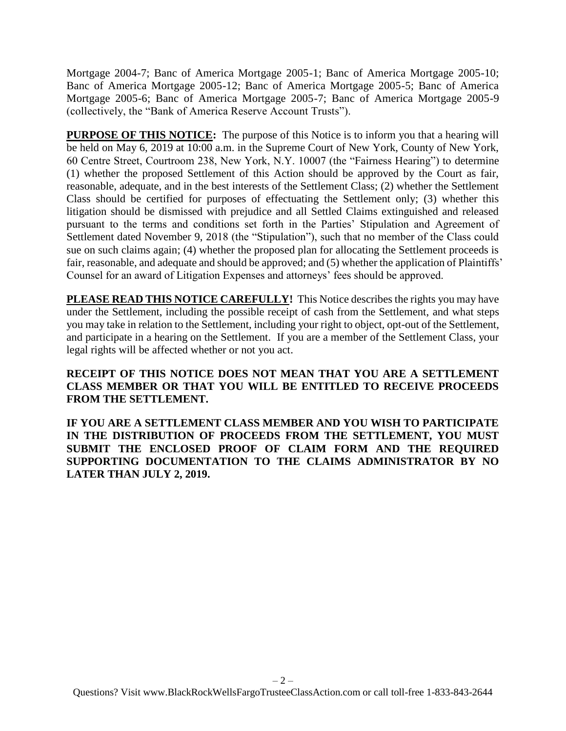Mortgage 2004-7; Banc of America Mortgage 2005-1; Banc of America Mortgage 2005-10; Banc of America Mortgage 2005-12; Banc of America Mortgage 2005-5; Banc of America Mortgage 2005-6; Banc of America Mortgage 2005-7; Banc of America Mortgage 2005-9 (collectively, the "Bank of America Reserve Account Trusts").

**PURPOSE OF THIS NOTICE:** The purpose of this Notice is to inform you that a hearing will be held on May 6, 2019 at 10:00 a.m. in the Supreme Court of New York, County of New York, 60 Centre Street, Courtroom 238, New York, N.Y. 10007 (the "Fairness Hearing") to determine (1) whether the proposed Settlement of this Action should be approved by the Court as fair, reasonable, adequate, and in the best interests of the Settlement Class; (2) whether the Settlement Class should be certified for purposes of effectuating the Settlement only; (3) whether this litigation should be dismissed with prejudice and all Settled Claims extinguished and released pursuant to the terms and conditions set forth in the Parties' Stipulation and Agreement of Settlement dated November 9, 2018 (the "Stipulation"), such that no member of the Class could sue on such claims again; (4) whether the proposed plan for allocating the Settlement proceeds is fair, reasonable, and adequate and should be approved; and (5) whether the application of Plaintiffs' Counsel for an award of Litigation Expenses and attorneys' fees should be approved.

**PLEASE READ THIS NOTICE CAREFULLY!** This Notice describes the rights you may have under the Settlement, including the possible receipt of cash from the Settlement, and what steps you may take in relation to the Settlement, including your right to object, opt-out of the Settlement, and participate in a hearing on the Settlement. If you are a member of the Settlement Class, your legal rights will be affected whether or not you act.

## **RECEIPT OF THIS NOTICE DOES NOT MEAN THAT YOU ARE A SETTLEMENT CLASS MEMBER OR THAT YOU WILL BE ENTITLED TO RECEIVE PROCEEDS FROM THE SETTLEMENT.**

**IF YOU ARE A SETTLEMENT CLASS MEMBER AND YOU WISH TO PARTICIPATE IN THE DISTRIBUTION OF PROCEEDS FROM THE SETTLEMENT, YOU MUST SUBMIT THE ENCLOSED PROOF OF CLAIM FORM AND THE REQUIRED SUPPORTING DOCUMENTATION TO THE CLAIMS ADMINISTRATOR BY NO LATER THAN JULY 2, 2019.**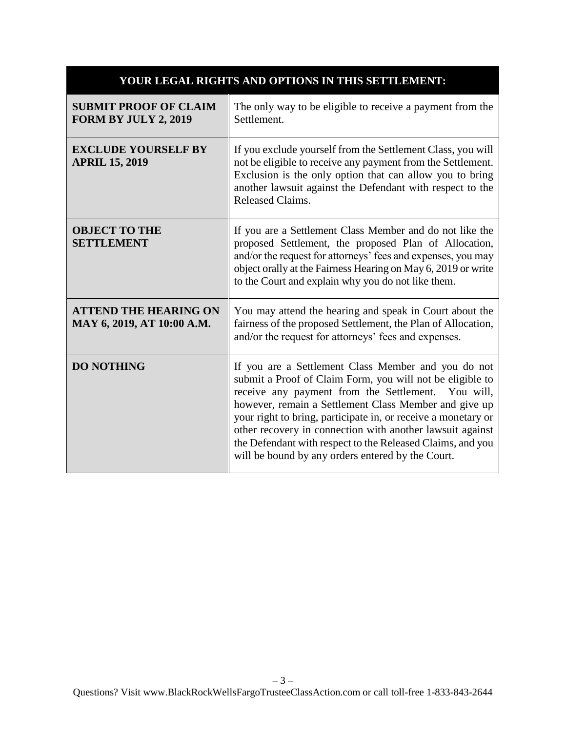| YOUR LEGAL RIGHTS AND OPTIONS IN THIS SETTLEMENT:           |                                                                                                                                                                                                                                                                                                                                                                                                                                                                                  |
|-------------------------------------------------------------|----------------------------------------------------------------------------------------------------------------------------------------------------------------------------------------------------------------------------------------------------------------------------------------------------------------------------------------------------------------------------------------------------------------------------------------------------------------------------------|
| <b>SUBMIT PROOF OF CLAIM</b><br><b>FORM BY JULY 2, 2019</b> | The only way to be eligible to receive a payment from the<br>Settlement.                                                                                                                                                                                                                                                                                                                                                                                                         |
| <b>EXCLUDE YOURSELF BY</b><br><b>APRIL 15, 2019</b>         | If you exclude yourself from the Settlement Class, you will<br>not be eligible to receive any payment from the Settlement.<br>Exclusion is the only option that can allow you to bring<br>another lawsuit against the Defendant with respect to the<br>Released Claims.                                                                                                                                                                                                          |
| <b>OBJECT TO THE</b><br><b>SETTLEMENT</b>                   | If you are a Settlement Class Member and do not like the<br>proposed Settlement, the proposed Plan of Allocation,<br>and/or the request for attorneys' fees and expenses, you may<br>object orally at the Fairness Hearing on May 6, 2019 or write<br>to the Court and explain why you do not like them.                                                                                                                                                                         |
| <b>ATTEND THE HEARING ON</b><br>MAY 6, 2019, AT 10:00 A.M.  | You may attend the hearing and speak in Court about the<br>fairness of the proposed Settlement, the Plan of Allocation,<br>and/or the request for attorneys' fees and expenses.                                                                                                                                                                                                                                                                                                  |
| <b>DO NOTHING</b>                                           | If you are a Settlement Class Member and you do not<br>submit a Proof of Claim Form, you will not be eligible to<br>receive any payment from the Settlement. You will,<br>however, remain a Settlement Class Member and give up<br>your right to bring, participate in, or receive a monetary or<br>other recovery in connection with another lawsuit against<br>the Defendant with respect to the Released Claims, and you<br>will be bound by any orders entered by the Court. |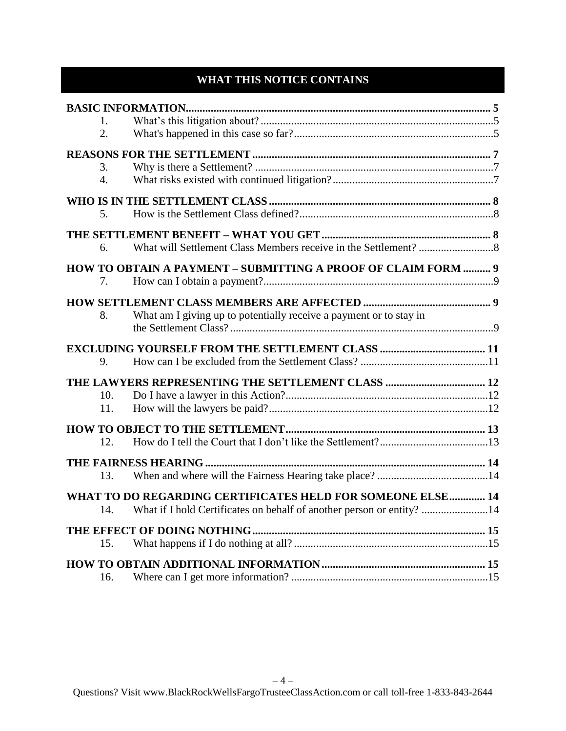# **WHAT THIS NOTICE CONTAINS**

| $\mathbf{1}$ . |                                                                       |  |
|----------------|-----------------------------------------------------------------------|--|
| 2.             |                                                                       |  |
|                |                                                                       |  |
| 3.             |                                                                       |  |
| 4.             |                                                                       |  |
|                |                                                                       |  |
| 5.             |                                                                       |  |
|                |                                                                       |  |
| 6.             |                                                                       |  |
|                | HOW TO OBTAIN A PAYMENT - SUBMITTING A PROOF OF CLAIM FORM  9         |  |
| 7.             |                                                                       |  |
|                |                                                                       |  |
| 8.             | What am I giving up to potentially receive a payment or to stay in    |  |
|                |                                                                       |  |
|                |                                                                       |  |
| 9.             |                                                                       |  |
|                |                                                                       |  |
| 10.            |                                                                       |  |
| 11.            |                                                                       |  |
|                |                                                                       |  |
| 12.            |                                                                       |  |
|                |                                                                       |  |
| 13.            |                                                                       |  |
|                | WHAT TO DO REGARDING CERTIFICATES HELD FOR SOMEONE ELSE 14            |  |
| 14.            | What if I hold Certificates on behalf of another person or entity? 14 |  |
|                |                                                                       |  |
| 15.            |                                                                       |  |
|                |                                                                       |  |
| 16.            |                                                                       |  |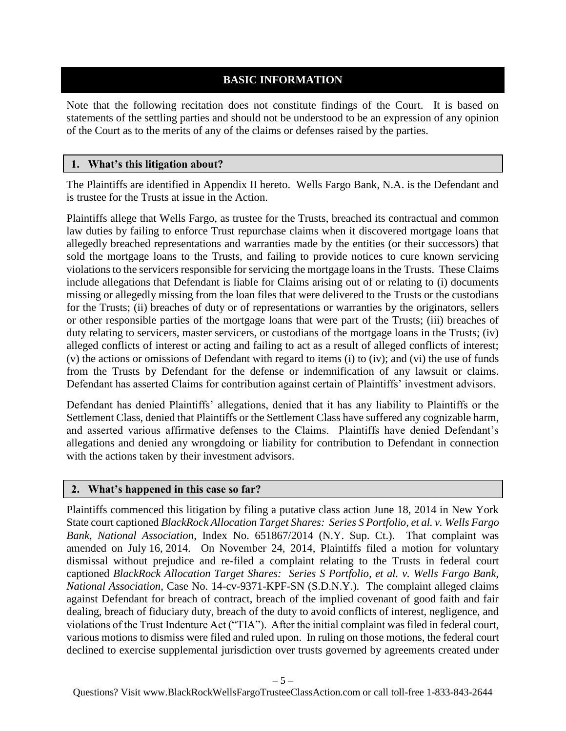## **BASIC INFORMATION**

<span id="page-4-0"></span>Note that the following recitation does not constitute findings of the Court. It is based on statements of the settling parties and should not be understood to be an expression of any opinion of the Court as to the merits of any of the claims or defenses raised by the parties.

#### **1. What's this litigation about?**

The Plaintiffs are identified in Appendix II hereto. Wells Fargo Bank, N.A. is the Defendant and is trustee for the Trusts at issue in the Action.

Plaintiffs allege that Wells Fargo, as trustee for the Trusts, breached its contractual and common law duties by failing to enforce Trust repurchase claims when it discovered mortgage loans that allegedly breached representations and warranties made by the entities (or their successors) that sold the mortgage loans to the Trusts, and failing to provide notices to cure known servicing violations to the servicers responsible for servicing the mortgage loans in the Trusts. These Claims include allegations that Defendant is liable for Claims arising out of or relating to (i) documents missing or allegedly missing from the loan files that were delivered to the Trusts or the custodians for the Trusts; (ii) breaches of duty or of representations or warranties by the originators, sellers or other responsible parties of the mortgage loans that were part of the Trusts; (iii) breaches of duty relating to servicers, master servicers, or custodians of the mortgage loans in the Trusts; (iv) alleged conflicts of interest or acting and failing to act as a result of alleged conflicts of interest; (v) the actions or omissions of Defendant with regard to items (i) to (iv); and (vi) the use of funds from the Trusts by Defendant for the defense or indemnification of any lawsuit or claims. Defendant has asserted Claims for contribution against certain of Plaintiffs' investment advisors.

Defendant has denied Plaintiffs' allegations, denied that it has any liability to Plaintiffs or the Settlement Class, denied that Plaintiffs or the Settlement Class have suffered any cognizable harm, and asserted various affirmative defenses to the Claims. Plaintiffs have denied Defendant's allegations and denied any wrongdoing or liability for contribution to Defendant in connection with the actions taken by their investment advisors.

#### **2. What's happened in this case so far?**

Plaintiffs commenced this litigation by filing a putative class action June 18, 2014 in New York State court captioned *BlackRock Allocation Target Shares: Series S Portfolio, et al. v. Wells Fargo Bank, National Association*, Index No. 651867/2014 (N.Y. Sup. Ct.). That complaint was amended on July 16, 2014. On November 24, 2014, Plaintiffs filed a motion for voluntary dismissal without prejudice and re-filed a complaint relating to the Trusts in federal court captioned *BlackRock Allocation Target Shares: Series S Portfolio, et al. v. Wells Fargo Bank, National Association*, Case No. 14-cv-9371-KPF-SN (S.D.N.Y.). The complaint alleged claims against Defendant for breach of contract, breach of the implied covenant of good faith and fair dealing, breach of fiduciary duty, breach of the duty to avoid conflicts of interest, negligence, and violations of the Trust Indenture Act ("TIA"). After the initial complaint was filed in federal court, various motions to dismiss were filed and ruled upon. In ruling on those motions, the federal court declined to exercise supplemental jurisdiction over trusts governed by agreements created under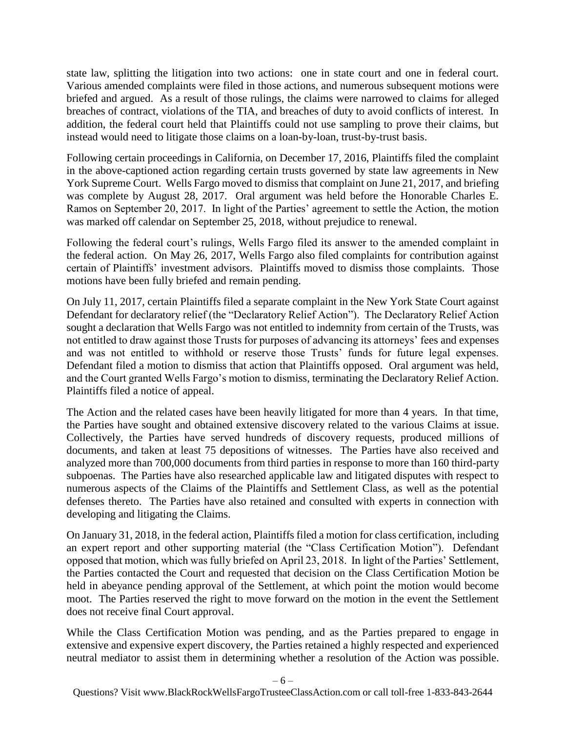state law, splitting the litigation into two actions: one in state court and one in federal court. Various amended complaints were filed in those actions, and numerous subsequent motions were briefed and argued. As a result of those rulings, the claims were narrowed to claims for alleged breaches of contract, violations of the TIA, and breaches of duty to avoid conflicts of interest. In addition, the federal court held that Plaintiffs could not use sampling to prove their claims, but instead would need to litigate those claims on a loan-by-loan, trust-by-trust basis.

Following certain proceedings in California, on December 17, 2016, Plaintiffs filed the complaint in the above-captioned action regarding certain trusts governed by state law agreements in New York Supreme Court. Wells Fargo moved to dismiss that complaint on June 21, 2017, and briefing was complete by August 28, 2017. Oral argument was held before the Honorable Charles E. Ramos on September 20, 2017. In light of the Parties' agreement to settle the Action, the motion was marked off calendar on September 25, 2018, without prejudice to renewal.

Following the federal court's rulings, Wells Fargo filed its answer to the amended complaint in the federal action. On May 26, 2017, Wells Fargo also filed complaints for contribution against certain of Plaintiffs' investment advisors. Plaintiffs moved to dismiss those complaints. Those motions have been fully briefed and remain pending.

On July 11, 2017, certain Plaintiffs filed a separate complaint in the New York State Court against Defendant for declaratory relief (the "Declaratory Relief Action"). The Declaratory Relief Action sought a declaration that Wells Fargo was not entitled to indemnity from certain of the Trusts, was not entitled to draw against those Trusts for purposes of advancing its attorneys' fees and expenses and was not entitled to withhold or reserve those Trusts' funds for future legal expenses. Defendant filed a motion to dismiss that action that Plaintiffs opposed. Oral argument was held, and the Court granted Wells Fargo's motion to dismiss, terminating the Declaratory Relief Action. Plaintiffs filed a notice of appeal.

The Action and the related cases have been heavily litigated for more than 4 years. In that time, the Parties have sought and obtained extensive discovery related to the various Claims at issue. Collectively, the Parties have served hundreds of discovery requests, produced millions of documents, and taken at least 75 depositions of witnesses. The Parties have also received and analyzed more than 700,000 documents from third parties in response to more than 160 third-party subpoenas. The Parties have also researched applicable law and litigated disputes with respect to numerous aspects of the Claims of the Plaintiffs and Settlement Class, as well as the potential defenses thereto. The Parties have also retained and consulted with experts in connection with developing and litigating the Claims.

On January 31, 2018, in the federal action, Plaintiffs filed a motion for class certification, including an expert report and other supporting material (the "Class Certification Motion"). Defendant opposed that motion, which was fully briefed on April 23, 2018. In light of the Parties' Settlement, the Parties contacted the Court and requested that decision on the Class Certification Motion be held in abeyance pending approval of the Settlement, at which point the motion would become moot. The Parties reserved the right to move forward on the motion in the event the Settlement does not receive final Court approval.

While the Class Certification Motion was pending, and as the Parties prepared to engage in extensive and expensive expert discovery, the Parties retained a highly respected and experienced neutral mediator to assist them in determining whether a resolution of the Action was possible.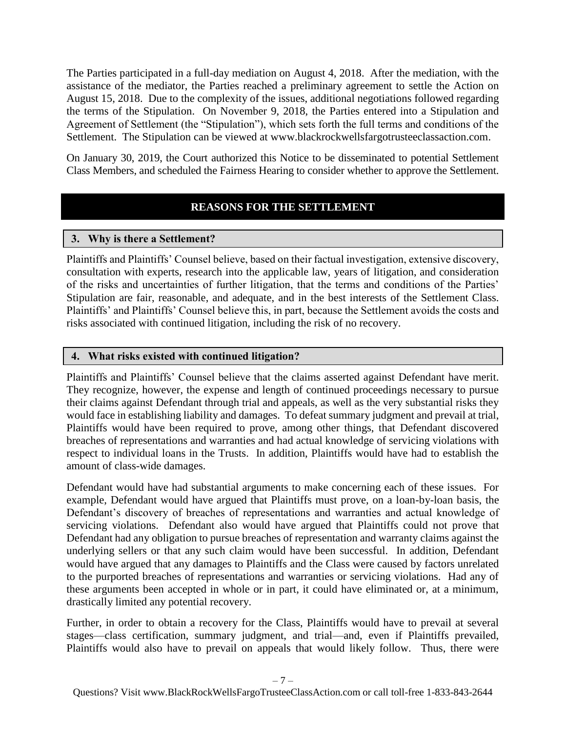The Parties participated in a full-day mediation on August 4, 2018. After the mediation, with the assistance of the mediator, the Parties reached a preliminary agreement to settle the Action on August 15, 2018. Due to the complexity of the issues, additional negotiations followed regarding the terms of the Stipulation. On November 9, 2018, the Parties entered into a Stipulation and Agreement of Settlement (the "Stipulation"), which sets forth the full terms and conditions of the Settlement. The Stipulation can be viewed at www.blackrockwellsfargotrusteeclassaction.com.

<span id="page-6-0"></span>On January 30, 2019, the Court authorized this Notice to be disseminated to potential Settlement Class Members, and scheduled the Fairness Hearing to consider whether to approve the Settlement.

# **REASONS FOR THE SETTLEMENT**

### <span id="page-6-1"></span>**3. Why is there a Settlement?**

Plaintiffs and Plaintiffs' Counsel believe, based on their factual investigation, extensive discovery, consultation with experts, research into the applicable law, years of litigation, and consideration of the risks and uncertainties of further litigation, that the terms and conditions of the Parties' Stipulation are fair, reasonable, and adequate, and in the best interests of the Settlement Class. Plaintiffs' and Plaintiffs' Counsel believe this, in part, because the Settlement avoids the costs and risks associated with continued litigation, including the risk of no recovery.

### **4. What risks existed with continued litigation?**

Plaintiffs and Plaintiffs' Counsel believe that the claims asserted against Defendant have merit. They recognize, however, the expense and length of continued proceedings necessary to pursue their claims against Defendant through trial and appeals, as well as the very substantial risks they would face in establishing liability and damages. To defeat summary judgment and prevail at trial, Plaintiffs would have been required to prove, among other things, that Defendant discovered breaches of representations and warranties and had actual knowledge of servicing violations with respect to individual loans in the Trusts. In addition, Plaintiffs would have had to establish the amount of class-wide damages.

Defendant would have had substantial arguments to make concerning each of these issues. For example, Defendant would have argued that Plaintiffs must prove, on a loan-by-loan basis, the Defendant's discovery of breaches of representations and warranties and actual knowledge of servicing violations. Defendant also would have argued that Plaintiffs could not prove that Defendant had any obligation to pursue breaches of representation and warranty claims against the underlying sellers or that any such claim would have been successful. In addition, Defendant would have argued that any damages to Plaintiffs and the Class were caused by factors unrelated to the purported breaches of representations and warranties or servicing violations. Had any of these arguments been accepted in whole or in part, it could have eliminated or, at a minimum, drastically limited any potential recovery.

Further, in order to obtain a recovery for the Class, Plaintiffs would have to prevail at several stages—class certification, summary judgment, and trial—and, even if Plaintiffs prevailed, Plaintiffs would also have to prevail on appeals that would likely follow. Thus, there were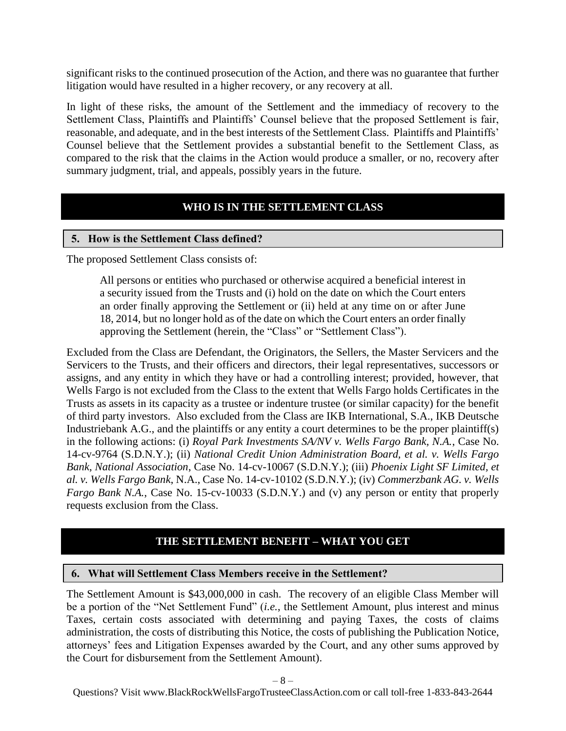significant risks to the continued prosecution of the Action, and there was no guarantee that further litigation would have resulted in a higher recovery, or any recovery at all.

In light of these risks, the amount of the Settlement and the immediacy of recovery to the Settlement Class, Plaintiffs and Plaintiffs' Counsel believe that the proposed Settlement is fair, reasonable, and adequate, and in the best interests of the Settlement Class. Plaintiffs and Plaintiffs' Counsel believe that the Settlement provides a substantial benefit to the Settlement Class, as compared to the risk that the claims in the Action would produce a smaller, or no, recovery after summary judgment, trial, and appeals, possibly years in the future.

# **WHO IS IN THE SETTLEMENT CLASS**

#### <span id="page-7-1"></span><span id="page-7-0"></span>**5. How is the Settlement Class defined?**

The proposed Settlement Class consists of:

All persons or entities who purchased or otherwise acquired a beneficial interest in a security issued from the Trusts and (i) hold on the date on which the Court enters an order finally approving the Settlement or (ii) held at any time on or after June 18, 2014, but no longer hold as of the date on which the Court enters an order finally approving the Settlement (herein, the "Class" or "Settlement Class").

Excluded from the Class are Defendant, the Originators, the Sellers, the Master Servicers and the Servicers to the Trusts, and their officers and directors, their legal representatives, successors or assigns, and any entity in which they have or had a controlling interest; provided, however, that Wells Fargo is not excluded from the Class to the extent that Wells Fargo holds Certificates in the Trusts as assets in its capacity as a trustee or indenture trustee (or similar capacity) for the benefit of third party investors. Also excluded from the Class are IKB International, S.A., IKB Deutsche Industriebank A.G., and the plaintiffs or any entity a court determines to be the proper plaintiff(s) in the following actions: (i) *Royal Park Investments SA/NV v. Wells Fargo Bank, N.A.*, Case No. 14-cv-9764 (S.D.N.Y.); (ii) *National Credit Union Administration Board, et al. v. Wells Fargo Bank*, *National Association*, Case No. 14-cv-10067 (S.D.N.Y.); (iii) *Phoenix Light SF Limited, et al. v. Wells Fargo Bank*, N.A., Case No. 14-cv-10102 (S.D.N.Y.); (iv) *Commerzbank AG. v. Wells Fargo Bank N.A.*, Case No. 15-cv-10033 (S.D.N.Y.) and (v) any person or entity that properly requests exclusion from the Class.

### **THE SETTLEMENT BENEFIT – WHAT YOU GET**

#### <span id="page-7-3"></span><span id="page-7-2"></span>**6. What will Settlement Class Members receive in the Settlement?**

The Settlement Amount is \$43,000,000 in cash. The recovery of an eligible Class Member will be a portion of the "Net Settlement Fund" (*i.e.*, the Settlement Amount, plus interest and minus Taxes, certain costs associated with determining and paying Taxes, the costs of claims administration, the costs of distributing this Notice, the costs of publishing the Publication Notice, attorneys' fees and Litigation Expenses awarded by the Court, and any other sums approved by the Court for disbursement from the Settlement Amount).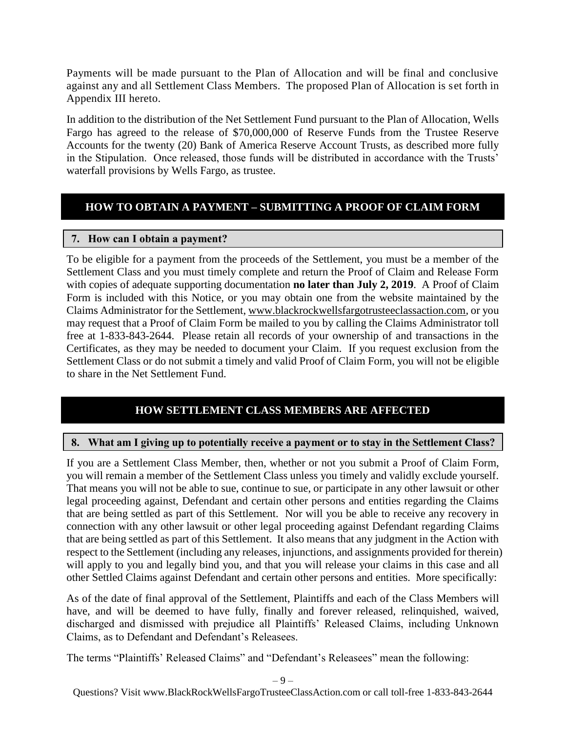Payments will be made pursuant to the Plan of Allocation and will be final and conclusive against any and all Settlement Class Members. The proposed Plan of Allocation is set forth in Appendix III hereto.

In addition to the distribution of the Net Settlement Fund pursuant to the Plan of Allocation, Wells Fargo has agreed to the release of \$70,000,000 of Reserve Funds from the Trustee Reserve Accounts for the twenty (20) Bank of America Reserve Account Trusts, as described more fully in the Stipulation. Once released, those funds will be distributed in accordance with the Trusts' waterfall provisions by Wells Fargo, as trustee.

# <span id="page-8-0"></span>**HOW TO OBTAIN A PAYMENT – SUBMITTING A PROOF OF CLAIM FORM**

# <span id="page-8-1"></span>**7. How can I obtain a payment?**

To be eligible for a payment from the proceeds of the Settlement, you must be a member of the Settlement Class and you must timely complete and return the Proof of Claim and Release Form with copies of adequate supporting documentation **no later than July 2, 2019**. A Proof of Claim Form is included with this Notice, or you may obtain one from the website maintained by the Claims Administrator for the Settlement, www.blackrockwellsfargotrusteeclassaction.com, or you may request that a Proof of Claim Form be mailed to you by calling the Claims Administrator toll free at 1-833-843-2644. Please retain all records of your ownership of and transactions in the Certificates, as they may be needed to document your Claim. If you request exclusion from the Settlement Class or do not submit a timely and valid Proof of Claim Form, you will not be eligible to share in the Net Settlement Fund.

# **HOW SETTLEMENT CLASS MEMBERS ARE AFFECTED**

# <span id="page-8-3"></span><span id="page-8-2"></span>**8. What am I giving up to potentially receive a payment or to stay in the Settlement Class?**

If you are a Settlement Class Member, then, whether or not you submit a Proof of Claim Form, you will remain a member of the Settlement Class unless you timely and validly exclude yourself. That means you will not be able to sue, continue to sue, or participate in any other lawsuit or other legal proceeding against, Defendant and certain other persons and entities regarding the Claims that are being settled as part of this Settlement. Nor will you be able to receive any recovery in connection with any other lawsuit or other legal proceeding against Defendant regarding Claims that are being settled as part of this Settlement. It also means that any judgment in the Action with respect to the Settlement (including any releases, injunctions, and assignments provided for therein) will apply to you and legally bind you, and that you will release your claims in this case and all other Settled Claims against Defendant and certain other persons and entities. More specifically:

As of the date of final approval of the Settlement, Plaintiffs and each of the Class Members will have, and will be deemed to have fully, finally and forever released, relinquished, waived, discharged and dismissed with prejudice all Plaintiffs' Released Claims, including Unknown Claims, as to Defendant and Defendant's Releasees.

The terms "Plaintiffs' Released Claims" and "Defendant's Releasees" mean the following: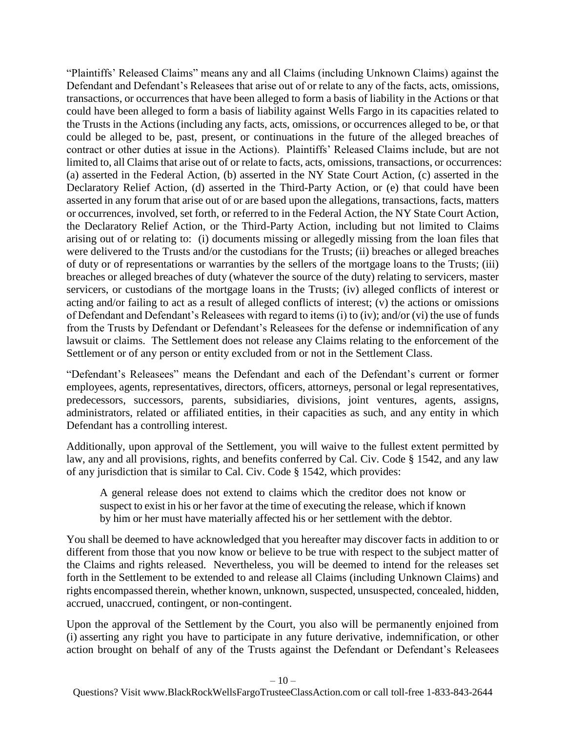"Plaintiffs' Released Claims" means any and all Claims (including Unknown Claims) against the Defendant and Defendant's Releasees that arise out of or relate to any of the facts, acts, omissions, transactions, or occurrences that have been alleged to form a basis of liability in the Actions or that could have been alleged to form a basis of liability against Wells Fargo in its capacities related to the Trusts in the Actions (including any facts, acts, omissions, or occurrences alleged to be, or that could be alleged to be, past, present, or continuations in the future of the alleged breaches of contract or other duties at issue in the Actions). Plaintiffs' Released Claims include, but are not limited to, all Claims that arise out of or relate to facts, acts, omissions, transactions, or occurrences: (a) asserted in the Federal Action, (b) asserted in the NY State Court Action, (c) asserted in the Declaratory Relief Action, (d) asserted in the Third-Party Action, or (e) that could have been asserted in any forum that arise out of or are based upon the allegations, transactions, facts, matters or occurrences, involved, set forth, or referred to in the Federal Action, the NY State Court Action, the Declaratory Relief Action, or the Third-Party Action, including but not limited to Claims arising out of or relating to: (i) documents missing or allegedly missing from the loan files that were delivered to the Trusts and/or the custodians for the Trusts; (ii) breaches or alleged breaches of duty or of representations or warranties by the sellers of the mortgage loans to the Trusts; (iii) breaches or alleged breaches of duty (whatever the source of the duty) relating to servicers, master servicers, or custodians of the mortgage loans in the Trusts; (iv) alleged conflicts of interest or acting and/or failing to act as a result of alleged conflicts of interest; (v) the actions or omissions of Defendant and Defendant's Releasees with regard to items (i) to (iv); and/or (vi) the use of funds from the Trusts by Defendant or Defendant's Releasees for the defense or indemnification of any lawsuit or claims. The Settlement does not release any Claims relating to the enforcement of the Settlement or of any person or entity excluded from or not in the Settlement Class.

"Defendant's Releasees" means the Defendant and each of the Defendant's current or former employees, agents, representatives, directors, officers, attorneys, personal or legal representatives, predecessors, successors, parents, subsidiaries, divisions, joint ventures, agents, assigns, administrators, related or affiliated entities, in their capacities as such, and any entity in which Defendant has a controlling interest.

Additionally, upon approval of the Settlement, you will waive to the fullest extent permitted by law, any and all provisions, rights, and benefits conferred by Cal. Civ. Code § 1542, and any law of any jurisdiction that is similar to Cal. Civ. Code § 1542, which provides:

A general release does not extend to claims which the creditor does not know or suspect to exist in his or her favor at the time of executing the release, which if known by him or her must have materially affected his or her settlement with the debtor.

You shall be deemed to have acknowledged that you hereafter may discover facts in addition to or different from those that you now know or believe to be true with respect to the subject matter of the Claims and rights released. Nevertheless, you will be deemed to intend for the releases set forth in the Settlement to be extended to and release all Claims (including Unknown Claims) and rights encompassed therein, whether known, unknown, suspected, unsuspected, concealed, hidden, accrued, unaccrued, contingent, or non-contingent.

Upon the approval of the Settlement by the Court, you also will be permanently enjoined from (i) asserting any right you have to participate in any future derivative, indemnification, or other action brought on behalf of any of the Trusts against the Defendant or Defendant's Releasees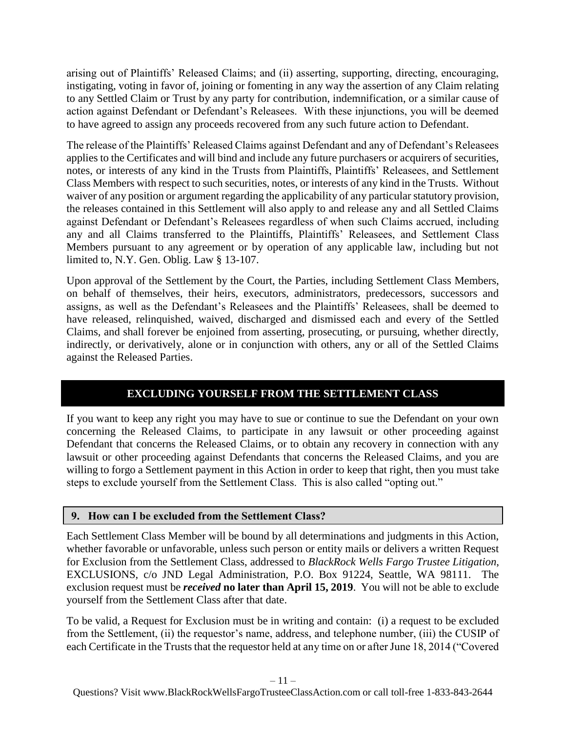arising out of Plaintiffs' Released Claims; and (ii) asserting, supporting, directing, encouraging, instigating, voting in favor of, joining or fomenting in any way the assertion of any Claim relating to any Settled Claim or Trust by any party for contribution, indemnification, or a similar cause of action against Defendant or Defendant's Releasees. With these injunctions, you will be deemed to have agreed to assign any proceeds recovered from any such future action to Defendant.

The release of the Plaintiffs' Released Claims against Defendant and any of Defendant's Releasees applies to the Certificates and will bind and include any future purchasers or acquirers of securities, notes, or interests of any kind in the Trusts from Plaintiffs, Plaintiffs' Releasees, and Settlement Class Members with respect to such securities, notes, or interests of any kind in the Trusts. Without waiver of any position or argument regarding the applicability of any particular statutory provision, the releases contained in this Settlement will also apply to and release any and all Settled Claims against Defendant or Defendant's Releasees regardless of when such Claims accrued, including any and all Claims transferred to the Plaintiffs, Plaintiffs' Releasees, and Settlement Class Members pursuant to any agreement or by operation of any applicable law, including but not limited to, N.Y. Gen. Oblig. Law § 13-107.

Upon approval of the Settlement by the Court, the Parties, including Settlement Class Members, on behalf of themselves, their heirs, executors, administrators, predecessors, successors and assigns, as well as the Defendant's Releasees and the Plaintiffs' Releasees, shall be deemed to have released, relinquished, waived, discharged and dismissed each and every of the Settled Claims, and shall forever be enjoined from asserting, prosecuting, or pursuing, whether directly, indirectly, or derivatively, alone or in conjunction with others, any or all of the Settled Claims against the Released Parties.

# **EXCLUDING YOURSELF FROM THE SETTLEMENT CLASS**

<span id="page-10-0"></span>If you want to keep any right you may have to sue or continue to sue the Defendant on your own concerning the Released Claims, to participate in any lawsuit or other proceeding against Defendant that concerns the Released Claims, or to obtain any recovery in connection with any lawsuit or other proceeding against Defendants that concerns the Released Claims, and you are willing to forgo a Settlement payment in this Action in order to keep that right, then you must take steps to exclude yourself from the Settlement Class. This is also called "opting out."

### **9. How can I be excluded from the Settlement Class?**

Each Settlement Class Member will be bound by all determinations and judgments in this Action, whether favorable or unfavorable, unless such person or entity mails or delivers a written Request for Exclusion from the Settlement Class, addressed to *BlackRock Wells Fargo Trustee Litigation*, EXCLUSIONS, c/o JND Legal Administration, P.O. Box 91224, Seattle, WA 98111. The exclusion request must be *received* **no later than April 15, 2019**. You will not be able to exclude yourself from the Settlement Class after that date.

To be valid, a Request for Exclusion must be in writing and contain: (i) a request to be excluded from the Settlement, (ii) the requestor's name, address, and telephone number, (iii) the CUSIP of each Certificate in the Trusts that the requestor held at any time on or after June 18, 2014 ("Covered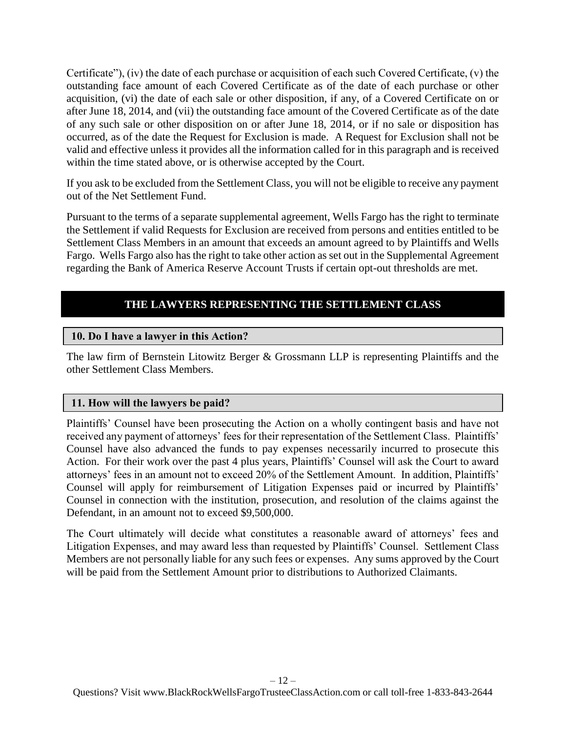Certificate"), (iv) the date of each purchase or acquisition of each such Covered Certificate, (v) the outstanding face amount of each Covered Certificate as of the date of each purchase or other acquisition, (vi) the date of each sale or other disposition, if any, of a Covered Certificate on or after June 18, 2014, and (vii) the outstanding face amount of the Covered Certificate as of the date of any such sale or other disposition on or after June 18, 2014, or if no sale or disposition has occurred, as of the date the Request for Exclusion is made. A Request for Exclusion shall not be valid and effective unless it provides all the information called for in this paragraph and is received within the time stated above, or is otherwise accepted by the Court.

If you ask to be excluded from the Settlement Class, you will not be eligible to receive any payment out of the Net Settlement Fund.

Pursuant to the terms of a separate supplemental agreement, Wells Fargo has the right to terminate the Settlement if valid Requests for Exclusion are received from persons and entities entitled to be Settlement Class Members in an amount that exceeds an amount agreed to by Plaintiffs and Wells Fargo. Wells Fargo also has the right to take other action as set out in the Supplemental Agreement regarding the Bank of America Reserve Account Trusts if certain opt-out thresholds are met.

# **THE LAWYERS REPRESENTING THE SETTLEMENT CLASS**

#### <span id="page-11-1"></span><span id="page-11-0"></span>**10. Do I have a lawyer in this Action?**

The law firm of Bernstein Litowitz Berger & Grossmann LLP is representing Plaintiffs and the other Settlement Class Members.

### **11. How will the lawyers be paid?**

Plaintiffs' Counsel have been prosecuting the Action on a wholly contingent basis and have not received any payment of attorneys' fees for their representation of the Settlement Class. Plaintiffs' Counsel have also advanced the funds to pay expenses necessarily incurred to prosecute this Action. For their work over the past 4 plus years, Plaintiffs' Counsel will ask the Court to award attorneys' fees in an amount not to exceed 20% of the Settlement Amount. In addition, Plaintiffs' Counsel will apply for reimbursement of Litigation Expenses paid or incurred by Plaintiffs' Counsel in connection with the institution, prosecution, and resolution of the claims against the Defendant, in an amount not to exceed \$9,500,000.

The Court ultimately will decide what constitutes a reasonable award of attorneys' fees and Litigation Expenses, and may award less than requested by Plaintiffs' Counsel. Settlement Class Members are not personally liable for any such fees or expenses. Any sums approved by the Court will be paid from the Settlement Amount prior to distributions to Authorized Claimants.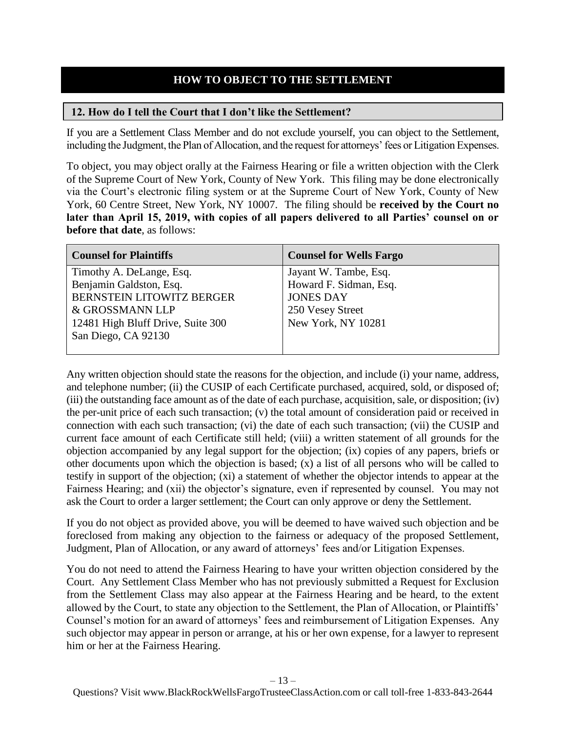## **HOW TO OBJECT TO THE SETTLEMENT**

#### <span id="page-12-1"></span><span id="page-12-0"></span>**12. How do I tell the Court that I don't like the Settlement?**

If you are a Settlement Class Member and do not exclude yourself, you can object to the Settlement, including the Judgment, the Plan of Allocation, and the request for attorneys' fees or Litigation Expenses.

To object, you may object orally at the Fairness Hearing or file a written objection with the Clerk of the Supreme Court of New York, County of New York. This filing may be done electronically via the Court's electronic filing system or at the Supreme Court of New York, County of New York, 60 Centre Street, New York, NY 10007. The filing should be **received by the Court no later than April 15, 2019, with copies of all papers delivered to all Parties' counsel on or before that date**, as follows:

| <b>Counsel for Plaintiffs</b>     | <b>Counsel for Wells Fargo</b> |
|-----------------------------------|--------------------------------|
| Timothy A. DeLange, Esq.          | Jayant W. Tambe, Esq.          |
| Benjamin Galdston, Esq.           | Howard F. Sidman, Esq.         |
| <b>BERNSTEIN LITOWITZ BERGER</b>  | <b>JONES DAY</b>               |
| & GROSSMANN LLP                   | 250 Vesey Street               |
| 12481 High Bluff Drive, Suite 300 | New York, NY 10281             |
| San Diego, CA 92130               |                                |
|                                   |                                |

Any written objection should state the reasons for the objection, and include (i) your name, address, and telephone number; (ii) the CUSIP of each Certificate purchased, acquired, sold, or disposed of; (iii) the outstanding face amount as of the date of each purchase, acquisition, sale, or disposition; (iv) the per-unit price of each such transaction; (v) the total amount of consideration paid or received in connection with each such transaction; (vi) the date of each such transaction; (vii) the CUSIP and current face amount of each Certificate still held; (viii) a written statement of all grounds for the objection accompanied by any legal support for the objection; (ix) copies of any papers, briefs or other documents upon which the objection is based; (x) a list of all persons who will be called to testify in support of the objection; (xi) a statement of whether the objector intends to appear at the Fairness Hearing; and (xii) the objector's signature, even if represented by counsel. You may not ask the Court to order a larger settlement; the Court can only approve or deny the Settlement.

If you do not object as provided above, you will be deemed to have waived such objection and be foreclosed from making any objection to the fairness or adequacy of the proposed Settlement, Judgment, Plan of Allocation, or any award of attorneys' fees and/or Litigation Expenses.

You do not need to attend the Fairness Hearing to have your written objection considered by the Court. Any Settlement Class Member who has not previously submitted a Request for Exclusion from the Settlement Class may also appear at the Fairness Hearing and be heard, to the extent allowed by the Court, to state any objection to the Settlement, the Plan of Allocation, or Plaintiffs' Counsel's motion for an award of attorneys' fees and reimbursement of Litigation Expenses. Any such objector may appear in person or arrange, at his or her own expense, for a lawyer to represent him or her at the Fairness Hearing.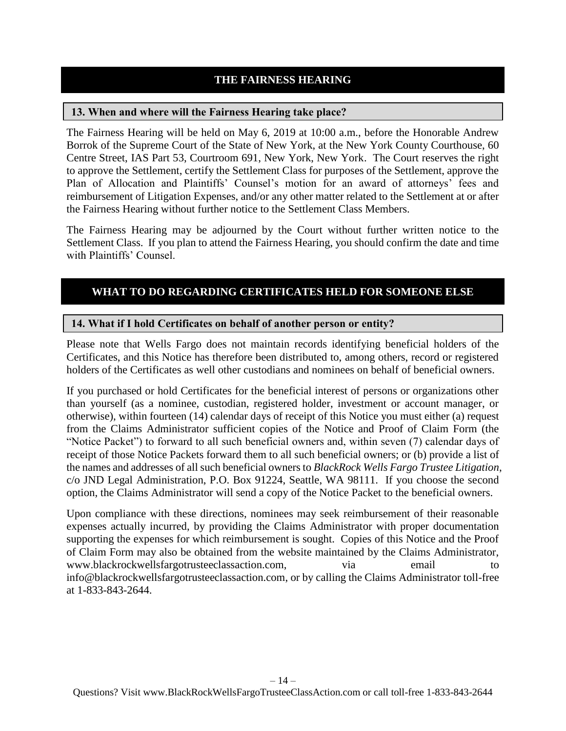## **THE FAIRNESS HEARING**

#### <span id="page-13-1"></span><span id="page-13-0"></span>**13. When and where will the Fairness Hearing take place?**

The Fairness Hearing will be held on May 6, 2019 at 10:00 a.m., before the Honorable Andrew Borrok of the Supreme Court of the State of New York, at the New York County Courthouse, 60 Centre Street, IAS Part 53, Courtroom 691, New York, New York. The Court reserves the right to approve the Settlement, certify the Settlement Class for purposes of the Settlement, approve the Plan of Allocation and Plaintiffs' Counsel's motion for an award of attorneys' fees and reimbursement of Litigation Expenses, and/or any other matter related to the Settlement at or after the Fairness Hearing without further notice to the Settlement Class Members.

The Fairness Hearing may be adjourned by the Court without further written notice to the Settlement Class. If you plan to attend the Fairness Hearing, you should confirm the date and time with Plaintiffs' Counsel.

## <span id="page-13-2"></span>**WHAT TO DO REGARDING CERTIFICATES HELD FOR SOMEONE ELSE**

#### <span id="page-13-3"></span>**14. What if I hold Certificates on behalf of another person or entity?**

Please note that Wells Fargo does not maintain records identifying beneficial holders of the Certificates, and this Notice has therefore been distributed to, among others, record or registered holders of the Certificates as well other custodians and nominees on behalf of beneficial owners.

If you purchased or hold Certificates for the beneficial interest of persons or organizations other than yourself (as a nominee, custodian, registered holder, investment or account manager, or otherwise), within fourteen (14) calendar days of receipt of this Notice you must either (a) request from the Claims Administrator sufficient copies of the Notice and Proof of Claim Form (the "Notice Packet") to forward to all such beneficial owners and, within seven (7) calendar days of receipt of those Notice Packets forward them to all such beneficial owners; or (b) provide a list of the names and addresses of all such beneficial owners to *BlackRock Wells Fargo Trustee Litigation*, c/o JND Legal Administration, P.O. Box 91224, Seattle, WA 98111. If you choose the second option, the Claims Administrator will send a copy of the Notice Packet to the beneficial owners.

Upon compliance with these directions, nominees may seek reimbursement of their reasonable expenses actually incurred, by providing the Claims Administrator with proper documentation supporting the expenses for which reimbursement is sought. Copies of this Notice and the Proof of Claim Form may also be obtained from the website maintained by the Claims Administrator, www.blackrockwellsfargotrusteeclassaction.com, via email to to info@blackrockwellsfargotrusteeclassaction.com, or by calling the Claims Administrator toll-free at 1-833-843-2644.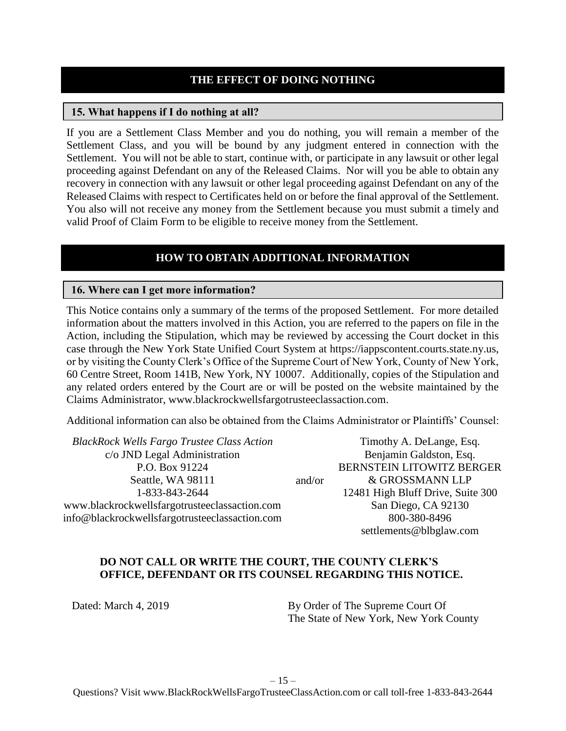#### **THE EFFECT OF DOING NOTHING**

#### <span id="page-14-1"></span><span id="page-14-0"></span>**15. What happens if I do nothing at all?**

If you are a Settlement Class Member and you do nothing, you will remain a member of the Settlement Class, and you will be bound by any judgment entered in connection with the Settlement. You will not be able to start, continue with, or participate in any lawsuit or other legal proceeding against Defendant on any of the Released Claims. Nor will you be able to obtain any recovery in connection with any lawsuit or other legal proceeding against Defendant on any of the Released Claims with respect to Certificates held on or before the final approval of the Settlement. You also will not receive any money from the Settlement because you must submit a timely and valid Proof of Claim Form to be eligible to receive money from the Settlement.

### **HOW TO OBTAIN ADDITIONAL INFORMATION**

#### <span id="page-14-3"></span><span id="page-14-2"></span>**16. Where can I get more information?**

This Notice contains only a summary of the terms of the proposed Settlement. For more detailed information about the matters involved in this Action, you are referred to the papers on file in the Action, including the Stipulation, which may be reviewed by accessing the Court docket in this case through the New York State Unified Court System at https://iappscontent.courts.state.ny.us, or by visiting the County Clerk's Office of the Supreme Court of New York, County of New York, 60 Centre Street, Room 141B, New York, NY 10007. Additionally, copies of the Stipulation and any related orders entered by the Court are or will be posted on the website maintained by the Claims Administrator, www.blackrockwellsfargotrusteeclassaction.com.

Additional information can also be obtained from the Claims Administrator or Plaintiffs' Counsel:

*BlackRock Wells Fargo Trustee Class Action* c/o JND Legal Administration P.O. Box 91224 Seattle, WA 98111 1-833-843-2644 www.blackrockwellsfargotrusteeclassaction.com info@blackrockwellsfargotrusteeclassaction.com

and/or Timothy A. DeLange, Esq. Benjamin Galdston, Esq. BERNSTEIN LITOWITZ BERGER & GROSSMANN LLP 12481 High Bluff Drive, Suite 300 San Diego, CA 92130 800-380-8496 settlements@blbglaw.com

#### **DO NOT CALL OR WRITE THE COURT, THE COUNTY CLERK'S OFFICE, DEFENDANT OR ITS COUNSEL REGARDING THIS NOTICE.**

Dated: March 4, 2019 By Order of The Supreme Court Of The State of New York, New York County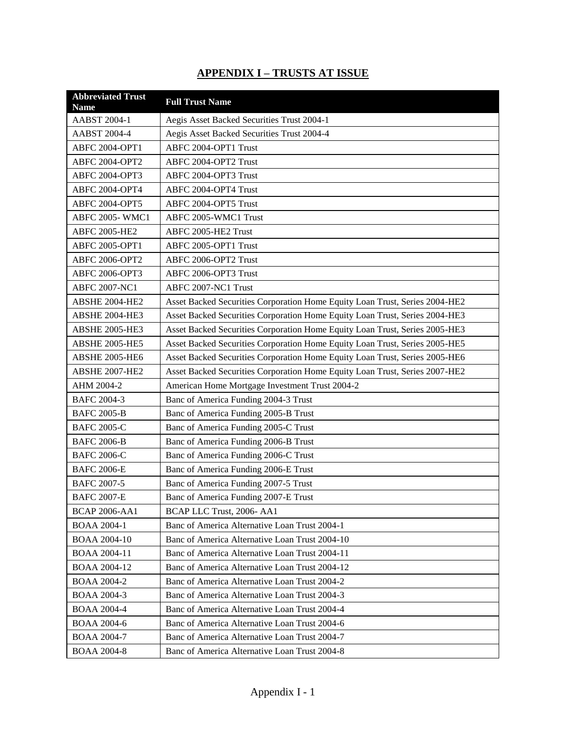# **APPENDIX I – TRUSTS AT ISSUE**

| <b>Abbreviated Trust</b><br><b>Name</b> | <b>Full Trust Name</b>                                                      |
|-----------------------------------------|-----------------------------------------------------------------------------|
| <b>AABST 2004-1</b>                     | Aegis Asset Backed Securities Trust 2004-1                                  |
| AABST 2004-4                            | Aegis Asset Backed Securities Trust 2004-4                                  |
| ABFC 2004-OPT1                          | ABFC 2004-OPT1 Trust                                                        |
| <b>ABFC 2004-OPT2</b>                   | ABFC 2004-OPT2 Trust                                                        |
| ABFC 2004-OPT3                          | ABFC 2004-OPT3 Trust                                                        |
| ABFC 2004-OPT4                          | ABFC 2004-OPT4 Trust                                                        |
| ABFC 2004-OPT5                          | ABFC 2004-OPT5 Trust                                                        |
| ABFC 2005-WMC1                          | ABFC 2005-WMC1 Trust                                                        |
| ABFC 2005-HE2                           | ABFC 2005-HE2 Trust                                                         |
| ABFC 2005-OPT1                          | ABFC 2005-OPT1 Trust                                                        |
| ABFC 2006-OPT2                          | ABFC 2006-OPT2 Trust                                                        |
| ABFC 2006-OPT3                          | ABFC 2006-OPT3 Trust                                                        |
| <b>ABFC 2007-NC1</b>                    | ABFC 2007-NC1 Trust                                                         |
| ABSHE 2004-HE2                          | Asset Backed Securities Corporation Home Equity Loan Trust, Series 2004-HE2 |
| ABSHE 2004-HE3                          | Asset Backed Securities Corporation Home Equity Loan Trust, Series 2004-HE3 |
| <b>ABSHE 2005-HE3</b>                   | Asset Backed Securities Corporation Home Equity Loan Trust, Series 2005-HE3 |
| <b>ABSHE 2005-HE5</b>                   | Asset Backed Securities Corporation Home Equity Loan Trust, Series 2005-HE5 |
| ABSHE 2005-HE6                          | Asset Backed Securities Corporation Home Equity Loan Trust, Series 2005-HE6 |
| ABSHE 2007-HE2                          | Asset Backed Securities Corporation Home Equity Loan Trust, Series 2007-HE2 |
| AHM 2004-2                              | American Home Mortgage Investment Trust 2004-2                              |
| <b>BAFC 2004-3</b>                      | Banc of America Funding 2004-3 Trust                                        |
| <b>BAFC 2005-B</b>                      | Banc of America Funding 2005-B Trust                                        |
| <b>BAFC 2005-C</b>                      | Banc of America Funding 2005-C Trust                                        |
| <b>BAFC 2006-B</b>                      | Banc of America Funding 2006-B Trust                                        |
| <b>BAFC 2006-C</b>                      | Banc of America Funding 2006-C Trust                                        |
| <b>BAFC 2006-E</b>                      | Banc of America Funding 2006-E Trust                                        |
| <b>BAFC 2007-5</b>                      | Banc of America Funding 2007-5 Trust                                        |
| <b>BAFC 2007-E</b>                      | Banc of America Funding 2007-E Trust                                        |
| <b>BCAP 2006-AA1</b>                    | BCAP LLC Trust, 2006- AA1                                                   |
| <b>BOAA 2004-1</b>                      | Banc of America Alternative Loan Trust 2004-1                               |
| <b>BOAA 2004-10</b>                     | Banc of America Alternative Loan Trust 2004-10                              |
| BOAA 2004-11                            | Banc of America Alternative Loan Trust 2004-11                              |
| BOAA 2004-12                            | Banc of America Alternative Loan Trust 2004-12                              |
| <b>BOAA 2004-2</b>                      | Banc of America Alternative Loan Trust 2004-2                               |
| <b>BOAA 2004-3</b>                      | Banc of America Alternative Loan Trust 2004-3                               |
| <b>BOAA 2004-4</b>                      | Banc of America Alternative Loan Trust 2004-4                               |
| <b>BOAA 2004-6</b>                      | Banc of America Alternative Loan Trust 2004-6                               |
| <b>BOAA 2004-7</b>                      | Banc of America Alternative Loan Trust 2004-7                               |
| <b>BOAA 2004-8</b>                      | Banc of America Alternative Loan Trust 2004-8                               |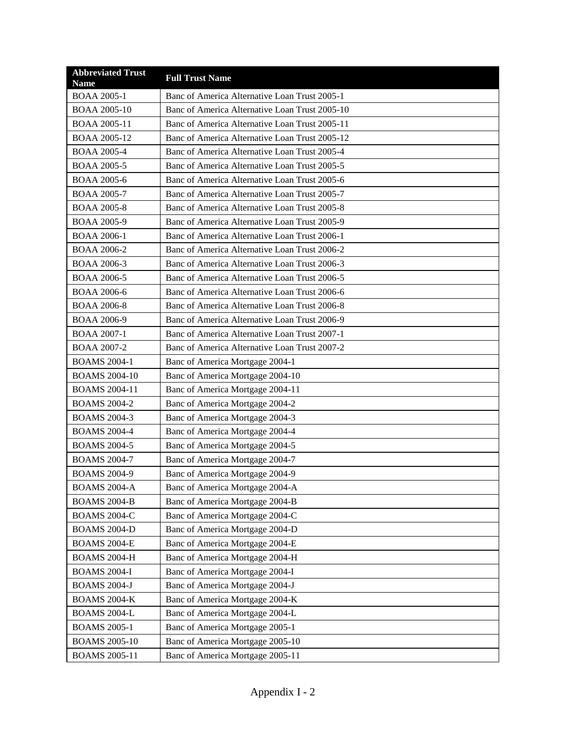| <b>Abbreviated Trust</b><br><b>Name</b> | <b>Full Trust Name</b>                         |
|-----------------------------------------|------------------------------------------------|
| <b>BOAA 2005-1</b>                      | Banc of America Alternative Loan Trust 2005-1  |
| <b>BOAA 2005-10</b>                     | Banc of America Alternative Loan Trust 2005-10 |
| <b>BOAA 2005-11</b>                     | Banc of America Alternative Loan Trust 2005-11 |
| BOAA 2005-12                            | Banc of America Alternative Loan Trust 2005-12 |
| <b>BOAA 2005-4</b>                      | Banc of America Alternative Loan Trust 2005-4  |
| <b>BOAA 2005-5</b>                      | Banc of America Alternative Loan Trust 2005-5  |
| <b>BOAA 2005-6</b>                      | Banc of America Alternative Loan Trust 2005-6  |
| <b>BOAA 2005-7</b>                      | Banc of America Alternative Loan Trust 2005-7  |
| <b>BOAA 2005-8</b>                      | Banc of America Alternative Loan Trust 2005-8  |
| <b>BOAA 2005-9</b>                      | Banc of America Alternative Loan Trust 2005-9  |
| <b>BOAA 2006-1</b>                      | Banc of America Alternative Loan Trust 2006-1  |
| BOAA 2006-2                             | Banc of America Alternative Loan Trust 2006-2  |
| <b>BOAA 2006-3</b>                      | Banc of America Alternative Loan Trust 2006-3  |
| <b>BOAA 2006-5</b>                      | Banc of America Alternative Loan Trust 2006-5  |
| <b>BOAA 2006-6</b>                      | Banc of America Alternative Loan Trust 2006-6  |
| <b>BOAA 2006-8</b>                      | Banc of America Alternative Loan Trust 2006-8  |
| <b>BOAA 2006-9</b>                      | Banc of America Alternative Loan Trust 2006-9  |
| <b>BOAA 2007-1</b>                      | Banc of America Alternative Loan Trust 2007-1  |
| <b>BOAA 2007-2</b>                      | Banc of America Alternative Loan Trust 2007-2  |
| <b>BOAMS 2004-1</b>                     | Banc of America Mortgage 2004-1                |
| <b>BOAMS 2004-10</b>                    | Banc of America Mortgage 2004-10               |
| <b>BOAMS 2004-11</b>                    | Banc of America Mortgage 2004-11               |
| <b>BOAMS 2004-2</b>                     | Banc of America Mortgage 2004-2                |
| <b>BOAMS 2004-3</b>                     | Banc of America Mortgage 2004-3                |
| <b>BOAMS 2004-4</b>                     | Banc of America Mortgage 2004-4                |
| <b>BOAMS 2004-5</b>                     | Banc of America Mortgage 2004-5                |
| <b>BOAMS 2004-7</b>                     | Banc of America Mortgage 2004-7                |
| <b>BOAMS 2004-9</b>                     | Banc of America Mortgage 2004-9                |
| BOAMS 2004-A                            | Banc of America Mortgage 2004-A                |
| <b>BOAMS 2004-B</b>                     | Banc of America Mortgage 2004-B                |
| <b>BOAMS 2004-C</b>                     | Banc of America Mortgage 2004-C                |
| <b>BOAMS 2004-D</b>                     | Banc of America Mortgage 2004-D                |
| <b>BOAMS 2004-E</b>                     | Banc of America Mortgage 2004-E                |
| <b>BOAMS 2004-H</b>                     | Banc of America Mortgage 2004-H                |
| <b>BOAMS 2004-I</b>                     | Banc of America Mortgage 2004-I                |
| <b>BOAMS 2004-J</b>                     | Banc of America Mortgage 2004-J                |
| <b>BOAMS 2004-K</b>                     | Banc of America Mortgage 2004-K                |
| BOAMS 2004-L                            | Banc of America Mortgage 2004-L                |
| <b>BOAMS 2005-1</b>                     | Banc of America Mortgage 2005-1                |
| <b>BOAMS 2005-10</b>                    | Banc of America Mortgage 2005-10               |
| <b>BOAMS 2005-11</b>                    | Banc of America Mortgage 2005-11               |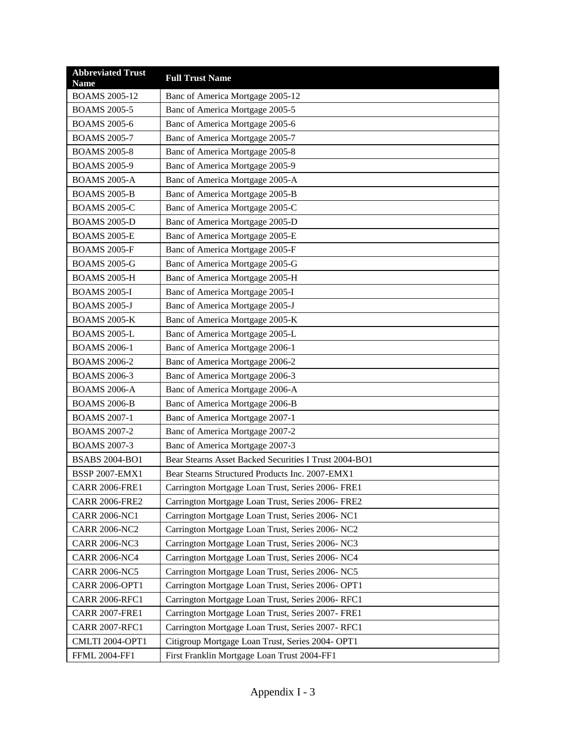| <b>Abbreviated Trust</b><br><b>Name</b> | <b>Full Trust Name</b>                                |
|-----------------------------------------|-------------------------------------------------------|
| <b>BOAMS 2005-12</b>                    | Banc of America Mortgage 2005-12                      |
| <b>BOAMS 2005-5</b>                     | Banc of America Mortgage 2005-5                       |
| <b>BOAMS 2005-6</b>                     | Banc of America Mortgage 2005-6                       |
| <b>BOAMS 2005-7</b>                     | Banc of America Mortgage 2005-7                       |
| <b>BOAMS 2005-8</b>                     | Banc of America Mortgage 2005-8                       |
| <b>BOAMS 2005-9</b>                     | Banc of America Mortgage 2005-9                       |
| <b>BOAMS 2005-A</b>                     | Banc of America Mortgage 2005-A                       |
| <b>BOAMS 2005-B</b>                     | Banc of America Mortgage 2005-B                       |
| <b>BOAMS 2005-C</b>                     | Banc of America Mortgage 2005-C                       |
| <b>BOAMS 2005-D</b>                     | Banc of America Mortgage 2005-D                       |
| <b>BOAMS 2005-E</b>                     | Banc of America Mortgage 2005-E                       |
| <b>BOAMS 2005-F</b>                     | Banc of America Mortgage 2005-F                       |
| <b>BOAMS 2005-G</b>                     | Banc of America Mortgage 2005-G                       |
| <b>BOAMS 2005-H</b>                     | Banc of America Mortgage 2005-H                       |
| <b>BOAMS 2005-I</b>                     | Banc of America Mortgage 2005-I                       |
| <b>BOAMS 2005-J</b>                     | Banc of America Mortgage 2005-J                       |
| <b>BOAMS 2005-K</b>                     | Banc of America Mortgage 2005-K                       |
| <b>BOAMS 2005-L</b>                     | Banc of America Mortgage 2005-L                       |
| <b>BOAMS 2006-1</b>                     | Banc of America Mortgage 2006-1                       |
| <b>BOAMS 2006-2</b>                     | Banc of America Mortgage 2006-2                       |
| <b>BOAMS 2006-3</b>                     | Banc of America Mortgage 2006-3                       |
| <b>BOAMS 2006-A</b>                     | Banc of America Mortgage 2006-A                       |
| <b>BOAMS 2006-B</b>                     | Banc of America Mortgage 2006-B                       |
| <b>BOAMS 2007-1</b>                     | Banc of America Mortgage 2007-1                       |
| <b>BOAMS 2007-2</b>                     | Banc of America Mortgage 2007-2                       |
| <b>BOAMS 2007-3</b>                     | Banc of America Mortgage 2007-3                       |
| <b>BSABS 2004-BO1</b>                   | Bear Stearns Asset Backed Securities I Trust 2004-BO1 |
| <b>BSSP 2007-EMX1</b>                   | Bear Stearns Structured Products Inc. 2007-EMX1       |
| <b>CARR 2006-FRE1</b>                   | Carrington Mortgage Loan Trust, Series 2006- FRE1     |
| <b>CARR 2006-FRE2</b>                   | Carrington Mortgage Loan Trust, Series 2006- FRE2     |
| <b>CARR 2006-NC1</b>                    | Carrington Mortgage Loan Trust, Series 2006- NC1      |
| <b>CARR 2006-NC2</b>                    | Carrington Mortgage Loan Trust, Series 2006- NC2      |
| <b>CARR 2006-NC3</b>                    | Carrington Mortgage Loan Trust, Series 2006- NC3      |
| <b>CARR 2006-NC4</b>                    | Carrington Mortgage Loan Trust, Series 2006- NC4      |
| <b>CARR 2006-NC5</b>                    | Carrington Mortgage Loan Trust, Series 2006- NC5      |
| <b>CARR 2006-OPT1</b>                   | Carrington Mortgage Loan Trust, Series 2006-OPT1      |
| <b>CARR 2006-RFC1</b>                   | Carrington Mortgage Loan Trust, Series 2006-RFC1      |
| <b>CARR 2007-FRE1</b>                   | Carrington Mortgage Loan Trust, Series 2007- FRE1     |
| <b>CARR 2007-RFC1</b>                   | Carrington Mortgage Loan Trust, Series 2007-RFC1      |
| <b>CMLTI 2004-OPT1</b>                  | Citigroup Mortgage Loan Trust, Series 2004- OPT1      |
| <b>FFML 2004-FF1</b>                    | First Franklin Mortgage Loan Trust 2004-FF1           |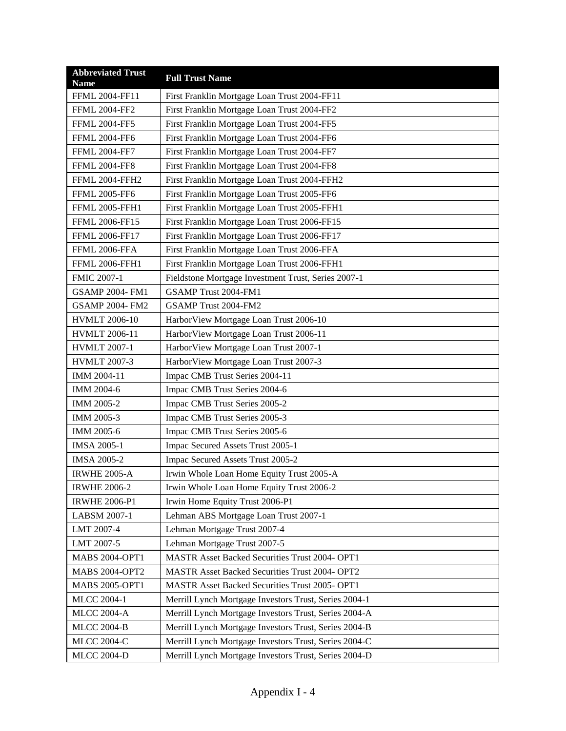| <b>Abbreviated Trust</b><br><b>Name</b> | <b>Full Trust Name</b>                                |
|-----------------------------------------|-------------------------------------------------------|
| FFML 2004-FF11                          | First Franklin Mortgage Loan Trust 2004-FF11          |
| <b>FFML 2004-FF2</b>                    | First Franklin Mortgage Loan Trust 2004-FF2           |
| <b>FFML 2004-FF5</b>                    | First Franklin Mortgage Loan Trust 2004-FF5           |
| <b>FFML 2004-FF6</b>                    | First Franklin Mortgage Loan Trust 2004-FF6           |
| <b>FFML 2004-FF7</b>                    | First Franklin Mortgage Loan Trust 2004-FF7           |
| <b>FFML 2004-FF8</b>                    | First Franklin Mortgage Loan Trust 2004-FF8           |
| <b>FFML 2004-FFH2</b>                   | First Franklin Mortgage Loan Trust 2004-FFH2          |
| <b>FFML 2005-FF6</b>                    | First Franklin Mortgage Loan Trust 2005-FF6           |
| <b>FFML 2005-FFH1</b>                   | First Franklin Mortgage Loan Trust 2005-FFH1          |
| FFML 2006-FF15                          | First Franklin Mortgage Loan Trust 2006-FF15          |
| FFML 2006-FF17                          | First Franklin Mortgage Loan Trust 2006-FF17          |
| FFML 2006-FFA                           | First Franklin Mortgage Loan Trust 2006-FFA           |
| <b>FFML 2006-FFH1</b>                   | First Franklin Mortgage Loan Trust 2006-FFH1          |
| <b>FMIC 2007-1</b>                      | Fieldstone Mortgage Investment Trust, Series 2007-1   |
| <b>GSAMP 2004-FM1</b>                   | GSAMP Trust 2004-FM1                                  |
| <b>GSAMP 2004- FM2</b>                  | GSAMP Trust 2004-FM2                                  |
| <b>HVMLT 2006-10</b>                    | HarborView Mortgage Loan Trust 2006-10                |
| <b>HVMLT 2006-11</b>                    | HarborView Mortgage Loan Trust 2006-11                |
| <b>HVMLT 2007-1</b>                     | HarborView Mortgage Loan Trust 2007-1                 |
| <b>HVMLT 2007-3</b>                     | HarborView Mortgage Loan Trust 2007-3                 |
| IMM 2004-11                             | Impac CMB Trust Series 2004-11                        |
| IMM 2004-6                              | Impac CMB Trust Series 2004-6                         |
| IMM 2005-2                              | Impac CMB Trust Series 2005-2                         |
| IMM 2005-3                              | Impac CMB Trust Series 2005-3                         |
| IMM 2005-6                              | Impac CMB Trust Series 2005-6                         |
| <b>IMSA 2005-1</b>                      | Impac Secured Assets Trust 2005-1                     |
| <b>IMSA 2005-2</b>                      | Impac Secured Assets Trust 2005-2                     |
| <b>IRWHE 2005-A</b>                     | Irwin Whole Loan Home Equity Trust 2005-A             |
| <b>IRWHE 2006-2</b>                     | Irwin Whole Loan Home Equity Trust 2006-2             |
| <b>IRWHE 2006-P1</b>                    | Irwin Home Equity Trust 2006-P1                       |
| LABSM 2007-1                            | Lehman ABS Mortgage Loan Trust 2007-1                 |
| LMT 2007-4                              | Lehman Mortgage Trust 2007-4                          |
| LMT 2007-5                              | Lehman Mortgage Trust 2007-5                          |
| <b>MABS 2004-OPT1</b>                   | MASTR Asset Backed Securities Trust 2004- OPT1        |
| <b>MABS 2004-OPT2</b>                   | MASTR Asset Backed Securities Trust 2004- OPT2        |
| <b>MABS 2005-OPT1</b>                   | MASTR Asset Backed Securities Trust 2005- OPT1        |
| <b>MLCC 2004-1</b>                      | Merrill Lynch Mortgage Investors Trust, Series 2004-1 |
| <b>MLCC 2004-A</b>                      | Merrill Lynch Mortgage Investors Trust, Series 2004-A |
| <b>MLCC 2004-B</b>                      | Merrill Lynch Mortgage Investors Trust, Series 2004-B |
| <b>MLCC 2004-C</b>                      | Merrill Lynch Mortgage Investors Trust, Series 2004-C |
| <b>MLCC 2004-D</b>                      | Merrill Lynch Mortgage Investors Trust, Series 2004-D |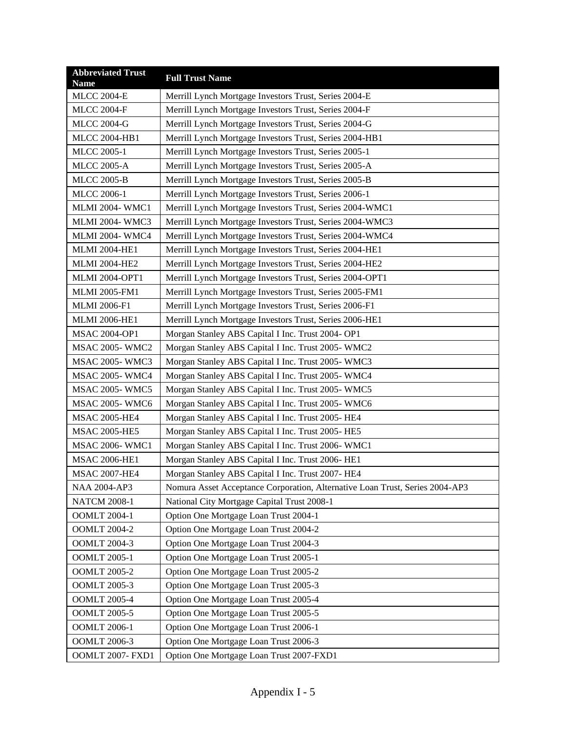| <b>Abbreviated Trust</b><br><b>Name</b> | <b>Full Trust Name</b>                                                       |
|-----------------------------------------|------------------------------------------------------------------------------|
| <b>MLCC 2004-E</b>                      | Merrill Lynch Mortgage Investors Trust, Series 2004-E                        |
| <b>MLCC 2004-F</b>                      | Merrill Lynch Mortgage Investors Trust, Series 2004-F                        |
| <b>MLCC 2004-G</b>                      | Merrill Lynch Mortgage Investors Trust, Series 2004-G                        |
| <b>MLCC 2004-HB1</b>                    | Merrill Lynch Mortgage Investors Trust, Series 2004-HB1                      |
| <b>MLCC 2005-1</b>                      | Merrill Lynch Mortgage Investors Trust, Series 2005-1                        |
| <b>MLCC 2005-A</b>                      | Merrill Lynch Mortgage Investors Trust, Series 2005-A                        |
| <b>MLCC 2005-B</b>                      | Merrill Lynch Mortgage Investors Trust, Series 2005-B                        |
| <b>MLCC 2006-1</b>                      | Merrill Lynch Mortgage Investors Trust, Series 2006-1                        |
| <b>MLMI 2004- WMC1</b>                  | Merrill Lynch Mortgage Investors Trust, Series 2004-WMC1                     |
| <b>MLMI 2004- WMC3</b>                  | Merrill Lynch Mortgage Investors Trust, Series 2004-WMC3                     |
| <b>MLMI 2004- WMC4</b>                  | Merrill Lynch Mortgage Investors Trust, Series 2004-WMC4                     |
| <b>MLMI 2004-HE1</b>                    | Merrill Lynch Mortgage Investors Trust, Series 2004-HE1                      |
| <b>MLMI 2004-HE2</b>                    | Merrill Lynch Mortgage Investors Trust, Series 2004-HE2                      |
| <b>MLMI 2004-OPT1</b>                   | Merrill Lynch Mortgage Investors Trust, Series 2004-OPT1                     |
| <b>MLMI 2005-FM1</b>                    | Merrill Lynch Mortgage Investors Trust, Series 2005-FM1                      |
| <b>MLMI 2006-F1</b>                     | Merrill Lynch Mortgage Investors Trust, Series 2006-F1                       |
| <b>MLMI 2006-HE1</b>                    | Merrill Lynch Mortgage Investors Trust, Series 2006-HE1                      |
| <b>MSAC 2004-OP1</b>                    | Morgan Stanley ABS Capital I Inc. Trust 2004- OP1                            |
| <b>MSAC 2005-WMC2</b>                   | Morgan Stanley ABS Capital I Inc. Trust 2005-WMC2                            |
| <b>MSAC 2005-WMC3</b>                   | Morgan Stanley ABS Capital I Inc. Trust 2005-WMC3                            |
| <b>MSAC 2005-WMC4</b>                   | Morgan Stanley ABS Capital I Inc. Trust 2005-WMC4                            |
| <b>MSAC 2005-WMC5</b>                   | Morgan Stanley ABS Capital I Inc. Trust 2005-WMC5                            |
| <b>MSAC 2005-WMC6</b>                   | Morgan Stanley ABS Capital I Inc. Trust 2005-WMC6                            |
| <b>MSAC 2005-HE4</b>                    | Morgan Stanley ABS Capital I Inc. Trust 2005-HE4                             |
| <b>MSAC 2005-HE5</b>                    | Morgan Stanley ABS Capital I Inc. Trust 2005-HE5                             |
| <b>MSAC 2006-WMC1</b>                   | Morgan Stanley ABS Capital I Inc. Trust 2006-WMC1                            |
| <b>MSAC 2006-HE1</b>                    | Morgan Stanley ABS Capital I Inc. Trust 2006- HE1                            |
| <b>MSAC 2007-HE4</b>                    | Morgan Stanley ABS Capital I Inc. Trust 2007- HE4                            |
| <b>NAA 2004-AP3</b>                     | Nomura Asset Acceptance Corporation, Alternative Loan Trust, Series 2004-AP3 |
| <b>NATCM 2008-1</b>                     | National City Mortgage Capital Trust 2008-1                                  |
| <b>OOMLT 2004-1</b>                     | Option One Mortgage Loan Trust 2004-1                                        |
| <b>OOMLT 2004-2</b>                     | Option One Mortgage Loan Trust 2004-2                                        |
| <b>OOMLT 2004-3</b>                     | Option One Mortgage Loan Trust 2004-3                                        |
| <b>OOMLT 2005-1</b>                     | Option One Mortgage Loan Trust 2005-1                                        |
| <b>OOMLT 2005-2</b>                     | Option One Mortgage Loan Trust 2005-2                                        |
| <b>OOMLT 2005-3</b>                     | Option One Mortgage Loan Trust 2005-3                                        |
| <b>OOMLT 2005-4</b>                     | Option One Mortgage Loan Trust 2005-4                                        |
| <b>OOMLT 2005-5</b>                     | Option One Mortgage Loan Trust 2005-5                                        |
| <b>OOMLT 2006-1</b>                     | Option One Mortgage Loan Trust 2006-1                                        |
| <b>OOMLT 2006-3</b>                     | Option One Mortgage Loan Trust 2006-3                                        |
| OOMLT 2007- FXD1                        | Option One Mortgage Loan Trust 2007-FXD1                                     |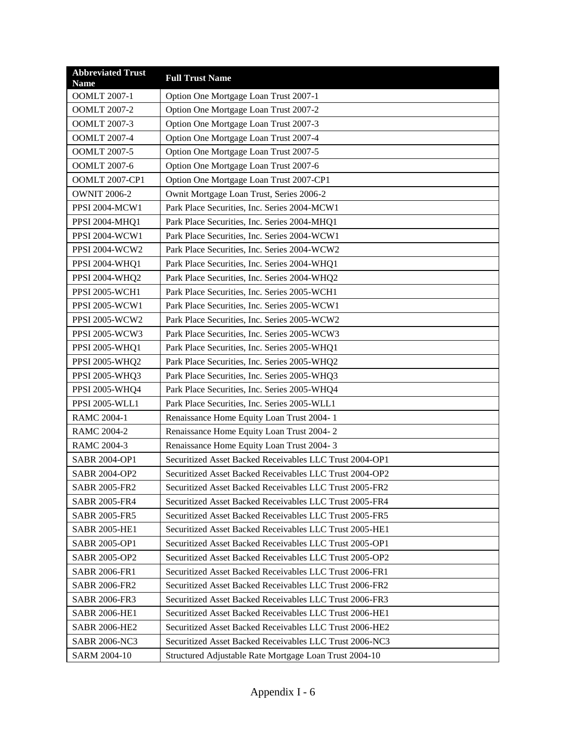| <b>Abbreviated Trust</b><br><b>Name</b> | <b>Full Trust Name</b>                                  |
|-----------------------------------------|---------------------------------------------------------|
| <b>OOMLT 2007-1</b>                     | Option One Mortgage Loan Trust 2007-1                   |
| <b>OOMLT 2007-2</b>                     | Option One Mortgage Loan Trust 2007-2                   |
| <b>OOMLT 2007-3</b>                     | Option One Mortgage Loan Trust 2007-3                   |
| <b>OOMLT 2007-4</b>                     | Option One Mortgage Loan Trust 2007-4                   |
| <b>OOMLT 2007-5</b>                     | Option One Mortgage Loan Trust 2007-5                   |
| <b>OOMLT 2007-6</b>                     | Option One Mortgage Loan Trust 2007-6                   |
| <b>OOMLT 2007-CP1</b>                   | Option One Mortgage Loan Trust 2007-CP1                 |
| <b>OWNIT 2006-2</b>                     | Ownit Mortgage Loan Trust, Series 2006-2                |
| PPSI 2004-MCW1                          | Park Place Securities, Inc. Series 2004-MCW1            |
| PPSI 2004-MHQ1                          | Park Place Securities, Inc. Series 2004-MHQ1            |
| PPSI 2004-WCW1                          | Park Place Securities, Inc. Series 2004-WCW1            |
| PPSI 2004-WCW2                          | Park Place Securities, Inc. Series 2004-WCW2            |
| PPSI 2004-WHQ1                          | Park Place Securities, Inc. Series 2004-WHQ1            |
| PPSI 2004-WHQ2                          | Park Place Securities, Inc. Series 2004-WHQ2            |
| PPSI 2005-WCH1                          | Park Place Securities, Inc. Series 2005-WCH1            |
| PPSI 2005-WCW1                          | Park Place Securities, Inc. Series 2005-WCW1            |
| PPSI 2005-WCW2                          | Park Place Securities, Inc. Series 2005-WCW2            |
| PPSI 2005-WCW3                          | Park Place Securities, Inc. Series 2005-WCW3            |
| PPSI 2005-WHQ1                          | Park Place Securities, Inc. Series 2005-WHQ1            |
| PPSI 2005-WHQ2                          | Park Place Securities, Inc. Series 2005-WHQ2            |
| PPSI 2005-WHQ3                          | Park Place Securities, Inc. Series 2005-WHQ3            |
| PPSI 2005-WHQ4                          | Park Place Securities, Inc. Series 2005-WHQ4            |
| PPSI 2005-WLL1                          | Park Place Securities, Inc. Series 2005-WLL1            |
| <b>RAMC 2004-1</b>                      | Renaissance Home Equity Loan Trust 2004-1               |
| <b>RAMC 2004-2</b>                      | Renaissance Home Equity Loan Trust 2004-2               |
| <b>RAMC 2004-3</b>                      | Renaissance Home Equity Loan Trust 2004-3               |
| SABR 2004-OP1                           | Securitized Asset Backed Receivables LLC Trust 2004-OP1 |
| SABR 2004-OP2                           | Securitized Asset Backed Receivables LLC Trust 2004-OP2 |
| <b>SABR 2005-FR2</b>                    | Securitized Asset Backed Receivables LLC Trust 2005-FR2 |
| <b>SABR 2005-FR4</b>                    | Securitized Asset Backed Receivables LLC Trust 2005-FR4 |
| <b>SABR 2005-FR5</b>                    | Securitized Asset Backed Receivables LLC Trust 2005-FR5 |
| <b>SABR 2005-HE1</b>                    | Securitized Asset Backed Receivables LLC Trust 2005-HE1 |
| SABR 2005-OP1                           | Securitized Asset Backed Receivables LLC Trust 2005-OP1 |
| SABR 2005-OP2                           | Securitized Asset Backed Receivables LLC Trust 2005-OP2 |
| <b>SABR 2006-FR1</b>                    | Securitized Asset Backed Receivables LLC Trust 2006-FR1 |
| <b>SABR 2006-FR2</b>                    | Securitized Asset Backed Receivables LLC Trust 2006-FR2 |
| <b>SABR 2006-FR3</b>                    | Securitized Asset Backed Receivables LLC Trust 2006-FR3 |
| <b>SABR 2006-HE1</b>                    | Securitized Asset Backed Receivables LLC Trust 2006-HE1 |
| <b>SABR 2006-HE2</b>                    | Securitized Asset Backed Receivables LLC Trust 2006-HE2 |
| SABR 2006-NC3                           | Securitized Asset Backed Receivables LLC Trust 2006-NC3 |
| SARM 2004-10                            | Structured Adjustable Rate Mortgage Loan Trust 2004-10  |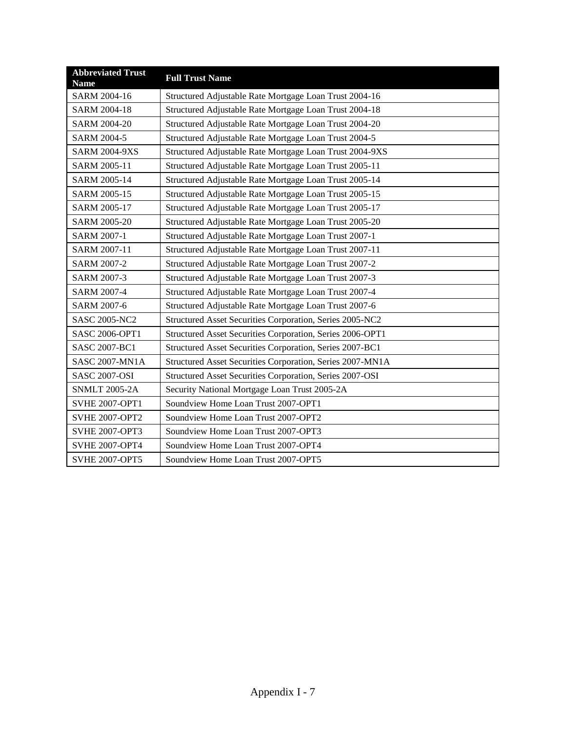| <b>Abbreviated Trust</b><br><b>Name</b> | <b>Full Trust Name</b>                                    |
|-----------------------------------------|-----------------------------------------------------------|
| SARM 2004-16                            | Structured Adjustable Rate Mortgage Loan Trust 2004-16    |
| SARM 2004-18                            | Structured Adjustable Rate Mortgage Loan Trust 2004-18    |
| SARM 2004-20                            | Structured Adjustable Rate Mortgage Loan Trust 2004-20    |
| <b>SARM 2004-5</b>                      | Structured Adjustable Rate Mortgage Loan Trust 2004-5     |
| <b>SARM 2004-9XS</b>                    | Structured Adjustable Rate Mortgage Loan Trust 2004-9XS   |
| SARM 2005-11                            | Structured Adjustable Rate Mortgage Loan Trust 2005-11    |
| SARM 2005-14                            | Structured Adjustable Rate Mortgage Loan Trust 2005-14    |
| SARM 2005-15                            | Structured Adjustable Rate Mortgage Loan Trust 2005-15    |
| SARM 2005-17                            | Structured Adjustable Rate Mortgage Loan Trust 2005-17    |
| SARM 2005-20                            | Structured Adjustable Rate Mortgage Loan Trust 2005-20    |
| SARM 2007-1                             | Structured Adjustable Rate Mortgage Loan Trust 2007-1     |
| SARM 2007-11                            | Structured Adjustable Rate Mortgage Loan Trust 2007-11    |
| <b>SARM 2007-2</b>                      | Structured Adjustable Rate Mortgage Loan Trust 2007-2     |
| <b>SARM 2007-3</b>                      | Structured Adjustable Rate Mortgage Loan Trust 2007-3     |
| <b>SARM 2007-4</b>                      | Structured Adjustable Rate Mortgage Loan Trust 2007-4     |
| SARM 2007-6                             | Structured Adjustable Rate Mortgage Loan Trust 2007-6     |
| <b>SASC 2005-NC2</b>                    | Structured Asset Securities Corporation, Series 2005-NC2  |
| <b>SASC 2006-OPT1</b>                   | Structured Asset Securities Corporation, Series 2006-OPT1 |
| <b>SASC 2007-BC1</b>                    | Structured Asset Securities Corporation, Series 2007-BC1  |
| <b>SASC 2007-MN1A</b>                   | Structured Asset Securities Corporation, Series 2007-MN1A |
| <b>SASC 2007-OSI</b>                    | Structured Asset Securities Corporation, Series 2007-OSI  |
| <b>SNMLT 2005-2A</b>                    | Security National Mortgage Loan Trust 2005-2A             |
| <b>SVHE 2007-OPT1</b>                   | Soundview Home Loan Trust 2007-OPT1                       |
| <b>SVHE 2007-OPT2</b>                   | Soundview Home Loan Trust 2007-OPT2                       |
| <b>SVHE 2007-OPT3</b>                   | Soundview Home Loan Trust 2007-OPT3                       |
| <b>SVHE 2007-OPT4</b>                   | Soundview Home Loan Trust 2007-OPT4                       |
| <b>SVHE 2007-OPT5</b>                   | Soundview Home Loan Trust 2007-OPT5                       |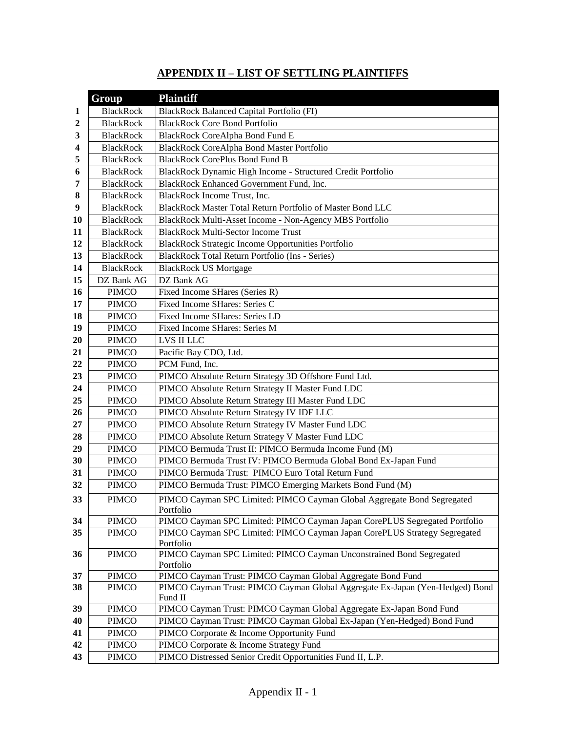# **APPENDIX II – LIST OF SETTLING PLAINTIFFS**

|           | Group            | <b>Plaintiff</b>                                                                  |
|-----------|------------------|-----------------------------------------------------------------------------------|
| 1         | <b>BlackRock</b> | BlackRock Balanced Capital Portfolio (FI)                                         |
| 2         | <b>BlackRock</b> | <b>BlackRock Core Bond Portfolio</b>                                              |
| 3         | <b>BlackRock</b> | BlackRock CoreAlpha Bond Fund E                                                   |
| 4         | <b>BlackRock</b> | <b>BlackRock CoreAlpha Bond Master Portfolio</b>                                  |
| 5         | <b>BlackRock</b> | <b>BlackRock CorePlus Bond Fund B</b>                                             |
| 6         | <b>BlackRock</b> | BlackRock Dynamic High Income - Structured Credit Portfolio                       |
| 7         | <b>BlackRock</b> | BlackRock Enhanced Government Fund, Inc.                                          |
| 8         | <b>BlackRock</b> | BlackRock Income Trust, Inc.                                                      |
| 9         | <b>BlackRock</b> | BlackRock Master Total Return Portfolio of Master Bond LLC                        |
| <b>10</b> | <b>BlackRock</b> | BlackRock Multi-Asset Income - Non-Agency MBS Portfolio                           |
| 11        | <b>BlackRock</b> | <b>BlackRock Multi-Sector Income Trust</b>                                        |
| 12        | <b>BlackRock</b> | <b>BlackRock Strategic Income Opportunities Portfolio</b>                         |
| 13        | <b>BlackRock</b> | BlackRock Total Return Portfolio (Ins - Series)                                   |
| 14        | <b>BlackRock</b> | <b>BlackRock US Mortgage</b>                                                      |
| 15        | DZ Bank AG       | DZ Bank AG                                                                        |
| 16        | <b>PIMCO</b>     | Fixed Income SHares (Series R)                                                    |
| 17        | <b>PIMCO</b>     | Fixed Income SHares: Series C                                                     |
| 18        | <b>PIMCO</b>     | Fixed Income SHares: Series LD                                                    |
| 19        | <b>PIMCO</b>     | Fixed Income SHares: Series M                                                     |
| 20        | <b>PIMCO</b>     | LVS II LLC                                                                        |
| 21        | <b>PIMCO</b>     | Pacific Bay CDO, Ltd.                                                             |
| 22        | <b>PIMCO</b>     | PCM Fund, Inc.                                                                    |
| 23        | <b>PIMCO</b>     | PIMCO Absolute Return Strategy 3D Offshore Fund Ltd.                              |
| 24        | <b>PIMCO</b>     | PIMCO Absolute Return Strategy II Master Fund LDC                                 |
| 25        | <b>PIMCO</b>     | PIMCO Absolute Return Strategy III Master Fund LDC                                |
| 26        | <b>PIMCO</b>     | PIMCO Absolute Return Strategy IV IDF LLC                                         |
| 27        | <b>PIMCO</b>     | PIMCO Absolute Return Strategy IV Master Fund LDC                                 |
| 28        | <b>PIMCO</b>     | PIMCO Absolute Return Strategy V Master Fund LDC                                  |
| 29        | <b>PIMCO</b>     | PIMCO Bermuda Trust II: PIMCO Bermuda Income Fund (M)                             |
| 30        | <b>PIMCO</b>     | PIMCO Bermuda Trust IV: PIMCO Bermuda Global Bond Ex-Japan Fund                   |
| 31        | <b>PIMCO</b>     | PIMCO Bermuda Trust: PIMCO Euro Total Return Fund                                 |
| 32        | <b>PIMCO</b>     | PIMCO Bermuda Trust: PIMCO Emerging Markets Bond Fund (M)                         |
| 33        | <b>PIMCO</b>     | PIMCO Cayman SPC Limited: PIMCO Cayman Global Aggregate Bond Segregated           |
|           |                  | Portfolio                                                                         |
| 34        | <b>PIMCO</b>     | PIMCO Cayman SPC Limited: PIMCO Cayman Japan CorePLUS Segregated Portfolio        |
| 35        | <b>PIMCO</b>     | PIMCO Cayman SPC Limited: PIMCO Cayman Japan CorePLUS Strategy Segregated         |
|           |                  | Portfolio<br>PIMCO Cayman SPC Limited: PIMCO Cayman Unconstrained Bond Segregated |
| 36        | <b>PIMCO</b>     | Portfolio                                                                         |
| 37        | <b>PIMCO</b>     | PIMCO Cayman Trust: PIMCO Cayman Global Aggregate Bond Fund                       |
| 38        | <b>PIMCO</b>     | PIMCO Cayman Trust: PIMCO Cayman Global Aggregate Ex-Japan (Yen-Hedged) Bond      |
|           |                  | Fund II                                                                           |
| 39        | <b>PIMCO</b>     | PIMCO Cayman Trust: PIMCO Cayman Global Aggregate Ex-Japan Bond Fund              |
| 40        | <b>PIMCO</b>     | PIMCO Cayman Trust: PIMCO Cayman Global Ex-Japan (Yen-Hedged) Bond Fund           |
| 41        | PIMCO            | PIMCO Corporate & Income Opportunity Fund                                         |
| 42        | PIMCO            | PIMCO Corporate & Income Strategy Fund                                            |
| 43        | <b>PIMCO</b>     | PIMCO Distressed Senior Credit Opportunities Fund II, L.P.                        |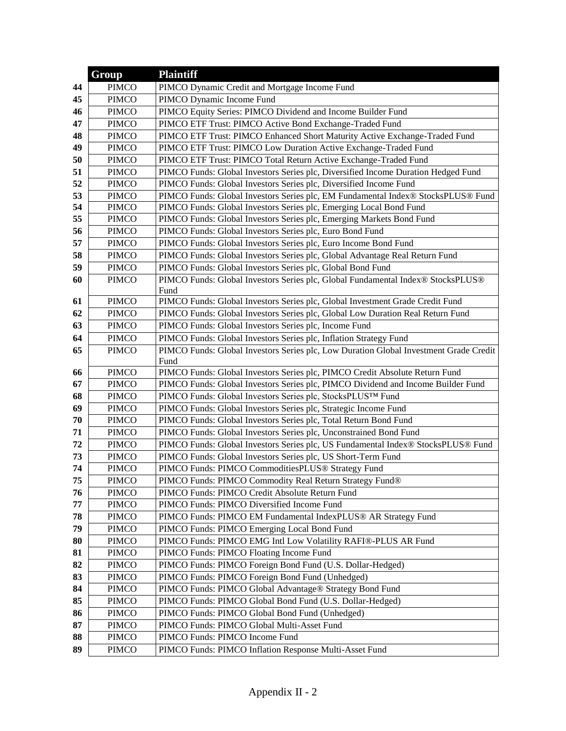|    | Group        | <b>Plaintiff</b>                                                                              |
|----|--------------|-----------------------------------------------------------------------------------------------|
| 44 | <b>PIMCO</b> | PIMCO Dynamic Credit and Mortgage Income Fund                                                 |
| 45 | <b>PIMCO</b> | PIMCO Dynamic Income Fund                                                                     |
| 46 | <b>PIMCO</b> | PIMCO Equity Series: PIMCO Dividend and Income Builder Fund                                   |
| 47 | <b>PIMCO</b> | PIMCO ETF Trust: PIMCO Active Bond Exchange-Traded Fund                                       |
| 48 | <b>PIMCO</b> | PIMCO ETF Trust: PIMCO Enhanced Short Maturity Active Exchange-Traded Fund                    |
| 49 | <b>PIMCO</b> | PIMCO ETF Trust: PIMCO Low Duration Active Exchange-Traded Fund                               |
| 50 | <b>PIMCO</b> | PIMCO ETF Trust: PIMCO Total Return Active Exchange-Traded Fund                               |
| 51 | <b>PIMCO</b> | PIMCO Funds: Global Investors Series plc, Diversified Income Duration Hedged Fund             |
| 52 | <b>PIMCO</b> | PIMCO Funds: Global Investors Series plc, Diversified Income Fund                             |
| 53 | <b>PIMCO</b> | PIMCO Funds: Global Investors Series plc, EM Fundamental Index® StocksPLUS® Fund              |
| 54 | <b>PIMCO</b> | PIMCO Funds: Global Investors Series plc, Emerging Local Bond Fund                            |
| 55 | <b>PIMCO</b> | PIMCO Funds: Global Investors Series plc, Emerging Markets Bond Fund                          |
| 56 | <b>PIMCO</b> | PIMCO Funds: Global Investors Series plc, Euro Bond Fund                                      |
| 57 | <b>PIMCO</b> | PIMCO Funds: Global Investors Series plc, Euro Income Bond Fund                               |
| 58 | <b>PIMCO</b> | PIMCO Funds: Global Investors Series plc, Global Advantage Real Return Fund                   |
| 59 | <b>PIMCO</b> | PIMCO Funds: Global Investors Series plc, Global Bond Fund                                    |
| 60 | <b>PIMCO</b> | PIMCO Funds: Global Investors Series plc, Global Fundamental Index® StocksPLUS®<br>Fund       |
| 61 | <b>PIMCO</b> | PIMCO Funds: Global Investors Series plc, Global Investment Grade Credit Fund                 |
| 62 | <b>PIMCO</b> | PIMCO Funds: Global Investors Series plc, Global Low Duration Real Return Fund                |
| 63 | <b>PIMCO</b> | PIMCO Funds: Global Investors Series plc, Income Fund                                         |
| 64 | <b>PIMCO</b> | PIMCO Funds: Global Investors Series plc, Inflation Strategy Fund                             |
| 65 | <b>PIMCO</b> | PIMCO Funds: Global Investors Series plc, Low Duration Global Investment Grade Credit<br>Fund |
| 66 | <b>PIMCO</b> | PIMCO Funds: Global Investors Series plc, PIMCO Credit Absolute Return Fund                   |
| 67 | <b>PIMCO</b> | PIMCO Funds: Global Investors Series plc, PIMCO Dividend and Income Builder Fund              |
| 68 | <b>PIMCO</b> | PIMCO Funds: Global Investors Series plc, StocksPLUS™ Fund                                    |
| 69 | <b>PIMCO</b> | PIMCO Funds: Global Investors Series plc, Strategic Income Fund                               |
| 70 | <b>PIMCO</b> | PIMCO Funds: Global Investors Series plc, Total Return Bond Fund                              |
| 71 | <b>PIMCO</b> | PIMCO Funds: Global Investors Series plc, Unconstrained Bond Fund                             |
| 72 | <b>PIMCO</b> | PIMCO Funds: Global Investors Series plc, US Fundamental Index® StocksPLUS® Fund              |
| 73 | <b>PIMCO</b> | PIMCO Funds: Global Investors Series plc, US Short-Term Fund                                  |
| 74 | <b>PIMCO</b> | PIMCO Funds: PIMCO CommoditiesPLUS® Strategy Fund                                             |
| 75 | <b>PIMCO</b> | PIMCO Funds: PIMCO Commodity Real Return Strategy Fund®                                       |
| 76 | <b>PIMCO</b> | PIMCO Funds: PIMCO Credit Absolute Return Fund                                                |
| 77 | <b>PIMCO</b> | PIMCO Funds: PIMCO Diversified Income Fund                                                    |
| 78 | <b>PIMCO</b> | PIMCO Funds: PIMCO EM Fundamental IndexPLUS® AR Strategy Fund                                 |
| 79 | <b>PIMCO</b> | PIMCO Funds: PIMCO Emerging Local Bond Fund                                                   |
| 80 | <b>PIMCO</b> | PIMCO Funds: PIMCO EMG Intl Low Volatility RAFI®-PLUS AR Fund                                 |
| 81 | <b>PIMCO</b> | PIMCO Funds: PIMCO Floating Income Fund                                                       |
| 82 | <b>PIMCO</b> | PIMCO Funds: PIMCO Foreign Bond Fund (U.S. Dollar-Hedged)                                     |
| 83 | <b>PIMCO</b> | PIMCO Funds: PIMCO Foreign Bond Fund (Unhedged)                                               |
| 84 | <b>PIMCO</b> | PIMCO Funds: PIMCO Global Advantage® Strategy Bond Fund                                       |
| 85 | <b>PIMCO</b> | PIMCO Funds: PIMCO Global Bond Fund (U.S. Dollar-Hedged)                                      |
| 86 | <b>PIMCO</b> | PIMCO Funds: PIMCO Global Bond Fund (Unhedged)                                                |
| 87 | <b>PIMCO</b> | PIMCO Funds: PIMCO Global Multi-Asset Fund                                                    |
| 88 | <b>PIMCO</b> | PIMCO Funds: PIMCO Income Fund                                                                |
| 89 | <b>PIMCO</b> | PIMCO Funds: PIMCO Inflation Response Multi-Asset Fund                                        |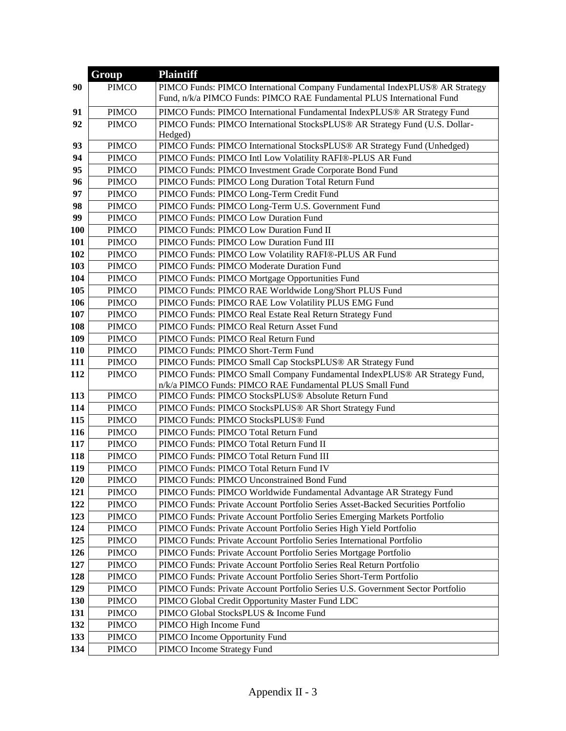|            | Group        | <b>Plaintiff</b>                                                                                                |
|------------|--------------|-----------------------------------------------------------------------------------------------------------------|
| 90         | <b>PIMCO</b> | PIMCO Funds: PIMCO International Company Fundamental IndexPLUS® AR Strategy                                     |
|            |              | Fund, n/k/a PIMCO Funds: PIMCO RAE Fundamental PLUS International Fund                                          |
| 91         | <b>PIMCO</b> | PIMCO Funds: PIMCO International Fundamental IndexPLUS® AR Strategy Fund                                        |
| 92         | <b>PIMCO</b> | PIMCO Funds: PIMCO International StocksPLUS® AR Strategy Fund (U.S. Dollar-                                     |
|            |              | Hedged)                                                                                                         |
| 93         | <b>PIMCO</b> | PIMCO Funds: PIMCO International StocksPLUS® AR Strategy Fund (Unhedged)                                        |
| 94         | <b>PIMCO</b> | PIMCO Funds: PIMCO Intl Low Volatility RAFI®-PLUS AR Fund                                                       |
| 95         | <b>PIMCO</b> | PIMCO Funds: PIMCO Investment Grade Corporate Bond Fund                                                         |
| 96         | <b>PIMCO</b> | PIMCO Funds: PIMCO Long Duration Total Return Fund                                                              |
| 97         | <b>PIMCO</b> | PIMCO Funds: PIMCO Long-Term Credit Fund                                                                        |
| 98         | <b>PIMCO</b> | PIMCO Funds: PIMCO Long-Term U.S. Government Fund                                                               |
| 99         | <b>PIMCO</b> | PIMCO Funds: PIMCO Low Duration Fund                                                                            |
| 100        | <b>PIMCO</b> | PIMCO Funds: PIMCO Low Duration Fund II                                                                         |
| 101        | <b>PIMCO</b> | PIMCO Funds: PIMCO Low Duration Fund III                                                                        |
| 102        | <b>PIMCO</b> | PIMCO Funds: PIMCO Low Volatility RAFI®-PLUS AR Fund                                                            |
| 103        | <b>PIMCO</b> | PIMCO Funds: PIMCO Moderate Duration Fund                                                                       |
| 104        | <b>PIMCO</b> | PIMCO Funds: PIMCO Mortgage Opportunities Fund                                                                  |
| 105        | <b>PIMCO</b> | PIMCO Funds: PIMCO RAE Worldwide Long/Short PLUS Fund                                                           |
| 106        | <b>PIMCO</b> | PIMCO Funds: PIMCO RAE Low Volatility PLUS EMG Fund                                                             |
| 107        | <b>PIMCO</b> | PIMCO Funds: PIMCO Real Estate Real Return Strategy Fund                                                        |
| 108        | <b>PIMCO</b> | PIMCO Funds: PIMCO Real Return Asset Fund                                                                       |
| 109        | <b>PIMCO</b> | PIMCO Funds: PIMCO Real Return Fund                                                                             |
| 110        | <b>PIMCO</b> | PIMCO Funds: PIMCO Short-Term Fund                                                                              |
| 111        | <b>PIMCO</b> | PIMCO Funds: PIMCO Small Cap StocksPLUS® AR Strategy Fund                                                       |
| 112        | <b>PIMCO</b> | PIMCO Funds: PIMCO Small Company Fundamental IndexPLUS® AR Strategy Fund,                                       |
| 113        | <b>PIMCO</b> | n/k/a PIMCO Funds: PIMCO RAE Fundamental PLUS Small Fund<br>PIMCO Funds: PIMCO StocksPLUS® Absolute Return Fund |
| 114        | <b>PIMCO</b> | PIMCO Funds: PIMCO StocksPLUS® AR Short Strategy Fund                                                           |
| 115        | <b>PIMCO</b> | PIMCO Funds: PIMCO StocksPLUS® Fund                                                                             |
| 116        | <b>PIMCO</b> | PIMCO Funds: PIMCO Total Return Fund                                                                            |
| 117        | <b>PIMCO</b> | PIMCO Funds: PIMCO Total Return Fund II                                                                         |
| 118        | <b>PIMCO</b> | PIMCO Funds: PIMCO Total Return Fund III                                                                        |
| 119        | <b>PIMCO</b> | PIMCO Funds: PIMCO Total Return Fund IV                                                                         |
| <b>120</b> | <b>PIMCO</b> | PIMCO Funds: PIMCO Unconstrained Bond Fund                                                                      |
| 121        | <b>PIMCO</b> | PIMCO Funds: PIMCO Worldwide Fundamental Advantage AR Strategy Fund                                             |
| 122        | <b>PIMCO</b> | PIMCO Funds: Private Account Portfolio Series Asset-Backed Securities Portfolio                                 |
| 123        | <b>PIMCO</b> | PIMCO Funds: Private Account Portfolio Series Emerging Markets Portfolio                                        |
| 124        | <b>PIMCO</b> | PIMCO Funds: Private Account Portfolio Series High Yield Portfolio                                              |
| 125        | <b>PIMCO</b> | PIMCO Funds: Private Account Portfolio Series International Portfolio                                           |
| 126        | <b>PIMCO</b> | PIMCO Funds: Private Account Portfolio Series Mortgage Portfolio                                                |
| 127        | <b>PIMCO</b> | PIMCO Funds: Private Account Portfolio Series Real Return Portfolio                                             |
| 128        | <b>PIMCO</b> | PIMCO Funds: Private Account Portfolio Series Short-Term Portfolio                                              |
| 129        | <b>PIMCO</b> | PIMCO Funds: Private Account Portfolio Series U.S. Government Sector Portfolio                                  |
| 130        | <b>PIMCO</b> | PIMCO Global Credit Opportunity Master Fund LDC                                                                 |
| 131        | <b>PIMCO</b> | PIMCO Global StocksPLUS & Income Fund                                                                           |
| 132        | <b>PIMCO</b> | PIMCO High Income Fund                                                                                          |
| 133        | <b>PIMCO</b> | PIMCO Income Opportunity Fund                                                                                   |
| 134        | <b>PIMCO</b> | PIMCO Income Strategy Fund                                                                                      |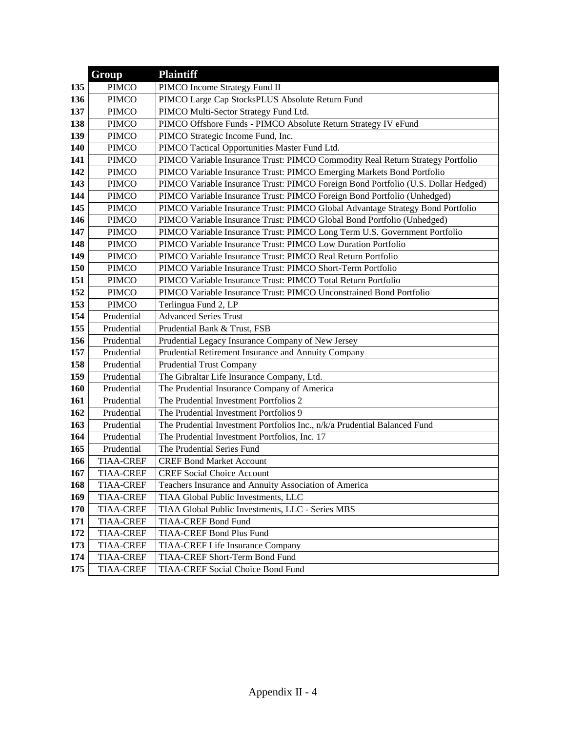|     | Group            | <b>Plaintiff</b>                                                                  |
|-----|------------------|-----------------------------------------------------------------------------------|
| 135 | <b>PIMCO</b>     | PIMCO Income Strategy Fund II                                                     |
| 136 | <b>PIMCO</b>     | PIMCO Large Cap StocksPLUS Absolute Return Fund                                   |
| 137 | <b>PIMCO</b>     | PIMCO Multi-Sector Strategy Fund Ltd.                                             |
| 138 | <b>PIMCO</b>     | PIMCO Offshore Funds - PIMCO Absolute Return Strategy IV eFund                    |
| 139 | <b>PIMCO</b>     | PIMCO Strategic Income Fund, Inc.                                                 |
| 140 | <b>PIMCO</b>     | PIMCO Tactical Opportunities Master Fund Ltd.                                     |
| 141 | <b>PIMCO</b>     | PIMCO Variable Insurance Trust: PIMCO Commodity Real Return Strategy Portfolio    |
| 142 | <b>PIMCO</b>     | PIMCO Variable Insurance Trust: PIMCO Emerging Markets Bond Portfolio             |
| 143 | <b>PIMCO</b>     | PIMCO Variable Insurance Trust: PIMCO Foreign Bond Portfolio (U.S. Dollar Hedged) |
| 144 | <b>PIMCO</b>     | PIMCO Variable Insurance Trust: PIMCO Foreign Bond Portfolio (Unhedged)           |
| 145 | <b>PIMCO</b>     | PIMCO Variable Insurance Trust: PIMCO Global Advantage Strategy Bond Portfolio    |
| 146 | <b>PIMCO</b>     | PIMCO Variable Insurance Trust: PIMCO Global Bond Portfolio (Unhedged)            |
| 147 | <b>PIMCO</b>     | PIMCO Variable Insurance Trust: PIMCO Long Term U.S. Government Portfolio         |
| 148 | <b>PIMCO</b>     | PIMCO Variable Insurance Trust: PIMCO Low Duration Portfolio                      |
| 149 | <b>PIMCO</b>     | PIMCO Variable Insurance Trust: PIMCO Real Return Portfolio                       |
| 150 | <b>PIMCO</b>     | PIMCO Variable Insurance Trust: PIMCO Short-Term Portfolio                        |
| 151 | <b>PIMCO</b>     | PIMCO Variable Insurance Trust: PIMCO Total Return Portfolio                      |
| 152 | <b>PIMCO</b>     | PIMCO Variable Insurance Trust: PIMCO Unconstrained Bond Portfolio                |
| 153 | <b>PIMCO</b>     | Terlingua Fund 2, LP                                                              |
| 154 | Prudential       | <b>Advanced Series Trust</b>                                                      |
| 155 | Prudential       | Prudential Bank & Trust, FSB                                                      |
| 156 | Prudential       | Prudential Legacy Insurance Company of New Jersey                                 |
| 157 | Prudential       | Prudential Retirement Insurance and Annuity Company                               |
| 158 | Prudential       | <b>Prudential Trust Company</b>                                                   |
| 159 | Prudential       | The Gibraltar Life Insurance Company, Ltd.                                        |
| 160 | Prudential       | The Prudential Insurance Company of America                                       |
| 161 | Prudential       | The Prudential Investment Portfolios 2                                            |
| 162 | Prudential       | The Prudential Investment Portfolios 9                                            |
| 163 | Prudential       | The Prudential Investment Portfolios Inc., n/k/a Prudential Balanced Fund         |
| 164 | Prudential       | The Prudential Investment Portfolios, Inc. 17                                     |
| 165 | Prudential       | The Prudential Series Fund                                                        |
| 166 | <b>TIAA-CREF</b> | <b>CREF Bond Market Account</b>                                                   |
| 167 | <b>TIAA-CREF</b> | <b>CREF Social Choice Account</b>                                                 |
| 168 | <b>TIAA-CREF</b> | Teachers Insurance and Annuity Association of America                             |
| 169 | <b>TIAA-CREF</b> | TIAA Global Public Investments, LLC                                               |
| 170 | <b>TIAA-CREF</b> | TIAA Global Public Investments, LLC - Series MBS                                  |
| 171 | <b>TIAA-CREF</b> | <b>TIAA-CREF Bond Fund</b>                                                        |
| 172 | <b>TIAA-CREF</b> | <b>TIAA-CREF Bond Plus Fund</b>                                                   |
| 173 | <b>TIAA-CREF</b> | TIAA-CREF Life Insurance Company                                                  |
| 174 | <b>TIAA-CREF</b> | TIAA-CREF Short-Term Bond Fund                                                    |
| 175 | <b>TIAA-CREF</b> | TIAA-CREF Social Choice Bond Fund                                                 |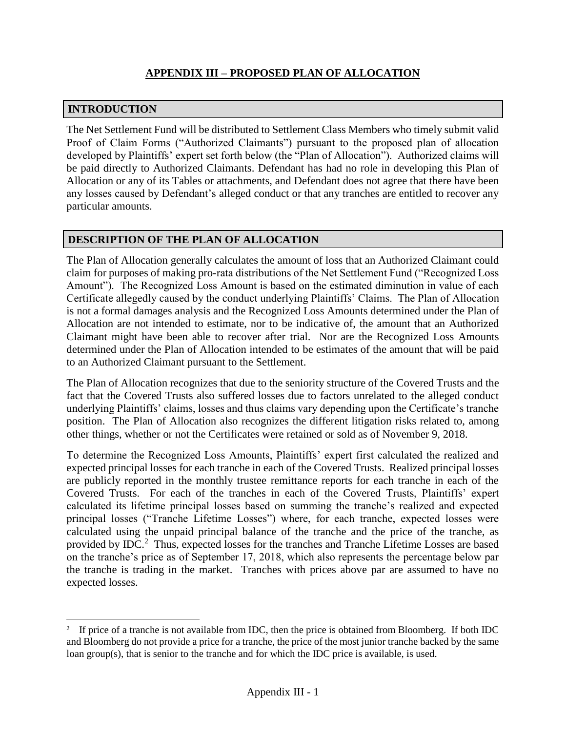# **INTRODUCTION**

 $\overline{a}$ 

The Net Settlement Fund will be distributed to Settlement Class Members who timely submit valid Proof of Claim Forms ("Authorized Claimants") pursuant to the proposed plan of allocation developed by Plaintiffs' expert set forth below (the "Plan of Allocation"). Authorized claims will be paid directly to Authorized Claimants. Defendant has had no role in developing this Plan of Allocation or any of its Tables or attachments, and Defendant does not agree that there have been any losses caused by Defendant's alleged conduct or that any tranches are entitled to recover any particular amounts.

# **DESCRIPTION OF THE PLAN OF ALLOCATION**

The Plan of Allocation generally calculates the amount of loss that an Authorized Claimant could claim for purposes of making pro-rata distributions of the Net Settlement Fund ("Recognized Loss Amount"). The Recognized Loss Amount is based on the estimated diminution in value of each Certificate allegedly caused by the conduct underlying Plaintiffs' Claims. The Plan of Allocation is not a formal damages analysis and the Recognized Loss Amounts determined under the Plan of Allocation are not intended to estimate, nor to be indicative of, the amount that an Authorized Claimant might have been able to recover after trial. Nor are the Recognized Loss Amounts determined under the Plan of Allocation intended to be estimates of the amount that will be paid to an Authorized Claimant pursuant to the Settlement.

The Plan of Allocation recognizes that due to the seniority structure of the Covered Trusts and the fact that the Covered Trusts also suffered losses due to factors unrelated to the alleged conduct underlying Plaintiffs' claims, losses and thus claims vary depending upon the Certificate's tranche position. The Plan of Allocation also recognizes the different litigation risks related to, among other things, whether or not the Certificates were retained or sold as of November 9, 2018.

To determine the Recognized Loss Amounts, Plaintiffs' expert first calculated the realized and expected principal losses for each tranche in each of the Covered Trusts. Realized principal losses are publicly reported in the monthly trustee remittance reports for each tranche in each of the Covered Trusts. For each of the tranches in each of the Covered Trusts, Plaintiffs' expert calculated its lifetime principal losses based on summing the tranche's realized and expected principal losses ("Tranche Lifetime Losses") where, for each tranche, expected losses were calculated using the unpaid principal balance of the tranche and the price of the tranche, as provided by IDC.<sup>2</sup> Thus, expected losses for the tranches and Tranche Lifetime Losses are based on the tranche's price as of September 17, 2018, which also represents the percentage below par the tranche is trading in the market. Tranches with prices above par are assumed to have no expected losses.

<sup>&</sup>lt;sup>2</sup> If price of a tranche is not available from IDC, then the price is obtained from Bloomberg. If both IDC and Bloomberg do not provide a price for a tranche, the price of the most junior tranche backed by the same loan group(s), that is senior to the tranche and for which the IDC price is available, is used.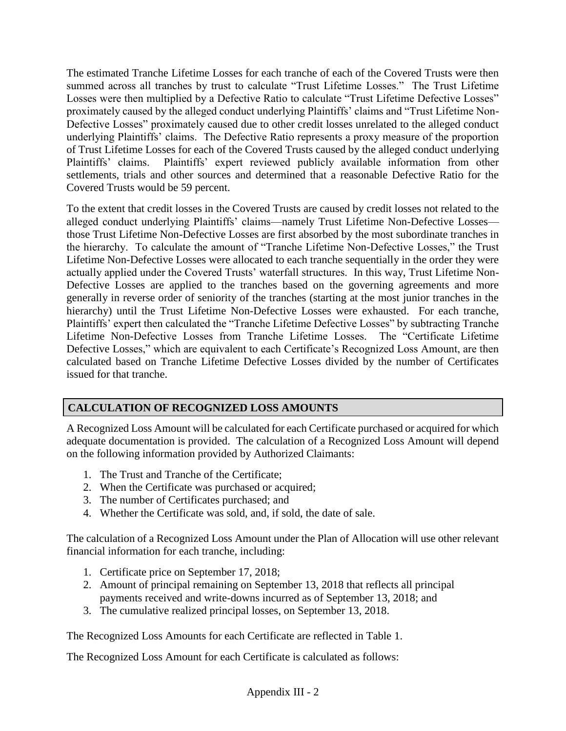The estimated Tranche Lifetime Losses for each tranche of each of the Covered Trusts were then summed across all tranches by trust to calculate "Trust Lifetime Losses." The Trust Lifetime Losses were then multiplied by a Defective Ratio to calculate "Trust Lifetime Defective Losses" proximately caused by the alleged conduct underlying Plaintiffs' claims and "Trust Lifetime Non-Defective Losses" proximately caused due to other credit losses unrelated to the alleged conduct underlying Plaintiffs' claims. The Defective Ratio represents a proxy measure of the proportion of Trust Lifetime Losses for each of the Covered Trusts caused by the alleged conduct underlying Plaintiffs' claims. Plaintiffs' expert reviewed publicly available information from other settlements, trials and other sources and determined that a reasonable Defective Ratio for the Covered Trusts would be 59 percent.

To the extent that credit losses in the Covered Trusts are caused by credit losses not related to the alleged conduct underlying Plaintiffs' claims—namely Trust Lifetime Non-Defective Losses those Trust Lifetime Non-Defective Losses are first absorbed by the most subordinate tranches in the hierarchy. To calculate the amount of "Tranche Lifetime Non-Defective Losses," the Trust Lifetime Non-Defective Losses were allocated to each tranche sequentially in the order they were actually applied under the Covered Trusts' waterfall structures. In this way, Trust Lifetime Non-Defective Losses are applied to the tranches based on the governing agreements and more generally in reverse order of seniority of the tranches (starting at the most junior tranches in the hierarchy) until the Trust Lifetime Non-Defective Losses were exhausted. For each tranche, Plaintiffs' expert then calculated the "Tranche Lifetime Defective Losses" by subtracting Tranche Lifetime Non-Defective Losses from Tranche Lifetime Losses. The "Certificate Lifetime Defective Losses," which are equivalent to each Certificate's Recognized Loss Amount, are then calculated based on Tranche Lifetime Defective Losses divided by the number of Certificates issued for that tranche.

# **CALCULATION OF RECOGNIZED LOSS AMOUNTS**

A Recognized Loss Amount will be calculated for each Certificate purchased or acquired for which adequate documentation is provided. The calculation of a Recognized Loss Amount will depend on the following information provided by Authorized Claimants:

- 1. The Trust and Tranche of the Certificate;
- 2. When the Certificate was purchased or acquired;
- 3. The number of Certificates purchased; and
- 4. Whether the Certificate was sold, and, if sold, the date of sale.

The calculation of a Recognized Loss Amount under the Plan of Allocation will use other relevant financial information for each tranche, including:

- 1. Certificate price on September 17, 2018;
- 2. Amount of principal remaining on September 13, 2018 that reflects all principal payments received and write-downs incurred as of September 13, 2018; and
- 3. The cumulative realized principal losses, on September 13, 2018.

The Recognized Loss Amounts for each Certificate are reflected in Table 1.

The Recognized Loss Amount for each Certificate is calculated as follows: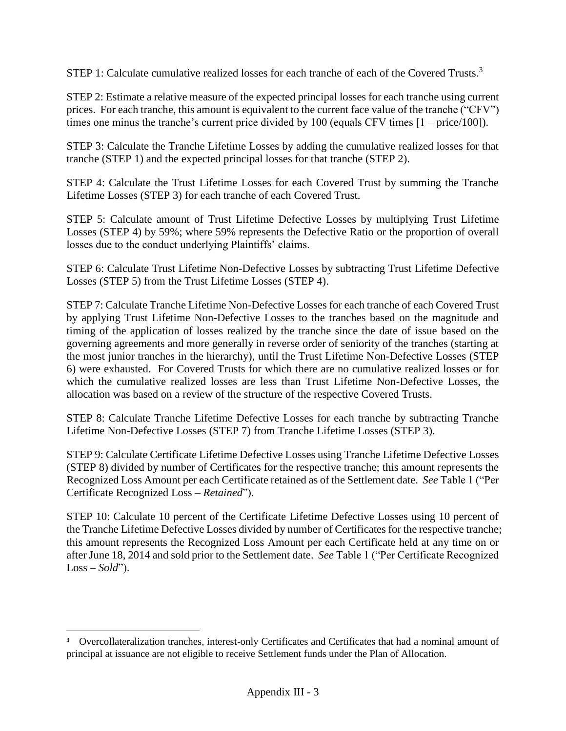STEP 1: Calculate cumulative realized losses for each tranche of each of the Covered Trusts.<sup>3</sup>

STEP 2: Estimate a relative measure of the expected principal losses for each tranche using current prices. For each tranche, this amount is equivalent to the current face value of the tranche ("CFV") times one minus the tranche's current price divided by 100 (equals CFV times  $[1 - price/100]$ ).

STEP 3: Calculate the Tranche Lifetime Losses by adding the cumulative realized losses for that tranche (STEP 1) and the expected principal losses for that tranche (STEP 2).

STEP 4: Calculate the Trust Lifetime Losses for each Covered Trust by summing the Tranche Lifetime Losses (STEP 3) for each tranche of each Covered Trust.

STEP 5: Calculate amount of Trust Lifetime Defective Losses by multiplying Trust Lifetime Losses (STEP 4) by 59%; where 59% represents the Defective Ratio or the proportion of overall losses due to the conduct underlying Plaintiffs' claims.

STEP 6: Calculate Trust Lifetime Non-Defective Losses by subtracting Trust Lifetime Defective Losses (STEP 5) from the Trust Lifetime Losses (STEP 4).

STEP 7: Calculate Tranche Lifetime Non-Defective Losses for each tranche of each Covered Trust by applying Trust Lifetime Non-Defective Losses to the tranches based on the magnitude and timing of the application of losses realized by the tranche since the date of issue based on the governing agreements and more generally in reverse order of seniority of the tranches (starting at the most junior tranches in the hierarchy), until the Trust Lifetime Non-Defective Losses (STEP 6) were exhausted. For Covered Trusts for which there are no cumulative realized losses or for which the cumulative realized losses are less than Trust Lifetime Non-Defective Losses, the allocation was based on a review of the structure of the respective Covered Trusts.

STEP 8: Calculate Tranche Lifetime Defective Losses for each tranche by subtracting Tranche Lifetime Non-Defective Losses (STEP 7) from Tranche Lifetime Losses (STEP 3).

STEP 9: Calculate Certificate Lifetime Defective Losses using Tranche Lifetime Defective Losses (STEP 8) divided by number of Certificates for the respective tranche; this amount represents the Recognized Loss Amount per each Certificate retained as of the Settlement date. *See* Table 1 ("Per Certificate Recognized Loss – *Retained*").

STEP 10: Calculate 10 percent of the Certificate Lifetime Defective Losses using 10 percent of the Tranche Lifetime Defective Losses divided by number of Certificates for the respective tranche; this amount represents the Recognized Loss Amount per each Certificate held at any time on or after June 18, 2014 and sold prior to the Settlement date. *See* Table 1 ("Per Certificate Recognized Loss – *Sold*").

 $\overline{a}$ 

**<sup>3</sup>** Overcollateralization tranches, interest-only Certificates and Certificates that had a nominal amount of principal at issuance are not eligible to receive Settlement funds under the Plan of Allocation.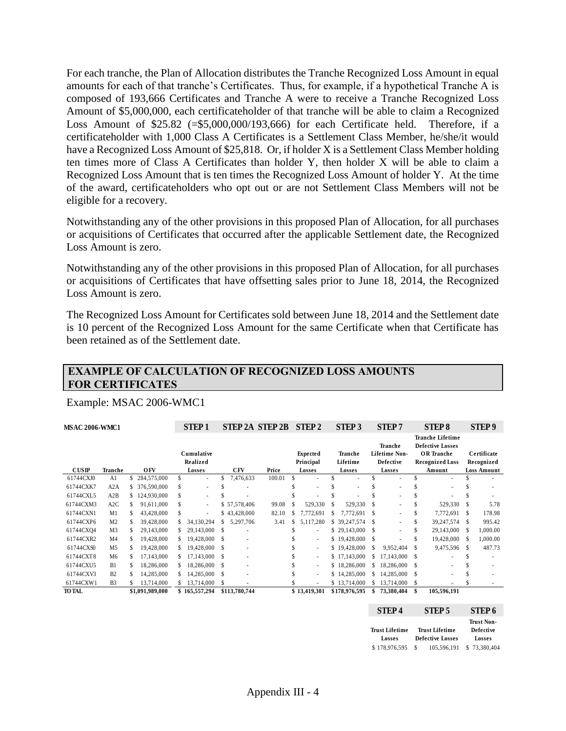For each tranche, the Plan of Allocation distributes the Tranche Recognized Loss Amount in equal amounts for each of that tranche's Certificates. Thus, for example, if a hypothetical Tranche A is composed of 193,666 Certificates and Tranche A were to receive a Tranche Recognized Loss Amount of \$5,000,000, each certificateholder of that tranche will be able to claim a Recognized Loss Amount of \$25.82 (=\$5,000,000/193,666) for each Certificate held. Therefore, if a certificateholder with 1,000 Class A Certificates is a Settlement Class Member, he/she/it would have a Recognized Loss Amount of \$25,818. Or, if holder X is a Settlement Class Member holding ten times more of Class A Certificates than holder Y, then holder X will be able to claim a Recognized Loss Amount that is ten times the Recognized Loss Amount of holder Y. At the time of the award, certificateholders who opt out or are not Settlement Class Members will not be eligible for a recovery.

Notwithstanding any of the other provisions in this proposed Plan of Allocation, for all purchases or acquisitions of Certificates that occurred after the applicable Settlement date, the Recognized Loss Amount is zero.

Notwithstanding any of the other provisions in this proposed Plan of Allocation, for all purchases or acquisitions of Certificates that have offsetting sales prior to June 18, 2014, the Recognized Loss Amount is zero.

The Recognized Loss Amount for Certificates sold between June 18, 2014 and the Settlement date is 10 percent of the Recognized Loss Amount for the same Certificate when that Certificate has been retained as of the Settlement date.

### **EXAMPLE OF CALCULATION OF RECOGNIZED LOSS AMOUNTS FOR CERTIFICATES**

#### Example: MSAC 2006-WMC1

| <b>MSAC 2006-WMC1</b> |                |     |                 |     | <b>STEP1</b>             |    |                          | <b>STEP 2A STEP 2B</b> |     | <b>STEP 2</b>         | STEP <sub>3</sub>   |               | <b>STEP7</b>                                               |     | <b>STEP 8</b>                                                                                     |      | <b>STEP9</b>              |
|-----------------------|----------------|-----|-----------------|-----|--------------------------|----|--------------------------|------------------------|-----|-----------------------|---------------------|---------------|------------------------------------------------------------|-----|---------------------------------------------------------------------------------------------------|------|---------------------------|
|                       |                |     |                 |     | Cumulative<br>Realized   |    |                          |                        |     | Expected<br>Principal | Tranche<br>Lifetime |               | <b>Tranche</b><br><b>Lifetime Non-</b><br><b>Defective</b> |     | <b>Tranche Lifetime</b><br><b>Defective Losses</b><br><b>OR</b> Tranche<br><b>Recognized Loss</b> |      | Certificate<br>Recognized |
| CUSIP                 | Tranche        |     | <b>OFV</b>      |     | Losses                   |    | <b>CFV</b>               | Price                  |     | Losses                | Losses              |               | Losses                                                     |     | Amount                                                                                            |      | <b>Loss Amount</b>        |
| 61744CXJ0             | A1             |     | 284,575,000     | \$. | $\overline{\phantom{a}}$ | \$ | 7,476,633                | 100.01                 | \$  |                       | \$<br>٠             | \$            |                                                            |     |                                                                                                   |      |                           |
| 61744CXK7             | A2A            | \$  | 376,590,000     | \$  | ٠                        |    |                          |                        |     |                       | ٠                   | \$            |                                                            |     |                                                                                                   |      |                           |
| 61744CXL5             | A2B            | \$. | 124,930,000     | \$  | $\overline{\phantom{a}}$ |    |                          |                        |     |                       |                     | \$            |                                                            |     |                                                                                                   |      |                           |
| 61744CXM3             | A2C            |     | 91,611,000      | \$  | $\sim$                   |    | \$57,578,406             | 99.08                  | \$  | 529,330               | \$<br>529,330       | \$            |                                                            |     | 529,330                                                                                           |      | 5.78                      |
| 61744CXN1             | M <sub>1</sub> |     | 43,428,000      | \$  | ٠                        |    | \$43,428,000             | 82.10                  | ×.  | 7,772,691             | 7,772,691           | <sup>\$</sup> |                                                            |     | 7,772,691                                                                                         | -S   | 178.98                    |
| 61744CXP6             | M <sub>2</sub> | \$  | 39,428,000      |     | 34.130.294               | S. | 5,297,706                | 3.41                   | \$. | 5,117,280             | \$ 39,247,574       | \$            |                                                            |     | 39, 247, 574                                                                                      | -S   | 995.42                    |
| 61744CXQ4             | M <sub>3</sub> |     | 29,143,000      |     | 29,143,000               | \$ |                          |                        |     | ۰                     | \$29,143,000        | <sup>\$</sup> |                                                            | \$. | 29,143,000                                                                                        | - \$ | 1.000.00                  |
| 61744CXR2             | M <sub>4</sub> |     | 19,428,000      |     | 19,428,000               | \$ |                          |                        |     | ٠                     | \$19,428,000        | S             |                                                            |     | 19,428,000                                                                                        | -S   | 1,000.00                  |
| 61744CXS0             | M <sub>5</sub> |     | 19,428,000      |     | 19,428,000               | \$ | $\overline{\phantom{a}}$ |                        |     | $\sim$                | \$19,428,000        | <sup>\$</sup> | 9,952,404                                                  |     | 9,475,596                                                                                         | - \$ | 487.73                    |
| 61744CXT8             | M <sub>6</sub> |     | 17.143.000      |     | 17,143,000               | \$ | $\overline{\phantom{a}}$ |                        |     | ٠                     | \$17,143,000        | S             | 17.143.000                                                 |     |                                                                                                   |      |                           |
| 61744CXU5             | B1             | \$. | 18,286,000      |     | 18,286,000               | \$ | $\overline{\phantom{a}}$ |                        |     | ٠                     | \$18,286,000        | S             | 18,286,000                                                 | -S  |                                                                                                   |      |                           |
| 61744CXV3             | B <sub>2</sub> |     | 14,285,000      |     | 14,285,000               | \$ |                          |                        |     | ٠                     | \$14,285,000        | S.            | 14,285,000                                                 | \$  |                                                                                                   |      |                           |
| 61744CXW1             | B <sub>3</sub> |     | 13.714.000      |     | 13,714,000               | \$ |                          |                        |     | ۰                     | \$13,714,000        | \$.           | 13.714.000                                                 | \$  |                                                                                                   |      |                           |
| <b>TO TAL</b>         |                |     | \$1,091,989,000 |     | \$165,557,294            |    | \$113,780,744            |                        |     | \$13,419,301          | \$178,976,595       |               | 73,380,404                                                 | \$  | 105,596,191                                                                                       |      |                           |
|                       |                |     |                 |     |                          |    |                          |                        |     |                       |                     |               |                                                            |     |                                                                                                   |      |                           |

| STEP <sub>4</sub>               | STEP 5                                           | STEP <sub>6</sub>                               |
|---------------------------------|--------------------------------------------------|-------------------------------------------------|
| <b>Trust Lifetime</b><br>Losses | <b>Trust Lifetime</b><br><b>Defective Losses</b> | <b>Trust Non-</b><br><b>Defective</b><br>Losses |
| \$178,976,595                   | 105.596.191<br>S                                 | \$73,380,404                                    |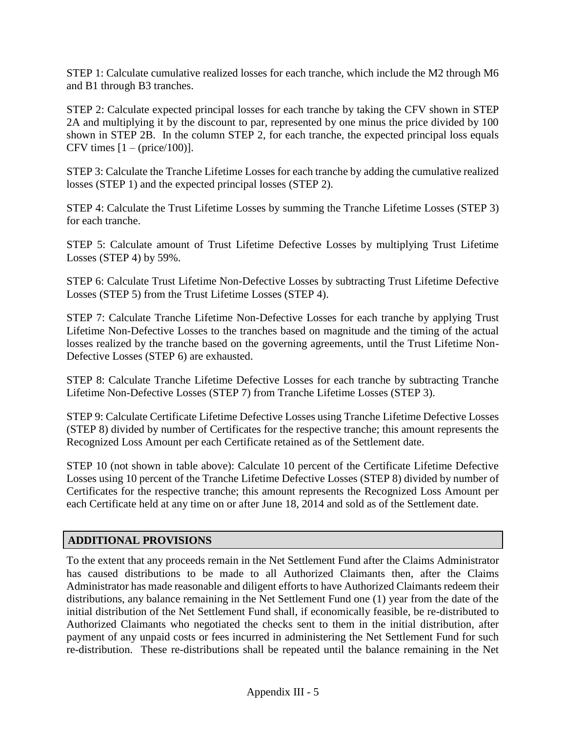STEP 1: Calculate cumulative realized losses for each tranche, which include the M2 through M6 and B1 through B3 tranches.

STEP 2: Calculate expected principal losses for each tranche by taking the CFV shown in STEP 2A and multiplying it by the discount to par, represented by one minus the price divided by 100 shown in STEP 2B. In the column STEP 2, for each tranche, the expected principal loss equals CFV times  $[1 - (price/100)].$ 

STEP 3: Calculate the Tranche Lifetime Losses for each tranche by adding the cumulative realized losses (STEP 1) and the expected principal losses (STEP 2).

STEP 4: Calculate the Trust Lifetime Losses by summing the Tranche Lifetime Losses (STEP 3) for each tranche.

STEP 5: Calculate amount of Trust Lifetime Defective Losses by multiplying Trust Lifetime Losses (STEP 4) by 59%.

STEP 6: Calculate Trust Lifetime Non-Defective Losses by subtracting Trust Lifetime Defective Losses (STEP 5) from the Trust Lifetime Losses (STEP 4).

STEP 7: Calculate Tranche Lifetime Non-Defective Losses for each tranche by applying Trust Lifetime Non-Defective Losses to the tranches based on magnitude and the timing of the actual losses realized by the tranche based on the governing agreements, until the Trust Lifetime Non-Defective Losses (STEP 6) are exhausted.

STEP 8: Calculate Tranche Lifetime Defective Losses for each tranche by subtracting Tranche Lifetime Non-Defective Losses (STEP 7) from Tranche Lifetime Losses (STEP 3).

STEP 9: Calculate Certificate Lifetime Defective Losses using Tranche Lifetime Defective Losses (STEP 8) divided by number of Certificates for the respective tranche; this amount represents the Recognized Loss Amount per each Certificate retained as of the Settlement date.

STEP 10 (not shown in table above): Calculate 10 percent of the Certificate Lifetime Defective Losses using 10 percent of the Tranche Lifetime Defective Losses (STEP 8) divided by number of Certificates for the respective tranche; this amount represents the Recognized Loss Amount per each Certificate held at any time on or after June 18, 2014 and sold as of the Settlement date.

### **ADDITIONAL PROVISIONS**

To the extent that any proceeds remain in the Net Settlement Fund after the Claims Administrator has caused distributions to be made to all Authorized Claimants then, after the Claims Administrator has made reasonable and diligent efforts to have Authorized Claimants redeem their distributions, any balance remaining in the Net Settlement Fund one (1) year from the date of the initial distribution of the Net Settlement Fund shall, if economically feasible, be re-distributed to Authorized Claimants who negotiated the checks sent to them in the initial distribution, after payment of any unpaid costs or fees incurred in administering the Net Settlement Fund for such re-distribution. These re-distributions shall be repeated until the balance remaining in the Net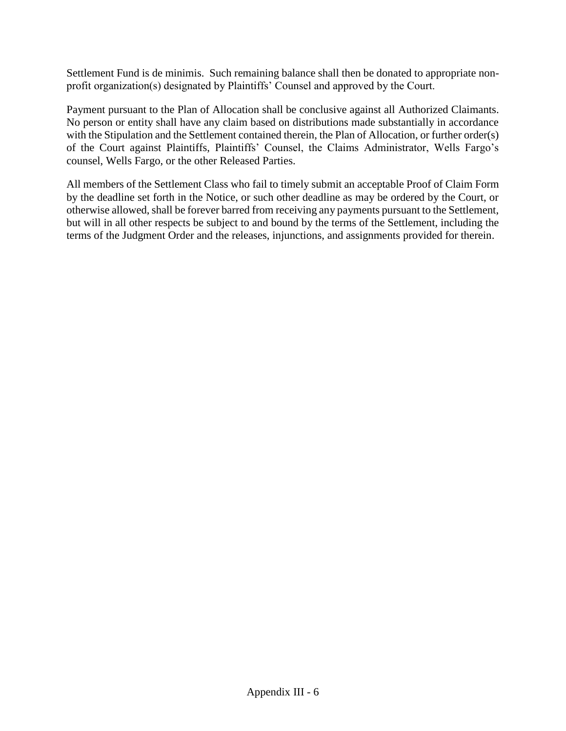Settlement Fund is de minimis. Such remaining balance shall then be donated to appropriate nonprofit organization(s) designated by Plaintiffs' Counsel and approved by the Court.

Payment pursuant to the Plan of Allocation shall be conclusive against all Authorized Claimants. No person or entity shall have any claim based on distributions made substantially in accordance with the Stipulation and the Settlement contained therein, the Plan of Allocation, or further order(s) of the Court against Plaintiffs, Plaintiffs' Counsel, the Claims Administrator, Wells Fargo's counsel, Wells Fargo, or the other Released Parties.

All members of the Settlement Class who fail to timely submit an acceptable Proof of Claim Form by the deadline set forth in the Notice, or such other deadline as may be ordered by the Court, or otherwise allowed, shall be forever barred from receiving any payments pursuant to the Settlement, but will in all other respects be subject to and bound by the terms of the Settlement, including the terms of the Judgment Order and the releases, injunctions, and assignments provided for therein.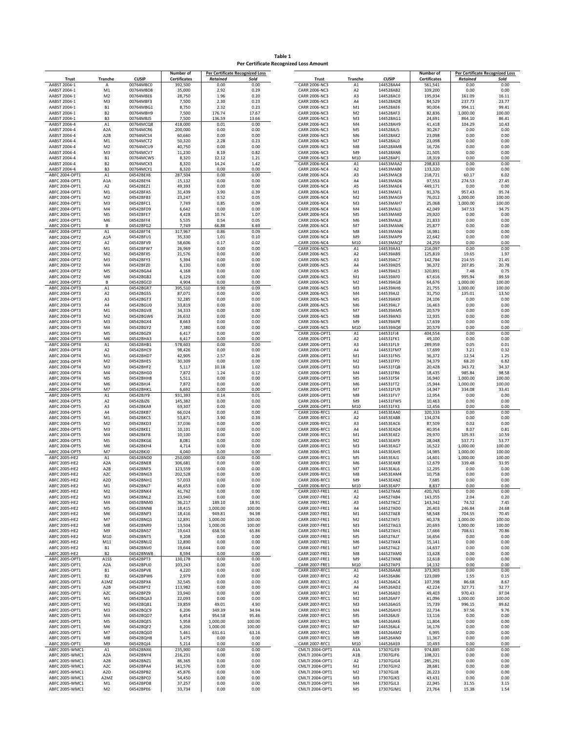**Table 1 Per Certificate Recognized Loss Amount**

|                                  |                      |                        | Number of           |                 | <b>Per Certificate Recognized Loss</b> |                                        |                |                        | Number of           |                 | Per Certificate Recognized L |
|----------------------------------|----------------------|------------------------|---------------------|-----------------|----------------------------------------|----------------------------------------|----------------|------------------------|---------------------|-----------------|------------------------------|
| <b>Trust</b>                     | Tranche              | <b>CUSIP</b>           | <b>Certificates</b> | <b>Retained</b> | Sold                                   | <b>Trust</b>                           | <b>Tranche</b> | <b>CUSIP</b>           | <b>Certificates</b> | <b>Retained</b> | Sold                         |
| AABST 2004-1                     |                      | 00764MBC0              | 392,500             | 0.00            | 0.00                                   | <b>CARR 2006-NC3</b>                   | A <sub>1</sub> | 144528AA4              | 561,541             | 0.00            | 0.00                         |
| AABST 2004-1                     | M1                   | 00764MBD8              | 35,000              | 2.92            | 0.29                                   | <b>CARR 2006-NC3</b>                   | A <sub>2</sub> | 144528AB2              | 339,200             | 0.00            | 0.00                         |
| AABST 2004-1                     | M <sub>2</sub>       | 00764MBE6              | 28,750              | 1.96            | 0.20                                   | <b>CARR 2006-NC3</b>                   | A3             | 144528AC0              | 195,934             | 161.09          | 16.11                        |
| AABST 2004-1                     | M <sub>3</sub>       | 00764MBF3              | 7,500               | 2.30            | 0.23                                   | CARR 2006-NC3                          | A4             | 144528AD8              | 84,529              | 237.73          | 23.77                        |
| AABST 2004-1                     | <b>B1</b>            | 00764MBG1              | 8,750               | 2.32            | 0.23                                   | <b>CARR 2006-NC3</b>                   | M1             | 144528AE6              | 90,004              | 994.11          | 99.41                        |
| AABST 2004-1                     | B <sub>2</sub>       | 00764MBH9              | 7,500               | 176.74          | 17.67                                  | <b>CARR 2006-NC3</b>                   | M <sub>2</sub> | 144528AF3              | 82,836              | 1,000.00        | 100.00                       |
| AABST 2004-1                     | B <sub>3</sub>       | 00764MBJ5              | 7,500               | 136.59          | 13.66                                  | <b>CARR 2006-NC3</b>                   | M3             | 144528AG1              | 24,691              | 864.10          | 86.41                        |
| AABST 2004-4                     | A1                   | 00764MCQ8              | 418,000             | 0.01            | 0.00                                   | <b>CARR 2006-NC3</b>                   | M4             | 144528AH9              | 41,418              | 104.29          | 10.43                        |
| AABST 2004-4                     | A <sub>2</sub> A     | 00764MCR6              | 200,000             | 0.00            | 0.00                                   | <b>CARR 2006-NC3</b>                   | M <sub>5</sub> | 144528AJ5              | 30,267              | 0.00            | 0.00                         |
| AABST 2004-4                     | A <sub>2</sub> B     | 00764MCS4              | 60,660              | 0.00            | 0.00                                   | <b>CARR 2006-NC3</b>                   | M <sub>6</sub> | 144528AK2              | 23,098              | 0.00            | 0.00                         |
| AABST 2004-4                     | M1                   | 00764MCT2              | 50,320              | 2.28            | 0.23                                   | CARR 2006-NC3                          | M7             | 144528AL0              | 23,098              | 0.00            | 0.00                         |
|                                  | M <sub>2</sub>       | 00764MCU9              |                     | 0.00            | 0.00                                   |                                        |                | 144528AM8              |                     |                 | 0.00                         |
| AABST 2004-4                     |                      |                        | 40,750              |                 |                                        | CARR 2006-NC3                          | M8             |                        | 16,726              | 0.00            |                              |
| AABST 2004-4                     | M <sub>3</sub>       | 00764MCV7              | 11,230              | 8.19            | 0.82                                   | CARR 2006-NC3                          | M <sub>9</sub> | 144528AN6              | 21,505              | 0.00            | 0.00                         |
| AABST 2004-4                     | <b>B1</b>            | 00764MCW5              | 8,320               | 12.12           | 1.21                                   | CARR 2006-NC3                          | M10            | 144528AP1              | 18,319              | 0.00            | 0.00                         |
| AABST 2004-4                     | B <sub>2</sub>       | 00764MCX3              | 8,320               | 14.24           | 1.42                                   | CARR 2006-NC4                          | A1             | 14453MAA2              | 298,833             | 0.00            | 0.00                         |
| AABST 2004-4                     | B <sub>3</sub>       | 00764MCY1              | 8,320               | 0.00            | 0.00                                   | CARR 2006-NC4                          | A <sub>2</sub> | 14453MAB0              | 133,320             | 0.00            | 0.00                         |
| ABFC 2004-OPT1                   | A1                   | 04542BEX6              | 287,504             | 0.00            | 0.00                                   | CARR 2006-NC4                          | A3             | 14453MAC8              | 218,721             | 60.17           | 6.02                         |
| ABFC 2004-OPT1                   | A <sub>1</sub> A     | 04542BEY4              | 15,132              | 0.00            | 0.00                                   | <b>CARR 2006-NC4</b>                   | A4             | 14453MAD6              | 97,553              | 274.53          | 27.45                        |
| ABFC 2004-OPT1                   | A <sub>2</sub>       | 04542BEZ1              | 49,393              | 0.00            | 0.00                                   | CARR 2006-NC4                          | A5             | 14453MAE4              | 449,171             | 0.00            | 0.00                         |
| ABFC 2004-OPT1                   | M1                   | 04542BFA5              | 31,439              | 3.90            | 0.39                                   | <b>CARR 2006-NC4</b>                   | M1             | 14453MAF1              | 91,376              | 957.43          | 95.74                        |
| ABFC 2004-OPT1                   | M <sub>2</sub>       | 04542BFB3              | 23,247              | 0.52            | 0.05                                   | <b>CARR 2006-NC4</b>                   | M <sub>2</sub> | 14453MAG9              | 76,012              | 1,000.00        | 100.00                       |
| ABFC 2004-OPT1                   | M3                   | 04542BFC1              | 7,749               | 0.85            | 0.09                                   | CARR 2006-NC4                          | M3             | 14453MAH7              | 25,068              | 1,000.00        | 100.00                       |
| ABFC 2004-OPT1                   | M4                   | 04542BFD9              | 6,642               | 0.00            | 0.00                                   | CARR 2006-NC4                          | M <sub>4</sub> | 14453MAJ3              | 42,049              | 347.53          | 34.75                        |
| ABFC 2004-OPT1                   | M <sub>5</sub>       | 04542BFE7              | 4,428               | 10.74           | 1.07                                   | CARR 2006-NC4                          | M5             | 14453MAK0              | 29,920              | 0.00            | 0.00                         |
| ABFC 2004-OPT1                   | M <sub>6</sub>       | 04542BFF4              | 5,535               | 0.54            | 0.05                                   | CARR 2006-NC4                          | M6             | 14453MAL8              | 21,833              | 0.00            | 0.00                         |
| ABFC 2004-OPT1                   | B                    | 04542BFG2              | 7,749               | 66.88           | 6.69                                   | CARR 2006-NC4                          | M7             | 14453MAM6              | 25,877              | 0.00            | 0.00                         |
| ABFC 2004-OPT2                   | A1                   | 04542BFT4              | 317,967             | 0.86            | 0.09                                   | CARR 2006-NC4                          | M8             | 14453MAN4              | 16,981              | 0.00            | 0.00                         |
| ABFC 2004-OPT2                   | A1A                  | 04542BFU1              | 35,330              | 1.01            | 0.10                                   | CARR 2006-NC4                          | M9             | 14453MAP9              | 22,642              | 0.00            | 0.00                         |
| ABFC 2004-OPT2                   | A <sub>2</sub>       | 04542BFV9              | 58,606              | 0.17            | 0.02                                   | CARR 2006-NC4                          | M10            | 14453MAQ7              | 24,259              | 0.00            | 0.00                         |
| ABFC 2004-OPT2                   | M1                   | 04542BFW7              | 26,969              | 0.00            | 0.00                                   | <b>CARR 2006-NC5</b>                   | A1             | 144539AA1              | 216,097             | 0.00            | 0.00                         |
| ABFC 2004-OPT2                   | M <sub>2</sub>       | 04542BFX5              | 21,576              | 0.00            | 0.00                                   | <b>CARR 2006-NC5</b>                   | A <sub>2</sub> | 144539AB9              | 125,819             | 19.65           | 1.97                         |
| ABFC 2004-OPT2                   | M <sub>3</sub>       | 04542BFY3              | 5,394               | 0.00            | 0.00                                   | <b>CARR 2006-NC5</b>                   | A3             | 144539AC7              | 142,784             | 214.55          | 21.45                        |
| ABFC 2004-OPT2                   | M <sub>4</sub>       | 04542BFZ0              | 6,130               | 0.00            | 0.00                                   | <b>CARR 2006-NC5</b>                   | A4             | 144539AD5              | 36,372              | 207.85          | 20.78                        |
| ABFC 2004-OPT2                   | M <sub>5</sub>       | 04542BGA4              | 4,168               | 0.00            | 0.00                                   | <b>CARR 2006-NC5</b>                   | A5             | 144539AE3              | 320,891             | 7.48            | 0.75                         |
| ABFC 2004-OPT2                   | M <sub>6</sub>       | 04542BGB2              | 6,129               | 0.00            | 0.00                                   | <b>CARR 2006-NC5</b>                   | M1             | 144539AF0              | 67,616              | 995.94          | 99.59                        |
| ABFC 2004-OPT2                   | B                    | 04542BGC0              | 4,904               | 0.00            | 0.00                                   | <b>CARR 2006-NC5</b>                   | M <sub>2</sub> | 144539AG8              | 64,676              | 1,000.00        | 100.00                       |
| ABFC 2004-OPT3                   | $\mathsf{A1}$        | 04542BGR7              | 395,510             | 0.90            | 0.09                                   | <b>CARR 2006-NC5</b>                   | M3             | 144539AH6              | 21,755              | 1,000.00        | 100.00                       |
| ABFC 2004-OPT3                   | A2                   | 04542BGS5              | 87,071              | 0.00            | 0.00                                   | <b>CARR 2006-NC5</b>                   | M <sub>4</sub> | 144539AJ2              | 31,750              | 135.01          | 13.50                        |
| ABFC 2004-OPT3                   | A3                   | 04542BGT3              | 32,285              | 0.00            | 0.00                                   | <b>CARR 2006-NC5</b>                   | M <sub>5</sub> | 144539AK9              | 24,106              | 0.00            | 0.00                         |
| ABFC 2004-OPT3                   | A4                   | 04542BGU0              | 33,819              | 0.00            | 0.00                                   | <b>CARR 2006-NC5</b>                   | M <sub>6</sub> | 144539AL7              | 16,463              | 0.00            | 0.00                         |
| ABFC 2004-OPT3                   | M1                   | 04542BGV8              | 34,333              | 0.00            | 0.00                                   | <b>CARR 2006-NC5</b>                   | M7             | 144539AM5              | 20,579              | 0.00            | 0.00                         |
| ABFC 2004-OPT3                   | M <sub>2</sub>       | 04542BGW6              | 26,632              | 0.00            | 0.00                                   | <b>CARR 2006-NC5</b>                   | M8             | 144539AN3              | 12,935              | 0.00            | 0.00                         |
|                                  |                      |                        |                     |                 |                                        |                                        |                |                        |                     |                 |                              |
| ABFC 2004-OPT3                   | M <sub>3</sub>       | 04542BGX4<br>04542BGY2 | 8,663               | 0.00            | 0.00                                   | <b>CARR 2006-NC5</b>                   | M <sub>9</sub> | 144539AP8              | 17,639              | 0.00            | 0.00                         |
| ABFC 2004-OPT3<br>ABFC 2004-OPT3 | M4<br>M <sub>5</sub> | 04542BGZ9              | 7,380<br>6,417      | 0.00<br>0.00    | 0.00<br>0.00                           | <b>CARR 2006-NC5</b><br>CARR 2006-OPT1 | M10<br>A1      | 144539AQ6<br>144531FJ4 | 20,579<br>404,554   | 0.00<br>0.00    | 0.00<br>0.00                 |
| ABFC 2004-OPT3                   | M <sub>6</sub>       | 04542BHA3              | 6,417               | 0.00            | 0.00                                   | CARR 2006-OPT1                         | A <sub>2</sub> | 144531FK1              | 49,100              | 0.00            | 0.00                         |
| ABFC 2004-OPT4                   | A1                   | 04542BHB1              | 578,603             | 0.00            | 0.00                                   | CARR 2006-OPT1                         | A3             | 144531FL9              | 289,959             | 0.05            | 0.01                         |
| ABFC 2004-OPT4                   | A <sub>2</sub>       | 04542BHC9              | 98,426              | 0.00            | 0.00                                   | CARR 2006-OPT1                         | A4             | 144531FM7              | 17,699              | 3.21            | 0.32                         |
|                                  | M1                   | 04542BHD7              | 42,905              | 2.57            |                                        |                                        | M1             | 144531FN5              | 36,372              | 12.54           | 1.25                         |
| ABFC 2004-OPT4<br>ABFC 2004-OPT4 | M <sub>2</sub>       | 04542BHE5              | 30,309              | 0.00            | 0.26<br>0.00                           | CARR 2006-OPT1<br>CARR 2006-OPT1       | M <sub>2</sub> | 144531FP0              | 34,379              | 68.20           | 6.82                         |
| ABFC 2004-OPT4                   | M3                   | 04542BHF2              | 5,117               | 10.18           | 1.02                                   | CARR 2006-OPT1                         | M3             | 144531FQ8              | 20,428              | 343.72          | 34.37                        |
| ABFC 2004-OPT4                   | M4                   | 04542BHG0              | 7,872               | 1.24            | 0.12                                   | CARR 2006-OPT1                         | M4             | 144531FR6              | 18,435              | 985.84          | 98.58                        |
| ABFC 2004-OPT4                   | M <sub>5</sub>       | 04542BHH8              | 5,511               | 0.00            | 0.00                                   | CARR 2006-OPT1                         | M <sub>5</sub> | 144531FS4              | 16,940              | 1,000.00        | 100.00                       |
| ABFC 2004-OPT4                   | M <sub>6</sub>       | 04542BHJ4              | 7,872               | 0.00            | 0.00                                   | CARR 2006-OPT1                         | M6             | 144531FT2              | 15,944              | 1,000.00        | 100.00                       |
| ABFC 2004-OPT4                   | M7                   | 04542BHK1              | 6,692               | 0.00            | 0.00                                   | CARR 2006-OPT1                         | M7             | 144531FU9              | 14,947              | 334.08          | 33.41                        |
| ABFC 2004-OPT5                   | A1                   | 04542BJY9              | 931,393             | 0.14            | 0.01                                   | CARR 2006-OPT1                         | M8             | 144531FV7              | 12,954              | 0.00            | 0.00                         |
| ABFC 2004-OPT5                   | A <sub>2</sub>       | 04542BJZ6              | 145,382             | 0.00            | 0.00                                   | CARR 2006-OPT1                         | M <sub>9</sub> | 144531FW5              | 10,463              | 0.00            | 0.00                         |
| ABFC 2004-OPT5                   | A3                   | 04542BKA9              | 69,307              | 0.00            | 0.00                                   | CARR 2006-OPT1                         | M10            | 144531FX3              | 12,456              | 0.00            | 0.00                         |
| ABFC 2004-OPT5                   | AA                   | 04542BKB7              |                     | 0.00            | 0.00                                   | CARR 2006-RFC1                         | A1             | 14453EAA0              | 320,333             | 0.00            | 0.00                         |
| ABFC 2004-OPT5                   | M <sub>1</sub>       | 04542BKC5              | 66,024              | 3.90            | 0.39                                   | CARR 2006-RFC1                         | A <sub>2</sub> | 14453EAB8              |                     | 0.00            | 0.00                         |
|                                  | M <sub>2</sub>       | 04542BKD3              | 53,871              | 0.00            | 0.00                                   |                                        | A3             |                        | 134,074             | 0.02            | 0.00                         |
| ABFC 2004-OPT5                   |                      |                        | 37,036              |                 |                                        | CARR 2006-RFC1                         |                | 14453EAC6              | 87,509              |                 |                              |
| ABFC 2004-OPT5                   | M3                   | 04542BKE1              | 10,101              | 0.00            | 0.00                                   | CARR 2006-RFC1                         | A4             | 14453EAD4              | 40,954              | 8.07            | 0.81                         |
| ABFC 2004-OPT5                   | M <sub>4</sub>       | 04542BKF8              | 10,100              | 0.00            | 0.00                                   | <b>CARR 2006-RFC1</b>                  | M1             | 14453EAE2              | 29,970              | 105.93          | 10.59                        |
| ABFC 2004-OPT5                   | M <sub>5</sub>       | 04542BKG6              | 8,081               | 0.00            | 0.00                                   | CARR 2006-RFC1                         | M <sub>2</sub> | 14453EAF9              | 28,048              | 537.71          | 53.77                        |
| ABFC 2004-OPT5                   | M <sub>6</sub>       | 04542BKH4              | 4,714               | 0.00            | 0.00                                   | CARR 2006-RFC1                         | M3             | 14453EAG7              | 16,522              | 1,000.00        | 100.00                       |
| ABFC 2004-OPT5                   | M <sub>7</sub>       | 04542BKJ0              | 4,040               | 0.00            | 0.00                                   | CARR 2006-RFC1                         | M <sub>4</sub> | 14453EAH5              | 14,985              | 1,000.00        | 100.00                       |
| ABFC 2005-HE2                    | A1                   | 04542BND0              | 250,000             | 0.00            | 0.00                                   | CARR 2006-RFC1                         | M5             | 14453EAJ1              | 14,601              | 1,000.00        | 100.00                       |
| ABFC 2005-HE2                    | A <sub>2</sub> A     | 04542BNE8              | 306,681             | 0.00            | 0.00                                   | <b>CARR 2006-RFC1</b>                  | M <sub>6</sub> | 14453EAK8              | 12,679              | 339.48          | 33.95                        |
| ABFC 2005-HE2                    | A <sub>2</sub> B     | 04542BNF5              | 123,559             | 0.00            | 0.00                                   | <b>CARR 2006-RFC1</b>                  | M7             | 14453EAL6              | 12,295              | 0.00            | 0.00                         |
| ABFC 2005-HE2                    | A <sub>2</sub> C     | 04542BNG3              | 202,528             | 0.00            | 0.00                                   | CARR 2006-RFC1                         | M8             | 14453EAM4              | 10,758              | 0.00            | 0.00                         |
| ABFC 2005-HE2                    | A <sub>2</sub> D     | 04542BNH1              | 57,033              | 0.00            | 0.00                                   | CARR 2006-RFC1                         | M <sub>9</sub> | 14453EAN2              | 7,685               | 0.00            | 0.00                         |
| ABFC 2005-HE2                    | M1                   | 04542BNJ7              | 46,653              | 0.00            | 0.00                                   | CARR 2006-RFC1                         | M10            | 14453EAP7              | 8,837               | 0.00            | 0.00                         |
| ABFC 2005-HE2                    | M <sub>2</sub>       | 04542BNK4              | 41,742              | 0.00            | 0.00                                   | CARR 2007-FRE1                         | A1             | 144527AA6              | 420,765             | 0.00            | 0.00                         |
| ABFC 2005-HE2                    | M3                   | 04542BNL2              | 23,940              | 0.00            | 0.00                                   | CARR 2007-FRE1                         | A <sub>2</sub> | 144527AB4              | 143,355             | 2.04            | 0.20                         |
| ABFC 2005-HE2                    | M4                   | 04542BNM0              | 36,217              | 189.10          | 18.91                                  | CARR 2007-FRE1                         | A3             | 144527AC2              | 143,342             | 74.52           | 7.45                         |
| ABFC 2005-HE2                    | M <sub>5</sub>       | 04542BNN8              | 18,415              | 1,000.00        | 100.00                                 | CARR 2007-FRE1                         | A4             | 144527AD0              | 26,403              | 246.84          | 24.68                        |
| ABFC 2005-HE2                    | M <sub>6</sub>       | 04542BNP3              | 18,416              | 949.81          | 94.98                                  | CARR 2007-FRE1                         | M1             | 144527AE8              | 58,548              | 704.55          | 70.45                        |
| ABFC 2005-HE2                    | M7                   | 04542BNQ1              | 12,891              | 1,000.00        | 100.00                                 | CARR 2007-FRE1                         | M <sub>2</sub> | 144527AF5              | 40,378              | 1,000.00        | 100.00                       |
| ABFC 2005-HE2                    | M8                   | 04542BNR9              | 13,504              | 1,000.00        | 100.00                                 | CARR 2007-FRE1                         | M3             | 144527AG3              | 20,693              | 1,000.00        | 100.00                       |
| ABFC 2005-HE2                    | M9                   | 04542BNS7              | 19,643              | 658.56          | 65.86                                  | CARR 2007-FRE1                         | M4             | 144527AH1              | 17,666              | 708.61          | 70.86                        |
| ABFC 2005-HE2                    | M10                  | 04542BNT5              | 9,208               | 0.00            | 0.00                                   | CARR 2007-FRE1                         | M5             | 144527AJ7              | 16,656              | 0.00            | 0.00                         |
| ABFC 2005-HE2                    | M11                  | 04542BNU2              | 12,890              | 0.00            | 0.00                                   | CARR 2007-FRE1                         | M6             | 144527AK4              | 15,141              | 0.00            | 0.00                         |
| ABFC 2005-HE2                    | B1                   | 04542BNV0              | 19,644              | 0.00            | 0.00                                   | CARR 2007-FRE1                         | M7             | 144527AL2              | 14,637              | 0.00            | 0.00                         |
| ABFC 2005-HE2                    | B <sub>2</sub>       | 04542BNW8              | 8,594               | 0.00            | 0.00                                   | CARR 2007-FRE1                         | M8             | 144527AM0              | 13,628              | 0.00            | 0.00                         |
| ABFC 2005-OPT1                   | A <sub>1</sub> SS    | 04542BPT3              | 130,178             | 0.00            | 0.00                                   | CARR 2007-FRE1                         | M9             | 144527AN8              | 12,618              | 0.00            | 0.00                         |
| ABFC 2005-OPT1                   | A <sub>2</sub> A     | 04542BPU0              | 103,243             | 0.00            | 0.00                                   | CARR 2007-FRE1                         | M10            | 144527AP3              | 14,132              | 0.00            | 0.00                         |
| ABFC 2005-OPT1                   | ${\sf B1}$           | 04542BPV8              | 4,220               | 0.00            | 0.00                                   | CARR 2007-RFC1                         | A1             | 144526AA8              | 373,903             | 0.00            | 0.00                         |
| ABFC 2005-OPT1                   | <b>B2</b>            | 04542BPW6              | 2,979               | 0.00            | 0.00                                   | CARR 2007-RFC1                         | A <sub>2</sub> | 144526AB6              | 123,089             | 1.55            | 0.15                         |
| ABFC 2005-OPT1                   | A1MZ                 | 04542BPX4              | 32,545              | 0.00            | 0.00                                   | CARR 2007-RFC1                         | A3             | 144526AC4              | 107,398             | 86.68           | 8.67                         |
| ABFC 2005-OPT1                   | A <sub>2</sub> B     | 04542BPY2              | 113,982             | 0.00            | 0.00                                   | CARR 2007-RFC1                         | A4             | 144526AD2              | 42,224              | 327.71          | 32.77                        |
| ABFC 2005-OPT1                   | A <sub>2</sub> C     | 04542BPZ9              | 23,940              | 0.00            | 0.00                                   | CARR 2007-RFC1                         | M1             | 144526AE0              | 49,403              | 970.43          | 97.04                        |
| ABFC 2005-OPT1                   | M1                   | 04542BQA3              | 22,093              | 0.00            | 0.00                                   | CARR 2007-RFC1                         | M <sub>2</sub> | 144526AF7              | 41,096              | 1,000.00        | 100.00                       |
| ABFC 2005-OPT1                   | M <sub>2</sub>       | 04542BQB1              | 19,859              | 49.01           | 4.90                                   | CARR 2007-RFC1                         | M3             | 144526AG5              | 15,739              | 996.15          | 99.62                        |
| ABFC 2005-OPT1                   | M3                   | 04542BQC9              | 6,206               | 349.39          | 34.94                                  | CARR 2007-RFC1                         | M4             | 144526AH3              | 22,734              | 97.56           | 9.76                         |
| ABFC 2005-OPT1                   | M4                   | 04542BQD7              | 6,454               | 954.58          | 95.46                                  | CARR 2007-RFC1                         | M <sub>5</sub> | 144526AJ9              | 13,116              | 0.00            | 0.00                         |
| ABFC 2005-OPT1                   | M5                   | 04542BQE5              | 5,958               | 1,000.00        | 100.00                                 | CARR 2007-RFC1                         | M6             | 144526AK6              | 11,804              | 0.00            | 0.00                         |
| ABFC 2005-OPT1                   | M <sub>6</sub>       | 04542BQF2              | 6,206               | 1,000.00        | 100.00                                 | CARR 2007-RFC1                         | M7             | 144526AL4              | 16,176              | 0.00            | 0.00                         |
| ABFC 2005-OPT1                   | M7                   | 04542BQG0              | 5,461               | 631.61          | 63.16                                  | CARR 2007-RFC1                         | M8             | 144526AM2              | 6,995               | 0.00            | 0.00                         |
| ABFC 2005-OPT1                   | M8                   | 04542BQH8              | 3,475               | 0.00            | 0.00                                   | CARR 2007-RFC1                         | M9             | 144526AN0              | 11,367              | 0.00            | 0.00                         |
| ABFC 2005-OPT1                   | M9                   | 04542BQJ4              | 5,214               | 0.00            | 0.00                                   | CARR 2007-RFC1                         | M10            | 144526AS9              | 10,493              | 0.00            | 0.00                         |
| ABFC 2005-WMC1                   | A1                   | 04542BNX6              | 235,900             | 0.00            | 0.00                                   | CMLTI 2004-OPT1                        | A1A            | 17307GJE9              | 974,885             | 0.00            | 0.00                         |
| ABFC 2005-WMC1                   | A <sub>2</sub> A     | 04542BNY4              | 216,231             | 0.00            | 0.00                                   | CMLTI 2004-OPT1                        | A1B            | 17307GJF6              | 108,321             | 0.00            | 0.00                         |
| ABFC 2005-WMC1                   | A <sub>2</sub> B     | 04542BNZ1              | 86,365              | 0.00            | 0.00                                   | CMLTI 2004-OPT1                        | A <sub>2</sub> | 17307GJG4              | 285,291             | 0.00            | 0.00                         |
| ABFC 2005-WMC1                   | A <sub>2</sub> C     | 04542BPA4              | 141,576             | 0.00            | 0.00                                   | CMLTI 2004-OPT1                        | M1             | 17307GJH2              | 28,681              | 0.00            | 0.00                         |
| ABFC 2005-WMC1                   | A <sub>2</sub> D     | 04542BPB2              | 45,876              | 0.00            | 0.00                                   | CMLTI 2004-OPT1                        | M <sub>2</sub> | 17307GJJ8              | 26,223              | 0.00            | 0.00                         |
| ABFC 2005-WMC1                   | A2MZ                 | 04542BPC0              | 54,450              | 0.00            | 0.00                                   | CMLTI 2004-OPT1                        | M3             | 17307GJK5              | 43,431              | 0.00            | 0.00                         |
| ABFC 2005-WMC1                   | M1                   | 04542BPD8              | 37,257              | 0.00            | 0.00                                   | CMLTI 2004-OPT1                        | M4             | 17307GJL3              | 22,945              | 31.55           | 3.15                         |
| ABFC 2005-WMC1                   | M <sub>2</sub>       | 04542BPE6              | 33,734              | 0.00            | 0.00                                   | CMLTI 2004-OPT1                        | M5             | 17307GJM1              | 23,764              | 15.38           | 1.54                         |

|         |                  |              | Number of           |                 | <b>Per Certificate Recognized Loss</b> |                       |                  |              | Number of           |                 | <b>Per Certificate Recognized Loss</b> |
|---------|------------------|--------------|---------------------|-----------------|----------------------------------------|-----------------------|------------------|--------------|---------------------|-----------------|----------------------------------------|
| Trust   | <b>Tranche</b>   | <b>CUSIP</b> | <b>Certificates</b> | <b>Retained</b> | Sold                                   | <b>Trust</b>          | <b>Tranche</b>   | <b>CUSIP</b> | <b>Certificates</b> | <b>Retained</b> | Sold                                   |
| 004-1   | A                | 00764MBC0    | 392,500             | 0.00            | 0.00                                   | <b>CARR 2006-NC3</b>  | A1               | 144528AA4    | 561,541             | 0.00            | 0.00                                   |
| 004-1   | M1               | 00764MBD8    | 35,000              | 2.92            | 0.29                                   | CARR 2006-NC3         | A <sub>2</sub>   | 144528AB2    | 339,200             | 0.00            | 0.00                                   |
| 004-1   | M <sub>2</sub>   | 00764MBE6    | 28,750              | 1.96            | 0.20                                   | CARR 2006-NC3         | A3               | 144528AC0    | 195,934             | 161.09          | 16.11                                  |
| 004-1   | M3               | 00764MBF3    | 7,500               | 2.30            | 0.23                                   | CARR 2006-NC3         | AA               | 144528AD8    | 84,529              | 237.73          | 23.77                                  |
| 004-1   | <b>B1</b>        | 00764MBG1    | 8,750               | 2.32            | 0.23                                   | CARR 2006-NC3         | M <sub>1</sub>   | 144528AE6    | 90,004              | 994.11          | 99.41                                  |
| 004-1   | B <sub>2</sub>   | 00764MBH9    | 7,500               | 176.74          | 17.67                                  | CARR 2006-NC3         | M <sub>2</sub>   | 144528AF3    | 82,836              | 1,000.00        | 100.00                                 |
| 004-1   | B <sub>3</sub>   | 00764MBJ5    | 7,500               | 136.59          | 13.66                                  | CARR 2006-NC3         | M <sub>3</sub>   | 144528AG1    | 24,691              | 864.10          | 86.41                                  |
| 004-4   | A1               | 00764MCQ8    | 418,000             | 0.01            | 0.00                                   | CARR 2006-NC3         | M4               | 144528AH9    | 41,418              | 104.29          | 10.43                                  |
| 004-4   | A2A              | 00764MCR6    | 200,000             | 0.00            | 0.00                                   | CARR 2006-NC3         | M <sub>5</sub>   | 144528AJ5    | 30,267              | 0.00            | 0.00                                   |
| 004-4   | A <sub>2</sub> B | 00764MCS4    | 60,660              | 0.00            | 0.00                                   | CARR 2006-NC3         | M <sub>6</sub>   | 144528AK2    | 23,098              | 0.00            | 0.00                                   |
| 004-4   | M1               | 00764MCT2    | 50,320              | 2.28            | 0.23                                   | CARR 2006-NC3         | M7               | 144528AL0    | 23,098              | 0.00            | 0.00                                   |
| 004-4   | M <sub>2</sub>   | 00764MCU9    | 40,750              | 0.00            | 0.00                                   | CARR 2006-NC3         | M8               | 144528AM8    | 16,726              | 0.00            | 0.00                                   |
| 004-4   | M3               | 00764MCV7    | 11,230              | 8.19            | 0.82                                   | CARR 2006-NC3         | M <sub>9</sub>   | 144528AN6    | 21,505              | 0.00            | 0.00                                   |
| 004-4   | <b>B1</b>        | 00764MCW5    | 8,320               | 12.12           | 1.21                                   | <b>CARR 2006-NC3</b>  | M10              | 144528AP1    | 18,319              | 0.00            | 0.00                                   |
| 004-4   | <b>B2</b>        | 00764MCX3    | 8,320               | 14.24           | 1.42                                   | CARR 2006-NC4         | A1               | 14453MAA2    | 298,833             | 0.00            | 0.00                                   |
| 004-4   | B <sub>3</sub>   | 00764MCY1    | 8,320               | 0.00            | 0.00                                   | CARR 2006-NC4         | A2               | 14453MAB0    | 133,320             | 0.00            | 0.00                                   |
| 04-OPT1 | A1               | 04542BEX6    | 287,504             | 0.00            | 0.00                                   | CARR 2006-NC4         | A <sub>3</sub>   | 14453MAC8    | 218,721             | 60.17           | 6.02                                   |
| 04-OPT1 | A1A              | 04542BEY4    | 15,132              | 0.00            | 0.00                                   | CARR 2006-NC4         | A4               | 14453MAD6    | 97,553              | 274.53          | 27.45                                  |
| 04-OPT1 | A <sub>2</sub>   | 04542BEZ1    | 49,393              | 0.00            | 0.00                                   | CARR 2006-NC4         | A5               | 14453MAE4    | 449,171             | 0.00            | 0.00                                   |
| 04-OPT1 | M1               | 04542BFA5    | 31,439              | 3.90            | 0.39                                   | CARR 2006-NC4         | M <sub>1</sub>   | 14453MAF1    | 91,376              | 957.43          | 95.74                                  |
| 04-OPT1 | M <sub>2</sub>   | 04542BFB3    | 23,247              | 0.52            | 0.05                                   | CARR 2006-NC4         | M <sub>2</sub>   | 14453MAG9    | 76,012              | 1,000.00        | 100.00                                 |
| 04-OPT1 | M3               | 04542BFC1    | 7,749               | 0.85            | 0.09                                   | CARR 2006-NC4         | M3               | 14453MAH7    | 25,068              | 1,000.00        | 100.00                                 |
| 04-OPT1 | M <sub>4</sub>   | 04542BFD9    | 6,642               | 0.00            | 0.00                                   | CARR 2006-NC4         | M4               | 14453MAJ3    | 42,049              | 347.53          | 34.75                                  |
| 04-OPT1 | M5               | 04542BFE7    | 4,428               | 10.74           | 1.07                                   | CARR 2006-NC4         | M <sub>5</sub>   | 14453MAK0    | 29,920              | 0.00            | 0.00                                   |
| 04-OPT1 | M <sub>6</sub>   | 04542BFF4    | 5,535               | 0.54            | 0.05                                   | CARR 2006-NC4         | M6               | 14453MAL8    | 21,833              | 0.00            | 0.00                                   |
| 04-OPT1 | B                | 04542BFG2    | 7,749               | 66.88           | 6.69                                   | CARR 2006-NC4         | M7               | 14453MAM6    | 25,877              | 0.00            | 0.00                                   |
| 04-OPT2 | A1               | 04542BFT4    | 317,967             | 0.86            | 0.09                                   | CARR 2006-NC4         | M <sub>8</sub>   | 14453MAN4    | 16,981              | 0.00            | 0.00                                   |
| 04-OPT2 | A <sub>1</sub> A | 04542BFU1    | 35,330              | 1.01            | 0.10                                   | CARR 2006-NC4         | M <sub>9</sub>   | 14453MAP9    | 22,642              | 0.00            | 0.00                                   |
| 04-OPT2 | A <sub>2</sub>   | 04542BFV9    | 58,606              | 0.17            | 0.02                                   | CARR 2006-NC4         | M10              | 14453MAQ7    | 24,259              | 0.00            | 0.00                                   |
| 04-OPT2 | M1               | 04542BFW7    | 26,969              | 0.00            | 0.00                                   | <b>CARR 2006-NC5</b>  | A1               | 144539AA1    | 216,097             | 0.00            | 0.00                                   |
| 04-OPT2 | M <sub>2</sub>   | 04542BFX5    | 21,576              | 0.00            | 0.00                                   | CARR 2006-NC5         | A <sub>2</sub>   | 144539AB9    | 125,819             | 19.65           | 1.97                                   |
| 04-OPT2 | M3               | 04542BFY3    | 5,394               | 0.00            | 0.00                                   | CARR 2006-NC5         | A3               | 144539AC7    | 142,784             | 214.55          | 21.45                                  |
| 04-OPT2 | M4               | 04542BFZ0    | 6,130               | 0.00            | 0.00                                   | CARR 2006-NC5         | A4               | 144539AD5    | 36,372              | 207.85          | 20.78                                  |
| 04-OPT2 | M5               | 04542BGA4    | 4,168               | 0.00            | 0.00                                   | CARR 2006-NC5         | A5               | 144539AE3    | 320,891             | 7.48            | 0.75                                   |
| 04-OPT2 | M6               | 04542BGB2    | 6,129               | 0.00            | 0.00                                   | CARR 2006-NC5         | M1               | 144539AF0    | 67,616              | 995.94          | 99.59                                  |
| 04-OPT2 | B                | 04542BGC0    | 4,904               | 0.00            | 0.00                                   | CARR 2006-NC5         | M <sub>2</sub>   | 144539AG8    | 64,676              | 1,000.00        | 100.00                                 |
| 04-OPT3 | A1               | 04542BGR7    | 395,510             | 0.90            | 0.09                                   | <b>CARR 2006-NC5</b>  | M3               | 144539AH6    | 21,755              | 1,000.00        | 100.00                                 |
| 04-OPT3 | A <sub>2</sub>   | 04542BGS5    | 87,071              | 0.00            | 0.00                                   | <b>CARR 2006-NC5</b>  | M4               | 144539AJ2    | 31,750              | 135.01          | 13.50                                  |
| 04-OPT3 | A3               | 04542BGT3    | 32,285              | 0.00            | 0.00                                   | <b>CARR 2006-NC5</b>  | M <sub>5</sub>   | 144539AK9    | 24,106              | 0.00            | 0.00                                   |
| 04-OPT3 | A <sub>4</sub>   | 04542BGU0    | 33,819              | 0.00            | 0.00                                   | <b>CARR 2006-NC5</b>  | M <sub>6</sub>   | 144539AL7    | 16,463              | 0.00            | 0.00                                   |
| 04-OPT3 | M <sub>1</sub>   | 04542BGV8    | 34,333              | 0.00            | 0.00                                   | CARR 2006-NC5         | M <sub>7</sub>   | 144539AM5    | 20,579              | 0.00            | 0.00                                   |
| 04-OPT3 | M <sub>2</sub>   | 04542BGW6    | 26,632              | 0.00            | 0.00                                   | CARR 2006-NC5         | M <sub>8</sub>   | 144539AN3    | 12,935              | 0.00            | 0.00                                   |
| 04-OPT3 | M3               | 04542BGX4    | 8,663               | 0.00            | 0.00                                   | CARR 2006-NC5         | M <sub>9</sub>   | 144539AP8    | 17,639              | 0.00            | 0.00                                   |
| 04-OPT3 | M4               | 04542BGY2    | 7,380               | 0.00            | 0.00                                   | <b>CARR 2006-NC5</b>  | M10              | 144539AQ6    | 20,579              | 0.00            | 0.00                                   |
| 04-OPT3 | M5               | 04542BGZ9    | 6,417               | 0.00            | 0.00                                   | CARR 2006-OPT1        | A1               | 144531FJ4    | 404,554             | 0.00            | 0.00                                   |
| 04-OPT3 | M <sub>6</sub>   | 04542BHA3    | 6,417               | 0.00            | 0.00                                   | CARR 2006-OPT1        | A <sub>2</sub>   | 144531FK1    | 49,100              | 0.00            | 0.00                                   |
| 04-OPT4 | A1               | 04542BHB1    | 578,603             | 0.00            | 0.00                                   | CARR 2006-OPT1        | A3               | 144531FL9    | 289,959             | 0.05            | 0.01                                   |
| 04-OPT4 | A <sub>2</sub>   | 04542BHC9    | 98,426              | 0.00            | 0.00                                   | CARR 2006-OPT1        | A4               | 144531FM7    | 17,699              | 3.21            | 0.32                                   |
| 04-OPT4 | M1               | 04542BHD7    | 42,905              | 2.57            | 0.26                                   | CARR 2006-OPT1        | M1               | 144531FN5    | 36,372              | 12.54           | 1.25                                   |
| 04-OPT4 | M <sub>2</sub>   | 04542BHE5    | 30,309              | 0.00            | 0.00                                   | CARR 2006-OPT1        | M <sub>2</sub>   | 144531FP0    | 34,379              | 68.20           | 6.82                                   |
| 04-OPT4 | M3               | 04542BHF2    | 5,117               | 10.18           | 1.02                                   | CARR 2006-OPT1        | M3               | 144531FQ8    | 20,428              | 343.72          | 34.37                                  |
| 04-OPT4 | M4               | 04542BHG0    | 7,872               | 1.24            | 0.12                                   | CARR 2006-OPT1        | M4               | 144531FR6    | 18,435              | 985.84          | 98.58                                  |
| 04-OPT4 | M5               | 04542BHH8    | 5,511               | 0.00            | 0.00                                   | CARR 2006-OPT1        | M <sub>5</sub>   | 144531FS4    | 16,940              | 1,000.00        | 100.00                                 |
| 04-OPT4 | M <sub>6</sub>   | 04542BHJ4    | 7,872               | 0.00            | 0.00                                   | CARR 2006-OPT1        | M <sub>6</sub>   | 144531FT2    | 15,944              | 1,000.00        | 100.00                                 |
| 04-OPT4 | M7               | 04542BHK1    | 6,692               | 0.00            | 0.00                                   | CARR 2006-OPT1        | M7               | 144531FU9    | 14,947              | 334.08          | 33.41                                  |
| 04-OPT5 | A1               | 04542BJY9    | 931,393             | 0.14            | 0.01                                   | CARR 2006-OPT1        | M <sub>8</sub>   | 144531FV7    | 12,954              | 0.00            | 0.00                                   |
| 04-OPT5 | A <sub>2</sub>   | 04542BJZ6    | 145,382             | 0.00            | 0.00                                   | CARR 2006-OPT1        | M <sub>9</sub>   | 144531FW5    | 10,463              | 0.00            | 0.00                                   |
| 04-OPT5 | A3               | 04542BKA9    | 69,307              | 0.00            | 0.00                                   | CARR 2006-OPT1        | M10              | 144531FX3    | 12,456              | 0.00            | 0.00                                   |
| 04-OPT5 | A <sub>4</sub>   | 04542BKB7    | 66,024              | 0.00            | 0.00                                   | CARR 2006-RFC1        | A1               | 14453EAA0    | 320,333             | 0.00            | 0.00                                   |
| 04-OPT5 | M1               | 04542BKC5    | 53,871              | 3.90            | 0.39                                   | CARR 2006-RFC1        | A2               | 14453EAB8    | 134,074             | 0.00            | 0.00                                   |
| 04-OPT5 | M <sub>2</sub>   | 04542BKD3    | 37,036              | 0.00            | 0.00                                   | CARR 2006-RFC1        | A3               | 14453EAC6    | 87,509              | 0.02            | 0.00                                   |
| 04-OPT5 | M3               | 04542BKE1    | 10,101              | 0.00            | 0.00                                   | CARR 2006-RFC1        | A4               | 14453EAD4    | 40,954              | 8.07            | 0.81                                   |
| 04-OPT5 | M4               | 04542BKF8    | 10,100              | 0.00            | 0.00                                   | CARR 2006-RFC1        | M1               | 14453EAE2    | 29,970              | 105.93          | 10.59                                  |
| 04-OPT5 | M5               | 04542BKG6    | 8,081               | 0.00            | 0.00                                   | CARR 2006-RFC1        | M <sub>2</sub>   | 14453EAF9    | 28,048              | 537.71          | 53.77                                  |
| 04-OPT5 | M <sub>6</sub>   | 04542BKH4    | 4,714               | 0.00            | 0.00                                   | CARR 2006-RFC1        | M3               | 14453EAG7    | 16,522              | 1,000.00        | 100.00                                 |
| 04-OPT5 | M7               | 04542BKJ0    | 4,040               | 0.00            | 0.00                                   | CARR 2006-RFC1        | M <sub>4</sub>   | 14453EAH5    | 14,985              | 1,000.00        | 100.00                                 |
| 05-HE2  | A1               | 04542BND0    | 250,000             | 0.00            | 0.00                                   | CARR 2006-RFC1        | M <sub>5</sub>   | 14453EAJ1    | 14,601              | 1,000.00        | 100.00                                 |
| 05-HE2  | A2A              | 04542BNE8    | 306,681             | 0.00            | 0.00                                   | CARR 2006-RFC1        | M6               | 14453EAK8    | 12,679              | 339.48          | 33.95                                  |
| 05-HE2  | A2B              | 04542BNF5    | 123,559             | 0.00            | 0.00                                   | CARR 2006-RFC1        | M7               | 14453EAL6    | 12,295              | 0.00            | 0.00                                   |
| 05-HE2  | A <sub>2</sub> C | 04542BNG3    | 202,528             | 0.00            | 0.00                                   | CARR 2006-RFC1        | M <sub>8</sub>   | 14453EAM4    | 10,758              | 0.00            | 0.00                                   |
| 05-HE2  | A <sub>2</sub> D | 04542BNH1    | 57,033              | 0.00            | 0.00                                   | CARR 2006-RFC1        | M <sub>9</sub>   | 14453EAN2    | 7,685               | 0.00            | 0.00                                   |
| 05-HE2  | M1               | 04542BNJ7    | 46,653              | 0.00            | 0.00                                   | CARR 2006-RFC1        | M10              | 14453EAP7    | 8,837               | 0.00            | 0.00                                   |
| 05-HE2  | M <sub>2</sub>   | 04542BNK4    | 41,742              | 0.00            | 0.00                                   | CARR 2007-FRE1        | A1               | 144527AA6    | 420,765             | 0.00            | 0.00                                   |
| 05-HE2  | M3               | 04542BNL2    | 23,940              | 0.00            | 0.00                                   | CARR 2007-FRE1        | A <sub>2</sub>   | 144527AB4    | 143,355             | 2.04            | 0.20                                   |
| 05-HE2  | M4               | 04542BNM0    | 36,217              | 189.10          | 18.91                                  | CARR 2007-FRE1        | A3               | 144527AC2    | 143,342             | 74.52           | 7.45                                   |
| 05-HE2  | M5               | 04542BNN8    | 18,415              | 1,000.00        | 100.00                                 | CARR 2007-FRE1        | A4               | 144527AD0    | 26,403              | 246.84          | 24.68                                  |
| 05-HE2  | M <sub>6</sub>   | 04542BNP3    | 18,416              | 949.81          | 94.98                                  | CARR 2007-FRE1        | M1               | 144527AE8    | 58,548              | 704.55          | 70.45                                  |
| 05-HE2  | M7               | 04542BNQ1    | 12,891              | 1,000.00        | 100.00                                 | CARR 2007-FRE1        | M <sub>2</sub>   | 144527AF5    | 40,378              | 1,000.00        | 100.00                                 |
| 05-HE2  | M8               | 04542BNR9    | 13,504              | 1,000.00        | 100.00                                 | CARR 2007-FRE1        | M3               | 144527AG3    | 20,693              | 1,000.00        | 100.00                                 |
| 05-HE2  | M9               | 04542BNS7    | 19,643              | 658.56          | 65.86                                  | CARR 2007-FRE1        | M4               | 144527AH1    | 17,666              | 708.61          | 70.86                                  |
| 05-HE2  | M10              | 04542BNT5    | 9,208               | 0.00            | 0.00                                   | CARR 2007-FRE1        | M5               | 144527AJ7    | 16,656              | 0.00            | 0.00                                   |
| 05-HE2  | M11              | 04542BNU2    | 12,890              | 0.00            | 0.00                                   | CARR 2007-FRE1        | M6               | 144527AK4    | 15,141              | 0.00            | 0.00                                   |
| 05-HE2  | B <sub>1</sub>   | 04542BNV0    | 19,644              | 0.00            | 0.00                                   | CARR 2007-FRE1        | M7               | 144527AL2    | 14,637              | 0.00            | 0.00                                   |
| 05-HE2  | <b>B2</b>        | 04542BNW8    | 8,594               | 0.00            | 0.00                                   | CARR 2007-FRE1        | M8               | 144527AM0    | 13,628              | 0.00            | 0.00                                   |
| 05-OPT1 | A1SS             | 04542BPT3    | 130,178             | 0.00            | 0.00                                   | CARR 2007-FRE1        | M9               | 144527AN8    | 12,618              | 0.00            | 0.00                                   |
| 05-OPT1 | A <sub>2</sub> A | 04542BPU0    | 103,243             | 0.00            | 0.00                                   | CARR 2007-FRE1        | M10              | 144527AP3    | 14,132              | 0.00            | 0.00                                   |
| 05-OPT1 | <b>B1</b>        | 04542BPV8    | 4,220               | 0.00            | 0.00                                   | CARR 2007-RFC1        | A1               | 144526AA8    | 373,903             | 0.00            | 0.00                                   |
| 05-OPT1 | B <sub>2</sub>   | 04542BPW6    | 2,979               | 0.00            | 0.00                                   | CARR 2007-RFC1        | A <sub>2</sub>   | 144526AB6    | 123,089             | 1.55            | 0.15                                   |
| 05-OPT1 | A1MZ             | 04542BPX4    | 32,545              | 0.00            | 0.00                                   | <b>CARR 2007-RFC1</b> | A3               | 144526AC4    | 107,398             | 86.68           | 8.67                                   |
| 05-OPT1 | A <sub>2</sub> B | 04542BPY2    | 113,982             | 0.00            | 0.00                                   | CARR 2007-RFC1        | A4               | 144526AD2    | 42,224              | 327.71          | 32.77                                  |
| 05-OPT1 | A <sub>2</sub> C | 04542BPZ9    | 23,940              | 0.00            | 0.00                                   | CARR 2007-RFC1        | M1               | 144526AE0    | 49,403              | 970.43          | 97.04                                  |
| 05-OPT1 | M1               | 04542BQA3    | 22,093              | 0.00            | 0.00                                   | CARR 2007-RFC1        | M <sub>2</sub>   | 144526AF7    | 41,096              | 1,000.00        | 100.00                                 |
| 05-OPT1 | M <sub>2</sub>   | 04542BQB1    | 19,859              | 49.01           | 4.90                                   | CARR 2007-RFC1        | M3               | 144526AG5    | 15,739              | 996.15          | 99.62                                  |
| 05-OPT1 | M3               | 04542BQC9    | 6,206               | 349.39          | 34.94                                  | CARR 2007-RFC1        | M4               | 144526AH3    | 22,734              | 97.56           | 9.76                                   |
| 05-OPT1 | M4               | 04542BQD7    | 6,454               | 954.58          | 95.46                                  | CARR 2007-RFC1        | M5               | 144526AJ9    | 13,116              | 0.00            | 0.00                                   |
| 05-OPT1 | M5               | 04542BQE5    | 5,958               | 1,000.00        | 100.00                                 | CARR 2007-RFC1        | M6               | 144526AK6    | 11,804              | 0.00            | 0.00                                   |
| 05-OPT1 | M6               | 04542BQF2    | 6,206               | 1,000.00        | 100.00                                 | CARR 2007-RFC1        | M7               | 144526AL4    | 16,176              | 0.00            | 0.00                                   |
| 05-OPT1 | M7               | 04542BQG0    | 5,461               | 631.61          | 63.16                                  | CARR 2007-RFC1        | M8               | 144526AM2    | 6,995               | 0.00            | 0.00                                   |
| 05-OPT1 | M8               | 04542BQH8    | 3,475               | 0.00            | 0.00                                   | CARR 2007-RFC1        | M <sub>9</sub>   | 144526AN0    | 11,367              | 0.00            | 0.00                                   |
| 05-OPT1 | M9               | 04542BQJ4    | 5,214               | 0.00            | 0.00                                   | CARR 2007-RFC1        | M10              | 144526AS9    | 10,493              | 0.00            | 0.00                                   |
| 05-WMC1 | A1               | 04542BNX6    | 235,900             | 0.00            | 0.00                                   | CMLTI 2004-OPT1       | A <sub>1</sub> A | 17307GJE9    | 974,885             | 0.00            | 0.00                                   |
| 05-WMC1 | A <sub>2</sub> A | 04542BNY4    | 216,231             | 0.00            | 0.00                                   | CMLTI 2004-OPT1       | A1B              | 17307GJF6    | 108,321             | 0.00            | 0.00                                   |
| 05-WMC1 | A2B              | 04542BNZ1    | 86,365              | 0.00            | 0.00                                   | CMLTI 2004-OPT1       | A <sub>2</sub>   | 17307GJG4    | 285,291             | 0.00            | 0.00                                   |
| 05-WMC1 | A <sub>2</sub> C | 04542BPA4    | 141,576             | 0.00            | 0.00                                   | CMLTI 2004-OPT1       | M <sub>1</sub>   | 17307GJH2    | 28,681              | 0.00            | 0.00                                   |
| 05-WMC1 | A <sub>2</sub> D | 04542BPB2    | 45,876              | 0.00            | 0.00                                   | CMLTI 2004-OPT1       | M <sub>2</sub>   | 17307GJJ8    | 26,223              | 0.00            | 0.00                                   |
| 05-WMC1 | A2MZ             | 04542BPC0    | 54,450              | 0.00            | 0.00                                   | CMLTI 2004-OPT1       | M3               | 17307GJK5    | 43,431              | 0.00            | 0.00                                   |
| 05-WMC1 | M1               | 04542BPD8    | 37,257              | 0.00            | 0.00                                   | CMLTI 2004-OPT1       | M4               | 17307GJL3    | 22,945              | 31.55           | 3.15                                   |
|         |                  |              |                     |                 |                                        |                       |                  |              |                     |                 |                                        |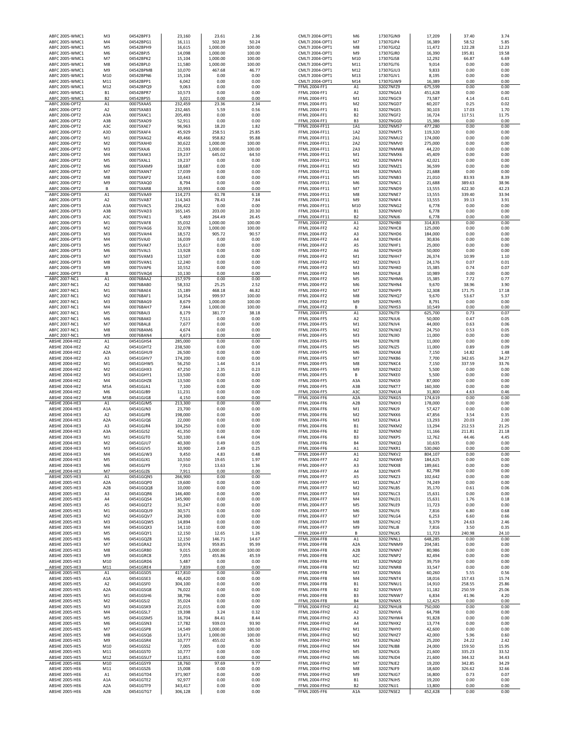| ABFC 2005-WMC1                                 | M <sub>3</sub>                   | 04542BPF3              | 23,160            | 23.61              | 2.36             | CMLTI 2004-OPT1                              | M <sub>6</sub>                       | 17307GJN9              | 17,209            | 37.40         | 3.74         |
|------------------------------------------------|----------------------------------|------------------------|-------------------|--------------------|------------------|----------------------------------------------|--------------------------------------|------------------------|-------------------|---------------|--------------|
| ABFC 2005-WMC1                                 | M <sub>4</sub>                   | 04542BPG1              | 16,111            | 502.39             | 50.24            | CMLTI 2004-OPT1                              | M7                                   | 17307GJP4              | 16,389            | 58.52         | 5.85         |
| ABFC 2005-WMC1                                 | M <sub>5</sub>                   | 04542BPH9              | 16,615            | 1,000.00           | 100.00           | CMLTI 2004-OPT1                              | M8                                   | 17307GJQ2              | 11,472            | 122.28        | 12.23        |
| ABFC 2005-WMC1                                 | M <sub>6</sub>                   | 04542BPJ5              | 14,098            | 1,000.00           | 100.00           | CMLTI 2004-OPT1                              | M9                                   | 17307GJR0              | 16,390            | 195.81        | 19.58        |
| ABFC 2005-WMC1                                 | M7                               | 04542BPK2              | 15,104            | 1,000.00           | 100.00           | CMLTI 2004-OPT1                              | M10                                  | 17307GJS8              | 12,292            | 66.87         | 6.69         |
| ABFC 2005-WMC1                                 | M8                               | 04542BPL0              | 11,580            | 1,000.00           | 100.00           | CMLTI 2004-OPT1                              | M11                                  | 17307GJT6              | 9,014             | 0.00          | 0.00         |
| ABFC 2005-WMC1                                 | M <sub>9</sub>                   | 04542BPM8              | 10,070            | 467.68             | 46.77            | CMLTI 2004-OPT1                              | M12                                  | 17307GJU3              | 9,833             | 0.00          | 0.00         |
| ABFC 2005-WMC1                                 | M10                              | 04542BPN6              | 15,104            | 0.00               | 0.00             | CMLTI 2004-OPT1                              | M13                                  | 17307GJV1              | 8,195             | 0.00          | 0.00         |
| ABFC 2005-WMC1                                 | M11                              | 04542BPP1              | 6,042             | 0.00               | 0.00             | CMLTI 2004-OPT1                              | M14                                  | 17307GJW9              | 16,389            | 0.00          | 0.00         |
| ABFC 2005-WMC1                                 | M12                              | 04542BPQ9              | 9,063             | 0.00               | 0.00             | FFML 2004-FF1                                | A1                                   | 32027NFZ9              | 675,599           | 0.00          | 0.00         |
| ABFC 2005-WMC1                                 | <b>B1</b>                        | 04542BPR7              | 10,573            | 0.00               | 0.00             | FFML 2004-FF1                                | A <sub>2</sub>                       | 32027NGA3              | 451,628           | 0.00          | 0.00         |
| ABFC 2005-WMC1                                 | <b>B2</b>                        | 04542BPS5              | 3,021             | 0.00               | 0.00             | FFML 2004-FF1                                | M1                                   | 32027NGC9              | 73,587            | 4.14          | 0.41         |
| ABFC 2006-OPT2                                 | A1                               | 00075XAA5              | 232,459           | 23.36              | 2.34             | FFML 2004-FF1                                | M <sub>2</sub>                       | 32027NGD7              | 60,207            | 0.25          | 0.02         |
| ABFC 2006-OPT2                                 | A <sub>2</sub>                   | 00075XAB3              | 232,465           | 5.59               | 0.56             | FFML 2004-FF1                                | <b>B1</b>                            | 32027NGE5              | 30,103            | 17.03         | 1.70         |
| ABFC 2006-OPT2                                 | A3A                              | 00075XAC1              | 205,493           | 0.00               | 0.00             | FFML 2004-FF1                                | B <sub>2</sub>                       | 32027NGF2              | 16,724            | 117.51        | 11.75        |
| ABFC 2006-OPT2                                 | A3B                              | 00075XAD9              | 52,911            | 0.00               | 0.00             | FFML 2004-FF1                                | B <sub>3</sub>                       | 32027NGG0              | 15,386            | 0.00          | 0.00         |
| ABFC 2006-OPT2                                 | A3C                              | 00075XAE7              | 96,963            | 18.20              | 1.82             | FFML 2004-FF11                               | 1A1                                  | 32027NMS7              | 477,280           | 0.00          | 0.00         |
| ABFC 2006-OPT2                                 | A3D                              | 00075XAF4              | 45,929            | 258.51             | 25.85            | FFML 2004-FF11                               | 1A2                                  | 32027NMT5              | 119,320           | 0.00          | 0.00         |
| ABFC 2006-OPT2                                 | M <sub>1</sub>                   | 00075XAG2              | 49,466            | 958.82             | 95.88            | FFML 2004-FF11                               | 2A1                                  | 32027NMU2              | 174,000           | 0.00          | 0.00         |
| ABFC 2006-OPT2                                 | M <sub>2</sub>                   | 00075XAH0              | 30,622            | 1,000.00           | 100.00           | FFML 2004-FF11                               | 2A2                                  | 32027NMV0              | 275,000           | 0.00          | 0.00         |
| ABFC 2006-OPT2                                 | M <sub>3</sub>                   | 00075XAJ6              | 21,593            | 1,000.00           | 100.00           | FFML 2004-FF11                               | 2A3                                  | 32027NMW8              | 44,220            | 0.00          | 0.00         |
| ABFC 2006-OPT2                                 | M <sub>4</sub>                   | 00075XAK3              | 19,237            | 645.02             | 64.50            | FFML 2004-FF11                               | M1                                   | 32027NMX6              | 45,409            | 0.00          | 0.00         |
| ABFC 2006-OPT2                                 | M <sub>5</sub>                   | 00075XAL1              | 19,237            | 0.00               | 0.00             | FFML 2004-FF11                               | M <sub>2</sub>                       | 32027NMY4              | 42,021            | 0.00          | 0.00         |
| ABFC 2006-OPT2                                 | M <sub>6</sub>                   | 00075XAM9              | 18,687            | 0.00               | 0.00             | FFML 2004-FF11                               | M3                                   | 32027NMZ1              | 36,599            | 0.00          | 0.00         |
| ABFC 2006-OPT2<br>ABFC 2006-OPT2               | M7<br>M8                         | 00075XAN7<br>00075XAP2 | 17,039<br>10,443  | 0.00<br>0.00       | 0.00<br>0.00     | FFML 2004-FF11<br>FFML 2004-FF11             | M4<br>M <sub>5</sub>                 | 32027NNA5<br>32027NNB3 | 21,688<br>21,010  | 0.00<br>83.93 | 0.00<br>8.39 |
| ABFC 2006-OPT2                                 | M <sub>9</sub>                   | 00075XAQ0              | 8,794             | 0.00               | 0.00             | FFML 2004-FF11                               | M <sub>6</sub>                       | 32027NNC1              | 21,688            | 389.63        | 38.96        |
| ABFC 2006-OPT2                                 | B                                | 00075XAR8              | 10,993            | 0.00               | 0.00             | FFML 2004-FF11                               | M7                                   | 32027NND9              | 13,555            | 422.30        | 42.23        |
| ABFC 2006-OPT3                                 | A1                               | 00075VAA9              | 114,273           | 61.78              | 6.18             | FFML 2004-FF11                               | M8                                   | 32027NNE7              | 13,555            | 339.40        | 33.94        |
| ABFC 2006-OPT3                                 | A2                               | 00075VAB7              | 114,343           | 78.43              | 7.84             | FFML 2004-FF11                               | M9                                   | 32027NNF4              | 13,555            | 39.13         | 3.91         |
| ABFC 2006-OPT3                                 | A3A                              | 00075VAC5              | 236,422           | 0.00               | 0.00             | FFML 2004-FF11                               | M10                                  | 32027NNG2              | 6,778             | 0.00          | 0.00         |
| ABFC 2006-OPT3                                 | A3B                              | 00075VAD3              | 165,145           | 203.00             | 20.30            | FFML 2004-FF11                               | <b>B1</b>                            | 32027NNH0              | 6,778             | 0.00          | 0.00         |
| ABFC 2006-OPT3                                 | A3C                              | 00075VAE1              | 5,469             | 264.49             | 26.45            | FFML 2004-FF11                               | <b>B2</b>                            | 32027NNJ6              | 6,778             | 0.00          | 0.00         |
| ABFC 2006-OPT3                                 | M1                               | 00075VAF8              | 35,032            | 1,000.00           | 100.00           | FFML 2004-FF2                                | A1                                   | 32027NHB0              | 314,835           | 0.00          | 0.00         |
| ABFC 2006-OPT3                                 | M <sub>2</sub>                   | 00075VAG6              | 32,078            | 1,000.00           | 100.00           | FFML 2004-FF2                                | A <sub>2</sub>                       | 32027NHC8              | 125,000           | 0.00          | 0.00         |
| ABFC 2006-OPT3                                 | M <sub>3</sub>                   | 00075VAH4              | 18,572            | 905.72             | 90.57            | FFML 2004-FF2                                | A3                                   | 32027NHD6              | 184,000           | 0.00          | 0.00         |
| ABFC 2006-OPT3                                 | M <sub>4</sub>                   | 00075VAJ0              | 16,039            | 0.00               | 0.00             | FFML 2004-FF2                                | A4                                   | 32027NHE4              | 30,836            | 0.00          | 0.00         |
| ABFC 2006-OPT3                                 | M <sub>5</sub>                   | 00075VAK7              | 15,617            | 0.00               | 0.00             | <b>FFML 2004-FF2</b>                         | A5                                   | 32027NHF1              | 25,000            | 0.00          | 0.00         |
| ABFC 2006-OPT3                                 | M <sub>6</sub>                   | 00075VAL5              | 13,928            | 0.00               | 0.00             | FFML 2004-FF2                                | A6                                   | 32027NHG9              | 50,000            | 0.00          | 0.00         |
| ABFC 2006-OPT3                                 | M7                               | 00075VAM3              | 13,507            | 0.00               | 0.00             | <b>FFML 2004-FF2</b>                         | M1                                   | 32027NHH7              | 26,374            | 10.99         | 1.10         |
| ABFC 2006-OPT3                                 | M8                               | 00075VAN1              | 12,240            | 0.00               | 0.00             | FFML 2004-FF2                                | M <sub>2</sub>                       | 32027NHJ3              | 24,176            | 0.07          | 0.01         |
| ABFC 2006-OPT3                                 | M <sub>9</sub>                   | 00075VAP6              | 10,552            | 0.00               | 0.00             | <b>FFML 2004-FF2</b>                         | M <sub>3</sub>                       | 32027NHK0              | 15,385            | 0.74          | 0.07         |
| ABFC 2006-OPT3                                 | B                                | 00075VAQ4              | 10,130            | 0.00               | 0.00             | FFML 2004-FF2                                | M4                                   | 32027NHL8              | 10,989            | 0.00          | 0.00         |
| ABFC 2007-NC1                                  | A1                               | 00076BAA2              | 157,979           | 0.00               | 0.00             | FFML 2004-FF2                                | M5                                   | 32027NHM6              | 15,385            | 7.72          | 0.77         |
| ABFC 2007-NC1                                  | A <sub>2</sub>                   | 00076BAB0              | 58,332            | 25.25              | 2.52             | FFML 2004-FF2                                | M6                                   | 32027NHN4              | 9,670             | 38.96         | 3.90         |
| ABFC 2007-NC1                                  | M1                               | 00076BAE4              | 15,189            | 468.18             | 46.82            | FFML 2004-FF2                                | M7                                   | 32027NHP9              | 12,308            | 171.75        | 17.18        |
| ABFC 2007-NC1<br>ABFC 2007-NC1                 | M <sub>2</sub><br>M <sub>3</sub> | 00076BAF1<br>00076BAG9 | 14,354<br>8,679   | 999.97<br>1,000.00 | 100.00<br>100.00 | FFML 2004-FF2<br>FFML 2004-FF2               | M8<br>M9                             | 32027NHQ7<br>32027NHR5 | 9,670<br>8,791    | 53.67<br>0.00 | 5.37<br>0.00 |
| ABFC 2007-NC1                                  | M <sub>4</sub>                   | 00076BAH7              | 7,844             | 1,000.00           | 100.00           | FFML 2004-FF2                                | B                                    | 32027NHS3              | 10,549            | 0.00          | 0.00         |
| ABFC 2007-NC1                                  | M <sub>5</sub>                   | 00076BAJ3              | 8,179             | 381.77             | 38.18            | <b>FFML 2004-FF5</b>                         | A1                                   | 32027NJT9              | 625,700           | 0.73          | 0.07         |
| ABFC 2007-NC1                                  | M <sub>6</sub>                   | 00076BAK0              | 7,511             | 0.00               | 0.00             | <b>FFML 2004-FF5</b>                         | A <sub>2</sub>                       | 32027NJU6              | 50,000            | 0.47          | 0.05         |
| ABFC 2007-NC1                                  | M7                               | 00076BAL8              | 7,677             | 0.00               | 0.00             | <b>FFML 2004-FF5</b>                         | M1                                   | 32027NJV4              | 44,000            | 0.63          | 0.06         |
| ABFC 2007-NC1                                  | M8                               | 00076BAM6              | 4,674             | 0.00               | 0.00             | <b>FFML 2004-FF5</b>                         | M <sub>2</sub>                       | 32027NJW2              | 24,750            | 0.53          | 0.05         |
| ABFC 2007-NC1                                  | M <sub>9</sub>                   | 00076BAN4              | 4,673             | 0.00               | 0.00             | <b>FFML 2004-FF5</b>                         | M3                                   | 32027NJX0              | 11,000            | 0.00          | 0.00         |
| ABSHE 2004-HE2                                 | A1                               | 04541GHS4              | 285,000           | 0.00               | 0.00             | <b>FFML 2004-FF5</b>                         | MA                                   | 32027NJY8              | 11,000            | 0.00          | 0.00         |
| ABSHE 2004-HE2                                 | A <sub>2</sub>                   | 04541GHT2              | 238,500           | 0.00               | 0.00             | <b>FFML 2004-FF5</b>                         | M <sub>5</sub>                       | 32027NJZ5              | 11,000            | 0.89          | 0.09         |
| ABSHE 2004-HE2                                 | A <sub>2</sub> A                 | 04541GHU9              | 26,500            | 0.00               | 0.00             | <b>FFML 2004-FF5</b>                         | M6                                   | 32027NKA8              | 7,150             | 14.82         | 1.48         |
| ABSHE 2004-HE2                                 | A3                               | 04541GHV7              | 174,200           | 0.00               | 0.00             | <b>FFML 2004-FF5</b>                         | M <sub>7</sub>                       | 32027NKB6              | 7,700             | 342.65        | 34.27        |
| <b>ABSHE 2004-HE2</b>                          | M1                               | 04541GHW5              | 56,250            | 1.44               | 0.14             | FFML 2004-FF5                                | M8                                   | 32027NKC4              | 7,150             | 337.59        | 33.76        |
| <b>ABSHE 2004-HE2</b>                          | M <sub>2</sub>                   | 04541GHX3              | 47,250            | 2.35               | 0.23             | <b>FFML 2004-FF5</b>                         | M9                                   | 32027NKD2              | 5,500             | 0.00          | 0.00         |
| ABSHE 2004-HE2                                 | M <sub>3</sub>                   | 04541GHY1              | 13,500            | 0.00               | 0.00             | <b>FFML 2004-FF5</b>                         | В                                    | 32027NKE0              | 5,500             | 0.00          | 0.00         |
| ABSHE 2004-HE2                                 | M <sub>4</sub>                   | 04541GHZ8              | 13,500            | 0.00               | 0.00             | <b>FFML 2004-FF5</b>                         | A3A                                  | 32027NKS9              | 87,000            | 0.00          | 0.00         |
| ABSHE 2004-HE2<br>ABSHE 2004-HE2               | M5A<br>M <sub>6</sub>            | 04541GJA1<br>04541GJB9 | 7,100             | 0.00<br>0.00       | 0.00<br>0.00     | <b>FFML 2004-FF5</b><br><b>FFML 2004-FF5</b> | A3B<br>A <sub>3</sub> C              | 32027NKT7<br>32027NKU4 | 160,300<br>31,800 | 0.00<br>4.63  | 0.00<br>0.46 |
| <b>ABSHE 2004-HE2</b>                          | M5B                              | 04541GJG8              | 11,231            | 0.00               | 0.00             | <b>FFML 2004-FF6</b>                         | A <sub>2</sub> A                     | 32027NKG5              | 174,619           | 0.00          | 0.00         |
| ABSHE 2004-HE3                                 | A1                               | 04541GJM5              | 4,150<br>213,300  | 0.00               | 0.00             | <b>FFML 2004-FF6</b>                         | A <sub>2</sub> B                     | 32027NKH3              | 178,000           | 0.00          | 0.00         |
| ABSHE 2004-HE3                                 | A <sub>1</sub> A                 | 04541GJN3              | 23,700            | 0.00               | 0.00             | <b>FFML 2004-FF6</b>                         | M1                                   | 32027NKJ9              | 57,427            | 0.00          | 0.00         |
| ABSHE 2004-HE3                                 | A <sub>2</sub>                   | 04541GJP8              | 198,000           | 0.00               | 0.00             | <b>FFML 2004-FF6</b>                         | M <sub>2</sub>                       | 32027NKK6              | 47,856            | 3.54          | 0.35         |
| <b>ABSHE 2004-HE3</b>                          | A <sub>2</sub> A                 | 04541GJQ6              | 22,000            | 0.00               | 0.00             | <b>FFML 2004-FF6</b>                         | M <sub>3</sub>                       | 32027NKL4              | 13,293            | 20.03         | 2.00         |
| ABSHE 2004-HE3                                 | A <sub>3</sub>                   | 04541GJR4              | 104,250           | 0.00               | 0.00             | <b>FFML 2004-FF6</b>                         | <b>B1</b>                            | 32027NKM2              | 13,294            | 212.53        | 21.25        |
| ABSHE 2004-HE3                                 | A3A                              | 04541GJS2              | 41,350            | 0.00               | 0.00             | FFML 2004-FF6                                | <b>B2</b>                            | 32027NKN0              | 11,166            | 211.81        | 21.18        |
| ABSHE 2004-HE3                                 | M <sub>1</sub>                   | 04541GJT0              | 50,100            | 0.44               | 0.04             | <b>FFML 2004-FF6</b>                         | B <sub>3</sub>                       | 32027NKP5              | 12.762            | 44.46         | 4.45         |
| <b>ABSHE 2004-HE3</b>                          | M <sub>2</sub>                   | 04541GIU7              | 40,300            | 0.49               | 0.05             | <b>FFML 2004-FF6</b>                         | <b>B4</b>                            | 32027NKQ3              | 10,635            | 0.00          | 0.00         |
| ABSHE 2004-HE3                                 | M3                               | 04541GJV5              | 10,900            | 2.49               | 0.25             | FFML 2004-FF6                                | A1                                   | 32027NKR1              | 530,060           | 0.00          | 0.00         |
| <b>ABSHE 2004-HE3</b>                          | M4                               | 04541GJW3              | 9,450             | 4.83               | 0.48             | <b>FFML 2004-FF7</b>                         | A1                                   | 32027NKV2              | 804,107           | 0.00          | 0.00         |
| ABSHE 2004-HE3                                 | M5                               | 04541GJX1              | 10,550            | 19.65              | 1.97             | <b>FFML 2004-FF7</b>                         | A <sub>2</sub>                       | 32027NKW0              | 184,625           | 0.00          | 0.00         |
| ABSHE 2004-HE3                                 | M <sub>6</sub>                   | 04541GJY9              | 7,910             | 13.63              | 1.36             | FFML 2004-FF7                                | A3                                   | 32027NKX8              | 189,661           | 0.00          | 0.00         |
| ABSHE 2004-HE3                                 | M7                               | 04541GJZ6              | 7,911             | 0.00               | 0.00             | <b>FFML 2004-FF7</b>                         | A4                                   | 32027NKY6              | 82,798            | 0.00          | 0.00         |
| ABSHE 2005-HE3<br>ABSHE 2005-HE3               | A1<br>A <sub>2</sub> A           | 04541GQN5<br>04541GQP0 | 266,900<br>19,600 | 0.00<br>0.00       | 0.00<br>0.00     | FFML 2004-FF7<br>FFML 2004-FF7               | A5<br>M1                             | 32027NKZ3<br>32027NLA7 | 102,642<br>74,249 | 0.00<br>0.00  | 0.00<br>0.00 |
| <b>ABSHE 2005-HE3</b>                          | A <sub>2</sub> B                 | 04541GQQ8              | 10,000            | 0.00               | 0.00             | FFML 2004-FF7                                | M <sub>2</sub>                       | 32027NLB5              | 35,170            | 0.61          | 0.06         |
| ABSHE 2005-HE3                                 | A3                               | 04541GQR6              | 146,400           | 0.00               | 0.00             | FFML 2004-FF7                                | M3                                   | 32027NLC3              | 15,631            | 0.00          | 0.00         |
| ABSHE 2005-HE3                                 | A4                               | 04541GQS4              | 145,900           | 0.00               | 0.00             | FFML 2004-FF7                                | M4                                   | 32027NLD1              | 15,631            | 1.76          | 0.18         |
| ABSHE 2005-HE3                                 | A5                               | 04541GQT2              | 31,247            | 0.00               | 0.00             | FFML 2004-FF7                                | M5                                   | 32027NLE9              | 11,723            | 0.00          | 0.00         |
| ABSHE 2005-HE3                                 | M1                               | 04541GQU9              | 30,571            | 0.00               | 0.00             | FFML 2004-FF7                                | M6                                   | 32027NLF6              | 7,816             | 6.80          | 0.68         |
| ABSHE 2005-HE3                                 | M <sub>2</sub>                   | 04541GQV7              | 24,300            | 0.00               | 0.00             | FFML 2004-FF7                                | M7                                   | 32027NLG4              | 6,253             | 6.60          | 0.66         |
| <b>ABSHE 2005-HE3</b>                          | M3                               | 04541GQW5              | 14,894            | 0.00               | 0.00             | <b>FFML 2004-FF7</b>                         | M8                                   | 32027NLH2              | 9,379             | 24.63         | 2.46         |
| ABSHE 2005-HE3                                 | M <sub>4</sub>                   | 04541GQX3              | 14,110            | 0.00               | 0.00             | FFML 2004-FF7                                | M9                                   | 32027NLJ8              | 7,816             | 3.50          | 0.35         |
| ABSHE 2005-HE3                                 | M <sub>5</sub>                   | 04541GQY1              | 12,150            | 12.65              | 1.26             | <b>FFML 2004-FF7</b>                         | В                                    | 32027NLK5              | 11,723            | 240.98        | 24.10        |
| ABSHE 2005-HE3                                 | M <sub>6</sub>                   | 04541GQZ8              | 12,150            | 146.71             | 14.67            | <b>FFML 2004-FF8</b>                         | A1                                   | 32027NNL1              | 648,285           | 0.00          | 0.00         |
| ABSHE 2005-HE3                                 | M7<br>M8                         | 04541GRA2              | 10,974            | 959.85             | 95.99<br>100.00  | <b>FFML 2004-FF8</b>                         | A <sub>2</sub> A<br>A <sub>2</sub> B | 32027NNM9              | 204,581           | 0.00          | 0.00<br>0.00 |
| ABSHE 2005-HE3<br>ABSHE 2005-HE3               | M9                               | 04541GRB0<br>04541GRC8 | 9,015<br>7,055    | 1,000.00<br>455.86 | 45.59            | <b>FFML 2004-FF8</b><br><b>FFML 2004-FF8</b> | A <sub>2</sub> C                     | 32027NNN7<br>32027NNP2 | 80,986<br>82,494  | 0.00<br>0.00  | 0.00         |
| ABSHE 2005-HE3                                 | M10                              | 04541GRD6              | 5,487             | 0.00               | 0.00             | <b>FFML 2004-FF8</b>                         | M1                                   | 32027NNQ0              | 39,759            | 0.00          | 0.00         |
| ABSHE 2005-HE3                                 | M11                              | 04541GRE4              | 7,839             | 0.00               | 0.00             | <b>FFML 2004-FF8</b>                         | M <sub>2</sub>                       | 32027NNR8              | 33,547            | 0.00          | 0.00         |
| <b>ABSHE 2005-HE5</b>                          | A1                               | 04541GSD5              | 417,810           | 0.00               | 0.00             | <b>FFML 2004-FF8</b>                         | M3                                   | 32027NNS6              | 60,260            | 5.55          | 0.56         |
| <b>ABSHE 2005-HE5</b>                          | A <sub>1</sub> A                 | 04541GSE3              | 46,420            | 0.00               | 0.00             | <b>FFML 2004-FF8</b>                         | M4                                   | 32027NNT4              | 18,016            | 157.43        | 15.74        |
| <b>ABSHE 2005-HE5</b>                          | A <sub>2</sub>                   | 04541GSF0              | 304,100           | 0.00               | 0.00             | <b>FFML 2004-FF8</b>                         | <b>B1</b>                            | 32027NNU1              | 14,910            | 258.55        | 25.86        |
| <b>ABSHE 2005-HE5</b>                          | A <sub>2</sub> A                 | 04541GSG8              | 76,022            | 0.00               | 0.00             | <b>FFML 2004-FF8</b>                         | <b>B2</b>                            | 32027NNV9              | 11,182            | 250.59        | 25.06        |
| <b>ABSHE 2005-HE5</b>                          | M1                               | 04541GSH6              | 38,796            | 0.00               | 0.00             | <b>FFML 2004-FF8</b>                         | B <sub>3</sub>                       | 32027NNW7              | 6,834             | 41.96         | 4.20         |
| <b>ABSHE 2005-HE5</b>                          | M <sub>2</sub>                   | 04541GSJ2              | 35,024            | 0.00               | 0.00             | <b>FFML 2004-FF8</b>                         | <b>B4</b>                            | 32027NNX5              | 12,425            | 0.00          | 0.00         |
| <b>ABSHE 2005-HE5</b>                          | M3                               | 04541GSK9              | 21,015            | 0.00               | 0.00             | <b>FFML 2004-FFH2</b>                        | A1                                   | 32027NHU8              | 750,000           | 0.00          | 0.00         |
| <b>ABSHE 2005-HE5</b>                          | M4                               | 04541GSL7              | 19,398            | 3.24               | 0.32             | <b>FFML 2004-FFH2</b>                        | A2                                   | 32027NHV6              | 64,798            | 0.00          | 0.00         |
| <b>ABSHE 2005-HE5</b>                          | M5                               | 04541GSM5              | 16,704            | 84.41              | 8.44             | <b>FFML 2004-FFH2</b>                        | A3                                   | 32027NHW4              | 91,828            | 0.00          | 0.00         |
| ABSHE 2005-HE5                                 | M <sub>6</sub>                   | 04541GSN3              | 17,782            | 939.03             | 93.90            | FFML 2004-FFH2                               | A4                                   | 32027NHX2              | 13,774            | 0.00          | 0.00         |
| <b>ABSHE 2005-HE5</b>                          | M7                               | 04541GSP8              | 14,549            | 1,000.00           | 100.00           | FFML 2004-FFH2                               | M1                                   | 32027NHY0              | 42,600            | 0.00          | 0.00<br>0.60 |
| <b>ABSHE 2005-HE5</b><br><b>ABSHE 2005-HE5</b> | M8<br>M9                         | 04541GSQ6<br>04541GSR4 | 13,471<br>10,777  | 1,000.00<br>455.02 | 100.00<br>45.50  | FFML 2004-FFH2<br>FFML 2004-FFH2             | M <sub>2</sub><br>M3                 | 32027NHZ7<br>32027NJA0 | 42,000<br>25,200  | 5.96<br>24.22 | 2.42         |
| <b>ABSHE 2005-HE5</b>                          | M10                              | 04541GSS2              | 7,005             | 0.00               | 0.00             | <b>FFML 2004-FFH2</b>                        | M4                                   | 32027NJB8              | 24,000            | 159.50        | 15.95        |
| <b>ABSHE 2005-HE5</b>                          | M11                              | 04541GST0              | 10,777            | 0.00               | 0.00             | <b>FFML 2004-FFH2</b>                        | M5                                   | 32027NJC6              | 21,600            | 335.23        | 33.52        |
| <b>ABSHE 2005-HE5</b>                          | M12                              | 04541GSU7              | 11,851            | 0.00               | 0.00             | <b>FFML 2004-FFH2</b>                        | M6                                   | 32027NJD4              | 21,600            | 344.32        | 34.43        |
| ABSHE 2005-HE6                                 | M10                              | 04541GSY9              | 18,760            | 97.69              | 9.77             | <b>FFML 2004-FFH2</b>                        | M7                                   | 32027NJE2              | 19,200            | 342.85        | 34.29        |
| <b>ABSHE 2005-HE6</b>                          | M11                              | 04541GSZ6              | 15,008            | 0.00               | 0.00             | <b>FFML 2004-FFH2</b>                        | M8                                   | 32027NJF9              | 18,600            | 326.62        | 32.66        |
| ABSHE 2005-HE6                                 | A1                               | 04541GTD4              | 371,907           | 0.00               | 0.00             | <b>FFML 2004-FFH2</b>                        | M9                                   | 32027NJG7              | 16,800            | 0.73          | 0.07         |
| ABSHE 2005-HE6                                 | A <sub>1</sub> A                 | 04541GTE2              | 92,977            | 0.00               | 0.00             | <b>FFML 2004-FFH2</b>                        | <b>B1</b>                            | 32027NJH5              | 19,200            | 0.00          | 0.00         |
| ABSHE 2005-HE6                                 | A <sub>2</sub> A                 | 04541GTF9              | 343,417           | 0.00               | 0.00             | <b>FFML 2004-FFH2</b>                        | B <sub>2</sub>                       | 32027NJJ1              | 13,800            | 0.00          | 0.00         |
| <b>ABSHE 2005-HE6</b>                          | A2B                              | 04541GTG7              | 306.128           | 0.00               | 0.00             | <b>FFML 2005-FF6</b>                         | A <sub>1</sub> A                     | 32027NSE2              | 452.428           | 0.00          | 0.00         |

| 3PG1             |                   | 502.39       | 50.24        | <b>CMLTI 2004-OPT1</b>         | M7                               | 17307GJP4              | 16,389            | 58.52        | 5.85         |  |
|------------------|-------------------|--------------|--------------|--------------------------------|----------------------------------|------------------------|-------------------|--------------|--------------|--|
|                  | 16,111            |              |              |                                |                                  |                        |                   |              |              |  |
| 3PH9             | 16,615            | 1,000.00     | 100.00       | CMLTI 2004-OPT1                | M8                               | 17307GJQ2              | 11,472            | 122.28       | 12.23        |  |
| 3PJ5             | 14,098            | 1,000.00     | 100.00       | CMLTI 2004-OPT1                | M9                               | 17307GJR0              | 16,390            | 195.81       | 19.58        |  |
| 3PK2             | 15,104            | 1,000.00     | 100.00       | CMLTI 2004-OPT1                | M10                              | 17307GJS8              | 12,292            | 66.87        | 6.69         |  |
| 3PLO             | 11,580            | 1,000.00     | 100.00       | CMLTI 2004-OPT1                | M11                              | 17307GJT6              | 9,014             | 0.00         | 0.00         |  |
| 3PM8             | 10,070            | 467.68       | 46.77        | CMLTI 2004-OPT1                | M12                              | 17307GJU3              | 9,833             | 0.00         | 0.00         |  |
| 3PN6             | 15,104            | 0.00         | 0.00         | CMLTI 2004-OPT1                | M13                              | 17307GJV1              | 8,195             | 0.00         | 0.00         |  |
| 3PP1             | 6,042             | 0.00         | 0.00         | CMLTI 2004-OPT1                | M14                              | 17307GJW9              | 16,389            | 0.00         | 0.00         |  |
| 3PQ9             | 9,063             | 0.00         | 0.00         | FFML 2004-FF1                  | A1                               | 32027NFZ9              | 675,599           | 0.00         | 0.00         |  |
| 3PR7             | 10,573            | 0.00         | 0.00         | FFML 2004-FF1                  | A <sub>2</sub>                   | 32027NGA3              | 451,628           | 0.00         | 0.00         |  |
| 3PS5             | 3,021             | 0.00         | 0.00         | <b>FFML 2004-FF1</b>           | M1                               | 32027NGC9              | 73,587            | 4.14         | 0.41         |  |
| <b>GAA5</b>      | 232,459           | 23.36        | 2.34         | <b>FFML 2004-FF1</b>           | M <sub>2</sub>                   | 32027NGD7              | 60,207            | 0.25         | 0.02         |  |
| <b>KAB3</b>      | 232,465           | 5.59         | 0.56         | FFML 2004-FF1                  | <b>B1</b>                        | 32027NGE5              | 30,103            | 17.03        | 1.70         |  |
| KAC1             | 205,493           | 0.00         | 0.00         | <b>FFML 2004-FF1</b>           | <b>B2</b>                        | 32027NGF2              | 16,724            | 117.51       | 11.75        |  |
| KAD9             | 52,911            | 0.00         | 0.00         | FFML 2004-FF1                  | B <sub>3</sub>                   | 32027NGG0              | 15,386            | 0.00         | 0.00         |  |
| (AE7             | 96,963            | 18.20        | 1.82         | FFML 2004-FF11                 | 1A1                              | 32027NMS7              | 477,280           | 0.00         | 0.00         |  |
| <b>KAF4</b>      |                   | 258.51       | 25.85        | FFML 2004-FF11                 | 1A2                              | 32027NMT5              |                   | 0.00         | 0.00         |  |
|                  | 45,929            |              |              |                                |                                  |                        | 119,320           |              |              |  |
| KAG2             | 49,466            | 958.82       | 95.88        | FFML 2004-FF11                 | 2A1                              | 32027NMU2              | 174,000           | 0.00         | 0.00         |  |
| (AHO             | 30,622            | 1,000.00     | 100.00       | FFML 2004-FF11                 | 2A2                              | 32027NMV0              | 275,000           | 0.00         | 0.00         |  |
| GLA)             | 21,593            | 1,000.00     | 100.00       | FFML 2004-FF11                 | 2A3                              | 32027NMW8              | 44,220            | 0.00         | 0.00         |  |
| KAK3             | 19,237            | 645.02       | 64.50        | FFML 2004-FF11                 | M <sub>1</sub>                   | 32027NMX6              | 45,409            | 0.00         | 0.00         |  |
| <b>KAL1</b>      | 19,237            | 0.00         | 0.00         | FFML 2004-FF11                 | M <sub>2</sub>                   | 32027NMY4              | 42,021            | 0.00         | 0.00         |  |
| <b>KAM9</b>      | 18,687            | 0.00         | 0.00         | FFML 2004-FF11                 | M <sub>3</sub>                   | 32027NMZ1              | 36,599            | 0.00         | 0.00         |  |
| <b>KAN7</b>      | 17,039            | 0.00         | 0.00         | FFML 2004-FF11                 | M <sub>4</sub>                   | 32027NNA5              | 21,688            | 0.00         | 0.00         |  |
| KAP2             | 10,443            | 0.00         | 0.00         | <b>FFML 2004-FF11</b>          | M <sub>5</sub>                   | 32027NNB3              | 21,010            | 83.93        | 8.39         |  |
| KAQ0             | 8,794             | 0.00         | 0.00         | FFML 2004-FF11                 | M <sub>6</sub>                   | 32027NNC1              | 21,688            | 389.63       | 38.96        |  |
| KAR8             | 10,993            | 0.00         | 0.00         | FFML 2004-FF11                 | M7                               | 32027NND9              | 13,555            | 422.30       | 42.23        |  |
| /AA9             | 114,273           | 61.78        | 6.18         | FFML 2004-FF11                 | M <sub>8</sub>                   | 32027NNE7              | 13,555            | 339.40       | 33.94        |  |
| /AB7             | 114,343           | 78.43        | 7.84         | FFML 2004-FF11                 | M <sub>9</sub>                   | 32027NNF4              | 13,555            | 39.13        | 3.91         |  |
| /AC5             | 236,422           | 0.00         | 0.00         | FFML 2004-FF11                 | M10                              | 32027NNG2              | 6,778             | 0.00         | 0.00         |  |
| /AD3             | 165,145           | 203.00       | 20.30        | FFML 2004-FF11                 | <b>B1</b>                        | 32027NNH0              | 6,778             | 0.00         | 0.00         |  |
| /AE1             | 5,469             | 264.49       | 26.45        | FFML 2004-FF11                 | <b>B2</b>                        | 32027NNJ6              | 6,778             | 0.00         | 0.00         |  |
| /AF8             | 35,032            | 1.000.00     | 100.00       | FFML 2004-FF2                  | A1                               | 32027NHB0              | 314,835           | 0.00         | 0.00         |  |
| /AG6             | 32,078            | 1,000.00     | 100.00       | <b>FFML 2004-FF2</b>           | A <sub>2</sub>                   | 32027NHC8              | 125,000           | 0.00         | 0.00         |  |
| /AH4             | 18,572            | 905.72       | 90.57        | FFML 2004-FF2                  | A3                               | 32027NHD6              | 184,000           | 0.00         | 0.00         |  |
| /AJO             | 16,039            | 0.00         | 0.00         | FFML 2004-FF2                  | A4                               | 32027NHE4              | 30,836            | 0.00         | 0.00         |  |
| /AK7             | 15,617            | 0.00         | 0.00         | <b>FFML 2004-FF2</b>           | A5                               | 32027NHF1              | 25,000            | 0.00         | 0.00         |  |
| /AL5             |                   | 0.00         | 0.00         | <b>FFML 2004-FF2</b>           | A6                               | 32027NHG9              | 50,000            | 0.00         | 0.00         |  |
|                  | 13,928            |              |              |                                |                                  |                        |                   |              |              |  |
| /AM3             | 13,507            | 0.00         | 0.00         | FFML 2004-FF2                  | M1                               | 32027NHH7              | 26,374            | 10.99        | 1.10         |  |
| /AN1             | 12,240            | 0.00         | 0.00         | FFML 2004-FF2                  | M <sub>2</sub>                   | 32027NHJ3              | 24,176            | 0.07         | 0.01         |  |
| /AP6             | 10,552            | 0.00         | 0.00         | FFML 2004-FF2                  | M3                               | 32027NHK0              | 15,385            | 0.74         | 0.07         |  |
| /AQ4             | 10,130            | 0.00         | 0.00         | <b>FFML 2004-FF2</b>           | M <sub>4</sub>                   | 32027NHL8              | 10,989            | 0.00         | 0.00         |  |
| 3AA2             | 157,979           | 0.00         | 0.00         | FFML 2004-FF2                  | M <sub>5</sub>                   | 32027NHM6              | 15,385            | 7.72         | 0.77         |  |
| 3ABO             | 58,332            | 25.25        | 2.52         | FFML 2004-FF2                  | M6                               | 32027NHN4              | 9,670             | 38.96        | 3.90         |  |
| 3AE4             | 15,189            | 468.18       | 46.82        | <b>FFML 2004-FF2</b>           | M7                               | 32027NHP9              | 12,308            | 171.75       | 17.18        |  |
| 3AF1             | 14,354            | 999.97       | 100.00       | <b>FFML 2004-FF2</b>           | M8                               | 32027NHQ7              | 9,670             | 53.67        | 5.37         |  |
| 3AG9             | 8,679             | 1,000.00     | 100.00       | <b>FFML 2004-FF2</b>           | M <sub>9</sub>                   | 32027NHR5              | 8,791             | 0.00         | 0.00         |  |
| 3AH7             | 7,844             | 1,000.00     | 100.00       | <b>FFML 2004-FF2</b>           | B                                | 32027NHS3              | 10,549            | 0.00         | 0.00         |  |
| BAJ3             | 8,179             | 381.77       | 38.18        | <b>FFML 2004-FF5</b>           | A1                               | 32027NJT9              | 625,700           | 0.73         | 0.07         |  |
| <b>BAKO</b>      | 7,511             | 0.00         | 0.00         | <b>FFML 2004-FF5</b>           | A <sub>2</sub>                   | 32027NJU6              | 50,000            | 0.47         | 0.05         |  |
| 3AL8             | 7,677             | 0.00         | 0.00         | <b>FFML 2004-FF5</b>           | M <sub>1</sub>                   | 32027NJV4              | 44,000            | 0.63         | 0.06         |  |
| 3AM6             | 4,674             | 0.00         | 0.00         | <b>FFML 2004-FF5</b>           | M <sub>2</sub>                   | 32027NJW2              | 24,750            | 0.53         | 0.05         |  |
| 3AN4             | 4,673             | 0.00         | 0.00         | <b>FFML 2004-FF5</b>           | M3                               | 32027NJX0              | 11,000            | 0.00         | 0.00         |  |
| GHS4             | 285,000           | 0.00         | 0.00         | <b>FFML 2004-FF5</b>           | M4                               | 32027NJY8              | 11,000            | 0.00         | 0.00         |  |
| GHT <sub>2</sub> | 238,500           | 0.00         | 0.00         | <b>FFML 2004-FF5</b>           | M <sub>5</sub>                   | 32027NJZ5              | 11,000            | 0.89         | 0.09         |  |
| <b>GHU9</b>      | 26,500            | 0.00         | 0.00         | <b>FFML 2004-FF5</b>           | M <sub>6</sub>                   | 32027NKA8              | 7,150             | 14.82        | 1.48         |  |
| GHV7             | 174,200           | 0.00         | 0.00         | <b>FFML 2004-FF5</b>           | M7                               | 32027NKB6              | 7,700             | 342.65       | 34.27        |  |
|                  |                   | 1.44         | 0.14         | <b>FFML 2004-FF5</b>           | M8                               | 32027NKC4              | 7,150             | 337.59       | 33.76        |  |
| <b>GHW5</b>      | 56,250            |              |              |                                |                                  |                        |                   |              |              |  |
| GXHG             | 47,250            | 2.35         | 0.23         | <b>FFML 2004-FF5</b>           | M <sub>9</sub>                   | 32027NKD2              | 5,500             | 0.00         | 0.00         |  |
| GHY1             | 13,500            | 0.00         | 0.00         | <b>FFML 2004-FF5</b>           | В                                | 32027NKE0              | 5,500             | 0.00         | 0.00         |  |
| GHZ8             | 13,500            | 0.00         | 0.00         | <b>FFML 2004-FF5</b>           | A <sub>3</sub> A                 | 32027NKS9              | 87,000            | 0.00         | 0.00         |  |
| 3JA1             | 7,100             | 0.00         | 0.00         | <b>FFML 2004-FF5</b>           | A3B                              | 32027NKT7              | 160,300           | 0.00         | 0.00         |  |
| GJB9             | 11,231            | 0.00         | 0.00         | <b>FFML 2004-FF5</b>           | A3C                              | 32027NKU4              | 31,800            | 4.63         | 0.46         |  |
| 3JG8             | 4,150             | 0.00         | 0.00         | <b>FFML 2004-FF6</b>           | A <sub>2</sub> A                 | 32027NKG5              | 174,619           | 0.00         | 0.00         |  |
| GJM5             | 213,300           | 0.00         | 0.00         | <b>FFML 2004-FF6</b>           | A <sub>2</sub> B                 | 32027NKH3              | 178,000           | 0.00         | 0.00         |  |
| GJN3             | 23,700            | 0.00         | 0.00         | <b>FFML 2004-FF6</b>           | M1                               | 32027NKJ9              | 57,427            | 0.00         | 0.00         |  |
| GJP8             | 198,000           | 0.00         | 0.00         | <b>FFML 2004-FF6</b>           | M <sub>2</sub>                   | 32027NKK6              | 47,856            | 3.54         | 0.35         |  |
| 3JQ6             | 22,000            | 0.00         | 0.00         | <b>FFML 2004-FF6</b>           | M <sub>3</sub>                   | 32027NKL4              | 13,293            | 20.03        | 2.00         |  |
| GJR4             | 104,250           | 0.00         | 0.00         | FFML 2004-FF6                  | <b>B1</b>                        | 32027NKM2              | 13,294            | 212.53       | 21.25        |  |
| 3JS2             | 41,350            | 0.00         | 0.00         | <b>FFML 2004-FF6</b>           | B <sub>2</sub>                   | 32027NKN0              | 11,166            | 211.81       | 21.18        |  |
| <b>GITO</b>      | 50,100            | 0.44         | 0.04         | <b>FFML 2004-FF6</b>           | B <sub>3</sub>                   | 32027NKP5              | 12,762            | 44.46        | 4.45         |  |
| 3JU7             | 40,300            | 0.49         | 0.05         | FFML 2004-FF6                  | <b>B4</b>                        | 32027NKQ3              | 10,635            | 0.00         | 0.00         |  |
| <b>GJV5</b>      | 10,900            | 2.49         | 0.25         | FFML 2004-FF6                  | A1                               | 32027NKR1              | 530,060           | 0.00         | 0.00         |  |
| 3JW3             | 9,450             | 4.83         | 0.48         | FFML 2004-FF7                  | A1                               | 32027NKV2              | 804,107           | 0.00         | 0.00         |  |
| GJX1             | 10,550            | 19.65        | 1.97         | <b>FFML 2004-FF7</b>           | A2                               | 32027NKW0              | 184,625           | 0.00         | 0.00         |  |
| 3JY9             | 7,910             | 13.63        | 1.36         | FFML 2004-FF7                  | A3                               | 32027NKX8              | 189,661           | 0.00         | 0.00         |  |
| GJZ6             | 7,911             | 0.00         | 0.00         | FFML 2004-FF7                  | A4                               | 32027NKY6              | 82,798            | 0.00         | 0.00         |  |
|                  |                   |              |              |                                |                                  |                        |                   |              |              |  |
| GQN5<br>GQPO     | 266,900<br>19,600 | 0.00<br>0.00 | 0.00<br>0.00 | FFML 2004-FF7<br>FFML 2004-FF7 | A5<br>M1                         | 32027NKZ3<br>32027NLA7 | 102,642<br>74,249 | 0.00<br>0.00 | 0.00<br>0.00 |  |
| 3QQ8             | 10,000            | 0.00         | 0.00         | <b>FFML 2004-FF7</b>           | M <sub>2</sub>                   | 32027NLB5              | 35,170            | 0.61         | 0.06         |  |
|                  |                   |              |              |                                |                                  |                        |                   |              |              |  |
| GQR6             | 146,400           | 0.00         | 0.00         | FFML 2004-FF7                  | M <sub>3</sub><br>M <sub>4</sub> | 32027NLC3              | 15,631            | 0.00         | 0.00         |  |
| GQS4             | 145,900           | 0.00         | 0.00         | FFML 2004-FF7<br>FFMI 2004-FF7 |                                  | 32027NLD1              | 15,631            | 1.76         | 0.18         |  |
| GQT2             | 31,247            | 0.00         | 0.00         |                                | M <sub>5</sub>                   | 32027NLE9              | 11,723            | 0.00         | 0.00         |  |
| 3QU9             | 30,571            | 0.00         | 0.00         | <b>FFML 2004-FF7</b>           | M <sub>6</sub>                   | 32027NLF6              | 7,816             | 6.80         | 0.68         |  |
| GQV7             | 24,300            | 0.00         | 0.00         | FFML 2004-FF7                  | M7                               | 32027NLG4              | 6,253             | 6.60         | 0.66         |  |
| GQW5             | 14,894            | 0.00         | 0.00         | FFML 2004-FF7                  | M8                               | 32027NLH2              | 9,379             | 24.63        | 2.46         |  |
| GXQ              | 14,110            | 0.00         | 0.00         | <b>FFML 2004-FF7</b>           | M <sub>9</sub>                   | 32027NLJ8              | 7,816             | 3.50         | 0.35         |  |
| GQY1             | 12,150            | 12.65        | 1.26         | <b>FFML 2004-FF7</b>           | B                                | 32027NLK5              | 11,723            | 240.98       | 24.10        |  |
| GQZ8             | 12,150            | 146.71       | 14.67        | <b>FFML 2004-FF8</b>           | A1                               | 32027NNL1              | 648,285           | 0.00         | 0.00         |  |
| GRA2             | 10,974            | 959.85       | 95.99        | <b>FFML 2004-FF8</b>           | A <sub>2</sub> A                 | 32027NNM9              | 204,581           | 0.00         | 0.00         |  |
| GRBO             | 9,015             | 1,000.00     | 100.00       | <b>FFML 2004-FF8</b>           | A <sub>2</sub> B                 | 32027NNN7              | 80,986            | 0.00         | 0.00         |  |
| GRC8             | 7,055             | 455.86       | 45.59        | <b>FFML 2004-FF8</b>           | A <sub>2</sub> C                 | 32027NNP2              | 82,494            | 0.00         | 0.00         |  |
| GRD6             | 5,487             | 0.00         | 0.00         | <b>FFML 2004-FF8</b>           | M <sub>1</sub>                   | 32027NNQ0              | 39,759            | 0.00         | 0.00         |  |
| GRE4             | 7,839             | 0.00         | 0.00         | <b>FFML 2004-FF8</b>           | M <sub>2</sub>                   | 32027NNR8              | 33,547            | 0.00         | 0.00         |  |
| GSD5             | 417,810           | 0.00         | 0.00         | <b>FFML 2004-FF8</b>           | M3                               | 32027NNS6              | 60,260            | 5.55         | 0.56         |  |
| GSE3             | 46,420            | 0.00         | 0.00         | <b>FFML 2004-FF8</b>           | M4                               | 32027NNT4              | 18,016            | 157.43       | 15.74        |  |
| 3SFO             | 304,100           | 0.00         | 0.00         | <b>FFML 2004-FF8</b>           | <b>B1</b>                        | 32027NNU1              | 14,910            | 258.55       | 25.86        |  |
| GSG8             | 76,022            | 0.00         | 0.00         | <b>FFML 2004-FF8</b>           | <b>B2</b>                        | 32027NNV9              | 11,182            | 250.59       | 25.06        |  |
| 3SH6             | 38,796            | 0.00         | 0.00         | <b>FFML 2004-FF8</b>           | B3                               | 32027NNW7              | 6,834             | 41.96        | 4.20         |  |
| GSJ2             | 35,024            | 0.00         | 0.00         | <b>FFML 2004-FF8</b>           | <b>B4</b>                        | 32027NNX5              | 12,425            | 0.00         | 0.00         |  |
| 3SK9             | 21,015            | 0.00         | 0.00         | FFML 2004-FFH2                 | A1                               | 32027NHU8              | 750,000           | 0.00         | 0.00         |  |
| 3SL7             | 19,398            | 3.24         | 0.32         | FFML 2004-FFH2                 | A2                               | 32027NHV6              | 64,798            | 0.00         | 0.00         |  |
| 3SM5             | 16,704            | 84.41        | 8.44         | FFML 2004-FFH2                 | A3                               | 32027NHW4              | 91,828            | 0.00         | 0.00         |  |
| 3SN3             | 17,782            | 939.03       | 93.90        | FFML 2004-FFH2                 | A4                               | 32027NHX2              | 13,774            | 0.00         | 0.00         |  |
| GSP8             | 14,549            | 1,000.00     | 100.00       | <b>FFML 2004-FFH2</b>          | M1                               | 32027NHY0              | 42,600            | 0.00         | 0.00         |  |
| GSQ6             | 13,471            | 1,000.00     | 100.00       | FFML 2004-FFH2                 | M <sub>2</sub>                   | 32027NHZ7              | 42,000            | 5.96         | 0.60         |  |
| GSR4             | 10,777            | 455.02       | 45.50        | FFML 2004-FFH2                 | M3                               | 32027NJA0              | 25,200            | 24.22        | 2.42         |  |
|                  |                   | 0.00         | 0.00         | <b>FFML 2004-FFH2</b>          | M <sub>4</sub>                   | 32027NJB8              | 24,000            | 159.50       | 15.95        |  |
| GSS2             | 7,005             |              |              |                                |                                  |                        |                   |              |              |  |
| 3STO             | 10,777            | 0.00         | 0.00         | <b>FFML 2004-FFH2</b>          | M <sub>5</sub>                   | 32027NJC6              | 21,600            | 335.23       | 33.52        |  |
| 3SU7             | 11,851            | 0.00         | 0.00         | <b>FFML 2004-FFH2</b>          | M <sub>6</sub>                   | 32027NJD4              | 21,600            | 344.32       | 34.43        |  |
| 35Y9             | 18,760            | 97.69        | 9.77         | <b>FFML 2004-FFH2</b>          | M7                               | 32027NJE2              | 19,200            | 342.85       | 34.29        |  |
| 3SZ6             | 15,008            | 0.00         | 0.00         | FFML 2004-FFH2                 | M <sub>8</sub>                   | 32027NJF9              | 18,600            | 326.62       | 32.66        |  |
| GTD4             | 371,907           | 0.00         | 0.00         | FFML 2004-FFH2                 | M <sub>9</sub>                   | 32027NJG7              | 16,800            | 0.73         | 0.07         |  |
| GTE2             | 92,977            | 0.00         | 0.00         | FFML 2004-FFH2                 | <b>B1</b>                        | 32027NJH5              | 19,200            | 0.00         | 0.00         |  |
| GTF9             | 343,417           | 0.00         | 0.00         | FFML 2004-FFH2                 | B <sub>2</sub>                   | 32027NJJ1              | 13,800            | 0.00         | 0.00         |  |
| GTG7             | 306,128           | 0.00         | 0.00         | <b>FFML 2005-FF6</b>           | A <sub>1</sub> A                 | 32027NSE2              | 452,428           | 0.00         | 0.00         |  |
|                  |                   |              |              |                                |                                  |                        |                   |              |              |  |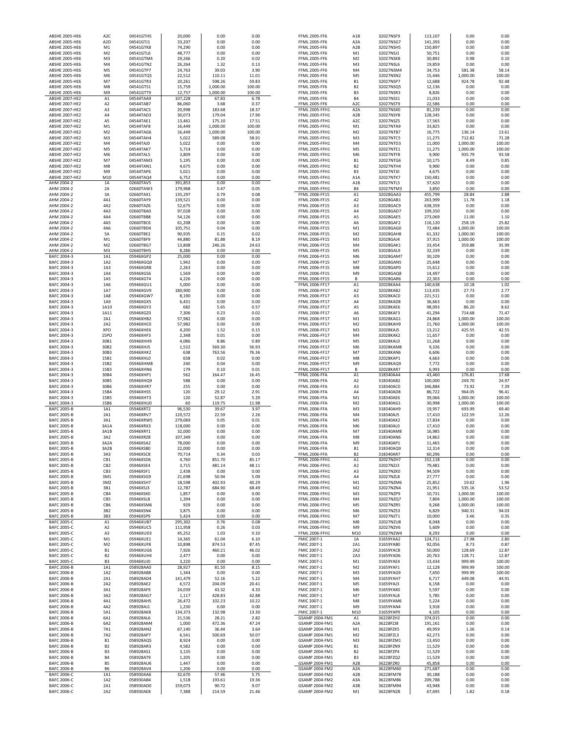| <b>ABSHE 2005-HE6</b>                          | A <sub>2</sub> D                 | 04541GTJ1              | 33,207             | 0.00               | 0.00            | <b>FFML 2005-FF6</b>                           | A <sub>2</sub> A                     | 32027NSG7              | 141,393           | 0.00               | 0.00            |
|------------------------------------------------|----------------------------------|------------------------|--------------------|--------------------|-----------------|------------------------------------------------|--------------------------------------|------------------------|-------------------|--------------------|-----------------|
| <b>ABSHE 2005-HE6</b><br><b>ABSHE 2005-HE6</b> | M1<br>M <sub>2</sub>             | 04541GTK8<br>04541GTL6 | 74,290<br>48,777   | 0.00<br>0.00       | 0.00<br>0.00    | <b>FFML 2005-FF6</b><br><b>FFML 2005-FF6</b>   | A <sub>2</sub> B<br>M1               | 32027NSH5<br>32027NSJ1 | 150,897           | 0.00<br>0.00       | 0.00<br>0.00    |
| <b>ABSHE 2005-HE6</b>                          | M3                               | 04541GTM4              | 29,266             | 0.20               | 0.02            | <b>FFML 2005-FF6</b>                           | M <sub>2</sub>                       | 32027NSK8              | 50,751<br>30,892  | 0.98               | 0.10            |
| <b>ABSHE 2005-HE6</b>                          | M4                               | 04541GTN2              | 26,264             | 1.32               | 0.13            | <b>FFML 2005-FF6</b>                           | M3                                   | 32027NSL6              | 19,859            | 0.00               | 0.00            |
| ABSHE 2005-HE6                                 | M <sub>5</sub>                   | 04541GTP7              | 24,763             | 39.03              | 3.90            | <b>FFML 2005-FF6</b>                           | M4                                   | 32027NSM4              | 34,753            | 581.38             | 58.14           |
| ABSHE 2005-HE6                                 | M <sub>6</sub>                   | 04541GTQ5              | 22,512             | 110.11             | 11.01           | <b>FFML 2005-FF6</b>                           | M5                                   | 32027NSN2              | 15,446            | 1,000.00           | 100.00          |
| <b>ABSHE 2005-HE6</b><br><b>ABSHE 2005-HE6</b> | M7<br>M8                         | 04541GTR3<br>04541GTS1 | 20,261<br>15,759   | 598.26<br>1.000.00 | 59.83<br>100.00 | <b>FFML 2005-FF6</b><br><b>FFML 2005-FF6</b>   | <b>B1</b><br><b>B2</b>               | 32027NSP7<br>32027NSQ5 | 12,688<br>12,136  | 924.78<br>0.00     | 92.48<br>0.00   |
| <b>ABSHE 2005-HE6</b>                          | M <sub>9</sub>                   | 04541GTT9              | 12,757             | 1,000.00           | 100.00          | FFML 2005-FF6                                  | B <sub>3</sub>                       | 32027NSR3              | 8,826             | 0.00               | 0.00            |
| ABSHE 2007-HE2                                 | A1                               | 04544TAA9              | 107,228            | 67.83              | 6.78            | <b>FFML 2005-FF6</b>                           | <b>B4</b>                            | 32027NSS1              | 11,033            | 0.00               | 0.00            |
| ABSHE 2007-HE2                                 | A <sub>2</sub>                   | 04544TAB7              | 86,060             | 3.68               | 0.37            | <b>FFML 2005-FF6</b>                           | A <sub>2</sub> C                     | 32027NST9              | 22,586            | 0.00               | 0.00            |
| ABSHE 2007-HE2                                 | A3                               | 04544TAC5              | 20,998             | 183.68             | 18.37           | FFML 2005-FFH1                                 | A <sub>2</sub> A                     | 32027NSX0              | 81,239            | 0.00               | 0.00            |
| <b>ABSHE 2007-HE2</b><br><b>ABSHE 2007-HE2</b> | AA<br>A <sub>5</sub>             | 04544TAD3              | 30,073             | 179.04             | 17.90           | FFML 2005-FFH1                                 | A <sub>2</sub> B<br>A <sub>2</sub> C | 32027NSY8<br>32027NSZ5 | 128,345           | 0.00               | 0.00<br>0.00    |
| <b>ABSHE 2007-HE2</b>                          | M <sub>1</sub>                   | 04544TAE1<br>04544TAF8 | 13,461<br>16,449   | 175.10<br>1,000.00 | 17.51<br>100.00 | FFML 2005-FFH1<br>FFML 2005-FFH1               | M1                                   | 32027NTA9              | 17,565<br>33,825  | 0.00<br>0.00       | 0.00            |
| <b>ABSHE 2007-HE2</b>                          | M <sub>2</sub>                   | 04544TAG6              | 16,449             | 1,000.00           | 100.00          | <b>FFML 2005-FFH1</b>                          | M <sub>2</sub>                       | 32027NTB7              | 16,775            | 136.14             | 13.61           |
| ABSHE 2007-HE2                                 | M3                               | 04544TAH4              | 5,022              | 589.08             | 58.91           | FFML 2005-FFH1                                 | M <sub>3</sub>                       | 32027NTC5              | 11,275            | 712.82             | 71.28           |
| ABSHE 2007-HE2                                 | M <sub>4</sub>                   | 04544TAJ0              | 5,022              | 0.00               | 0.00            | <b>FFML 2005-FFH1</b>                          | M <sub>4</sub>                       | 32027NTD3              | 11,000            | 1,000.00           | 100.00          |
| <b>ABSHE 2007-HE2</b>                          | M <sub>5</sub>                   | 04544TAK7              | 5,714              | 0.00               | 0.00            | <b>FFML 2005-FFH1</b>                          | M <sub>5</sub>                       | 32027NTE1              | 11,275            | 1,000.00           | 100.00          |
| <b>ABSHE 2007-HE2</b><br><b>ABSHE 2007-HE2</b> | M <sub>6</sub><br>M7             | 04544TAL5<br>04544TAM3 | 3,809<br>5,195     | 0.00<br>0.00       | 0.00<br>0.00    | FFML 2005-FFH1<br>FFML 2005-FFH1               | M6<br><b>B1</b>                      | 32027NTF8<br>32027NTG6 | 9,900<br>10,175   | 935.79<br>8.49     | 93.58<br>0.85   |
| <b>ABSHE 2007-HE2</b>                          | M8                               | 04544TAN1              | 4,675              | 0.00               | 0.00            | FFML 2005-FFH1                                 | <b>B2</b>                            | 32027NTH4              | 9,900             | 0.00               | 0.00            |
| ABSHE 2007-HE2                                 | M <sub>9</sub>                   | 04544TAP6              | 5,021              | 0.00               | 0.00            | <b>FFML 2005-FFH1</b>                          | B <sub>3</sub>                       | 32027NTJ0              | 4,675             | 0.00               | 0.00            |
| <b>ABSHE 2007-HE2</b>                          | M10                              | 04544TAQ4              | 6,752              | 0.00               | 0.00            | <b>FFML 2005-FFH1</b>                          | A1A                                  | 32027NTK7              | 150,481           | 0.00               | 0.00            |
| AHM 2004-2                                     | 1A                               | 02660TAV5              | 391,853            | 0.00               | 0.00            | <b>FFML 2005-FFH1</b>                          | A1B                                  | 32027NTL5              | 37,620            | 0.00               | 0.00            |
| AHM 2004-2<br>AHM 2004-2                       | 2A<br>3A                         | 02660TAW3<br>02660TAX1 | 179,968<br>135,297 | 0.47<br>0.79       | 0.05<br>0.08    | FFML 2005-FFH1<br>FFML 2006-FF15               | <b>B4</b><br>A1                      | 32027NTM3<br>32028GAA3 | 3,850<br>455,799  | 0.00<br>28.84      | 0.00<br>2.88    |
| AHM 2004-2                                     | 4A1                              | 02660TAY9              | 139,521            | 0.00               | 0.00            | FFML 2006-FF15                                 | A <sub>2</sub>                       | 32028GAB1              | 263,999           | 11.78              | 1.18            |
| AHM 2004-2                                     | 4A2                              | 02660TAZ6              | 52,675             | 0.00               | 0.00            | FFML 2006-FF15                                 | A3                                   | 32028GAC9              | 638,359           | 0.00               | 0.00            |
| AHM 2004-2                                     | 4A3                              | 02660TBA0              | 97,028             | 0.00               | 0.00            | FFML 2006-FF15                                 | A4                                   | 32028GAD7              | 109,350           | 0.00               | 0.00            |
| AHM 2004-2                                     | 4A4                              | 02660TBB8              | 54,126             | 0.00               | 0.00            | FFML 2006-FF15                                 | A5                                   | 32028GAE5              | 273,069           | 11.00              | 1.10            |
| AHM 2004-2<br>AHM 2004-2                       | 4A5<br>4A6                       | 02660TBC6<br>02660TBD4 | 61,208             | 0.00<br>0.04       | 0.00<br>0.00    | FFML 2006-FF15<br>FFML 2006-FF15               | A6<br>M1                             | 32028GAF2<br>32028GAG0 | 116,120           | 258.19<br>1.000.00 | 25.82<br>100.00 |
| AHM 2004-2                                     | 5A                               | 02660TBE2              | 105,751<br>90,935  | 0.15               | 0.02            | FFML 2006-FF15                                 | M <sub>2</sub>                       | 32028GAH8              | 72,484<br>61,332  | 1,000.00           | 100.00          |
| AHM 2004-2                                     | M <sub>1</sub>                   | 02660TBF9              | 44,880             | 81.88              | 8.19            | FFML 2006-FF15                                 | M3                                   | 32028GAJ4              | 37,915            | 1,000.00           | 100.00          |
| AHM 2004-2                                     | M <sub>2</sub>                   | 02660TBG7              | 13,808             | 246.26             | 24.63           | FFML 2006-FF15                                 | M4                                   | 32028GAK1              | 33,454            | 359.88             | 35.99           |
| AHM 2004-2                                     | M <sub>3</sub>                   | 02660TBH5              | 8,286              | 0.00               | 0.00            | FFML 2006-FF15                                 | M <sub>5</sub>                       | 32028GAL9              | 32,339            | 0.00               | 0.00            |
| BAFC 2004-3                                    | 1A1<br>1A2                       | 05946XGP2<br>05946XGQ0 | 25,000             | 0.00               | 0.00<br>0.00    | FFML 2006-FF15                                 | M <sub>6</sub><br>M <sub>7</sub>     | 32028GAM7<br>32028GAN5 | 30,109            | 0.00               | 0.00            |
| BAFC 2004-3<br>BAFC 2004-3                     | 1A3                              | 05946XGR8              | 1,942<br>2,263     | 0.00<br>0.00       | 0.00            | FFML 2006-FF15<br>FFML 2006-FF15               | M8                                   | 32028GAP0              | 25,648<br>15,612  | 0.00<br>0.00       | 0.00<br>0.00    |
| BAFC 2004-3                                    | 1A4                              | 05946XGS6              | 1,569              | 0.00               | 0.00            | FFML 2006-FF15                                 | M <sub>9</sub>                       | 32028GAQ8              | 14,497            | 0.00               | 0.00            |
| BAFC 2004-3                                    | 1A5                              | 05946XGT4              | 4,226              | 0.00               | 0.00            | FFML 2006-FF15                                 | B                                    | 32028GAR6              | 22,303            | 0.00               | 0.00            |
| BAFC 2004-3                                    | 1A6                              | 05946XGU1              | 5,000              | 0.00               | 0.00            | FFML 2006-FF17                                 | A1                                   | 32028KAA4              | 140,638           | 10.18              | 1.02            |
| BAFC 2004-3                                    | 1A7                              | 05946XGV9              | 180,900            | 0.00               | 0.00            | FFML 2006-FF17                                 | A <sub>2</sub>                       | 32028KAB2              | 113,435           | 27.73              | 2.77            |
| BAFC 2004-3<br>BAFC 2004-3                     | 1A8<br>1A9                       | 05946XGW7<br>05946XGX5 | 8,190<br>6,431     | 0.00<br>0.00       | 0.00<br>0.00    | FFML 2006-FF17<br>FFML 2006-FF17               | A3<br>A4                             | 32028KAC0<br>32028KAD8 | 221,511<br>36,663 | 0.00<br>0.00       | 0.00<br>0.00    |
| BAFC 2004-3                                    | 1A10                             | 05946XGY3              | 682                | 5.65               | 0.57            | FFML 2006-FF17                                 | A5                                   | 32028KAE6              | 98,093            | 86.20              | 8.62            |
| BAFC 2004-3                                    | 1A11                             | 05946XGZ0              | 7,306              | 0.23               | 0.02            | FFML 2006-FF17                                 | A6                                   | 32028KAF3              | 41,294            | 714.68             | 71.47           |
| BAFC 2004-3                                    | 2A1                              | 05946XHB2              | 57,982             | 0.00               | 0.00            | FFML 2006-FF17                                 | M1                                   | 32028KAG1              | 24,868            | 1,000.00           | 100.00          |
| BAFC 2004-3                                    | 2A2<br><b>XPO</b>                | 05946XHC0              | 57,982             | 0.00               | 0.00<br>0.15    | FFML 2006-FF17                                 | M <sub>2</sub>                       | 32028KAH9              | 21,760            | 1,000.00           | 100.00          |
| BAFC 2004-3<br>BAFC 2004-3                     | <b>15PO</b>                      | 05946XHE6<br>05946XHF3 | 4,200<br>2,348     | 1.52<br>0.01       | 0.00            | FFML 2006-FF17<br>FFML 2006-FF17               | M <sub>3</sub><br>M4                 | 32028KAJ5<br>32028KAK2 | 13,212<br>11,657  | 425.55<br>0.00     | 42.55<br>0.00   |
| BAFC 2004-3                                    | 30B1                             | 05946XHH9              | 4,086              | 8.86               | 0.89            | FFML 2006-FF17                                 | M <sub>5</sub>                       | 32028KAL0              | 11,268            | 0.00               | 0.00            |
| BAFC 2004-3                                    | 30B2                             | 05946XHJ5              | 1,532              | 569.30             | 56.93           | FFML 2006-FF17                                 | M6                                   | 32028KAM8              | 9,326             | 0.00               | 0.00            |
| BAFC 2004-3                                    | 30B3                             | 05946XHK2              | 638                | 763.56             | 76.36           | FFML 2006-FF17                                 | M7                                   | 32028KAN6              | 6,606             | 0.00               | 0.00            |
|                                                |                                  |                        |                    |                    |                 |                                                | M8                                   |                        |                   |                    | 0.00            |
| BAFC 2004-3                                    | 15B1                             | 05946XHL0              | 658                | 0.02               | 0.00            | FFML 2006-FF17                                 |                                      | 32028KAP1              | 4,663             | 0.00               |                 |
| BAFC 2004-3                                    | 15B2                             | 05946XHM8              | 240                | 0.04               | 0.00            | FFML 2006-FF17                                 | M <sub>9</sub>                       | 32028KAQ9              | 7,772             | 0.00               | 0.00            |
| BAFC 2004-3                                    | 15B3                             | 05946XHN6              | 179                | 0.10               | 0.01            | FFML 2006-FF17                                 | B                                    | 32028KAR7              | 6,993             | 0.00               | 0.00            |
| BAFC 2004-3<br>BAFC 2004-3                     | 30B4<br>30B5                     | 05946XHP1<br>05946XHQ9 | 562<br>588         | 164.47<br>0.00     | 16.45<br>0.00   | FFML 2006-FFA<br>FFML 2006-FFA                 | A1<br>A <sub>2</sub>                 | 318340AA4<br>318340AB2 | 43,460<br>100,000 | 176.81<br>249.70   | 17.68<br>24.97  |
| BAFC 2004-3                                    | 30B6                             | 05946XHR7              | 255                | 0.00               | 0.00            | FFML 2006-FFA                                  | A3                                   | 318340AC0              | 346,884           | 73.92              | 7.39            |
| BAFC 2004-3                                    | 15B4                             | 05946XHS5              | 120                | 29.12              | 2.91            | FFML 2006-FFA                                  | A4                                   | 318340AD8              | 86,722            | 964.05             | 96.41           |
| BAFC 2004-3                                    | 15B5                             | 05946XHT3              | 120                | 52.87              | 5.29            | FFML 2006-FFA                                  | M1                                   | 318340AE6              | 39,066            | 1,000.00           | 100.00          |
| BAFC 2004-3                                    | 15B6                             | 05946XHU0              | 60                 | 119.75             | 11.98           | FFML 2006-FFA                                  | M <sub>2</sub>                       | 318340AG1              | 30,998            | 1,000.00           | 100.00          |
| <b>BAFC 2005-B</b>                             | 1A1<br>2A1                       | 05946XRT2              | 96,530             | 39.67<br>22.59     | 3.97<br>2.26    | FFML 2006-FFA                                  | M3<br>M4                             | 318340AH9              | 19,957            | 693.99             | 69.40<br>12.26  |
| <b>BAFC 2005-B</b><br>BAFC 2005-B              | 3A1                              | 05946XRV7<br>05946XRW5 | 120,572<br>279,069 | 0.05               | 0.01            | FFML 2006-FFA<br>FFML 2006-FFA                 | M5                                   | 318340AJ5<br>318340AK2 | 17,410<br>17,834  | 122.59<br>0.00     | 0.00            |
| BAFC 2005-B                                    | 3A1A                             | 05946XRX3              | 118,000            | 0.00               | 0.00            | FFML 2006-FFA                                  | M6                                   | 318340AL0              | 17,410            | 0.00               | 0.00            |
| <b>BAFC 2005-B</b>                             | 3A1B                             | 05946XRY1              | 32,000             | 0.00               | 0.00            | FFML 2006-FFA                                  | M7                                   | 318340AM8              | 16,985            | 0.00               | 0.00            |
| <b>BAFC 2005-B</b>                             | 3A2                              | 05946XRZ8              | 107,349            | 0.00               | 0.00            | FFML 2006-FFA                                  | M8                                   | 318340AN6              | 14,862            | 0.00               | 0.00            |
| <b>BAFC 2005-B</b><br><b>BAFC 2005-B</b>       | 3A2A<br>3A2B                     | 05946XSA2<br>05946XSB0 | 78,000<br>22,000   | 0.00<br>0.00       | 0.00<br>0.00    | FFML 2006-FFA<br>FFML 2006-FFA                 | M9<br><b>B1</b>                      | 318340AP1<br>318340AQ9 | 11,465<br>12,314  | 0.00<br>0.00       | 0.00<br>0.00    |
| <b>BAFC 2005-B</b>                             | 3A3                              | 05946XSC8              | 70,714             | 0.34               | 0.03            | FFML 2006-FFA                                  | B <sub>2</sub>                       | 318340AR7              | 60,296            | 0.00               | 0.00            |
| <b>BAFC 2005-B</b>                             | CB1                              | 05946XSD6              | 4,760              | 851.70             | 85.17           | FFML 2006-FFH1                                 | A1                                   | 32027NZH7              | 152,118           | 0.00               | 0.00            |
| <b>BAFC 2005-B</b>                             | CB <sub>2</sub>                  | 05946XSE4              | 3,715              | 481.14             | 48.11           | FFML 2006-FFH1                                 | A <sub>2</sub>                       | 32027NZJ3              | 79,481            | 0.00               | 0.00            |
| <b>BAFC 2005-B</b>                             | CB3                              | 05946XSF1              | 2,438              | 0.00               | 0.00            | FFML 2006-FFH1                                 | A3                                   | 32027NZK0              | 94,509            | 0.00               | 0.00            |
| <b>BAFC 2005-B</b><br>BAFC 2005-B              | 3M1<br>3M2                       | 05946XSG9<br>05946XSH7 | 21,698<br>18,598   | 50.94<br>402.93    | 5.09<br>40.29   | <b>FFML 2006-FFH1</b><br><b>FFML 2006-FFH1</b> | A4<br>M1                             | 32027NZL8<br>32027NZM6 | 27,777<br>25,852  | 0.00<br>19.62      | 0.00<br>1.96    |
| <b>BAFC 2005-B</b>                             | 3B1                              | 05946XSJ3              | 12,787             | 684.90             | 68.49           | FFML 2006-FFH1                                 | M <sub>2</sub>                       | 32027NZN4              | 21,951            | 535.16             | 53.52           |
| <b>BAFC 2005-B</b>                             | CB4                              | 05946XSK0              | 1,857              | 0.00               | 0.00            | FFML 2006-FFH1                                 | M3                                   | 32027NZP9              | 10,731            | 1,000.00           | 100.00          |
| BAFC 2005-B                                    | CB5                              | 05946XSL8              | 1,394              | 0.00               | 0.00            | FFML 2006-FFH1                                 | M4                                   | 32027NZQ7              | 7,804             | 1,000.00           | 100.00          |
| <b>BAFC 2005-B</b><br><b>BAFC 2005-B</b>       | CB6<br>3B2                       | 05946XSM6<br>05946XSN4 | 929<br>3,875       | 0.00<br>0.00       | 0.00<br>0.00    | FFML 2006-FFH1<br>FFML 2006-FFH1               | M5<br>M6                             | 32027NZR5<br>32027NZS3 | 9,268<br>6,829    | 1,000.00<br>940.31 | 100.00<br>94.03 |
| <b>BAFC 2005-B</b>                             | 3B3                              | 05946XSP9              | 5,424              | 0.00               | 0.00            | FFML 2006-FFH1                                 | M7                                   | 32027NZT1              | 10,000            | 3.46               | 0.35            |
| <b>BAFC 2005-C</b>                             | A1                               | 05946XUB7              | 295,302            | 0.76               | 0.08            | FFML 2006-FFH1                                 | M8                                   | 32027NZU8              | 8,048             | 0.00               | 0.00            |
| BAFC 2005-C                                    | A <sub>2</sub>                   | 05946XUC5              | 111,958            | 0.26               | 0.03            | FFML 2006-FFH1                                 | M9                                   | 32027NZV6              | 5,609             | 0.00               | 0.00            |
| BAFC 2005-C<br><b>BAFC 2005-C</b>              | A3<br>M1                         | 05946XUD3              | 45,252             | 1.03               | 0.10            | FFML 2006-FFH1<br>FMIC 2007-1                  | M10<br>1A                            | 32027NZW4              | 8,293             | 0.00               | 0.00<br>2.80    |
| BAFC 2005-C                                    | M <sub>2</sub>                   | 05946XUE1<br>05946XUF8 | 14,365<br>10,898   | 61.04<br>874.53    | 6.10<br>87.45   | FMIC 2007-1                                    | 2A1                                  | 31659YAA2<br>31659YAB0 | 124,711<br>92,056 | 27.98<br>8.73      | 0.87            |
| BAFC 2005-C                                    | <b>B1</b>                        | 05946XUG6              | 7,926              | 460.21             | 46.02           | FMIC 2007-1                                    | 2A2                                  | 31659YAC8              | 50,000            | 128.69             | 12.87           |
| BAFC 2005-C                                    | <b>B2</b>                        | 05946XUH4              | 2,477              | 0.00               | 0.00            | FMIC 2007-1                                    | 2A3                                  | 31659YAD6              | 20,763            | 128.71             | 12.87           |
| BAFC 2005-C                                    | B3                               | 05946XUJ0              | 3,220              | 0.00               | 0.00            | FMIC 2007-1                                    | M1                                   | 31659YAE4              | 13,434            | 999.99             | 100.00          |
| <b>BAFC 2006-B</b>                             | 1A1                              | 058928AA0              | 28,927             | 81.50              | 8.15            | FMIC 2007-1                                    | M <sub>2</sub>                       | 31659YAF1              | 12,128            | 999.99             | 100.00          |
| <b>BAFC 2006-B</b><br><b>BAFC 2006-B</b>       | 1A2<br>2A1                       | 058928AB8<br>058928AD4 | 1,344<br>141,479   | 0.00<br>52.16      | 0.00<br>5.22    | FMIC 2007-1<br>FMIC 2007-1                     | M3<br>M4                             | 31659YAG9<br>31659YAH7 | 7,650<br>6,717    | 999.99<br>449.08   | 100.00<br>44.91 |
| <b>BAFC 2006-B</b>                             | 2A2                              | 058928AE2              | 6,572              | 204.09             | 20.41           | FMIC 2007-1                                    | M5                                   | 31659YAJ3              | 6,158             | 0.00               | 0.00            |
| <b>BAFC 2006-B</b>                             | 3A1                              | 058928AF9              | 24,039             | 43.32              | 4.33            | FMIC 2007-1                                    | M6                                   | 31659YAK0              | 5,597             | 0.00               | 0.00            |
| <b>BAFC 2006-B</b>                             | 3A2                              | 058928AG7              | 1,117              | 428.83             | 42.88           | FMIC 2007-1                                    | M7                                   | 31659YAL8              | 5,785             | 0.00               | 0.00            |
| <b>BAFC 2006-B</b>                             | 4A1                              | 058928AH5              | 26,472             | 102.23             | 10.22           | FMIC 2007-1                                    | M8                                   | 31659YAM6              | 5,224             | 0.00               | 0.00            |
| <b>BAFC 2006-B</b><br><b>BAFC 2006-B</b>       | 4A2<br>5A1                       | 058928AJ1<br>058928AK8 | 1,230              | 0.00<br>132.98     | 0.00<br>13.30   | FMIC 2007-1<br>FMIC 2007-1                     | M9                                   | 31659YAN4<br>31659YAP9 | 3,918             | 0.00<br>0.00       | 0.00<br>0.00    |
| <b>BAFC 2006-B</b>                             | 6A1                              | 058928AL6              | 134,373<br>21,536  | 28.21              | 2.82            | GSAMP 2004-FM1                                 | M10<br>A1                            | 36228FZH2              | 4,105<br>374,015  | 0.00               | 0.00            |
| BAFC 2006-B                                    | 6A2                              | 058928AM4              | 1,000              | 472.36             | 47.24           | GSAMP 2004-FM1                                 | A <sub>2</sub> A                     | 36228FZJ8              | 191,161           | 0.00               | 0.00            |
| <b>BAFC 2006-B</b>                             | 7A1                              | 058928AN2              | 67,140             | 36.44              | 3.64            | GSAMP 2004-FM1                                 | M1                                   | 36228FZK5              | 49,959            | 1.36               | 0.14            |
| BAFC 2006-B                                    | 7A2                              | 058928AP7              | 6,541              | 500.69             | 50.07           | GSAMP 2004-FM1                                 | M <sub>2</sub>                       | 36228FZL3              | 42,273            | 0.00               | 0.00            |
| BAFC 2006-B                                    | <b>B1</b>                        | 058928AQ5              | 8,924              | 0.00               | 0.00            | GSAMP 2004-FM1                                 | M3                                   | 36228FZM1              | 13,450            | 0.00               | 0.00            |
| <b>BAFC 2006-B</b><br><b>BAFC 2006-B</b>       | B <sub>2</sub><br>B <sub>3</sub> | 058928AR3<br>058928AS1 | 4,582<br>3,135     | 0.00<br>0.00       | 0.00<br>0.00    | GSAMP 2004-FM1<br>GSAMP 2004-FM1               | <b>B1</b><br><b>B2</b>               | 36228FZN9<br>36228FZP4 | 11,529<br>11,529  | 0.00<br>0.00       | 0.00<br>0.00    |
| <b>BAFC 2006-B</b>                             | <b>B4</b>                        | 058928AT9              | 1,205              | 0.00               | 0.00            | GSAMP 2004-FM1                                 | B <sub>3</sub>                       | 36228FZQ2              | 11,529            | 0.00               | 0.00            |
| <b>BAFC 2006-B</b>                             | <b>B5</b>                        | 058928AU6              | 1,447              | 0.00               | 0.00            | GSAMP 2004-FM1                                 | A <sub>2</sub> B                     | 36228FZR0              | 45,858            | 0.00               | 0.00            |
| <b>BAFC 2006-B</b>                             | <b>B6</b>                        | 058928AV4              | 1,206              | 0.00               | 0.00            | GSAMP 2004-FM2                                 | A <sub>2</sub> A                     | 36228FM60              | 271,687           | 0.00               | 0.00            |
| BAFC 2006-C                                    | 1A1                              | 058930AA6              | 32,670             | 57.46              | 5.75            | GSAMP 2004-FM2                                 | A <sub>2</sub> B                     | 36228FM78              | 30,188            | 0.00               | 0.00            |
| BAFC 2006-C<br>BAFC 2006-C                     | 1A2<br>2A1                       | 058930AB4<br>058930AD0 | 1,518<br>159,073   | 193.61<br>90.72    | 19.36<br>9.07   | GSAMP 2004-FM2<br>GSAMP 2004-FM2               | A3A<br>A3B                           | 36228FM86<br>36228FM94 | 209,788<br>43,948 | 0.00<br>0.00       | 0.00<br>0.00    |

| ABSHE 2005-HE6                           | A <sub>2</sub> C     | 04541GTH5              | 20,000             | 0.00         | 0.00         | <b>FFML 2005-FF6</b>                         | A <sub>1</sub> B                 | 32027NSF9              | 113,107           | 0.00         | 0.00         |
|------------------------------------------|----------------------|------------------------|--------------------|--------------|--------------|----------------------------------------------|----------------------------------|------------------------|-------------------|--------------|--------------|
| ABSHE 2005-HE6                           | A <sub>2</sub> D     | 04541GTJ1              | 33,207             | 0.00         | 0.00         | <b>FFML 2005-FF6</b>                         | A <sub>2</sub> A                 | 32027NSG7              | 141,393           | 0.00         | 0.00         |
| ABSHE 2005-HE6<br>ABSHE 2005-HE6         | M1<br>M <sub>2</sub> | 04541GTK8<br>04541GTL6 | 74,290<br>48,777   | 0.00<br>0.00 | 0.00<br>0.00 | <b>FFML 2005-FF6</b><br><b>FFML 2005-FF6</b> | A <sub>2</sub> B                 | 32027NSH5<br>32027NSJ1 | 150,897<br>50,751 | 0.00<br>0.00 | 0.00         |
| ABSHE 2005-HE6                           | M3                   | 04541GTM4              | 29,266             | 0.20         | 0.02         | <b>FFML 2005-FF6</b>                         | M1<br>M <sub>2</sub>             | 32027NSK8              | 30,892            | 0.98         | 0.00<br>0.10 |
| ABSHE 2005-HE6                           | M4                   | 04541GTN2              | 26,264             | 1.32         | 0.13         | <b>FFML 2005-FF6</b>                         | M3                               | 32027NSL6              | 19,859            | 0.00         | 0.00         |
| ABSHE 2005-HE6                           | M <sub>5</sub>       | 04541GTP7              | 24,763             | 39.03        | 3.90         | <b>FFML 2005-FF6</b>                         | M4                               | 32027NSM4              | 34,753            | 581.38       | 58.14        |
| ABSHE 2005-HE6                           | M <sub>6</sub>       | 04541GTQ5              | 22,512             | 110.11       | 11.01        | <b>FFML 2005-FF6</b>                         | M <sub>5</sub>                   | 32027NSN2              | 15,446            | 1,000.00     | 100.00       |
| ABSHE 2005-HE6                           | M7                   | 04541GTR3              | 20,261             | 598.26       | 59.83        | <b>FFML 2005-FF6</b>                         | <b>B1</b>                        | 32027NSP7              | 12,688            | 924.78       | 92.48        |
| ABSHE 2005-HE6                           | M8                   | 04541GTS1              | 15,759             | 1,000.00     | 100.00       | <b>FFML 2005-FF6</b>                         | B <sub>2</sub>                   | 32027NSQ5              | 12,136            | 0.00         | 0.00         |
| <b>ABSHE 2005-HE6</b>                    | M9                   | 04541GTT9              | 12,757             | 1,000.00     | 100.00       | <b>FFML 2005-FF6</b>                         | B <sub>3</sub>                   | 32027NSR3              | 8,826             | 0.00         | 0.00         |
| ABSHE 2007-HE2                           | A1                   | 04544TAA9              | 107,228            | 67.83        | 6.78         | <b>FFML 2005-FF6</b>                         | <b>B4</b>                        | 32027NSS1              | 11,033            | 0.00         | 0.00         |
| <b>ABSHE 2007-HE2</b>                    | A <sub>2</sub>       | 04544TAB7              | 86,060             | 3.68         | 0.37         | <b>FFML 2005-FF6</b>                         | A <sub>2</sub> C                 | 32027NST9              | 22,586            | 0.00         | 0.00         |
| <b>ABSHE 2007-HE2</b>                    | A3                   | 04544TAC5              | 20,998             | 183.68       | 18.37        | FFML 2005-FFH1                               | A <sub>2</sub> A                 | 32027NSX0              | 81,239            | 0.00         | 0.00         |
| <b>ABSHE 2007-HE2</b>                    | A4                   | 04544TAD3              | 30,073             | 179.04       | 17.90        | <b>FFML 2005-FFH1</b>                        | A <sub>2</sub> B                 | 32027NSY8              | 128,345           | 0.00         | 0.00         |
| <b>ABSHE 2007-HE2</b>                    | A5                   | 04544TAE1              | 13,461             | 175.10       | 17.51        | <b>FFML 2005-FFH1</b>                        | A <sub>2</sub> C                 | 32027NSZ5              | 17,565            | 0.00         | 0.00         |
| <b>ABSHE 2007-HE2</b>                    | M1                   | 04544TAF8              | 16,449             | 1,000.00     | 100.00       | FFML 2005-FFH1                               | M1                               | 32027NTA9              | 33,825            | 0.00         | 0.00         |
| <b>ABSHE 2007-HE2</b>                    | M <sub>2</sub>       | 04544TAG6              | 16,449             | 1,000.00     | 100.00       | FFML 2005-FFH1                               | M <sub>2</sub>                   | 32027NTB7              | 16,775            | 136.14       | 13.61        |
| <b>ABSHE 2007-HE2</b>                    | M <sub>3</sub>       | 04544TAH4              | 5,022              | 589.08       | 58.91        | FFML 2005-FFH1                               | M3                               | 32027NTC5              | 11,275            | 712.82       | 71.28        |
| <b>ABSHE 2007-HE2</b>                    | M4                   | 04544TAJ0              | 5,022              | 0.00         | 0.00         | FFML 2005-FFH1                               | M4                               | 32027NTD3              | 11,000            | 1,000.00     | 100.00       |
| <b>ABSHE 2007-HE2</b>                    | M <sub>5</sub>       | 04544TAK7              | 5,714              | 0.00         | 0.00         | <b>FFML 2005-FFH1</b>                        | M <sub>5</sub>                   | 32027NTE1              | 11,275            | 1,000.00     | 100.00       |
| <b>ABSHE 2007-HE2</b>                    | M <sub>6</sub>       | 04544TAL5              | 3,809              | 0.00         | 0.00         | FFML 2005-FFH1                               | M <sub>6</sub>                   | 32027NTF8              | 9,900             | 935.79       | 93.58        |
| <b>ABSHE 2007-HE2</b>                    | M <sub>7</sub>       | 04544TAM3              | 5,195              | 0.00         | 0.00         | FFML 2005-FFH1                               | <b>B1</b>                        | 32027NTG6              | 10,175            | 8.49         | 0.85         |
| <b>ABSHE 2007-HE2</b>                    | M8                   | 04544TAN1              | 4,675              | 0.00         | 0.00         | FFML 2005-FFH1                               | <b>B2</b>                        | 32027NTH4              | 9,900             | 0.00         | 0.00         |
| <b>ABSHE 2007-HE2</b>                    | M9                   | 04544TAP6              | 5,021              | 0.00         | 0.00         | FFML 2005-FFH1                               | B <sub>3</sub>                   | 32027NTJ0              | 4,675             | 0.00         | 0.00         |
| ABSHE 2007-HE2                           | M10                  | 04544TAQ4              | 6,752              | 0.00         | 0.00         | FFML 2005-FFH1                               | A <sub>1</sub> A                 | 32027NTK7              | 150,481           | 0.00         | 0.00         |
| AHM 2004-2                               | 1A<br>2A             | 02660TAV5<br>02660TAW3 | 391,853<br>179,968 | 0.00<br>0.47 | 0.00<br>0.05 | FFML 2005-FFH1<br>FFML 2005-FFH1             | A <sub>1</sub> B<br><b>B4</b>    | 32027NTL5<br>32027NTM3 | 37,620            | 0.00<br>0.00 | 0.00<br>0.00 |
| AHM 2004-2<br>AHM 2004-2                 | 3A                   | 02660TAX1              | 135,297            | 0.79         | 0.08         | FFML 2006-FF15                               | A1                               | 32028GAA3              | 3,850<br>455,799  | 28.84        | 2.88         |
| AHM 2004-2                               | 4A1                  | 02660TAY9              | 139,521            | 0.00         | 0.00         | FFML 2006-FF15                               | A <sub>2</sub>                   | 32028GAB1              | 263,999           | 11.78        | 1.18         |
| AHM 2004-2                               | 4A2                  | 02660TAZ6              | 52,675             | 0.00         | 0.00         | FFML 2006-FF15                               | A3                               | 32028GAC9              | 638,359           | 0.00         | 0.00         |
| AHM 2004-2                               | 4A3                  | 02660TBA0              | 97,028             | 0.00         | 0.00         | FFML 2006-FF15                               | A4                               | 32028GAD7              | 109,350           | 0.00         | 0.00         |
| AHM 2004-2                               | 4A4                  | 02660TBB8              | 54,126             | 0.00         | 0.00         | FFML 2006-FF15                               | A5                               | 32028GAE5              | 273,069           | 11.00        | 1.10         |
| AHM 2004-2                               | 4A5                  | 02660TBC6              | 61,208             | 0.00         | 0.00         | FFML 2006-FF15                               | A6                               | 32028GAF2              | 116,120           | 258.19       | 25.82        |
| AHM 2004-2                               | 4A6                  | 02660TBD4              | 105,751            | 0.04         | 0.00         | FFML 2006-FF15                               | M <sub>1</sub>                   | 32028GAG0              | 72,484            | 1,000.00     | 100.00       |
| AHM 2004-2                               | 5A                   | 02660TBE2              | 90,935             | 0.15         | 0.02         | FFML 2006-FF15                               | M <sub>2</sub>                   | 32028GAH8              | 61,332            | 1,000.00     | 100.00       |
| AHM 2004-2                               | M1                   | 02660TBF9              | 44,880             | 81.88        | 8.19         | FFML 2006-FF15                               | M3                               | 32028GAJ4              | 37,915            | 1,000.00     | 100.00       |
| AHM 2004-2                               | M <sub>2</sub>       | 02660TBG7              | 13,808             | 246.26       | 24.63        | FFML 2006-FF15                               | M4                               | 32028GAK1              | 33,454            | 359.88       | 35.99        |
| AHM 2004-2                               | M3                   | 02660TBH5              | 8,286              | 0.00         | 0.00         | FFML 2006-FF15                               | M5                               | 32028GAL9              | 32,339            | 0.00         | 0.00         |
| BAFC 2004-3                              | 1A1                  | 05946XGP2              | 25,000             | 0.00         | 0.00         | FFML 2006-FF15                               | M <sub>6</sub>                   | 32028GAM7              | 30,109            | 0.00         | 0.00         |
| BAFC 2004-3                              | 1A2                  | 05946XGQ0              | 1,942              | 0.00         | 0.00         | FFML 2006-FF15                               | M7                               | 32028GAN5              | 25,648            | 0.00         | 0.00         |
| BAFC 2004-3                              | 1A3                  | 05946XGR8              | 2,263              | 0.00         | 0.00         | FFML 2006-FF15                               | M8                               | 32028GAP0              | 15,612            | 0.00         | 0.00         |
| BAFC 2004-3                              | 1A4                  | 05946XGS6              | 1,569              | 0.00         | 0.00         | FFML 2006-FF15                               | M <sub>9</sub>                   | 32028GAQ8              | 14,497            | 0.00         | 0.00         |
| BAFC 2004-3                              | 1A5                  | 05946XGT4              | 4,226              | 0.00         | 0.00         | FFML 2006-FF15                               | В                                | 32028GAR6              | 22,303            | 0.00         | 0.00         |
| BAFC 2004-3                              | 1A6                  | 05946XGU1              | 5,000              | 0.00         | 0.00         | FFML 2006-FF17                               | A1                               | 32028KAA4              | 140,638           | 10.18        | 1.02         |
| BAFC 2004-3                              | 1A7                  | 05946XGV9              | 180,900            | 0.00         | 0.00         | FFML 2006-FF17                               | A <sub>2</sub>                   | 32028KAB2              | 113,435           | 27.73        | 2.77         |
| BAFC 2004-3                              | 1A8                  | 05946XGW7              | 8,190              | 0.00         | 0.00         | FFML 2006-FF17                               | A3                               | 32028KAC0              | 221,511           | 0.00         | 0.00         |
| BAFC 2004-3                              | 1A9                  | 05946XGX5              | 6,431              | 0.00         | 0.00         | FFML 2006-FF17                               | A4                               | 32028KAD8              | 36,663            | 0.00         | 0.00         |
| BAFC 2004-3                              | 1A10                 | 05946XGY3              | 682                | 5.65         | 0.57         | FFML 2006-FF17                               | A5                               | 32028KAE6              | 98,093            | 86.20        | 8.62         |
| BAFC 2004-3                              | 1A11                 | 05946XGZ0              | 7,306              | 0.23         | 0.02         | FFML 2006-FF17                               | A6                               | 32028KAF3              | 41,294            | 714.68       | 71.47        |
| BAFC 2004-3                              | 2A1                  | 05946XHB2              | 57,982             | 0.00         | 0.00         | FFML 2006-FF17                               | M1                               | 32028KAG1              | 24,868            | 1,000.00     | 100.00       |
| BAFC 2004-3                              | 2A2                  | 05946XHC0              | 57,982             | 0.00         | 0.00         | FFML 2006-FF17                               | M <sub>2</sub>                   | 32028KAH9              | 21,760            | 1,000.00     | 100.00       |
| BAFC 2004-3                              | XPO                  | 05946XHE6              | 4,200              | 1.52         | 0.15         | FFML 2006-FF17                               | M3                               | 32028KAJ5              | 13,212            | 425.55       | 42.55        |
| BAFC 2004-3                              | <b>15PO</b>          | 05946XHF3              | 2,348              | 0.01         | 0.00         | FFML 2006-FF17                               | M4                               | 32028KAK2              | 11,657            | 0.00         | 0.00         |
| BAFC 2004-3                              | 30B1                 | 05946XHH9              | 4,086              | 8.86         | 0.89         | FFML 2006-FF17                               | M5                               | 32028KAL0              | 11,268            | 0.00         | 0.00         |
| BAFC 2004-3                              | 30B2                 | 05946XHJ5              | 1,532              | 569.30       | 56.93        | FFML 2006-FF17                               | M <sub>6</sub>                   | 32028KAM8              | 9,326             | 0.00         | 0.00         |
| BAFC 2004-3                              | 30B3                 | 05946XHK2              | 638                | 763.56       | 76.36        | FFML 2006-FF17                               | M7                               | 32028KAN6              | 6,606             | 0.00         | 0.00         |
| BAFC 2004-3                              | 15B1                 | 05946XHL0              | 658                | 0.02         | 0.00         | FFML 2006-FF17                               | M8                               | 32028KAP1              | 4,663             | 0.00         | 0.00         |
| BAFC 2004-3                              | 15B2                 | 05946XHM8              | 240                | 0.04         | 0.00         | FFML 2006-FF17                               | M <sub>9</sub>                   | 32028KAQ9              | 7,772             | 0.00         | 0.00         |
| BAFC 2004-3                              | 15B3                 | 05946XHN6              | 179                | 0.10         | 0.01         | FFML 2006-FF17                               | B                                | 32028KAR7              | 6,993             | 0.00         | 0.00         |
| BAFC 2004-3                              | 30B4                 | 05946XHP1              | 562                | 164.47       | 16.45        | FFML 2006-FFA                                | A1                               | 318340AA4              | 43,460            | 176.81       | 17.68        |
| BAFC 2004-3                              | 30B5                 | 05946XHQ9              | 588                | 0.00         | 0.00         | FFML 2006-FFA                                | A <sub>2</sub>                   | 318340AB2              | 100,000           | 249.70       | 24.97        |
| BAFC 2004-3                              | 30B6                 | 05946XHR7              | 255                | 0.00         | 0.00         | FFML 2006-FFA                                | A3                               | 318340AC0              | 346,884           | 73.92        | 7.39         |
| BAFC 2004-3                              | 15B4                 | 05946XHS5              | 120                | 29.12        | 2.91         | FFML 2006-FFA                                | A4                               | 318340AD8              | 86,722            | 964.05       | 96.41        |
| BAFC 2004-3                              | 15B5                 | 05946XHT3              | 120                | 52.87        | 5.29         | FFML 2006-FFA                                | M1                               | 318340AE6              | 39,066            | 1.000.00     | 100.00       |
| BAFC 2004-3                              | 15B6                 | 05946XHU0              | 60                 | 119.75       | 11.98        | FFML 2006-FFA                                | M <sub>2</sub>                   | 318340AG1              | 30,998            | 1,000.00     | 100.00       |
| <b>BAFC 2005-B</b>                       | 1A1                  | 05946XRT2              | 96,530             | 39.67        | 3.97         | FFML 2006-FFA                                | M3                               | 318340AH9              | 19,957            | 693.99       | 69.40        |
| <b>BAFC 2005-B</b><br><b>BAFC 2005-B</b> | 2A1                  | 05946XRV7              | 120,572            | 22.59        | 2.26         | FFML 2006-FFA                                | M4                               | 318340AJ5              | 17,410            | 122.59       | 12.26        |
|                                          | 3A1<br>3A1A          | 05946XRW5<br>05946XRX3 | 279,069<br>118,000 | 0.05<br>0.00 | 0.01<br>0.00 | FFML 2006-FFA                                | M <sub>5</sub><br>M <sub>6</sub> | 318340AK2<br>318340AL0 | 17,834<br>17,410  | 0.00<br>0.00 | 0.00<br>0.00 |
| <b>BAFC 2005-B</b>                       |                      |                        |                    |              |              | FFML 2006-FFA<br>FFML 2006-FFA               | M <sub>7</sub>                   |                        |                   |              |              |
| <b>BAFC 2005-B</b>                       | 3A1B                 | 05946XRY1              | 32,000             | 0.00<br>0.00 | 0.00         |                                              | M <sub>8</sub>                   | 318340AM8              | 16,985            | 0.00         | 0.00         |
| <b>BAFC 2005-B</b><br><b>BAFC 2005-B</b> | 3A2                  | 05946XRZ8<br>05946XSA2 | 107,349<br>78,000  | 0.00         | 0.00<br>0.00 | FFML 2006-FFA                                | M <sub>9</sub>                   | 318340AN6<br>318340AP1 | 14,862            | 0.00<br>0.00 | 0.00<br>0.00 |
| <b>BAFC 2005-B</b>                       | 3A2A<br>3A2B         | 05946XSB0              | 22,000             | 0.00         | 0.00         | FFML 2006-FFA<br>FFML 2006-FFA               | <b>B1</b>                        | 318340AQ9              | 11,465<br>12,314  | 0.00         | 0.00         |
| <b>BAFC 2005-B</b>                       | 3A3                  | 05946XSC8              | 70,714             | 0.34         | 0.03         | FFML 2006-FFA                                | B <sub>2</sub>                   | 318340AR7              | 60,296            | 0.00         | 0.00         |
| <b>BAFC 2005-B</b>                       | CB1                  | 05946XSD6              | 4,760              | 851.70       | 85.17        | FFML 2006-FFH1                               | A1                               | 32027NZH7              | 152,118           | 0.00         | 0.00         |
| <b>BAFC 2005-B</b>                       | CB <sub>2</sub>      | 05946XSE4              | 3,715              | 481.14       | 48.11        | FFML 2006-FFH1                               | A <sub>2</sub>                   | 32027NZJ3              | 79,481            | 0.00         | 0.00         |
| <b>BAFC 2005-B</b>                       | CB <sub>3</sub>      | 05946XSF1              | 2,438              | 0.00         | 0.00         | FFML 2006-FFH1                               | A3                               | 32027NZK0              | 94,509            | 0.00         | 0.00         |
| <b>BAFC 2005-B</b>                       | 3M1                  | 05946XSG9              | 21,698             | 50.94        | 5.09         | <b>FFML 2006-FFH1</b>                        | A4                               | 32027NZL8              | 27,777            | 0.00         | 0.00         |
| <b>BAFC 2005-B</b>                       | 3M2                  | 05946XSH7              | 18,598             | 402.93       | 40.29        | FFML 2006-FFH1                               | M1                               | 32027NZM6              | 25,852            | 19.62        | 1.96         |
| <b>BAFC 2005-B</b>                       | 3B1                  | 05946XSJ3              | 12,787             | 684.90       | 68.49        | <b>FFML 2006-FFH1</b>                        | M <sub>2</sub>                   | 32027NZN4              | 21,951            | 535.16       | 53.52        |
| <b>BAFC 2005-B</b>                       | CB4                  | 05946XSK0              | 1,857              | 0.00         | 0.00         | FFML 2006-FFH1                               | M3                               | 32027NZP9              | 10,731            | 1,000.00     | 100.00       |
| <b>BAFC 2005-B</b>                       | CB5                  | 05946XSL8              | 1,394              | 0.00         | 0.00         | FFML 2006-FFH1                               | M4                               | 32027NZQ7              | 7,804             | 1,000.00     | 100.00       |
| <b>BAFC 2005-B</b>                       | CB6                  | 05946XSM6              | 929                | 0.00         | 0.00         | FFML 2006-FFH1                               | M5                               | 32027NZR5              | 9,268             | 1,000.00     | 100.00       |
| <b>BAFC 2005-B</b>                       | 3B2                  | 05946XSN4              | 3,875              | 0.00         | 0.00         | FFML 2006-FFH1                               | M6                               | 32027NZS3              | 6,829             | 940.31       | 94.03        |
| <b>BAFC 2005-B</b>                       | 3B3                  | 05946XSP9              | 5,424              | 0.00         | 0.00         | FFML 2006-FFH1                               | M7                               | 32027NZT1              | 10,000            | 3.46         | 0.35         |
| BAFC 2005-C                              | A1                   | 05946XUB7              | 295,302            | 0.76         | 0.08         | FFML 2006-FFH1                               | M8                               | 32027NZU8              | 8,048             | 0.00         | 0.00         |
| <b>BAFC 2005-C</b>                       | A <sub>2</sub>       | 05946XUC5              | 111,958            | 0.26         | 0.03         | FFML 2006-FFH1                               | M <sub>9</sub>                   | 32027NZV6              | 5,609             | 0.00         | 0.00         |
| BAFC 2005-C                              | A3                   | 05946XUD3              | 45,252             | 1.03         | 0.10         | FFML 2006-FFH1                               | M10                              | 32027NZW4              | 8,293             | 0.00         | 0.00         |
| <b>BAFC 2005-C</b>                       | M1                   | 05946XUE1              | 14,365             | 61.04        | 6.10         | FMIC 2007-1                                  | 1A                               | 31659YAA2              | 124,711           | 27.98        | 2.80         |
| <b>BAFC 2005-C</b>                       | M <sub>2</sub>       | 05946XUF8              | 10,898             | 874.53       | 87.45        | FMIC 2007-1                                  | 2A1                              | 31659YAB0              | 92,056            | 8.73         | 0.87         |
| BAFC 2005-C                              | B1                   | 05946XUG6              | 7,926              | 460.21       | 46.02        | FMIC 2007-1                                  | 2A2                              | 31659YAC8              | 50,000            | 128.69       | 12.87        |
| <b>BAFC 2005-C</b>                       | <b>B2</b>            | 05946XUH4              | 2,477              | 0.00         | 0.00         | FMIC 2007-1                                  | 2A3                              | 31659YAD6              | 20,763            | 128.71       | 12.87        |
| <b>BAFC 2005-C</b>                       | B <sub>3</sub>       | 05946XUJ0              | 3,220              | 0.00         | 0.00         | FMIC 2007-1                                  | M1                               | 31659YAE4              | 13,434            | 999.99       | 100.00       |
| <b>BAFC 2006-B</b>                       | 1A1                  | 058928AA0              | 28,927             | 81.50        | 8.15         | FMIC 2007-1                                  | M <sub>2</sub>                   | 31659YAF1              | 12,128            | 999.99       | 100.00       |
| <b>BAFC 2006-B</b>                       | 1A2                  | 058928AB8              | 1,344              | 0.00         | 0.00         | FMIC 2007-1                                  | M3                               | 31659YAG9              | 7,650             | 999.99       | 100.00       |
| <b>BAFC 2006-B</b>                       | 2A1                  | 058928AD4              | 141,479            | 52.16        | 5.22         | FMIC 2007-1                                  | M <sub>4</sub>                   | 31659YAH7              | 6,717             | 449.08       | 44.91        |
| <b>BAFC 2006-B</b>                       | 2A2                  | 058928AE2              | 6,572              | 204.09       | 20.41        | FMIC 2007-1                                  | M <sub>5</sub>                   | 31659YAJ3              | 6,158             | 0.00         | 0.00         |
| <b>BAFC 2006-B</b>                       | 3A1                  | 058928AF9              | 24,039             | 43.32        | 4.33         | FMIC 2007-1                                  | M <sub>6</sub>                   | 31659YAK0              | 5,597             | 0.00         | 0.00         |
| <b>BAFC 2006-B</b>                       | 3A2                  | 058928AG7              | 1,117              | 428.83       | 42.88        | FMIC 2007-1                                  | M7                               | 31659YAL8              | 5,785             | 0.00         | 0.00         |
| <b>BAFC 2006-B</b>                       | 4A1                  | 058928AH5              | 26,472             | 102.23       | 10.22        | FMIC 2007-1                                  | M8                               | 31659YAM6              | 5,224             | 0.00         | 0.00         |
| <b>BAFC 2006-B</b>                       | 4A2                  | 058928AJ1              | 1,230              | 0.00         | 0.00         | FMIC 2007-1                                  | M9                               | 31659YAN4              | 3,918             | 0.00         | 0.00         |
| <b>BAFC 2006-B</b>                       | 5A1                  | 058928AK8              | 134,373            | 132.98       | 13.30        | FMIC 2007-1                                  | M10                              | 31659YAP9              | 4,105             | 0.00         | 0.00         |
| <b>BAFC 2006-B</b>                       | 6A1                  | 058928AL6              | 21,536             | 28.21        | 2.82         | GSAMP 2004-FM1                               | A1                               | 36228FZH2              | 374,015           | 0.00         | 0.00         |
| <b>BAFC 2006-B</b>                       | 6A2                  | 058928AM4              | 1,000              | 472.36       | 47.24        | GSAMP 2004-FM1                               | A <sub>2</sub> A                 | 36228FZJ8              | 191,161           | 0.00         | 0.00         |
| <b>BAFC 2006-B</b>                       | 7A1                  | 058928AN2              | 67,140             | 36.44        | 3.64         | GSAMP 2004-FM1                               | M1                               | 36228FZK5              | 49,959            | 1.36         | 0.14         |
| <b>BAFC 2006-B</b>                       | 7A2                  | 058928AP7              | 6,541              | 500.69       | 50.07        | GSAMP 2004-FM1                               | M <sub>2</sub>                   | 36228FZL3              | 42,273            | 0.00         | 0.00         |
| <b>BAFC 2006-B</b>                       | <b>B1</b>            | 058928AQ5              | 8,924              | 0.00         | 0.00         | GSAMP 2004-FM1                               | M3                               | 36228FZM1              | 13,450            | 0.00         | 0.00         |
| <b>BAFC 2006-B</b>                       | B <sub>2</sub>       | 058928AR3              | 4,582              | 0.00         | 0.00         | GSAMP 2004-FM1                               | <b>B1</b>                        | 36228FZN9              | 11,529            | 0.00         | 0.00         |
| <b>BAFC 2006-B</b>                       | B3                   | 058928AS1              | 3,135              | 0.00         | 0.00         | GSAMP 2004-FM1                               | B <sub>2</sub>                   | 36228FZP4              | 11,529            | 0.00         | 0.00         |
| <b>BAFC 2006-B</b>                       | <b>B4</b>            | 058928AT9              | 1,205              | 0.00         | 0.00         | GSAMP 2004-FM1                               | B <sub>3</sub>                   | 36228FZQ2              | 11,529            | 0.00         | 0.00         |
| <b>BAFC 2006-B</b>                       | B5                   | 058928AU6              | 1,447              | 0.00         | 0.00         | GSAMP 2004-FM1                               | A <sub>2</sub> B                 | 36228FZR0              | 45,858            | 0.00         | 0.00         |
| <b>BAFC 2006-B</b>                       | B <sub>6</sub>       | 058928AV4              | 1,206              | 0.00         | 0.00         | GSAMP 2004-FM2                               | A <sub>2</sub> A                 | 36228FM60              | 271,687           | 0.00         | 0.00         |
| BAFC 2006-C                              | 1A1                  | 058930AA6              | 32,670             | 57.46        | 5.75         | GSAMP 2004-FM2                               | A <sub>2</sub> B                 | 36228FM78              | 30,188            | 0.00         | 0.00         |
| BAFC 2006-C<br><b>BAFC 2006-C</b>        | 1A2                  | 058930AB4              | 1,518              | 193.61       | 19.36        | GSAMP 2004-FM2                               | A3A                              | 36228FM86              | 209,788           | 0.00         | 0.00         |
|                                          | 2A1                  | 058930AD0              | 159,073            | 90.72        | 9.07         | GSAMP 2004-FM2                               | A3B                              | 36228FM94              | 43,948            | 0.00         | 0.00         |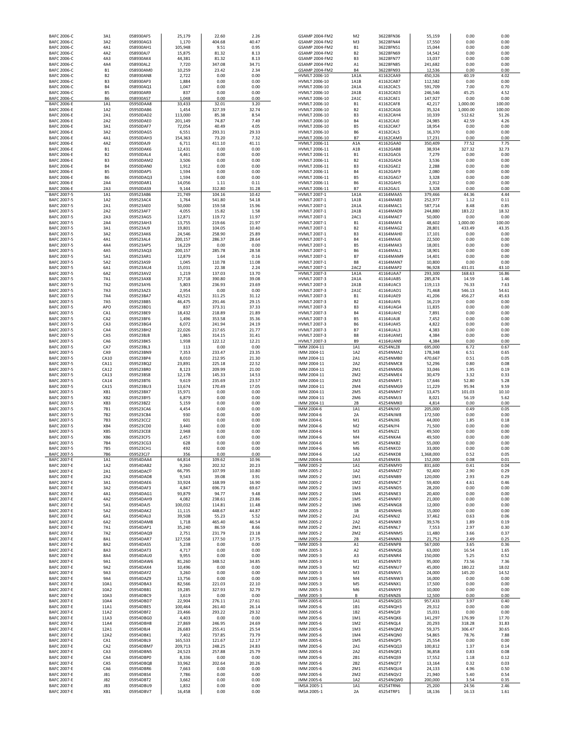| BAFC 2006-C                              | 3A1                         | 058930AF5              | 25,179             | 22.60            | 2.26           | GSAMP 2004-FM2                             | M <sub>2</sub>              | 36228FN36              | 55,159             | 0.00            | 0.00           |
|------------------------------------------|-----------------------------|------------------------|--------------------|------------------|----------------|--------------------------------------------|-----------------------------|------------------------|--------------------|-----------------|----------------|
| BAFC 2006-C                              | 3A2                         | 058930AG3              | 1,170              | 404.68           | 40.47          | GSAMP 2004-FM2                             | M3                          | 36228FN44              | 17,550             | 0.00            | 0.00           |
| BAFC 2006-C                              | 4A1                         | 058930AH1              | 105,948            | 9.51             | 0.95           | GSAMP 2004-FM2                             | <b>B1</b>                   | 36228FN51<br>36228FN69 | 15,044             | 0.00            | 0.00           |
| BAFC 2006-C<br>BAFC 2006-C               | 4A2<br>4A3                  | 058930AJ7<br>058930AK4 | 15,875<br>44,381   | 81.32<br>81.32   | 8.13<br>8.13   | GSAMP 2004-FM2<br>GSAMP 2004-FM2           | <b>B2</b><br>B <sub>3</sub> | 36228FN77              | 14,542<br>13,037   | 0.00<br>0.00    | 0.00<br>0.00   |
| <b>BAFC 2006-C</b>                       | 4A4                         | 058930AL2              | 7,720              | 347.08           | 34.71          | GSAMP 2004-FM2                             | A1                          | 36228FN85              | 241,682            | 0.00            | 0.00           |
| <b>BAFC 2006-C</b>                       | <b>B1</b>                   | 058930AM0              | 10,259             | 23.42            | 2.34           | GSAMP 2004-FM2                             | <b>B4</b>                   | 36228FN93              | 12,536             | 0.00            | 0.00           |
| BAFC 2006-C                              | <b>B2</b>                   | 058930AN8              | 2,722              | 0.00             | 0.00           | HVMLT 2006-10                              | 1A1A                        | 41162CAA9              | 450,326            | 40.19           | 4.02           |
| <b>BAFC 2006-C</b><br><b>BAFC 2006-C</b> | B <sub>3</sub><br><b>B4</b> | 058930AP3<br>058930AQ1 | 1,884<br>1,047     | 0.00<br>0.00     | 0.00<br>0.00   | HVMLT 2006-10<br>HVMLT 2006-10             | 1A1B<br>2A1A                | 41162CAB7<br>41162CAC5 | 112,582<br>591,709 | 0.00<br>7.00    | 0.00<br>0.70   |
| BAFC 2006-C                              | <b>B5</b>                   | 058930AR9              | 837                | 0.00             | 0.00           | HVMLT 2006-10                              | 2A1B                        | 41162CAD3              | 246,546            | 45.25           | 4.52           |
| BAFC 2006-C                              | <b>B6</b>                   | 058930AS7              | 1,048              | 0.00             | 0.00           | HVMLT 2006-10                              | 2A1C                        | 41162CAE1              | 147,927            | 0.00            | 0.00           |
| BAFC 2006-E                              | 1A1                         | 05950DAA8              | 33,433             | 32.01            | 3.20           | HVMLT 2006-10                              | <b>B1</b>                   | 41162CAF8              | 42,217             | 1,000.00        | 100.00         |
| BAFC 2006-E                              | 1A2                         | 05950DAB6              | 1,454              | 327.39           | 32.74          | HVMLT 2006-10                              | <b>B2</b>                   | 41162CAG6              | 35,324             | 1,000.00        | 100.00         |
| <b>BAFC 2006-E</b><br><b>BAFC 2006-E</b> | 2A1<br>2A2                  | 05950DAD2<br>05950DAE0 | 113,000<br>201,149 | 85.38<br>74.87   | 8.54<br>7.49   | HVMLT 2006-10<br>HVMLT 2006-10             | B <sub>3</sub><br><b>B4</b> | 41162CAH4<br>41162CAJ0 | 10,339<br>24,985   | 512.62<br>42.59 | 51.26<br>4.26  |
| <b>BAFC 2006-E</b>                       | 3A1                         | 05950DAF7              | 72,054             | 40.49            | 4.05           | HVMLT 2006-10                              | <b>B5</b>                   | 41162CAK7              | 18,954             | 0.00            | 0.00           |
| <b>BAFC 2006-E</b>                       | 3A2                         | 05950DAG5              | 6,551              | 293.31           | 29.33          | HVMLT 2006-10                              | <b>B6</b>                   | 41162CAL5              | 16,370             | 0.00            | 0.00           |
| <b>BAFC 2006-E</b>                       | 4A1                         | 05950DAH3              | 154,363            | 73.20            | 7.32           | HVMLT 2006-10                              | <b>B7</b>                   | 41162CAM3              | 17,231             | 0.00            | 0.00           |
| <b>BAFC 2006-E</b><br>BAFC 2006-E        | 4A2<br><b>B1</b>            | 05950DAJ9              | 6,711              | 411.10           | 41.11<br>0.00  | HVMLT 2006-11                              | A <sub>1</sub> A            | 41162GAA0              | 350,409<br>38,934  | 77.52<br>327.32 | 7.75<br>32.73  |
| <b>BAFC 2006-E</b>                       | B <sub>2</sub>              | 05950DAK6<br>05950DAL4 | 12,431<br>4,461    | 0.00<br>0.00     | 0.00           | HVMLT 2006-11<br>HVMLT 2006-11             | A1B<br><b>B1</b>            | 41162GAB8<br>41162GAC6 | 7,279              | 0.00            | 0.00           |
| <b>BAFC 2006-E</b>                       | B <sub>3</sub>              | 05950DAM2              | 3,506              | 0.00             | 0.00           | HVMLT 2006-11                              | <b>B2</b>                   | 41162GAD4              | 3,536              | 0.00            | 0.00           |
| <b>BAFC 2006-E</b>                       | <b>B4</b>                   | 05950DAN0              | 1,912              | 0.00             | 0.00           | HVMLT 2006-11                              | B <sub>3</sub>              | 41162GAE2              | 2,288              | 0.00            | 0.00           |
| <b>BAFC 2006-E</b>                       | <b>B5</b>                   | 05950DAP5              | 1,594              | 0.00             | 0.00           | HVMLT 2006-11                              | <b>B4</b>                   | 41162GAF9              | 2,080              | 0.00            | 0.00           |
| <b>BAFC 2006-E</b><br><b>BAFC 2006-E</b> | <b>B6</b><br>2A4            | 05950DAQ3<br>05950DAR1 | 1,594<br>14,056    | 0.00<br>1.11     | 0.00<br>0.11   | HVMLT 2006-11<br>HVMLT 2006-11             | <b>B5</b><br><b>B6</b>      | 41162GAG7<br>41162GAH5 | 3,328<br>2,912     | 0.00<br>0.00    | 0.00<br>0.00   |
| <b>BAFC 2006-E</b>                       | 2A3                         | 05950DAS9              | 9,144              | 312.80           | 31.28          | HVMLT 2006-11                              | <b>B7</b>                   | 41162GAJ1              | 3,328              | 0.00            | 0.00           |
| BAFC 2007-5                              | 1A1                         | 059523AB6              | 21,749             | 104.16           | 10.42          | HVMLT 2007-1                               | 1A1A                        | 41164MAA5              | 379,466            | 44.36           | 4.44           |
| BAFC 2007-5                              | 1A2                         | 059523AC4              | 1,764              | 541.80           | 54.18          | <b>HVMLT 2007-1</b>                        | 1A1B                        | 41164MAB3              | 252,977            | 1.12            | 0.11           |
| BAFC 2007-5<br>BAFC 2007-5               | 2A1<br>2A2                  | 059523AE0<br>059523AF7 | 50,000<br>4,055    | 159.58<br>15.82  | 15.96<br>1.58  | <b>HVMLT 2007-1</b><br><b>HVMLT 2007-1</b> | 2A1A<br>2A1B                | 41164MAC1<br>41164MAD9 | 587,714<br>244,880 | 8.48<br>183.22  | 0.85<br>18.32  |
| BAFC 2007-5                              | 2A3                         | 059523AG5              | 12,871             | 119.72           | 11.97          | HVMLT 2007-1                               | 2AC1                        | 41164MAE7              | 50,000             | 0.00            | 0.00           |
| BAFC 2007-5                              | 2A4                         | 059523AH3              | 13,755             | 219.66           | 21.97          | HVMLT 2007-1                               | <b>B1</b>                   | 41164MAF4              | 48,602             | 1,000.00        | 100.00         |
| BAFC 2007-5                              | 3A1                         | 059523AJ9              | 19,801             | 104.05           | 10.40          | HVMLT 2007-1                               | <b>B2</b>                   | 41164MAG2              | 28,801             | 433.49          | 43.35          |
| BAFC 2007-5<br>BAFC 2007-5               | 3A2<br>4A1                  | 059523AK6<br>059523AL4 | 24,546<br>200,157  | 258.90<br>286.37 | 25.89<br>28.64 | <b>HVMLT 2007-1</b><br><b>HVMLT 2007-1</b> | B <sub>3</sub><br><b>B4</b> | 41164MAH0<br>41164MAJ6 | 17,101<br>22,500   | 0.00<br>0.00    | 0.00<br>0.00   |
| BAFC 2007-5                              | 4A4                         | 059523AP5              | 16,229             | 0.00             | 0.00           | HVMLT 2007-1                               | <b>B5</b>                   | 41164MAK3              | 18,001             | 0.00            | 0.00           |
| BAFC 2007-5                              | 4A5                         | 059523AQ3              | 200,157            | 285.78           | 28.58          | HVMLT 2007-1                               | <b>B6</b>                   | 41164MAL1              | 18,901             | 0.00            | 0.00           |
| BAFC 2007-5                              | 5A1                         | 059523AR1              | 12,879             | 1.64             | 0.16           | HVMLT 2007-1                               | <b>B7</b>                   | 41164MAM9              | 14,401             | 0.00            | 0.00           |
| BAFC 2007-5                              | 5A2<br>6A1                  | 059523AS9              | 1,045              | 110.78           | 11.08          | HVMLT 2007-1<br>HVMLT 2007-1               | <b>B8</b><br>2AC2           | 41164MAN7              | 10,800             | 0.00<br>431.01  | 0.00           |
| BAFC 2007-5<br>BAFC 2007-5               | 6A2                         | 059523AU4<br>059523AV2 | 15,031<br>1,219    | 22.38<br>137.03  | 2.24<br>13.70  | <b>HVMLT 2007-3</b>                        | 1A1A                        | 41164MAP2<br>41164UAA7 | 96,928<br>293,300  | 168.63          | 43.10<br>16.86 |
| BAFC 2007-5                              | 7A1                         | 059523AX8              | 37,718             | 390.80           | 39.08          | <b>HVMLT 2007-3</b>                        | 2A1A                        | 41164UAB5              | 285,874            | 14.59           | 1.46           |
| BAFC 2007-5                              | 7A2                         | 059523AY6              | 5,803              | 236.93           | 23.69          | <b>HVMLT 2007-3</b>                        | 2A1B                        | 41164UAC3              | 119,113            | 76.33           | 7.63           |
| BAFC 2007-5<br>BAFC 2007-5               | 7A3<br><b>7A4</b>           | 059523AZ3              | 2,954              | 0.00             | 0.00           | <b>HVMLT 2007-3</b>                        | 2A1C                        | 41164UAD1              | 71,468             | 546.13          | 54.61          |
| BAFC 2007-5                              | 7A5                         | 059523BA7<br>059523BB5 | 43,521<br>46,475   | 311.25<br>291.46 | 31.12<br>29.15 | <b>HVMLT 2007-3</b><br><b>HVMLT 2007-3</b> | <b>B1</b><br><b>B2</b>      | 41164UAE9<br>41164UAF6 | 41,206<br>16,219   | 456.27<br>0.00  | 45.63<br>0.00  |
| BAFC 2007-5                              | APO                         | 059523BD1              | 837                | 373.31           | 37.33          | <b>HVMLT 2007-3</b>                        | B <sub>3</sub>              | 41164UAG4              | 11,835             | 0.00            | 0.00           |
| BAFC 2007-5                              | CA1                         | 059523BE9              | 18,432             | 218.89           | 21.89          | HVMLT 2007-3                               | <b>B4</b>                   | 41164UAH2              | 7,891              | 0.00            | 0.00           |
| BAFC 2007-5                              | CA <sub>2</sub>             | 059523BF6              | 1,496              | 353.58           | 35.36          | HVMLT 2007-3                               | <b>B5</b>                   | 41164UAJ8              | 7,452              | 0.00            | 0.00           |
| BAFC 2007-5<br>BAFC 2007-5               | CA3<br>CA4                  | 059523BG4<br>059523BH2 | 6,072<br>22,026    | 241.94<br>217.65 | 24.19<br>21.77 | HVMLT 2007-3<br><b>HVMLT 2007-3</b>        | <b>B6</b><br><b>B7</b>      | 41164UAK5<br>41164UAL3 | 4,822<br>4,383     | 0.00<br>0.00    | 0.00<br>0.00   |
| BAFC 2007-5                              | CA5                         | 059523BJ8              | 1,865              | 314.15           | 31.41          | <b>HVMLT 2007-3</b>                        | <b>B8</b>                   | 41164UAM1              | 4,384              | 0.00            | 0.00           |
| BAFC 2007-5                              | CA6                         | 059523BK5              | 1,938              | 122.12           | 12.21          | <b>HVMLT 2007-3</b>                        | <b>B9</b>                   | 41164UAN9              | 4,384              | 0.00            | 0.00           |
| BAFC 2007-5                              | CA7                         | 059523BL3              | 113                | 0.00             | 0.00           | IMM 2004-11                                | 1A1                         | 45254NLZ8              | 695,000            | 6.72            | 0.67           |
| BAFC 2007-5<br>BAFC 2007-5               | CA9<br>CA10                 | 059523BN9<br>059523BP4 | 7,353<br>8,010     | 233.47<br>212.95 | 23.35<br>21.30 | IMM 2004-11<br>IMM 2004-11                 | 1A2<br>2A1                  | 45254NMA2<br>45254NMB0 | 178,348            | 6.51<br>0.51    | 0.65<br>0.05   |
| BAFC 2007-5                              | CA11                        | 059523BQ2              | 23,891             | 225.18           | 22.52          | IMM 2004-11                                | 2A2                         | 45254NMC8              | 470,667<br>52,296  | 0.80            | 0.08           |
| BAFC 2007-5                              | CA12                        | 059523BR0              | 8,123              | 209.99           | 21.00          | IMM 2004-11                                | 2M1                         | 45254NMD6              | 33,046             | 1.95            | 0.19           |
| BAFC 2007-5                              | CA13                        | 059523BS8              | 12,178             | 145.33           | 14.53          | IMM 2004-11                                | 2M2                         | 45254NME4              | 30,479             | 3.32            | 0.33           |
| BAFC 2007-5                              | CA14                        | 059523BT6              | 9,619              | 235.69           | 23.57          | IMM 2004-11                                | 2M3                         | 45254NMF1              | 17,646             | 52.80           | 5.28           |
| BAFC 2007-5<br>BAFC 2007-5               | CA15<br>XB1                 | 059523BU3<br>059523BX7 | 13,674<br>15,971   | 170.49<br>0.00   | 17.05<br>0.00  | IMM 2004-11<br>IMM 2004-11                 | 2M4<br>2M5                  | 45254NMG9<br>45254NMH7 | 11,229<br>13,475   | 95.94<br>101.03 | 9.59<br>10.10  |
| BAFC 2007-5                              | XB <sub>2</sub>             | 059523BY5              | 6,879              | 0.00             | 0.00           | IMM 2004-11                                | 2M6                         | 45254NMJ3              | 8,021              | 56.19           | 5.62           |
| BAFC 2007-5                              | XB3                         | 059523BZ2              | 5,159              | 0.00             | 0.00           | IMM 2004-11                                | 2B                          | 45254NMK0              | 4,814              | 0.00            | 0.00           |
| BAFC 2007-5                              | 7B1                         | 059523CA6              | 4,454              | 0.00             | 0.00           | IMM 2004-6                                 | 1A1                         | 45254NJV0              | 205,000            | 0.49            | 0.05           |
| BAFC 2007-5<br>BAFC 2007-5               | 7B <sub>2</sub><br>7B3      | 059523CB4<br>059523CC2 | 930<br>601         | 0.00<br>0.00     | 0.00<br>0.00   | IMM 2004-6<br>IMM 2004-6                   | 2A<br>M1                    | 45254NJW8<br>45254NJX6 | 172,500            | 0.00<br>1.85    | 0.00<br>0.18   |
| BAFC 2007-5                              | XB4                         | 059523CD0              | 3,440              | 0.00             | 0.00           | IMM 2004-6                                 | M <sub>2</sub>              | 45254NJY4              | 44,000<br>71,500   | 0.00            | 0.00           |
| BAFC 2007-5                              | XB5                         | 059523CE8              | 2,948              | 0.00             | 0.00           | IMM 2004-6                                 | M <sub>3</sub>              | 45254NJZ1              | 49,500             | 0.00            | 0.00           |
| BAFC 2007-5                              | XB6                         | 059523CF5              | 2,457              | 0.00             | 0.00           | IMM 2004-6                                 | M4                          | 45254NKA4              | 49,500             | 0.00            | 0.00           |
| BAFC 2007-5<br>BAFC 2007-5               | 7B4<br>7B5                  | 059523CG3<br>059523CH1 | 628<br>492         | n nn<br>0.00     | 0.00<br>0.00   | IMM 2004-6<br>IMM 2004-6                   | M <sub>5</sub><br>M6        | 45254NKR2<br>45254NKC0 | 55,000<br>33,000   | 0.00<br>0.00    | 0.00<br>0.00   |
| BAFC 2007-5                              | <b>7B6</b>                  | 059523CJ7              | 356                | 0.00             | 0.00           | IMM 2004-6                                 | 1A2                         | 45254NKD8              | 1,368,000          | 0.52            | 0.05           |
| BAFC 2007-E                              | 1A1                         | 05954DAA4              | 64,814             | 109.62           | 10.96          | IMM 2004-6                                 | 1A3                         | 45254NKE6              | 152,000            | 0.08            | 0.01           |
| BAFC 2007-E                              | 1A2                         | 05954DAB2              | 9,260              | 202.32           | 20.23          | IMM 2005-2                                 | 1A1                         | 45254NMY0              | 831,600            | 0.41            | 0.04           |
| BAFC 2007-E<br>BAFC 2007-E               | 2A1<br>2A2                  | 05954DAC0<br>05954DAD8 | 66,795<br>9,543    | 107.99<br>39.08  | 10.80<br>3.91  | IMM 2005-2<br>IMM 2005-2                   | 1A2<br>1M1                  | 45254NMZ7<br>45254NNB9 | 92,400<br>120,000  | 2.90<br>2.93    | 0.29<br>0.29   |
| BAFC 2007-E                              | 3A1                         | 05954DAE6              | 33,924             | 168.99           | 16.90          | IMM 2005-2                                 | 1M2                         | 45254NNC7              | 59,400             | 4.61            | 0.46           |
| <b>BAFC 2007-E</b>                       | 3A2                         | 05954DAF3              | 4,847              | 696.73           | 69.67          | IMM 2005-2                                 | 1M3                         | 45254NND5              | 28,200             | 0.00            | 0.00           |
| <b>BAFC 2007-E</b>                       | 4A1                         | 05954DAG1              | 93,879             | 94.77            | 9.48           | IMM 2005-2                                 | 1M4                         | 45254NNE3              | 20,400             | 0.00            | 0.00           |
| <b>BAFC 2007-E</b><br><b>BAFC 2007-E</b> | 4A2<br>5A1                  | 05954DAH9<br>05954DAJ5 | 4,082<br>100,032   | 238.61<br>114.81 | 23.86<br>11.48 | IMM 2005-2<br>IMM 2005-2                   | 1M5<br>1M6                  | 45254NNF0<br>45254NNG8 | 21,000<br>12,000   | 0.00<br>0.00    | 0.00<br>0.00   |
| <b>BAFC 2007-E</b>                       | 5A2                         | 05954DAK2              | 11,115             | 448.67           | 44.87          | IMM 2005-2                                 | 1B                          | 45254NNH6              | 15,000             | 0.00            | 0.00           |
| <b>BAFC 2007-E</b>                       | 6A1                         | 05954DAL0              | 39,508             | 55.23            | 5.52           | IMM 2005-2                                 | 2A1                         | 45254NNJ2              | 37,462             | 0.63            | 0.06           |
| BAFC 2007-E<br>BAFC 2007-E               | 6A2<br>7A1                  | 05954DAM8<br>05954DAP1 | 1,718<br>35,240    | 465.40<br>86.59  | 46.54<br>8.66  | IMM 2005-2<br>IMM 2005-2                   | 2A2<br>2M1                  | 45254NNK9<br>45254NNL7 | 39,576<br>7,553    | 1.89<br>2.97    | 0.19<br>0.30   |
| BAFC 2007-E                              | 7A2                         | 05954DAQ9              | 2,751              | 231.79           | 23.18          | IMM 2005-2                                 | 2M2                         | 45254NNM5              | 11,480             | 3.66            | 0.37           |
| BAFC 2007-E                              | 8A1                         | 05954DAR7              | 127,558            | 177.50           | 17.75          | IMM 2005-2                                 | 2B                          | 45254NNN3              | 21,752             | 2.49            | 0.25           |
| BAFC 2007-E                              | 8A2                         | 05954DAS5              | 5,238              | 0.00             | 0.00           | IMM 2005-3                                 | A1                          | 45254NNP8              | 567,000            | 3.65            | 0.36           |
| BAFC 2007-E<br><b>BAFC 2007-E</b>        | 8A3<br><b>8A4</b>           | 05954DAT3<br>05954DAU0 | 4,717<br>9,955     | 0.00<br>0.00     | 0.00<br>0.00   | IMM 2005-3<br>IMM 2005-3                   | A <sub>2</sub><br>A3        | 45254NNQ6<br>45254NNR4 | 63,000<br>150,000  | 16.54<br>5.25   | 1.65<br>0.52   |
| BAFC 2007-E                              | 9A1                         | 05954DAW6              | 81,260             | 348.52           | 34.85          | IMM 2005-3                                 | M1                          | 45254NNT0              | 95,000             | 73.56           | 7.36           |
| BAFC 2007-E                              | 9A2                         | 05954DAX4              | 10,496             | 0.00             | 0.00           | IMM 2005-3                                 | M <sub>2</sub>              | 45254NNU7              | 45,000             | 180.22          | 18.02          |
| BAFC 2007-E                              | 9A3                         | 05954DAY2              | 3,260              | 0.00             | 0.00           | IMM 2005-3                                 | M3                          | 45254NNV5              | 24,000             | 145.20          | 14.52          |
| BAFC 2007-E<br>BAFC 2007-E               | 9A4<br>10A1                 | 05954DAZ9<br>05954DBA3 | 13,756<br>82,566   | 0.00<br>221.03   | 0.00<br>22.10  | IMM 2005-3<br>IMM 2005-3                   | M4<br>M <sub>5</sub>        | 45254NNW3<br>45254NNX1 | 16,000<br>17,500   | 0.00<br>0.00    | 0.00<br>0.00   |
| BAFC 2007-E                              | 10A2                        | 05954DBB1              | 19,285             | 327.93           | 32.79          | IMM 2005-3                                 | M6                          | 45254NNY9              | 10,000             | 0.00            | 0.00           |
| BAFC 2007-E                              | 10A3                        | 05954DBC9              | 3,619              | 0.00             | 0.00           | IMM 2005-3                                 | В                           | 45254NNZ6              | 12,500             | 0.00            | 0.00           |
| BAFC 2007-E                              | 10A4                        | 05954DBD7              | 22,904             | 276.11           | 27.61          | IMM 2005-6                                 | 1A1                         | 45254NQG5              | 957,433            | 3.97            | 0.40           |
| BAFC 2007-E<br>BAFC 2007-E               | 11A1<br>11A2                | 05954DBE5<br>05954DBF2 | 100,464<br>23,466  | 261.40<br>293.22 | 26.14<br>29.32 | IMM 2005-6<br>IMM 2005-6                   | 1B1<br>1B2                  | 45254NQH3<br>45254NQJ9 | 29,312<br>15,031   | 0.00<br>0.00    | 0.00<br>0.00   |
| BAFC 2007-E                              | 11A3                        | 05954DBG0              | 4,403              | 0.00             | 0.00           | IMM 2005-6                                 | 1M1                         | 45254NQK6              | 141,297            | 176.99          | 17.70          |
| BAFC 2007-E                              | 11A4                        | 05954DBH8              | 27,869             | 246.95           | 24.69          | IMM 2005-6                                 | 1M2                         | 45254NQL4              | 20,293             | 318.28          | 31.83          |
| <b>BAFC 2007-E</b>                       | 12A1                        | 05954DBJ4              | 26,683             | 255.41           | 25.54          | IMM 2005-6                                 | 1M3                         | 45254NQM2              | 59,375             | 306.47          | 30.65          |
| <b>BAFC 2007-E</b><br>BAFC 2007-E        | 12A2<br>CA1                 | 05954DBK1<br>05954DBL9 | 7,402<br>165,533   | 737.85<br>121.67 | 73.79<br>12.17 | IMM 2005-6<br>IMM 2005-6                   | 1M4<br>1M5                  | 45254NQN0<br>45254NQP5 | 54,865<br>25,554   | 78.76<br>0.00   | 7.88<br>0.00   |
| <b>BAFC 2007-E</b>                       | CA <sub>2</sub>             | 05954DBM7              | 209,713            | 248.25           | 24.83          | IMM 2005-6                                 | 2A1                         | 45254NQQ3              | 100,812            | 1.37            | 0.14           |
| BAFC 2007-E                              | CA3                         | 05954DBN5              | 24,523             | 257.88           | 25.79          | IMM 2005-6                                 | 2A2                         | 45254NQR1              | 36,858             | 0.83            | 0.08           |
| BAFC 2007-E                              | CA4                         | 05954DBP0              | 8,336              | 0.00             | 0.00           | IMM 2005-6                                 | 2B1                         | 45254NQS9              | 17,552             | 1.18            | 0.12           |
| BAFC 2007-E                              | CA5                         | 05954DBQ8              | 33,962             | 202.64           | 20.26          | IMM 2005-6                                 | 2B2                         | 45254NQT7              | 13,164             | 0.32            | 0.03           |
| <b>BAFC 2007-E</b><br><b>BAFC 2007-E</b> | CA6<br>JB1                  | 05954DBR6<br>05954DBS4 | 7,663<br>7,786     | 0.00<br>0.00     | 0.00<br>0.00   | IMM 2005-6<br>IMM 2005-6                   | 2M1<br>2M2                  | 45254NQU4<br>45254NQV2 | 24,133<br>21,940   | 4.96<br>5.40    | 0.50<br>0.54   |
| <b>BAFC 2007-E</b>                       | JB <sub>2</sub>             | 05954DBT2              | 3,662              | 0.00             | 0.00           | IMM 2005-6                                 | 1A2                         | 45254NQW0              | 200,000            | 3.54            | 0.35           |
| <b>BAFC 2007-E</b>                       | JB3                         | 05954DBU9              | 1,832              | 0.00             | 0.00           | IMSA 2005-1                                | 1A1                         | 45254TRN6              | 25,200             | 24.56           | 2.46           |
| <b>BAFC 2007-E</b>                       | XB1                         | 05954DBV7              | 16,458             | 0.00             | 0.00           | IMSA 2005-1                                | 2A                          | 45254TRP1              | 18,136             | 16.13           | 1.61           |

| <b>UJAIVIF ZUU4-FIVIZ</b>        | IVL<br>M <sub>3</sub>  | <b>JUZZOFINJU</b>      | JJ,1JJ            | v.vu           | v.vu          |
|----------------------------------|------------------------|------------------------|-------------------|----------------|---------------|
| GSAMP 2004-FM2<br>GSAMP 2004-FM2 | <b>B1</b>              | 36228FN44<br>36228FN51 | 17,550<br>15,044  | 0.00<br>0.00   | 0.00<br>0.00  |
| GSAMP 2004-FM2                   | B <sub>2</sub>         | 36228FN69              | 14,542            | 0.00           | 0.00          |
| GSAMP 2004-FM2                   | B <sub>3</sub>         | 36228FN77              | 13,037            | 0.00           | 0.00          |
| GSAMP 2004-FM2                   | A <sub>1</sub>         | 36228FN85              | 241,682           | 0.00           | 0.00          |
| GSAMP 2004-FM2                   | <b>B4</b>              | 36228FN93              | 12,536            | 0.00           | 0.00          |
| <b>HVMLT 2006-10</b>             | 1A1A                   | 41162CAA9              | 450,326           | 40.19          | 4.02          |
| HVMLT 2006-10                    | 1A1B                   | 41162CAB7              | 112,582           | 0.00           | 0.00          |
| HVMLT 2006-10                    | 2A1A                   | 41162CAC5              | 591,709           | 7.00           | 0.70          |
| HVMLT 2006-10                    | 2A1B                   | 41162CAD3              | 246,546           | 45.25          | 4.52          |
| HVMLT 2006-10                    | 2A1C                   | 41162CAE1              | 147,927           | 0.00           | 0.00          |
| HVMLT 2006-10                    | <b>B1</b>              | 41162CAF8              | 42,217            | 1,000.00       | 100.00        |
| HVMLT 2006-10                    | <b>B2</b>              | 41162CAG6              | 35,324            | 1,000.00       | 100.00        |
| HVMLT 2006-10                    | B <sub>3</sub>         | 41162CAH4              | 10,339            | 512.62         | 51.26         |
| HVMLT 2006-10                    | <b>B4</b>              | 41162CAJ0              | 24,985            | 42.59          | 4.26          |
| HVMLT 2006-10                    | <b>B5</b>              | 41162CAK7              | 18,954            | 0.00           | 0.00          |
| HVMLT 2006-10                    | <b>B6</b>              | 41162CAL5              | 16,370            | 0.00           | 0.00          |
| HVMLT 2006-10                    | B7                     | 41162CAM3              | 17,231            | 0.00           | 0.00          |
| HVMLT 2006-11                    | A1A                    | 41162GAA0              | 350,409           | 77.52          | 7.75          |
| <b>HVMLT 2006-11</b>             | A <sub>1</sub> B       | 41162GAB8              | 38,934            | 327.32         | 32.73         |
| HVMLT 2006-11                    | <b>B1</b>              | 41162GAC6              | 7,279             | 0.00           | 0.00          |
| HVMLT 2006-11                    | <b>B2</b>              | 41162GAD4              | 3,536             | 0.00           | 0.00          |
| HVMLT 2006-11                    | B <sub>3</sub>         | 41162GAE2              | 2,288             | 0.00           | 0.00          |
| HVMLT 2006-11                    | <b>B4</b>              | 41162GAF9              | 2,080             | 0.00           | 0.00          |
| HVMLT 2006-11                    | <b>B5</b>              | 41162GAG7              | 3,328             | 0.00           | 0.00          |
| HVMLT 2006-11                    | <b>B6</b>              | 41162GAH5              | 2,912             | 0.00           | 0.00          |
| HVMLT 2006-11                    | B7                     | 41162GAJ1              | 3,328             | 0.00           | 0.00          |
| HVMLT 2007-1<br>HVMLT 2007-1     | 1A1A<br>1A1B           | 41164MAA5<br>41164MAB3 | 379,466           | 44.36<br>1.12  | 4.44<br>0.11  |
|                                  |                        |                        | 252,977           |                |               |
| HVMLT 2007-1<br>HVMLT 2007-1     | 2A1A                   | 41164MAC1<br>41164MAD9 | 587,714           | 8.48<br>183.22 | 0.85<br>18.32 |
| HVMLT 2007-1                     | 2A1B<br>2AC1           | 41164MAE7              | 244,880<br>50,000 | 0.00           | 0.00          |
| <b>HVMLT 2007-1</b>              | <b>B1</b>              | 41164MAF4              | 48,602            | 1,000.00       | 100.00        |
| HVMLT 2007-1                     | <b>B2</b>              | 41164MAG2              | 28,801            | 433.49         | 43.35         |
| HVMLT 2007-1                     | B <sub>3</sub>         | 41164MAH0              | 17,101            | 0.00           | 0.00          |
| <b>HVMLT 2007-1</b>              | <b>B4</b>              | 41164MAJ6              | 22,500            | 0.00           | 0.00          |
| HVMLT 2007-1                     | <b>B5</b>              | 41164MAK3              | 18,001            | 0.00           | 0.00          |
| <b>HVMLT 2007-1</b>              | <b>B6</b>              | 41164MAL1              | 18,901            | 0.00           | 0.00          |
| <b>HVMLT 2007-1</b>              | B7                     | 41164MAM9              | 14,401            | 0.00           | 0.00          |
| HVMLT 2007-1                     | B <sub>8</sub>         | 41164MAN7              | 10,800            | 0.00           | 0.00          |
| <b>HVMLT 2007-1</b>              | 2AC2                   | 41164MAP2              | 96,928            | 431.01         | 43.10         |
| <b>HVMLT 2007-3</b>              | 1A1A                   | 41164UAA7              | 293.300           | 168.63         | 16.86         |
| <b>HVMLT 2007-3</b>              | 2A1A                   | 41164UAB5              | 285,874           | 14.59          | 1.46          |
| <b>HVMLT 2007-3</b>              | 2A1B                   | 41164UAC3              | 119,113           | 76.33          | 7.63          |
| <b>HVMLT 2007-3</b>              | 2A1C                   | 41164UAD1              | 71,468            | 546.13         | 54.61         |
| <b>HVMLT 2007-3</b>              | <b>B1</b>              | 41164UAE9              | 41,206            | 456.27         | 45.63         |
| HVMLT 2007-3                     | <b>B2</b>              | 41164UAF6              | 16,219            | 0.00           | 0.00          |
| HVMLT 2007-3                     | B <sub>3</sub>         | 41164UAG4              | 11,835            | 0.00           | 0.00          |
| <b>HVMLT 2007-3</b>              | <b>B4</b>              | 41164UAH2              | 7,891             | 0.00           | 0.00          |
| <b>HVMLT 2007-3</b>              | <b>B5</b>              | 41164UAJ8              | 7,452             | 0.00           | 0.00          |
| <b>HVMLT 2007-3</b>              | <b>B6</b>              | 41164UAK5              | 4,822             | 0.00           | 0.00          |
| <b>HVMLT 2007-3</b>              | <b>B7</b>              | 41164UAL3              | 4,383             | 0.00           | 0.00          |
| <b>HVMLT 2007-3</b>              | B <sub>8</sub>         | 41164UAM1              | 4,384             | 0.00           | 0.00          |
| <b>HVMLT 2007-3</b>              | B <sub>9</sub>         | 41164UAN9              | 4,384             | 0.00           | 0.00          |
| IMM 2004-11                      | 1A1                    | 45254NLZ8              | 695,000           | 6.72           | 0.67          |
| IMM 2004-11                      | 1A2                    | 45254NMA2              | 178,348           | 6.51           | 0.65          |
| IMM 2004-11                      | 2A1                    | 45254NMB0              | 470,667           | 0.51           | 0.05          |
| IMM 2004-11                      | 2A2                    | 45254NMC8              | 52,296            | 0.80           | 0.08          |
| IMM 2004-11                      | 2M1                    | 45254NMD6              | 33,046            | 1.95           | 0.19          |
| IMM 2004-11                      | 2M2                    | 45254NME4              | 30,479            | 3.32           | 0.33          |
| IMM 2004-11<br>IMM 2004-11       | 2M <sub>3</sub><br>2M4 | 45254NMF1<br>45254NMG9 | 17,646<br>11,229  | 52.80<br>95.94 | 5.28<br>9.59  |
| IMM 2004-11                      | 2M5                    | 45254NMH7              | 13,475            | 101.03         | 10.10         |
| IMM 2004-11                      | 2M6                    | 45254NMJ3              | 8,021             | 56.19          | 5.62          |
| IMM 2004-11                      | 2B                     | 45254NMK0              | 4,814             | 0.00           | 0.00          |
| IMM 2004-6                       | 1A1                    | 45254NJV0              | 205,000           | 0.49           | 0.05          |
| <b>IMM 2004-6</b>                | 2A                     | 45254NJW8              | 172,500           | 0.00           | 0.00          |
| <b>IMM 2004-6</b>                | M <sub>1</sub>         | 45254NJX6              | 44,000            | 1.85           | 0.18          |
| IMM 2004-6                       | M <sub>2</sub>         | 45254NJY4              | 71,500            | 0.00           | 0.00          |
| IMM 2004-6                       | M <sub>3</sub>         | 45254NJZ1              | 49,500            | 0.00           | 0.00          |
| IMM 2004-6                       | M <sub>4</sub>         | 45254NKA4              | 49,500            | 0.00           | 0.00          |
| IMM 2004-6                       | M <sub>5</sub>         | 45254NKB2              | 55,000            | 0.00           | 0.00          |
| IMM 2004-6                       | M6                     | 45254NKC0              | 33,000            | 0.00           | 0.00          |
| IMM 2004-6                       | 1A2                    | 45254NKD8              | 1,368,000         | 0.52           | 0.05          |
| IMM 2004-6                       | 1A3                    | 45254NKE6              | 152,000           | 0.08           | 0.01          |
| IMM 2005-2                       | 1A1                    | 45254NMY0              | 831,600           | 0.41           | 0.04          |
| IMM 2005-2                       | 1A2                    | 45254NMZ7              | 92,400            | 2.90           | 0.29          |
| IMM 2005-2<br>IMM 2005-2         | 1M1                    | 45254NNB9              | 120,000           | 2.93           | 0.29          |
| IMM 2005-2                       | 1M2<br>1M3             | 45254NNC7<br>45254NND5 | 59,400            | 4.61<br>0.00   | 0.46<br>0.00  |
| IMM 2005-2                       | 1M4                    | 45254NNE3              | 28,200<br>20,400  | 0.00           | 0.00          |
| IMM 2005-2                       | 1M5                    | 45254NNF0              | 21,000            | 0.00           | 0.00          |
| IMM 2005-2                       | 1M6                    | 45254NNG8              | 12,000            | 0.00           | 0.00          |
| IMM 2005-2                       | 1B                     | 45254NNH6              | 15,000            | 0.00           | 0.00          |
| IMM 2005-2                       | 2A1                    | 45254NNJ2              | 37,462            | 0.63           | 0.06          |
| IMM 2005-2                       | 2A2                    | 45254NNK9              | 39,576            | 1.89           | 0.19          |
| IMM 2005-2                       | 2M1                    | 45254NNL7              | 7,553             | 2.97           | 0.30          |
| IMM 2005-2                       | 2M2                    | 45254NNM5              | 11,480            | 3.66           | 0.37          |
| IMM 2005-2                       | 2B                     | 45254NNN3              | 21,752            | 2.49           | 0.25          |
| IMM 2005-3                       | A1                     | 45254NNP8              | 567.000           | 3.65           | 0.36          |
| IMM 2005-3                       | A <sub>2</sub>         | 45254NNQ6              | 63,000            | 16.54          | 1.65          |
| <b>IMM 2005-3</b>                | A <sub>3</sub>         | 45254NNR4              | 150,000           | 5.25           | 0.52          |
| IMM 2005-3                       | M <sub>1</sub>         | 45254NNT0              | 95,000            | 73.56          | 7.36          |
| IMM 2005-3                       | M <sub>2</sub>         | 45254NNU7              | 45,000            | 180.22         | 18.02         |
| IMM 2005-3                       | M3                     | 45254NNV5              | 24,000            | 145.20         | 14.52         |
| IMM 2005-3                       | M4                     | 45254NNW3              | 16,000            | 0.00           | 0.00          |
| IMM 2005-3                       | M5                     | 45254NNX1              | 17,500            | 0.00           | 0.00          |
| IMM 2005-3                       | M6                     | 45254NNY9              | 10,000            | 0.00           | 0.00          |
| IMM 2005-3                       | B                      | 45254NNZ6              | 12,500            | 0.00           | 0.00          |
| IMM 2005-6<br>IMM 2005-6         | 1A1                    | 45254NOG5              | 957,433           | 3.97<br>0.00   | 0.40          |
| IMM 2005-6                       | 1B1<br>1B2             | 45254NQH3<br>45254NQJ9 | 29,312<br>15,031  | 0.00           | 0.00<br>0.00  |
| IMM 2005-6                       | 1M1                    | 45254NQK6              | 141,297           | 176.99         | 17.70         |
| IMM 2005-6                       | 1M2                    | 45254NQL4              | 20,293            | 318.28         | 31.83         |
| IMM 2005-6                       | 1M <sub>3</sub>        | 45254NQM2              | 59,375            | 306.47         | 30.65         |
| IMM 2005-6                       | 1M4                    | 45254NON0              | 54,865            | 78.76          | 7.88          |
| IMM 2005-6                       | 1M5                    | 45254NQP5              | 25,554            | 0.00           | 0.00          |
| IMM 2005-6                       | 2A1                    | 45254NQQ3              | 100,812           | 1.37           | 0.14          |
| IMM 2005-6                       |                        | 45254NQR1              | 36,858            | 0.83           | 0.08          |
| IMM 2005-6                       |                        |                        |                   |                |               |
| IMM 2005-6                       | 2A2<br>2B1             | 45254NQS9              | 17,552            | 1.18           | 0.12          |
|                                  | 2B <sub>2</sub>        | 45254NQT7              | 13,164            | 0.32           | 0.03          |
| IMM 2005-6                       | 2M1                    | 45254NQU4              | 24,133            | 4.96           | 0.50          |
| IMM 2005-6                       | 2M2                    | 45254NQV2              | 21,940            | 5.40           | 0.54          |
| IMM 2005-6                       | 1A2                    | 45254NQW0              | 200,000           | 3.54           | 0.35          |
| IMSA 2005-1<br>IMSA 2005-1       | 1A1<br>2A              | 45254TRN6              | 25,200            | 24.56          | 2.46          |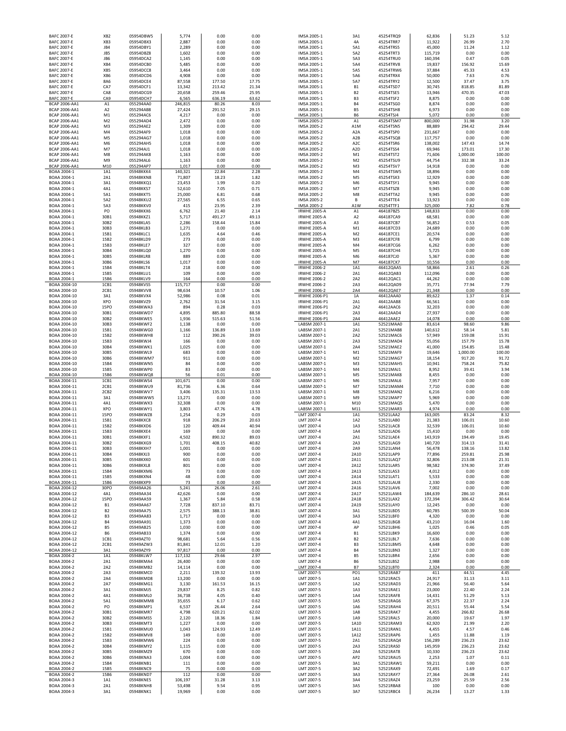| <b>BAFC 2007-E</b>                       | <b>BAFC 2007-E</b><br>XB <sub>2</sub> | 05954DBW5              | 5,774             | 0.00             | 0.00           | IMSA 2005-1                                | 3A1                          | 45254TRQ9              | 62,836             | 51.23            | 5.12           |
|------------------------------------------|---------------------------------------|------------------------|-------------------|------------------|----------------|--------------------------------------------|------------------------------|------------------------|--------------------|------------------|----------------|
|                                          | XB3                                   | 05954DBX3              | 2,887             | 0.00             | 0.00           | IMSA 2005-1                                | 4A                           | 45254TRR7              | 11,922             | 26.99            | 2.70           |
| <b>BAFC 2007-E</b>                       | JB4                                   | 05954DBY1              | 2,289             | 0.00             | 0.00           | IMSA 2005-1                                | 5A1                          | 45254TRS5              | 45,000             | 11.24            | 1.12           |
| <b>BAFC 2007-E</b>                       | JB5                                   | 05954DBZ8              | 1,602             | 0.00             | 0.00           | IMSA 2005-1                                | 5A2                          | 45254TRT3              | 115,719            | 0.00             | 0.00           |
| <b>BAFC 2007-E</b>                       | JB6                                   | 05954DCA2              | 1,145             | 0.00             | 0.00           | IMSA 2005-1                                | 5A3                          | 45254TRU0              | 160,394            | 0.47             | 0.05           |
| <b>BAFC 2007-E</b>                       | XB4                                   | 05954DCB0              | 5,485             | 0.00             | 0.00           | IMSA 2005-1                                | 5A4                          | 45254TRV8              | 19,837             | 156.92           | 15.69          |
| <b>BAFC 2007-E</b><br><b>BAFC 2007-E</b> | XB5<br>XB6                            | 05954DCC8<br>05954DCD6 | 3,464<br>4,908    | 0.00<br>0.00     | 0.00<br>0.00   | IMSA 2005-1<br>IMSA 2005-1                 | <b>5A5</b><br>5A6            | 45254TRW6<br>45254TRX4 | 37,884<br>50,000   | 45.33<br>7.63    | 4.53<br>0.76   |
| <b>BAFC 2007-E</b>                       | 8A6                                   | 05954DCE4              | 87,558            | 177.50           | 17.75          | IMSA 2005-1                                | 5A7                          | 45254TRY2              | 12,500             | 37.47            | 3.75           |
| <b>BAFC 2007-E</b>                       | CA7                                   | 05954DCF1              | 13,342            | 213.42           | 21.34          | IMSA 2005-1                                | <b>B1</b>                    | 45254TSD7              | 30,745             | 818.85           | 81.89          |
| <b>BAFC 2007-E</b>                       | CA8                                   | 05954DCG9              | 20,658            | 259.46           | 25.95          | IMSA 2005-1                                | <b>B2</b>                    | 45254TSE5              | 13,946             | 470.35           | 47.03          |
| <b>BAFC 2007-E</b>                       | CA9                                   | 05954DCH7              | 6,565             | 636.19           | 63.62          | IMSA 2005-1                                | B <sub>3</sub>               | 45254TSF2              | 8,875              | 0.00             | 0.00           |
| <b>BCAP 2006-AA1</b>                     | A1                                    | 055294AA0              | 246,815           | 80.26            | 8.03           | IMSA 2005-1                                | <b>B4</b>                    | 45254TSG0              | 8,874              | 0.00             | 0.00           |
| BCAP 2006-AA1                            | A <sub>2</sub>                        | 055294AB8              | 27,424            | 291.52           | 29.15          | IMSA 2005-1                                | <b>B5</b>                    | 45254TSH8              | 6,973              | 0.00             | 0.00           |
| BCAP 2006-AA1                            | M1                                    | 055294AC6              | 4,217             | 0.00             | 0.00           | IMSA 2005-1                                | <b>B6</b>                    | 45254TSJ4              | 5,072              | 0.00             | 0.00           |
| BCAP 2006-AA1                            | M <sub>2</sub>                        | 055294AD4              | 2,472             | 0.00             | 0.00           | IMSA 2005-2                                | A1                           | 45254TSM7              | 800,000            | 31.98            | 3.20           |
| BCAP 2006-AA1                            | M3                                    | 055294AE2              | 1,309             | 0.00             | 0.00           | IMSA 2005-2                                | A1M                          | 45254TSN5              | 88,889             | 294.42           | 29.44          |
| BCAP 2006-AA1                            | M4                                    | 055294AF9              | 1,018             | 0.00             | 0.00           | IMSA 2005-2                                | A <sub>2</sub> A             | 45254TSP0              | 231,667            | 0.00             | 0.00           |
| <b>BCAP 2006-AA1</b>                     | M5                                    | 055294AG7              | 1,018             | 0.00             | 0.00           | IMSA 2005-2                                | A <sub>2</sub> B             | 45254TSQ8              | 117,757            | 0.00             | 0.00           |
| BCAP 2006-AA1                            | M6                                    | 055294AH5              | 1,018             | 0.00             | 0.00           | IMSA 2005-2                                | A <sub>2</sub> C             | 45254TSR6              | 138,002            | 147.43           | 14.74          |
| <b>BCAP 2006-AA1</b>                     | M7                                    | 055294AJ1              | 1,018             | 0.00             | 0.00           | IMSA 2005-2                                | A <sub>2</sub> D             | 45254TSS4              | 69,946             | 173.01           | 17.30          |
| <b>BCAP 2006-AA1</b>                     | M8                                    | 055294AK8              | 1,163             | 0.00             | 0.00           | IMSA 2005-2                                | M1                           | 45254TST2              | 71,606             | 1,000.00         | 100.00         |
| <b>BCAP 2006-AA1</b>                     | M <sub>9</sub>                        | 055294AL6              | 1,163             | 0.00             | 0.00           | IMSA 2005-2                                | M <sub>2</sub>               | 45254TSU9              | 44,754             | 332.38           | 33.24          |
| <b>BCAP 2006-AA1</b>                     | M10                                   | 055294AP7              | 1,017             | 0.00             | 0.00           | IMSA 2005-2                                | M3                           | 45254TSV7              | 14,918             | 0.00             | 0.00           |
| BOAA 2004-1                              | 1A1                                   | 05948KKK4              | 140,321           | 22.84            | 2.28           | IMSA 2005-2                                | M4                           | 45254TSW5              | 18,896             | 0.00             | 0.00           |
| BOAA 2004-1<br>BOAA 2004-1               | 2A1<br>3A1                            | 05948KKN8<br>05948KKQ1 | 71,807<br>23,453  | 18.23<br>1.99    | 1.82<br>0.20   | IMSA 2005-2<br>IMSA 2005-2                 | M5<br>M6                     | 45254TSX3<br>45254TSY1 | 12,929<br>9,945    | 0.00<br>0.00     | 0.00<br>0.00   |
| BOAA 2004-1                              | 4A1                                   | 05948KKS7              | 52,610            | 7.05             | 0.71           | IMSA 2005-2                                | M7                           | 45254TSZ8              | 9,945              | 0.00             | 0.00           |
| BOAA 2004-1                              | 5A1                                   | 05948KKT5              | 25,000            | 6.81             | 0.68           | IMSA 2005-2                                | M8                           | 45254TTA2              | 9,945              | 0.00             | 0.00           |
| BOAA 2004-1                              | 5A2                                   | 05948KKU2              | 27,565            | 6.55             | 0.65           | IMSA 2005-2                                | В                            | 45254TTE4              | 13,923             | 0.00             | 0.00           |
| BOAA 2004-1                              | 5A3                                   | 05948KKV0              | 415               | 23.95            | 2.39           | IMSA 2005-2                                | A1W                          | 45254TTF1              | 325,000            | 7.82             | 0.78           |
| BOAA 2004-1                              | PO                                    | 05948KKX6              | 6,762             | 21.40            | 2.14           | <b>IRWHE 2005-A</b>                        | A1                           | 464187BZ5              | 148,833            | 0.00             | 0.00           |
| BOAA 2004-1                              | 30B1                                  | 05948KKZ1              | 5,717             | 491.27           | 49.13          | <b>IRWHE 2005-A</b>                        | A <sub>2</sub>               | 464187CA9              | 68,581             | 0.00             | 0.00           |
| BOAA 2004-1                              | 30B2                                  | 05948KLA5              | 2,286             | 158.44           | 15.84          | <b>IRWHE 2005-A</b>                        | A3                           | 464187CB7              | 56,852             | 0.53             | 0.05           |
| BOAA 2004-1                              | 30B3                                  | 05948KLB3              | 1,271             | 0.00             | 0.00           | <b>IRWHE 2005-A</b>                        | M1                           | 464187CD3              | 24,689             | 0.00             | 0.00           |
| BOAA 2004-1                              | 15B1                                  | 05948KLC1              | 1,635             | 4.64             | 0.46           | <b>IRWHE 2005-A</b>                        | M <sub>2</sub>               | 464187CE1              | 20,574             | 0.00             | 0.00           |
| BOAA 2004-1                              | 15B2                                  | 05948KLD9              | 273               | 0.00             | 0.00           | <b>IRWHE 2005-A</b>                        | M3                           | 464187CF8              | 6,799              | 0.00             | 0.00           |
| BOAA 2004-1                              | 15B3                                  | 05948KLE7              | 327               | 0.00             | 0.00           | <b>IRWHE 2005-A</b>                        | M4                           | 464187CG6              | 6,262              | 0.00             | 0.00           |
| BOAA 2004-1                              | 30B4                                  | 05948KLQ0              | 1,270             | 0.00             | 0.00           | <b>IRWHE 2005-A</b>                        | M5                           | 464187CH4              | 5,725              | 0.00             | 0.00           |
| BOAA 2004-1                              | 30B5                                  | 05948KLR8              | 889               | 0.00             | 0.00           | <b>IRWHE 2005-A</b>                        | M6                           | 464187CJ0              | 5,367              | 0.00             | 0.00           |
| BOAA 2004-1                              | 30B6                                  | 05948KLS6              | 1,017             | 0.00             | 0.00           | <b>IRWHE 2005-A</b>                        | M7                           | 464187CK7              | 10,556             | 0.00             | 0.00           |
| BOAA 2004-1                              | 15B4                                  | 05948KLT4              | 218               | 0.00             | 0.00           | <b>IRWHE 2006-2</b>                        | 1A1                          | 46412QAA5              | 58,866             | 2.61             | 0.26           |
| BOAA 2004-1                              | 15B5                                  | 05948KLU1              | 109               | 0.00             | 0.00           | <b>IRWHE 2006-2</b>                        | 2A1                          | 46412QAB3              | 112,096            | 0.00             | 0.00           |
| BOAA 2004-1                              | 15B6                                  | 05948KLV9              | 164               | 0.00             | 0.00           | <b>IRWHE 2006-2</b><br><b>IRWHE 2006-2</b> | 2A2                          | 46412QAC1<br>46412QAD9 | 44,262             | 0.00             | 0.00           |
| BOAA 2004-10<br>BOAA 2004-10             | 1CB1<br>2CB1                          | 05948KVS5<br>05948KVV8 | 115,717<br>98,634 | 0.00<br>10.57    | 0.00<br>1.06   | <b>IRWHE 2006-2</b>                        | 2A3<br>2A4                   | 46412QAE7              | 35,771<br>21,348   | 77.94<br>0.00    | 7.79<br>0.00   |
| BOAA 2004-10                             | 3A1                                   | 05948KVX4              | 52,986            | 0.08             | 0.01           | IRWHE 2006-P1                              | 1A                           | 46412AAA0              | 89,622             | 1.37             | 0.14           |
| BOAA 2004-10                             | XPO                                   | 05948KVZ9              | 2,762             | 31.54            | 3.15           | IRWHE 2006-P1                              | 2A1                          | 46412AAB8              | 66,561             | 0.00             | 0.00           |
| BOAA 2004-10                             | <b>15PO</b>                           | 05948KWA3              | 894               | 0.28             | 0.03           | IRWHE 2006-P1                              | 2A2                          | 46412AAC6              | 32,203             | 0.00             | 0.00           |
| BOAA 2004-10                             | 30B1                                  | 05948KWD7              | 4,895             | 885.80           | 88.58          | IRWHE 2006-P1                              | 2A3                          | 46412AAD4              | 27,937             | 0.00             | 0.00           |
| BOAA 2004-10                             | 30B2                                  | 05948KWE5              | 1,936             | 515.63           | 51.56          | IRWHE 2006-P1                              | 2A4                          | 46412AAE2              | 14,078             | 0.00             | 0.00           |
| BOAA 2004-10                             | 30B3                                  | 05948KWF2              | 1,138             | 0.00             | 0.00           | LABSM 2007-1                               | 1A1                          | 52521MAA0              | 83,614             | 98.60            | 9.86           |
| BOAA 2004-10                             | 15B1                                  | 05948KWG0              | 1,166             | 136.89           | 13.69          | LABSM 2007-1                               | 2A1                          | 52521MAB8              | 140,612            | 58.14            | 5.81           |
| BOAA 2004-10                             | 15B2                                  | 05948KWH8              | 112               | 390.26           | 39.03          | LABSM 2007-1                               | 2A2                          | 52521MAC6              | 57,949             | 159.08           | 15.91          |
| BOAA 2004-10                             | 15B3                                  | 05948KWJ4              | 166               | 0.00             | 0.00           | LABSM 2007-1                               | 2A3                          | 52521MAD4              | 55,056             | 157.79           | 15.78          |
| BOAA 2004-10                             | 30B4                                  | 05948KWK1              | 1,025             | 0.00             | 0.00           | LABSM 2007-1                               | 2A4                          | 52521MAE2              | 41,000             | 154.85           | 15.48          |
| BOAA 2004-10                             | 30B5                                  | 05948KWL9              | 683               |                  |                | LABSM 2007-1                               | M1                           | 52521MAF9              | 19,646             | 1,000.00         | 100.00         |
|                                          |                                       |                        |                   | 0.00             | 0.00           |                                            |                              |                        |                    |                  |                |
| BOAA 2004-10                             | 30B6                                  | 05948KWM7              | 911               | 0.00             | 0.00           | LABSM 2007-1                               | M <sub>2</sub>               | 52521MAG7              | 18,154             | 917.20           | 91.72          |
| BOAA 2004-10                             | 15B4                                  | 05948KWN5              | 84                | 0.00             | 0.00           | LABSM 2007-1                               | M3                           | 52521MAH5              | 10,941             | 758.24           | 75.82          |
| BOAA 2004-10                             | 15B5                                  | 05948KWP0              | 83                | 0.00             | 0.00           | LABSM 2007-1                               | M4                           | 52521MAJ1              | 8,952              | 39.41            | 3.94           |
| BOAA 2004-10                             | 15B6                                  | 05948KWQ8              | 56                | 0.01             | 0.00           | LABSM 2007-1                               | M5                           | 52521MAK8              | 8,455              | 0.00             | 0.00           |
| BOAA 2004-11                             | 1CB1                                  | 05948KWS4              | 101,671           | 0.00             | 0.00           | LABSM 2007-1                               | M <sub>6</sub>               | 52521MAL6              | 7,957              | 0.00             | 0.00           |
| BOAA 2004-11                             | 2CB1                                  | 05948KWU9              | 81,736            | 6.36             | 0.64           | LABSM 2007-1                               | M7                           | 52521MAM4              | 7,710              | 0.00             | 0.00           |
| BOAA 2004-11                             | 2CB <sub>2</sub>                      | 05948KWV7              | 3,406             | 135.31           | 13.53          | LABSM 2007-1                               | M8                           | 52521MAN2              | 6,216              | 0.00             | 0.00           |
| BOAA 2004-11                             | 3A1                                   | 05948KWW5              | 13,271            | 0.00             | 0.00           | LABSM 2007-1                               | M9                           | 52521MAP7              | 5,969              | 0.00             | 0.00           |
| BOAA 2004-11                             | 4A1                                   | 05948KWX3              | 32,308            | 0.00             | 0.00           | LABSM 2007-1                               | M10                          | 52521MAQ5              | 5,470              | 0.00             | 0.00           |
| BOAA 2004-11                             | XPO                                   | 05948KWY1              | 3,803             | 47.76            | 4.78           | LABSM 2007-1                               | M11                          | 52521MAR3              | 4,974              | 0.00             | 0.00           |
| BOAA 2004-11                             | <b>15PO</b>                           | 05948KWZ8              | 1,254             | 0.29             | 0.03           | LMT 2007-4                                 | 1A1                          | 52521LAA2              | 163,005            | 83.24            | 8.32           |
| BOAA 2004-11<br>BOAA 2004-11             | 15B1<br>15B2                          | 05948KXC8<br>05948KXD6 | 918<br>120        | 206.29<br>409.44 | 20.63<br>40.94 | LMT 2007-4<br>LMT 2007-4                   | 1A2<br>1A3                   | 52521LAB0<br>52521LAC8 | 21,383<br>32,539   | 106.01<br>106.01 | 10.60<br>10.60 |
| BOAA 2004-11                             | 15B3                                  | 05948KXE4              | 169               | 0.00             | 0.00           | LMT 2007-4                                 | 1A4                          |                        |                    | 0.00             | 0.00           |
| BOAA 2004-11                             | 30B1                                  | 05948KXF1              | 4,502             | 890.32           | 89.03          | LMT 2007-4                                 | 2A1                          | 52521LAD6<br>52521LAE4 | 15,410<br>143,919  | 194.49           | 19.45          |
| BOAA 2004-11                             | 30B2                                  | 05948KXG9              | 1,701             | 408.15           | 40.82          | LMT 2007-4                                 | 2A3                          | 52521LAG9              | 140,720            | 314.13           | 31.41          |
| BOAA 2004-11                             | 30B3                                  | 05948KXH7              | 1.001             | 0.00             | 0.00           | I MT 2007-4                                | 2A9                          | 525211AN4              | 56.478             | 138.16           | 13.82          |
| BOAA 2004-11                             | 30B4                                  | 05948KXJ3              | 900               | 0.00             | 0.00           | LMT 2007-4                                 | 2A10                         | 52521LAP9              | 77,896             | 259.81           | 25.98          |
| BOAA 2004-11                             | 30B5                                  | 05948KXK0              | 601               | 0.00             | 0.00           | LMT 2007-4                                 | 2A11                         | 52521LAQ7              | 32,806             | 213.08           | 21.31          |
| BOAA 2004-11                             | 30B6                                  | 05948KXL8              | 801               | 0.00             | 0.00           | LMT 2007-4                                 | 2A12                         | 52521LAR5              | 98,582             | 374.90           | 37.49          |
| BOAA 2004-11                             | 15B4                                  | 05948KXM6              | 73                | 0.00             | 0.00           | LMT 2007-4                                 | 2A13                         | 52521LAS3              | 4,012              | 0.00             | 0.00           |
| BOAA 2004-11                             | 15B5                                  | 05948KXN4              | 48                | 0.00             | 0.00           | LMT 2007-4                                 | 2A14                         | 52521LAT1              | 5,533              | 0.00             | 0.00           |
| BOAA 2004-11                             | 15B6                                  | 05948KXP9              | 73                | 0.00             | 0.00           | LMT 2007-4                                 | 2A15                         | 52521LAU8              | 2,330              | 0.00             | 0.00           |
| BOAA 2004-12                             | 30PO                                  | 05949AA26              | 5,241             | 26.06            | 2.61           | LMT 2007-4                                 | 2A16                         | 52521LAV6              | 7,002              | 0.00             | 0.00           |
| BOAA 2004-12<br>BOAA 2004-12             | 4A1<br><b>15PO</b>                    | 05949AA34<br>05949AA59 | 42,626<br>1,367   | 0.00<br>5.84     | 0.00<br>0.58   | LMT 2007-4<br>LMT 2007-4                   | 2A17<br>2A18                 | 52521LAW4<br>52521LAX2 | 184,639<br>172,394 | 286.10<br>306.42 | 28.61<br>30.64 |
| BOAA 2004-12                             | <b>B1</b>                             | 05949AA67              | 7,728             | 837.10           | 83.71          | LMT 2007-4                                 | 2A19                         | 52521LAY0              | 12,245             | 0.00             | 0.00           |
| BOAA 2004-12                             | <b>B2</b>                             | 05949AA75              | 2,575             | 388.13           | 38.81          | LMT 2007-4                                 | 3A1                          | 52521LBD5              | 60,785             | 500.39           | 50.04          |
| BOAA 2004-12                             | B <sub>3</sub>                        | 05949AA83              | 1,717             | 0.00             | 0.00           | LMT 2007-4                                 | 3A3                          | 52521LBF0              | 4,320              | 0.00             | 0.00           |
| BOAA 2004-12                             | <b>B4</b>                             | 05949AA91              | 1,373             | 0.00             | 0.00           | LMT 2007-4                                 | 4A1                          | 52521LBG8              | 43,210             | 16.04            | 1.60           |
| BOAA 2004-12                             | B5                                    | 05949AB25              | 1,030             | 0.00             | 0.00           | LMT 2007-4                                 | AP                           | 52521LBH6              | 1,025              | 0.46             | 0.05           |
| BOAA 2004-12                             | <b>B6</b>                             | 05949AB33              | 1,374             | 0.00             | 0.00           | LMT 2007-4                                 | B1                           | 52521LBK9              | 16,600             | 0.00             | 0.00           |
| BOAA 2004-12                             | 1CB1                                  | 05949AZT0              | 98,681            | 5.64             | 0.56           | LMT 2007-4                                 | B <sub>2</sub>               | 52521LBL7              | 7,636              | 0.00             | 0.00           |
| BOAA 2004-12                             | 2CB1                                  | 05949AZW3              | 81,841            | 12.01            | 1.20           | LMT 2007-4                                 | B <sub>3</sub>               | 52521LBM5              | 4,648              | 0.00             | 0.00           |
| BOAA 2004-12                             | 3A1                                   | 05949AZY9              | 97,817            | 0.00             | 0.00           | LMT 2007-4                                 | <b>B4</b>                    | 52521LBN3              | 1,327              | 0.00             | 0.00           |
| BOAA 2004-2                              | 1A1                                   | 05948KLW7              | 117,132           | 29.66            | 2.97           | LMT 2007-4                                 | B5                           | 52521LBR4              | 2,656              | 0.00             | 0.00           |
| BOAA 2004-2                              | 2A1                                   | 05948KMA4              | 26,400            | 0.00             | 0.00           | LMT 2007-4                                 | <b>B6</b>                    | 52521LBS2              | 2,988              | 0.00             | 0.00           |
| BOAA 2004-2<br>BOAA 2004-2               | 2A2<br>2A3                            | 05948KMB2<br>05948KMC0 | 14,114<br>2,211   | 0.00<br>139.32   | 0.00<br>13.93  | LMT 2007-4<br>LMT 2007-5                   | <b>B7</b><br>PO <sub>1</sub> | 52521LBT0<br>52521RAB7 | 2,324              | 0.00<br>44.51    | 0.00<br>4.45   |
| BOAA 2004-2                              | 2A4                                   | 05948KMD8              | 13,200            | 0.00             | 0.00           | LMT 2007-5                                 | 1A1                          | 52521RAC5              | 411<br>24,917      | 31.13            | 3.11           |
| BOAA 2004-2                              | 2A7                                   | 05948KMG1              | 3,130             | 161.53           | 16.15          | LMT 2007-5                                 | 1A2                          | 52521RAD3              | 21,966             | 56.40            | 5.64           |
| BOAA 2004-2                              | 3A1                                   | 05948KMJ5              | 29,837            | 8.25             | 0.82           | LMT 2007-5                                 | 1A3                          | 52521RAE1              | 23,000             | 22.40            | 2.24           |
| BOAA 2004-2                              | 4A1                                   | 05948KML0              | 36,738            | 4.05             | 0.40           | LMT 2007-5                                 | 1A4                          | 52521RAF8              | 14,431             | 51.29            | 5.13           |
| BOAA 2004-2                              | 5A1                                   | 05948KMM8              | 35,655            | 6.17             | 0.62           | LMT 2007-5                                 | 1A5                          | 52521RAG6              | 67,375             | 22.37            | 2.24           |
| BOAA 2004-2                              | PO                                    | 05948KMP1              | 6,537             | 26.44            | 2.64           | LMT 2007-5                                 | 1A6                          | 52521RAH4              | 20,511             | 55.44            | 5.54           |
| BOAA 2004-2                              | 30B1                                  | 05948KMR7              | 4,798             | 620.21           | 62.02          | LMT 2007-5                                 | 1A8                          | 52521RAK7              | 4,455              | 266.82           | 26.68          |
| BOAA 2004-2                              | 30B2                                  | 05948KMS5              | 2,120             | 18.36            | 1.84           | LMT 2007-5                                 | 1A9                          | 52521RAL5              | 20,000             | 19.67            | 1.97           |
| BOAA 2004-2                              | 30B3                                  | 05948KMT3              | 1,227             | 0.00             | 0.00           | LMT 2007-5                                 | 1A10                         | 52521RAM3              | 62,920             | 21.99            | 2.2C           |
| BOAA 2004-2                              | 15B1                                  | 05948KMU0              | 1,043             | 124.93           | 12.49          | LMT 2007-5                                 | 1A11                         | 52521RAN1              | 4,455              | 4.57             | 0.46           |
| BOAA 2004-2                              | 15B2                                  | 05948KMV8              | 149               | 0.00             | 0.00           | LMT 2007-5                                 | 1A12                         | 52521RAP6              | 1,455              | 11.88            | 1.19           |
| BOAA 2004-2                              | 15B3                                  | 05948KMW6              | 224               | 0.00             | 0.00           | LMT 2007-5                                 | 2A1                          | 52521RAQ4              | 156,289            | 236.23           | 23.62          |
| BOAA 2004-2                              | 30B4                                  | 05948KMY2              | 1,115             | 0.00             | 0.00           | LMT 2007-5                                 | 2A3                          | 52521RAS0              | 145,959            | 236.23           | 23.62          |
| BOAA 2004-2                              | 30B5                                  | 05948KMZ9              | 670               | 0.00             | 0.00           | LMT 2007-5                                 | 2A4                          | 52521RAT8              | 10,330             | 236.23           | 23.62          |
| BOAA 2004-2                              | 30B6                                  | 05948KNA3              | 1,004             | 0.00             | 0.00           | LMT 2007-5                                 | AP <sub>2</sub>              | 52521RAU5              | 2,253              | 1.07             | 0.11           |
| BOAA 2004-2                              | 15B4                                  | 05948KNB1              | 111               | 0.00             | 0.00           | LMT 2007-5                                 | 3A1                          | 52521RAW1              | 59,211             | 0.00             | 0.00           |
| BOAA 2004-2<br>BOAA 2004-2               | 15B5                                  | 05948KNC9              | 75<br>112         | 0.00<br>0.00     | 0.00<br>0.00   | LMT 2007-5<br>LMT 2007-5                   | 3A2<br>3A3                   | 52521RAX9              | 72,491             | 1.69<br>26.08    | 0.17<br>2.61   |
|                                          | 15B6                                  | 05948KND7              |                   |                  |                |                                            |                              | 52521RAY7              | 27,364             |                  |                |
| BOAA 2004-3<br>BOAA 2004-3               | 1A1<br>2A1                            | 05948KNE5<br>05948KNH8 | 106,197<br>53,498 | 31.28<br>9.54    | 3.13<br>0.95   | LMT 2007-5<br>LMT 2007-5                   | 3A4<br>3A5                   | 52521RAZ4<br>52521RBA8 | 23,259<br>100      | 25.59<br>0.00    | 2.56<br>0.00   |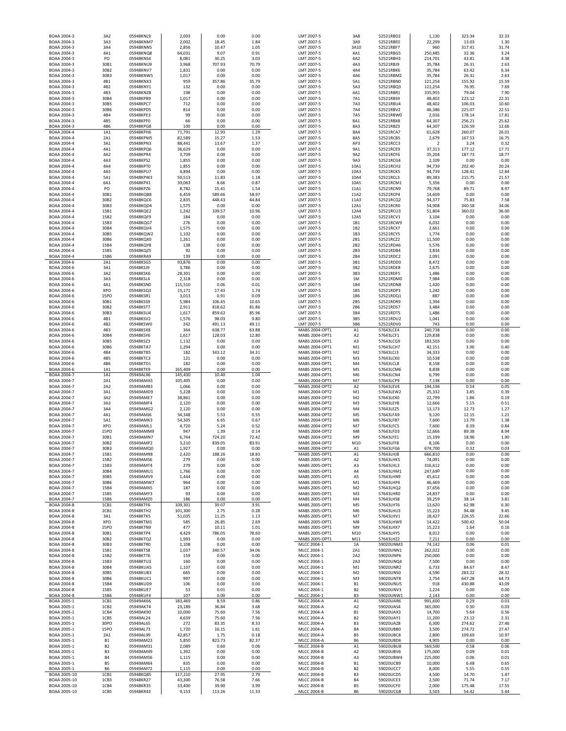| BOAA 2004-3                 | 3A2               | 05948KNL9              | 2,003              | 0.00           | 0.00          | LMT 2007-5                        | 3A8                              | 52521RBD2              | 1,130             | 323.34           | 32.33          |
|-----------------------------|-------------------|------------------------|--------------------|----------------|---------------|-----------------------------------|----------------------------------|------------------------|-------------------|------------------|----------------|
| BOAA 2004-3                 | 3A3               | 05948KNM7              | 2,002              | 18.45          | 1.84          | LMT 2007-5                        | 3A9                              | 52521RBE0              | 22,299            | 13.03            | 1.30           |
| BOAA 2004-3                 | 3A4               | 05948KNN5              | 2,856              | 10.47          | 1.05          | LMT 2007-5                        | 3A10                             | 52521RBF7              | 960               | 317.41           | 31.74          |
| BOAA 2004-3                 | 4A1<br>PO         | 05948KNQ8<br>05948KNS4 | 64,031             | 9.07<br>30.25  | 0.91          | LMT 2007-5                        | 4A1<br>4A2                       | 52521RBG5              | 250,485           | 32.36            | 3.24<br>4.38   |
| BOAA 2004-3<br>BOAA 2004-3  | 30B1              | 05948KNU9              | 8,081<br>3,968     | 707.93         | 3.03<br>70.79 | LMT 2007-5<br>LMT 2007-5          | 4A3                              | 52521RBH3<br>52521RBJ9 | 214,701<br>35,784 | 43.81<br>26.31   | 2.63           |
| BOAA 2004-3                 | 30B2              | 05948KNV7              | 1,831              | 0.00           | 0.00          | LMT 2007-5                        | 4A4                              | 52521RBK6              | 35,784            | 63.42            | 6.34           |
| BOAA 2004-3                 | 30B3              | 05948KNW5              | 1,017              | 0.00           | 0.00          | LMT 2007-5                        | 4A6                              | 52521RBM2              | 35,784            | 26.31            | 2.63           |
| BOAA 2004-3                 | 4B1               | 05948KNX3              | 959                | 357.86         | 35.79         | LMT 2007-5                        | 5A1                              | 52521RBN0              | 121,254           | 155.92           | 15.59          |
| BOAA 2004-3                 | 4B2               | 05948KNY1              | 132                | 0.00           | 0.00          | LMT 2007-5                        | 5A3                              | 52521RBQ3              | 121,254           | 76.95            | 7.69           |
| BOAA 2004-3                 | 4B3               | 05948KNZ8              | 198                | 0.00           | 0.00          | LMT 2007-5                        | 6A1                              | 52521RBR1              | 335,955           | 79.04            | 7.90           |
| BOAA 2004-3                 | 30B4              | 05948KPB9              | 1,017              | 0.00           | 0.00          | LMT 2007-5                        | 7A1                              | 52521RBS9              | 48,402            | 223.12           | 22.31          |
| BOAA 2004-3                 | 30B5              | 05948KPC7              | 712                | 0.00           | 0.00          | LMT 2007-5                        | 7A3                              | 52521RBU4              | 48,402            | 106.03           | 10.60          |
| BOAA 2004-3                 | 30B6              | 05948KPD5              | 814                | 0.00           | 0.00          | LMT 2007-5                        | 7A4                              | 52521RBV2              | 46,386            | 225.07           | 22.51          |
| BOAA 2004-3                 | 4B4               | 05948KPE3              | 99                 | 0.00           | 0.00          | LMT 2007-5                        | 7A5                              | 52521RBW0              | 2,016             | 178.14           | 17.81          |
| BOAA 2004-3                 | 4B5               | 05948KPF0              | 66                 | 0.00           | 0.00          | LMT 2007-5                        | 8A1                              | 52521RBX8              | 64,307            | 256.21           | 25.62          |
| BOAA 2004-3                 | 4B6               | 05948KPG8              | 100                | 0.00           | 0.00          | LMT 2007-5                        | 8A3                              | 52521RBZ3              | 64,307            | 126.59           | 12.66          |
| BOAA 2004-4                 | 1A1               | 05948KPH6              | 71,791             | 12.93          | 1.29          | LMT 2007-5                        | 8A4                              | 52521RCA7              | 61,628            | 260.07           | 26.01          |
| BOAA 2004-4                 | 2A1               | 05948KPM5              | 82,589             | 15.27          | 1.53          | LMT 2007-5                        | 8A5                              | 52521RCB5              | 2,679             | 167.53           | 16.75          |
| BOAA 2004-4                 | 3A1               | 05948KPN3              | 88,441             | 13.67          | 1.37          | LMT 2007-5                        | AP3                              | 52521RCC3              | $\overline{2}$    | 3.24             | 0.32           |
| BOAA 2004-4                 | 4A1               | 05948KPQ6              | 36,629             | 0.00           | 0.00          | LMT 2007-5                        | 9A1                              | 52521RCE9              | 37,313            | 177.12           | 17.71          |
| BOAA 2004-4                 | 4A2               | 05948KPR4              | 3,709              | 0.00           | 0.00          | LMT 2007-5                        | 9A2                              | 52521RCF6              | 35,204            | 187.73           | 18.77          |
| BOAA 2004-4                 | 4A3               | 05948KPS2              | 1,855              | 0.00           | 0.00          | LMT 2007-5                        | 9A3                              | 52521RCG4              | 2,109             | 0.00             | 0.00           |
| BOAA 2004-4                 | 4A4               | 05948KPT0              | 1,855              | 0.00           | 0.00          | LMT 2007-5                        | 10A1                             | 52521RCH2              | 94,739            | 202.40           | 20.24          |
| BOAA 2004-4<br>BOAA 2004-4  | 4A5<br>5A1        | 05948KPU7<br>05948KPW3 | 4,894<br>50,513    | 0.00<br>11.83  | 0.00<br>1.18  | LMT 2007-5<br>LMT 2007-5          | 10A3<br>10A4                     | 52521RCK5<br>52521RCL3 | 94,739<br>89,383  | 128.41<br>215.75 | 12.84<br>21.57 |
| BOAA 2004-4                 | 6A1               | 05948KPX1              | 39,063             | 8.66           | 0.87          | LMT 2007-5                        | 10A5                             | 52521RCM1              | 5,356             | 0.00             | 0.00           |
| BOAA 2004-4                 | PO                | 05948KPZ6              | 8,782              | 15.41          | 1.54          | LMT 2007-5                        | 11A1                             | 52521RCN9              | 79,768            | 89.71            | 8.97           |
| BOAA 2004-4                 | 30B1              | 05948KQB8              | 6,459              | 589.66         | 58.97         | LMT 2007-5                        | 11A2                             | 52521RCP4              | 14,609            | 0.00             | 0.00           |
| BOAA 2004-4                 | 30B2              | 05948KQC6              | 2,835              | 448.43         | 44.84         | LMT 2007-5                        | 11A3                             | 52521RCQ2              | 94,377            | 75.83            | 7.58           |
| BOAA 2004-4                 | 30B3              | 05948KQD4              | 1,575              | 0.00           | 0.00          | LMT 2007-5                        | 12A1                             | 52521RCR0              | 54,908            | 340.58           | 34.06          |
| BOAA 2004-4                 | 15B1              | 05948KQE2              | 1,242              | 109.57         | 10.96         | LMT 2007-5                        | 12A4                             | 52521RCU3              | 51,804            | 360.02           | 36.00          |
| BOAA 2004-4                 | 15B2              | 05948KQF9              | 184                | 0.00           | 0.00          | LMT 2007-5                        | 12A5                             | 52521RCV1              | 3,104             | 0.00             | 0.00           |
| BOAA 2004-4                 | 15B3              | 05948KQG7              | 276                | 0.00           | 0.00          | LMT 2007-5                        | 1B1                              | 52521RCW9              | 6,032             | 0.00             | 0.00           |
| BOAA 2004-4                 | 30B4              | 05948KQV4              | 1,575              | 0.00           | 0.00          | LMT 2007-5                        | 1B2                              | 52521RCX7              | 2,661             | 0.00             | 0.00           |
| BOAA 2004-4                 | 30B5              | 05948KQW2              | 1,102              | 0.00           | 0.00          | LMT 2007-5                        | 1B3                              | 52521RCY5              | 1,774             | 0.00             | 0.00           |
| BOAA 2004-4                 | 30B6              | 05948KQX0              | 1,261              | 0.00           | 0.00          | LMT 2007-5                        | 2B1                              | 52521RCZ2              | 11,500            | 0.00             | 0.00           |
| BOAA 2004-4                 | 15B4              | 05948KQY8              | 138                | 0.00           | 0.00          | LMT 2007-5                        | 2B2                              | 52521RDA6              | 5,576             | 0.00             | 0.00           |
| BOAA 2004-4                 | 15B5              | 05948KQZ5              | 92                 | 0.00           | 0.00          | LMT 2007-5                        | 2B3                              | 52521RDB4              | 3,834             | 0.00             | 0.00           |
| BOAA 2004-4                 | 15B6              | 05948KRA9              | 139                | 0.00           | 0.00          | LMT 2007-5                        | 2B4                              | 52521RDC2              | 2,091             | 0.00             | 0.00           |
| BOAA 2004-6<br>BOAA 2004-6  | 2A1<br>3A1        | 05948KSG5<br>05948KSJ9 | 93,876<br>3,786    | 0.00<br>0.00   | 0.00<br>0.00  | LMT 2007-5<br>LMT 2007-5          | 3B1<br>3B2                       | 52521RDD0<br>52521RDE8 | 8,472             | 0.00<br>0.00     | 0.00<br>0.00   |
|                             |                   |                        |                    |                |               |                                   |                                  |                        | 2,675             |                  |                |
| BOAA 2004-6<br>BOAA 2004-6  | 3A2<br>3A3        | 05948KSK6<br>05948KSL4 | 28,301<br>2,318    | 0.00<br>0.00   | 0.00<br>0.00  | LMT 2007-5<br>LMT 2007-5          | 3B3<br>1M                        | 52521RDF5<br>52521RDM0 | 1,486<br>7,984    | 0.00<br>0.00     | 0.00<br>0.00   |
| BOAA 2004-6                 | 4A1               | 05948KSN0              | 115,510            | 0.06           | 0.01          | LMT 2007-5                        | 1B4                              | 52521RDN8              | 1,420             | 0.00             | 0.00           |
| BOAA 2004-6                 | XPO               | 05948KSQ3              | 15,171             | 17.43          | 1.74          | LMT 2007-5                        | 1B5                              | 52521RDP3              | 1,242             | 0.00             | 0.00           |
| BOAA 2004-6                 | <b>15PO</b>       | 05948KSR1              | 3,013              | 0.91           | 0.09          | LMT 2007-5                        | 1B6                              | 52521RDQ1              | 887               | 0.00             | 0.00           |
| BOAA 2004-6                 | 30B1              | 05948KSS9              | 5,984              | 106.45         | 10.65         | LMT 2007-5                        | 2B5                              | 52521RDR9              | 1,394             | 0.00             | 0.00           |
| BOAA 2004-6                 | 30B2              | 05948KST7              | 2,911              | 818.62         | 81.86         | LMT 2007-5                        | 2B6                              | 52521RDS7              | 3,484             | 0.00             | 0.00           |
| BOAA 2004-6                 | 30B3              | 05948KSU4              | 1,617              | 859.62         | 85.96         | LMT 2007-5                        | 3B4                              | 52521RDT5              | 1,486             | 0.00             | 0.00           |
| BOAA 2004-6                 | 4B1               | 05948KSV2              | 1,576              | 98.03          | 9.80          | LMT 2007-5                        | 3B5                              | 52521RDU2              | 1,041             | 0.00             | 0.00           |
| BOAA 2004-6                 | 4B2               | 05948KSW0              | 242                | 491.13         | 49.11         | LMT 2007-5                        | 3B6                              | 52521RDV0              | 743               | 0.00             | 0.00           |
| BOAA 2004-6                 | 4B3               | 05948KSX8              | 364                | 638.77         | 63.88         | MABS 2004-OPT1                    | A1                               | 57643LCE4              | 240,738           | 0.00             | 0.00           |
| BOAA 2004-6                 | 30B4              | 05948KSY6              | 1,617              | 128.03         | 12.80         | MABS 2004-OPT1                    | A <sub>2</sub>                   | 57643LCF1              | 129,838           | 0.00             | 0.00           |
| BOAA 2004-6                 | 30B5              | 05948KSZ3              | 1,132              | 0.00           | 0.00          | MABS 2004-OPT1                    | A3                               | 57643LCG9              | 183,503           | 0.00             | 0.00           |
| BOAA 2004-6                 | 30B6              | 05948KTA7              | 1,294              | 0.00           | 0.00          | MABS 2004-OPT1                    | M1                               | 57643LCH7              | 42,151            | 3.96             | 0.40           |
| BOAA 2004-6                 | 4B4               | 05948KTB5              | 182                | 343.12         | 34.31         | MABS 2004-OPT1                    | M <sub>2</sub>                   | 57643LCJ3              | 34,333            | 0.00             | 0.00           |
| BOAA 2004-6                 | 4B5               | 05948KTC3              | 121                | 0.00           | 0.00          | MABS 2004-OPT1                    | M3                               | 57643LCK0              | 10,538            | 0.00             | 0.00           |
| BOAA 2004-6                 | 4B6               | 05948KTD1              | 182                | 0.00           | 0.00          | MABS 2004-OPT1                    | M4                               | 57643LCL8              | 8,158             | 0.00             | 0.00           |
| BOAA 2004-6<br>BOAA 2004-7  | 1A1<br>1A1        | 05948KTE9<br>05949ALX6 | 165,409<br>145,430 | 0.00<br>10.40  | 0.00<br>1.04  | MABS 2004-OPT1                    | M <sub>5</sub><br>M <sub>6</sub> | 57643LCM6<br>57643LCN4 | 8,838<br>6,799    | 0.00<br>0.00     | 0.00<br>0.00   |
|                             | 2A1               |                        | 105,495            |                | 0.00          | MABS 2004-OPT1<br>MABS 2004-OPT1  | M7                               | 57643LCP9              |                   | 0.00             |                |
| BOAA 2004-7<br>BOAA 2004-7  | 2A2               | 05949AMA5<br>05949AMB3 | 1,066              | 0.00<br>0.00   | 0.00          | MABS 2004-OPT2                    | A <sub>2</sub>                   | 57643LEV4              | 7,138<br>194,194  | 0.54             | 0.00<br>0.05   |
| BOAA 2004-7                 | 3A1               | 05949AMD9              | 5,228              | 0.00           | 0.00          | MABS 2004-OPT2                    | M1                               | 57643LEW2              | 25,332            | 3.85             | 0.39           |
| BOAA 2004-7                 | 3A2               | 05949AME7              | 38,861             | 0.00           | 0.00          | MABS 2004-OPT2                    | M <sub>2</sub>                   | 57643LEX0              | 22,799            | 1.86             | 0.19           |
| BOAA 2004-7                 | 3A3               | 05949AMF4              | 2,120              | 0.00           | 0.00          | MABS 2004-OPT2                    | M3                               | 57643LEY8              | 12,666            | 5.15             | 0.51           |
| BOAA 2004-7                 | 3A4               | 05949AMG2              | 2,120              | 0.00           | 0.00          | MABS 2004-OPT2                    | M4                               | 57643LEZ5              | 13,173            | 12.73            | 1.27           |
| BOAA 2004-7                 | 4A1               | 05949AMJ6              | 34,348             | 5.53           | 0.55          | MABS 2004-OPT2                    | M <sub>5</sub>                   | 57643LFA9              | 9,120             | 12.15            | 1.21           |
| BOAA 2004-7                 | 5A1               | 05949AMK3              | 54,305             | 6.65           | 0.67          | MABS 2004-OPT2                    | M6                               | 57643LFB7              | 7,600             | 13.79            | 1.38           |
| BOAA 2004-7                 | XPO               | 05949AML1              | 4,720              | 5.24           | 0.52          | MABS 2004-OPT2                    | M7                               | 57643LFC5              | 7,600             | 8.39             | 0.84           |
| BOAA 2004-7                 | <b>15PO</b>       | 05949AMM9              | 947                | 1.39           | 0.14          | MABS 2004-OPT2                    | M8                               | 57643LFD3              | 12,666            | 89.38            | 8.94           |
| BOAA 2004-7                 | 30B1              | 05949AMN7              | 6,744              | 724.20         | 72.42         | MABS 2004-OPT2                    | M <sub>9</sub>                   | 57643LFE1              | 15,199            | 18.96            | 1.90           |
| BOAA 2004-7                 | 30 <sub>R2</sub>  | 05949AMP2              | 3,210              | 839.05         | 83.91         | MARS 2004-OPT2                    | M10                              | <b>576431 FFR</b>      | 8 106             |                  | 0.00           |
| BOAA 2004-7                 | 30B3              | 05949AMQ0              | 1,927              | 0.00           | 0.00          | MABS 2004-OPT2                    |                                  |                        |                   | 0.00             |                |
| BOAA 2004-7                 | 15B1              | 05949AMR8              | 2,420              | 188.26         |               |                                   | A1                               | 57643LFG6              | 674,700           | 0.32             | 0.03           |
| BOAA 2004-7                 | 15B2              | 05949AMS6<br>05949AMT4 | 279                |                | 18.83         | MABS 2005-OPT1                    | A1                               | 57643LHJ8              | 666,810           | 0.00             | 0.00           |
| BOAA 2004-7                 | 15B3              |                        |                    | 0.00           | 0.00          | MABS 2005-OPT1                    | A <sub>2</sub>                   | 57643LHK5              | 74,091            | 0.00             | 0.00           |
| BOAA 2004-7<br>BOAA 2004-7  | 30B4              |                        | 279                | 0.00           | 0.00          | MABS 2005-OPT1                    | A3                               | 57643LHL3              | 316,612           | 0.00             | 0.00           |
| BOAA 2004-7                 |                   | 05949AMU1              | 1,766              | 0.00           | 0.00          | MABS 2005-OPT1                    | A4                               | 57643LHM1              | 247,690           | 0.00             | 0.00           |
|                             | 30B5              | 05949AMV9              | 1,444<br>964       | 0.00           | 0.00          | MABS 2005-OPT1                    | A5                               | 57643LHN9              | 45,612            | 0.00             | 0.00           |
| BOAA 2004-7                 | 30B6<br>15B4      | 05949AMW7<br>05949AMX5 | 187                | 0.00<br>0.00   | 0.00<br>0.00  | MABS 2005-OPT1<br>MABS 2005-OPT1  | M1<br>M <sub>2</sub>             | 57643LHP4<br>57643LHQ2 | 46,469<br>37,656  | 0.00<br>0.00     | 0.00<br>0.00   |
| BOAA 2004-7                 | 15B5              | 05949AMY3              | 93                 | 0.00           | 0.00          | MABS 2005-OPT1                    | M3                               | 57643LHR0              | 24,837            | 0.00             | 0.00           |
| BOAA 2004-7                 | 15B6              | 05949AMZ0              | 186                | 0.00           | 0.00          | MABS 2005-OPT1                    | M4                               | 57643LHS8              | 39,259            | 38.14            | 3.81           |
| BOAA 2004-8                 | 1CB1              | 05948KTF6              | 109,301            | 39.07          | 3.91          | MABS 2005-OPT1                    | M <sub>5</sub>                   | 57643LHT6              | 13,620            | 62.98            | 6.30           |
| BOAA 2004-8                 | 2CB1              | 05948KTH2              | 101,300            | 2.75           | 0.28          | MABS 2005-OPT1                    | M6                               | 57643LHU3              | 15,223            | 94.48            | 9.45           |
| BOAA 2004-8                 | 3A1               | 05948KTK5              | 51,035             | 11.25          | 1.13          | MABS 2005-OPT1                    | M7                               | 57643LHV1              | 18,427            | 226.55           | 22.66          |
| BOAA 2004-8                 | XPO               | 05948KTM1              | 585                | 26.85          | 2.69          | MABS 2005-OPT1                    | M8                               | 57643LHW9              | 14,422            | 500.42           | 50.04          |
| BOAA 2004-8                 | 15PO              | 05948KTN9              | 477                | 10.11          | 1.01          | MABS 2005-OPT1                    | M9                               | 57643LHX7              | 15,223            | 1.64             | 0.16           |
| BOAA 2004-8                 | 30B1              | 05948KTP4              | 4,429              | 786.05         | 78.60         | MABS 2005-OPT1                    | M10                              | 57643LHY5              | 8,012             | 0.00             | 0.00           |
| BOAA 2004-8                 | 30B2              | 05948KTQ2              | 1,993              | 0.00           | 0.00          | MABS 2005-OPT1                    | M11                              | 57643LHZ2              | 7,211             | 0.00             | 0.00           |
| BOAA 2004-8                 | 30B3              | 05948KTR0              | 1,108              | 0.00           | 0.00          | MLCC 2004-1                       | 1A                               | 59020UNM3              | 74,142            | 0.06             | 0.01           |
| BOAA 2004-8<br>BOAA 2004-8  | 15B1<br>15B2      | 05948KTS8<br>05948KTT6 | 1,037<br>159       | 340.57<br>0.00 | 34.06<br>0.00 | MLCC 2004-1<br>MLCC 2004-1        | 2A1<br>2A2                       | 59020UNN1<br>59020UNP6 | 262,022           | 0.00             | 0.00<br>0.00   |
| BOAA 2004-8                 | 15B3              | 05948KTU3              | 160                | 0.00           | 0.00          | MLCC 2004-1                       | 2A3                              | 59020UNQ4              | 250,000           | 0.00<br>0.00     | 0.00           |
| BOAA 2004-8                 | 30B4              | 05948KUA5              | 1,107              | 0.00           | 0.00          | MLCC 2004-1                       | M1                               | 59020UNR2              | 7,500<br>6,733    | 84.67            | 8.47           |
| BOAA 2004-8                 | 30B5              | 05948KUB3              | 665                | 0.00           | 0.00          | MLCC 2004-1                       | M <sub>2</sub>                   | 59020UNS0              | 4,590             | 283.22           | 28.32          |
| BOAA 2004-8                 | 30B6              | 05948KUC1              | 997                | 0.00           | 0.00          | MLCC 2004-1                       | M3                               | 59020UNT8              | 2,754             | 647.28           | 64.73          |
| BOAA 2004-8                 | 15B4              | 05948KUD9              | 106                | 0.00           | 0.00          | MLCC 2004-1                       | <b>B1</b>                        | 59020UNU5              | 918               | 430.88           | 43.09          |
| BOAA 2004-8                 | 15B5              | 05948KUE7              | 53                 | 0.01           | 0.00          | MLCC 2004-1                       | <b>B2</b>                        | 59020UNV3              | 1,224             | 0.00             | 0.00           |
| BOAA 2004-8                 | 15B6              | 05948KUF4              | 107                | 0.00           | 0.00          | MLCC 2004-1                       | B <sub>3</sub>                   | 59020UNW1              | 2,143             | 0.00             | 0.00           |
| BOAA 2005-1                 | 1CB1              | 05949AK66              | 183,469            | 8.59           | 0.86          | <b>MLCC 2004-A</b>                | A1                               | 59020UAR6              | 991,600           | 0.29             | 0.03           |
| BOAA 2005-1                 | 1CB <sub>2</sub>  | 05949AK74              | 23,189             | 36.84          | 3.68          | MLCC 2004-A                       | A <sub>2</sub>                   | 59020UAS4              | 365,000           | 0.30             | 0.03           |
| BOAA 2005-1                 | 1CB4              | 05949AK90              | 10,000             | 75.60          | 7.56          | <b>MLCC 2004-A</b>                | <b>B1</b>                        | 59020UAX3              | 14,700            | 5.64             | 0.56           |
| BOAA 2005-1                 | 1CB5              | 05949AL24              | 4,639              | 75.60          | 7.56          | <b>MLCC 2004-A</b>                | B <sub>2</sub>                   | 59020UAY1              | 11,200            | 23.12            | 2.31           |
| BOAA 2005-1                 | 30PO              | 05949AL65              | 272                | 83.35          | 8.33          | <b>MLCC 2004-A</b>                | B <sub>3</sub>                   | 59020UAZ8              | 6,300             | 274.62           | 27.46          |
| BOAA 2005-1                 | 15PO              | 05949AL73              | 1,720              | 16.15          | 1.61          | <b>MLCC 2004-A</b>                | <b>B4</b>                        | 59020UBB0              | 3,500             | 274.72           | 27.47          |
| BOAA 2005-1                 | 2A1               | 05949AL99              | 42,857             | 1.75           | 0.18          | <b>MLCC 2004-A</b>                | <b>B5</b>                        | 59020UBC8              | 2,800             | 109.69           | 10.97          |
| BOAA 2005-1                 | B1                | 05949AM23              | 5,850              | 823.73         | 82.37         | <b>MLCC 2004-A</b>                | <b>B6</b>                        | 59020UBD6              | 4,905             | 0.00             | 0.00           |
| BOAA 2005-1                 | B <sub>2</sub>    | 05949AM31              | 2,089              | 0.60           | 0.06          | <b>MLCC 2004-B</b>                | A1                               | 59020UBU8              | 569,500           | 0.58             | 0.06           |
| BOAA 2005-1                 | B <sub>3</sub>    | 05949AM49              | 1,392              | 0.00           | 0.00          | <b>MLCC 2004-B</b>                | A <sub>2</sub>                   | 59020UBV6              | 175,000           | 0.09             | 0.01           |
| BOAA 2005-1                 | <b>B4</b>         | 05949AM56              | 1,115              | 0.00           | 0.00          | <b>MLCC 2004-B</b>                | A3                               | 59020UBW4              | 225,000           | 0.06             | 0.01           |
| BOAA 2005-1                 | <b>B5</b>         | 05949AM64              | 835                | 0.00           | 0.00          | <b>MLCC 2004-B</b>                | B1                               | 59020UCB9              | 10,000            | 6.48             | 0.65           |
| BOAA 2005-1<br>BOAA 2005-10 | <b>B6</b><br>1CB1 | 05949AM72<br>05948KQ85 | 1,115<br>117,210   | 0.00<br>27.95  | 0.00<br>2.79  | MLCC 2004-B<br><b>MLCC 2004-B</b> | B <sub>2</sub><br>B <sub>3</sub> | 59020UCC7<br>59020UCD5 | 8,000<br>4,500    | 5.55<br>14.70    | 0.55<br>1.47   |
| BOAA 2005-10                | 1CB3              | 05948KR27              | 43,300             | 76.58          | 7.66          | <b>MLCC 2004-B</b>                | <b>B4</b>                        | 59020UCE3              | 2,500             | 71.74            | 7.17           |
| BOAA 2005-10                | 1CB4              | 05948KR35              | 33,400             | 39.90          | 3.99          | <b>MLCC 2004-B</b>                | B5                               | 59020UCF0              | 2,000             | 175.48           | 17.55          |
| BOAA 2005-10                | 1CB5              | 05948KR43              | 9,153              | 113.26         | 11.33         | <b>MLCC 2004-B</b>                | <b>B6</b>                        | 59020UCG8              | 3,503             | 54.42            | 5.44           |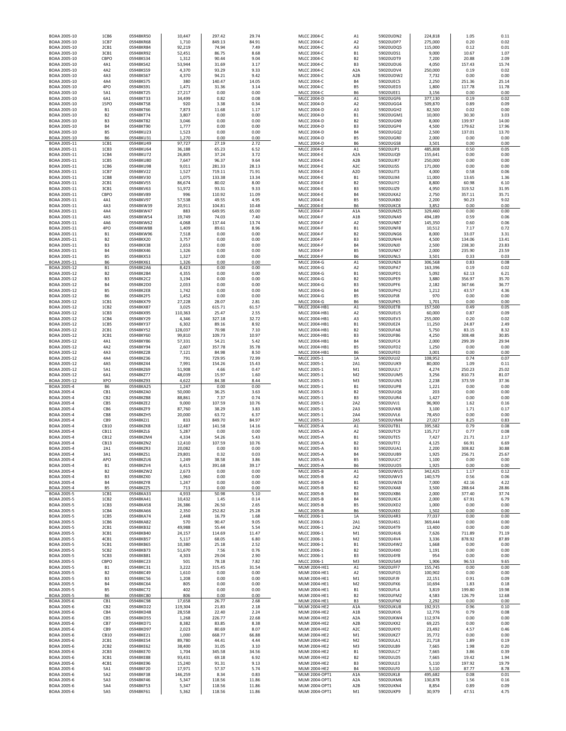| BOAA 2005-10                 | 1CB6                     | 05948KR50              | 10,447           | 297.42           | 29.74          | <b>MLCC 2004-C</b>                       | A1                     | 59020UDN2              | 224,818          | 1.05             | 0.11           |
|------------------------------|--------------------------|------------------------|------------------|------------------|----------------|------------------------------------------|------------------------|------------------------|------------------|------------------|----------------|
| BOAA 2005-10                 | 1CB7                     | 05948KR68              | 1,710            | 849.13           | 84.91          | MLCC 2004-C                              | A <sub>2</sub>         | 59020UDP7              | 275,000          | 0.20             | 0.02           |
| BOAA 2005-10                 | 2CB1                     | 05948KR84              | 92,219           | 74.94            | 7.49           | MLCC 2004-C                              | A3                     | 59020UDQ5              | 115,000          | 0.12             | 0.01           |
| BOAA 2005-10                 | 3CB1                     | 05948KR92              | 52,451           | 86.75            | 8.68           | MLCC 2004-C                              | <b>B1</b>              | 59020UDS1              | 9,000            | 10.67            | 1.07           |
| BOAA 2005-10                 | CBPO                     | 05948KS34              | 1,312            | 90.44            | 9.04           | MLCC 2004-C                              | B <sub>2</sub>         | 59020UDT9              | 7,200            | 20.88            | 2.09           |
| BOAA 2005-10                 | 4A1                      | 05948KS42              | 53,944           | 31.69            | 3.17           | MLCC 2004-C                              | B <sub>3</sub>         | 59020UDU6              | 4,050            | 157.43           | 15.74          |
| BOAA 2005-10                 | 4A2                      | 05948KS59              | 4,370            | 93.29            | 9.33           | <b>MLCC 2004-C</b>                       | A <sub>2</sub> A       | 59020UDV4              | 250,000          | 0.19             | 0.02           |
| BOAA 2005-10                 | 4A3                      | 05948KS67              | 4,370            | 94.21            | 9.42           | MLCC 2004-C                              | A <sub>2</sub> B       | 59020UDW2              | 7,732            | 0.00             | 0.00           |
| BOAA 2005-10                 | 4A4                      | 05948KS75              | 380              | 140.47           | 14.05          | MLCC 2004-C                              | <b>B4</b>              | 59020UEC5              | 2,250            | 251.36           | 25.14          |
| BOAA 2005-10                 | 4PO                      | 05948KS91              | 1,471            | 31.36            | 3.14           | MLCC 2004-C                              | <b>B5</b>              | 59020UED3              | 1,800            | 117.78           | 11.78          |
| BOAA 2005-10                 | 5A1                      | 05948KT25              | 27,217           | 0.00             | 0.00           | <b>MLCC 2004-C</b>                       | <b>B6</b>              | 59020UEE1              | 3,156            | 0.00             | 0.00           |
| BOAA 2005-10                 | 6A1                      | 05948KT33              | 34,499           | 0.82             | 0.08           | <b>MLCC 2004-D</b>                       | A1                     | 59020UGF6              | 377,130          | 0.19             | 0.02           |
| BOAA 2005-10                 | <b>15PO</b>              | 05948KT58              | 920              | 3.38             | 0.34           | <b>MLCC 2004-D</b>                       | A <sub>2</sub>         | 59020UGG4              | 509,870          | 0.89             | 0.09           |
| BOAA 2005-10                 | <b>B1</b>                | 05948KT66              | 7,873            | 11.68            | 1.17           | MLCC 2004-D                              | A3                     | 59020UGH2              | 82,500           | 0.02             | 0.00           |
| BOAA 2005-10                 | B <sub>2</sub>           | 05948KT74              | 3,807            | 0.00             | 0.00           | MLCC 2004-D                              | B1                     | 59020UGM1              | 10,000           | 30.30            | 3.03           |
| BOAA 2005-10                 | B <sub>3</sub>           | 05948KT82              | 3,046            | 0.00             | 0.00           | MLCC 2004-D                              | B <sub>2</sub>         | 59020UGN9              | 8,000            | 139.97           | 14.00          |
| BOAA 2005-10                 | <b>B4</b>                | 05948KT90              | 1,777            | 0.00             | 0.00           | MLCC 2004-D                              | B <sub>3</sub>         | 59020UGP4              | 4,500            | 179.62           | 17.96          |
| BOAA 2005-10                 | B5                       | 05948KU23              | 1,523            | 0.00             | 0.00           | MLCC 2004-D                              | <b>B4</b>              | 59020UGQ2              | 2,500            | 137.01           | 13.70          |
| BOAA 2005-10                 | B6                       | 05948KU31              | 1,270            | 0.00             | 0.00           | MLCC 2004-D                              | B <sub>5</sub>         | 59020UGR0              | 2,000            | 0.00             | 0.00           |
| BOAA 2005-11                 | 1CB1                     | 05948KU49              | 97,727           | 27.19            | 2.72           | <b>MLCC 2004-D</b>                       | <b>B6</b>              | 59020UGS8              | 3,501            | 0.00             | 0.00           |
| BOAA 2005-11                 | 1CB3                     | 05948KU64              | 36,188           | 65.23            | 6.52           | <b>MLCC 2004-E</b>                       | A1                     | 59020UJP1              | 485,808          | 0.50             | 0.05           |
| BOAA 2005-11                 | 1CB4                     | 05948KU72              | 26,805           | 37.24            | 3.72           | <b>MLCC 2004-E</b>                       | A <sub>2</sub> A       | 59020UJQ9              | 155,641          | 0.00             | 0.00           |
| BOAA 2005-11                 | 1CB5                     | 05948KU80              | 7,647            | 96.37            | 9.64           | <b>MLCC 2004-E</b>                       | A <sub>2</sub> B       | 59020UJR7              | 250,000          | 0.00             | 0.00           |
| BOAA 2005-11                 | 1CB6                     | 05948KU98              | 9,011            | 281.33           | 28.13          | <b>MLCC 2004-E</b>                       | A <sub>2</sub> C       | 59020UJS5              | 171,000          | 0.00             | 0.00           |
| BOAA 2005-11                 | 1CB7                     | 05948KV22              | 1,527            | 719.11           | 71.91          | <b>MLCC 2004-E</b>                       | A <sub>2</sub> D       | 59020UJT3              | 4,000            | 0.58             | 0.06           |
| BOAA 2005-11                 | 1CB8                     | 05948KV30              | 1,075            | 133.38           | 13.34          | <b>MLCC 2004-E</b>                       | <b>B1</b>              | 59020UJX4              | 11,000           | 13.65            | 1.36           |
| BOAA 2005-11                 | 2CB1                     | 05948KV55              | 86,674           | 80.02            | 8.00           | <b>MLCC 2004-E</b>                       | B <sub>2</sub>         | 59020UJY2              | 8,800            | 60.98            | 6.10           |
| BOAA 2005-11                 | 3CB1                     | 05948KV63              | 51,972           | 93.31            | 9.33           | MLCC 2004-E                              | B <sub>3</sub>         | 59020UJZ9              | 4,950            | 319.52           | 31.95          |
| BOAA 2005-11                 | CBPO                     | 05948KV89              | 996              | 110.92           | 11.09          | <b>MLCC 2004-E</b>                       | <b>B4</b>              | 59020UKA2              | 2,750            | 357.11           | 35.71          |
| BOAA 2005-11                 | 4A1                      | 05948KV97              | 57,538           | 49.55            | 4.95           | <b>MLCC 2004-E</b>                       | <b>B5</b>              | 59020UKB0              | 2,200            | 90.23            | 9.02           |
| BOAA 2005-11                 | 4A3                      | 05948KW39              | 20,911           | 104.81           | 10.48          | <b>MLCC 2004-E</b>                       | <b>B6</b>              | 59020UKC8              | 3,852            | 0.00             | 0.00           |
| BOAA 2005-11                 | 4A4                      | 05948KW47              | 883              | 649.95           | 65.00          | <b>MLCC 2004-F</b>                       | A <sub>1</sub> A       | 59020UMZ5              | 329,460          | 0.00             | 0.00           |
| BOAA 2005-11                 | 4A5                      | 05948KW54              | 19,749           | 74.03            | 7.40           | <b>MLCC 2004-F</b>                       | A <sub>1</sub> B       | 59020UNA9              | 494,189          | 0.59             | 0.06           |
| BOAA 2005-11                 | 4A6                      | 05948KW62              | 4,068            | 137.44           | 13.74          | <b>MLCC 2004-F</b>                       | A <sub>2</sub>         | 59020UNB7              | 145,350          | 0.60             | 0.06           |
| BOAA 2005-11                 | 4PO                      | 05948KW88              | 1,409            | 89.61            | 8.96           | <b>MLCC 2004-F</b>                       | <b>B1</b>              | 59020UNF8              | 10,512           | 7.17             | 0.72           |
| BOAA 2005-11                 | <b>B1</b>                | 05948KW96              | 7,518            | 0.00             | 0.00           | <b>MLCC 2004-F</b>                       | <b>B2</b>              | 59020UNG6              | 8,000            | 33.07            | 3.31           |
| BOAA 2005-11                 | B <sub>2</sub>           | 05948KX20              | 3,757            | 0.00             | 0.00           | <b>MLCC 2004-F</b>                       | B <sub>3</sub>         | 59020UNH4              | 4,500            | 134.06           | 13.41          |
| BOAA 2005-11                 | B <sub>3</sub>           | 05948KX38              | 2,653            | 0.00             | 0.00           | <b>MLCC 2004-F</b>                       | <b>B4</b>              | 59020UNJ0              | 2,500            | 238.30           | 23.83          |
| BOAA 2005-11                 | <b>B4</b>                | 05948KX46              | 1,326            | 0.00             | 0.00           | <b>MLCC 2004-F</b>                       | <b>B5</b>              | 59020UNK7              | 2,000            | 235.90           | 23.59          |
| BOAA 2005-11                 | B5                       | 05948KX53              | 1,327            | 0.00             | 0.00           | MLCC 2004-F                              | <b>B6</b>              | 59020UNL5              | 3,501            | 0.33             | 0.03           |
| BOAA 2005-11                 | B <sub>6</sub>           | 05948KX61              | 1,326            | 0.00             | 0.00           | MLCC 2004-G                              | A1                     | 59020UNZ4              | 306,568          | 0.83             | 0.08           |
| BOAA 2005-12                 | <b>B1</b>                | 05948K2A6              | 8,423            | 0.00             | 0.00           | MLCC 2004-G                              | A <sub>2</sub>         | 59020UPA7              | 163,396          | 0.19             | 0.02           |
| BOAA 2005-12                 | <b>B2</b>                | 05948K2B4              | 4,355            | 0.00             | 0.00           | <b>MLCC 2004-G</b>                       | <b>B1</b>              | 59020UPD1              | 5,092            | 62.13            | 6.21           |
| BOAA 2005-12                 | B <sub>3</sub>           | 05948K2C2              | 3,194            | 0.00             | 0.00           | MLCC 2004-G                              | <b>B2</b>              | 59020UPE9              | 3,880            | 356.97           | 35.70          |
| BOAA 2005-12                 | <b>B4</b>                | 05948K2D0              | 2,033            | 0.00             | 0.00           | MLCC 2004-G                              | B <sub>3</sub>         | 59020UPF6              | 2,182            | 367.66           | 36.77          |
| BOAA 2005-12                 | <b>B5</b>                | 05948K2E8              | 1,742            | 0.00             | 0.00           | MLCC 2004-G                              | <b>B4</b>              | 59020UPH2<br>59020UPJ8 | 1,212            | 43.57            | 4.36           |
| BOAA 2005-12<br>BOAA 2005-12 | <b>B6</b>                | 05948K2F5<br>05948KX79 | 1,452            | 0.00             | 0.00           | MLCC 2004-G<br>MLCC 2004-G               | <b>B5</b>              | 59020UPK5              | 970              | 0.00             | 0.00           |
| BOAA 2005-12                 | 1CB1<br>1CB <sub>2</sub> | 05948KX87              | 27,228<br>3,025  | 28.07<br>615.71  | 2.81<br>61.57  | MLCC 2004-HB1                            | <b>B6</b><br>A1        | 59020UET8              | 1,701<br>157,500 | 0.00<br>0.49     | 0.00<br>0.05   |
| BOAA 2005-12                 | 1CB3                     | 05948KX95              | 110,363          | 25.47            | 2.55           | MLCC 2004-HB1                            | A <sub>2</sub>         | 59020UEU5              | 60,000           | 0.87             | 0.09           |
| BOAA 2005-12                 | 1CB4                     | 05948KY29              | 4,346            | 327.18           | 32.72          | MLCC 2004-HB1                            | A3                     | 59020UEV3              | 255,000          | 0.20             | 0.02           |
| BOAA 2005-12                 | 1CB5                     | 05948KY37              | 6,302            | 89.16            | 8.92           | MLCC 2004-HB1                            | <b>B1</b>              | 59020UEZ4              | 11,250           | 24.87            | 2.49           |
| BOAA 2005-12                 | 2CB1                     | 05948KY52              | 128,037          | 70.98            | 7.10           | MLCC 2004-HB1                            | B <sub>2</sub>         | 59020UFA8              | 5,750            | 83.15            | 8.32           |
| BOAA 2005-12                 | 3CB1                     | 05948KY60              | 99,810           | 109.73           | 10.97          | MLCC 2004-HB1                            | B <sub>3</sub>         | 59020UFB6              | 4,250            | 308.48           | 30.85          |
|                              |                          |                        | 57,331           | 54.21            | 5.42           | MLCC 2004-HB1                            | <b>B4</b>              | 59020UFC4              | 2,000            | 299.39           | 29.94          |
|                              |                          |                        |                  |                  |                |                                          |                        |                        |                  |                  |                |
| BOAA 2005-12                 | 4A1                      | 05948KY86              |                  |                  |                |                                          |                        |                        |                  |                  |                |
| BOAA 2005-12                 | 4A2                      | 05948KY94              | 2,607            | 357.78           | 35.78          | MLCC 2004-HB1                            | <b>B5</b>              | 59020UFD2              | 1,250            | 0.00             | 0.00           |
| BOAA 2005-12                 | 4A3                      | 05948KZ28              | 7,121            | 84.98            | 8.50           | MLCC 2004-HB1                            | <b>B6</b>              | 59020UFE0              | 3,001            | 0.00             | 0.00           |
| BOAA 2005-12                 | 4A4                      | 05948KZ36              | 791              | 729.95           | 72.99          | MLCC 2005-1                              | 1A                     | 59020UUJ2              | 108,952          | 0.74             | 0.07           |
| BOAA 2005-12                 | 4A5                      | 05948KZ44              | 7,991            | 154.26           | 15.43          | MLCC 2005-1                              | 2A1                    | 59020UUK9              | 80,000           | 1.09             | 0.11           |
| BOAA 2005-12                 | 5A1<br>6A1               | 05948KZ69<br>05948KZ77 | 51,908<br>48,039 | 4.66<br>15.97    | 0.47<br>1.60   | MLCC 2005-1<br>MLCC 2005-1               | M1<br>M <sub>2</sub>   | 59020UUL7<br>59020UUM5 | 4,274<br>3,256   | 250.23<br>810.73 | 25.02<br>81.07 |
| BOAA 2005-12<br>BOAA 2005-12 | <b>XPO</b>               | 05948KZ93              | 4,622            | 84.38            | 8.44           | MLCC 2005-1                              | M <sub>3</sub>         | 59020UUN3              | 2,238            | 373.59           | 37.36          |
| BOAA 2005-4                  | <b>B6</b>                | 05948KA25              | 1,247            | 0.00             | 0.00           | MLCC 2005-1                              | B1                     | 59020UUP8              | 1,221            | 0.00             | 0.00           |
| BOAA 2005-4                  | CB1                      | 05948KZA0              | 50,000           | 36.25            | 3.63           | MLCC 2005-1                              | <b>B2</b>              | 59020UUQ6              | 203              | 0.00             | 0.00           |
| BOAA 2005-4                  | CB <sub>2</sub>          | 05948KZB8              | 88,861           | 7.37             | 0.74           | MLCC 2005-1                              | B <sub>3</sub>         | 59020UUR4              | 1,427            | 0.00             | 0.00           |
| BOAA 2005-4                  | CB5                      | 05948KZE2              | 9,000            | 107.59           | 10.76          | MLCC 2005-1                              | 2A2                    | 59020UVJ1              | 96,900           | 1.62             | 0.16           |
| BOAA 2005-4                  | CB6                      | 05948KZF9              | 87,760           | 38.29            | 3.83           | MLCC 2005-1                              | 2A3                    | 59020UVK8              | 3,100            | 1.71             | 0.17           |
| BOAA 2005-4                  | CB8                      | 05948KZH5              | 20,000           | 63.72            | 6.37           | MLCC 2005-1                              | 2A4                    | 59020UVL6              | 78,450           | 0.00             | 0.00           |
| BOAA 2005-4                  | CB9                      | 05948KZJ1              | 833              | 849.70           | 84.97          | MLCC 2005-1                              | 2A5                    | 59020UVM4              | 27,027           | 8.25             | 0.83           |
| BOAA 2005-4                  | CB10                     | 05948KZK8              | 12,487           | 141.58           | 14.16          | <b>MLCC 2005-A</b>                       | A1                     | 59020UTB1              | 395,582          | 0.79             | 0.08           |
| BOAA 2005-4                  | CB11                     | 05948KZL6              | 5,287            | 0.00             | 0.00           | <b>MLCC 2005-A</b>                       | A <sub>2</sub>         | 59020UTC9              | 135,717          | 0.77             | 0.08           |
| BOAA 2005-4                  | CB12                     | 05948KZM4              | 4,334            | 54.26            | 5.43           | <b>MLCC 2005-A</b>                       | <b>B1</b>              | 59020UTE5              | 7,427            | 21.71            | 2.17           |
| BOAA 2005-4                  | CB13                     | 05948KZN2              | 12,410           | 107.59           | 10.76          | <b>MLCC 2005-A</b>                       | <b>B2</b>              | 59020UTF2              | 4,125            | 66.91            | 6.69           |
| <b>ROAA 2005-4</b>           | 2A1                      | 05948K7R3              | 20.082           | 0.00             | 0.00           | MLCC 2005-A                              | B <sub>3</sub>         | 59020UUA1              | 2.200            | 308.82           | 30.88          |
| BOAA 2005-4                  | 3A1                      | 05948KZS1              | 29,801           | 0.32             | 0.03           | <b>MLCC 2005-A</b>                       | <b>B4</b>              | 59020UUB9              | 1,925            | 256.71           | 25.67          |
| BOAA 2005-4                  | APO                      | 05948KZU6              | 1,249            | 38.58            | 3.86           | <b>MLCC 2005-A</b>                       | B <sub>5</sub>         | 59020UUC7              | 1,100            | 0.00             | 0.00           |
| BOAA 2005-4                  | B <sub>1</sub>           | 05948KZV4              | 6,415            | 391.68           | 39.17          | <b>MLCC 2005-A</b>                       | <b>B6</b>              | 59020UUD5              | 1,925            | 0.00             | 0.00           |
| BOAA 2005-4                  | B <sub>2</sub>           | 05948KZW2              | 2,673            | 0.00             | 0.00           | <b>MLCC 2005-B</b>                       | A1                     | 59020UWU5              | 342,425          | 1.17             | 0.12           |
| BOAA 2005-4                  | B <sub>3</sub>           | 05948KZX0              | 1,960            | 0.00             | 0.00           | <b>MLCC 2005-B</b>                       | A <sub>2</sub>         | 59020UWV3              | 140,579          | 0.56             | 0.06           |
| BOAA 2005-4                  | <b>B4</b>                | 05948KZY8              | 1,247            | 0.00             | 0.00           | <b>MLCC 2005-B</b>                       | <b>B1</b>              | 59020UWZ4              | 7,000            | 42.16            | 4.22           |
| BOAA 2005-4                  | B5                       | 05948KZZ5              | 713              | 0.00             | 0.00           | <b>MLCC 2005-B</b>                       | B <sub>2</sub>         | 59020UXA8              | 3,500            | 288.64           | 28.86          |
| BOAA 2005-5                  | 1CB1                     | 05948KA33              | 4,933            | 50.98            | 5.10           | <b>MLCC 2005-B</b>                       | B <sub>3</sub>         | 59020UXB6              | 2,000            | 377.40           | 37.74          |
| BOAA 2005-5                  | 1CB <sub>2</sub>         | 05948KA41              | 10,432           | 1.45             | 0.14           | <b>MLCC 2005-B</b><br><b>MLCC 2005-B</b> | <b>B4</b>              | 59020UXC4<br>59020UXD2 | 2,000            | 67.91            | 6.79           |
| BOAA 2005-5                  | 1CB3<br>1CB4             | 05948KA58              | 26,386<br>2,350  | 26.50<br>252.82  | 2.65<br>25.28  | <b>MLCC 2005-B</b>                       | <b>B5</b><br><b>B6</b> | 59020UXE0              | 1,000<br>1,502   | 0.00<br>0.00     | 0.00<br>0.00   |
| BOAA 2005-5<br>BOAA 2005-5   | 1CB5                     | 05948KA66<br>05948KA74 | 2,448            | 16.79            | 1.68           | MLCC 2006-1                              | 1A                     | 59020U4R3              | 77,037           | 0.00             | 0.00           |
| BOAA 2005-5                  | 1CB6                     | 05948KA82              | 570              | 90.47            | 9.05           | MLCC 2006-1                              | 2A1                    | 59020U4S1              | 369,444          | 0.00             | 0.00           |
| BOAA 2005-5                  | 2CB1                     | 05948KB32              | 49,988           | 55.44            | 5.54           | MLCC 2006-1                              | 2A2                    | 59020U4T9              | 13,400           | 0.00             | 0.00           |
| BOAA 2005-5                  | 3CB1                     | 05948KB40              | 24,157           | 114.69           | 11.47          | MLCC 2006-1                              | M1                     | 59020U4U6              | 7,626            | 711.89           | 71.19          |
| BOAA 2005-5                  | 4CB1                     | 05948KB57              | 5,117            | 68.05            | 6.80           | MLCC 2006-1                              | M <sub>2</sub>         | 59020U4V4              | 3,336            | 878.92           | 87.89          |
| BOAA 2005-5                  | 5CB1                     | 05948KB65              | 10,380           | 25.18            | 2.52           | MLCC 2006-1                              | <b>B1</b>              | 59020U4W2              | 1,668            | 0.00             | 0.00           |
| BOAA 2005-5                  | 5CB <sub>2</sub>         | 05948KB73              | 51,670           | 7.56             | 0.76           | MLCC 2006-1                              | <b>B2</b>              | 59020U4X0              | 1,191            | 0.00             | 0.00           |
| BOAA 2005-5                  | 5CB3                     | 05948KB81              | 4,303            | 29.04            | 2.90           | MLCC 2006-1                              | B <sub>3</sub>         | 59020U4Y8              | 954              | 0.00             | 0.00           |
| BOAA 2005-5                  | CBPO                     | 05948KC23              | 501              | 78.18            | 7.82           | MLCC 2006-1                              | M3                     | 59020U5A9              | 1,906            | 96.53            | 9.65           |
| BOAA 2005-5                  | <b>B1</b>                | 05948KC31              | 3,222            | 315.45           | 31.54          | MLMI 2004-HE1                            | A1                     | 59020UFF7              | 155,745          | 0.00             | 0.00           |
| BOAA 2005-5                  | <b>B2</b>                | 05948KC49              | 1,610            | 0.00             | 0.00           | MLMI 2004-HE1                            | A <sub>2</sub>         | 59020UFG5              | 100,902          | 0.00             | 0.00           |
| BOAA 2005-5                  | B <sub>3</sub>           | 05948KC56              | 1,208            | 0.00             | 0.00           | MLMI 2004-HE1                            | M1                     | 59020UFJ9              | 22,151           | 0.91             | 0.09           |
| BOAA 2005-5                  | <b>B4</b>                | 05948KC64              | 805              | 0.00             | 0.00           | MLMI 2004-HE1                            | M <sub>2</sub>         | 59020UFK6              | 10,694           | 1.83             | 0.18           |
| BOAA 2005-5                  | B5                       | 05948KC72              | 402              | 0.00             | 0.00           | MLMI 2004-HE1                            | <b>B1</b>              | 59020UFL4              | 3,819            | 199.80           | 19.98          |
| BOAA 2005-5                  | B6                       | 05948KC80              | 806              | 0.00             | 0.00           | MLMI 2004-HE1                            | B <sub>2</sub>         | 59020UFM2              | 4,583            | 126.79           | 12.68          |
| BOAA 2005-6                  | CB1                      | 05948KC98              | 17,658           | 26.77            | 2.68           | MLMI 2004-HE1                            | B <sub>3</sub>         | 59020UFN0              | 2,292            | 0.00             | 0.00           |
| BOAA 2005-6                  | CB <sub>2</sub>          | 05948KD22              | 119,304          | 21.83            | 2.18           | MLMI 2004-HE2                            | A <sub>1</sub> A       | 59020UKU8              | 192,915          | 0.96             | 0.10           |
| BOAA 2005-6                  | CB4                      | 05948KD48              | 28,558           | 22.40            | 2.24           | MLMI 2004-HE2                            | A1B                    | 59020UKV6              | 12,776           | 0.79             | 0.08           |
| BOAA 2005-6                  | CB5                      | 05948KD55              | 1,268            | 226.77           | 22.68          | MLMI 2004-HE2                            | A <sub>2</sub> A       | 59020UKW4              | 112,974          | 0.00             | 0.00           |
| BOAA 2005-6                  | CB7                      | 05948KD71              | 8,382            | 83.85            | 8.38           | MLMI 2004-HE2                            | A <sub>2</sub> B       | 59020UKX2              | 69,225           | 0.00             | 0.00           |
| BOAA 2005-6                  | CB9                      | 05948KD97              | 2,023            | 80.69            | 8.07           | MLMI 2004-HE2                            | A <sub>2</sub> C       | 59020UKY0              | 23,492           | 4.57             | 0.46           |
| BOAA 2005-6                  | CB10                     | 05948KE21              | 1,000            | 668.77           | 66.88          | MLMI 2004-HE2                            | M1                     | 59020UKZ7              | 35,772           | 0.00             | 0.00           |
| BOAA 2005-6                  | 2CB1                     | 05948KE54              | 89,780           | 44.41            | 4.44           | MLMI 2004-HE2                            | M <sub>2</sub>         | 59020ULA1              | 21,718           | 1.89             | 0.19           |
| BOAA 2005-6                  | 2CB <sub>2</sub>         | 05948KE62              | 38,400           | 31.05            | 3.10           | MLMI 2004-HE2                            | M <sub>3</sub>         | 59020ULB9              | 7,665            | 1.98             | 0.20           |
| BOAA 2005-6                  | 2CB3                     | 05948KE70              | 1,704            | 345.58           | 34.56          | MLMI 2004-HE2                            | <b>B1</b>              | 59020ULC7              | 7,665            | 3.86             | 0.39           |
| BOAA 2005-6                  | 3CB1                     | 05948KE88              | 93,431           | 69.18            | 6.92           | MLMI 2004-HE2                            | B <sub>2</sub>         | 59020ULD5              | 7,665            | 19.42            | 1.94           |
| BOAA 2005-6                  | 4CB1                     | 05948KE96              | 15,240           | 91.31            | 9.13           | MLMI 2004-HE2                            | B <sub>3</sub>         | 59020ULE3              | 5,110            | 197.92           | 19.79          |
| BOAA 2005-6                  | 5A1                      | 05948KF20              | 17,971           | 57.37            | 5.74           | MLMI 2004-HE2                            | <b>B4</b>              | 59020ULF0              | 5,110            | 87.77            | 8.78           |
| BOAA 2005-6                  | 5A2                      | 05948KF38              | 146,259          | 8.34             | 0.83           | MLMI 2004-OPT1                           | A <sub>1</sub> A       | 59020UKL8              | 495,682          | 0.08             | 0.01           |
| BOAA 2005-6                  | 5A3                      | 05948KF46              | 5,347            | 118.56           | 11.86          | MLMI 2004-OPT1                           | A <sub>2</sub> A       | 59020UKM6              | 130,878          | 1.56             | 0.16           |
| BOAA 2005-6<br>BOAA 2005-6   | 5A4<br>5A5               | 05948KF53<br>05948KF61 | 5,347<br>5,362   | 118.56<br>118.56 | 11.86<br>11.86 | MLMI 2004-OPT1<br>MLMI 2004-OPT1         | A <sub>2</sub> B<br>M1 | 59020UKN4<br>59020UKP9 | 8,854<br>30,979  | 0.89<br>47.51    | 0.09<br>4.75   |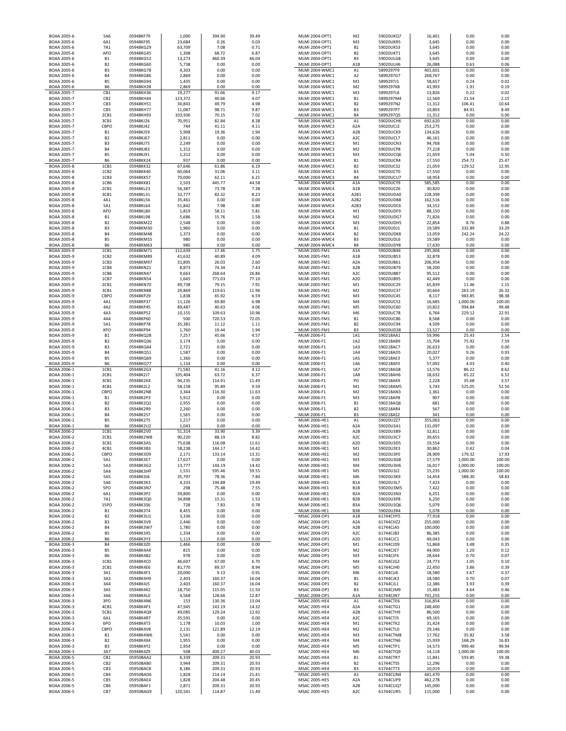| BOAA 2005-6<br>BOAA 2005-6<br>BOAA 2005-6 | 6A1                         |                        |                   |                  |                |                                  |                                      |                        |                    |                    |                 |
|-------------------------------------------|-----------------------------|------------------------|-------------------|------------------|----------------|----------------------------------|--------------------------------------|------------------------|--------------------|--------------------|-----------------|
|                                           |                             | 05948KF95              | 23,684            | 0.26             | 0.03           | MLMI 2004-OPT1                   | M3                                   | 59020UKR5              | 3,645              | 0.00               | 0.00            |
|                                           | 7A1<br>APO                  | 05948KG29<br>05948KG45 | 63,709<br>1,308   | 7.08<br>68.72    | 0.71<br>6.87   | MLMI 2004-OPT1<br>MLMI 2004-OPT1 | <b>B1</b><br>B <sub>2</sub>          | 59020UKS3<br>59020UKT1 | 3,645<br>3,645     | 0.00<br>0.00       | 0.00<br>0.00    |
| BOAA 2005-6                               | <b>B1</b>                   | 05948KG52              | 13,273            | 460.39           | 46.04          | MLMI 2004-OPT1                   | B <sub>3</sub>                       | 59020ULG8              | 3,645              | 0.00               | 0.00            |
| BOAA 2005-6                               | <b>B2</b>                   | 05948KG60              | 5,738             | 0.00             | 0.00           | MLMI 2004-OPT1                   | A1B                                  | 59020ULH6              | 26,088             | 0.63               | 0.06            |
| BOAA 2005-6                               | B <sub>3</sub>              | 05948KG78              | 4,303             | 0.00             | 0.00           | MLMI 2004-WMC1                   | A1                                   | 5899297F9              | 401,601            | 0.00               | 0.00            |
| BOAA 2005-6                               | <b>B4</b>                   | 05948KG86              | 2,869             | 0.00             | 0.00           | MLMI 2004-WMC1                   | A <sub>2</sub>                       | 5899297G7              | 268,767            | 0.00               | 0.00            |
| BOAA 2005-6                               | <b>B5</b>                   | 05948KG94              | 1,435             | 0.00             | 0.00           | MLMI 2004-WMC1                   | M1                                   | 5899297J1              | 58,657             | 0.24               | 0.02            |
| BOAA 2005-6                               | <b>B6</b>                   | 05948KH28              | 2,869             | 0.00             | 0.00           | MLMI 2004-WMC1                   | M <sub>2</sub>                       | 5899297K8              | 43,993             | 1.91               | 0.19            |
| BOAA 2005-7                               | CB1                         | 05948KH36              | 19,277            | 91.66            | 9.17           | MLMI 2004-WMC1                   | M <sub>3</sub>                       | 5899297L6              | 13,826             | 0.22               | 0.02            |
| BOAA 2005-7                               | CB <sub>2</sub>             | 05948KH44              | 123,372           | 40.66            | 4.07           | MLMI 2004-WMC1                   | <b>B1</b>                            | 5899297M4              | 12,569             | 21.54              | 2.15            |
| BOAA 2005-7                               | CB <sub>3</sub><br>CB5      | 05948KH51              | 30,843            | 49.79            | 4.98<br>9.87   | MLMI 2004-WMC1                   | B <sub>2</sub><br>B <sub>3</sub>     | 5899297N2<br>5899297P7 | 11,312             | 106.41             | 10.64           |
| BOAA 2005-7<br>BOAA 2005-7                | 2CB1                        | 05948KH77<br>05948KH93 | 11,087            | 98.71<br>70.15   | 7.02           | MLMI 2004-WMC1<br>MLMI 2004-WMC1 | <b>B4</b>                            | 5899297Q5              | 10,893             | 84.91<br>0.00      | 8.49<br>0.00    |
| BOAA 2005-7                               | 3CB1                        | 05948KJ26              | 103,936<br>70,951 | 82.84            | 8.28           | MLMI 2004-WMC3                   | A1                                   | 59020UCH6              | 11,312<br>692,620  | 0.00               | 0.00            |
| BOAA 2005-7                               | CBPO                        | 05948KJ42              | 744               | 41.11            | 4.11           | MLMI 2004-WMC3                   | A <sub>2</sub> A                     | 59020UCJ2              | 253,275            | 0.00               | 0.00            |
| BOAA 2005-7                               | <b>B1</b>                   | 05948KJ59              | 5,998             | 19.36            | 1.94           | MLMI 2004-WMC3                   | A <sub>2</sub> B                     | 59020UCK9              | 134,626            | 0.00               | 0.00            |
| BOAA 2005-7                               | <b>B2</b>                   | 05948KJ67              | 2,811             | 0.00             | 0.00           | MLMI 2004-WMC3                   | A2C                                  | 59020UCL7              | 46,161             | 0.00               | 0.00            |
| BOAA 2005-7                               | B3                          | 05948KJ75              | 2,249             | 0.00             | 0.00           | MLMI 2004-WMC3                   | M1                                   | 59020UCN3              | 94,768             | 0.00               | 0.00            |
| BOAA 2005-7                               | <b>B4</b>                   | 05948KJ83              | 1,312             | 0.00             | 0.00           | MLMI 2004-WMC3                   | M <sub>2</sub>                       | 59020UCP8              | 77,218             | 0.00               | 0.00            |
| BOAA 2005-7                               | <b>B5</b>                   | 05948KJ91              | 1,312             | 0.00             | 0.00           | MLMI 2004-WMC3                   | M <sub>3</sub>                       | 59020UCQ6              | 21,059             | 5.04               | 0.50            |
| BOAA 2005-7                               | <b>B6</b>                   | 05948KK24              | 937               | 0.00             | 0.00           | MLMI 2004-WMC3                   | <b>B1</b>                            | 59020UCR4              | 17,550             | 254.72             | 25.47           |
| BOAA 2005-8                               | 1CB1                        | 05948KK32              | 67,646            | 61.86            | 6.19           | MLMI 2004-WMC3                   | B <sub>2</sub>                       | 59020UCS2              | 21,059             | 129.52             | 12.95           |
| BOAA 2005-8<br>BOAA 2005-8                | 1CB <sub>2</sub><br>1CB3    | 05948KK40<br>05948KK57 | 60,064            | 31.06            | 3.11           | MLMI 2004-WMC3<br>MLMI 2004-WMC3 | B <sub>3</sub><br><b>B4</b>          | 59020UCT0<br>59020UCU7 | 17,550<br>18,954   | 0.00<br>0.00       | 0.00<br>0.00    |
| BOAA 2005-8                               | 1CB6                        | 05948KK81              | 70,000<br>2,503   | 62.11<br>445.77  | 6.21<br>44.58  | MLMI 2004-WMC4                   | A <sub>1</sub> A                     | 59020UCY9              | 585,585            | 0.00               | 0.00            |
| BOAA 2005-8                               | 2CB1                        | 05948KL23              | 56,387            | 73.78            | 7.38           | MLMI 2004-WMC4                   | A1B                                  | 59020UCZ6              | 30,820             | 0.00               | 0.00            |
| BOAA 2005-8                               | 3CB1                        | 05948KL31              | 32,777            | 82.32            | 8.23           | MLMI 2004-WMC4                   | A <sub>2</sub> B <sub>1</sub>        | 59020UDA0              | 228,399            | 0.00               | 0.00            |
| BOAA 2005-8                               | 4A1                         | 05948KL56              | 35,461            | 0.00             | 0.00           | MLMI 2004-WMC4                   | A2B2                                 | 59020UDB8              | 162,516            | 0.00               | 0.00            |
| BOAA 2005-8                               | 5A1                         | 05948KL64              | 51,842            | 7.98             | 0.80           | MLMI 2004-WMC4                   | A <sub>2</sub> B <sub>3</sub>        | 59020UDC6              | 34,152             | 0.00               | 0.00            |
| BOAA 2005-8                               | APO                         | 05948KL80              | 1,819             | 58.11            | 5.81           | MLMI 2004-WMC4                   | M1                                   | 59020UDF9              | 88,150             | 0.00               | 0.00            |
| BOAA 2005-8                               | B1                          | 05948KL98              | 5,686             | 15.76            | 1.58           | MLMI 2004-WMC4                   | M <sub>2</sub>                       | 59020UDG7              | 71,826             | 0.00               | 0.00            |
| BOAA 2005-8                               | <b>B2</b>                   | 05948KM22              | 2,548             | 0.00             | 0.00           | MLMI 2004-WMC4                   | M <sub>3</sub>                       | 59020UDH5              | 22,854             | 8.76               | 0.88            |
| BOAA 2005-8                               | B <sub>3</sub>              | 05948KM30              | 1,960             | 0.00             | 0.00           | MLMI 2004-WMC4                   | <b>B1</b>                            | 59020UDJ1              | 19,589             | 332.89             | 33.29           |
| BOAA 2005-8<br>BOAA 2005-8                | <b>B4</b><br><b>B5</b>      | 05948KM48<br>05948KM55 | 1,373<br>980      | 0.00<br>0.00     | 0.00<br>0.00   | MLMI 2004-WMC4<br>MLMI 2004-WMC4 | B <sub>2</sub><br>B <sub>3</sub>     | 59020UDK8<br>59020UDL6 | 13,059<br>19,589   | 242.24<br>0.00     | 24.22<br>0.00   |
| BOAA 2005-8                               | <b>B6</b>                   | 05948KM63              | 980               | 0.00             | 0.00           | MLMI 2004-WMC4                   | <b>B4</b>                            | 59020UDY8              | 17,630             | 0.00               | 0.00            |
| BOAA 2005-9                               | 1CB1                        | 05948KM71              | 112,639           | 17.46            | 1.75           | MLMI 2005-FM1                    | A1A                                  | 59020UB46              | 295,904            | 0.00               | 0.00            |
| BOAA 2005-9                               | 1CB <sub>2</sub>            | 05948KM89              | 41,632            | 40.89            | 4.09           | MLMI 2005-FM1                    | A1B                                  | 59020UB53              | 32,878             | 0.00               | 0.00            |
| BOAA 2005-9                               | 1CB3                        | 05948KM97              | 31,895            | 26.03            | 2.60           | MLMI 2005-FM1                    | A <sub>2</sub> A                     | 59020UB61              | 206,954            | 0.00               | 0.00            |
| BOAA 2005-9                               | 1CB4                        | 05948KN21              | 8,873             | 74.34            | 7.43           | MLMI 2005-FM1                    | A <sub>2</sub> B                     | 59020UB79              | 58,200             | 0.00               | 0.00            |
| BOAA 2005-9                               | 1CB6                        | 05948KN47              | 9,663             | 268.64           | 26.86          | MLMI 2005-FM1                    | A <sub>2</sub> C                     | 59020UB87              | 95,512             | 0.00               | 0.00            |
| BOAA 2005-9                               | 1CB7                        | 05948KN54              | 1,645             | 771.03           | 77.10          | MLMI 2005-FM1                    | A <sub>2</sub> D                     | 59020UB95              | 42,449             | 0.00               | 0.00            |
| BOAA 2005-9                               | 2CB1                        | 05948KN70              | 49,738            | 79.15            | 7.91           | MLMI 2005-FM1                    | M1                                   | 59020UC29              | 65,839             | 11.46              | 1.15            |
| BOAA 2005-9                               | 3CB1<br>CBPO                | 05948KN88<br>05948KP29 | 29,869            | 119.61           | 11.96          | MLMI 2005-FM1                    | M <sub>2</sub>                       | 59020UC37              | 30,664             | 263.19             | 26.32           |
| BOAA 2005-9<br>BOAA 2005-9                | 4A1                         | 05948KP37              | 1,838<br>11,126   | 65.92<br>69.80   | 6.59<br>6.98   | MLMI 2005-FM1<br>MLMI 2005-FM1   | M <sub>3</sub><br>M4                 | 59020UC45<br>59020UC52 | 8,117<br>16,685    | 983.85<br>1,000.00 | 98.38<br>100.00 |
| BOAA 2005-9                               | 4A2                         | 05948KP45              | 89,487            | 40.63            | 4.06           | MLMI 2005-FM1                    | M <sub>5</sub>                       | 59020UC60              | 10,822             | 994.84             | 99.48           |
| BOAA 2005-9                               | 4A3                         | 05948KP52              | 10,155            | 109.63           | 10.96          | MLMI 2005-FM1                    | M <sub>6</sub>                       | 59020UC78              | 6,764              | 229.12             | 22.91           |
| BOAA 2005-9                               | 4A4                         | 05948KP60              | 500               | 720.53           | 72.05          | MLMI 2005-FM1                    | <b>B1</b>                            | 59020UC86              | 8,568              | 0.00               | 0.00            |
| BOAA 2005-9                               | 5A1                         | 05948KP78              | 35,381            | 11.12            | 1.11           | MLMI 2005-FM1                    | <b>B2</b>                            | 59020UC94              | 4,509              | 0.00               | 0.00            |
| BOAA 2005-9                               | XPO                         | 05948KP94              | 1,760             | 19.44            | 1.94           | MLMI 2005-FM1                    | B <sub>3</sub>                       | 59020UD28              | 13,527             | 0.00               | 0.00            |
| BOAA 2005-9                               | <b>B1</b>                   | 05948KQ28              | 7,257             | 45.66            | 4.57           | MLMI 2006-F1                     | 1A1                                  | 590218AA1              | 59,996             | 25.43              | 2.54            |
| BOAA 2005-9                               | B <sub>2</sub>              | 05948KQ36              | 3,174             | 0.00             | 0.00           | MLMI 2006-F1                     | 1A2                                  | 590218AB9              | 15,704             | 75.92              | 7.59            |
| BOAA 2005-9                               | B <sub>3</sub>              | 05948KQ44              | 2,721             | 0.00             | 0.00           | MLMI 2006-F1                     | 1A3                                  | 590218AC7              | 26,633             | 0.00               | 0.00            |
| BOAA 2005-9<br>BOAA 2005-9                | <b>B4</b><br><b>B5</b>      | 05948KQ51<br>05948KQ69 | 1,587<br>1,360    | 0.00<br>0.00     | 0.00<br>0.00   | MLMI 2006-F1<br>MLMI 2006-F1     | 1A4<br>1A5                           | 590218AD5<br>590218AE3 | 20,027<br>5,377    | 9.26<br>0.00       | 0.93<br>0.00    |
| BOAA 2005-9                               | <b>B6</b>                   | 05948KQ77              | 1,134             | 0.00             | 0.00           | MLMI 2006-F1                     | 1A6                                  | 590218AF0              | 57,092             | 4.03               | 0.40            |
| BOAA 2006-1                               | 1CB1                        | 05948K2G3              | 71,582            | 41.16            | 4.12           | MLMI 2006-F1                     | 1A7                                  | 590218AG8              | 13,576             | 86.22              | 8.62            |
| BOAA 2006-1                               | 2CB1                        | 05948K2J7              | 105,404           | 63.72            | 6.37           | MLMI 2006-F1                     | 1A8                                  | 590218AH6              | 18,632             | 65.22              | 6.52            |
| BOAA 2006-1                               | 3CB1                        | 05948K2K4              |                   | 114.91           | 11.49          | MLMI 2006-F1                     | PO                                   | 590218AK9              | 2,228              | 35.68              | 3.57            |
|                                           |                             |                        | 94,235            |                  |                | MLMI 2006-F1                     |                                      |                        |                    |                    |                 |
| BOAA 2006-1                               | 4CB1                        | 05948K2L2              | 58,158            | 95.89            | 9.59           |                                  | M1                                   | 590218AM5              | 3,743              | 525.05             | 52.50           |
| BOAA 2006-1                               | CBPO                        | 05948K2N8              | 3,344             | 116.30           | 11.63          | MLMI 2006-F1                     | M <sub>2</sub>                       | 590218AN3              | 1,361              | 0.00               | 0.00            |
| BOAA 2006-1                               | <b>B1</b>                   | 05948K2P3              | 5,912             | 0.00             | 0.00           | MLMI 2006-F1                     | M3                                   | 590218AP8              | 907                | 0.00               | 0.00            |
| BOAA 2006-1                               | B <sub>2</sub>              | 05948K2Q1              | 2,955             | 0.00             | 0.00           | MLMI 2006-F1                     | <b>B1</b>                            | 590218AQ6              | 681                | 0.00               | 0.00            |
| BOAA 2006-1                               | B3                          | 05948K2R9              | 2,260             | 0.00             | 0.00           | MLMI 2006-F1                     | <b>B2</b>                            | 590218AR4              | 567                | 0.00               | 0.00            |
| BOAA 2006-1                               | <b>B4</b>                   | 05948K2S7              | 1,565             | 0.00             | 0.00           | MLMI 2006-F1                     | B <sub>3</sub>                       | 590218AS2              | 341                | 0.00               | 0.00            |
| BOAA 2006-1                               | B5                          | 05948K2T5              | 1,217             | 0.00             | 0.00           | MLMI 2006-HE1                    | A1                                   | 59020U2Z7              | 355,063            | 0.00               | 0.00            |
| BOAA 2006-1<br>BOAA 2006-2                | <b>B6</b><br>1CB1           | 05948K2U2<br>05948K2V0 | 1,043<br>51,314   | 0.00<br>33.90    | 0.00<br>3.39   | MLMI 2006-HE1<br>MLMI 2006-HE1   | A2A<br>A <sub>2</sub> B              | 59020U3A1<br>59020U3B9 | 131,097            | 0.00<br>0.00       | 0.00<br>0.00    |
| BOAA 2006-2                               | 2CB1                        | 05948K2W8              | 90,220            | 88.19            | 8.82           | MLMI 2006-HE1                    | A <sub>2</sub> C                     | 59020U3C7              | 32,811<br>39,655   | 0.00               | 0.00            |
| BOAA 2006-2                               | 3CB1                        | 05948K3A5              | 75,638            | 116.08           | 11.61          | MLMI 2006-HE1                    | A <sub>2</sub> D                     | 59020U3D5              | 19,554             | 0.00               | 0.00            |
| BOAA 2006-2                               | 4CB1                        | 05948K3B3              | 58,238            | 144.17           | 14.42          | MLMI 2006-HE1                    | M1                                   | 59020U3E3              | 30,862             | 0.42               | 0.04            |
| BOAA 2006-2                               | CBPO                        | 05948K3D9              | 2,171             | 133.14           | 13.31          | MLMI 2006-HE1                    | M <sub>2</sub>                       | 59020U3F0              | 28,909             | 179.32             | 17.93           |
| BOAA 2006-2                               | 5A1                         | 05948K3E7              | 17,627            | 0.00             | 0.00           | MLMI 2006-HE1                    | M3                                   | 59020U3G8              | 17,579             | 1,000.00           | 100.00          |
| BOAA 2006-2                               | 5A3                         | 05948K3G2              | 13,777            | 144.19           | 14.42          | MLMI 2006-HE1                    | M4                                   | 59020U3H6              | 16,017             | 1,000.00           | 100.00          |
| BOAA 2006-2                               | 5A4                         | 05948K3H0              | 1,531             | 595.46           | 59.55          | MLMI 2006-HE1                    | M5                                   | 59020U3J2              | 15,235             | 1,000.00           | 100.00          |
| BOAA 2006-2<br>BOAA 2006-2                | 5A5<br>5A6                  | 05948K3J6<br>05948K3K3 | 35,797<br>4,333   | 78.36<br>194.88  | 7.84<br>19.49  | MLMI 2006-HE1<br>MLMI 2006-HE1   | M6<br>B <sub>1</sub> A               | 59020U3K9<br>59020U3L7 | 14,454<br>7,423    | 588.30<br>0.00     | 58.83<br>0.00   |
| BOAA 2006-2                               | 5PO                         | 05948K3N7              | 298               | 75.48            | 7.55           | MLMI 2006-HE1                    | B1B                                  | 59020U3M5              | 7,422              | 0.00               | 0.00            |
| BOAA 2006-2                               | 6A1                         | 05948K3P2              | 39,800            | 0.00             | 0.00           | MLMI 2006-HE1                    | B <sub>2</sub> A                     | 59020U3N3              | 6,251              | 0.00               | 0.00            |
| BOAA 2006-2                               | 7A1                         | 05948K3Q0              | 34,898            | 15.31            | 1.53           | MLMI 2006-HE1                    | B <sub>2</sub> B                     | 59020U3P8              | 6,250              | 0.00               | 0.00            |
| BOAA 2006-2                               | 15PO                        | 05948K3S6              | 728               | 7.83             | 0.78           | MLMI 2006-HE1                    | B <sub>3</sub> A                     | 59020U3Q6              | 5,079              | 0.00               | 0.00            |
| BOAA 2006-2                               | <b>B1</b>                   | 05948K3T4              | 8,455             | 0.00             | 0.00           | MLMI 2006-HE1                    | B3B                                  | 59020U3R4              | 5,078              | 0.00               | 0.00            |
| BOAA 2006-2<br>BOAA 2006-2                | B <sub>2</sub>              | 05948K3U1<br>05948K3V9 | 3,336             | 0.00<br>0.00     | 0.00<br>0.00   | MSAC 2004-OP1<br>MSAC 2004-OP1   | A1B                                  | 61744CHY5              | 77,918             | 0.00<br>0.00       | 0.00            |
| BOAA 2006-2                               | B <sub>3</sub><br><b>B4</b> | 05948K3W7              | 2,446<br>1,780    | 0.00             | 0.00           | MSAC 2004-OP1                    | A <sub>2</sub> A<br>A <sub>2</sub> B | 61744CHZ2<br>61744CJA5 | 255,000            | 0.00               | 0.00<br>0.00    |
| BOAA 2006-2                               | <b>B5</b>                   | 05948K3X5              | 1,334             | 0.00             | 0.00           | MSAC 2004-OP1                    | A <sub>2</sub> C                     | 61744CJB3              | 100,000<br>86,385  | 0.00               | 0.00            |
| BOAA 2006-2                               | <b>B6</b>                   | 05948K3Y3              | 1,113             | 0.00             | 0.00           | MSAC 2004-OP1                    | A <sub>2</sub> D                     | 61744CJC1              | 49,043             | 0.00               | 0.00            |
| BOAA 2006-3                               | <b>B4</b>                   | 05948K3Z0              | 1,466             | 0.00             | 0.00           | MSAC 2004-OP1                    | M1                                   | 61744CJD9              | 51,868             | 3.48               | 0.35            |
| BOAA 2006-3                               | <b>B5</b>                   | 05948K4A4              | 815               | 0.00             | 0.00           | MSAC 2004-OP1                    | M <sub>2</sub>                       | 61744CJE7              | 44,900             | 1.20               | 0.12            |
| BOAA 2006-3                               | <b>B6</b>                   | 05948K4B2              | 978               | 0.00             | 0.00           | MSAC 2004-OP1                    | M3                                   | 61744CJF4              | 28,644             | 0.70               | 0.07            |
| BOAA 2006-3                               | 1CB1                        | 05948K4C0              | 46,607            | 67.00            | 6.70           | MSAC 2004-OP1                    | M4                                   | 61744CJG2              | 24,773             | 1.05               | 0.10            |
| BOAA 2006-3<br>BOAA 2006-3                | 2CB1                        | 05948K4E6<br>05948K4F3 | 81,770            | 89.37            | 8.94<br>0.91   | MSAC 2004-OP1<br>MSAC 2004-OP1   | M5                                   | 61744CJH0<br>61744CJJ6 | 22,450             | 3.86               | 0.39<br>0.37    |
| BOAA 2006-3                               | 3A1<br>3A3                  | 05948K4H9              | 20,000<br>2,403   | 9.13<br>160.37   | 16.04          | MSAC 2004-OP1                    | M6<br><b>B1</b>                      | 61744CJK3              | 18,580<br>18,580   | 3.67<br>0.70       | 0.07            |
| BOAA 2006-3                               | 3A4                         | 05948K4J5              | 2,403             | 160.37           | 16.04          | MSAC 2004-OP1                    | <b>B2</b>                            | 61744CJL1              | 12,386             | 3.93               | 0.39            |
| BOAA 2006-3                               | 3A5                         | 05948K4K2              | 18,750            | 115.05           | 11.50          | MSAC 2004-OP1                    | B <sub>3</sub>                       | 61744CJM9              | 15,483             | 4.64               | 0.46            |
| BOAA 2006-3                               | 3A6                         | 05948K4L0              | 4,568             | 128.66           | 12.87          | MSAC 2004-OP1                    | A <sub>1</sub> A                     | 61744CJN7              | 701,255            | 0.00               | 0.00            |
| BOAA 2006-3                               | 3PO                         | 05948K4N6              | 153               | 130.36           | 13.04          | <b>MSAC 2005-HE4</b>             | A1                                   | 61744CTE6              | 316,854            | 0.00               | 0.00            |
| BOAA 2006-3                               | 4CB1                        | 05948K4P1              | 47,945            | 143.19           | 14.32          | MSAC 2005-HE4                    | A <sub>2</sub> A                     | 61744CTG1              | 248,400            | 0.00               | 0.00            |
| BOAA 2006-3                               | 5CB1                        | 05948K4Q9              | 49,085            | 129.24           | 12.92          | MSAC 2005-HE4                    | A <sub>2</sub> B                     | 61744CTH9              | 86,500             | 0.00               | 0.00            |
| BOAA 2006-3                               | 6A1                         | 05948K4R7              | 35,591            | 0.00             | 0.00           | MSAC 2005-HE4                    | A <sub>2</sub> C                     | 61744CTJ5              | 69,165             | 0.00               | 0.00            |
| BOAA 2006-3                               | 6PO                         | 05948K4T3              | 1,178             | 10.03            | 1.00           | MSAC 2005-HE4<br>MSAC 2005-HE4   | M1                                   | 61744CTK2              | 31,424             | 0.00               | 0.00<br>0.00    |
| BOAA 2006-3<br>BOAA 2006-3                | CBPO<br>B1                  | 05948K4V8<br>05948K4W6 | 2,131<br>5,541    | 121.89<br>0.00   | 12.19<br>0.00  | MSAC 2005-HE4                    | M <sub>2</sub><br>M3                 | 61744CTL0<br>61744CTM8 | 29,146<br>17,762   | 0.00<br>35.82      | 3.58            |
| BOAA 2006-3                               | B <sub>2</sub>              | 05948K4X4              | 1,955             | 0.00             | 0.00           | MSAC 2005-HE4                    | M4                                   | 61744CTN6              | 15,939             | 168.29             | 16.83           |
| BOAA 2006-3                               | B <sub>3</sub>              | 05948K4Y2              | 1,954             | 0.00             | 0.00           | MSAC 2005-HE4                    | M <sub>5</sub>                       | 61744CTP1              | 14,573             | 999.40             | 99.94           |
| BOAA 2006-3                               | 3A7                         | 05948K4Z9              | 508               | 400.27           | 40.03          | MSAC 2005-HE4                    | M6                                   | 61744CTQ9              | 14,118             | 1,000.00           | 100.00          |
| BOAA 2006-5                               | CB1                         | 05950BAA2              | 6,339             | 209.31           | 20.93          | MSAC 2005-HE4                    | <b>B1</b>                            | 61744CTR7              | 11,841             | 593.85             | 59.38           |
| BOAA 2006-5                               | CB <sub>2</sub>             | 05950BAB0              | 3,944             | 209.31           | 20.93          | MSAC 2005-HE4                    | B <sub>2</sub>                       | 61744CTS5              | 12,296             | 0.00               | 0.00            |
| BOAA 2006-5                               | CB <sub>3</sub>             | 05950BAC8              | 8,186             | 209.31           | 20.93          | MSAC 2005-HE4                    | B <sub>3</sub>                       | 61744CTT3              | 10,019             | 0.00               | 0.00            |
| BOAA 2006-5                               | CB4                         | 05950BAD6              | 1,828             | 214.14           | 21.41          | MSAC 2005-HE5                    | A1                                   | 61744CUN4              | 441,470            | 0.00               | 0.00            |
| BOAA 2006-5<br>BOAA 2006-5                | CB5<br>CB6                  | 05950BAE4<br>05950BAF1 | 1,828<br>2,871    | 204.48<br>209.31 | 20.45<br>20.93 | MSAC 2005-HE5<br>MSAC 2005-HE5   | A <sub>2</sub> A<br>A2B              | 61744CUP9<br>61744CUQ7 | 462,278<br>145,000 | 0.00<br>0.00       | 0.00<br>0.00    |

| MLMI 2004-OPT1                   | M <sub>2</sub>                       | 59020UKQ7              | 16,401             | 0.00             | 0.00          |
|----------------------------------|--------------------------------------|------------------------|--------------------|------------------|---------------|
| MLMI 2004-OPT1                   | M <sup>3</sup>                       | 59020UKR5              | 3.645              | 0.00             | 0.00          |
| MI MI 2004-OPT1                  | <b>B1</b>                            | <b>59020UKS3</b>       | 3,645              | 0.00             | 0.00          |
| MI MI 2004-OPT1                  | B <sub>2</sub>                       | 59020LIKT1             | 3,645              | 0.00             | 0.00          |
| MLMI 2004-OPT1                   | B <sub>3</sub>                       | <b>59020ULG8</b>       | 3,645              | 0.00             | 0.00          |
| MLMI 2004-OPT1                   | A1B                                  | 59020ULH6              | 26,088             | 0.63             | 0.06          |
| MLMI 2004-WMC1                   | A1                                   | 5899297F9              | 401,601            | 0.00             | 0.00          |
| MI MI 2004-WMC1                  | A <sub>2</sub>                       | 5899297G7              | 268,767            | 0.00             | 0.00          |
| MLMI 2004-WMC1<br>MLMI 2004-WMC1 | M <sub>1</sub><br>M <sub>2</sub>     | 5899297J1<br>5899297K8 | 58,657<br>43,993   | 0.24<br>1.91     | 0.02<br>0.19  |
| MLMI 2004-WMC1                   | M3                                   | 5899297L6              | 13,826             | 0.22             | 0.02          |
| MLMI 2004-WMC1                   | B <sub>1</sub>                       | 5899297M4              | 12,569             | 21.54            | 2.15          |
| MLMI 2004-WMC1                   | B <sub>2</sub>                       | 5899297N2              | 11,312             | 106.41           | 10.64         |
| MLMI 2004-WMC1                   | B3                                   | 5899297P7              | 10,893             | 84.91            | 8.49          |
| MLMI 2004-WMC1                   | R <sub>4</sub>                       | 5899297Q5              | 11,312             | 0.00             | 0.00          |
| MLML2004-WMC3                    | A1                                   | <b>59020LICH6</b>      | 692,620            | 0.00             | 0.00          |
| MLML2004-WMC3                    | A <sub>2</sub> A                     | 59020UCJ2              | 253,275            | 0.00             | 0.00          |
| MLML2004-WMC3                    | A <sub>2</sub> B                     | 59020UCK9              | 134,626            | 0.00             | 0.00          |
| <b>MLMI 2004-WMC3</b>            | A2C                                  | 59020UCL7              | 46,161             | 0.00             | 0.00          |
| MLML2004-WMC3                    | M <sub>1</sub>                       | 59020UCN3              | 94,768             | 0.00             | 0.00          |
| MLMI 2004-WMC3                   | M <sub>2</sub>                       | 59020UCP8              | 77,218             | 0.00             | 0.00          |
| MLMI 2004-WMC3                   | M <sub>3</sub>                       | 59020UCQ6              | 21,059             | 5.04             | 0.50<br>25.47 |
| MLMI 2004-WMC3<br>MLMI 2004-WMC3 | <b>B1</b><br><b>B2</b>               | 59020UCR4<br>59020UCS2 | 17,550<br>21,059   | 254.72<br>129.52 | 12.95         |
| MLML2004-WMC3                    | B3                                   | 59020UCT0              | 17,550             | 0.00             | 0.00          |
| <b>MLMI 2004-WMC3</b>            | R <sub>4</sub>                       | 59020UCU7              | 18,954             | 0.00             | 0.00          |
| MLMI 2004-WMC4                   | A <sub>1</sub> A                     | 59020UCY9              | 585,585            | 0.00             | 0.00          |
| MI MI 2004-WMC4                  | A1B                                  | 59020UCZ6              | 30,820             | 0.00             | 0.00          |
| MI MI 2004-WMC4                  | A2B1                                 | 59020UDA0              | 228,399            | 0.00             | 0.00          |
| MI MI 2004-WMC4                  | A2B2                                 | 59020UDB8              | 162,516            | 0.00             | 0.00          |
| MLMI 2004-WMC4                   | A2B3                                 | 59020UDC6              | 34,152             | 0.00             | 0.00          |
| MLMI 2004-WMC4                   | M <sub>1</sub>                       | 59020UDF9              | 88,150             | 0.00             | 0.00          |
| <b>MLMI 2004-WMC4</b>            | M <sub>2</sub>                       | 59020UDG7              | 71,826             | 0.00<br>8.76     | 0.00          |
| MLMI 2004-WMC4<br>MLMI 2004-WMC4 | M <sub>3</sub><br><b>B1</b>          | 59020UDH5<br>59020UDJ1 | 22,854<br>19,589   | 332.89           | 0.88<br>33.29 |
| MLMI 2004-WMC4                   | <b>B2</b>                            | 59020UDK8              | 13,059             | 242.24           | 24.22         |
| MLMI 2004-WMC4                   | B3                                   | 59020UDL6              | 19.589             | 0.00             | 0.00          |
| <b>MLMI 2004-WMC4</b>            | R <sub>4</sub>                       | 59020UDY8              | 17,630             | 0.00             | 0.00          |
| MLMI 2005-FM1                    | A <sub>1</sub> A                     | 59020UB46              | 295,904            | 0.00             | 0.00          |
| MI MI 2005-FM1                   | A <sub>1</sub> <sub>B</sub>          | 59020UB53              | 32,878             | 0.00             | 0.00          |
| MLML2005-FM1                     | A <sub>2</sub> A                     | 59020UB61              | 206.954            | 0.00             | 0.00          |
| MLMI 2005-FM1                    | A <sub>2</sub> B                     | 59020UB79              | 58,200             | 0.00             | 0.00          |
| MLMI 2005-FM1                    | A <sub>2</sub> C                     | 59020UB87              | 95,512             | 0.00             | 0.00          |
| MLMI 2005-FM1                    | A <sub>2</sub> D                     | 59020UB95              | 42,449             | 0.00             | 0.00          |
| MLMI 2005-FM1<br>MLMI 2005-FM1   | M <sub>1</sub><br>M <sub>2</sub>     | 59020UC29<br>59020UC37 | 65,839<br>30,664   | 11.46<br>263.19  | 1.15<br>26.32 |
| MLMI 2005-FM1                    | M <sub>3</sub>                       | 59020UC45              | 8,117              | 983.85           | 98.38         |
| MLMI 2005-FM1                    | M <sub>4</sub>                       | 59020UC52              | 16,685             | 1,000.00         | 100.00        |
| MLMI 2005-FM1                    | M <sub>5</sub>                       | 59020UC60              | 10,822             | 994.84           | 99.48         |
| MLMI 2005-FM1                    | M <sub>6</sub>                       | 59020UC78              | 6,764              | 229.12           | 22.91         |
| MLMI 2005-FM1                    | <b>B1</b>                            | 59020UC86              | 8,568              | 0.00             | 0.00          |
| MLMI 2005-FM1                    | B <sub>2</sub>                       | 59020UC94              | 4,509              | 0.00             | 0.00          |
| MLMI 2005-FM1                    | B <sub>3</sub>                       | 59020UD28              | 13,527             | 0.00             | 0.00          |
| MI MI 2006-F1                    | 1A1<br>1A2                           | 590218AA1              | 59.996             | 25.43<br>75.92   | 2.54<br>7.59  |
| MI MI 2006-F1<br>MLMI 2006-F1    | 1A <sub>3</sub>                      | 590218AB9<br>590218AC7 | 15,704             | 0.00             | 0.00          |
| MLMI 2006-F1                     | 1A4                                  | 590218AD5              | 26,633<br>20,027   | 9.26             | 0.93          |
| MLMI 2006-F1                     | 1A5                                  | 590218AE3              | 5,377              | 0.00             | 0.00          |
| MLMI 2006-F1                     | 1A6                                  | 590218AF0              | 57,092             | 4.03             | 0.40          |
| MLMI 2006-F1                     | 1A7                                  | 590218AG8              | 13,576             | 86.22            | 8.62          |
| MLMI 2006-F1                     | 1A8                                  | 590218AH6              | 18,632             | 65.22            | 6.52          |
| MLMI 2006-F1                     | PO                                   | 590218AK9              | 2,228              | 35.68            | 3.57          |
| MLMI 2006-F1                     | M1                                   | 590218AM5              | 3,743              | 525.05           | 52.50         |
| MLMI 2006-F1                     | M <sub>2</sub>                       | 590218AN3              | 1,361              | 0.00             | 0.00          |
| MI MI 2006-F1<br>MI MI 2006-F1   | M3<br><b>B1</b>                      | 590218AP8<br>590218AQ6 | 907<br>681         | 0.00<br>0.00     | 0.00<br>0.00  |
| MLMI 2006-F1                     | B <sub>2</sub>                       | 590218AR4              | 567                | 0.00             | 0.00          |
| MLMI 2006-F1                     | B <sub>3</sub>                       | 590218AS2              | 341                | 0.00             | 0.00          |
| MLMI 2006-HE1                    | A <sub>1</sub>                       | 59020U2Z7              | 355,063            | 0.00             | 0.00          |
| MLMI 2006-HE1                    | A <sub>2</sub> A                     | 59020U3A1              | 131,097            | 0.00             | 0.00          |
| MLMI 2006-HE1                    | A <sub>2</sub> B                     | 59020U3B9              | 32,811             | 0.00             | 0.00          |
| MLMI 2006-HE1                    | A <sub>2</sub> C                     | 59020U3C7              | 39,655             | 0.00             | 0.00          |
| MLMI 2006-HE1                    | A2D                                  | 59020U3D5              | 19.554             | 0.00             | 0.00          |
| MLMI 2006-HE1<br>MLMI 2006-HE1   | M1<br>M <sub>2</sub>                 | 59020U3E3<br>59020U3F0 | 30,862<br>28,909   | 0.42<br>179.32   | 0.04<br>17.93 |
| MLMI 2006-HE1                    | M3                                   | 59020U3G8              | 17,579             | 1,000.00         | 100.00        |
| MLMI 2006-HE1                    | M4                                   | 59020U3H6              | 16,017             | 1,000.00         | 100.00        |
| MLMI 2006-HE1                    | M <sub>5</sub>                       | 59020U3J2              | 15,235             | 1,000.00         | 100.00        |
| MLMI 2006-HE1                    | M <sub>6</sub>                       | 59020U3K9              | 14,454             | 588.30           | 58.83         |
| MLMI 2006-HE1                    | B <sub>1</sub> A                     | 59020U3L7              | 7,423              | 0.00             | 0.00          |
| MLMI 2006-HE1                    | B <sub>1</sub> B                     | 59020U3M5              | 7,422              | 0.00             | 0.00          |
| MLMI 2006-HE1<br>MLMI 2006-HE1   | B <sub>2</sub> A<br>B <sub>2</sub> B | 59020U3N3<br>59020U3P8 | 6,251<br>6,250     | 0.00<br>0.00     | 0.00<br>0.00  |
| MI MI 2006-HF1                   | B <sub>3</sub> A                     | 59020U3Q6              | 5,079              | 0.00             | 0.00          |
| MLMI 2006-HE1                    | B <sub>3</sub> B                     | 59020U3R4              | 5,078              | 0.00             | 0.00          |
| MSAC 2004-OP1                    | A <sub>1</sub> B                     | 61744CHY5              | 77,918             | 0.00             | 0.00          |
| MSAC 2004-OP1                    | A <sub>2</sub> A                     | 61744CHZ2              | 255,000            | 0.00             | 0.00          |
| MSAC 2004-OP1                    | A <sub>2</sub> B                     | 61744CJA5              | 100,000            | 0.00             | 0.00          |
| MSAC 2004-OP1                    | A <sub>2</sub> C                     | 61744CJB3              | 86,385             | 0.00             | 0.00          |
| MSAC 2004-OP1<br>MSAC 2004-OP1   | A <sub>2</sub> D<br>M1               | 61744CJC1<br>61744CJD9 | 49,043<br>51,868   | 0.00<br>3.48     | 0.00<br>0.35  |
| MSAC 2004-OP1                    | M <sub>2</sub>                       | 61744CJE7              | 44,900             | 1.20             | 0.12          |
| MSAC 2004-OP1                    | M3                                   | 61744CJF4              | 28,644             | 0.70             | 0.07          |
| MSAC 2004-OP1                    | M <sub>4</sub>                       | 61744CJG2              | 24,773             | 1.05             | 0.10          |
| MSAC 2004-OP1                    | M5                                   | 61744CJH0              | 22,450             | 3.86             | 0.39          |
| MSAC 2004-OP1                    | M <sub>6</sub>                       | 61744CJJ6              | 18,580             | 3.67             | 0.37          |
| MSAC 2004-OP1                    | <b>B1</b><br><b>B2</b>               | 61744CJK3<br>61744CJL1 | 18,580             | 0.70             | 0.07<br>0.39  |
| MSAC 2004-OP1<br>MSAC 2004-OP1   | B <sub>3</sub>                       | 61744CJM9              | 12,386<br>15,483   | 3.93<br>4.64     | 0.46          |
| MSAC 2004-OP1                    | A <sub>1</sub> A                     | 61744CJN7              | 701,255            | 0.00             | 0.00          |
| MSAC 2005-HE4                    | A1                                   | 61744CTE6              | 316,854            | 0.00             | 0.00          |
| MSAC 2005-HE4                    | A <sub>2</sub> A                     | 61744CTG1              | 248,400            | 0.00             | 0.00          |
| MSAC 2005-HE4                    | A <sub>2</sub> B                     | 61744CTH9              | 86,500             | 0.00             | 0.00          |
| MSAC 2005-HE4                    | A <sub>2</sub> C                     | 61744CTJ5              | 69,165             | 0.00             | 0.00          |
| MSAC 2005-HE4                    | M1                                   | 61744CTK2              | 31,424             | 0.00             | 0.00          |
| MSAC 2005-HE4                    | M <sub>2</sub>                       | 61744CTL0              | 29,146             | 0.00             | 0.00          |
| MSAC 2005-HE4<br>MSAC 2005-HE4   | M3<br>M4                             | 61744CTM8<br>61744CTN6 | 17,762<br>15,939   | 35.82<br>168.29  | 3.58<br>16.83 |
| MSAC 2005-HE4                    | M <sub>5</sub>                       | 61744CTP1              | 14,573             | 999.40           | 99.94         |
| MSAC 2005-HE4                    | M <sub>6</sub>                       | 61744CTQ9              | 14,118             | 1,000.00         | 100.00        |
| MSAC 2005-HE4                    | <b>B1</b>                            | 61744CTR7              | 11,841             | 593.85           | 59.38         |
| MSAC 2005-HE4                    | <b>B2</b>                            | 61744CTS5              | 12,296             | 0.00             | 0.00          |
| MSAC 2005-HE4                    | B <sub>3</sub>                       | 61744CTT3              | 10,019             | 0.00             | 0.00          |
| MSAC 2005-HE5                    | A1                                   | 61744CUN4              | 441,470            | 0.00             | 0.00          |
| MSAC 2005-HE5<br>MSAC 2005-HE5   | A <sub>2</sub> A<br>A2B              | 61744CUP9<br>61744CUQ7 | 462,278<br>145,000 | 0.00<br>0.00     | 0.00<br>0.00  |
| MSAC 2005-HF5                    | A <sub>2C</sub>                      | 61744CUR5              | 115.000            | 0.00             | 0.00          |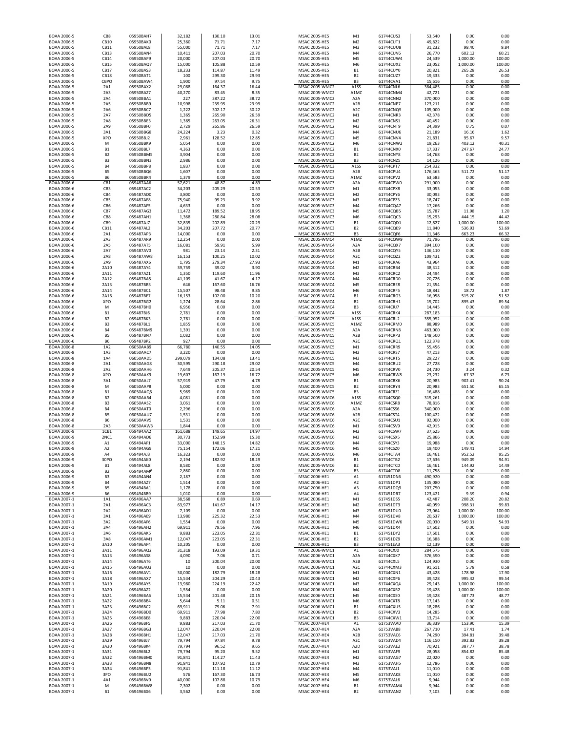| BOAA 2006-5                | CB8                         | 05950BAH7              | 32,182           | 130.10           | 13.01          | MSAC 2005-HE5                                  | M1                                   | 61744CUS3              | 53,540             | 0.00           | 0.00          |
|----------------------------|-----------------------------|------------------------|------------------|------------------|----------------|------------------------------------------------|--------------------------------------|------------------------|--------------------|----------------|---------------|
| BOAA 2006-5                | CB10                        | 05950BAK0              | 25,360           | 71.71            | 7.17           | MSAC 2005-HE5                                  | M <sub>2</sub>                       | 61744CUT1              | 49,822             | 0.00           | 0.00          |
| BOAA 2006-5                | CB11                        | 05950BAL8              | 55,000           | 71.71            | 7.17           | MSAC 2005-HE5                                  | M3                                   | 61744CUU8              | 31,232             | 98.40          | 9.84          |
| BOAA 2006-5                | CB13                        | 05950BAN4              | 10,411           | 207.03           | 20.70          | MSAC 2005-HE5                                  | M <sub>4</sub>                       | 61744CUV6              | 26,770             | 602.12         | 60.21         |
| BOAA 2006-5                | CB14                        | 05950BAP9              | 20,000           | 207.03           | 20.70          | MSAC 2005-HE5                                  | M5                                   | 61744CUW4              | 24,539             | 1,000.00       | 100.00        |
| BOAA 2006-5                | CB15                        | 05950BAQ7              | 15,000           | 105.88           | 10.59          | MSAC 2005-HE5                                  | M <sub>6</sub>                       | 61744CUX2              | 23,052             | 1,000.00       | 100.00        |
| BOAA 2006-5<br>BOAA 2006-5 | CB17<br>CB18                | 05950BAS3<br>05950BAT1 | 18,233<br>100    | 114.87<br>299.30 | 11.49<br>29.93 | MSAC 2005-HE5<br>MSAC 2005-HE5                 | <b>B1</b><br>B <sub>2</sub>          | 61744CUY0<br>61744CUZ7 | 20,821<br>19,333   | 265.28<br>0.00 | 26.53<br>0.00 |
| BOAA 2006-5                | CBPO                        | 05950BAW4              | 1,900            | 97.54            | 9.75           | <b>MSAC 2005-HE5</b>                           | B <sub>3</sub>                       | 61744CVA1              | 15,616             | 0.00           | 0.00          |
| BOAA 2006-5                | 2A1                         | 05950BAX2              | 29,088           | 164.37           | 16.44          | MSAC 2005-WMC2                                 | A1SS                                 | 61744CNL6              | 384,485            | 0.00           | 0.00          |
| BOAA 2006-5                | 2A3                         | 05950BAZ7              | 40,270           | 83.45            | 8.35           | MSAC 2005-WMC2                                 | A1MZ                                 | 61744CNM4              | 42,721             | 0.00           | 0.00          |
| BOAA 2006-5                | 2A4                         | 05950BBA1              | 227              | 387.22           | 38.72          | MSAC 2005-WMC2                                 | A <sub>2</sub> A                     | 61744CNN2              | 370,000            | 0.00           | 0.00          |
| BOAA 2006-5                | 2A5                         | 05950BBB9              | 10,998           | 239.95           | 23.99          | MSAC 2005-WMC2                                 | A <sub>2</sub> B                     | 61744CNP7              | 123,211            | 0.00           | 0.00          |
| BOAA 2006-5                | 2A6                         | 05950BBC7              | 1,222            | 302.17           | 30.22          | MSAC 2005-WMC2                                 | A <sub>2</sub> C                     | 61744CNQ5              | 105,000            | 0.00           | 0.00          |
| BOAA 2006-5                | 2A7                         | 05950BBD5              | 1,365            | 265.90           | 26.59          | MSAC 2005-WMC2                                 | M1                                   | 61744CNR3              | 42,378             | 0.00           | 0.00          |
| BOAA 2006-5                | 2A8                         | 05950BBE3              | 1,365            | 263.05           | 26.31          | MSAC 2005-WMC2                                 | M <sub>2</sub>                       | 61744CNS1              | 40,452             | 0.00           | 0.00          |
| BOAA 2006-5                | 2A9                         | 05950BBF0              | 2,729            | 265.86           | 26.59          | MSAC 2005-WMC2                                 | M3                                   | 61744CNT9              | 24,399             | 0.75           | 0.07          |
| <b>BOAA 2006-5</b>         | 3A1                         | 05950BBG8              | 24,224           | 3.23             | 0.32           | MSAC 2005-WMC2                                 | M4                                   | 61744CNU6              | 21,189             | 16.16          | 1.62          |
| <b>BOAA 2006-5</b>         | XPO                         | 05950BBJ2              | 2,961            | 128.52           | 12.85          | MSAC 2005-WMC2                                 | M <sub>5</sub>                       | 61744CNV4              | 21,831             | 95.67          | 9.57          |
| BOAA 2006-5                | M                           | 05950BBK9              | 5,054            | 0.00             | 0.00           | MSAC 2005-WMC2                                 | M <sub>6</sub>                       | 61744CNW2              | 19,263             | 403.12         | 40.31         |
| BOAA 2006-5                | <b>B1</b>                   | 05950BBL7              | 4,363            | 0.00             | 0.00           | <b>MSAC 2005-WMC2</b>                          | <b>B1</b>                            | 61744CNX0              | 17,337             | 247.67         | 24.77         |
| BOAA 2006-5                | <b>B2</b>                   | 05950BBM5<br>05950BBN3 | 3,904            | 0.00             | 0.00           | <b>MSAC 2005-WMC2</b><br><b>MSAC 2005-WMC2</b> | <b>B2</b>                            | 61744CNY8              | 14,768             | 0.00           | 0.00          |
| BOAA 2006-5<br>BOAA 2006-5 | B <sub>3</sub><br><b>B4</b> | 05950BBP8              | 2,986<br>1,837   | 0.00<br>0.00     | 0.00<br>0.00   | MSAC 2005-WMC3                                 | B <sub>3</sub><br>A1SS               | 61744CNZ5<br>61744CPT7 | 14,126<br>254,332  | 0.00<br>0.00   | 0.00<br>0.00  |
| BOAA 2006-5                | B5                          | 05950BBQ6              | 1,607            | 0.00             | 0.00           | MSAC 2005-WMC3                                 | A <sub>2</sub> B                     | 61744CPU4              | 176,463            | 511.72         | 51.17         |
| BOAA 2006-5                | B6                          | 05950BBR4              | 1,379            | 0.00             | 0.00           | MSAC 2005-WMC3                                 | A1MZ                                 | 61744CPV2              | 63,583             | 0.00           | 0.00          |
| BOAA 2006-6                | CB <sub>1</sub>             | 059487AA6              | 57,621           | 48.87            | 4.89           | MSAC 2005-WMC3                                 | A <sub>2</sub> A                     | 61744CPW0              | 291,000            | 0.00           | 0.00          |
| BOAA 2006-6                | CB3                         | 059487AC2              | 34,203           | 205.29           | 20.53          | MSAC 2005-WMC3                                 | M1                                   | 61744CPX8              | 33,053             | 0.00           | 0.00          |
| BOAA 2006-6                | CB4                         | 059487AD0              | 3,800            | 0.00             | 0.00           | MSAC 2005-WMC3                                 | M <sub>2</sub>                       | 61744CPY6              | 30,093             | 0.00           | 0.00          |
| BOAA 2006-6                | CB5                         | 059487AE8              | 75,940           | 99.23            | 9.92           | MSAC 2005-WMC3                                 | M3                                   | 61744CPZ3              | 18,747             | 0.00           | 0.00          |
| BOAA 2006-6                | CB6                         | 059487AF5              | 4,633            | 0.00             | 0.00           | <b>MSAC 2005-WMC3</b>                          | M4                                   | 61744CQA7              | 17,266             | 0.00           | 0.00          |
| BOAA 2006-6                | CB7                         | 059487AG3              | 11,472           | 189.52           | 18.95          | MSAC 2005-WMC3                                 | M <sub>5</sub>                       | 61744CQB5              | 15,787             | 11.98          | 1.20          |
| BOAA 2006-6                | CB8                         | 059487AH1              | 1,368            | 280.84           | 28.08          | MSAC 2005-WMC3                                 | M <sub>6</sub>                       | 61744CQC3              | 15,293             | 444.15         | 44.42         |
| BOAA 2006-6                | CB9                         | 059487AJ7              | 32,835           | 202.89           | 20.29          | <b>MSAC 2005-WMC3</b>                          | <b>B1</b>                            | 61744CQD1              | 12,827             | 1,000.00       | 100.00        |
| BOAA 2006-6                | CB11                        | 059487AL2              | 34,203           | 207.72           | 20.77          | MSAC 2005-WMC3                                 | <b>B2</b>                            | 61744CQE9              | 11,840             | 536.93         | 53.69         |
| BOAA 2006-6                | 2A1                         | 059487AP3              | 14,000           | 0.00             | 0.00           | MSAC 2005-WMC3                                 | B <sub>3</sub>                       | 61744CQF6              | 11,346             | 663.23         | 66.32         |
| BOAA 2006-6                | 2A3                         | 059487AR9              | 12,254           | 0.00             | 0.00           | <b>MSAC 2005-WMC4</b>                          | A1MZ                                 | 61744CQW9              | 71,796             | 0.00           | 0.00          |
| BOAA 2006-6<br>BOAA 2006-6 | 2A5<br>2A7                  | 059487AT5<br>059487AV0 | 16,081<br>981    | 59.91<br>23.14   | 5.99<br>2.31   | MSAC 2005-WMC4<br>MSAC 2005-WMC4               | A <sub>2</sub> A<br>A <sub>2</sub> B | 61744CQX7<br>61744CQY5 | 394,100<br>136,110 | 0.00<br>0.00   | 0.00<br>0.00  |
| BOAA 2006-6                | 2A8                         | 059487AW8              | 16,153           | 100.25           | 10.02          | MSAC 2005-WMC4                                 | A <sub>2</sub> C                     | 61744CQZ2              | 109,431            | 0.00           | 0.00          |
| BOAA 2006-6                | 2A9                         | 059487AX6              | 1,795            | 279.34           | 27.93          | MSAC 2005-WMC4                                 | M1                                   | 61744CRA6              | 43,964             | 0.00           | 0.00          |
| BOAA 2006-6                | 2A10                        | 059487AY4              | 39,759           | 39.02            | 3.90           | MSAC 2005-WMC4                                 | M <sub>2</sub>                       | 61744CRB4              | 38,312             | 0.00           | 0.00          |
| BOAA 2006-6                | 2A11                        | 059487AZ1              | 1,350            | 119.60           | 11.96          | MSAC 2005-WMC4                                 | M3                                   | 61744CRC2              | 24,494             | 0.00           | 0.00          |
| BOAA 2006-6                | 2A12                        | 059487BA5              | 41,109           | 41.67            | 4.17           | MSAC 2005-WMC4                                 | M4                                   | 61744CRD0              | 20,726             | 0.00           | 0.00          |
| BOAA 2006-6                | 2A13                        | 059487BB3              | 646              | 167.60           | 16.76          | MSAC 2005-WMC4                                 | M <sub>5</sub>                       | 61744CRE8              | 21,354             | 0.00           | 0.00          |
| BOAA 2006-6                | 2A14                        | 059487BC1              | 15,507           | 98.48            | 9.85           | MSAC 2005-WMC4                                 | M <sub>6</sub>                       | 61744CRF5              | 18,842             | 18.72          | 1.87          |
| BOAA 2006-6                | 2A16                        | 059487BE7              | 16,153           | 102.00           | 10.20          | <b>MSAC 2005-WMC4</b>                          | <b>B1</b>                            | 61744CRG3              | 16,958             | 515.20         | 51.52         |
| BOAA 2006-6                | XPO                         | 059487BG2              | 1,274            | 28.64            | 2.86           | <b>MSAC 2005-WMC4</b>                          | <b>B2</b>                            | 61744CRH1              | 15,702             | 895.43         | 89.54         |
| BOAA 2006-6                | M                           | 059487BH0              | 6,956            | 0.00             | 0.00           | <b>MSAC 2005-WMC4</b>                          | B <sub>3</sub>                       | 61744CRJ7              | 14,445             | 0.00           | 0.00          |
| BOAA 2006-6                | <b>B1</b>                   | 059487BJ6              | 2,781            | 0.00<br>0.00     | 0.00           | MSAC 2005-WMC4<br><b>MSAC 2005-WMC5</b>        | A1SS                                 | 61744CRK4<br>61744CRL2 | 287,183            | 0.00<br>0.00   | 0.00<br>0.00  |
| BOAA 2006-6<br>BOAA 2006-6 | B <sub>2</sub><br>B3        | 059487BK3<br>059487BL1 | 2,781<br>1,855   | 0.00             | 0.00<br>0.00   | <b>MSAC 2005-WMC5</b>                          | A1SS<br>A1MZ                         | 61744CRM0              | 355,952<br>88,989  | 0.00           | 0.00          |
| BOAA 2006-6                | <b>B4</b>                   | 059487BM9              | 1,391            | 0.00             | 0.00           | <b>MSAC 2005-WMC5</b>                          | A2A                                  | 61744CRN8              | 463,000            | 0.00           | 0.00          |
| BOAA 2006-6                | B5                          | 059487BN7              | 1,082            | 0.00             | 0.00           | MSAC 2005-WMC5                                 | A <sub>2</sub> B                     | 61744CRP3              | 148,500            | 0.00           | 0.00          |
| BOAA 2006-6                | B <sub>6</sub>              | 059487BP2              | 927              | 0.00             | 0.00           | MSAC 2005-WMC5                                 | A <sub>2</sub> C                     | 61744CRQ1              | 122,378            | 0.00           | 0.00          |
| BOAA 2006-8                | 1A2                         | 06050AAB9              | 66,780           | 140.55           | 14.05          | <b>MSAC 2005-WMC5</b>                          | M1                                   | 61744CRR9              | 55,456             | 0.00           | 0.00          |
| BOAA 2006-8                | 1A3                         | 06050AAC7              | 3,220            | 0.00             | 0.00           | <b>MSAC 2005-WMC5</b>                          | M <sub>2</sub>                       | 61744CRS7              | 47,213             | 0.00           | 0.00          |
| BOAA 2006-8                | 1A4                         | 06050AAD5              | 299,079          | 134.08           | 13.41          | MSAC 2005-WMC5                                 | M <sub>3</sub>                       | 61744CRT5              | 29,227             | 0.00           | 0.00          |
| BOAA 2006-8                | 2A1                         | 06050AAG8              | 30,595           | 290.18           | 29.02          | <b>MSAC 2005-WMC5</b>                          | M4                                   | 61744CRU2              | 27,728             | 0.00           | 0.00          |
| BOAA 2006-8                | 2A2                         | 06050AAH6              | 7,649            | 205.37           | 20.54          | <b>MSAC 2005-WMC5</b>                          | M <sub>5</sub>                       | 61744CRV0              | 24,730             | 3.24           | 0.32          |
| BOAA 2006-8                | XPO                         | 06050AAK9              | 19,607           | 167.19           | 16.72          | MSAC 2005-WMC5                                 | M <sub>6</sub>                       | 61744CRW8              | 23,232             | 67.32          | 6.73          |
| BOAA 2006-8                | 3A1                         | 06050AAL7              | 57,919           | 47.79            | 4.78           | <b>MSAC 2005-WMC5</b>                          | <b>B1</b>                            | 61744CRX6              | 20,983             | 902.41         | 90.24         |
| BOAA 2006-8                | М                           | 06050AAP8              | 5,000            | 0.00             | 0.00           | MSAC 2005-WMC5                                 | B <sub>2</sub>                       | 61744CRY4              | 20,983             | 651.50         | 65.15         |
| BOAA 2006-8                | B1                          | 06050AAQ6              | 5,969            | 0.00             | 0.00           | <b>MSAC 2005-WMC5</b>                          | B <sub>3</sub>                       | 61744CRZ1              | 16,488             | 0.00           | 0.00          |
| BOAA 2006-8                | B <sub>2</sub>              | 06050AAR4              | 4,081            | 0.00             | 0.00           | <b>MSAC 2005-WMC6</b>                          | A1SS                                 | 61744CSQ0              | 315,261            | 0.00           | 0.00          |
| BOAA 2006-8                | B3                          | 06050AAS2              | 3,061            | 0.00             | 0.00           | MSAC 2005-WMC6                                 | A1MZ                                 | 61744CSR8              | 78,816             | 0.00           | 0.00          |
| BOAA 2006-8                | <b>B4</b><br><b>B5</b>      | 06050AAT0              | 2,296            | 0.00<br>0.00     | 0.00           | MSAC 2005-WMC6<br>MSAC 2005-WMC6               | A <sub>2</sub> A                     | 61744CSS6              | 340,000            | 0.00<br>0.00   | 0.00<br>0.00  |
| BOAA 2006-8<br>BOAA 2006-8 | B6                          | 06050AAU7<br>06050AAV5 | 1,531<br>1,531   | 0.00             | 0.00<br>0.00   | MSAC 2005-WMC6                                 | A <sub>2</sub> B<br>A <sub>2</sub> C | 61744CST4<br>61744CSU1 | 100,422<br>92,000  | 0.00           | 0.00          |
| BOAA 2006-8                | 2A3                         | 06050AAW3              | 1,844            | 0.00             | 0.00           | MSAC 2005-WMC6                                 | M1                                   | 61744CSV9              | 42,915             | 0.00           | 0.00          |
| BOAA 2006-9                | 1CB1                        | 059494AA2              | 161,688          | 149.65           | 14.97          | MSAC 2005-WMC6                                 | M <sub>2</sub>                       | 61744CSW7              | 37,625             | 0.00           | 0.00          |
| BOAA 2006-9                | 2NC1                        | 059494AD6              | 30,773           | 152.99           | 15.30          | <b>MSAC 2005-WMC6</b>                          | M <sub>3</sub>                       | 61744CSX5              | 25,866             | 0.00           | 0.00          |
| BOAA 2006-9                | A1                          | 059494AF1              | 33,000           | 148.15           | 14.82          | MSAC 2005-WMC6                                 | M4                                   | 61744CSY3              | 19,988             | 0.00           | 0.00          |
| BOAA 2006-9                | A <sub>2</sub>              | 059494AG9              | 75.154           | 172.06           | 17.21          | MSAC 2005-WMC6                                 | M <sub>5</sub>                       | 61744CS70              | 19.400             | 149.41         | 14.94         |
| BOAA 2006-9                | A4                          | 059494AJ3              | 16,323           | 0.00             | 0.00           | MSAC 2005-WMC6                                 | M6                                   | 61744CTA4              | 16,461             | 952.52         | 95.25         |
| BOAA 2006-9                | 30PO                        | 059494AK0              | 2,194            | 182.92           | 18.29          | MSAC 2005-WMC6                                 | <b>B1</b>                            | 61744CTB2              | 17,636             | 949.09         | 94.91         |
| BOAA 2006-9                | B <sub>1</sub>              | 059494AL8              | 8,580            | 0.00             | 0.00           | MSAC 2005-WMC6                                 | B <sub>2</sub>                       | 61744CTC0              | 16,461             | 144.92         | 14.49         |
| BOAA 2006-9                | B <sub>2</sub>              | 059494AM6              | 2,860            | 0.00             | 0.00           | MSAC 2005-WMC6                                 | B <sub>3</sub>                       | 61744CTD8              | 11,758             | 0.00           | 0.00          |
| BOAA 2006-9                | B <sub>3</sub>              | 059494AN4              | 2,187            | 0.00             | 0.00           | MSAC 2006-HE1                                  | A1                                   | 617451DN6              | 490,920            | 0.00           | 0.00          |
| BOAA 2006-9<br>BOAA 2006-9 | <b>B4</b><br>B5             | 059494AZ7<br>059494BA1 | 1,514<br>1,178   | 0.00<br>0.00     | 0.00<br>0.00   | MSAC 2006-HE1<br>MSAC 2006-HE1                 | A <sub>2</sub><br>A3                 | 617451DP1<br>617451DQ9 | 135,080<br>207,750 | 0.00<br>0.00   | 0.00<br>0.00  |
| BOAA 2006-9                | <b>B6</b>                   | 059494BB9              | 1,010            | 0.00             | 0.00           | MSAC 2006-HE1                                  | A4                                   | 617451DR7              | 123,421            | 9.39           | 0.94          |
| BOAA 2007-1                | 1A1                         | 059496AA7              | 38,568           | 6.89             | 0.69           | MSAC 2006-HE1                                  | M1                                   | 617451DS5              | 42,487             | 208.20         | 20.82         |
| BOAA 2007-1                | 2A1                         | 059496AC3              | 63,977           | 141.67           | 14.17          | MSAC 2006-HE1                                  | M <sub>2</sub>                       | 617451DT3              | 40,059             | 998.31         | 99.83         |
| BOAA 2007-1                | 2A2                         | 059496AD1              | 7,109            | 0.00             | 0.00           | MSAC 2006-HE1                                  | M <sub>3</sub>                       | 617451DU0              | 23,064             | 1,000.00       | 100.00        |
| BOAA 2007-1                | 3A1                         | 059496AE9              | 13,980           | 225.32           | 22.53          | MSAC 2006-HE1                                  | M4                                   | 617451DV8              | 20,637             | 1,000.00       | 100.00        |
| BOAA 2007-1                | 3A2                         | 059496AF6              | 1,554            | 0.00             | 0.00           | MSAC 2006-HE1                                  | M <sub>5</sub>                       | 617451DW6              | 20,030             | 549.31         | 54.93         |
| BOAA 2007-1                | 3A4                         | 059496AH2              | 69,911           | 79.56            | 7.96           | MSAC 2006-HE1                                  | M <sub>6</sub>                       | 617451DX4              | 17,602             | 0.00           | 0.00          |
| BOAA 2007-1                | 3A6                         | 059496AK5              | 9,883            | 223.05           | 22.31          | MSAC 2006-HE1                                  | <b>B1</b>                            | 617451DY2              | 17,601             | 0.00           | 0.00          |
| BOAA 2007-1<br>BOAA 2007-1 | 3A8<br>3A10                 | 059496AM1<br>059496AP4 | 12,047<br>10,205 | 223.05<br>0.00   | 22.31<br>0.00  | MSAC 2006-HE1<br>MSAC 2006-HE1                 | B <sub>2</sub><br>B <sub>3</sub>     | 617451DZ9<br>617451EA3 | 16,388<br>12,139   | 0.00<br>0.00   | 0.00<br>0.00  |
|                            |                             | 059496AQ2              | 31,318           | 193.09           | 19.31          |                                                | A1                                   |                        |                    |                | 0.00          |
| BOAA 2007-1<br>BOAA 2007-1 | 3A11<br>3A13                | 059496AS8              | 4,090            | 7.06             | 0.71           | MSAC 2006-WMC1<br>MSAC 2006-WMC1               | A <sub>2</sub> A                     | 61744CXJ0<br>61744CXK7 | 284,575<br>376,590 | 0.00<br>0.00   | 0.00          |
| BOAA 2007-1                | 3A14                        | 059496AT6              | 10               | 200.04           | 20.00          | MSAC 2006-WMC1                                 | A <sub>2</sub> B                     | 61744CXL5              | 124,930            | 0.00           | 0.00          |
| BOAA 2007-1                | 3A15                        | 059496AU3              | 10               | 0.00             | 0.00           | MSAC 2006-WMC1                                 | A <sub>2</sub> C                     | 61744CXM3              | 91,611             | 5.78           | 0.58          |
| BOAA 2007-1                | 3A16                        | 059496AV1              | 30,000           | 182.79           | 18.28          | MSAC 2006-WMC1                                 | M1                                   | 61744CXN1              | 43,428             | 178.98         | 17.90         |
| BOAA 2007-1                | 3A18                        | 059496AX7              | 15,534           | 204.29           | 20.43          | MSAC 2006-WMC1                                 | M <sub>2</sub>                       | 61744CXP6              | 39,428             | 995.42         | 99.54         |
| BOAA 2007-1                | 3A19                        | 059496AY5              | 13,980           | 224.19           | 22.42          | MSAC 2006-WMC1                                 | M <sub>3</sub>                       | 61744CXQ4              | 29,143             | 1,000.00       | 100.00        |
| BOAA 2007-1                | 3A20                        | 059496AZ2              | 1,554            | 0.00             | 0.00           | MSAC 2006-WMC1                                 | M4                                   | 61744CXR2              | 19,428             | 1,000.00       | 100.00        |
| BOAA 2007-1                | 3A21                        | 059496BA6              | 15,534           | 201.48           | 20.15          | MSAC 2006-WMC1                                 | M <sub>5</sub>                       | 61744CXS0              | 19,428             | 487.73         | 48.77         |
| BOAA 2007-1                | 3A22                        | 059496BB4              | 5,644            | 5.11             | 0.51           | MSAC 2006-WMC1                                 | M6                                   | 61744CXT8              | 17,143             | 0.00           | 0.00          |
| BOAA 2007-1                | 3A23                        | 059496BC2              | 69,911           | 79.06            | 7.91           | MSAC 2006-WMC1                                 | <b>B1</b>                            | 61744CXU5              | 18,286             | 0.00           | 0.00          |
| BOAA 2007-1                | 3A24                        | 059496BD0              | 69,911           | 77.98            | 7.80           | MSAC 2006-WMC1                                 | B <sub>2</sub>                       | 61744CXV3              | 14,285             | 0.00           | 0.00          |
| BOAA 2007-1                | 3A25                        | 059496BE8<br>059496BF5 | 9,883<br>9,883   | 220.04<br>217.03 | 22.00<br>21.70 | MSAC 2006-WMC1                                 | B <sub>3</sub><br>A1                 | 61744CXW1<br>61753VAA0 | 13,714             | 0.00<br>153.90 | 0.00<br>15.39 |
| BOAA 2007-1<br>BOAA 2007-1 | 3A26<br>3A27                | 059496BG3              | 12,047           | 220.04           | 22.00          | MSAC 2007-HE4<br>MSAC 2007-HE4                 | A <sub>2</sub> A                     | 61753VAB8              | 36,339<br>267,710  | 17.41          | 1.74          |
| BOAA 2007-1                | 3A28                        | 059496BH1              | 12,047           | 217.03           | 21.70          | MSAC 2007-HE4                                  | A <sub>2</sub> B                     | 61753VAC6              | 74,290             | 394.81         | 39.48         |
| BOAA 2007-1                | 3A29                        | 059496BJ7              | 79,794           | 97.84            | 9.78           | MSAC 2007-HE4                                  | A <sub>2</sub> C                     | 61753VAD4              | 116,150            | 392.83         | 39.28         |
| BOAA 2007-1                | 3A30                        | 059496BK4              | 79,794           | 96.52            | 9.65           | MSAC 2007-HE4                                  | A <sub>2</sub> D                     | 61753VAE2              | 70,921             | 387.77         | 38.78         |
| BOAA 2007-1                | 3A31                        | 059496BL2              | 79,794           | 95.20            | 9.52           | MSAC 2007-HE4                                  | M1                                   | 61753VAF9              | 28,058             | 854.82         | 85.48         |
| BOAA 2007-1                | 3A32                        | 059496BM0              | 91,841           | 114.27           | 11.43          | MSAC 2007-HE4                                  | M <sub>2</sub>                       | 61753VAG7              | 22,020             | 0.00           | 0.00          |
| BOAA 2007-1                | 3A33                        | 059496BN8              | 91,841           | 107.92           | 10.79          | MSAC 2007-HE4                                  | M <sub>3</sub>                       | 61753VAH5              | 12,786             | 0.00           | 0.00          |
| BOAA 2007-1                | 3A34                        | 059496BP3              | 91,841           | 111.18           | 11.12          | MSAC 2007-HE4                                  | M4                                   | 61753VAJ1              | 11,010             | 0.00           | 0.00          |
| BOAA 2007-1                |                             | 059496BU2              | 576              | 167.30           | 16.73          | MSAC 2007-HE4                                  | M <sub>5</sub>                       | 61753VAK8              | 11,010             | 0.00           | 0.00          |
|                            | 3PO                         |                        |                  |                  |                |                                                |                                      |                        |                    |                |               |
| BOAA 2007-1                | 4A1                         | 059496BV0              | 40,000           | 107.88           | 10.79          | MSAC 2007-HE4                                  | M <sub>6</sub>                       | 61753VAL6              | 9,944              | 0.00           | 0.00          |
| BOAA 2007-1<br>BOAA 2007-1 | М<br><b>B1</b>              | 059496BW8<br>059496BX6 | 7,302<br>3,562   | 0.00<br>0.00     | 0.00<br>0.00   | MSAC 2007-HE4<br>MSAC 2007-HE4                 | <b>B1</b><br>B <sub>2</sub>          | 61753VAM4<br>61753VAN2 | 9,944<br>7,103     | 0.00<br>0.00   | 0.00<br>0.00  |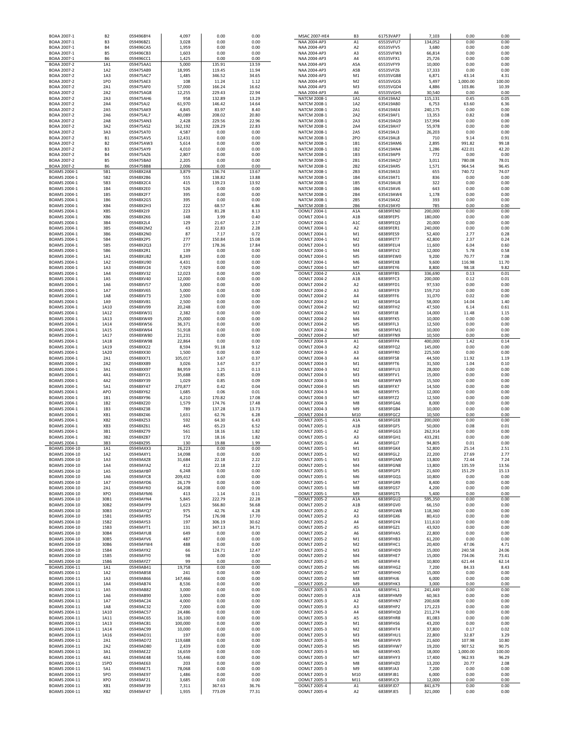| BOAA 2007-1                         | <b>B2</b>                   | 059496BY4              | 4,097            | 0.00             | 0.00           | MSAC 2007-HE4                       | B3                    | 61753VAP7              | 7,103              | 0.00             | 0.00           |
|-------------------------------------|-----------------------------|------------------------|------------------|------------------|----------------|-------------------------------------|-----------------------|------------------------|--------------------|------------------|----------------|
| BOAA 2007-1                         | B <sub>3</sub>              | 059496BZ1              | 3,028            | 0.00             | 0.00           | NAA 2004-AP3                        | A1                    | 65535VFU7              | 134,052            | 0.00             | 0.00           |
| BOAA 2007-1<br>BOAA 2007-1          | <b>B4</b><br><b>B5</b>      | 059496CA5<br>059496CB3 | 1,959<br>1,603   | 0.00<br>0.00     | 0.00<br>0.00   | NAA 2004-AP3<br>NAA 2004-AP3        | A2<br>A3              | 65535VFV5<br>65535VFW3 | 3,680<br>66,814    | 0.00<br>0.00     | 0.00<br>0.00   |
| BOAA 2007-1                         | B <sub>6</sub>              | 059496CC1              | 1,425            | 0.00             | 0.00           | NAA 2004-AP3                        | A4                    | 65535VFX1              | 25,726             | 0.00             | 0.00           |
| BOAA 2007-2                         | 1A1                         | 059475AA1              | 5,000            | 135.91           | 13.59          | NAA 2004-AP3                        | A5A                   | 65535VFY9              | 10,000             | 0.00             | 0.00           |
| BOAA 2007-2                         | 1A2                         | 059475AB9              | 18,995           | 119.45           | 11.94          | NAA 2004-AP3                        | A5B                   | 65535VFZ6              | 17,333             | 0.00             | 0.00           |
| BOAA 2007-2                         | 1A3                         | 059475AC7              | 1,485            | 346.52           | 34.65          | NAA 2004-AP3                        | M1                    | 65535VGB8              | 6,871              | 43.14            | 4.31           |
| BOAA 2007-2                         | 1PO                         | 059475AE3              | 108              | 11.24            | 1.12           | NAA 2004-AP3                        | M <sub>2</sub>        | 65535VGC6              | 5,497              | 1,000.00         | 100.00         |
| BOAA 2007-2                         | 2A1                         | 059475AF0              | 57,000           | 166.24           | 16.62          | NAA 2004-AP3                        | M3                    | 65535VGD4              | 4,886              | 103.86           | 10.39          |
| BOAA 2007-2                         | 2A2                         | 059475AG8              | 12,255           | 229.43           | 22.94          | NAA 2004-AP3                        | A6                    | 65535VGH5<br>635419AA2 | 30,540             | 0.00             | 0.00           |
| BOAA 2007-2<br>BOAA 2007-2          | 2A3<br>2A4                  | 059475AH6<br>059475AJ2 | 958<br>61,970    | 132.89<br>146.42 | 13.29<br>14.64 | NATCM 2008-1<br>NATCM 2008-1        | 1A1<br>1A2            | 635419AB0              | 115,131            | 0.45<br>63.60    | 0.05<br>6.36   |
| BOAA 2007-2                         | 2A5                         | 059475AK9              | 4,845            | 83.97            | 8.40           | NATCM 2008-1                        | 2A1                   | 635419AE4              | 6,753<br>240,175   | 0.00             | 0.00           |
| BOAA 2007-2                         | 2A6                         | 059475AL7              | 40,089           | 208.02           | 20.80          | NATCM 2008-1                        | 2A2                   | 635419AF1              | 13,353             | 0.82             | 0.08           |
| BOAA 2007-2                         | 2A8                         | 059475AN3              | 2,428            | 229.56           | 22.96          | NATCM 2008-1                        | 2A3                   | 635419AG9              | 157,994            | 0.00             | 0.00           |
| BOAA 2007-2                         | 3A2                         | 059475AS2              | 162,192          | 228.29           | 22.83          | NATCM 2008-1                        | 2A4                   | 635419AH7              | 55,978             | 0.00             | 0.00           |
| BOAA 2007-2                         | 3A3                         | 059475AT0              | 4,587            | 0.00             | 0.00           | NATCM 2008-1                        | 2A5                   | 635419AJ3              | 26,203             | 0.00             | 0.00           |
| BOAA 2007-2                         | <b>B1</b>                   | 059475AV5              | 12,431           | 0.00             | 0.00           | NATCM 2008-1                        | 2PO                   | 635419AL8              | 710                | 9.14             | 0.91           |
| BOAA 2007-2                         | <b>B2</b>                   | 059475AW3              | 5,614            | 0.00             | 0.00           | NATCM 2008-1                        | 1B1                   | 635419AM6              | 2,895              | 991.82           | 99.18          |
| BOAA 2007-2<br>BOAA 2007-2          | B <sub>3</sub><br><b>B4</b> | 059475AY9              | 4,010            | 0.00<br>0.00     | 0.00<br>0.00   | NATCM 2008-1<br>NATCM 2008-1        | 1B2<br>1B3            | 635419AN4              | 1,286<br>772       | 422.01<br>0.00   | 42.20<br>0.00  |
| BOAA 2007-2                         | <b>B5</b>                   | 059475AZ6<br>059475BA0 | 2,807<br>2,205   | 0.00             | 0.00           | NATCM 2008-1                        | 2B1                   | 635419AP9<br>635419AQ7 | 3,011              | 780.08           | 78.01          |
| BOAA 2007-2                         | <b>B6</b>                   | 059475BB8              | 2,006            | 0.00             | 0.00           | NATCM 2008-1                        | 2B <sub>2</sub>       | 635419AR5              | 1,571              | 964.54           | 96.45          |
| <b>BOAMS 2004-1</b>                 | 5B1                         | 05948X2A8              | 3,879            | 136.74           | 13.67          | NATCM 2008-1                        | 2B3                   | 635419AS3              | 655                | 740.72           | 74.07          |
| BOAMS 2004-1                        | 5B2                         | 05948X2B6              | 555              | 138.82           | 13.88          | NATCM 2008-1                        | 1B4                   | 635419AT1              | 836                | 0.00             | 0.00           |
| BOAMS 2004-1                        | 5B3                         | 05948X2C4              | 415              | 139.23           | 13.92          | NATCM 2008-1                        | 1B5                   | 635419AU8              | 322                | 0.00             | 0.00           |
| BOAMS 2004-1                        | 1B4                         | 05948X2E0              | 526              | 0.00             | 0.00           | NATCM 2008-1                        | 1B6                   | 635419AV6              | 643                | 0.00             | 0.00           |
| BOAMS 2004-1                        | 1B5                         | 05948X2F7              | 395              | 0.00             | 0.00           | NATCM 2008-1                        | 2B4                   | 635419AW4              | 1,178              | 0.00             | 0.00           |
| BOAMS 2004-1                        | 1B6<br>XB4                  | 05948X2G5              | 395              | 0.00             | 0.00<br>6.86   | NATCM 2008-1                        | 2B5<br>2B6            | 635419AX2<br>635419AY0 | 393<br>785         | 0.00             | 0.00           |
| BOAMS 2004-1<br>BOAMS 2004-1        | XB5                         | 05948X2H3<br>05948X2J9 | 222<br>223       | 68.57<br>81.28   | 8.13           | NATCM 2008-1<br>OOMLT 2004-1        | A <sub>1</sub> A      | 68389FEN0              | 200,000            | 0.00<br>0.00     | 0.00<br>0.00   |
| BOAMS 2004-1                        | XB6                         | 05948X2K6              | 148              | 3.99             | 0.40           | OOMLT 2004-1                        | A1B                   | 68389FEP5              | 180,000            | 0.00             | 0.00           |
| <b>BOAMS 2004-1</b>                 | 3B4                         | 05948X2L4              | 129              | 21.67            | 2.17           | OOMLT 2004-1                        | A1C                   | 68389FEQ3              | 20,000             | 0.00             | 0.00           |
| <b>BOAMS 2004-1</b>                 | 3B5                         | 05948X2M2              | 43               | 22.83            | 2.28           | OOMLT 2004-1                        | A <sub>2</sub>        | 68389FER1              | 240,000            | 0.00             | 0.00           |
| BOAMS 2004-1                        | 3B6                         | 05948X2N0              | 87               | 7.17             | 0.72           | OOMLT 2004-1                        | M1                    | 68389FES9              | 52,400             | 2.77             | 0.28           |
| <b>BOAMS 2004-1</b>                 | 5B4                         | 05948X2P5              | 277              | 150.84           | 15.08          | OOMLT 2004-1                        | M <sub>2</sub>        | 68389FET7              | 42,800             | 2.37             | 0.24           |
| BOAMS 2004-1<br>BOAMS 2004-1        | 5B5<br>5B6                  | 05948X2Q3              | 277<br>139       | 178.36<br>0.00   | 17.84<br>0.00  | OOMLT 2004-1<br>OOMLT 2004-1        | M3<br>M4              | 68389FEU4<br>68389FEV2 | 11,600             | 6.04<br>5.78     | 0.60<br>0.58   |
| BOAMS 2004-1                        | 1A1                         | 05948X2R1<br>05948XU82 | 8,249            | 0.00             | 0.00           | OOMLT 2004-1                        | M5                    | 68389FEW0              | 12,000<br>9,200    | 70.77            | 7.08           |
| BOAMS 2004-1                        | 1A2                         | 05948XU90              | 4,431            | 0.00             | 0.00           | OOMLT 2004-1                        | M6                    | 68389FEX8              | 9,600              | 116.98           | 11.70          |
| BOAMS 2004-1                        | 1A3                         | 05948XV24              | 7,929            | 0.00             | 0.00           | OOMLT 2004-1                        | M7                    | 68389FEY6              | 8,800              | 98.18            | 9.82           |
| BOAMS 2004-1                        | 1A4                         | 05948XV32              | 12,023           | 0.00             | 0.00           | OOMLT 2004-2                        | A <sub>1</sub> A      | 68389FFB5              | 336,690            | 0.13             | 0.01           |
| BOAMS 2004-1                        | 1A5                         | 05948XV40              | 12,000           | 0.00             | 0.00           | OOMLT 2004-2                        | A1B                   | 68389FFC3              | 200,000            | 0.12             | 0.01           |
| BOAMS 2004-1                        | 1A6                         | 05948XV57              | 3,000            | 0.00             | 0.00           | OOMLT 2004-2                        | A <sub>2</sub>        | 68389FFD1              | 97,530             | 0.00             | 0.00           |
| <b>BOAMS 2004-1</b>                 | 1A7                         | 05948XV65              | 5,000            | 0.00             | 0.00           | OOMLT 2004-2                        | A3                    | 68389FFE9              | 159,710            | 0.00             | 0.00           |
| <b>BOAMS 2004-1</b><br>BOAMS 2004-1 | 1A8<br>1A9                  | 05948XV73<br>05948XV81 | 2,500<br>2,500   | 0.00<br>0.00     | 0.00<br>0.00   | OOMLT 2004-2<br>OOMLT 2004-2        | A4<br>M1              | 68389FFF6<br>68389FFG4 | 31,070<br>58,000   | 0.02<br>14.04    | 0.00<br>1.40   |
| BOAMS 2004-1                        | 1A10                        | 05948XV99              | 20,248           | 0.00             | 0.00           | OOMLT 2004-2                        | M <sub>2</sub>        | 68389FFH2              | 47,500             | 6.14             | 0.61           |
| BOAMS 2004-1                        | 1A12                        | 05948XW31              | 2,382            | 0.00             | 0.00           | OOMLT 2004-2                        | M3                    | 68389FFJ8              | 14,000             | 11.48            | 1.15           |
| BOAMS 2004-1                        | 1A13                        | 05948XW49              | 25,000           | 0.00             | 0.00           | OOMLT 2004-2                        | M4                    | 68389FFK5              | 10,000             | 0.00             | 0.00           |
| BOAMS 2004-1                        | 1A14                        | 05948XW56              | 36,371           | 0.00             | 0.00           | OOMLT 2004-2                        | M5                    | 68389FFL3              | 12,500             | 0.00             | 0.00           |
| BOAMS 2004-1                        | 1A15                        | 05948XW64              | 51,918           | 0.00             | 0.00           | OOMLT 2004-2                        | M6                    | 68389FFM1              | 10,000             | 0.00             | 0.00           |
| BOAMS 2004-1<br>BOAMS 2004-1        | 1A17<br>1A18                | 05948XW80<br>05948XW98 | 21,231<br>22,864 | 0.00<br>0.00     | 0.00<br>0.00   | OOMLT 2004-2<br>OOMLT 2004-3        | M7<br>A1              | 68389FFN9<br>68389FFP4 | 10,500<br>400,000  | 0.00<br>1.42     | 0.00<br>0.14   |
| BOAMS 2004-1                        | 1A19                        | 05948XX22              | 8,594            | 91.18            | 9.12           | OOMLT 2004-3                        | A <sub>2</sub>        | 68389FFQ2              | 145,000            | 0.00             | 0.00           |
| BOAMS 2004-1                        | 1A20                        | 05948XX30              | 1,500            | 0.00             | 0.00           | OOMLT 2004-3                        | A3                    | 68389FFR0              | 225,500            | 0.00             | 0.00           |
| BOAMS 2004-1                        | 2A1                         | 05948XX71              | 105,017          | 3.67             | 0.37           | OOMLT 2004-3                        | A4                    | 68389FFS8              | 44,500             | 11.92            | 1.19           |
| <b>BOAMS 2004-1</b>                 | 2A2                         | 05948XX89              | 3,026            | 3.67             | 0.37           | OOMLT 2004-3                        | M1                    | 68389FFT6              | 31,500             | 1.04             | 0.10           |
| <b>BOAMS 2004-1</b>                 | 3A1                         | 05948XX97              | 84,959           | 1.25             | 0.13           | OOMLT 2004-3                        | M <sub>2</sub>        | 68389FFU3              | 28,000             | 0.00             | 0.00           |
| BOAMS 2004-1                        | 4A1<br>4A2                  | 05948XY21              | 35,688           | 0.85             | 0.09<br>0.09   | OOMLT 2004-3<br>OOMLT 2004-3        | M3<br>M4              | 68389FFV1              | 15,000             | 0.00<br>0.00     | 0.00           |
| <b>BOAMS 2004-1</b><br>BOAMS 2004-1 | 5A1                         | 05948XY39<br>05948XY47 | 1,029<br>270,877 | 0.85<br>0.42     | 0.04           | OOMLT 2004-3                        | M <sub>5</sub>        | 68389FFW9<br>68389FFX7 | 15,500<br>14,500   | 0.00             | 0.00<br>0.00   |
| BOAMS 2004-1                        | APO                         | 05948XY62              | 1,685            | 0.06             | 0.01           | OOMLT 2004-3                        | M6                    | 68389FFY5              | 12,000             | 0.00             | 0.00           |
| BOAMS 2004-1                        | 1B1                         | 05948XY96              | 4,210            | 170.82           | 17.08          | OOMLT 2004-3                        | M7                    | 68389FFZ2              | 12,500             | 0.00             | 0.00           |
| BOAMS 2004-1                        | 1B2                         | 05948XZ20              | 1,579            | 174.76           | 17.48          | OOMLT 2004-3                        | M8                    | 68389FGA6              | 8,000              | 0.00             | 0.00           |
| BOAMS 2004-1                        | 1B3                         | 05948XZ38              | 789              | 137.28           | 13.73          | OOMLT 2004-3                        | M9                    | 68389FGB4              | 10,000             | 0.00             | 0.00           |
| BOAMS 2004-1                        | XB1                         | 05948XZ46              | 1,631            | 62.76            | 6.28           | OOMLT 2004-3                        | M10                   | 68389FGC2              | 10,500             | 0.00             | 0.00           |
| BOAMS 2004-1<br><b>BOAMS 2004-1</b> | XB <sub>2</sub><br>XB3      | 05948XZ53              | 592              | 64.30            | 6.43           | OOMLT 2005-1                        | A <sub>1</sub> A      | 68389FGE8              | 200,000            | 0.00             | 0.00           |
| <b>BOAMS 2004-1</b>                 | 3B1                         | 05948XZ61<br>05948XZ79 | 445<br>561       | 65.23<br>18.16   | 6.52<br>1.82   | OOMLT 2005-1<br>OOMLT 2005-1        | A1B<br>A <sub>2</sub> | 68389FGF5<br>68389FGG3 | 50,000<br>262,914  | 0.08<br>0.00     | 0.01<br>0.00   |
| BOAMS 2004-1                        | 3B2                         | 05948XZ87              | 172              | 18.16            | 1.82           | OOMLT 2005-1                        | A3                    | 68389FGH1              | 433,281            | 0.00             | 0.00           |
| BOAMS 2004-1                        | 3B3                         | 05948XZ95              | 130              | 19.88            | 1.99           | OOMLT 2005-1                        | A4                    | 68389FGJ7              | 94,805             | 0.01             | 0.00           |
| BOAMS 2004-10                       | 1A1                         | 05949AXX3              | 26.223           |                  | 0.00           | OOMLT 2005-1                        | M <sub>1</sub>        | 68389FGK4              | 52.800             | 25.14            | 2.51           |
| BOAMS 2004-10                       | 1A2                         | 05949AXY1              | 14,098           | 0.00             | 0.00           | OOMLT 2005-1                        | M <sub>2</sub>        | 68389FGL2              | 22,200             | 27.69            | 2.77           |
| BOAMS 2004-10                       | 1A3                         | 05949AXZ8              | 31,684           | 22.18            | 2.22           | OOMLT 2005-1                        | M3                    | 68389FGM0              | 13,800<br>13,800   | 72.44<br>135.59  | 7.24<br>13.56  |
| BOAMS 2004-10<br>BOAMS 2004-10      | 1A4<br>1A5                  | 05949AYA2<br>05949AYB0 | 412<br>6,248     | 22.18<br>0.00    | 2.22<br>0.00   | OOMLT 2005-1                        | M4<br>M5              | 68389FGN8<br>68389FGP3 | 21,600             | 151.29           | 15.13          |
| BOAMS 2004-10                       | 1A6                         | 05949AYC8              | 209,432          | 0.00             | 0.00           | OOMLT 2005-1<br>OOMLT 2005-1        | M6                    | 68389FGQ1              | 10,800             | 0.00             | 0.00           |
| BOAMS 2004-10                       | 1A7                         | 05949AYD6              | 26,179           | 0.00             | 0.00           | OOMLT 2005-1                        | M7                    | 68389FGR9              | 8,400              | 0.00             | 0.00           |
| BOAMS 2004-10                       | 2A1                         | 05949AYK0              | 64,208           | 0.00             | 0.00           | OOMLT 2005-1                        | M8                    | 68389FGS7              | 4,200              | 0.00             | 0.00           |
| BOAMS 2004-10                       | XPO                         | 05949AYM6              | 413              | 1.14             | 0.11           | OOMLT 2005-1                        | M <sub>9</sub>        | 68389FGT5              | 5,400              | 0.00             | 0.00           |
| BOAMS 2004-10                       | 30B1                        | 05949AYN4              | 5,845            | 222.79           | 22.28          | OOMLT 2005-2                        | A <sub>1</sub> A      | 68389FGU2              | 595,350            | 0.00             | 0.00           |
| BOAMS 2004-10                       | 30B2                        | 05949AYP9              | 1,623            | 566.80           | 56.68          | <b>OOMLT 2005-2</b>                 | A1B                   | 68389FGV0              | 66,150             | 0.00             | 0.00           |
| BOAMS 2004-10<br>BOAMS 2004-10      | 30B3<br>15B1                | 05949AYQ7<br>05949AYR5 | 975<br>754       | 42.76<br>176.98  | 4.28<br>17.70  | <b>OOMLT 2005-2</b><br>OOMLT 2005-2 | A <sub>2</sub><br>A3  | 68389FGW8<br>68389FGX6 | 118,360<br>80,410  | 0.00<br>0.00     | 0.00<br>0.00   |
| BOAMS 2004-10                       | 15B2                        | 05949AYS3              | 197              | 306.19           | 30.62          | OOMLT 2005-2                        | A4                    | 68389FGY4              | 111,610            | 0.00             | 0.00           |
| BOAMS 2004-10                       | 15B3                        | 05949AYT1              | 131              | 347.13           | 34.71          | OOMLT 2005-2                        | A5                    | 68389FGZ1              | 43,920             | 0.00             | 0.00           |
| BOAMS 2004-10                       | 30B4                        | 05949AYU8              | 649              | 0.00             | 0.00           | OOMLT 2005-2                        | A6                    | 68389FHA5              | 22,800             | 0.00             | 0.00           |
| BOAMS 2004-10                       | 30B5                        | 05949AYV6              | 487              | 0.00             | 0.00           | OOMLT 2005-2                        | M1                    | 68389FHB3              | 61,200             | 0.00             | 0.00           |
| BOAMS 2004-10                       | 30B6                        | 05949AYW4              | 488              | 0.00             | 0.00           | OOMLT 2005-2                        | M <sub>2</sub>        | 68389FHC1              | 20,400             | 47.06            | 4.71           |
| BOAMS 2004-10                       | 15B4                        | 05949AYX2              | 66               | 124.71           | 12.47          | <b>OOMLT 2005-2</b><br>OOMLT 2005-2 | M3                    | 68389FHD9<br>68389FHE7 | 15,000             | 240.58           | 24.06          |
| BOAMS 2004-10<br>BOAMS 2004-10      | 15B5<br>15B6                | 05949AYY0<br>05949AYZ7 | 98<br>99         | 0.00<br>0.00     | 0.00<br>0.00   | OOMLT 2005-2                        | M4<br>M5              | 68389FHF4              | 15,000<br>10,800   | 734.06<br>621.44 | 73.41<br>62.14 |
| BOAMS 2004-11                       | 1A1                         | 05949AB41              | 19,758           | 0.00             | 0.00           | OOMLT 2005-2                        | M6                    | 68389FHG2              | 7,200              | 84.33            | 8.43           |
| BOAMS 2004-11                       | 1A2                         | 05949AB58              | 241              | 0.00             | 0.00           | <b>OOMLT 2005-2</b>                 | M7                    | 68389FHH0              | 15,000             | 0.00             | 0.00           |
| BOAMS 2004-11                       | 1A3                         | 05949AB66              | 147,466          | 0.00             | 0.00           | OOMLT 2005-2                        | M8                    | 68389FHJ6              | 6,000              | 0.00             | 0.00           |
| BOAMS 2004-11                       | 1A4                         | 05949AB74              | 8,536            | 0.00             | 0.00           | OOMLT 2005-2                        | M <sub>9</sub>        | 68389FHK3              | 3,000              | 0.00             | 0.00           |
| BOAMS 2004-11                       | 1A5                         | 05949AB82              | 3,000            | 0.00<br>0.00     | 0.00           | OOMLT 2005-3<br>OOMLT 2005-3        | A1A                   | 68389FHL1              | 241,449            | 0.00<br>0.00     | 0.00<br>0.00   |
| BOAMS 2004-11<br>BOAMS 2004-11      | 1A6<br>1A7                  | 05949AB90<br>05949AC24 | 3,000<br>4,000   | 0.00             | 0.00<br>0.00   | OOMLT 2005-3                        | A1B<br>A <sub>2</sub> | 68389FHM9<br>68389FHN7 | 60,363<br>200,608  | 0.00             | 0.00           |
| BOAMS 2004-11                       | 1A8                         | 05949AC32              | 7,000            | 0.00             | 0.00           | OOMLT 2005-3                        | A3                    | 68389FHP2              | 171,223            | 0.00             | 0.00           |
| BOAMS 2004-11                       | 1A10                        | 05949AC57              | 24,486           | 0.00             | 0.00           | OOMLT 2005-3                        | A4                    | 68389FHQ0              | 211,274            | 0.00             | 0.00           |
| BOAMS 2004-11                       | 1A11                        | 05949AC65              | 16,100           | 0.00             | 0.00           | OOMLT 2005-3                        | A5                    | 68389FHR8              | 81,083             | 0.00             | 0.00           |
| BOAMS 2004-11                       | 1A13                        | 05949AC81              | 100,000          | 0.00             | 0.00           | OOMLT 2005-3                        | M1                    | 68389FHS6              | 43,200             | 0.00             | 0.00           |
| BOAMS 2004-11                       | 1A14                        | 05949AC99              | 10,000           | 0.00             | 0.00           | OOMLT 2005-3                        | M <sub>2</sub>        | 68389FHT4              | 37,800             | 0.17             | 0.02           |
| BOAMS 2004-11<br>BOAMS 2004-11      | 1A16<br>2A1                 | 05949AD31<br>05949AD72 | 197<br>119,688   | 0.00<br>0.00     | 0.00<br>0.00   | OOMLT 2005-3<br>OOMLT 2005-3        | M3<br>M4              | 68389FHU1<br>68389FHV9 | 22,800<br>21,600   | 32.87<br>107.98  | 3.29<br>10.80  |
| BOAMS 2004-11                       | 2A2                         | 05949AD80              | 2,439            | 0.00             | 0.00           | OOMLT 2005-3                        | M <sub>5</sub>        | 68389FHW7              | 19,200             | 907.52           | 90.75          |
| BOAMS 2004-11                       | 3A1                         | 05949AE22              | 16,659           | 0.00             | 0.00           | OOMLT 2005-3                        | M6                    | 68389FHX5              | 18,000             | 1,000.00         | 100.00         |
| BOAMS 2004-11                       | 4A1                         | 05949AE48              | 55,446           | 0.00             | 0.00           | OOMLT 2005-3                        | M7                    | 68389FHY3              | 17,400             | 962.93           | 96.29          |
| BOAMS 2004-11                       | <b>15PO</b>                 | 05949AE63              | 203              | 0.00             | 0.00           | OOMLT 2005-3                        | M8                    | 68389FHZ0              | 13,200             | 20.77            | 2.08           |
| BOAMS 2004-11                       | 5A1                         | 05949AE71              | 78,068           | 0.00             | 0.00           | OOMLT 2005-3                        | M9                    | 68389FJA3              | 7,200              | 0.00             | 0.00           |
| BOAMS 2004-11                       | 5PO                         | 05949AE97              | 1,486            | 0.00             | 0.00           | OOMLT 2005-3                        | M10                   | 68389FJB1              | 6,000              | 0.00             | 0.00           |
| BOAMS 2004-11                       | XPO                         | 05949AF21              | 3,685            | 0.00             | 0.00           | OOMLT 2005-3                        | M11                   | 68389FJC9              | 12,000             | 0.00             | 0.00           |
| BOAMS 2004-11<br>BOAMS 2004-11      | XB1<br>XB <sub>2</sub>      | 05949AF39<br>05949AF47 | 7,311<br>1,935   | 367.63<br>773.09 | 36.76<br>77.31 | OOMLT 2005-4<br>OOMLT 2005-4        | A1<br>A <sub>2</sub>  | 68389FJD7<br>68389FJE5 | 841,679<br>321,000 | 0.00<br>0.00     | 0.00<br>0.00   |
|                                     |                             |                        |                  |                  |                |                                     |                       |                        |                    |                  |                |

| MSAC 2007-HE4                | B3                               | 61753VAP7              | 7,103              | 0.00               | 0.00          |
|------------------------------|----------------------------------|------------------------|--------------------|--------------------|---------------|
| NAA 2004-AP3                 | A1                               | 65535VFU7              | 134,052            | 0.00               | 0.00          |
| NAA 2004-AP3                 | A <sub>2</sub>                   | 65535VFV5              | 3,680              | 0.00               | 0.00          |
| NAA 2004-AP3                 | A3                               | 65535VFW3              | 66,814             | 0.00               | 0.00          |
| NAA 2004-AP3                 | A <sub>4</sub>                   | 65535VFX1              | 25,726             | 0.00               | 0.00          |
| NAA 2004-AP3                 | A5A                              | 65535VFY9              | 10.000             | 0.00               | 0.00          |
| NAA 2004-AP3<br>NAA 2004-AP3 | A5B<br>M1                        | 65535VFZ6              | 17,333             | 0.00<br>43.14      | 0.00<br>4.31  |
|                              |                                  | 65535VGB8              | 6,871              |                    | 100.00        |
| NAA 2004-AP3<br>NAA 2004-AP3 | M <sub>2</sub><br>M <sub>3</sub> | 65535VGC6              | 5,497              | 1,000.00<br>103.86 |               |
|                              |                                  | 65535VGD4              | 4,886              |                    | 10.39         |
| NAA 2004-AP3<br>NATCM 2008-1 | A6<br>1A1                        | 65535VGH5              | 30,540             | 0.00<br>0.45       | 0.00          |
|                              |                                  | 635419AA2              | 115,131            |                    | 0.05          |
| NATCM 2008-1<br>NATCM 2008-1 | 1A2<br>2A1                       | 635419AB0<br>635419AE4 | 6,753<br>240,175   | 63.60<br>0.00      | 6.36<br>0.00  |
| NATCM 2008-1                 | 2A2                              | 635419AF1              | 13,353             | 0.82               | 0.08          |
| NATCM 2008-1                 | 2A3                              | 635419AG9              | 157,994            | 0.00               | 0.00          |
| NATCM 2008-1                 | 2A4                              | 635419AH7              | 55,978             | 0.00               | 0.00          |
| NATCM 2008-1                 | 2A5                              | 635419AJ3              | 26,203             | 0.00               | 0.00          |
| NATCM 2008-1                 | 2PO                              | 635419AL8              | 710                | 9.14               | 0.91          |
| NATCM 2008-1                 | 1B1                              | 635419AM6              | 2,895              | 991.82             | 99.18         |
| NATCM 2008-1                 | 1 <sub>B2</sub>                  | 635419AN4              | 1,286              | 422.01             | 42.20         |
| NATCM 2008-1                 | 1B3                              | 635419AP9              | 772                | 0.00               | 0.00          |
| NATCM 2008-1                 | 2B1                              | 635419AQ7              | 3,011              | 780.08             | 78.01         |
| NATCM 2008-1                 | 2B <sub>2</sub>                  | 635419AR5              | 1,571              | 964.54             | 96.45         |
| NATCM 2008-1                 | 2B3                              | 635419AS3              | 655                | 740.72             | 74.07         |
| NATCM 2008-1                 | 1B4                              | 635419AT1              | 836                | 0.00               | 0.00          |
| NATCM 2008-1                 | 1B5                              | 635419AU8              | 322                | 0.00               | 0.00          |
| NATCM 2008-1                 | 1B6                              | 635419AV6              | 643                | 0.00               | 0.00          |
| NATCM 2008-1                 | 2B4                              | 635419AW4              | 1,178              | 0.00               | 0.00          |
| NATCM 2008-1                 | 2B5                              | 635419AX2              | 393                | 0.00               | 0.00          |
| NATCM 2008-1                 | 2B6                              | 635419AY0              | 785                | 0.00               | 0.00          |
| OOMLT 2004-1                 | A <sub>1</sub> A                 | 68389FEN0              | 200,000            | 0.00               | 0.00          |
| OOMLT 2004-1                 | A1B                              | 68389FEP5              | 180,000            | 0.00               | 0.00          |
| OOMLT 2004-1                 | A <sub>1</sub> C                 | 68389FEQ3              | 20,000             | 0.00               | 0.00          |
| OOMLT 2004-1                 | A2                               | 68389FER1              | 240,000            | 0.00               | 0.00          |
| OOMLT 2004-1                 | M <sub>1</sub>                   | 68389FES9              | 52,400             | 2.77               | 0.28          |
| OOMLT 2004-1                 | M <sub>2</sub>                   | 68389FET7              | 42,800             | 2.37               | 0.24          |
| OOMLT 2004-1                 | M3                               | 68389FEU4              | 11,600             | 6.04               | 0.60          |
| OOMLT 2004-1                 | M <sub>4</sub>                   | 68389FEV2              | 12,000             | 5.78               | 0.58          |
| OOMLT 2004-1                 | M <sub>5</sub>                   | 68389FEW0<br>68389FFX8 | 9,200              | 70.77              | 7.08<br>11.70 |
| OOMLT 2004-1                 | M <sub>6</sub>                   |                        | 9,600              | 116.98             |               |
| OOMLT 2004-1                 | M7                               | 68389FEY6              | 8,800              | 98.18<br>0.13      | 9.82<br>0.01  |
| OOMLT 2004-2<br>OOMLT 2004-2 | A <sub>1</sub> A<br>A1B          | 68389FFB5<br>68389FFC3 | 336,690<br>200.000 | 0.12               | 0.01          |
| OOMLT 2004-2                 | A <sub>2</sub>                   | 68389FFD1              | 97,530             | 0.00               | 0.00          |
| OOMLT 2004-2                 | A3                               | 68389FFE9              | 159,710            | 0.00               | 0.00          |
| OOMIT 2004-2                 | AA                               | 68389FFF6              | 31,070             | 0.02               | 0.00          |
| OOMLT 2004-2                 | M <sub>1</sub>                   | 68389FFG4              | 58,000             | 14.04              | 1.40          |
| OOMLT 2004-2                 | M <sub>2</sub>                   | 68389FFH2              | 47,500             | 6.14               | 0.61          |
| OOMLT 2004-2                 | M3                               | 68389FFJ8              | 14,000             | 11.48              | 1.15          |
| OOMLT 2004-2                 | M <sub>4</sub>                   | 68389FFK5              | 10,000             | 0.00               | 0.00          |
| OOMLT 2004-2                 | M5                               | 68389FFL3              | 12,500             | 0.00               | 0.00          |
| OOMLT 2004-2                 | M <sub>6</sub>                   | 68389FFM1              | 10,000             | 0.00               | 0.00          |
| OOMLT 2004-2                 | M <sub>7</sub>                   | 68389FFN9              | 10,500             | 0.00               | 0.00          |
| OOMLT 2004-3                 | A1                               | 68389FFP4              | 400,000            | 1.42               | 0.14          |
| OOMLT 2004-3                 | A <sub>2</sub>                   | 68389FFQ2              | 145,000            | 0.00               | 0.00          |
| OOMLT 2004-3                 | A3                               | 68389FFR0              | 225,500            | 0.00               | 0.00          |
| OOMLT 2004-3                 | A4                               | 68389FFS8              | 44,500             | 11.92              | 1.19          |
| OOMLT 2004-3                 | M <sub>1</sub>                   | 68389FFT6              | 31,500             | 1.04               | 0.10          |
| OOMLT 2004-3                 | M <sub>2</sub>                   | 68389FFU3              | 28,000             | 0.00               | 0.00          |
| OOMLT 2004-3                 | M <sub>3</sub>                   | 68389FFV1              | 15,000             | 0.00               | 0.00          |
| OOMLT 2004-3                 | M4                               | 68389FFW9              | 15,500             | 0.00               | 0.00          |
| OOMLT 2004-3                 | M5                               | 68389FFX7              | 14,500             | 0.00               | 0.00          |
| OOMLT 2004-3                 | M <sub>6</sub>                   | 68389FFY5              | 12,000             | 0.00               | 0.00          |
| OOMLT 2004-3                 | M <sub>7</sub>                   | 68389FFZ2              | 12,500             | 0.00               | 0.00          |
| OOMLT 2004-3                 | M <sub>8</sub>                   | 68389FGA6              | 8,000              | 0.00               | 0.00          |
| OOMLT 2004-3                 | M <sub>9</sub>                   | 68389FGB4              | 10,000             | 0.00               | 0.00          |
| OOMLT 2004-3                 | M10                              | 68389FGC2              | 10,500             | 0.00               | 0.00          |
| OOMLT 2005-1                 | A <sub>1</sub> A                 | 68389FGE8              | 200,000            | 0.00               | 0.00          |
| OOMLT 2005-1                 | A1B                              | 68389FGF5              | 50,000             | 0.08               | 0.01          |
| OOMLT 2005-1                 | A <sub>2</sub>                   | 68389FGG3              | 262,914            | 0.00               | 0.00          |
| OOMLT 2005-1<br>OOMLT 2005-1 | A <sub>3</sub><br>AA             | 68389FGH1              | 433,281            | 0.00               | 0.00          |
|                              | M <sub>1</sub>                   | 68389FGJ7              | 94,805             | 0.01<br>25.14      | 0.00<br>251   |
| OOMLT 2005-1                 |                                  | 68389FGK4              | 52,800             | 27.69              |               |
| OOMLT 2005-1                 | M <sub>2</sub>                   | 68389FGL2              | 22,200             | 72.44              | 2.77          |
| OOMLT 2005-1<br>OOMLT 2005-1 | M3<br>M4                         | 68389FGM0<br>68389FGN8 | 13,800<br>13,800   | 135.59             | 7.24<br>13.56 |
| OOMLT 2005-1                 | M <sub>5</sub>                   | 68389FGP3              | 21,600             | 151.29             | 15.13         |
| OOMLT 2005-1                 | M <sub>6</sub>                   | 68389FGO1              | 10,800             | 0.00               | 0.00          |
| OOMLT 2005-1                 | M7                               | 68389FGR9              | 8,400              | 0.00               | 0.00          |
| OOMLT 2005-1                 | M8                               | 68389FGS7              | 4,200              | 0.00               | 0.00          |
| OOMLT 2005-1                 | M <sub>9</sub>                   | 68389FGT5              | 5,400              | 0.00               | 0.00          |
| OOMLT 2005-2                 | A <sub>1</sub> A                 | 68389FGU2              | 595,350            | 0.00               | 0.00          |
| <b>OOMLT 2005-2</b>          | A1B                              | 68389FGV0              | 66,150             | 0.00               | 0.00          |
| OOMLT 2005-2                 | A2                               | 68389FGW8              | 118,360            | 0.00               | 0.00          |
| OOMLT 2005-2                 | A3                               | 68389FGX6              | 80,410             | 0.00               | 0.00          |
| OOMLT 2005-2                 | A4                               | 68389FGY4              | 111,610            | 0.00               | 0.00          |
| OOMLT 2005-2                 | A5                               | 68389FGZ1              | 43,920             | 0.00               | 0.00          |
| OOMLT 2005-2                 | A6                               | 68389FHA5              | 22,800             | 0.00               | 0.00          |
| <b>OOMLT 2005-2</b>          | M1                               | 68389FHB3              | 61,200             | 0.00               | 0.00          |
| OOMLT 2005-2                 | M <sub>2</sub>                   | 68389FHC1              | 20,400             | 47.06              | 4.71          |
| OOMLT 2005-2                 | M <sub>3</sub>                   | 68389FHD9              | 15,000             | 240.58             | 24.06         |
| OOMLT 2005-2                 | M4                               | 68389FHE7              | 15,000             | 734.06             | 73.41         |
| OOMLT 2005-2                 | M <sub>5</sub>                   | 68389FHF4<br>68389FHG2 | 10,800             | 621.44<br>84.33    | 62.14         |
| OOMLT 2005-2                 | M <sub>6</sub><br>M <sub>7</sub> |                        | 7,200              |                    | 8.43          |
| OOMLT 2005-2<br>OOMLT 2005-2 | M <sub>8</sub>                   | 68389FHH0              | 15,000             | 0.00<br>0.00       | 0.00<br>0.00  |
| OOMLT 2005-2                 | M9                               | 68389FHJ6<br>68389FHK3 | 6,000              | 0.00               | 0.00          |
| OOMLT 2005-3                 | A1A                              | 68389FHL1              | 3,000<br>241,449   | 0.00               | 0.00          |
| OOMLT 2005-3                 | A1B                              | 68389FHM9              | 60,363             | 0.00               | 0.00          |
| OOMLT 2005-3                 | A2                               | 68389FHN7              | 200,608            | 0.00               | 0.00          |
| OOMLT 2005-3                 | A3                               | 68389FHP2              | 171,223            | 0.00               | 0.00          |
| OOMLT 2005-3                 | A4                               | 68389FHQ0              | 211,274            | 0.00               | 0.00          |
| OOMLT 2005-3                 | A5                               | 68389FHR8              | 81,083             | 0.00               | 0.00          |
| OOMLT 2005-3                 | M1                               | 68389FHS6              | 43,200             | 0.00               | 0.00          |
| OOMLT 2005-3                 | M <sub>2</sub>                   | 68389FHT4              | 37,800             | 0.17               | 0.02          |
| OOMLT 2005-3                 | M3                               | 68389FHU1              | 22,800             | 32.87              | 3.29          |
| OOMLT 2005-3                 | M4                               | 68389FHV9              | 21,600             | 107.98             | 10.80         |
| OOMLT 2005-3                 | M <sub>5</sub>                   | 68389FHW7              | 19,200             | 907.52             | 90.75         |
| OOMLT 2005-3                 | M <sub>6</sub>                   | 68389FHX5              | 18,000             | 1,000.00           | 100.00        |
| OOMLT 2005-3                 | M <sub>7</sub>                   | 68389FHY3              | 17,400             | 962.93             | 96.29         |
| OOMLT 2005-3                 | M8                               | 68389FHZ0              | 13,200             | 20.77              | 2.08          |
| OOMLT 2005-3                 | M9                               | 68389FJA3              | 7,200              | 0.00               | 0.00          |
| OOMLT 2005-3                 | M10                              | 68389FJB1              | 6,000              | 0.00               | 0.00          |
| OOMLT 2005-3                 |                                  | 68389FJC9              | 12,000             | 0.00               | 0.00          |
|                              | M11                              |                        |                    |                    |               |
| OOMLT 2005-4                 | A1                               | 68389FJD7              | 841,679            | 0.00               | 0.00          |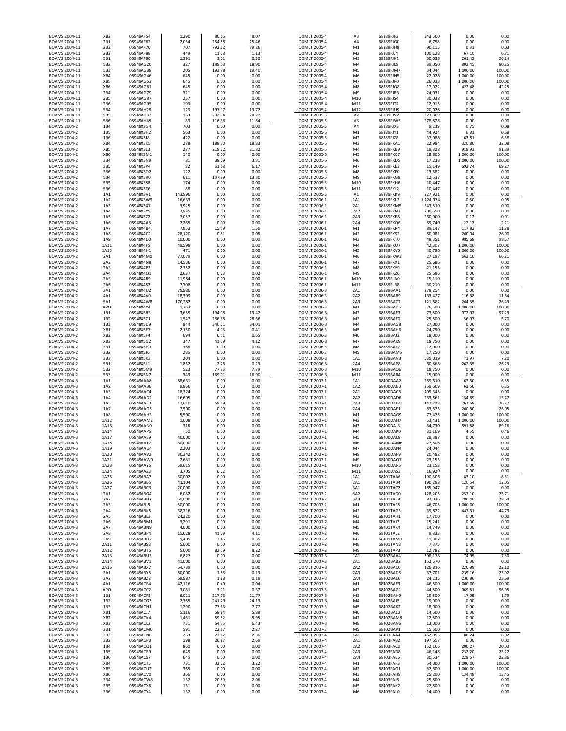| BOAMS 2004-11                       | XB <sub>3</sub> | 05949AF54              | 1.290            | 80.66            | 8.07           | OOMLT 2005-4                 | A <sub>3</sub>                   | 68389FJF2              | 343,500           | 0.00                 | 0.00             |
|-------------------------------------|-----------------|------------------------|------------------|------------------|----------------|------------------------------|----------------------------------|------------------------|-------------------|----------------------|------------------|
| BOAMS 2004-11                       | 2B1             | 05949AF62              | 2,054            | 254.58           | 25.46          | OOMLT 2005-4                 | A4                               | 68389FJG0              | 6,758             | 0.00                 | 0.00             |
| BOAMS 2004-11                       | 2B <sub>2</sub> | 05949AF70              | 707              | 792.62           | 79.26          | OOMLT 2005-4                 | M1                               | 68389FJH8              | 90,115            | 0.31                 | 0.03             |
| BOAMS 2004-11                       | 2B3             | 05949AF88              | 449              | 11.28            | 1.13           | OOMLT 2005-4                 | M <sub>2</sub>                   | 68389FJJ4              | 100,128           | 67.10                | 6.71             |
| BOAMS 2004-11                       | 5B1             | 05949AF96              | 1,391            | 3.01             | 0.30           | OOMLT 2005-4                 | M3                               | 68389FJK1              | 30,038            | 261.42               | 26.14            |
| BOAMS 2004-11                       | 5B2             | 05949AG20              | 327              | 189.03           | 18.90          | OOMLT 2005-4                 | M4                               | 68389FJL9              | 39,050            | 802.45               | 80.25            |
| BOAMS 2004-11                       | 5B3             | 05949AG38              | 205              | 193.98           | 19.40          | OOMLT 2005-4                 | M <sub>5</sub>                   | 68389FJM7              | 34,044            | 1,000.00             | 100.00           |
| BOAMS 2004-11<br>BOAMS 2004-11      | XB4<br>XB5      | 05949AG46<br>05949AG53 | 645<br>645       | 0.00<br>0.00     | 0.00<br>0.00   | OOMLT 2005-4<br>OOMLT 2005-4 | M <sub>6</sub><br>M7             | 68389FJN5<br>68389FJP0 | 22,028            | 1,000.00             | 100.00<br>100.00 |
| BOAMS 2004-11                       | XB6             | 05949AG61              | 645              | 0.00             | 0.00           | OOMLT 2005-4                 | M8                               | 68389FJQ8              | 26,033<br>17,022  | 1,000.00<br>422.48   | 42.25            |
| BOAMS 2004-11                       | 2B4             | 05949AG79              | 321              | 0.00             | 0.00           | OOMLT 2005-4                 | M <sub>9</sub>                   | 68389FJR6              | 24,031            | 0.00                 | 0.00             |
| BOAMS 2004-11                       | 2B5             | 05949AG87              | 257              | 0.00             | 0.00           | OOMLT 2005-4                 | M10                              | 68389FJS4              | 30,038            | 0.00                 | 0.00             |
| BOAMS 2004-11                       | 2B6             | 05949AG95              | 193              | 0.00             | 0.00           | OOMLT 2005-4                 | M11                              | 68389FJT2              | 12,015            | 0.00                 | 0.00             |
| BOAMS 2004-11                       | 5B4             | 05949AH29              | 123              | 197.17           | 19.72          | OOMLT 2005-4                 | M12                              | 68389FJU9              | 20,026            | 0.00                 | 0.00             |
| BOAMS 2004-11                       | 5B5             | 05949AH37              | 163              | 202.74           | 20.27          | OOMLT 2005-5                 | A <sub>2</sub>                   | 68389FJV7              | 273,309           | 0.00                 | 0.00             |
| BOAMS 2004-11                       | 5B6             | 05949AH45              | 83               | 116.36           | 11.64          | OOMLT 2005-5                 | A3                               | 68389FJW5              | 278,828           | 0.00                 | 0.00             |
| BOAMS 2004-2                        | 1B4             | 05948X3G4              | 703              | 0.00             | 0.00           | OOMLT 2005-5                 | A4                               | 68389FJX3              | 9,239             | 0.75                 | 0.08             |
| BOAMS 2004-2                        | 1B5             | 05948X3H2              | 563              | 0.00             | 0.00           | OOMLT 2005-5                 | M1                               | 68389FJY1              | 44,924            | 6.81                 | 0.68             |
| BOAMS 2004-2                        | 1B6             | 05948X3J8              | 422              | 0.00             | 0.00           | OOMLT 2005-5                 | M <sub>2</sub>                   | 68389FJZ8              | 37,088            | 63.81                | 6.38             |
| <b>BOAMS 2004-2</b>                 | XB4             | 05948X3K5              | 278              | 188.30           | 18.83          | OOMLT 2005-5                 | M3                               | 68389FKA1              | 22,984            | 320.80               | 32.08            |
| BOAMS 2004-2                        | XB5             | 05948X3L3              | 277              | 218.22           | 21.82          | OOMLT 2005-5                 | M4                               | 68389FKB9              | 19,328            | 918.93               | 91.89            |
| BOAMS 2004-2                        | XB6             | 05948X3M1              | 140              | 0.00             | 0.00           | OOMLT 2005-5                 | M <sub>5</sub>                   | 68389FKC7              | 18,805            | 1,000.00             | 100.00           |
| BOAMS 2004-2                        | 3B4             | 05948X3N9              | 81               | 38.09            | 3.81           | OOMLT 2005-5                 | M <sub>6</sub>                   | 68389FKD5              | 17,238            | 1,000.00             | 100.00           |
| BOAMS 2004-2                        | 3B5<br>3B6      | 05948X3P4              | 82               | 61.68            | 6.17<br>0.00   | OOMLT 2005-5                 | M7                               | 68389FKE3              | 15,149            | 692.74               | 69.27            |
| <b>BOAMS 2004-2</b><br>BOAMS 2004-2 | 5B4             | 05948X3Q2<br>05948X3R0 | 122<br>611       | 0.00<br>137.99   | 13.80          | OOMLT 2005-5<br>OOMLT 2005-5 | M8<br>M <sub>9</sub>             | 68389FKF0<br>68389FKG8 | 13,582<br>12,537  | 0.00<br>0.00         | 0.00<br>0.00     |
| BOAMS 2004-2                        | 5B5             | 05948X3S8              | 174              | 0.00             | 0.00           | OOMLT 2005-5                 | M10                              | 68389FKH6              | 10,447            | 0.00                 | 0.00             |
| BOAMS 2004-2                        | 5B6             | 05948X3T6              | 88               | 0.00             | 0.00           | OOMLT 2005-5                 | M11                              | 68389FKJ2              | 10,447            | 0.00                 | 0.00             |
| BOAMS 2004-2                        | 1A1             | 05948X3V1              | 143,996          | 0.00             | 0.00           | OOMLT 2005-5                 | A1                               | 68389FKK9              | 227,921           | 0.00                 | 0.00             |
| BOAMS 2004-2                        | 1A2             | 05948X3W9              | 16,633           | 0.00             | 0.00           | OOMLT 2006-1                 | 1A1                              | 68389FKL7              | 1,424,974         | 0.50                 | 0.05             |
| <b>BOAMS 2004-2</b>                 | 1A3             | 05948X3X7              | 3,925            | 0.00             | 0.00           | OOMLT 2006-1                 | 2A1                              | 68389FKM5              | 543,510           | 0.00                 | 0.00             |
| BOAMS 2004-2                        | 1A4             | 05948X3Y5              | 2,935            | 0.00             | 0.00           | OOMLT 2006-1                 | 2A2                              | 68389FKN3              | 200,550           | 0.00                 | 0.00             |
| BOAMS 2004-2                        | 1A5             | 05948X3Z2              | 7,057            | 0.00             | 0.00           | OOMLT 2006-1                 | 2A3                              | 68389FKP8              | 260,000           | 0.12                 | 0.01             |
| BOAMS 2004-2                        | 1A6             | 05948X4A6              | 2,265            | 0.00             | 0.00           | OOMLT 2006-1                 | 2A4                              | 68389FKQ6              | 89,740            | 22.12                | 2.21             |
| BOAMS 2004-2                        | 1A7             | 05948X4B4              | 7,853            | 15.59            | 1.56           | OOMLT 2006-1                 | M1                               | 68389FKR4              | 89,147            | 117.82               | 11.78            |
| BOAMS 2004-2                        | 1A8             | 05948X4C2              | 28,120           | 0.81             | 0.08           | OOMLT 2006-1                 | M <sub>2</sub>                   | 68389FKS2              | 80,081            | 260.04               | 26.00            |
| BOAMS 2004-2                        | 1A9             | 05948X4D0              | 10,000           | 0.00             | 0.00           | OOMLT 2006-1                 | M <sup>3</sup><br>M4             | 68389FKT0              | 48,351            | 985.68               | 98.57            |
| BOAMS 2004-2<br>BOAMS 2004-2        | 1A11<br>1A13    | 05948X4F5<br>05948X4H1 | 49,598<br>471    | 0.00<br>0.00     | 0.00<br>0.00   | OOMLT 2006-1<br>OOMLT 2006-1 | M <sub>5</sub>                   | 68389FKU7<br>68389FKV5 | 42,307<br>40,796  | 1,000.00<br>1,000.00 | 100.00<br>100.00 |
| BOAMS 2004-2                        | 2A1             | 05948X4M0              | 77,079           | 0.00             | 0.00           | OOMLT 2006-1                 | M6                               | 68389FKW3              | 27,197            | 662.10               | 66.21            |
| BOAMS 2004-2                        | 2A2             | 05948X4N8              | 14,536           | 0.00             | 0.00           | OOMLT 2006-1                 | M <sub>7</sub>                   | 68389FKX1              | 25,686            | 0.00                 | 0.00             |
| BOAMS 2004-2                        | 2A3             | 05948X4P3              | 2,352            | 0.00             | 0.00           | OOMLT 2006-1                 | M8                               | 68389FKY9              | 21,153            | 0.00                 | 0.00             |
| <b>BOAMS 2004-2</b>                 | 2A4             | 05948X4Q1              | 2,637            | 0.23             | 0.02           | OOMLT 2006-1                 | M <sub>9</sub>                   | 68389FKZ6              | 25,686            | 0.00                 | 0.00             |
| BOAMS 2004-2                        | 2A5             | 05948X4R9              | 11,984           | 0.00             | 0.00           | OOMLT 2006-1                 | M10                              | 68389FLA0              | 15,110            | 0.00                 | 0.00             |
| BOAMS 2004-2                        | 2A6             | 05948X4S7              | 7,708            | 0.00             | 0.00           | OOMLT 2006-1                 | M11                              | 68389FLB8              | 30,219            | 0.00                 | 0.00             |
| BOAMS 2004-2                        | 3A1             | 05948X4U2              | 79,986           | 0.00             | 0.00           | OOMLT 2006-3                 | 2A1                              | 68389BAA1              | 278,254           | 0.00                 | 0.00             |
| BOAMS 2004-2                        | 4A1             | 05948X4V0              | 18,309           | 0.00             | 0.00           | OOMLT 2006-3                 | 2A2                              | 68389BAB9              | 163,427           | 116.38               | 11.64            |
| BOAMS 2004-2                        | 5A1             | 05948X4W8              | 170,282          | 0.00             | 0.00           | OOMLT 2006-3                 | 2A3                              | 68389BAC7              | 121,682           | 264.35               | 26.43            |
| BOAMS 2004-2                        | APO             | 05948X4Y4              | 1,763            | 0.00             | 0.00           | OOMLT 2006-3                 | M1                               | 68389BAD5              | 76,500            | 1,000.00             | 100.00           |
| BOAMS 2004-2                        | 1B1             | 05948X5B3              | 3.655            | 194.18           | 19.42          | OOMLT 2006-3                 | M <sub>2</sub>                   | 68389BAE3              | 73,500            | 972.92               | 97.29            |
| <b>BOAMS 2004-2</b>                 | 1B2<br>1B3      | 05948X5C1              | 1,547<br>844     | 286.65<br>340.11 | 28.66<br>34.01 | OOMLT 2006-3                 | M3<br>M <sub>4</sub>             | 68389BAF0              | 25,500<br>27,000  | 56.97<br>0.00        | 5.70<br>0.00     |
| BOAMS 2004-2<br>BOAMS 2004-2        | XB1             | 05948X5D9<br>05948X5E7 | 2,150            | 4.13             | 0.41           | OOMLT 2006-3<br>OOMLT 2006-3 | M5                               | 68389BAG8<br>68389BAH6 | 24,750            | 0.00                 | 0.00             |
| BOAMS 2004-2                        | XB <sub>2</sub> | 05948X5F4              | 694              | 6.51             | 0.65           | OOMLT 2006-3                 | M6                               | 68389BAJ2              | 18,000            | 0.00                 | 0.00             |
| BOAMS 2004-2                        | XB3             | 05948X5G2              | 347              | 41.19            | 4.12           | OOMLT 2006-3                 | M7                               | 68389BAK9              | 18,750            | 0.00                 | 0.00             |
| BOAMS 2004-2                        | 3B1             | 05948X5H0              | 366              | 0.00             | 0.00           | OOMLT 2006-3                 | M8                               | 68389BAL7              | 12,000            | 0.00                 | 0.00             |
|                                     |                 |                        |                  |                  |                |                              | M <sub>9</sub>                   |                        |                   | 0.00                 | 0.00             |
| BOAMS 2004-2                        | 3B2             | 05948X5J6              |                  | 0.00             |                | OOMLT 2006-3                 |                                  | 68389BAM5              |                   |                      |                  |
| BOAMS 2004-2                        | 3B3             | 05948X5K3              | 285<br>204       | 0.00             | 0.00<br>0.00   | OOMLT 2006-3                 | 1A1                              | 68389BAN3              | 17,250<br>539,019 | 71.97                | 7.20             |
| BOAMS 2004-2                        | 5B1             | 05948X5L1              | 1,832            | 2.26             | 0.23           | OOMLT 2006-3                 | 2A4                              | 68389BAP8              |                   | 262.35               | 26.23            |
| BOAMS 2004-2                        | 5B2             | 05948X5M9              | 523              | 77.93            | 7.79           | OOMLT 2006-3                 | M10                              | 68389BAQ6              | 60,868<br>18,750  | 0.00                 | 0.00             |
| <b>BOAMS 2004-2</b>                 | 5B3             | 05948X5N7              | 349              | 169.01           | 16.90          | OOMLT 2006-3                 | M11                              | 68389BAR4              | 15,000            | 0.00                 | 0.00             |
| <b>BOAMS 2004-3</b>                 | 1A1             | 05949AAA8              | 68,631           | 0.00             | 0.00           | OOMLT 2007-1                 | 1A1                              | 68400DAA2              | 259,610           | 63.50                | 6.35             |
| BOAMS 2004-3                        | 1A2             | 05949AAB6              | 9,866            | 0.00             | 0.00           | OOMLT 2007-1                 | 1A2                              | 68400DAB0              | 259,609           | 63.50                | 6.35             |
| BOAMS 2004-3                        | 1A3             | 05949AAC4              | 18,324           | 0.00             | 0.00           | OOMLT 2007-1                 | 2A1                              | 68400DAC8              | 409,345           | 0.00                 | 0.00             |
| BOAMS 2004-3                        | 1A4             | 05949AAD2              | 16,695           | 0.00             | 0.00           | OOMLT 2007-1                 | 2A2                              | 68400DAD6              | 263,861           | 154.69               | 15.47            |
| BOAMS 2004-3                        | 1A5             | 05949AAE0              | 12,610           | 69.69            | 6.97           | OOMLT 2007-1                 | 2A3                              | 68400DAE4              | 142,218           | 262.68               | 26.27            |
| BOAMS 2004-3                        | 1A7             | 05949AAG5              | 7,500            | 0.00             | 0.00           | OOMLT 2007-1                 | 2A4                              | 68400DAF1              | 53,673            | 260.50               | 26.05            |
| BOAMS 2004-3                        | 1A8             | 05949AAH3              | 5,500            | 0.00             | 0.00           | OOMLT 2007-1                 | M1                               | 68400DAG9              | 77,475            | 1,000.00             | 100.00           |
| BOAMS 2004-3                        | 1A12            | 05949AAM2              | 1,008            | 0.00             | 0.00           | OOMLT 2007-1                 | M <sub>2</sub>                   | 68400DAH7              | 53,431            | 1,000.00             | 100.00           |
| BOAMS 2004-3                        | 1A13            | 05949AAN0              | 316              | 0.00             | 0.00           | OOMLT 2007-1                 | M <sub>3</sub>                   | 68400DAJ3              | 34,730            | 891.58               | 89.16            |
| BOAMS 2004-3                        | 1A14            | 05949AAP5              | 50               | 0.00             | 0.00           | OOMLT 2007-1                 | M4                               | 68400DAK0              | 31,169            | 4.55                 | 0.46             |
| BOAMS 2004-3                        | 1A17<br>1A18    | 05949AAS9<br>05949AAT7 | 40,000           | 0.00<br>0.00     | 0.00<br>0.00   | OOMLT 2007-1                 | M <sub>5</sub><br>M <sub>6</sub> | 68400DAL8<br>68400DAM6 | 29,387            | 0.00<br>0.00         | 0.00<br>0.00     |
| BOAMS 2004-3<br>BOAMS 2004-3        | 1A19            | 05949AAU4              | 30,000<br>2.203  | 0.00             | 0.00           | OOMLT 2007-1<br>OOMLT 2007-1 | M <sub>7</sub>                   | 68400DAN4              | 27,606<br>24.044  | 0.00                 | 0.00             |
| BOAMS 2004-3                        | 1A20            | 05949AAV2              | 30,342           | 0.00             | 0.00           | OOMLT 2007-1                 | M <sub>8</sub>                   | 68400DAP9              | 20,482            | 0.00                 | 0.00             |
| BOAMS 2004-3                        | 1A21            | 05949AAW0              | 2,681            | 0.00             | 0.00           | OOMLT 2007-1                 | M <sub>9</sub>                   | 68400DAQ7              | 23,153            | 0.00                 | 0.00             |
| BOAMS 2004-3                        | 1A23            | 05949AAY6              | 59,615           | 0.00             | 0.00           | OOMLT 2007-1                 | M10                              | 68400DAR5              | 23,153            | 0.00                 | 0.00             |
| BOAMS 2004-3                        | 1A24            | 05949AAZ3              | 3,705            | 6.72             | 0.67           | OOMLT 2007-1                 | M11                              | 68400DAS3              | 16,920            | 0.00                 | 0.00             |
| BOAMS 2004-3                        | 1A25            | 05949ABA7              | 30,002           | 0.00             | 0.00           | OOMLT 2007-2                 | 1A1                              | 68401TAA6              | 190,306           | 83.10                | 8.31             |
| BOAMS 2004-3                        | 1A26            | 05949ABB5              | 41,104           | 0.00             | 0.00           | OOMLT 2007-2                 | 2A1                              | 68401TAB4              | 190,288           | 120.54               | 12.05            |
| BOAMS 2004-3                        | 1A27            | 05949ABC3              | 20,000           | 0.00             | 0.00           | OOMLT 2007-2                 | 3A1                              | 68401TAC2              | 185,947           | 0.00                 | 0.00             |
| BOAMS 2004-3<br>BOAMS 2004-3        | 2A1<br>2A2      | 05949ABG4<br>05949ABH2 | 6,082<br>50,000  | 0.00<br>0.00     | 0.00<br>0.00   | OOMLT 2007-2<br>OOMLT 2007-2 | 3A2<br>3A3                       | 68401TAD0<br>68401TAE8 | 128,205<br>82,036 | 257.10<br>286.40     | 25.71<br>28.64   |
| BOAMS 2004-3                        | 2A3             | 05949ABJ8              | 50,000           | 0.00             | 0.00           | OOMLT 2007-2                 | M1                               | 68401TAF5              | 46,705            | 1.000.00             | 100.00           |
| BOAMS 2004-3                        | 2A4             | 05949ABK5              | 38,216           | 0.00             | 0.00           | OOMLT 2007-2                 | M <sub>2</sub>                   | 68401TAG3              | 39,822            | 447.31               | 44.73            |
| BOAMS 2004-3                        | 2A5             | 05949ABL3              | 24,320           | 0.00             | 0.00           | OOMLT 2007-2                 | M3                               | 68401TAH1              | 17,700            | 0.00                 | 0.00             |
| BOAMS 2004-3                        | 2A6             | 05949ABM1              | 3,291            | 0.00             | 0.00           | OOMLT 2007-2                 | M4                               | 68401TAJ7              | 15,241            | 0.00                 | 0.00             |
| BOAMS 2004-3                        | 2A7             | 05949ABN9              | 4,000            | 0.00             | 0.00           | OOMLT 2007-2                 | M <sub>5</sub>                   | 68401TAK4              | 14,749            | 0.00                 | 0.00             |
| BOAMS 2004-3                        | 2A8             | 05949ABP4              | 15,628           | 41.09            | 4.11           | OOMLT 2007-2                 | M <sub>6</sub>                   | 68401TAL2              | 9,833             | 0.00                 | 0.00             |
| BOAMS 2004-3                        | 2A9             | 05949ABQ2              | 9,405            | 3.46             | 0.35           | OOMLT 2007-2                 | M7                               | 68401TAM0              | 11,307            | 0.00                 | 0.00             |
| BOAMS 2004-3                        | 2A11            | 05949ABS8              | 5,000            | 0.00             | 0.00           | OOMLT 2007-2                 | M8                               | 68401TAN8              | 7,375             | 0.00                 | 0.00             |
| BOAMS 2004-3                        | 2A12            | 05949ABT6              | 5,000            | 82.19            | 8.22           | OOMLT 2007-2                 | M9                               | 68401TAP3              | 12,782            | 0.00                 | 0.00             |
| BOAMS 2004-3                        | 2A13            | 05949ABU3              | 6,827            | 0.00             | 0.00           | OOMLT 2007-3                 | 1A1                              | 68402BAA4              | 398,178           | 74.95                | 7.50             |
| BOAMS 2004-3                        | 2A14            | 05949ABV1              | 41,000           | 0.00             | 0.00           | OOMLT 2007-3                 | 2A1                              | 68402BAB2              | 152,570           | 0.00                 | 0.00             |
| BOAMS 2004-3<br>BOAMS 2004-3        | 2A16<br>3A1     | 05949ABX7<br>05949ABY5 | 54,739<br>60,000 | 0.00<br>1.88     | 0.00<br>0.19   | OOMLT 2007-3<br>OOMLT 2007-3 | 2A2<br>2A3                       | 68402BAC0<br>68402BAD8 | 126,816<br>37,701 | 220.99<br>239.16     | 22.10<br>23.92   |
| BOAMS 2004-3                        | 3A2             | 05949ABZ2              | 69,987           | 1.88             | 0.19           | OOMLT 2007-3                 | 2A4                              | 68402BAE6              | 24,235            | 236.86               | 23.69            |
| BOAMS 2004-3                        | 4A1             | 05949ACB4              | 42,116           | 0.40             | 0.04           | OOMLT 2007-3                 | M1                               | 68402BAF3              | 46,500            | 1,000.00             | 100.00           |
| BOAMS 2004-3                        | APO             | 05949ACC2              | 3,081            | 3.71             | 0.37           | OOMLT 2007-3                 | M <sub>2</sub>                   | 68402BAG1              | 44,500            | 969.51               | 96.95            |
| BOAMS 2004-3                        | 1B1             | 05949ACF5              | 6,021            | 217.73           | 21.77          | OOMLT 2007-3                 | M3                               | 68402BAH9              | 19,500            | 17.95                | 1.79             |
| BOAMS 2004-3                        | 1B2             | 05949ACG3              | 2,365            | 241.29           | 24.13          | OOMLT 2007-3                 | M <sub>4</sub>                   | 68402BAJ5              | 19,000            | 0.00                 | 0.00             |
| BOAMS 2004-3                        | 1B3             | 05949ACH1              | 1,290            | 77.66            | 7.77           | OOMLT 2007-3                 | M5                               | 68402BAK2              | 18,000            | 0.00                 | 0.00             |
| BOAMS 2004-3                        | XB1             | 05949ACJ7              | 5,116            | 58.84            | 5.88           | OOMLT 2007-3                 | M6                               | 68402BAL0              | 14,500            | 0.00                 | 0.00             |
| BOAMS 2004-3                        | XB <sub>2</sub> | 05949ACK4              | 1,461            | 59.52            | 5.95           | OOMLT 2007-3                 | M7                               | 68402BAM8              | 12,500            | 0.00                 | 0.00             |
| BOAMS 2004-3                        | XB3             | 05949ACL2              | 731              | 64.35            | 6.43           | OOMLT 2007-3                 | M8                               | 68402BAN6              | 13,000            | 0.00                 | 0.00             |
| BOAMS 2004-3                        | 3B1             | 05949ACM0              | 591              | 22.67            | 2.27           | OOMLT 2007-3                 | M <sub>9</sub>                   | 68402BAP1              | 15,500            | 0.00                 | 0.00             |
| BOAMS 2004-3                        | 3B2             | 05949ACN8              | 263              | 23.62            | 2.36           | OOMLT 2007-4                 | 1A1                              | 68403FAA4              | 462,095           | 80.24                | 8.02             |
| BOAMS 2004-3                        | 3B3             | 05949ACP3              | 198              | 26.87            | 2.69           | OOMLT 2007-4                 | 2A1                              | 68403FAB2              | 197,657           | 0.00                 | 0.00             |
| BOAMS 2004-3                        | 1B4             | 05949ACQ1              | 860              | 0.00             | 0.00           | OOMLT 2007-4                 | 2A2                              | 68403FAC0              | 152,166           | 200.27               | 20.03            |
| BOAMS 2004-3                        | 1B5             | 05949ACR9              | 645              | 0.00             | 0.00           | OOMLT 2007-4                 | 2A3                              | 68403FAD8              | 46,148            | 232.20               | 23.22            |
| BOAMS 2004-3                        | 1B6             | 05949ACS7              | 645              | 0.00             | 0.00           | OOMLT 2007-4<br>OOMLT 2007-4 | 2A4                              | 68403FAE6              | 30,534            | 228.57               | 22.86            |
| BOAMS 2004-3<br>BOAMS 2004-3        | XB4<br>XB5      | 05949ACT5<br>05949ACU2 | 731<br>365       | 32.22<br>0.00    | 3.22<br>0.00   | OOMLT 2007-4                 | M1<br>M <sub>2</sub>             | 68403FAF3<br>68403FAG1 | 54,000            | 1,000.00<br>1,000.00 | 100.00<br>100.00 |
| BOAMS 2004-3                        | XB6             | 05949ACV0              | 366              | 0.00             | 0.00           | OOMLT 2007-4                 | M3                               | 68403FAH9              | 52,800<br>25,200  | 134.48               | 13.45            |
| BOAMS 2004-3                        | 3B4             | 05949ACW8              | 132              | 20.59            | 2.06           | OOMLT 2007-4                 | M4                               | 68403FAJ5              | 25,800            | 0.00                 | 0.00             |
| BOAMS 2004-3                        | 3B5<br>3B6      | 05949ACX6              | 131<br>132       | 0.00<br>0.00     | 0.00           | OOMLT 2007-4                 | M5                               | 68403FAK2              | 22,800<br>14,400  | 0.00                 | 0.00             |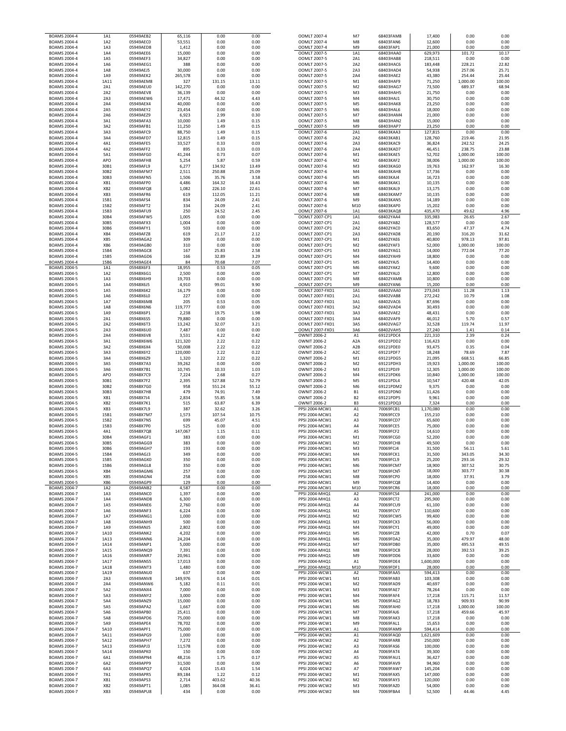| BOAMS 2004-4                               | 1A1                    | 05949AEB2              | 65,116            | 0.00             | 0.00           | OOMLT 2007-4                        | M7                   | 68403FAM8              | 17,400               | 0.00                 | 0.00             |
|--------------------------------------------|------------------------|------------------------|-------------------|------------------|----------------|-------------------------------------|----------------------|------------------------|----------------------|----------------------|------------------|
| BOAMS 2004-4                               | 1A2                    | 05949AEC0              | 53,551            | 0.00             | 0.00           | OOMLT 2007-4                        | M8                   | 68403FAN6              | 12,600               | 0.00                 | 0.00             |
| <b>BOAMS 2004-4</b>                        | 1A3                    | 05949AED8              | 1,412             | 0.00             | 0.00           | OOMLT 2007-4                        | M9                   | 68403FAP1              | 21,000               | 0.00                 | 0.00             |
| <b>BOAMS 2004-4</b>                        | 1A4                    | 05949AEE6              | 15,000            | 0.00             | 0.00           | OOMLT 2007-5                        | 1A1                  | 68403HAA0              | 629,973              | 101.72               | 10.17            |
| BOAMS 2004-4                               | 1A5                    | 05949AEF3              | 34,827            | 0.00             | 0.00           | OOMLT 2007-5                        | 2A1                  | 68403HAB8              | 218,511              | 0.00                 | 0.00             |
| <b>BOAMS 2004-4</b>                        | 1A6                    | 05949AEG1              | 388               | 0.00             | 0.00           | OOMLT 2007-5                        | 2A2                  | 68403HAC6              | 183,448              | 228.21               | 22.82            |
| <b>BOAMS 2004-4</b><br><b>BOAMS 2004-4</b> | 1A8<br>1A9             | 05949AEJ5<br>05949AEK2 | 30,000<br>265,578 | 0.00<br>0.00     | 0.00<br>0.00   | OOMLT 2007-5<br>OOMLT 2007-5        | 2A3<br>2A4           | 68403HAD4<br>68403HAE2 | 54,938<br>43,380     | 257.06<br>254.44     | 25.71<br>25.44   |
| <b>BOAMS 2004-4</b>                        | 1A11                   | 05949AEM8              | 327               | 131.15           | 13.11          | OOMLT 2007-5                        | M1                   | 68403HAF9              | 71,250               | 1,000.00             | 100.00           |
| <b>BOAMS 2004-4</b>                        | 2A1                    | 05949AEU0              | 142,270           | 0.00             | 0.00           | OOMLT 2007-5                        | M <sub>2</sub>       | 68403HAG7              | 73,500               | 689.37               | 68.94            |
| <b>BOAMS 2004-4</b>                        | 2A2                    | 05949AEV8              | 36,139            | 0.00             | 0.00           | OOMLT 2007-5                        | M3                   | 68403HAH5              | 21,750               | 0.00                 | 0.00             |
| BOAMS 2004-4                               | 2A3                    | 05949AEW6              | 17,471            | 44.32            | 4.43           | OOMLT 2007-5                        | M4                   | 68403HAJ1              | 30,750               | 0.00                 | 0.00             |
| BOAMS 2004-4                               | 2A4                    | 05949AEX4              | 40,000            | 0.00             | 0.00           | OOMLT 2007-5                        | M <sub>5</sub>       | 68403HAK8              | 23,250               | 0.00                 | 0.00             |
| BOAMS 2004-4                               | 2A5                    | 05949AEY2              | 23,454            | 0.00             | 0.00           | OOMLT 2007-5                        | M <sub>6</sub>       | 68403HAL6              | 18,000               | 0.00                 | 0.00             |
| BOAMS 2004-4                               | 2A6                    | 05949AEZ9              | 6,923             | 2.99             | 0.30           | OOMLT 2007-5                        | M7                   | 68403HAM4              | 21,000               | 0.00                 | 0.00             |
| BOAMS 2004-4                               | 3A1                    | 05949AFA3              | 10,000            | 1.49             | 0.15           | OOMLT 2007-5                        | M8                   | 68403HAN2              | 15,000               | 0.00                 | 0.00             |
| BOAMS 2004-4                               | 3A2                    | 05949AFB1              | 11,250            | 1.49             | 0.15           | OOMLT 2007-5                        | M <sub>9</sub>       | 68403HAP7              | 23,250               | 0.00                 | 0.00             |
| BOAMS 2004-4                               | 3A3                    | 05949AFC9              | 88,750            | 1.49             | 0.15           | OOMLT 2007-6                        | 2A1                  | 68403KAA3              | 127,815              | 0.00                 | 0.00             |
| BOAMS 2004-4                               | 3A4                    | 05949AFD7              | 12,815            | 1.49             | 0.15           | OOMLT 2007-6                        | 2A2                  | 68403KAB1              | 128,760              | 219.46               | 21.95            |
| BOAMS 2004-4                               | 4A1                    | 05949AFE5              | 33,527            | 0.33             | 0.03           | OOMLT 2007-6                        | 2A3                  | 68403KAC9              | 36,824               | 242.52               | 24.25            |
| <b>BOAMS 2004-4</b>                        | 4A2                    | 05949AFF2              | 895               | 0.33             | 0.03           | OOMLT 2007-6                        | 2A4                  | 68403KAD7              | 46,451               | 238.75               | 23.88            |
| <b>BOAMS 2004-4</b>                        | 5A1                    | 05949AFG0              | 41,244            | 0.73             | 0.07           | OOMLT 2007-6                        | M1                   | 68403KAE5              | 52,702               | 1,000.00             | 100.00           |
| BOAMS 2004-4                               | APO                    | 05949AFH8              | 5,254             | 5.87             | 0.59           | OOMLT 2007-6                        | M <sub>2</sub>       | 68403KAF2              | 38,006               | 1,000.00             | 100.00           |
| BOAMS 2004-4                               | 30B1                   | 05949AFL9              | 6,277             | 134.92           | 13.49          | OOMLT 2007-6                        | M3                   | 68403KAG0              | 19,763               | 162.97               | 16.30            |
| BOAMS 2004-4                               | 30B2                   | 05949AFM7              | 2,511             | 250.88           | 25.09          | OOMLT 2007-6                        | M4                   | 68403KAH8              | 17,736               | 0.00                 | 0.00             |
| BOAMS 2004-4                               | 30B3                   | 05949AFN5              | 1,506             | 35.76            | 3.58           | OOMLT 2007-6                        | M <sub>5</sub>       | 68403KAJ4              | 16,723               | 0.00                 | 0.00             |
| BOAMS 2004-4                               | XB1<br>XB <sub>2</sub> | 05949AFP0<br>05949AFQ8 | 4,486<br>1,082    | 164.32<br>226.10 | 16.43<br>22.61 | OOMLT 2007-6                        | M <sub>6</sub><br>M7 | 68403KAK1<br>68403KAL9 | 10,135<br>13,175     | 0.00<br>0.00         | 0.00<br>0.00     |
| BOAMS 2004-4<br>BOAMS 2004-4               | XB3                    | 05949AFR6              | 619               | 112.05           | 11.21          | OOMLT 2007-6<br>OOMLT 2007-6        | M8                   | 68403KAM7              | 10,135               | 0.00                 | 0.00             |
| BOAMS 2004-4                               | 15B1                   | 05949AFS4              | 834               | 24.09            | 2.41           | OOMLT 2007-6                        | M <sub>9</sub>       | 68403KAN5              | 14,189               | 0.00                 | 0.00             |
| <b>BOAMS 2004-4</b>                        | 15B2                   | 05949AFT2              | 334               | 24.09            | 2.41           | OOMLT 2007-6                        | M10                  | 68403KAP0              | 15,202               | 0.00                 | 0.00             |
| <b>BOAMS 2004-4</b>                        | 15B3                   | 05949AFU9              | 250               | 24.52            | 2.45           | OOMLT 2007-6                        | 1A1                  | 68403KAQ8              | 435,470              | 49.62                | 4.96             |
| <b>BOAMS 2004-4</b>                        | 30B4                   | 05949AFW5              | 1,005             | 0.00             | 0.00           | OOMLT 2007-CP1                      | 1A1                  | 68402YAA4              | 335,983              | 26.65                | 2.67             |
| <b>BOAMS 2004-4</b>                        | 30B5                   | 05949AFX3              | 1,004             | 0.00             | 0.00           | OOMLT 2007-CP1                      | 2A1                  | 68402YAB2              | 128,577              | 0.00                 | 0.00             |
| <b>BOAMS 2004-4</b>                        | 30B6                   | 05949AFY1              | 503               | 0.00             | 0.00           | OOMLT 2007-CP1                      | 2A2                  | 68402YAC0              | 83,650               | 47.37                | 4.74             |
| <b>BOAMS 2004-4</b>                        | XB4                    | 05949AFZ8              | 619               | 21.17            | 2.12           | OOMLT 2007-CP1                      | 2A3                  | 68402YAD8              | 20,190               | 316.20               | 31.62            |
| <b>BOAMS 2004-4</b>                        | XB5                    | 05949AGA2              | 309               | 0.00             | 0.00           | OOMLT 2007-CP1                      | M1                   | 68402YAE6              | 40,800               | 978.13               | 97.81            |
| <b>BOAMS 2004-4</b>                        | XB6                    | 05949AGB0              | 310               | 0.00             | 0.00           | OOMLT 2007-CP1                      | M <sub>2</sub>       | 68402YAF3              | 52,000               | 1,000.00             | 100.00           |
| <b>BOAMS 2004-4</b>                        | 15B4                   | 05949AGC8              | 167               | 25.83            | 2.58           | OOMLT 2007-CP1                      | M <sub>3</sub>       | 68402YAG1              | 14,000               | 772.04               | 77.20            |
| <b>BOAMS 2004-4</b>                        | 15B5                   | 05949AGD6              | 166               | 32.89            | 3.29           | OOMLT 2007-CP1                      | M <sub>4</sub>       | 68402YAH9              | 18,800               | 0.00                 | 0.00             |
| <b>BOAMS 2004-4</b>                        | 15B6                   | 05949AGE4              | 84                | 70.68            | 7.07           | OOMLT 2007-CP1                      | M5                   | 68402YAJ5              | 14,400               | 0.00                 | 0.00             |
| BOAMS 2004-5                               | 1A1                    | 05948X6F3              | 18,955            | 0.53             | 0.05           | OOMLT 2007-CP1                      | M6                   | 68402YAK2              | 9,600                | 0.00                 | 0.00             |
| <b>BOAMS 2004-5</b><br><b>BOAMS 2004-5</b> | 1A2                    | 05948X6G1              | 2,500             | 0.00             | 0.00           | OOMLT 2007-CP1                      | M7                   | 68402YAL0              | 12,800               | 0.00                 | 0.00             |
| <b>BOAMS 2004-5</b>                        | 1A3<br>1A4             | 05948X6H9<br>05948X6J5 | 19,703<br>4,910   | 0.00<br>99.01    | 0.00<br>9.90   | OOMLT 2007-CP1<br>OOMLT 2007-CP1    | M8<br>M <sub>9</sub> | 68402YAM8<br>68402YAN6 | 10,800<br>15,200     | 0.00<br>0.00         | 0.00<br>0.00     |
| <b>BOAMS 2004-5</b>                        | 1A5                    | 05948X6K2              | 16,179            | 0.00             | 0.00           | OOMLT 2007-FXD1                     | 1A1                  | 68402VAA0              | 273,043              | 11.28                | 1.13             |
| <b>BOAMS 2004-5</b>                        | 1A6                    | 05948X6L0              | 227               | 0.00             | 0.00           | <b>OOMLT 2007-FXD1</b>              | 2A1                  | 68402VAB8              | 272,242              | 10.79                | 1.08             |
| <b>BOAMS 2004-5</b>                        | 1A7                    | 05948X6M8              | 205               | 0.53             | 0.05           | <b>OOMLT 2007-FXD1</b>              | 3A1                  | 68402VAC6              | 87,696               | 0.00                 | 0.00             |
| <b>BOAMS 2004-5</b>                        | 1A8                    | 05948X6N6              | 119,777           | 0.00             | 0.00           | OOMLT 2007-FXD1                     | 3A2                  | 68402VAD4              | 30,493               | 0.00                 | 0.00             |
| <b>BOAMS 2004-5</b>                        | 1A9                    | 05948X6P1              | 2,238             | 19.75            | 1.98           | OOMLT 2007-FXD1                     | 3A3                  | 68402VAE2              | 48,431               | 0.00                 | 0.00             |
| <b>BOAMS 2004-5</b>                        | 2A1                    | 05948X6S5              | 79,880            | 0.00             | 0.00           | OOMLT 2007-FXD1                     | 3A4                  | 68402VAF9              | 46,012               | 5.70                 | 0.57             |
| <b>BOAMS 2004-5</b>                        | 2A2                    | 05948X6T3              | 13,242            | 32.07            | 3.21           | OOMLT 2007-FXD1                     | 3A5                  | 68402VAG7              | 32,528               | 119.74               | 11.97            |
| BOAMS 2004-5                               | 2A3                    | 05948X6U0              | 7,487             | 0.00             | 0.00           | OOMLT 2007-FXD1                     | 3A6                  | 68402VAH5              | 27,240               | 1.41                 | 0.14             |
| BOAMS 2004-5                               | 2A4                    | 05948X6V8              | 3,531             | 4.22             | 0.42           | <b>OWNIT 2006-2</b>                 | A1                   | 69121PDC4              | 221,310              | 2.39                 | 0.24             |
| BOAMS 2004-5                               | 3A1                    | 05948X6W6              | 121,320           | 2.22             | 0.22           | OWNIT 2006-2                        | A <sub>2</sub> A     | 69121PDD2              | 116,423              | 0.00                 | 0.00             |
| <b>BOAMS 2004-5</b>                        | 3A2                    | 05948X6X4              | 50,008            | 2.22             | 0.22           | OWNIT 2006-2                        | A <sub>2</sub> B     | 69121PDE0              | 93,475               | 0.35                 | 0.04             |
| <b>BOAMS 2004-5</b>                        | 3A3                    | 05948X6Y2              | 120,000           | 2.22             | 0.22           | OWNIT 2006-2                        | A <sub>2</sub> C     | 69121PDF7              | 18,248               | 78.69                | 7.87             |
| <b>BOAMS 2004-5</b>                        | 3A4                    | 05948X6Z9              | 1,320             | 2.22             | 0.22           | OWNIT 2006-2                        | M1                   | 69121PDG5              | 21,095               | 668.51               | 66.85            |
| <b>BOAMS 2004-5</b>                        | 3A5                    | 05948X7A3              | 39,262            | 0.00             | 0.00           | <b>OWNIT 2006-2</b>                 | M <sub>2</sub>       | 69121PDH3              | 19,923               | 1,000.00             | 100.00           |
| <b>BOAMS 2004-5</b><br><b>BOAMS 2004-5</b> | 3A6<br>APO             | 05948X7B1<br>05948X7C9 | 10,745<br>7,224   | 10.33<br>2.68    | 1.03<br>0.27   | <b>OWNIT 2006-2</b><br>OWNIT 2006-2 | M3<br>M4             | 69121PDJ9<br>69121PDK6 | 12,305<br>10,840     | 1,000.00<br>1,000.00 | 100.00<br>100.00 |
| <b>BOAMS 2004-5</b>                        | 30B1                   | 05948X7F2              | 2,395             | 527.88           | 52.79          | <b>OWNIT 2006-2</b>                 | M <sub>5</sub>       | 69121PDL4              | 10,547               | 420.48               | 42.05            |
| <b>BOAMS 2004-5</b>                        | 30B2                   | 05948X7G0              | 958               | 551.24           | 55.12          | OWNIT 2006-2                        | M <sub>6</sub>       | 69121PDM2              | 9,375                | 0.00                 | 0.00             |
| BOAMS 2004-5                               | 30B3                   | 05948X7H8              | 479               | 74.91            | 7.49           | OWNIT 2006-2                        | <b>B1</b>            | 69121PDN0              | 11,426               | 0.00                 | 0.00             |
| <b>BOAMS 2004-5</b>                        | XB1                    | 05948X7J4              | 2,834             | 55.85            | 5.58           | OWNIT 2006-2                        | <b>B2</b>            | 69121PDP5              | 9,961                | 0.00                 | 0.00             |
| BOAMS 2004-5                               | XB <sub>2</sub>        | 05948X7K1              | 515               | 63.87            | 6.39           | <b>OWNIT 2006-2</b>                 | B3                   | 69121PDQ3              | 7,324                | 0.00                 | 0.00             |
| BOAMS 2004-5                               | XB3                    | 05948X7L9              | 387               | 32.62            | 3.26           | PPSI 2004-MCW1                      | A1                   | 70069FCB1              | 1,170,080            | 0.00                 | 0.00             |
| <b>BOAMS 2004-5</b>                        | 15B1                   | 05948X7M7              | 1,573             | 107.54           | 10.75          | PPSI 2004-MCW1                      | A <sub>2</sub>       | 70069FCC9              | 155,210              | 0.00                 | 0.00             |
| <b>BOAMS 2004-5</b>                        | 15B2                   | 05948X7N5              | 699               | 45.07            | 4.51           | PPSI 2004-MCW1                      | A3                   | 70069FCD7              | 65,600               | 0.00                 | 0.00             |
| <b>BOAMS 2004-5</b>                        | 15B3                   | 05948X7P0              | 525               | 0.00             | 0.00           | PPSI 2004-MCW1                      | A4                   | 70069FCE5              | 75,000               | 0.00                 | 0.00             |
| <b>BOAMS 2004-5</b>                        | 4A1                    | 05948X7Q8              | 147,067           | 1.15             | 0.11           | PPSI 2004-MCW1                      | A5                   | 70069FCF2              | 14,610               | 0.00                 | 0.00             |
| <b>BOAMS 2004-5</b>                        | 30B4                   | 05949AGF1              | 383               | 0.00             | 0.00           | PPSI 2004-MCW1                      | M1                   | 70069FCG0              | 52,200               | 0.00                 | 0.00             |
| <b>BOAMS 2004-5</b>                        | 30B5                   | 05949AGG9              | 383               | 0.00             | 0.00           | PPSI 2004-MCW1                      | M <sub>2</sub>       | 70069FCH8              | 49,500               | 0.00                 | 0.00             |
| BOAMS 2004-5                               | 30 <sub>B6</sub>       | 059494GH7              | 193               | 0.00             | 0.00           | PPSI 2004-MCW1                      | M <sub>3</sub>       | 70069FC14              | 31.500               | 56.11                | 5.61             |
| BOAMS 2004-5                               | 15B4                   | 05949AGJ3              | 349               | 0.00             | 0.00           | PPSI 2004-MCW1                      | M4                   | 70069FCK1              | 31,500               | 343.05               | 34.30            |
| <b>BOAMS 2004-5</b>                        | 15B5                   | 05949AGK0              | 350               | 0.00             | 0.00           | PPSI 2004-MCW1                      | M5                   | 70069FCL9              | 25,200               | 293.16               | 29.32            |
| <b>BOAMS 2004-5</b>                        | 15B6                   | 05949AGL8              | 350<br>257        | 0.00             | 0.00           | PPSI 2004-MCW1                      | M6                   | 70069FCM7              | 18,900               | 307.52               | 30.75<br>30.38   |
| <b>BOAMS 2004-5</b><br>BOAMS 2004-5        | XB4<br>XB5             | 05949AGM6<br>05949AGN4 | 258               | 0.00<br>0.00     | 0.00<br>0.00   | PPSI 2004-MCW1<br>PPSI 2004-MCW1    | M7<br>M8             | 70069FCN5<br>70069FCP0 | 18,000<br>18,000     | 303.77<br>37.91      | 3.79             |
| <b>BOAMS 2004-5</b>                        | XB6                    | 05949AGP9              | 129               | 0.00             | 0.00           | PPSI 2004-MCW1                      | M9                   | 70069FCQ8              | 14,400               | 0.00                 | 0.00             |
| BOAMS 2004-7                               | 1A2                    | 05949ANB2              | 4,587             | 0.00             | 0.00           | PPSI 2004-MCW1                      | M10                  | 70069FCR6              | 18,000               | 0.00                 | 0.00             |
| BOAMS 2004-7                               | 1A3                    | 05949ANC0              | 1,397             | 0.00             | 0.00           | <b>PPSI 2004-MHO1</b>               | A <sub>2</sub>       | 70069FCS4              | 241,000              | 0.00                 | 0.00             |
| BOAMS 2004-7                               | 1A4                    | 05949AND8              | 6,300             | 0.00             | 0.00           | PPSI 2004-MHQ1                      | A3                   | 70069FCT2              | 295,900              | 0.00                 | 0.00             |
| <b>BOAMS 2004-7</b>                        | 1A5                    | 05949ANE6              | 2,760             | 0.00             | 0.00           | PPSI 2004-MHQ1                      | A4                   | 70069FCU9              | 61,100               | 0.00                 | 0.00             |
| <b>BOAMS 2004-7</b>                        | 1A6                    | 05949ANF3              | 6,224             | 0.00             | 0.00           | PPSI 2004-MHQ1                      | M1                   | 70069FCV7              | 110,600              | 0.00                 | 0.00             |
| BOAMS 2004-7                               | 1A7                    | 05949ANG1              | 1,000             | 0.00             | 0.00           | PPSI 2004-MHQ1                      | M <sub>2</sub>       | 70069FCW5              | 99,400               | 0.00                 | 0.00             |
| <b>BOAMS 2004-7</b>                        | 1A8                    | 05949ANH9              | 500               | 0.00             | 0.00           | PPSI 2004-MHQ1                      | M3                   | 70069FCX3              | 56,000               | 0.00                 | 0.00             |
| <b>BOAMS 2004-7</b>                        | 1A9                    | 05949ANJ5<br>05949ANK2 | 2,802             | 0.00             | 0.00           | PPSI 2004-MHQ1<br>PPSI 2004-MHQ1    | M4                   | 70069FCY1              | 49,000               | 0.00                 | 0.00             |
| BOAMS 2004-7<br><b>BOAMS 2004-7</b>        | 1A10<br>1A13           | 05949ANN6              | 4,202<br>24,204   | 0.00             | 0.00<br>0.00   | PPSI 2004-MHQ1                      | M <sub>5</sub>       | 70069FCZ8<br>70069FDA2 | 42,000               | 0.70<br>479.97       | 0.07<br>48.00    |
| BOAMS 2004-7                               | 1A14                   | 05949ANP1              | 5,000             | 0.00<br>0.00     | 0.00           | PPSI 2004-MHQ1                      | M6<br>M7             | 70069FDB0              | 35,000<br>35,000     | 495.53               | 49.55            |
| BOAMS 2004-7                               | 1A15                   | 05949ANQ9              | 7,391             | 0.00             | 0.00           | PPSI 2004-MHQ1                      | M8                   | 70069FDC8              | 28,000               | 392.53               | 39.25            |
| BOAMS 2004-7                               | 1A16                   | 05949ANR7              | 20,961            | 0.00             | 0.00           | PPSI 2004-MHQ1                      | M9                   | 70069FDD6              | 33,600               | 0.00                 | 0.00             |
| BOAMS 2004-7                               | 1A17                   | 05949ANS5              | 17,013            | 0.00             | 0.00           | PPSI 2004-MHQ1                      | A1                   | 70069FDE4              | 1,600,000            | 0.00                 | 0.00             |
| <b>BOAMS 2004-7</b>                        | 1A18                   | 05949ANT3              | 1,480             | 0.00             | 0.00           | PPSI 2004-MHQ1                      | M10                  | 70069FDF1              | 28,000               | 0.00                 | 0.00             |
| <b>BOAMS 2004-7</b>                        | 1A19                   | 05949ANU0              | 637               | 0.00             | 0.00           | PPSI 2004-WCW1                      | A <sub>2</sub>       | 70069FAA5              | 594,413              | 0.00                 | 0.00             |
| <b>BOAMS 2004-7</b>                        | 2A3                    | 05949ANV8              | 149,976           | 0.14             | 0.01           | PPSI 2004-WCW1                      | M1                   | 70069FAB3              | 103,308              | 0.00                 | 0.00             |
| BOAMS 2004-7                               | 2A4                    | 05949ANW6              | 5,182             | 0.11             | 0.01           | PPSI 2004-WCW1                      | M <sub>2</sub>       | 70069FAD9              | 40,697               | 0.00                 | 0.00             |
| BOAMS 2004-7                               | 5A2                    | 05949ANX4              | 7,000             | 0.00             | 0.00           | PPSI 2004-WCW1                      | M3                   | 70069FAE7              | 78,264               | 0.00                 | 0.00             |
| BOAMS 2004-7                               | 5A3                    | 05949ANY2              | 3,000             | 0.00             | 0.00           | PPSI 2004-WCW1                      | M4                   | 70069FAF4              | 17,218               | 115.71               | 11.57            |
| BOAMS 2004-7                               | 5A4                    | 05949ANZ9              | 15,000            | 0.00             | 0.00           | PPSI 2004-WCW1                      | M5                   | 70069FAG2              | 18,783               | 909.93               | 90.99            |
| BOAMS 2004-7                               | 5A5                    | 05949APA2              | 1,667             | 0.00             | 0.00           | PPSI 2004-WCW1                      | M6                   | 70069FAH0              | 17,218               | 1,000.00             | 100.00           |
| BOAMS 2004-7                               | 5A6                    | 05949APB0              | 25,411            | 0.00             | 0.00           | PPSI 2004-WCW1                      | M7                   | 70069FAJ6              | 17,218               | 459.66               | 45.97            |
| BOAMS 2004-7                               | 5A8                    | 05949APD6              | 75,000            | 0.00             | 0.00           | PPSI 2004-WCW1                      | M8                   | 70069FAK3              | 17,218               | 0.00                 | 0.00             |
| BOAMS 2004-7                               | 5A9                    | 05949APE4<br>05949APF1 | 78,702            | 0.00<br>0.00     | 0.00<br>0.00   | PPSI 2004-WCW1<br>PPSI 2004-WCW1    | M9                   | 70069FAL1              | 15,653               | 0.00                 | 0.00             |
| BOAMS 2004-7<br>BOAMS 2004-7               | 5A10<br>5A11           | 05949APG9              | 75,000<br>1,000   | 0.00             | 0.00           | PPSI 2004-WCW2                      | A1<br>A1             | 70069FAM9<br>70069FAQ0 | 594,414<br>1,621,609 | 0.00<br>0.00         | 0.00<br>0.00     |
| BOAMS 2004-7                               | 5A12                   | 05949APH7              | 7,272             | 0.00             | 0.00           | PPSI 2004-WCW2                      | A <sub>2</sub>       | 70069FAR8              | 250,000              | 0.00                 | 0.00             |
| <b>BOAMS 2004-7</b>                        | 5A13                   | 05949APJ3              | 11,578            | 0.00             | 0.00           | PPSI 2004-WCW2                      | A3                   | 70069FAS6              | 100,000              | 0.00                 | 0.00             |
| BOAMS 2004-7                               | 5A14                   | 05949APK0              | 150               | 0.00             | 0.00           | PPSI 2004-WCW2                      | A4                   | 70069FAT4              | 39,300               | 0.00                 | 0.00             |
| BOAMS 2004-7                               |                        |                        | 48,216            | 1.75             | 0.17           | PPSI 2004-WCW2                      | A5                   | 70069FAU1              | 36,427               | 0.00                 | 0.00             |
|                                            | 6A1                    | 05949APN4              |                   |                  |                |                                     |                      |                        |                      |                      |                  |
| BOAMS 2004-7                               | 6A2                    | 05949APP9              | 31,500            | 0.00             | 0.00           | PPSI 2004-WCW2                      | A6                   | 70069FAV9              | 94,960               | 0.00                 | 0.00             |
| BOAMS 2004-7                               | 6A3                    | 05949APQ7              | 4,024             | 15.43            | 1.54           | PPSI 2004-WCW2                      | A7                   | 70069FAW7              | 145,204              | 0.00                 | 0.00             |
| BOAMS 2004-7                               | 7A1                    | 05949APR5              | 89,184            | 1.22             | 0.12           | PPSI 2004-WCW2                      | M1                   | 70069FAX5              | 147,000              | 0.00                 | 0.00             |
| BOAMS 2004-7                               | XB1                    | 05949APS3              | 2,714             | 403.62           | 40.36          | PPSI 2004-WCW2                      | M <sub>2</sub>       | 70069FAY3              | 120,000              | 0.00                 | 0.00             |
| BOAMS 2004-7<br>BOAMS 2004-7               | XB <sub>2</sub><br>XB3 | 05949APT1<br>05949APU8 | 1,085<br>434      | 364.08<br>0.00   | 36.41<br>0.00  | PPSI 2004-WCW2<br>PPSI 2004-WCW2    | M3<br>M4             | 70069FAZ0<br>70069FBA4 | 54,000<br>52,500     | 0.00<br>44.46        | 0.00<br>4.45     |

| OOMLT 2007-4                               | M7                               | 68403FAM8              | 17,400               | 0.00               | 0.00            |
|--------------------------------------------|----------------------------------|------------------------|----------------------|--------------------|-----------------|
| OOMLT 2007-4                               | M8                               | 68403FAN6              | 12,600               | 0.00               | 0.00            |
| OOMLT 2007-4<br>OOMLT 2007-5               | M <sub>9</sub><br>1A1            | 68403FAP1<br>68403HAA0 | 21,000               | 0.00<br>101.72     | 0.00<br>10.17   |
| OOMLT 2007-5                               | 2A1                              | 68403HAB8              | 629,973<br>218,511   | 0.00               | 0.00            |
| OOMLT 2007-5                               | 2A2                              | 68403HAC6              | 183,448              | 228.21             | 22.82           |
| OOMLT 2007-5                               | 2A3                              | 68403HAD4              | 54,938               | 257.06             | 25.71           |
| OOMLT 2007-5                               | 2A4                              | 68403HAE2              | 43,380               | 254.44             | 25.44           |
| OOMLT 2007-5                               | M <sub>1</sub>                   | 68403HAF9              | 71,250               | 1.000.00           | 100.00<br>68.94 |
| OOMLT 2007-5<br>OOMLT 2007-5               | M <sub>2</sub><br>M <sub>3</sub> | 68403HAG7<br>68403HAH5 | 73,500<br>21,750     | 689.37<br>0.00     | 0.00            |
| OOMLT 2007-5                               | M <sub>4</sub>                   | 68403HAJ1              | 30,750               | 0.00               | 0.00            |
| OOMLT 2007-5                               | M <sub>5</sub>                   | 68403HAK8              | 23,250               | 0.00               | 0.00            |
| OOMLT 2007-5                               | M <sub>6</sub>                   | 68403HAL6              | 18,000               | 0.00               | 0.00            |
| OOMLT 2007-5                               | M <sub>7</sub>                   | 68403HAM4              | 21,000               | 0.00               | 0.00            |
| OOMLT 2007-5                               | M <sub>8</sub>                   | 68403HAN2              | 15,000               | 0.00               | 0.00            |
| OOMLT 2007-5<br>OOMLT 2007-6               | M <sub>9</sub><br>2A1            | 68403HAP7<br>68403KAA3 | 23,250<br>127,815    | 0.00<br>0.00       | 0.00<br>0.00    |
| OOMLT 2007-6                               | 2A2                              | 68403KAB1              | 128,760              | 219.46             | 21.95           |
| OOMLT 2007-6                               | 2A3                              | 68403KAC9              | 36,824               | 242.52             | 24.25           |
| OOMLT 2007-6                               | 2A4                              | 68403KAD7              | 46,451               | 238.75             | 23.88           |
| OOMLT 2007-6                               | M <sub>1</sub>                   | 68403KAE5              | 52,702               | 1.000.00           | 100.00          |
| OOMLT 2007-6                               | M <sub>2</sub>                   | 68403KAF2              | 38,006               | 1,000.00           | 100.00          |
| OOMLT 2007-6<br>OOMLT 2007-6               | M <sub>3</sub><br>M4             | 68403KAG0<br>68403KAH8 | 19,763<br>17,736     | 162.97<br>0.00     | 16.30<br>0.00   |
| OOMLT 2007-6                               | M <sub>5</sub>                   | 68403KAJ4              | 16,723               | 0.00               | 0.00            |
| OOMLT 2007-6                               | M <sub>6</sub>                   | 68403KAK1              | 10,135               | 0.00               | 0.00            |
| OOMLT 2007-6                               | M <sub>7</sub>                   | 68403KAI9              | 13,175               | 0.00               | 0.00            |
| OOMLT 2007-6                               | M <sub>8</sub>                   | 68403KAM7              | 10,135               | 0.00               | 0.00            |
| OOMLT 2007-6                               | M <sub>9</sub>                   | 68403KAN5              | 14,189               | 0.00               | 0.00            |
| OOMLT 2007-6<br>OOMLT 2007-6               | M10<br>1A1                       | 68403KAP0<br>68403KAQ8 | 15,202<br>435,470    | 0.00<br>49.62      | 0.00<br>4.96    |
| OOMLT 2007-CP1                             | 1A1                              | 68402YAA4              | 335,983              | 26.65              | 2.67            |
| OOMLT 2007-CP1                             | 2A1                              | 68402YAB2              | 128,577              | 0.00               | 0.00            |
| OOMLT 2007-CP1                             | 2A2                              | 68402YAC0              | 83,650               | 47.37              | 4.74            |
| OOMLT 2007-CP1                             | 2A3                              | 68402YAD8              | 20,190               | 316.20             | 31.62           |
| OOMLT 2007-CP1                             | M1                               | 68402YAE6              | 40,800               | 978.13             | 97.81           |
| OOMLT 2007-CP1<br>OOMLT 2007-CP1           | M <sub>2</sub><br>M <sub>3</sub> | 68402YAF3<br>68402YAG1 | 52,000<br>14,000     | 1,000.00<br>772.04 | 100.00<br>77.20 |
| OOMLT 2007-CP1                             | M4                               | 68402YAH9              | 18,800               | 0.00               | 0.00            |
| OOMLT 2007-CP1                             | M <sub>5</sub>                   | 68402YAJ5              | 14,400               | 0.00               | 0.00            |
| OOMLT 2007-CP1                             | M <sub>6</sub>                   | 68402YAK2              | 9,600                | 0.00               | 0.00            |
| OOMLT 2007-CP1                             | M7                               | 68402YAL0              | 12,800               | 0.00               | 0.00            |
| OOMLT 2007-CP1                             | M <sub>8</sub>                   | 68402YAM8              | 10,800               | 0.00               | 0.00            |
| OOMLT 2007-CP1<br>OOMLT 2007-FXD1          | M <sub>9</sub><br>1A1            | 68402YAN6<br>68402VAA0 | 15,200<br>273,043    | 0.00<br>11.28      | 0.00<br>1.13    |
| OOMLT 2007-FXD1                            | 2A1                              | 68402VAB8              | 272,242              | 10.79              | 1.08            |
| OOMLT 2007-FXD1                            | 3A1                              | 68402VAC6              | 87,696               | 0.00               | 0.00            |
| OOMLT 2007-FXD1                            | 3A2                              | 68402VAD4              | 30,493               | 0.00               | 0.00            |
| OOMLT 2007-FXD1                            | 3A3                              | 68402VAE2              | 48,431               | 0.00               | 0.00            |
| OOMLT 2007-FXD1<br>OOMLT 2007-FXD1         | 3A4<br>3A5                       | 68402VAF9<br>68402VAG7 | 46,012<br>32,528     | 5.70<br>119.74     | 0.57<br>11.97   |
| OOMLT 2007-FXD1                            | 3A6                              | 68402VAH5              | 27,240               | 1.41               | 0.14            |
| OWNIT 2006-2                               | A1                               | 69121PDC4              | 221,310              | 2.39               | 0.24            |
| <b>OWNIT 2006-2</b>                        | A <sub>2</sub> A                 | 69121PDD2              | 116,423              | 0.00               | 0.00            |
| <b>OWNIT 2006-2</b>                        | A2B                              | 69121PDE0              | 93,475               | 0.35               | 0.04            |
| <b>OWNIT 2006-2</b>                        | A2C                              | 69121PDF7              | 18,248               | 78.69              | 7.87            |
| OWNIT 2006-2<br><b>OWNIT 2006-2</b>        | M1<br>M <sub>2</sub>             | 69121PDG5<br>69121PDH3 | 21,095               | 668.51<br>1.000.00 | 66.85<br>100.00 |
| <b>OWNIT 2006-2</b>                        | M <sub>3</sub>                   | 69121PDJ9              | 19,923<br>12,305     | 1,000.00           | 100.00          |
| <b>OWNIT 2006-2</b>                        | M <sub>4</sub>                   | 69121PDK6              | 10,840               | 1,000.00           | 100.00          |
| <b>OWNIT 2006-2</b>                        | M <sub>5</sub>                   | 69121PDL4              | 10,547               | 420.48             | 42.05           |
| <b>OWNIT 2006-2</b>                        | M <sub>6</sub>                   | 69121PDM2              | 9,375                | 0.00               | 0.00            |
| <b>OWNIT 2006-2</b>                        | <b>B1</b>                        | 69121PDN0              | 11,426               | 0.00               | 0.00            |
| <b>OWNIT 2006-2</b><br><b>OWNIT 2006-2</b> | <b>B2</b>                        | 69121PDP5              | 9,961                | 0.00               | 0.00<br>0.00    |
| PPSI 2004-MCW1                             | B <sub>3</sub><br>A1             | 69121PDQ3<br>70069FCB1 | 7,324<br>1.170.080   | 0.00<br>0.00       | 0.00            |
| PPSI 2004-MCW1                             | A2                               | 70069FCC9              | 155,210              | 0.00               | 0.00            |
| PPSI 2004-MCW1                             | A3                               | 70069FCD7              | 65,600               | 0.00               | 0.00            |
| PPSI 2004-MCW1                             | A4                               | 70069FCE5              | 75,000               | 0.00               | 0.00            |
| PPSI 2004-MCW1                             | A <sub>5</sub>                   | 70069FCF2              | 14,610               | 0.00               | 0.00            |
| PPSI 2004-MCW1                             | IVI 1                            | 70069FCG0              | 52,200               | 0.00               | U.UU            |
| PPSI 2004-MCW1<br>PPSI 2004-MCW1           | M <sub>2</sub><br>M <sub>3</sub> | 70069FCH8<br>70069FCJ4 | 49,500<br>31,500     | 0.00<br>56.11      | 0.00<br>5.61    |
| PPSI 2004-MCW1                             | M4                               | 70069FCK1              | 31,500               | 343.05             | 34.30           |
| PPSI 2004-MCW1                             | M <sub>5</sub>                   | 70069FCL9              | 25,200               | 293.16             | 29.32           |
| PPSI 2004-MCW1                             | M6                               | 70069FCM7              | 18,900               | 307.52             | 30.75           |
| PPSI 2004-MCW1                             | M7                               | 70069FCN5              | 18,000               | 303.77             | 30.38           |
| PPSI 2004-MCW1<br>PPSI 2004-MCW1           | M <sub>8</sub><br>M <sub>9</sub> | 70069FCP0<br>70069FCQ8 | 18,000               | 37.91<br>0.00      | 3.79<br>0.00    |
| PPSI 2004-MCW1                             | M10                              | 70069FCR6              | 14,400<br>18,000     | 0.00               | 0.00            |
| PPSI 2004-MHQ1                             | A2                               | 70069FCS4              | 241,000              | 0.00               | 0.00            |
| PPSI 2004-MHQ1                             | A3                               | 70069FCT2              | 295,900              | 0.00               | 0.00            |
| PPSI 2004-MHQ1                             | A4                               | 70069FCU9              | 61,100               | 0.00               | 0.00            |
| PPSI 2004-MHQ1                             | M1<br>M <sub>2</sub>             | 70069FCV7              | 110,600<br>99,400    | 0.00               | 0.00            |
| PPSI 2004-MHQ1<br>PPSI 2004-MHQ1           | M3                               | 70069FCW5<br>70069FCX3 | 56,000               | 0.00<br>0.00       | 0.00<br>0.00    |
| PPSI 2004-MHQ1                             | M4                               | 70069FCY1              | 49,000               | 0.00               | 0.00            |
| PPSI 2004-MHQ1                             | M <sub>5</sub>                   | 70069FCZ8              | 42,000               | 0.70               | 0.07            |
| PPSI 2004-MHQ1                             | M <sub>6</sub>                   | 70069FDA2              | 35,000               | 479.97             | 48.00           |
| PPSI 2004-MHQ1                             | M7                               | 70069FDB0              | 35,000               | 495.53             | 49.55           |
| PPSI 2004-MHQ1                             | M <sub>8</sub>                   | 70069FDC8              | 28,000               | 392.53             | 39.25           |
| PPSI 2004-MHQ1<br>PPSI 2004-MHQ1           | M9<br>A1                         | 70069FDD6<br>70069FDE4 | 33,600<br>1,600,000  | 0.00<br>0.00       | 0.00<br>0.00    |
| PPSI 2004-MHQ1                             | M10                              | 70069FDF1              | 28,000               | 0.00               | 0.00            |
| PPSI 2004-WCW1                             | A2                               | 70069FAA5              | 594,413              | 0.00               | 0.00            |
| PPSI 2004-WCW1                             | M1                               | 70069FAB3              | 103,308              | 0.00               | 0.00            |
| PPSI 2004-WCW1                             | M <sub>2</sub>                   | 70069FAD9              | 40,697               | 0.00               | 0.00            |
| PPSI 2004-WCW1<br>PPSI 2004-WCW1           | M <sub>3</sub><br>M4             | 70069FAE7<br>70069FAF4 | 78,264<br>17,218     | 0.00<br>115.71     | 0.00<br>11.57   |
| PPSI 2004-WCW1                             | M5                               | 70069FAG2              | 18,783               | 909.93             | 90.99           |
| PPSI 2004-WCW1                             | M6                               | 70069FAH0              | 17,218               | 1,000.00           | 100.00          |
| PPSI 2004-WCW1                             | M7                               | 70069FAJ6              | 17,218               | 459.66             | 45.97           |
| PPSI 2004-WCW1                             | M8                               | 70069FAK3              | 17,218               | 0.00               | 0.00            |
| PPSI 2004-WCW1                             | M <sub>9</sub>                   | 70069FAL1              | 15,653               | 0.00               | 0.00            |
| PPSI 2004-WCW1<br>PPSI 2004-WCW2           | A1<br>A1                         | 70069FAM9<br>70069FAQ0 | 594,414<br>1,621,609 | 0.00<br>0.00       | 0.00<br>0.00    |
| PPSI 2004-WCW2                             | A2                               | 70069FAR8              | 250,000              | 0.00               | 0.00            |
| PPSI 2004-WCW2                             | A <sub>3</sub>                   | 70069FAS6              | 100,000              | 0.00               | 0.00            |
| PPSI 2004-WCW2                             | A4                               | 70069FAT4              | 39,300               | 0.00               | 0.00            |
| PPSI 2004-WCW2                             | A <sub>5</sub>                   | 70069FAU1              | 36,427               | 0.00               | 0.00            |
| PPSI 2004-WCW2                             | A6                               | 70069FAV9              | 94,960               | 0.00               | 0.00            |
| PPSI 2004-WCW2<br>PPSI 2004-WCW2           | A7<br>M1                         | 70069FAW7<br>70069FAX5 | 145,204<br>147,000   | 0.00<br>0.00       | 0.00<br>0.00    |
| PPSI 2004-WCW2                             | M <sub>2</sub>                   | 70069FAY3              | 120,000              | 0.00               | 0.00            |
| PPSI 2004-WCW2                             | M <sub>3</sub>                   | 70069FAZ0              | 54,000               | 0.00               | 0.00            |
| PPSI 2004-WCW2                             | M <sub>4</sub>                   | 70069FRA4              | 52.500               | 44 46              | 445             |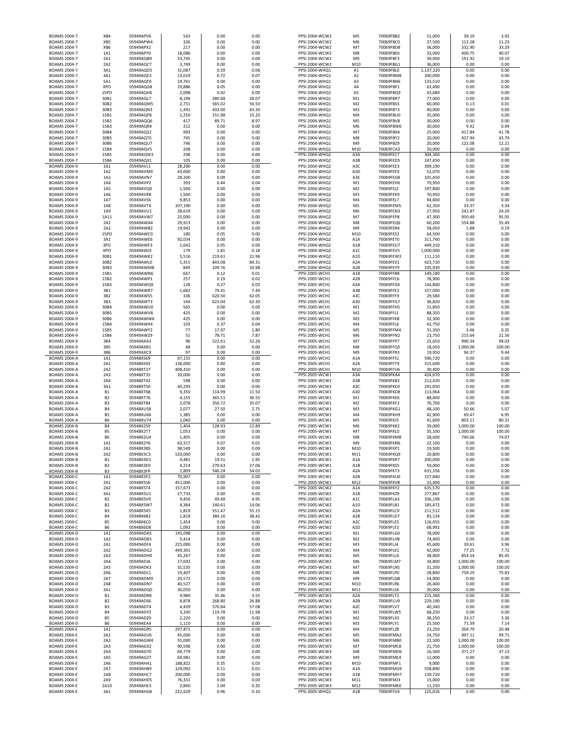| BOAMS 2004-7                               | XB4                              | 05949APV6              | 543              | 0.00             | 0.00           | PPSI 2004-WCW2                   | M <sub>5</sub>          | 70069FBB2              | 51,000               | 39.19          | 3.92          |
|--------------------------------------------|----------------------------------|------------------------|------------------|------------------|----------------|----------------------------------|-------------------------|------------------------|----------------------|----------------|---------------|
| <b>BOAMS 2004-7</b>                        | XB5                              | 05949APW4              | 326              | 0.00             | 0.00           | PPSI 2004-WCW2                   | M <sub>6</sub>          | 70069FBC0              | 37,500               | 112.28         | 11.23         |
| <b>BOAMS 2004-7</b>                        | XB6                              | 05949APX2              | 217              | 0.00             | 0.00           | PPSI 2004-WCW2                   | M7                      | 70069FBD8              | 36,000               | 332.90         | 33.29         |
| <b>BOAMS 2004-7</b>                        | 1A1                              | 05949APY0              | 18,086           | 0.00             | 0.00           | PPSI 2004-WCW2                   | M8                      | 70069FBE6              | 33,000               | 400.75         | 40.07         |
| <b>BOAMS 2004-7</b>                        | 2A1                              | 05949AQB9              | 33,745           | 0.00             | 0.00           | PPSI 2004-WCW2                   | M9                      | 70069FBF3              | 39,000               | 191.92         | 19.19         |
| <b>BOAMS 2004-7</b>                        | 2A2                              | 05949AQC7              | 3,749            | 0.00             | 0.00           | PPSI 2004-WCW2                   | M10                     | 70069FBG1              | 36,000               | 0.00           | 0.00          |
| BOAMS 2004-7<br>BOAMS 2004-7               | 3A1<br>4A1                       | 05949AQD5<br>05949AQE3 | 31,087<br>13,019 | 0.59<br>0.72     | 0.06<br>0.07   | PPSI 2004-WHQ1<br>PPSI 2004-WHQ1 | A1<br>A <sub>2</sub>    | 70069FBL0<br>70069FBM8 | 1,137,320<br>200,000 | 0.00<br>0.00   | 0.00<br>0.00  |
| <b>BOAMS 2004-7</b>                        | 5A1                              | 05949AQF0              | 19,761           | 0.00             | 0.00           | PPSI 2004-WHQ1                   | A3                      | 70069FBN6              | 133,510              | 0.00           | 0.00          |
| <b>BOAMS 2004-7</b>                        | XPO                              | 05949AQG8              | 19,886           | 0.05             | 0.00           | PPSI 2004-WHQ1                   | A4                      | 70069FBP1              | 63,490               | 0.00           | 0.00          |
| <b>BOAMS 2004-7</b>                        | 15PO                             | 05949AQH6              | 2,098            | 0.92             | 0.09           | PPSI 2004-WHQ1                   | A5                      | 70069FBQ9              | 43,680               | 0.00           | 0.00          |
| <b>BOAMS 2004-7</b>                        | 30B1                             | 05949AQL7              | 8,196            | 280.68           | 28.07          | PPSI 2004-WHQ1                   | M1                      | 70069FBR7              | 77,000               | 0.00           | 0.00          |
| <b>BOAMS 2004-7</b>                        | 30B2                             | 05949AQM5              | 2,731            | 565.02           | 56.50          | PPSI 2004-WHQ1                   | M <sub>2</sub>          | 70069FBS5              | 60,000               | 0.13           | 0.01          |
| BOAMS 2004-7                               | 30B3                             | 05949AQN3              | 1,491            | 433.00           | 43.30          | PPSI 2004-WHQ1                   | M <sub>3</sub>          | 70069FBT3              | 40,000               | 0.00           | 0.00          |
| <b>BOAMS 2004-7</b>                        | 15B1                             | 05949AQP8              | 1,250            | 151.98           | 15.20          | PPSI 2004-WHQ1                   | M4                      | 70069FBU0              | 35,000               | 0.00           | 0.00          |
| BOAMS 2004-7                               | 15B2                             | 05949AQQ6              | 417              | 89.71            | 8.97           | PPSI 2004-WHQ1                   | M5                      | 70069FBV8              | 30,000               | 0.00           | 0.00          |
| BOAMS 2004-7                               | 15B3                             | 05949AQR4              | 312              | 0.00             | 0.00           | PPSI 2004-WHQ1                   | M <sub>6</sub>          | 70069FBW6              | 30,000               | 9.42           | 0.94          |
| <b>BOAMS 2004-7</b>                        | 30B4                             | 05949AQS2              | 993              | 0.00             | 0.00           | PPSI 2004-WHQ1                   | M7                      | 70069FBX4              | 25,000               | 417.84         | 41.78         |
| <b>BOAMS 2004-7</b>                        | 30B5                             | 05949AQT0              | 745              | 0.00             | 0.00           | PPSI 2004-WHQ1                   | M8                      | 70069FBY2              | 20,000               | 437.94         | 43.79         |
| <b>BOAMS 2004-7</b>                        | 30B6                             | 05949AQU7              | 746              | 0.00             | 0.00           | PPSI 2004-WHQ1                   | M9                      | 70069FBZ9              | 20,000               | 122.08         | 12.21         |
| <b>BOAMS 2004-7</b>                        | 15B4                             | 05949AQV5              | 208              | 0.00             | 0.00           | PPSI 2004-WHQ1                   | M10                     | 70069FCA3              | 20,000               | 0.00           | 0.00          |
| <b>BOAMS 2004-7</b><br><b>BOAMS 2004-7</b> | 15B5<br>15B6                     | 05949AQW3<br>05949AQX1 | 208<br>105       | 0.00<br>0.00     | 0.00<br>0.00   | PPSI 2004-WHQ2<br>PPSI 2004-WHQ2 | A3A<br>A3B              | 70069FEC7<br>70069FED5 | 304,360<br>247,450   | 0.00<br>0.00   | 0.00<br>0.00  |
| <b>BOAMS 2004-9</b>                        | 1A1                              | 05949AVL1              | 28,290           | 0.00             | 0.00           | PPSI 2004-WHQ2                   | A3C                     | 70069FEE3              | 309,190              | 0.00           | 0.00          |
| <b>BOAMS 2004-9</b>                        | 1A2                              | 05949AVM9              | 43,000           | 0.00             | 0.00           | PPSI 2004-WHQ2                   | A3D                     | 70069FEF0              | 52,070               | 0.00           | 0.00          |
| <b>BOAMS 2004-9</b>                        | 1A3                              | 05949AVN7              | 28,200           | 0.00             | 0.00           | PPSI 2004-WHQ2                   | A3E                     | 70069FEG8              | 101,450              | 0.00           | 0.00          |
| <b>BOAMS 2004-9</b>                        | 1A4                              | 05949AVP2              | 393              | 0.44             | 0.04           | PPSI 2004-WHQ2                   | M1                      | 70069FEH6              | 70,950               | 0.00           | 0.00          |
| BOAMS 2004-9                               | 1A5                              | 05949AVQ0              | 1,500            | 0.00             | 0.00           | PPSI 2004-WHQ2                   | M <sub>2</sub>          | 70069FEJ2              | 197,800              | 0.00           | 0.00          |
| BOAMS 2004-9                               | 1A6                              | 05949AVR8              | 1,500            | 0.00             | 0.00           | PPSI 2004-WHQ2                   | M3                      | 70069FEK9              | 70,950               | 0.00           | 0.00          |
| BOAMS 2004-9                               | 1A7                              | 05949AVS6              | 9,853            | 0.00             | 0.00           | PPSI 2004-WHQ2                   | M4                      | 70069FEL7              | 94,600               | 0.00           | 0.00          |
| <b>BOAMS 2004-9</b>                        | 1A8                              | 05949AVT4              | 107,190          | 0.00             | 0.00           | PPSI 2004-WHQ2                   | M5                      | 70069FEM5              | 62,350               | 33.37          | 3.34          |
| BOAMS 2004-9                               | 1A9                              | 05949AVU1              | 28,619           | 0.00             | 0.00           | PPSI 2004-WHQ2                   | M <sub>6</sub>          | 70069FEN3              | 27,950               | 242.87         | 24.29         |
| BOAMS 2004-9                               | 1A11                             | 05949AVW7              | 25,000           | 0.00             | 0.00           | PPSI 2004-WHQ2                   | M7                      | 70069FEP8              | 47,300               | 950.49         | 95.05         |
| <b>BOAMS 2004-9</b>                        | 2A1                              | 05949AWA4              | 29,913           | 0.00             | 0.00           | PPSI 2004-WHQ2                   | M8                      | 70069FEQ6              | 60,200               | 554.88         | 55.49         |
| <b>BOAMS 2004-9</b><br>BOAMS 2004-9        | 2A2<br><b>15PO</b>               | 05949AWB2<br>05949AWC0 | 19,942<br>180    | 0.00<br>0.05     | 0.00<br>0.00   | PPSI 2004-WHQ2<br>PPSI 2004-WHQ2 | M <sub>9</sub><br>M10   | 70069FER4<br>70069FES2 | 58,050<br>64,500     | 1.88<br>0.00   | 0.19<br>0.00  |
| <b>BOAMS 2004-9</b>                        | 3A1                              | 05949AWE6              | 92,034           | 0.00             | 0.00           | PPSI 2004-WHQ2                   | A1A                     | 70069FET0              | 311,760              | 0.00           | 0.00          |
| <b>BOAMS 2004-9</b>                        | 3PO                              | 05949AWF3              | 1,642            | 0.05             | 0.00           | PPSI 2004-WHQ2                   | A1B                     | 70069FEU7              | 449,310              | 0.00           | 0.00          |
| <b>BOAMS 2004-9</b>                        | XPO                              | 05949AWJ5              | 179              | 1.81             | 0.18           | PPSI 2004-WHQ2                   | A <sub>1</sub> C        | 70069FEV5              | 1,000,000            | 0.00           | 0.00          |
| <b>BOAMS 2004-9</b>                        | 30B1                             | 05949AWK2              | 5,516            | 219.61           | 21.96          | PPSI 2004-WHQ2                   | A1D                     | 70069FEW3              | 111,110              | 0.00           | 0.00          |
| BOAMS 2004-9                               | 30B2                             | 05949AWL0              | 1,415            | 843.08           | 84.31          | PPSI 2004-WHQ2                   | A2A                     | 70069FEX1              | 423,720              | 0.00           | 0.00          |
| BOAMS 2004-9                               | 30B3                             | 05949AWM8              | 849              | 109.76           | 10.98          | PPSI 2004-WHQ2                   | A <sub>2</sub> B        | 70069FEY9              | 105,930              | 0.00           | 0.00          |
| BOAMS 2004-9                               | 15B1                             | 05949AWN6              | 667              | 0.12             | 0.01           | PPSI 2005-WCH1                   | A1B                     | 70069FFB8              | 149,180              | 0.00           | 0.00          |
| BOAMS 2004-9                               | 15B2                             | 05949AWP1              | 257              | 0.19             | 0.02           | PPSI 2005-WCH1                   | A <sub>2</sub> B        | 70069FFC6              | 78,900               | 0.00           | 0.00          |
| <b>BOAMS 2004-9</b>                        | 15B3                             | 05949AWQ9              | 128              | 0.27             | 0.03           | PPSI 2005-WCH1                   | A3A                     | 70069FFD4              | 144,800              | 0.00           | 0.00          |
| <b>BOAMS 2004-9</b>                        | 3B1                              | 05949AWR7              | 1,682            | 74.41            | 7.44           | PPSI 2005-WCH1                   | A3B                     | 70069FFE2              | 157,000              | 0.00           | 0.00          |
| <b>BOAMS 2004-9</b>                        | 3B2                              | 05949AWS5              | 336              | 620.50           | 62.05          | PPSI 2005-WCH1                   | A3C                     | 70069FFF9              | 29,580               | 0.00           | 0.00          |
| <b>BOAMS 2004-9</b><br><b>BOAMS 2004-9</b> | 3B3<br>30B4                      | 05949AWT3<br>05949AWU0 | 144<br>565       | 623.04<br>0.00   | 62.30<br>0.00  | PPSI 2005-WCH1<br>PPSI 2005-WCH1 | A3D<br>M1               | 70069FFG7<br>70069FFH5 | 36,820<br>21,850     | 0.00<br>0.00   | 0.00<br>0.00  |
| BOAMS 2004-9                               | 30B5                             | 05949AWV8              | 425              | 0.00             | 0.00           | PPSI 2005-WCH1                   | M <sub>2</sub>          | 70069FFJ1              | 88,350               | 0.00           | 0.00          |
| <b>BOAMS 2004-9</b>                        | 30B6                             | 05949AWW6              | 425              | 0.00             | 0.00           | PPSI 2005-WCH1                   | M3                      | 70069FFK8              | 32,300               | 0.00           | 0.00          |
| <b>BOAMS 2004-9</b>                        | 15B4                             | 05949AWX4              | 103              | 0.37             | 0.04           | PPSI 2005-WCH1                   | M4                      | 70069FFL6              | 42,750               | 0.00           | 0.00          |
| BOAMS 2004-9                               | 15B5                             | 05949AWY2              | 77               | 17.97            | 1.80           | PPSI 2005-WCH1                   | M5                      | 70069FFM4              | 31,350               | 3.46           | 0.35          |
| BOAMS 2004-9                               | 15B6                             | 05949AWZ9              | 51               | 78.71            | 7.87           | PPSI 2005-WCH1                   | M <sub>6</sub>          | 70069FFN2              | 23,750               | 215.64         | 21.56         |
| BOAMS 2004-9                               | 3B4                              | 05949AXA3              | 96               | 522.61           | 52.26          | PPSI 2005-WCH1                   | M7                      | 70069FFP7              | 25,650               | 990.34         | 99.03         |
| <b>BOAMS 2004-9</b>                        | 3B5                              | 05949AXB1              | 48               | 0.00             | 0.00           | PPSI 2005-WCH1                   | M8                      | 70069FFQ5              | 18,050               | 1,000.00       | 100.00        |
|                                            | 3B6                              | 05949AXC9              | 97               | 0.00             |                |                                  | M9                      | 70069FFR3              | 19,950               | 94.37          | 9.44          |
| <b>BOAMS 2004-9</b>                        |                                  |                        |                  |                  | 0.00           | PPSI 2005-WCH1                   |                         |                        |                      |                |               |
| <b>BOAMS 2004-A</b>                        | 1A1                              | 05948XS69              | 67,155           | 0.00             | 0.00           | PPSI 2005-WCH1                   | A1A                     | 70069FFS1              | 596,720              | 0.00           | 0.00          |
| <b>BOAMS 2004-A</b>                        | 2A1                              | 05948XS93              | 136,000          | 0.00             | 0.00           | PPSI 2005-WCH1                   | A <sub>2</sub> A        | 70069FFT9              | 315,600              | 0.00           | 0.00          |
| <b>BOAMS 2004-A</b>                        | 2A2                              | 05948XT27              | 408,410          | 0.00             | 0.00           | PPSI 2005-WCH1                   | M10                     | 70069FFU6              | 30,400               | 0.00           | 0.00          |
| <b>BOAMS 2004-A</b>                        | 2A3                              | 05948XT35              | 20,000           | 0.00             | 0.00           | PPSI 2005-WCW1                   | A3A                     | 70069FKA4              | 424,670              | 0.00           | 0.00          |
| <b>BOAMS 2004-A</b>                        | 2A4                              | 05948XT43              | 598              | 0.00             | 0.00           | PPSI 2005-WCW1                   | A3B                     | 70069FKB2              | 212,420              | 0.00           | 0.00          |
| <b>BOAMS 2004-A</b>                        | 3A1                              | 05948XT50              | 40,293           | 0.00             | 0.00           | PPSI 2005-WCW1                   | A3C                     | 70069FKC0              | 291,050              | 0.00           | 0.00          |
| <b>BOAMS 2004-A</b>                        | <b>B1</b>                        | 05948XT68              | 9,350            | 114.99           | 11.50          | PPSI 2005-WCW1                   | A3D                     | 70069FKD8              | 113,964              | 0.00           | 0.00          |
| <b>BOAMS 2004-A</b><br><b>BOAMS 2004-A</b> | B <sub>2</sub><br>B <sub>3</sub> | 05948XT76<br>05948XT84 | 4,155<br>2,078   | 365.51<br>350.72 | 36.55<br>35.07 | PPSI 2005-WCW1<br>PPSI 2005-WCW1 | M1<br>M <sub>2</sub>    | 70069FKE6<br>70069FKF3 | 88,400<br>76,700     | 0.00<br>0.00   | 0.00<br>0.00  |
| <b>BOAMS 2004-A</b>                        | <b>B4</b>                        | 05948XU58              | 2,077            | 27.50            | 2.75           | PPSI 2005-WCW1                   | M3                      | 70069FKG1              | 48,100               | 50.66          | 5.07          |
| <b>BOAMS 2004-A</b>                        | <b>B5</b>                        | 05948XU66              | 1,385            | 0.00             | 0.00           | PPSI 2005-WCW1                   | M4                      | 70069FKH9              | 42,900               | 69.47          | 6.95          |
| <b>BOAMS 2004-A</b>                        | <b>B6</b>                        | 05948XU74              | 1,040            | 0.00             | 0.00           | PPSI 2005-WCW1                   | M5                      | 70069FKJ5              | 41,600               | 803.11         | 80.31         |
| <b>BOAMS 2004-B</b>                        | <b>B4</b>                        | 05948X2S9              | 1,404            | 128.93           | 12.89          | PPSI 2005-WCW1                   | M <sub>6</sub>          | 70069FKK2              | 39,000               | 1,000.00       | 100.00        |
| <b>BOAMS 2004-B</b>                        | <b>B5</b>                        | 05948X2T7              | 1,053            | 0.00             | 0.00           | PPSI 2005-WCW1                   | M7                      | 70069FKL0              | 35,100               | 1,000.00       | 100.00        |
| <b>BOAMS 2004-B</b>                        | <b>B6</b>                        | 05948X2U4              | 1,405            | 0.00             | 0.00           | PPSI 2005-WCW1                   | M8                      | 70069FKM8              | 28,600               | 740.66         | 74.07         |
| <b>BOAMS 2004-B</b>                        | 1A1                              | 05948X2Y6              | 63,317           | 0.07             | 0.01           | PPSI 2005-WCW1                   | M <sub>9</sub>          | 70069FKN6              | 22,100               | 0.00           | 0.00          |
| <b>BOAMS 2004-B</b>                        | 2A1                              | 05948X3B5              | 98.549           | 0.00             | 0.00           | PPSI 2005-WCW1                   | M10                     | <b>70069FKP1</b>       | 19.500               | 0.00           | 0.00          |
| <b>BOAMS 2004-B</b>                        | 2A2                              | 05948X3C3              | 520,000          | 0.00             | 0.00           | PPSI 2005-WCW1                   | M11                     | 70069FKQ9              | 20,800               | 0.00           | 0.00          |
| <b>BOAMS 2004-B</b><br><b>BOAMS 2004-B</b> | <b>B1</b><br>B <sub>2</sub>      | 05948X3D1<br>05948X3E9 | 9,481            | 19.51<br>270.63  | 1.95<br>27.06  | PPSI 2005-WCW1<br>PPSI 2005-WCW1 | A1A                     | 70069FKR7<br>70069FKS5 | 200,000<br>50,000    | 0.00<br>0.00   | 0.00<br>0.00  |
| <b>BOAMS 2004-B</b>                        | B <sub>3</sub>                   | 05948X3F6              | 4,214<br>2,809   | 540.24           | 54.02          | PPSI 2005-WCW1                   | A1B<br>A2A              | 70069FKT3              | 631,356              | 0.00           | 0.00          |
| <b>BOAMS 2004-C</b>                        | 1A1                              | 05948X5P2              | 70,907           | 0.00             | 0.00           | PPSI 2005-WCW1                   | A2B                     | 70069FKU0              | 157,840              | 0.00           | 0.00          |
| <b>BOAMS 2004-C</b>                        | 2A1                              | 05948X5S6              | 451,000          | 0.00             | 0.00           | PPSI 2005-WCW1                   | M12                     | 70069FKV8              | 23,400               | 0.00           | 0.00          |
| <b>BOAMS 2004-C</b>                        | 2A2                              | 05948X5T4              | 157,673          | 0.00             | 0.00           | PPSI 2005-WCW2                   | A1A                     | 70069FKY2              | 635,570              | 0.00           | 0.00          |
| <b>BOAMS 2004-C</b>                        | 3A1                              | 05948X5U1              | 27,733           | 0.00             | 0.00           | PPSI 2005-WCW2                   | A1B                     | 70069FKZ9              | 277,867              | 0.00           | 0.00          |
| <b>BOAMS 2004-C</b>                        | <b>B1</b>                        | 05948X5V9              | 9,456            | 49.49            | 4.95           | PPSI 2005-WCW2                   | A1C                     | 70069FLA3              | 336,199              | 0.00           | 0.00          |
| <b>BOAMS 2004-C</b><br><b>BOAMS 2004-C</b> | <b>B2</b><br>B <sub>3</sub>      | 05948X5W7<br>05948X5X5 | 4,364<br>1,819   | 140.61<br>551.47 | 14.06<br>55.15 | PPSI 2005-WCW2<br>PPSI 2005-WCW2 | A1D<br>A2A              | 70069FLB1<br>70069FLC9 | 185,472<br>211,512   | 0.00<br>0.00   | 0.00<br>0.00  |
| <b>BOAMS 2004-C</b>                        | <b>B4</b>                        | 05948X6B2              | 1,818            | 384.16           | 38.42          | PPSI 2005-WCW2                   | A <sub>2</sub> B        | 70069FLD7              | 83,134               | 0.00           | 0.00          |
| <b>BOAMS 2004-C</b>                        | <b>B5</b>                        | 05948X6C0              | 1,454            | 0.00             | 0.00           | PPSI 2005-WCW2                   | A2C                     | 70069FLE5              |                      | 0.00           | 0.00          |
| <b>BOAMS 2004-C</b>                        | <b>B6</b>                        | 05948X6D8              | 1,092            | 0.00             | 0.00           | PPSI 2005-WCW2                   | A <sub>2</sub> D        | 70069FLF2              | 116,455<br>68,992    | 0.00           | 0.00          |
| <b>BOAMS 2004-D</b>                        | 1A1                              | 05949ADA5              | 195,098          | 0.00             | 0.00           | PPSI 2005-WCW2                   | M1                      | 70069FLG0              | 78,000               | 0.00           | 0.00          |
| <b>BOAMS 2004-D</b>                        | 1A2                              | 05949ADB3              | 5,414            | 0.00             | 0.00           | PPSI 2005-WCW2                   | M <sub>2</sub>          | 70069FLH8              | 74,400               | 0.00           | 0.00          |
| <b>BOAMS 2004-D</b>                        | 2A1                              | 05949ADF4              | 225,000          | 0.00             | 0.00           | PPSI 2005-WCW2                   | M3                      | 70069FLJ4              | 45,600               | 39.61          | 3.96          |
| <b>BOAMS 2004-D</b>                        | 2A2                              | 05949ADG2              | 449,301          | 0.00             | 0.00           | PPSI 2005-WCW2                   | M4                      | 70069FLK1              | 42,000               | 77.25          | 7.72          |
| <b>BOAMS 2004-D</b>                        | 2A3                              | 05949ADH0              | 45,267           | 0.00             | 0.00           | PPSI 2005-WCW2                   | M5                      | 70069FLL9              | 38,400               | 854.54         | 85.45         |
| <b>BOAMS 2004-D</b>                        | 2A4                              | 05949ADJ6              | 17,692           | 0.00             | 0.00           | PPSI 2005-WCW2                   | M <sub>6</sub>          | 70069FLM7              | 34,800               | 1,000.00       | 100.00        |
| <b>BOAMS 2004-D</b>                        | 2A5                              | 05949ADK3              | 31,535           | 0.00             | 0.00           | PPSI 2005-WCW2                   | M7                      | 70069FLN5              | 31,200               | 1,000.00       | 100.00        |
| <b>BOAMS 2004-D</b><br><b>BOAMS 2004-D</b> | 2A6<br>2A7                       | 05949ADL1<br>05949ADM9 | 19,407<br>20,572 | 0.00<br>0.00     | 0.00<br>0.00   | PPSI 2005-WCW2<br>PPSI 2005-WCW2 | M8<br>M <sub>9</sub>    | 70069FLP0<br>70069FLQ8 | 28,800               | 758.29         | 75.83<br>0.00 |
| <b>BOAMS 2004-D</b>                        | 2A8                              | 05949ADN7              | 40,527           | 0.00             | 0.00           | PPSI 2005-WCW2                   | M10                     | 70069FLR6              | 24,000<br>26,400     | 0.00<br>0.00   | 0.00          |
| <b>BOAMS 2004-D</b>                        | 3A1                              | 05949ADQ0              | 30,050           | 0.00             | 0.00           | PPSI 2005-WCW2                   | M11                     | 70069FLS4              | 30,000               | 0.00           | 0.00          |
| <b>BOAMS 2004-D</b>                        | <b>B1</b>                        | 05949ADR8              | 9,989            | 35.46            | 3.55           | PPSI 2005-WCW3                   | A <sub>2</sub> A        | 70069FLT2              | 215,360              | 0.00           | 0.00          |
| <b>BOAMS 2004-D</b>                        | B <sub>2</sub>                   | 05949ADS6              | 8,878            | 268.80           | 26.88          | PPSI 2005-WCW3                   | A2B                     | 70069FLU9              | 229,190              | 0.00           | 0.00          |
| <b>BOAMS 2004-D</b>                        | B <sub>3</sub>                   | 05949ADT4              | 4,439            | 570.84           | 57.08          | PPSI 2005-WCW3                   | A <sub>2</sub> C        | 70069FLV7              | 40,340               | 0.00           | 0.00          |
| <b>BOAMS 2004-D</b>                        | B4                               | 05949ADY3              | 3,330            | 119.78           | 11.98          | PPSI 2005-WCW3                   | M1                      | 70069FLW5              | 68,250               | 0.00           | 0.00          |
| <b>BOAMS 2004-D</b>                        | <b>B5</b>                        | 05949ADZ0              | 2,220            | 0.00             | 0.00           | PPSI 2005-WCW3                   | M <sub>2</sub>          | 70069FLX3              | 38,250               | 33.57          | 3.36          |
| <b>BOAMS 2004-D</b>                        | <b>B6</b>                        | 05949AEA4              | 1,110            | 0.00             | 0.00           | PPSI 2005-WCW3                   | M3                      | 70069FLY1              | 25,500               | 71.39          | 7.14          |
| <b>BOAMS 2004-E</b>                        | 1A1                              | 05949AGR5              | 297,871          | 0.00             | 0.00           | PPSI 2005-WCW3                   | M4                      | 70069FLZ8              | 23,250               | 204.79         | 20.48         |
| <b>BOAMS 2004-E</b>                        | 2A1                              | 05949AGV6              | 45,000           | 0.00             | 0.00           | PPSI 2005-WCW3                   | M5                      | 70069FMA2              | 24,750               | 997.11         | 99.71         |
| <b>BOAMS 2004-E</b>                        | 2A2                              | 05949AGW4              | 55,000           | 0.00             | 0.00           | PPSI 2005-WCW3                   | M6                      | 70069FMB0              | 22,500               | 1,000.00       | 100.00        |
| <b>BOAMS 2004-E</b>                        | 2A3                              | 05949AGX2              | 90,596           | 0.00             | 0.00           | PPSI 2005-WCW3                   | M7                      | 70069FMC8              | 21,750               | 1,000.00       | 100.00        |
| <b>BOAMS 2004-E</b><br><b>BOAMS 2004-E</b> | 2A4<br>2A5                       | 05949AGY0<br>05949AGZ7 | 69,779<br>69,981 | 0.00<br>0.00     | 0.00<br>0.00   | PPSI 2005-WCW3<br>PPSI 2005-WCW3 | M8<br>M <sub>9</sub>    | 70069FMD6<br>70069FME4 | 16,500<br>12,000     | 371.27<br>0.00 | 37.13<br>0.00 |
| <b>BOAMS 2004-E</b>                        | 2A6                              | 05949AHA1              | 188,822          | 0.35             | 0.03           | PPSI 2005-WCW3                   | M10                     | 70069FMF1              | 9,000                | 0.00           | 0.00          |
| <b>BOAMS 2004-E</b>                        | 2A7                              | 05949AHB9              | 129,092          | 0.11             | 0.01           | PPSI 2005-WCW3                   | A1A                     | 70069FMG9              | 558,890              | 0.00           | 0.00          |
| <b>BOAMS 2004-E</b>                        | 2A8                              | 05949AHC7              | 200,000          | 0.00             | 0.00           | PPSI 2005-WCW3                   | A1B                     | 70069FMH7              | 139,720              | 0.00           | 0.00          |
| <b>BOAMS 2004-E</b>                        | 2A9                              | 05949AHD5              | 76,331           | 0.00             | 0.00           | PPSI 2005-WCW3                   | M11                     | 70069FMJ3              | 15,000               | 0.00           | 0.00          |
| <b>BOAMS 2004-E</b><br><b>BOAMS 2004-E</b> | 2A10<br>3A1                      | 05949AHE3<br>05949AHG8 | 2,840<br>222,629 | 2.04<br>0.96     | 0.20<br>0.10   | PPSI 2005-WCW3<br>PPSI 2005-WHQ1 | M12<br>A <sub>1</sub> B | 70069FMK0<br>70069FFV4 | 11,250<br>125,016    | 0.00<br>0.00   | 0.00<br>0.00  |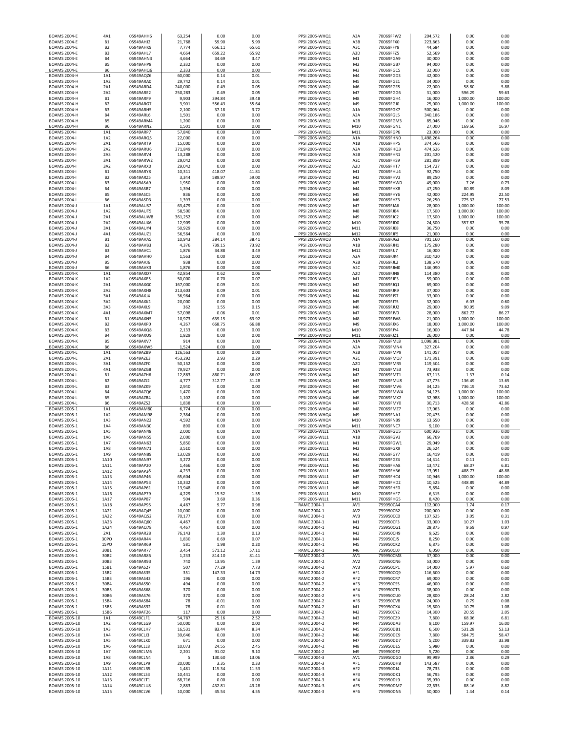| <b>BOAMS 2004-E</b>                        |                             |                        |                    |                    |                |                                         |                                      |                        |                     |                    |                 |
|--------------------------------------------|-----------------------------|------------------------|--------------------|--------------------|----------------|-----------------------------------------|--------------------------------------|------------------------|---------------------|--------------------|-----------------|
|                                            | <b>B1</b>                   | 05949AHJ2<br>05949AHK9 | 21,768             | 59.90              | 5.99           | PPSI 2005-WHQ1                          | A3B                                  | 70069FFX0<br>70069FFY8 | 223,863             | 0.00               | 0.00<br>0.00    |
| <b>BOAMS 2004-E</b><br><b>BOAMS 2004-E</b> | <b>B2</b><br>B <sub>3</sub> | 05949AHL7              | 7,774<br>4,664     | 656.11<br>659.22   | 65.61<br>65.92 | PPSI 2005-WHQ1<br>PPSI 2005-WHQ1        | A3C<br>A3D                           | 70069FFZ5              | 44,684<br>52,569    | 0.00<br>0.00       | 0.00            |
| <b>BOAMS 2004-E</b>                        | <b>B4</b>                   | 05949AHN3              | 4,664              | 34.69              | 3.47           | PPSI 2005-WHQ1                          | M1                                   | 70069FGA9              | 30,000              | 0.00               | 0.00            |
| <b>BOAMS 2004-E</b>                        | <b>B5</b>                   | 05949AHP8              | 2,332              | 0.00               | 0.00           | PPSI 2005-WHQ1                          | M <sub>2</sub>                       | 70069FGB7              | 94,000              | 0.00               | 0.00            |
| <b>BOAMS 2004-E</b>                        | <b>B6</b>                   | 05949AHQ6              | 2,333              | 0.00               | 0.00           | PPSI 2005-WHQ1                          | M <sub>3</sub>                       | 70069FGC5              | 32,000              | 0.00               | 0.00            |
| <b>BOAMS 2004-H</b>                        | 1A1                         | 05949AQZ6              | 60,000             | 0.14               | 0.01           | PPSI 2005-WHQ1                          | MA                                   | 70069FGD3              | 42,000              | 0.00               | 0.00            |
| <b>BOAMS 2004-H</b>                        | 1A2                         | 05949ARA0              | 29,742             | 0.14               | 0.01           | PPSI 2005-WHQ1                          | M5                                   | 70069FGE1              | 34,000              | 0.00               | 0.00            |
| <b>BOAMS 2004-H</b><br><b>BOAMS 2004-H</b> | 2A1<br>2A2                  | 05949ARD4<br>05949ARE2 | 240,000<br>250,283 | 0.49<br>0.49       | 0.05<br>0.05   | PPSI 2005-WHQ1<br>PPSI 2005-WHQ1        | M <sub>6</sub><br>M7                 | 70069FGF8<br>70069FGG6 | 22,000<br>31,000    | 58.80<br>596.29    | 5.88<br>59.63   |
| <b>BOAMS 2004-H</b>                        | <b>B1</b>                   | 05949ARF9              | 9,903              | 394.84             | 39.48          | PPSI 2005-WHQ1                          | M8                                   | 70069FGH4              | 16,000              | 1,000.00           | 100.00          |
| <b>BOAMS 2004-H</b>                        | <b>B2</b>                   | 05949ARG7              | 3,901              | 556.43             | 55.64          | PPSI 2005-WHQ1                          | M <sub>9</sub>                       | 70069FGJ0              | 25,000              | 1,000.00           | 100.00          |
| <b>BOAMS 2004-H</b>                        | B <sub>3</sub>              | 05949ARH5              | 2,100              | 37.18              | 3.72           | PPSI 2005-WHQ1                          | A <sub>1</sub> A                     | 70069FGK7              | 500,064             | 0.00               | 0.00            |
| <b>BOAMS 2004-H</b>                        | B <sub>4</sub>              | 05949ARL6              | 1,501              | 0.00               | 0.00           | PPSI 2005-WHQ1                          | A <sub>2</sub> A                     | 70069FGL5              | 340,186             | 0.00               | 0.00            |
| <b>BOAMS 2004-H</b>                        | <b>B5</b>                   | 05949ARM4              | 1,200              | 0.00               | 0.00           | PPSI 2005-WHQ1                          | A <sub>2</sub> B                     | 70069FGM3              | 85,046              | 0.00               | 0.00            |
| <b>BOAMS 2004-H</b>                        | <b>B6</b>                   | 05949ARN2              | 1,501              | 0.00               | 0.00           | PPSI 2005-WHQ1                          | M10                                  | 70069FGN1              | 27,000              | 169.66             | 16.97           |
| <b>BOAMS 2004-I</b><br><b>BOAMS 2004-I</b> | 1A1<br>1A2                  | 05949ARP7<br>05949ARQ5 | 57,840<br>22,000   | 0.00<br>0.00       | 0.00<br>0.00   | PPSI 2005-WHQ1<br><b>PPSI 2005-WHQ2</b> | M11<br>A <sub>1</sub> A              | 70069FGP6<br>70069FHN0 | 23,000<br>1,498,264 | 0.00<br>0.00       | 0.00<br>0.00    |
| <b>BOAMS 2004-I</b>                        | 2A1                         | 05949ART9              | 15,000             | 0.00               | 0.00           | PPSI 2005-WHQ2                          | A1B                                  | 70069FHP5              | 374,566             | 0.00               | 0.00            |
| <b>BOAMS 2004-1</b>                        | 2A2                         | 05949ARU6              | 371,849            | 0.00               | 0.00           | PPSI 2005-WHQ2                          | A <sub>2</sub> A                     | 70069FHQ3              | 474,626             | 0.00               | 0.00            |
| <b>BOAMS 2004-1</b>                        | 2A3                         | 05949ARV4              | 13,288             | 0.00               | 0.00           | PPSI 2005-WHQ2                          | A <sub>2</sub> B                     | 70069FHR1              | 201,420             | 0.00               | 0.00            |
| <b>BOAMS 2004-I</b>                        | 3A1                         | 05949ARW2              | 29,042             | 0.00               | 0.00           | PPSI 2005-WHQ2                          | A <sub>2</sub> C                     | 70069FHS9              | 281,899             | 0.00               | 0.00            |
| <b>BOAMS 2004-1</b>                        | 3A2                         | 05949ARX0              | 29,042             | 0.00               | 0.00           | PPSI 2005-WHQ2                          | A <sub>2</sub> D                     | 70069FHT7              | 154,727             | 0.00               | 0.00            |
| <b>BOAMS 2004-I</b>                        | <b>B1</b>                   | 05949ARY8              | 10,311             | 418.07             | 41.81          | PPSI 2005-WHQ2                          | M1                                   | 70069FHU4              | 92,750              | 0.00               | 0.00            |
| <b>BOAMS 2004-I</b><br><b>BOAMS 2004-I</b> | <b>B2</b><br>B <sub>3</sub> | 05949ARZ5<br>05949ASA9 | 3,344<br>1,950     | 589.97<br>0.00     | 59.00<br>0.00  | PPSI 2005-WHQ2<br>PPSI 2005-WHQ2        | M <sub>2</sub><br>M <sub>3</sub>     | 70069FHV2<br>70069FHW0 | 89,250<br>49,000    | 0.00<br>7.26       | 0.00<br>0.73    |
| <b>BOAMS 2004-I</b>                        | <b>B4</b>                   | 05949ASB7              | 1,394              | 0.00               | 0.00           | PPSI 2005-WHQ2                          | M4                                   | 70069FHX8              | 47,250              | 80.89              | 8.09            |
| <b>BOAMS 2004-I</b>                        | <b>B5</b>                   | 05949ASC5              | 836                | 0.00               | 0.00           | PPSI 2005-WHQ2                          | M <sub>5</sub>                       | 70069FHY6              | 42,000              | 224.95             | 22.50           |
| <b>BOAMS 2004-I</b>                        | <b>B6</b>                   | 05949ASD3              | 1,393              | 0.00               | 0.00           | PPSI 2005-WHQ2                          | M <sub>6</sub>                       | 70069FHZ3              | 26,250              | 775.32             | 77.53           |
| <b>BOAMS 2004-J</b>                        | 1A1                         | 05949AUS7              | 63,479             | 0.00               | 0.00           | PPSI 2005-WHQ2                          | M <sub>7</sub>                       | 70069FJA6              | 28,000              | 1,000.00           | 100.00          |
| <b>BOAMS 2004-J</b>                        | 1A2                         | 05949AUT5              | 58,500             | 0.00               | 0.00           | PPSI 2005-WHQ2                          | M8                                   | 70069FJB4              | 17,500              | 1,000.00           | 100.00          |
| <b>BOAMS 2004-J</b>                        | 2A1<br>2A2                  | 05949AUW8              | 361,252            | 0.00               | 0.00           | PPSI 2005-WHQ2                          | M <sub>9</sub>                       | 70069FJC2              | 17,500              | 1,000.00           | 100.00          |
| <b>BOAMS 2004-J</b><br><b>BOAMS 2004-J</b> | 3A1                         | 05949AUX6<br>05949AUY4 | 12,909<br>50,929   | 0.00<br>0.00       | 0.00<br>0.00   | PPSI 2005-WHQ2<br>PPSI 2005-WHQ2        | M10<br>M11                           | 70069FJD0<br>70069FJE8 | 24,500<br>36,750    | 357.82<br>0.00     | 35.78<br>0.00   |
| <b>BOAMS 2004-J</b>                        | 4A1                         | 05949AUZ1              | 56,564             | 0.00               | 0.00           | PPSI 2005-WHQ2                          | M12                                  | 70069FJF5              | 21,000              | 0.00               | 0.00            |
| <b>BOAMS 2004-J</b>                        | <b>B1</b>                   | 05949AVA5              | 10,943             | 384.14             | 38.41          | PPSI 2005-WHQ3                          | A1A                                  | 70069FJG3              | 701,160             | 0.00               | 0.00            |
| <b>BOAMS 2004-J</b>                        | <b>B2</b>                   | 05949AVB3              | 4,376              | 739.15             | 73.92          | PPSI 2005-WHQ3                          | A1B                                  | 70069FJH1              | 175,280             | 0.00               | 0.00            |
| <b>BOAMS 2004-J</b>                        | B <sub>3</sub>              | 05949AVC1              | 1,876              | 34.88              | 3.49           | PPSI 2005-WHQ3                          | M12                                  | 70069FJJ7              | 16,000              | 0.00               | 0.00            |
| <b>BOAMS 2004-J</b>                        | <b>B4</b><br><b>B5</b>      | 05949AVH0<br>05949AVJ6 | 1,563              | 0.00               | 0.00           | PPSI 2005-WHQ3                          | A <sub>2</sub> A                     | 70069FJK4<br>70069FJL2 | 310,420             | 0.00               | 0.00            |
| <b>BOAMS 2004-J</b><br><b>BOAMS 2004-J</b> | <b>B6</b>                   | 05949AVK3              | 938<br>1,876       | 0.00<br>0.00       | 0.00<br>0.00   | PPSI 2005-WHQ3<br>PPSI 2005-WHQ3        | A <sub>2</sub> B<br>A <sub>2</sub> C | 70069FJM0              | 138,670<br>146,090  | 0.00<br>0.00       | 0.00<br>0.00    |
| <b>BOAMS 2004-K</b>                        | 1A1                         | 05949AXD7              | 42,854             | 0.62               | 0.06           | PPSI 2005-WHQ3                          | A <sub>2</sub> D                     | 70069FJN8              | 114,380             | 0.00               | 0.00            |
| <b>BOAMS 2004-K</b>                        | 1A2                         | 05949AXE5              | 50,000             | 0.70               | 0.07           | PPSI 2005-WHQ3                          | M1                                   | 70069FJP3              | 59,000              | 0.00               | 0.00            |
| <b>BOAMS 2004-K</b>                        | 2A1                         | 05949AXG0              | 167,000            | 0.09               | 0.01           | PPSI 2005-WHQ3                          | M <sub>2</sub>                       | 70069FJQ1              | 69,000              | 0.00               | 0.00            |
| <b>BOAMS 2004-K</b>                        | 2A2                         | 05949AXH8              | 213,603            | 0.09               | 0.01           | PPSI 2005-WHQ3                          | M3                                   | 70069FJR9              | 37,000              | 0.00               | 0.00            |
| <b>BOAMS 2004-K</b>                        | 3A1                         | 05949AXJ4              | 36,964             | 0.00               | 0.00           | PPSI 2005-WHQ3                          | M4                                   | 70069FJS7              | 33,000              | 0.00               | 0.00            |
| <b>BOAMS 2004-K</b>                        | 3A2<br>3A3                  | 05949AXK1              | 20,000             | 0.00               | 0.00<br>0.15   | PPSI 2005-WHQ3                          | M <sub>5</sub>                       | 70069FJT5              | 32,000              | 6.03<br>90.95      | 0.60<br>9.09    |
| <b>BOAMS 2004-K</b><br><b>BOAMS 2004-K</b> | 4A1                         | 05949AXL9<br>05949AXM7 | 362<br>57,098      | 1.55<br>0.06       | 0.01           | PPSI 2005-WHQ3<br>PPSI 2005-WHQ3        | M <sub>6</sub><br>M7                 | 70069FJU2<br>70069FJV0 | 29,000<br>28,000    | 862.72             | 86.27           |
| <b>BOAMS 2004-K</b>                        | <b>B1</b>                   | 05949AXN5              | 10,973             | 639.15             | 63.92          | PPSI 2005-WHQ3                          | M8                                   | 70069FJW8              | 21,000              | 1,000.00           | 100.00          |
| <b>BOAMS 2004-K</b>                        | <b>B2</b>                   | 05949AXP0              | 4,267              | 668.75             | 66.88          | PPSI 2005-WHQ3                          | M9                                   | 70069FJX6              | 18,000              | 1,000.00           | 100.00          |
| <b>BOAMS 2004-K</b>                        | B <sub>3</sub>              | 05949AXQ8              | 2,133              | 0.00               | 0.00           | PPSI 2005-WHQ3                          | M10                                  | 70069FJY4              | 16,000              | 447.84             | 44.78           |
| <b>BOAMS 2004-K</b>                        | <b>B4</b>                   | 05949AXU9              | 1,829              | 0.00               | 0.00           | PPSI 2005-WHQ3                          | M11                                  | 70069FJZ1              | 26,000              | 0.00               | 0.00            |
| <b>BOAMS 2004-K</b>                        | <b>B5</b><br><b>B6</b>      | 05949AXV7              | 914<br>1,524       | 0.00               | 0.00           | PPSI 2005-WHQ4                          | A1A                                  | 70069FML8              | 1,098,381           | 0.00               | 0.00<br>0.00    |
| <b>BOAMS 2004-K</b><br><b>BOAMS 2004-L</b> | 1A1                         | 05949AXW5<br>05949AZB9 | 126,563            | 0.00<br>0.00       | 0.00<br>0.00   | PPSI 2005-WHQ4<br>PPSI 2005-WHQ4        | A <sub>2</sub> A<br>A <sub>2</sub> B | 70069FMN4<br>70069FMP9 | 327,204<br>141,057  | 0.00<br>0.00       | 0.00            |
| <b>BOAMS 2004-L</b>                        | 2A1                         | 05949AZE3              | 453,292            | 2.93               | 0.29           | PPSI 2005-WHQ4                          | A <sub>2</sub> C                     | 70069FMQ7              | 171,391             | 0.00               | 0.00            |
| <b>BOAMS 2004-L</b>                        | 3A1                         | 05949AZF0              | 50,152             | 0.00               | 0.00           | PPSI 2005-WHQ4                          | A <sub>2</sub> D                     | 70069FMR5              | 119,504             | 0.00               | 0.00            |
| <b>BOAMS 2004-L</b>                        | 4A1                         | 05949AZG8              | 79,927             | 0.00               | 0.00           | PPSI 2005-WHQ4                          | M1                                   | 70069FMS3              | 73,938              | 0.00               | 0.00            |
| <b>BOAMS 2004-L</b>                        | <b>B1</b>                   | 05949AZH6              | 12,863             | 860.71             | 86.07          | PPSI 2005-WHQ4                          | M <sub>2</sub>                       | 70069FMT1              | 67,113              | 1.37               | 0.14            |
| <b>BOAMS 2004-L</b>                        | <b>B2</b>                   | 05949AZJ2              | 4,777              | 312.77             | 31.28          | PPSI 2005-WHQ4                          | M3                                   | 70069FMU8              | 47,775              | 136.49             | 13.65           |
| <b>BOAMS 2004-L</b><br><b>BOAMS 2004-L</b> | B <sub>3</sub><br><b>B4</b> | 05949AZK9<br>05949AZQ6 | 2,940<br>1,470     | 0.00<br>0.00       | 0.00<br>0.00   | PPSI 2005-WHQ4<br>PPSI 2005-WHQ4        | M <sub>4</sub><br>M <sub>5</sub>     | 70069FMV6<br>70069FMW4 | 34,125<br>34,125    | 736.19<br>1,000.00 | 73.62<br>100.00 |
| <b>BOAMS 2004-L</b>                        | <b>B5</b>                   | 05949AZR4              | 1,102              | 0.00               | 0.00           | PPSI 2005-WHQ4                          | M <sub>6</sub>                       | 70069FMX2              | 32,988              | 1,000.00           | 100.00          |
| <b>BOAMS 2004-L</b>                        | <b>B6</b>                   | 05949AZS2              | 1,838              | 0.00               | 0.00           | PPSI 2005-WHQ4                          | M7                                   | 70069FMY0              | 30,713              | 428.58             | 42.86           |
| BOAMS 2005-1                               | 1A1                         | 05949AM80              | 6,774              | 0.00               | 0.00           | PPSI 2005-WHQ4                          | M8                                   | 70069FMZ7              | 17,063              | 0.00               | 0.00            |
| BOAMS 2005-1                               | 1A2                         | 05949AM98              | 2,384              | 0.00               | 0.00           | PPSI 2005-WHQ4                          | M <sup>9</sup>                       | 70069FNA1              | 20,475              | 0.00               | 0.00            |
| BOAMS 2005-1                               | 1A3                         | 05949AN22              | 4,592              | 0.00               | 0.00           | PPSI 2005-WHQ4                          | M10                                  | 70069FNB9              | 13,650              | 0.00               | 0.00            |
| BOAMS 2005-1                               | 1A4                         |                        | 890                | 0.00               | 0.00           | PPSI 2005-WHQ4                          | M11                                  | 70069FNC7              | 9,100               | 0.00               | 0.00            |
| <b>BOAMS 2005-1</b>                        |                             | 05949AN30              |                    | 0.00               | 0.00           |                                         |                                      | 70069FGU5              | 600,936             |                    |                 |
| BOAMS 2005-1                               | 1A5                         | 05949AN48              | 2,000              |                    |                | PPSI 2005-WLL1                          | A1A                                  |                        |                     | 0.00               | 0.00            |
|                                            | 1A6                         | 05949AN55              | 2,000              | 0.00               | 0.00           | PPSI 2005-WLL1                          | A1B                                  | 70069FGV3              | 66,769              | 0.00               | 0.00            |
| BOAMS 2005-1                               | 1A7                         | 05949AN63              | 5,850              | 0.00               | 0.00<br>0.00   | PPSI 2005-WLL1                          | M1<br>M <sub>2</sub>                 | 70069FGW1              | 29,049              | 0.00<br>0.00       | 0.00            |
| BOAMS 2005-1<br>BOAMS 2005-1               | 1A8<br>1A9                  | 05949AN71<br>05949AN89 | 3,510<br>13,029    | 0.00<br>0.00       | 0.00           | PPSI 2005-WLL1<br>PPSI 2005-WLL1        | M <sub>3</sub>                       | 70069FGX9<br>70069FGY7 | 26,524<br>16,419    | 0.00               | 0.00<br>0.00    |
| BOAMS 2005-1                               | 1A10                        | 05949AN97              | 3,272              | 0.00               | 0.00           | PPSI 2005-WLL1                          | M4                                   | 70069FGZ4              | 14,314              | 0.11               | 0.01            |
| BOAMS 2005-1                               | 1A11                        | 05949AP20              | 1,466              | 0.00               | 0.00           | PPSI 2005-WLL1                          | M <sub>5</sub>                       | 70069FHA8              | 13,472              | 68.07              | 6.81            |
| BOAMS 2005-1                               | 1A12                        | 05949AP38              | 4,233              | 0.00               | 0.00           | PPSI 2005-WLL1                          | M6                                   | 70069FHB6              | 13,051              | 488.77             | 48.88           |
| BOAMS 2005-1                               | 1A13                        | 05949AP46              | 65,604             | 0.00               | 0.00           | PPSI 2005-WLL1                          | M7                                   | 70069FHC4              | 10,946              | 1,000.00           | 100.00          |
| BOAMS 2005-1<br>BOAMS 2005-1               | 1A14<br>1A15                | 05949AP53<br>05949AP61 | 10,332<br>13,948   | 0.00<br>0.00       | 0.00<br>0.00   | PPSI 2005-WLL1<br>PPSI 2005-WLL1        | M8<br>M9                             | 70069FHD2<br>70069FHE0 | 10,525<br>5,894     | 448.89<br>0.00     | 44.89<br>0.00   |
| BOAMS 2005-1                               | 1A16                        | 05949AP79              | 4,229              | 15.52              | 1.55           | PPSI 2005-WLL1                          | M10                                  | 70069FHF7              | 6,315               | 0.00               | 0.00            |
| BOAMS 2005-1                               | 1A17                        | 05949AP87              | 504                | 3.60               | 0.36           | PPSI 2005-WLL1                          | M11                                  | 70069FHG5              | 8,420               | 0.00               | 0.00            |
| BOAMS 2005-1                               | 1A18                        | 05949AP95              | 4,467              | 9.77               | 0.98           | RAMC 2004-1                             | AV1                                  | 759950CA4              | 112,000             | 1.74               | 0.17            |
| BOAMS 2005-1                               | 1A21                        | 05949AQ45              | 10,000             | 0.00               | 0.00           | RAMC 2004-1                             | AV <sub>2</sub>                      | 759950CB2              | 200,000             | 0.00               | 0.00            |
| BOAMS 2005-1                               | 1A22                        | 05949AQ52              | 70,177             | 0.00               | 0.00           | RAMC 2004-1                             | AV3                                  | 759950CC0              | 137,625             | 3.05               | 0.31            |
| BOAMS 2005-1<br>BOAMS 2005-1               | 1A23<br>1A24                | 05949AQ60<br>05949AQ78 | 4,467<br>4,467     | 0.00<br>0.00       | 0.00<br>0.00   | RAMC 2004-1<br>RAMC 2004-1              | M1<br>M <sub>2</sub>                 | 759950CF3<br>759950CG1 | 33,000<br>28,875    | 10.27<br>9.69      | 1.03<br>0.97    |
| BOAMS 2005-1                               | 2A1                         | 05949AR28              | 76,143             | 1.30               | 0.13           | RAMC 2004-1                             | M3                                   | 759950CH9              | 9,625               | 0.00               | 0.00            |
| BOAMS 2005-1                               | 30PO                        | 05949AR44              | 1,830              | 0.69               | 0.07           | RAMC 2004-1                             | M4                                   | 759950CJ5              | 8,250               | 0.00               | 0.00            |
| BOAMS 2005-1                               | <b>15PO</b>                 | 05949AR69              | 581                | 1.98               | 0.20           | RAMC 2004-1                             | M5                                   | 759950CK2              | 6,875               | 0.00               | 0.00            |
| BOAMS 2005-1                               | 30B1                        | 05949AR77              | 3,454              | 571.12             | 57.11          | RAMC 2004-1                             | M <sub>6</sub>                       | 759950CL0              | 6,050               | 0.00               | 0.00            |
| BOAMS 2005-1                               | 30B2                        | 05949AR85              | 1,233              | 814.10             | 81.41          | RAMC 2004-2                             | AV1                                  | 759950CM8              | 37,000              | 0.00               | 0.00            |
| BOAMS 2005-1<br>BOAMS 2005-1               | 30B3<br>15B1                | 05949AR93<br>05949AS27 | 740<br>507         | 13.95<br>77.29     | 1.39<br>7.73   | RAMC 2004-2<br>RAMC 2004-2              | AV <sub>2</sub><br>AV3               | 759950CN6<br>759950CP1 | 53,000<br>14,000    | 0.00<br>5.97       | 0.00<br>0.60    |
| BOAMS 2005-1                               | 15B2                        | 05949AS35              | 351                | 147.33             | 14.73          | RAMC 2004-2                             | AF1                                  | 759950CQ9              | 116,600             | 0.00               | 0.00            |
| BOAMS 2005-1                               | 15B3                        | 05949AS43              | 196                | 0.00               | 0.00           | RAMC 2004-2                             | AF <sub>2</sub>                      | 759950CR7              | 69,000              | 0.00               | 0.00            |
| BOAMS 2005-1                               | 30B4                        | 05949AS50              | 494                | 0.00               | 0.00           | RAMC 2004-2                             | AF3                                  | 759950CS5              | 46,000              | 0.00               | 0.00            |
| BOAMS 2005-1                               | 30B5                        | 05949AS68              | 370                | 0.00               | 0.00           | RAMC 2004-2                             | AF4                                  | 759950CT3              | 38,000              | 0.00               | 0.00            |
| BOAMS 2005-1                               | 30B6                        | 05949AS76              | 370                | 0.00               | 0.00           | RAMC 2004-2                             | AF5                                  | 759950CU0              | 28,800              | 28.24              | 2.82            |
| BOAMS 2005-1<br>BOAMS 2005-1               | 15B4<br>15B5                | 05949AS84<br>05949AS92 | 78<br>78           | $-0.01$<br>$-0.01$ | 0.00<br>0.00   | RAMC 2004-2<br>RAMC 2004-2              | AF6<br>M1                            | 759950CV8<br>759950CX4 | 24,000<br>15,600    | 0.79<br>10.75      | 0.08<br>1.08    |
| <b>BOAMS 2005-1</b>                        | 15B6                        | 05949AT26              | 117                | 0.00               | 0.00           | RAMC 2004-2                             | M <sub>2</sub>                       | 759950CY2              | 14,300              | 20.55              | 2.05            |
| BOAMS 2005-10                              | 1A1                         | 05949CLF1              | 54,787             | 25.16              | 2.52           | RAMC 2004-2                             | M3                                   | 759950CZ9              | 7,800               | 68.06              | 6.81            |
| BOAMS 2005-10                              | 1A2                         | 05949CLG9              | 50,000             | 0.00               | 0.00           | RAMC 2004-2                             | M4                                   | 759950DA3              | 9,100               | 159.97             | 16.00           |
| BOAMS 2005-10                              | 1A3                         | 05949CLH7              | 16,531             | 83.44              | 8.34           | RAMC 2004-2                             | M <sub>5</sub>                       | 759950DB1              | 6,500               | 531.28             | 53.13           |
| BOAMS 2005-10                              | 1A4                         | 05949CLJ3              | 39,646             | 0.00               | 0.00           | RAMC 2004-2                             | M <sub>6</sub>                       | 759950DC9              | 7,800               | 584.75             | 58.47           |
| BOAMS 2005-10                              | 1A5                         | 05949CLK0              | 671                | 0.00               | 0.00           | RAMC 2004-2                             | M7                                   | 759950DD7              | 5,200               | 339.83             | 33.98           |
| BOAMS 2005-10<br>BOAMS 2005-10             | 1A6<br>1A7                  | 05949CLL8<br>05949CLM6 | 10,073<br>2,201    | 24.55<br>91.02     | 2.45<br>9.10   | RAMC 2004-2<br>RAMC 2004-2              | M8<br>M9                             | 759950DE5<br>759950DF2 | 5,980<br>5,720      | 0.00<br>0.00       | 0.00<br>0.00    |
| BOAMS 2005-10                              | 1A8                         | 05949CLN4              | 5                  | 130.60             | 13.06          | RAMC 2004-3                             | AV1                                  | 759950DG0              | 99,999              | 2.86               | 0.29            |
| BOAMS 2005-10                              | 1A9                         | 05949CLP9              | 20,000             | 3.35               | 0.33           | RAMC 2004-3                             | AF1                                  | 759950DH8              | 143,587             | 0.00               | 0.00            |
| BOAMS 2005-10                              | 1A11                        | 05949CLR5              | 1,481              | 115.34             | 11.53          | RAMC 2004-3                             | AF <sub>2</sub>                      | 759950DJ4              | 78,733              | 0.00               | 0.00            |
| BOAMS 2005-10                              | 1A12                        | 05949CLS3              | 10,441             | 0.00               | 0.00           | RAMC 2004-3                             | AF3                                  | 759950DK1              | 56,795              | 0.00               | 0.00            |
| BOAMS 2005-10<br>BOAMS 2005-10             | 1A13<br>1A14                | 05949CLT1<br>05949CLU8 | 68,716<br>2,883    | 0.00<br>432.81     | 0.00<br>43.28  | RAMC 2004-3<br>RAMC 2004-3              | AF4<br>AF5                           | 759950DL9<br>759950DM7 | 35,930<br>22,635    | 0.00<br>88.16      | 0.00<br>8.82    |

| 05949AHH6              | 63,254           | 0.00           | 0.00          | PPSI 2005-WHQ1                   | A3A                                  | 70069FFW2              | 204,572            | 0.00           | 0.00          |
|------------------------|------------------|----------------|---------------|----------------------------------|--------------------------------------|------------------------|--------------------|----------------|---------------|
| 05949AHJ2              | 21,768           | 59.90          | 5.99          | PPSI 2005-WHQ1                   | A3B                                  | 70069FFX0              | 223.863            | 0.00           | 0.00          |
| 05949AHK9              | 7,774            | 656.11         | 65.61         | PPSI 2005-WHQ1                   | A3C                                  | 70069FFY8              | 44,684             | 0.00           | 0.00          |
| 05949AHL7              | 4,664            | 659.22         | 65.92         | PPSI 2005-WHQ1                   | A3D                                  | 70069FFZ5              | 52,569             | 0.00           | 0.00          |
| 05949AHN3              | 4,664            | 34.69          | 3.47          | PPSI 2005-WHQ1                   | M1                                   | 70069FGA9              | 30,000             | 0.00           | 0.00          |
| 05949AHP8              | 2,332            | 0.00           | 0.00          | PPSI 2005-WHQ1                   | M <sub>2</sub>                       | 70069FGB7              | 94,000             | 0.00           | 0.00          |
| 05949AHQ6              | 2,333            | 0.00           | 0.00          | PPSI 2005-WHQ1                   | M3                                   | 70069FGC5              | 32,000             | 0.00           | 0.00          |
| 05949AQZ6              | 60,000<br>29,742 | 0.14           | 0.01<br>0.01  | PPSI 2005-WHQ1<br>PPSI 2005-WHQ1 | M4<br>M <sub>5</sub>                 | 70069FGD3<br>70069FGE1 | 42,000<br>34,000   | 0.00<br>0.00   | 0.00<br>0.00  |
| 05949ARA0<br>05949ARD4 | 240,000          | 0.14<br>0.49   | 0.05          | PPSI 2005-WHQ1                   | M <sub>6</sub>                       | 70069FGF8              | 22,000             | 58.80          | 5.88          |
| 05949ARE2              | 250,283          | 0.49           | 0.05          | PPSI 2005-WHQ1                   | M <sub>7</sub>                       | 70069FGG6              | 31,000             | 596.29         | 59.63         |
| 05949ARF9              | 9,903            | 394.84         | 39.48         | PPSI 2005-WHQ1                   | M8                                   | 70069FGH4              | 16,000             | 1,000.00       | 100.00        |
| 05949ARG7              | 3,901            | 556.43         | 55.64         | PPSI 2005-WHQ1                   | M <sub>9</sub>                       | 70069FGJ0              | 25,000             | 1,000.00       | 100.00        |
| 05949ARH5              | 2,100            | 37.18          | 3.72          | PPSI 2005-WHQ1                   | A <sub>1</sub> A                     | 70069FGK7              | 500,064            | 0.00           | 0.00          |
| 05949ARL6              | 1,501            | 0.00           | 0.00          | PPSI 2005-WHQ1                   | A <sub>2</sub> A                     | 70069FGL5              | 340,186            | 0.00           | 0.00          |
| 05949ARM4              | 1,200            | 0.00           | 0.00          | PPSI 2005-WHQ1                   | A <sub>2</sub> B                     | 70069FGM3              | 85,046             | 0.00           | 0.00          |
| 05949ARN2              | 1,501            | 0.00           | 0.00          | PPSI 2005-WHQ1                   | M10                                  | 70069FGN1              | 27,000             | 169.66         | 16.97         |
| 05949ARP7              | 57,840           | 0.00           | 0.00          | PPSI 2005-WHQ1                   | M11                                  | 70069FGP6              | 23,000             | 0.00           | 0.00          |
| 05949ARQ5              | 22,000           | 0.00           | 0.00          | PPSI 2005-WHQ2                   | A1A                                  | 70069FHN0              | 1,498,264          | 0.00           | 0.00          |
| 05949ART9              | 15,000           | 0.00           | 0.00          | PPSI 2005-WHQ2                   | A1B                                  | 70069FHP5              | 374,566            | 0.00           | 0.00          |
| 05949ARU6              | 371,849          | 0.00           | 0.00          | PPSI 2005-WHQ2                   | A <sub>2</sub> A                     | 70069FHQ3              | 474,626            | 0.00           | 0.00          |
| 05949ARV4<br>05949ARW2 | 13,288<br>29,042 | 0.00<br>0.00   | 0.00<br>0.00  | PPSI 2005-WHQ2<br>PPSI 2005-WHQ2 | A <sub>2</sub> B<br>A <sub>2</sub> C | 70069FHR1<br>70069FHS9 | 201,420<br>281,899 | 0.00<br>0.00   | 0.00<br>0.00  |
| 05949ARX0              | 29,042           | 0.00           | 0.00          | PPSI 2005-WHQ2                   | A <sub>2</sub> D                     | 70069FHT7              | 154,727            | 0.00           | 0.00          |
| 05949ARY8              | 10,311           | 418.07         | 41.81         | PPSI 2005-WHQ2                   | M1                                   | 70069FHU4              | 92,750             | 0.00           | 0.00          |
| 05949ARZ5              | 3,344            | 589.97         | 59.00         | PPSI 2005-WHQ2                   | M <sub>2</sub>                       | 70069FHV2              | 89,250             | 0.00           | 0.00          |
| 05949ASA9              | 1,950            | 0.00           | 0.00          | PPSI 2005-WHQ2                   | M <sub>3</sub>                       | 70069FHW0              | 49,000             | 7.26           | 0.73          |
| 05949ASB7              | 1,394            | 0.00           | 0.00          | PPSI 2005-WHQ2                   | M <sub>4</sub>                       | 70069FHX8              | 47,250             | 80.89          | 8.09          |
| 05949ASC5              | 836              | 0.00           | 0.00          | PPSI 2005-WHQ2                   | M <sub>5</sub>                       | 70069FHY6              | 42,000             | 224.95         | 22.50         |
| 05949ASD3              | 1,393            | 0.00           | 0.00          | PPSI 2005-WHQ2                   | M <sub>6</sub>                       | 70069FHZ3              | 26,250             | 775.32         | 77.53         |
| 05949AUS7              | 63,479           | 0.00           | 0.00          | PPSI 2005-WHQ2                   | M7                                   | 70069FJA6              | 28,000             | 1,000.00       | 100.00        |
| 05949AUT5              | 58,500           | 0.00           | 0.00          | PPSI 2005-WHQ2                   | M8                                   | 70069FJB4              | 17,500             | 1,000.00       | 100.00        |
| 05949AUW8<br>05949AUX6 | 361,252          | 0.00<br>0.00   | 0.00<br>0.00  | PPSI 2005-WHQ2                   | M9                                   | 70069FJC2<br>70069FJD0 | 17,500             | 1,000.00       | 100.00        |
| 05949AUY4              | 12,909<br>50,929 | 0.00           | 0.00          | PPSI 2005-WHQ2<br>PPSI 2005-WHQ2 | M10<br>M11                           | 70069FJE8              | 24,500<br>36,750   | 357.82<br>0.00 | 35.78<br>0.00 |
| 05949AUZ1              | 56,564           | 0.00           | 0.00          | PPSI 2005-WHQ2                   | M12                                  | 70069FJF5              | 21,000             | 0.00           | 0.00          |
| 05949AVA5              | 10,943           | 384.14         | 38.41         | PPSI 2005-WHQ3                   | A <sub>1</sub> A                     | 70069FJG3              | 701,160            | 0.00           | 0.00          |
| 05949AVB3              | 4,376            | 739.15         | 73.92         | PPSI 2005-WHQ3                   | A <sub>1</sub> B                     | 70069FJH1              | 175,280            | 0.00           | 0.00          |
| 05949AVC1              | 1.876            | 34.88          | 3.49          | PPSI 2005-WHQ3                   | M12                                  | 70069FJJ7              | 16,000             | 0.00           | 0.00          |
| 05949AVH0              | 1,563            | 0.00           | 0.00          | PPSI 2005-WHQ3                   | A <sub>2</sub> A                     | 70069FJK4              | 310,420            | 0.00           | 0.00          |
| 05949AV16              | 938              | 0.00           | 0.00          | PPSI 2005-WHQ3                   | A <sub>2</sub> B                     | 70069FJL2              | 138,670            | 0.00           | 0.00          |
| 05949AVK3              | 1,876            | 0.00           | 0.00          | PPSI 2005-WHQ3                   | A <sub>2</sub> C                     | 70069FJM0              | 146,090            | 0.00           | 0.00          |
| 05949AXD7              | 42,854           | 0.62           | 0.06          | PPSI 2005-WHQ3                   | A <sub>2</sub> D                     | 70069FJN8              | 114,380            | 0.00           | 0.00          |
| 05949AXE5              | 50,000           | 0.70           | 0.07          | PPSI 2005-WHQ3                   | M1                                   | 70069FJP3              | 59,000             | 0.00           | 0.00          |
| 05949AXG0              | 167,000          | 0.09           | 0.01          | PPSI 2005-WHQ3                   | M <sub>2</sub>                       | 70069FJQ1              | 69,000             | 0.00           | 0.00          |
| 05949AXH8<br>05949AXJ4 | 213,603          | 0.09<br>0.00   | 0.01<br>0.00  | PPSI 2005-WHQ3<br>PPSI 2005-WHQ3 | M3<br>M4                             | 70069FJR9<br>70069FJS7 | 37,000             | 0.00<br>0.00   | 0.00<br>0.00  |
| 05949AXK1              | 36,964<br>20,000 | 0.00           | 0.00          | PPSI 2005-WHQ3                   | M <sub>5</sub>                       | 70069FJT5              | 33,000<br>32,000   | 6.03           | 0.60          |
| 05949AXL9              | 362              | 1.55           | 0.15          | PPSI 2005-WHQ3                   | M <sub>6</sub>                       | 70069FJU2              | 29,000             | 90.95          | 9.09          |
| 05949AXM7              | 57,098           | 0.06           | 0.01          | PPSI 2005-WHQ3                   | M7                                   | 70069FJV0              | 28,000             | 862.72         | 86.27         |
| 05949AXN5              | 10,973           | 639.15         | 63.92         | PPSI 2005-WHQ3                   | M8                                   | 70069FJW8              | 21,000             | 1,000.00       | 100.00        |
| 05949AXP0              | 4,267            | 668.75         | 66.88         | PPSI 2005-WHQ3                   | M <sub>9</sub>                       | 70069FJX6              | 18,000             | 1,000.00       | 100.00        |
| 05949AXQ8              | 2,133            | 0.00           | 0.00          | PPSI 2005-WHQ3                   | M10                                  | 70069FJY4              | 16,000             | 447.84         | 44.78         |
| 05949AXU9              | 1,829            | 0.00           | 0.00          | PPSI 2005-WHQ3                   | M11                                  | 70069FJZ1              | 26,000             | 0.00           | 0.00          |
| 05949AXV7              | 914              | 0.00           | 0.00          | PPSI 2005-WHQ4                   | A1A                                  | 70069FML8              | 1,098,381          | 0.00           | 0.00          |
| 05949AXW5              | 1,524            | 0.00           | 0.00          | PPSI 2005-WHQ4                   | A2A                                  | 70069FMN4              | 327,204            | 0.00           | 0.00          |
| 05949AZB9              | 126,563          | 0.00           | 0.00          | PPSI 2005-WHQ4                   | A2B                                  | 70069FMP9              | 141,057            | 0.00           | 0.00          |
| 05949AZE3              | 453,292          | 2.93           | 0.29          | PPSI 2005-WHQ4                   | A2C                                  | 70069FMQ7              | 171,391            | 0.00           | 0.00          |
| 05949AZF0<br>05949AZG8 | 50,152<br>79,927 | 0.00<br>0.00   | 0.00<br>0.00  | PPSI 2005-WHQ4<br>PPSI 2005-WHQ4 | A <sub>2</sub> D<br>M <sub>1</sub>   | 70069FMR5<br>70069FMS3 | 119,504<br>73,938  | 0.00<br>0.00   | 0.00<br>0.00  |
| 05949AZH6              | 12,863           | 860.71         | 86.07         | PPSI 2005-WHQ4                   | M <sub>2</sub>                       | 70069FMT1              | 67,113             | 1.37           | 0.14          |
| 05949AZJ2              | 4,777            | 312.77         | 31.28         | PPSI 2005-WHQ4                   | M <sub>3</sub>                       | 70069FMU8              | 47,775             | 136.49         | 13.65         |
| 05949AZK9              | 2,940            | 0.00           | 0.00          | PPSI 2005-WHQ4                   | M <sub>4</sub>                       | 70069FMV6              | 34,125             | 736.19         | 73.62         |
| 05949AZQ6              | 1,470            | 0.00           | 0.00          | PPSI 2005-WHQ4                   | M <sub>5</sub>                       | 70069FMW4              | 34,125             | 1,000.00       | 100.00        |
| 05949AZR4              | 1,102            | 0.00           | 0.00          | PPSI 2005-WHQ4                   | M <sub>6</sub>                       | 70069FMX2              | 32,988             | 1,000.00       | 100.00        |
| 05949AZS2              | 1,838            | 0.00           | 0.00          | PPSI 2005-WHQ4                   | M7                                   | 70069FMY0              | 30,713             | 428.58         | 42.86         |
| 05949AM80              | 6.774            | 0.00           | 0.00          | PPSI 2005-WHQ4                   | M8                                   | 70069FMZ7              | 17,063             | 0.00           | 0.00          |
| 05949AM98              | 2,384            | 0.00           | 0.00          | PPSI 2005-WHQ4                   | M9                                   | 70069FNA1              | 20,475             | 0.00           | 0.00          |
| 05949AN22              | 4,592            | 0.00           | 0.00          | PPSI 2005-WHQ4                   | M10                                  | 70069FNB9              | 13,650             | 0.00           | 0.00          |
| 05949AN30              | 890              | 0.00           | 0.00          | PPSI 2005-WHQ4                   | M11                                  | 70069FNC7<br>70069FGU5 | 9,100              | 0.00           | 0.00          |
| 05949AN48<br>05949AN55 | 2,000<br>2,000   | 0.00<br>0.00   | 0.00<br>0.00  | PPSI 2005-WLL1<br>PPSI 2005-WLL1 | A <sub>1</sub> A<br>A <sub>1</sub> B | 70069FGV3              | 600,936<br>66,769  | 0.00<br>0.00   | 0.00<br>0.00  |
| 05949AN63              | 5,850            | 0.00           | 0.00          | PPSI 2005-WLL1                   | м1                                   | 70069FGW1              | 29,049             | u.uu           | 0.00          |
| 05949AN71              | 3,510            | 0.00           | 0.00          | PPSI 2005-WLL1                   | M <sub>2</sub>                       | 70069FGX9              | 26,524             | 0.00           | 0.00          |
| 05949AN89              | 13,029           | 0.00           | 0.00          | PPSI 2005-WLL1                   | M3                                   | 70069FGY7              | 16,419             | 0.00           | 0.00          |
| 05949AN97              | 3,272            | 0.00           | 0.00          | PPSI 2005-WLL1                   | M4                                   | 70069FGZ4              | 14,314             | 0.11           | 0.01          |
| 05949AP20              | 1,466            | 0.00           | 0.00          | PPSI 2005-WLL1                   | M <sub>5</sub>                       | 70069FHA8              | 13,472             | 68.07          | 6.81          |
| 05949AP38              | 4,233            | 0.00           | 0.00          | PPSI 2005-WLL1                   | M <sub>6</sub>                       | 70069FHB6              | 13,051             | 488.77         | 48.88         |
| 05949AP46              | 65,604           | 0.00           | 0.00          | PPSI 2005-WLL1                   | M7                                   | 70069FHC4              | 10,946             | 1,000.00       | 100.00        |
| 05949AP53<br>05949AP61 | 10,332<br>13,948 | 0.00<br>0.00   | 0.00<br>0.00  | PPSI 2005-WLL1<br>PPSI 2005-WLL1 | M8<br>M9                             | 70069FHD2<br>70069FHE0 | 10,525<br>5,894    | 448.89<br>0.00 | 44.89<br>0.00 |
| 05949AP79              | 4,229            | 15.52          |               | PPSI 2005-WLL1                   | M10                                  | 70069FHF7              | 6,315              |                |               |
| 05949AP87              | 504              | 3.60           | 1.55<br>0.36  | PPSI 2005-WLL1                   | M11                                  | 70069FHG5              | 8,420              | 0.00<br>0.00   | 0.00<br>0.00  |
| 05949AP95              | 4,467            | 9.77           | 0.98          | RAMC 2004-1                      | AV1                                  | 759950CA4              | 112,000            | 1.74           | 0.17          |
| 05949AQ45              | 10,000           | 0.00           | 0.00          | RAMC 2004-1                      | AV <sub>2</sub>                      | 759950CB2              | 200,000            | 0.00           | 0.00          |
| 05949AQ52              | 70,177           | 0.00           | 0.00          | RAMC 2004-1                      | AV3                                  | 759950CC0              | 137,625            | 3.05           | 0.31          |
| 05949AQ60              | 4,467            | 0.00           | 0.00          | RAMC 2004-1                      | M1                                   | 759950CF3              | 33,000             | 10.27          | 1.03          |
| 05949AQ78              | 4,467            | 0.00           | 0.00          | RAMC 2004-1                      | M <sub>2</sub>                       | 759950CG1              | 28,875             | 9.69           | 0.97          |
| 05949AR28              | 76,143           | 1.30           | 0.13          | RAMC 2004-1                      | M3                                   | 759950CH9              | 9,625              | 0.00           | 0.00          |
| 05949AR44              | 1,830            | 0.69           | 0.07          | RAMC 2004-1<br>RAMC 2004-1       | M4                                   | 759950CJ5              | 8,250              | 0.00           | 0.00          |
| 05949AR69<br>05949AR77 | 581<br>3,454     | 1.98<br>571.12 | 0.20<br>57.11 | RAMC 2004-1                      | M <sub>5</sub><br>M <sub>6</sub>     | 759950CK2<br>759950CL0 | 6,875<br>6,050     | 0.00<br>0.00   | 0.00<br>0.00  |
| 05949AR85              | 1,233            | 814.10         | 81.41         | RAMC 2004-2                      | AV1                                  | 759950CM8              | 37,000             | 0.00           | 0.00          |
| 05949AR93              | 740              | 13.95          | 1.39          | RAMC 2004-2                      | AV <sub>2</sub>                      | 759950CN6              | 53,000             | 0.00           | 0.00          |
| 05949AS27              | 507              | 77.29          | 7.73          | RAMC 2004-2                      | AV3                                  | 759950CP1              | 14,000             | 5.97           | 0.60          |
| 05949AS35              | 351              | 147.33         | 14.73         | RAMC 2004-2                      | AF1                                  | 759950CQ9              | 116,600            | 0.00           | 0.00          |
| 05949AS43              | 196              | 0.00           | 0.00          | RAMC 2004-2                      | AF <sub>2</sub>                      | 759950CR7              | 69,000             | 0.00           | 0.00          |
| 05949AS50              | 494              | 0.00           | 0.00          | RAMC 2004-2                      | AF3                                  | 759950CS5              | 46,000             | 0.00           | 0.00          |
| 05949AS68              | 370              | 0.00           | 0.00          | RAMC 2004-2                      | AF4                                  | 759950CT3              | 38,000             | 0.00           | 0.00          |
| 05949AS76              | 370              | 0.00           | 0.00          | RAMC 2004-2                      | AF5                                  | 759950CU0              | 28,800             | 28.24          | 2.82          |
| 05949AS84              | 78               | $-0.01$        | 0.00          | RAMC 2004-2                      | AF6                                  | 759950CV8              | 24,000             | 0.79           | 0.08          |
| 05949AS92<br>05949AT26 | 78               | $-0.01$        | 0.00          | RAMC 2004-2                      | M1                                   | 759950CX4              | 15,600             | 10.75          | 1.08          |
| 05949CLF1              | 117              | 0.00<br>25.16  | 0.00<br>2.52  | RAMC 2004-2<br>RAMC 2004-2       | M <sub>2</sub><br>M <sub>3</sub>     | 759950CY2<br>759950CZ9 | 14,300<br>7,800    | 20.55<br>68.06 | 2.05<br>6.81  |
| 05949CLG9              | 54,787<br>50,000 | 0.00           | 0.00          | RAMC 2004-2                      | M4                                   | 759950DA3              | 9,100              | 159.97         | 16.00         |
| 05949CLH7              | 16,531           | 83.44          | 8.34          | RAMC 2004-2                      | M5                                   | 759950DB1              | 6,500              | 531.28         | 53.13         |
| 05949CLJ3              | 39,646           | 0.00           | 0.00          | RAMC 2004-2                      | M <sub>6</sub>                       | 759950DC9              | 7,800              | 584.75         | 58.47         |
| 05949CLK0              | 671              | 0.00           | 0.00          | RAMC 2004-2                      | M7                                   | 759950DD7              | 5,200              | 339.83         | 33.98         |
| 05949CLL8              | 10,073           | 24.55          | 2.45          | RAMC 2004-2                      | M8                                   | 759950DE5              | 5,980              | 0.00           | 0.00          |
| 05949CLM6              | 2,201            | 91.02          | 9.10          | RAMC 2004-2                      | M9                                   | 759950DF2              | 5,720              | 0.00           | 0.00          |
| 05949CLN4              | 5                | 130.60         | 13.06         | RAMC 2004-3                      | AV1                                  | 759950DG0              | 99,999             | 2.86           | 0.29          |
| 05949CLP9              | 20,000           | 3.35           | 0.33          | RAMC 2004-3                      | AF1                                  | 759950DH8              | 143,587            | 0.00           | 0.00          |
| 05949CLR5              | 1,481<br>10,441  | 115.34<br>0.00 | 11.53<br>0.00 | RAMC 2004-3                      | AF <sub>2</sub><br>AF3               | 759950DJ4<br>759950DK1 | 78,733             | 0.00<br>0.00   | 0.00<br>0.00  |
| 05949CLS3              |                  | 0.00           | 0.00          | RAMC 2004-3                      | AF4                                  | 759950DL9              | 56,795<br>35,930   | 0.00           | 0.00          |
| 05949CLT1<br>05949CLU8 | 68,716<br>2,883  | 432.81         | 43.28         | RAMC 2004-3<br>RAMC 2004-3       | AF5                                  | 759950DM7              | 22,635             | 88.16          | 8.82          |
| 05949CLV6              | 10.000           | 45.54          | 4.55          | RAMC 2004-3                      | AF6                                  | 759950DN5              | 50,000             | 1.44           | 0.14          |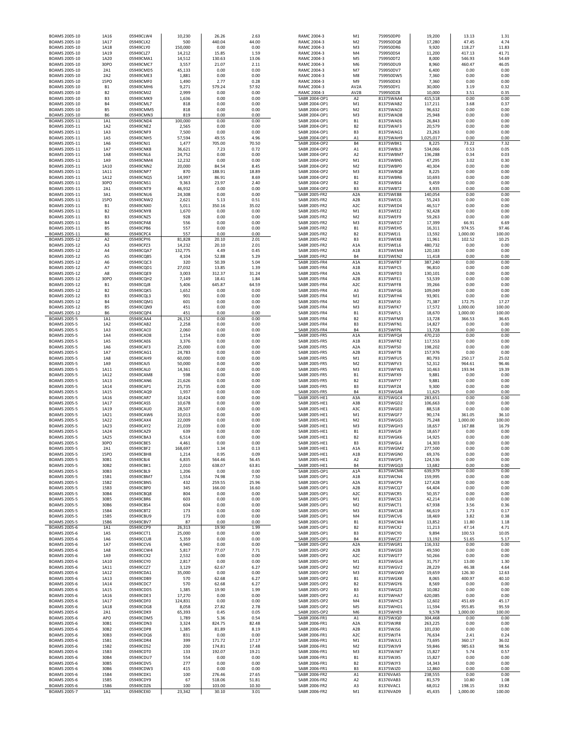| BOAMS 2005-10                              | 1A16                   | 05949CLW4              | 10,230          | 26.26            | 2.63           | RAMC 2004-3                                  | M1                                   | 759950DP0              | 19,200             | 13.13            | 1.31           |  |
|--------------------------------------------|------------------------|------------------------|-----------------|------------------|----------------|----------------------------------------------|--------------------------------------|------------------------|--------------------|------------------|----------------|--|
| BOAMS 2005-10                              | 1A17                   | 05949CLX2<br>05949CLY0 | 500<br>150,000  | 440.04           | 44.00          | RAMC 2004-3                                  | M <sub>2</sub>                       | 759950DQ8<br>759950DR6 | 17,280             | 47.45<br>118.27  | 4.74<br>11.83  |  |
| BOAMS 2005-10<br>BOAMS 2005-10             | 1A18<br>1A19           | 05949CLZ7              | 14,212          | 0.00<br>15.85    | 0.00<br>1.59   | RAMC 2004-3<br>RAMC 2004-3                   | M3<br>M4                             | 759950DS4              | 9,920<br>11,200    | 417.13           | 41.71          |  |
| BOAMS 2005-10                              | 1A20                   | 05949CMA1              | 14,512          | 130.63           | 13.06          | RAMC 2004-3                                  | M5                                   | 759950DT2              | 8,000              | 546.93           | 54.69          |  |
| BOAMS 2005-10                              | 30PO                   | 05949CMC7              | 3,557           | 21.07            | 2.11           | RAMC 2004-3                                  | M6                                   | 759950DU9              | 8,960              | 460.47           | 46.05          |  |
| BOAMS 2005-10                              | 2A1                    | 05949CMD5              | 45,133          | 0.00             | 0.00           | RAMC 2004-3                                  | M7                                   | 759950DV7              | 6,400              | 0.00             | 0.00           |  |
| BOAMS 2005-10                              | 2A2                    | 05949CME3              | 1,881           | 0.00             | 0.00           | RAMC 2004-3                                  | M8                                   | 759950DW5              | 7,360              | 0.00             | 0.00           |  |
| BOAMS 2005-10                              | <b>15PO</b>            | 05949CMF0              | 1,490           | 2.77             | 0.28           | RAMC 2004-3                                  | M9                                   | 759950DX3              | 7,360              | 0.00             | 0.00           |  |
| BOAMS 2005-10<br>BOAMS 2005-10             | <b>B1</b><br><b>B2</b> | 05949CMH6<br>05949CMJ2 | 9,271<br>2,999  | 579.24<br>0.00   | 57.92<br>0.00  | RAMC 2004-3<br>RAMC 2004-3                   | AV <sub>2</sub> A<br>AV2B            | 759950DY1<br>759950DZ8 | 30,000<br>10,000   | 3.19<br>3.51     | 0.32<br>0.35   |  |
| BOAMS 2005-10                              | B <sub>3</sub>         | 05949CMK9              | 1,636           | 0.00             | 0.00           | SABR 2004-OP1                                | A <sub>2</sub>                       | 81375WAA4              | 415,518            | 0.00             | 0.00           |  |
| BOAMS 2005-10                              | R <sub>4</sub>         | 05949CML7              | 818             | 0.00             | 0.00           | SABR 2004-OP1                                | M1                                   | 81375WAB2              | 117,211            | 3.68             | 0.37           |  |
| BOAMS 2005-10                              | <b>B5</b>              | 05949CMM5              | 818             | 0.00             | 0.00           | SABR 2004-OP1                                | M <sub>2</sub>                       | 81375WAC0              | 96,632             | 0.00             | 0.00           |  |
| BOAMS 2005-10                              | B6                     | 05949CMN3              | 819             | 0.00             | 0.00           | SABR 2004-OP1                                | M3                                   | 81375WAD8              | 25,948             | 0.00             | 0.00           |  |
| BOAMS 2005-11                              | 1A1                    | 05949CND4              | 100,000         | 0.00             | 0.00           | SABR 2004-OP1                                | <b>B1</b>                            | 81375WAE6              | 26,843             | 0.00             | 0.00           |  |
| BOAMS 2005-11                              | 1A2                    | 05949CNE2              | 2,565           | 0.00             | 0.00           | SABR 2004-OP1                                | B <sub>2</sub>                       | 81375WAF3              | 20,579             | 0.00             | 0.00           |  |
| BOAMS 2005-11                              | 1A3                    | 05949CNF9              | 7,500           | 0.00             | 0.00           | SABR 2004-OP1                                | B <sub>3</sub>                       | 81375WAG1              | 23,263             | 0.00             | 0.00           |  |
| BOAMS 2005-11                              | 1A5                    | 05949CNH5              | 57,594          | 49.55            | 4.96           | SABR 2004-OP1<br>SABR 2004-OP2               | A1<br><b>B4</b>                      | 81375WAH9              | 1,025,017          | 0.00             | 0.00           |  |
| BOAMS 2005-11<br>BOAMS 2005-11             | 1A6<br>1A7             | 05949CNJ1<br>05949CNK8 | 1,477<br>36,621 | 705.00<br>7.23   | 70.50<br>0.72  | SABR 2004-OP2                                | A1                                   | 81375WBK1<br>81375WBL9 | 8,225<br>534,066   | 73.22<br>0.53    | 7.32<br>0.05   |  |
| BOAMS 2005-11                              | 1A8                    | 05949CNL6              | 24,752          | 0.00             | 0.00           | SABR 2004-OP2                                | A <sub>2</sub>                       | 81375WBM7              | 136,288            | 0.34             | 0.03           |  |
| BOAMS 2005-11                              | 1A9                    | 05949CNM4              | 12,232          | 0.00             | 0.00           | SABR 2004-OP2                                | M1                                   | 81375WBN5              | 47,295             | 3.02             | 0.30           |  |
| BOAMS 2005-11                              | 1A10                   | 05949CNN2              | 20,000          | 84.54            | 8.45           | SABR 2004-OP2                                | M <sub>2</sub>                       | 81375WBP0              | 40,304             | 0.00             | 0.00           |  |
| BOAMS 2005-11                              | 1A11                   | 05949CNP7              | 870             | 188.91           | 18.89          | SABR 2004-OP2                                | M3                                   | 81375WBQ8              | 8,225              | 0.00             | 0.00           |  |
| BOAMS 2005-11                              | 1A12                   | 05949CNQ5              | 14,997          | 86.91            | 8.69           | SABR 2004-OP2                                | <b>B1</b>                            | 81375WBR6              | 10,693             | 0.00             | 0.00           |  |
| BOAMS 2005-11                              | 30PO                   | 05949CNS1              | 9,363           | 23.97            | 2.40           | SABR 2004-OP2                                | B <sub>2</sub>                       | 81375WBS4              | 9,459              | 0.00             | 0.00           |  |
| BOAMS 2005-11                              | 2A1                    | 05949CNT9              | 46,932          | 0.00             | 0.00           | SABR 2004-OP2                                | B <sub>3</sub>                       | 81375WBT2              | 4,935              | 0.00             | 0.00           |  |
| BOAMS 2005-11                              | 3A1                    | 05949CNU6              | 24,308          | 0.00             | 0.00           | SABR 2005-FR2                                | A <sub>2</sub> A                     | 81375WEB8              | 140,054            | 0.00             | 0.00           |  |
| BOAMS 2005-11                              | <b>15PO</b>            | 05949CNW2              | 2,621           | 5.13             | 0.51           | SABR 2005-FR2                                | A <sub>2</sub> B                     | 81375WEC6              | 55,243             | 0.00             | 0.00           |  |
| BOAMS 2005-11<br>BOAMS 2005-11             | <b>B1</b><br><b>B2</b> | 05949CNX0<br>05949CNY8 | 5,011<br>1,670  | 350.16<br>0.00   | 35.02<br>0.00  | SABR 2005-FR2<br>SABR 2005-FR2               | A <sub>2</sub> C<br>M1               | 81375WED4<br>81375WEE2 | 46,517<br>92,428   | 0.00<br>0.00     | 0.00<br>0.00   |  |
| BOAMS 2005-11                              | B <sub>3</sub>         | 05949CNZ5              | 928             | 0.00             | 0.00           | SABR 2005-FR2                                | M <sub>2</sub>                       | 81375WEF9              | 59,263             | 0.00             | 0.00           |  |
| BOAMS 2005-11                              | <b>B4</b>              | 05949CPA8              | 556             | 0.00             | 0.00           | SABR 2005-FR2                                | M3                                   | 81375WEG7              | 17,399             | 66.91            | 6.69           |  |
| BOAMS 2005-11                              | <b>B5</b>              | 05949CPB6              | 557             | 0.00             | 0.00           | SABR 2005-FR2                                | <b>B1</b>                            | 81375WEH5              | 16,311             | 974.55           | 97.46          |  |
| BOAMS 2005-11                              | <b>B6</b>              | 05949CPC4              | 557             | 0.00             | 0.00           | SABR 2005-FR2                                | <b>B2</b>                            | 81375WEJ1              | 13,592             | 1,000.00         | 100.00         |  |
| BOAMS 2005-12                              | A <sub>2</sub>         | 05949CPY6              | 81,828          | 20.10            | 2.01           | SABR 2005-FR2                                | B <sub>3</sub>                       | 81375WEK8              | 11,961             | 102.52           | 10.25          |  |
| BOAMS 2005-12                              | A3                     | 05949CPZ3              | 14,232          | 20.10            | 2.01           | SABR 2005-FR2                                | A <sub>1</sub> A                     | 81375WEL6              | 480,732            | 0.00             | 0.00           |  |
| BOAMS 2005-12                              | A4                     | 05949CQA7              | 132,775         | 4.49             | 0.45           | SABR 2005-FR2                                | A <sub>1</sub> B                     | 81375WEM4              | 120,183            | 0.00             | 0.00           |  |
| BOAMS 2005-12<br>BOAMS 2005-12             | A5<br>A6               | 05949CQB5<br>05949CQC3 | 4,104<br>320    | 52.88<br>50.39   | 5.29<br>5.04   | SABR 2005-FR2<br>SABR 2005-FR4               | <b>B4</b><br>A <sub>1</sub> A        | 81375WEN2<br>81375WFB7 | 11,418<br>387,240  | 0.00<br>0.00     | 0.00<br>0.00   |  |
| BOAMS 2005-12                              | A7                     | 05949CQD1              | 27,032          | 13.85            | 1.39           | SABR 2005-FR4                                | A <sub>1</sub> B                     | 81375WFC5              | 96,810             | 0.00             | 0.00           |  |
| BOAMS 2005-12                              | A8                     | 05949CQE9              | 3,003           | 312.37           | 31.24          | SABR 2005-FR4                                | A <sub>2</sub> A                     | 81375WFD3              | 130,101            | 0.00             | 0.00           |  |
| BOAMS 2005-12                              | 30PO                   | 05949CQH2              | 7,149           | 18.41            | 1.84           | SABR 2005-FR4                                | A <sub>2</sub> B                     | 81375WFE1              | 53,539             | 0.00             | 0.00           |  |
| BOAMS 2005-12                              | <b>B1</b>              | 05949CQJ8              | 5,406           | 645.87           | 64.59          | SABR 2005-FR4                                | A <sub>2</sub> C                     | 81375WFF8              | 39,266             | 0.00             | 0.00           |  |
| BOAMS 2005-12                              | <b>B2</b>              | 05949CQK5              | 1,652           | 0.00             | 0.00           | SABR 2005-FR4                                | A3                                   | 81375WFG6              | 109,049            | 0.00             | 0.00           |  |
| BOAMS 2005-12                              | B <sub>3</sub>         | 05949CQL3              | 901             | 0.00             | 0.00           | SABR 2005-FR4                                | M1                                   | 81375WFH4              | 93,901             | 0.00             | 0.00           |  |
| BOAMS 2005-12                              | <b>B4</b>              | 05949CQM1              | 601             | 0.00             | 0.00           | SABR 2005-FR4                                | M <sub>2</sub>                       | 81375WFJ0              | 71,387             | 172.75           | 17.27          |  |
| BOAMS 2005-12                              | <b>B5</b>              | 05949CQN9              | 451             | 0.00             | 0.00           | SABR 2005-FR4                                | M3                                   | 81375WFK7              | 17,572             | 1,000.00         | 100.00         |  |
| BOAMS 2005-12                              | <b>B6</b><br>1A1       | 05949CQP4              | 451<br>26,152   | 0.00             | 0.00           | SABR 2005-FR4<br>SABR 2005-FR4               | <b>B1</b>                            | 81375WFL5              | 18,670             | 1,000.00         | 100.00         |  |
| BOAMS 2005-5<br>BOAMS 2005-5               | 1A2                    | 05949CAA4<br>05949CAB2 | 2,258           | 0.00<br>0.00     | 0.00<br>0.00   | SABR 2005-FR4                                | <b>B2</b><br>B <sub>3</sub>          | 81375WFM3<br>81375WFN1 | 13,728<br>14,827   | 366.53<br>0.00   | 36.65<br>0.00  |  |
| BOAMS 2005-5                               | 1A3                    | 05949CAC0              | 2,060           | 0.00             | 0.00           | SABR 2005-FR4                                | <b>B4</b>                            | 81375WFP6              | 13,728             | 0.00             | 0.00           |  |
| BOAMS 2005-5                               | 1A4                    | 05949CAD8              | 1,154           | 0.00             | 0.00           | SABR 2005-FR5                                | A <sub>1</sub> A                     | 81375WFQ4              | 470,210            | 0.00             | 0.00           |  |
| BOAMS 2005-5                               | 1A5                    | 05949CAE6              | 3,376           | 0.00             | 0.00           | SABR 2005-FR5                                | A <sub>1</sub> B                     | 81375WFR2              | 117,553            | 0.00             | 0.00           |  |
| <b>BOAMS 2005-5</b>                        | 1A6                    | 05949CAF3              | 25,000          | 0.00             | 0.00           | <b>SABR 2005-FR5</b>                         | A <sub>2</sub> A                     | 81375WFS0              | 198,202            | 0.00             | 0.00           |  |
| BOAMS 2005-5                               | 1A7                    | 05949CAG1              | 24,783          | 0.00             | 0.00           | SABR 2005-FR5                                | A <sub>2</sub> B                     | 81375WFT8              | 157,976            | 0.00             | 0.00           |  |
| BOAMS 2005-5                               | 1A8                    | 05949CAH9              | 60,000          | 0.00             | 0.00           | SABR 2005-FR5                                | M1                                   | 81375WFU5              | 80,793             | 250.17           | 25.02          |  |
| <b>BOAMS 2005-5</b>                        | 1A9                    | 05949CAJ5              | 50,000          | 0.00             | 0.00           | <b>SABR 2005-FR5</b>                         | M <sub>2</sub>                       | 81375WFV3              | 52,312             | 964.61           | 96.46          |  |
| <b>BOAMS 2005-5</b><br><b>BOAMS 2005-5</b> | 1A11<br>1A12           | 05949CAL0<br>05949CAM8 | 14,361<br>598   | 0.00<br>0.00     | 0.00<br>0.00   | <b>SABR 2005-FR5</b><br><b>SABR 2005-FR5</b> | M3<br><b>B1</b>                      | 81375WFW1<br>81375WFX9 | 10,463<br>9,881    | 193.94<br>0.00   | 19.39<br>0.00  |  |
| <b>BOAMS 2005-5</b>                        | 1A13                   | 05949CAN6              | 21,626          | 0.00             | 0.00           | <b>SABR 2005-FR5</b>                         | <b>B2</b>                            | 81375WFY7              | 9,881              | 0.00             | 0.00           |  |
| <b>BOAMS 2005-5</b>                        | 1A14                   | 05949CAP1              | 25,735          | 0.00             | 0.00           | <b>SABR 2005-FR5</b>                         | B <sub>3</sub>                       | 81375WFZ4              | 9,300              | 0.00             | 0.00           |  |
| <b>BOAMS 2005-5</b>                        | 1A15                   | 05949CAQ9              | 1,937           | 0.00             | 0.00           | SABR 2005-FR5                                | <b>B4</b>                            | 81375WGA8              | 11,625             | 0.00             | 0.00           |  |
| BOAMS 2005-5                               | 1A16                   | 05949CAR7              | 10,424          | 0.00             | 0.00           | SABR 2005-HE1                                | A3A                                  | 81375WGC4              | 283,651            | 0.00             | 0.00           |  |
| BOAMS 2005-5                               | 1A17                   | 05949CAS5              | 10,678          | 0.00             | 0.00           | SABR 2005-HE1                                | A3B                                  | 81375WGD2              | 106,663            | 0.00             | 0.00           |  |
| BOAMS 2005-5                               | 1A19                   | 05949CAU0              | 28,507          | 0.00             | 0.00           | SABR 2005-HE1                                | A3C                                  | 81375WGE0              | 88,518             | 0.00             | 0.00           |  |
| <b>BOAMS 2005-5</b>                        | 1A21                   | 05949CAW6              | 10,013          | 0.00             | 0.00           | SABR 2005-HE1                                | M1                                   | 81375WGF7              | 90,174             | 361.05           | 36.10          |  |
| BOAMS 2005-5                               | 1A22                   | 05949CAX4              | 22,009          | 0.00             | 0.00           | SABR 2005-HE1                                | M <sub>2</sub>                       | 81375WGG5              | 75,248             | 1,000.00         | 100.00         |  |
| BOAMS 2005-5                               | 1A23                   | 05949CAY2              | 21,039          | 0.00             | 0.00           | SABR 2005-HE1                                | M3                                   | 81375WGH3              | 18,657             | 167.88           | 16.79          |  |
| <b>BOAMS 2005-5</b><br><b>BOAMS 2005-5</b> | 1A24<br>1A25           | 05949CAZ9<br>05949CBA3 | 639<br>6,514    | 0.00<br>0.00     | 0.00<br>0.00   | SABR 2005-HE1<br>SABR 2005-HE1               | <b>B1</b><br><b>B2</b>               | 81375WGJ9<br>81375WGK6 | 18,657<br>14,925   | 0.00<br>0.00     | 0.00<br>0.00   |  |
| <b>BOAMS 2005-5</b>                        | 30PO                   | 05949CBE5              | 4,461           | 0.00             | 0.00           | SABR 2005-HE1                                | B <sub>3</sub>                       | 81375WGL4              | 14,303             | 0.00             | 0.00           |  |
| <b>BOAMS 2005-5</b>                        | 2A1                    | 05949CBF2              | 168.697         | 1.34             | 0.13           | <b>SARR 2005-HE1</b>                         | A1A                                  | 81375WGM2              | 277.500            | 0.00             | 0.00           |  |
| BOAMS 2005-5                               | <b>15PO</b>            | 05949CBH8              | 1,214           | 0.95             | 0.09           | SABR 2005-HE1                                | A <sub>1</sub> B                     | 81375WGN0              | 69,376             | 0.00             | 0.00           |  |
| BOAMS 2005-5                               | 30B1                   | 05949CBJ4              | 6,835           | 564.46           | 56.45          | SABR 2005-HE1                                | A <sub>2</sub>                       | 81375WGP5              | 124,536            | 0.00             | 0.00           |  |
| BOAMS 2005-5                               | 30B2                   | 05949CBK1              | 2,010           | 638.07           | 63.81          | SABR 2005-HE1                                | <b>B4</b>                            | 81375WGQ3              | 13,682             | 0.00             | 0.00           |  |
| <b>BOAMS 2005-5</b>                        | 30B3                   | 05949CBL9              | 1,206           | 0.00             | 0.00           | SABR 2005-OP1                                | A <sub>1</sub> A                     | 81375WCM6              | 639,979            | 0.00             | 0.00           |  |
| BOAMS 2005-5<br><b>BOAMS 2005-5</b>        | 15B1<br>15B2           | 05949CBM7<br>05949CBN5 | 1,554<br>432    | 74.98<br>259.55  | 7.50<br>25.96  | SABR 2005-OP1<br>SABR 2005-OP1               | A <sub>1</sub> B<br>A <sub>2</sub> A | 81375WCN4<br>81375WCP9 | 159,995<br>127,428 | 0.00<br>0.00     | 0.00<br>0.00   |  |
| BOAMS 2005-5                               | 15B3                   | 05949CBP0              | 345             | 166.00           | 16.60          | SABR 2005-OP1                                | A <sub>2</sub> B                     | 81375WCQ7              | 64,404             | 0.00             | 0.00           |  |
| BOAMS 2005-5                               | 30B4                   | 05949CBQ8              | 804             | 0.00             | 0.00           | SABR 2005-OP1                                | A <sub>2</sub> C                     | 81375WCR5              | 50,357             | 0.00             | 0.00           |  |
| BOAMS 2005-5                               | 30B5                   | 05949CBR6              | 603             | 0.00             | 0.00           | SABR 2005-OP1                                | M1                                   | 81375WCS3              | 42,214             | 0.00             | 0.00           |  |
| BOAMS 2005-5                               | 30B6                   | 05949CBS4              | 604             | 0.00             | 0.00           | SABR 2005-OP1                                | M <sub>2</sub>                       | 81375WCT1              | 67,938             | 3.56             | 0.36           |  |
| <b>BOAMS 2005-5</b>                        | 15B4                   | 05949CBT2              | 173             | 0.00             | 0.00           | SABR 2005-OP1                                | M3                                   | 81375WCU8              | 66,619             | 1.73             | 0.17           |  |
| <b>BOAMS 2005-5</b>                        | 15B5                   | 05949CBU9<br>05949CBV7 | 173<br>87       | 0.00             | 0.00<br>0.00   | SABR 2005-OP1                                | M4<br><b>B1</b>                      | 81375WCV6<br>81375WCW4 | 18,469             | 3.82             | 0.38           |  |
| <b>BOAMS 2005-5</b><br>BOAMS 2005-6        | 15B6<br>1A1            | 05949CCP9              | 26,313          | 0.00<br>19.90    | 1.99           | SABR 2005-OP1<br>SABR 2005-OP1               | <b>B2</b>                            | 81375WCX2              | 13,852<br>11,213   | 11.80<br>47.14   | 1.18<br>4.71   |  |
| BOAMS 2005-6                               | 1A5                    | 05949CCT1              | 25,000          | 0.00             | 0.00           | SABR 2005-OP1                                | B <sub>3</sub>                       | 81375WCY0              | 9,894              | 100.53           | 10.05          |  |
| BOAMS 2005-6                               | 1A6                    | 05949CCU8              | 5,359           | 0.00             | 0.00           | SABR 2005-OP1                                | <b>B4</b>                            | 81375WCZ7              | 13,192             | 51.65            | 5.17           |  |
| BOAMS 2005-6                               | 1A7                    | 05949CCV6              | 4,940           | 0.00             | 0.00           | SABR 2005-OP2                                | A <sub>2</sub> A                     | 81375WGR1              | 116,332            | 0.00             | 0.00           |  |
| BOAMS 2005-6                               | 1A8                    | 05949CCW4              | 5,817           | 77.07            | 7.71           | SABR 2005-OP2                                | A <sub>2</sub> B                     | 81375WGS9              | 49,590             | 0.00             | 0.00           |  |
| BOAMS 2005-6                               | 1A9                    | 05949CCX2              | 2,532           | 0.00             | 0.00           | SABR 2005-OP2                                | A <sub>2</sub> C                     | 81375WGT7              | 50,266             | 0.00             | 0.00           |  |
| BOAMS 2005-6                               | 1A10                   | 05949CCY0              | 2,817           | 0.00             | 0.00           | SABR 2005-OP2                                | M1                                   | 81375WGU4              | 31,757             | 13.00            | 1.30           |  |
| BOAMS 2005-6                               | 1A11                   | 05949CCZ7              | 3,129           | 62.67            | 6.27           | SABR 2005-OP2                                | M <sub>2</sub>                       | 81375WGV2              | 28,229             | 46.38            | 4.64           |  |
| BOAMS 2005-6<br>BOAMS 2005-6               | 1A12<br>1A13           | 05949CDA1<br>05949CDB9 | 35,000<br>570   | 0.00<br>62.68    | 0.00<br>6.27   | SABR 2005-OP2<br>SABR 2005-OP2               | M3<br><b>B1</b>                      | 81375WGW0<br>81375WGX8 | 19,659<br>8,065    | 126.30<br>400.97 | 12.63<br>40.10 |  |
| BOAMS 2005-6                               | 1A14                   | 05949CDC7              | 570             | 62.68            | 6.27           | SABR 2005-OP2                                | <b>B2</b>                            | 81375WGY6              | 8,569              | 0.00             | 0.00           |  |
| BOAMS 2005-6                               | 1A15                   | 05949CDD5              | 1,385           | 19.90            | 1.99           | SABR 2005-OP2                                | B <sub>3</sub>                       | 81375WGZ3              | 10,082             | 0.00             | 0.00           |  |
| BOAMS 2005-6                               | 1A16                   | 05949CDE3              | 17,270          | 0.00             | 0.00           | SABR 2005-OP2                                | A1                                   | 81375WHA7              | 620,085            | 0.00             | 0.00           |  |
| BOAMS 2005-6                               | 1A17                   | 05949CDF0              | 124,831         | 0.00             | 0.00           | SABR 2005-OP2                                | M4                                   | 81375WHC3              | 12,602             | 451.69           | 45.17          |  |
| BOAMS 2005-6                               | 1A18                   | 05949CDG8              | 8,058           | 27.82            | 2.78           | SABR 2005-OP2                                | M5                                   | 81375WHD1              | 11,594             | 955.85           | 95.59          |  |
| BOAMS 2005-6                               | 2A1                    | 05949CDK9              | 65,393          | 0.45             | 0.05           | SABR 2005-OP2                                | M6                                   | 81375WHE9              | 9,578              | 1,000.00         | 100.00         |  |
| BOAMS 2005-6                               | APO                    | 05949CDM5              | 1,789           | 5.36             | 0.54           | SABR 2006-FR1                                | A1                                   | 81375WJQ0              | 304,468            | 0.00             | 0.00           |  |
| BOAMS 2005-6                               | 30B1                   | 05949CDN3              | 3,324           | 824.75           | 82.48          | SABR 2006-FR1                                | A <sub>2</sub> A                     | 81375WJR8              | 263,225            | 0.00             | 0.00           |  |
| BOAMS 2005-6<br>BOAMS 2005-6               | 30B2<br>30B3           | 05949CDP8<br>05949CDQ6 | 1,385<br>831    | 81.89<br>0.00    | 8.19<br>0.00   | SABR 2006-FR1<br>SABR 2006-FR1               | A <sub>2</sub> B<br>A <sub>2</sub> C | 81375WJS6<br>81375WJT4 | 101,030<br>76,634  | 0.00<br>2.41     | 0.00<br>0.24   |  |
| BOAMS 2005-6                               | 15B1                   | 05949CDR4              | 399             | 171.72           | 17.17          | SABR 2006-FR1                                | M1                                   | 81375WJU1              | 73,695             | 360.17           | 36.02          |  |
| BOAMS 2005-6                               | 15B2                   | 05949CDS2              | 200             | 174.81           | 17.48          | SABR 2006-FR1                                | M <sub>2</sub>                       | 81375WJV9              | 59,846             | 985.63           | 98.56          |  |
| BOAMS 2005-6                               | 15B3                   | 05949CDT0              | 133             | 192.07           | 19.21          | SABR 2006-FR1                                | M3                                   | 81375WJW7              | 15,827             | 5.74             | 0.57           |  |
| BOAMS 2005-6                               | 30B4                   | 05949CDU7              | 554             | 0.00             | 0.00           | SABR 2006-FR1                                | <b>B1</b>                            | 81375WJX5              | 15,827             | 0.00             | 0.00           |  |
| BOAMS 2005-6                               | 30B5                   | 05949CDV5              | 277             | 0.00             | 0.00           | SABR 2006-FR1                                | <b>B2</b>                            | 81375WJY3              | 14,343             | 0.00             | 0.00           |  |
| BOAMS 2005-6                               | 30B6                   | 05949CDW3              | 415             | 0.00             | 0.00           | SABR 2006-FR1                                | B <sub>3</sub>                       | 81375WJZ0              | 12,860             | 0.00             | 0.00           |  |
| BOAMS 2005-6                               | 15B4                   | 05949CDX1              | 100             | 276.46           | 27.65          | SABR 2006-FR2                                | A1                                   | 81376VAA5              | 238,555            | 0.00             | 0.00           |  |
| BOAMS 2005-6<br>BOAMS 2005-6               | 15B5<br>15B6           | 05949CDY9<br>05949CDZ6 | 67<br>100       | 518.06<br>103.00 | 51.81<br>10.30 | SABR 2006-FR2<br>SABR 2006-FR2               | A <sub>2</sub><br>A3                 | 81376VAB3<br>81376VAC1 | 81,579<br>68,012   | 10.80<br>198.15  | 1.08<br>19.82  |  |
| BOAMS 2005-7                               | 1A1                    | 05949CEX0              | 23,342          | 30.10            | 3.01           | SABR 2006-FR2                                | M1                                   | 81376VAD9              | 45,435             | 1,000.00         | 100.00         |  |
|                                            |                        |                        |                 |                  |                |                                              |                                      |                        |                    |                  |                |  |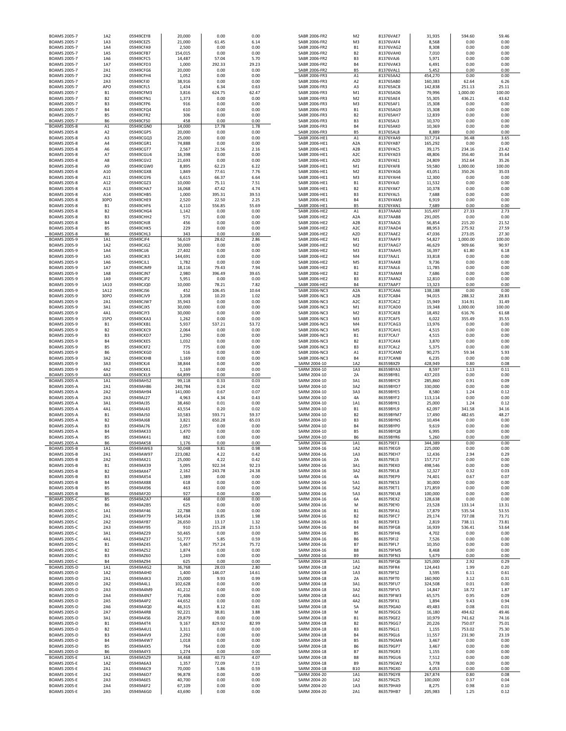| BOAMS 2005-7                               | 1A2                              | 05949CEY8              | 20,000           | 0.00           | 0.00          | SABR 2006-FR2                  | M <sub>2</sub>   | 81376VAE7              | 31,935             | 594.60        | 59.46         |
|--------------------------------------------|----------------------------------|------------------------|------------------|----------------|---------------|--------------------------------|------------------|------------------------|--------------------|---------------|---------------|
| BOAMS 2005-7                               | 1A3                              | 05949CEZ5              | 21,000           | 61.45          | 6.14          | SABR 2006-FR2                  | M3               | 81376VAF4              | 8,568              | 0.00          | 0.00          |
| <b>BOAMS 2005-7</b>                        | 1A4                              | 05949CFA9              | 2,500            | 0.00           | 0.00          | SABR 2006-FR2                  | <b>B1</b>        | 81376VAG2              | 8,308              | 0.00          | 0.00          |
| <b>BOAMS 2005-7</b>                        | 1A5                              | 05949CFB7              | 154,015          | 0.00           | 0.00          | SABR 2006-FR2                  | <b>B2</b>        | 81376VAH0              | 7,010              | 0.00          | 0.00          |
| <b>BOAMS 2005-7</b>                        | 1A6                              | 05949CFC5              | 14,487           | 57.04          | 5.70          | SABR 2006-FR2                  | B <sub>3</sub>   | 81376VAJ6              | 5,971              | 0.00          | 0.00          |
| <b>BOAMS 2005-7</b>                        | 1A7                              | 05949CFD3              | 1,000            | 292.33         | 29.23         | SABR 2006-FR2                  | <b>B4</b>        | 81376VAK3              | 6,491              | 0.00          | 0.00          |
| <b>BOAMS 2005-7</b>                        | 2A1                              | 05949CFG6              | 20,000           | 0.00           | 0.00          | SABR 2006-FR2                  | B <sub>5</sub>   | 81376VAL1              | 5,452              | 0.00          | 0.00          |
| <b>BOAMS 2005-7</b>                        | 2A2                              | 05949CFH4              | 1,052            | 0.00           | 0.00          | SABR 2006-FR3                  | A1               | 813765AA2              | 454,270            | 0.00          | 0.00          |
| <b>BOAMS 2005-7</b>                        | 2A3                              | 05949CFJ0              | 38,916           | 0.00           | 0.00          | SABR 2006-FR3                  | A <sub>2</sub>   | 813765AB0              | 160,383            | 62.64         | 6.26          |
| <b>BOAMS 2005-7</b>                        | <b>APO</b>                       | 05949CFL5              | 1,434            | 6.34           | 0.63          | SABR 2006-FR3                  | A3               | 813765AC8              | 142,838            | 251.13        | 25.11         |
| <b>BOAMS 2005-7</b>                        | <b>B1</b>                        | 05949CFM3              | 3,816            | 624.75         | 62.47         | SABR 2006-FR3                  | M1               | 813765AD6              | 79,996             | 1,000.00      | 100.00        |
|                                            |                                  |                        |                  |                |               |                                |                  |                        |                    |               |               |
| BOAMS 2005-7                               | B <sub>2</sub>                   | 05949CFN1              | 1,373            | 0.00           | 0.00          | SABR 2006-FR3                  | M <sub>2</sub>   | 813765AE4              | 55,305             | 436.21        | 43.62         |
| BOAMS 2005-7                               | B <sub>3</sub>                   | 05949CFP6              | 916              | 0.00           | 0.00          | SABR 2006-FR3                  | M3               | 813765AF1              | 15,308             | 0.00          | 0.00          |
| BOAMS 2005-7                               | <b>B4</b>                        | 05949CFQ4              | 610              | 0.00           | 0.00          | SABR 2006-FR3                  | B <sub>1</sub>   | 813765AG9              | 15,308             | 0.00          | 0.00          |
| <b>BOAMS 2005-7</b>                        | <b>B5</b>                        | 05949CFR2              | 306              | 0.00           | 0.00          | SABR 2006-FR3                  | <b>B2</b>        | 813765AH7              | 12,839             | 0.00          | 0.00          |
| <b>BOAMS 2005-7</b>                        | <b>B6</b>                        | 05949CFS0              | 458              | 0.00           | 0.00          | SABR 2006-FR3                  | B <sub>3</sub>   | 813765AJ3              | 10,370             | 0.00          | 0.00          |
| BOAMS 2005-8                               | A1                               | 05949CGN0              | 14,000           | 17.78          | 1.78          | SABR 2006-FR3                  | <b>B4</b>        | 813765AK0              | 10,369             | 0.00          | 0.00          |
| <b>BOAMS 2005-8</b>                        | A <sub>2</sub>                   | 05949CGP5              | 20,000           | 0.00           | 0.00          | SABR 2006-FR3                  | <b>B5</b>        | 813765AL8              | 8,889              | 0.00          | 0.00          |
| <b>BOAMS 2005-8</b>                        | A3                               | 05949CGQ3              | 25,000           | 0.00           | 0.00          | SABR 2006-HE1                  | A1               | 81376YAA9              | 317,714            | 36.48         | 3.65          |
| <b>BOAMS 2005-8</b>                        | A4                               | 05949CGR1              | 74,888           | 0.00           | 0.00          | SABR 2006-HE1                  | A2A              | 81376YAB7              | 165,292            | 0.00          | 0.00          |
| <b>BOAMS 2005-8</b>                        | A6                               | 05949CGT7              | 2,567            | 21.56          | 2.16          | SABR 2006-HE1                  | A <sub>2</sub> B | 81376YAC5              | 39,175             | 234.16        | 23.42         |
| BOAMS 2005-8                               | A7                               | 05949CGU4              | 16,398           | 0.00           | 0.00          | SABR 2006-HE1                  | A <sub>2</sub> C | 81376YAD3              | 48,806             | 356.40        | 35.64         |
| <b>BOAMS 2005-8</b>                        | A8                               | 05949CGV2              | 21,693           | 0.00           | 0.00          | SABR 2006-HE1                  | A <sub>2</sub> D | 81376YAE1              | 24,809             | 352.64        | 35.26         |
| BOAMS 2005-8                               | A9                               | 05949CGW0              | 8,895            | 62.23          | 6.22          | SABR 2006-HE1                  | M1               | 81376YAF8              | 59,580             | 1,000.00      | 100.00        |
| BOAMS 2005-8                               | A10                              | 05949CGX8              | 1,849            | 77.61          | 7.76          | SABR 2006-HE1                  | M <sub>2</sub>   | 81376YAG6              | 43,051             | 350.26        | 35.03         |
| BOAMS 2005-8                               | A11                              | 05949CGY6              | 6,615            | 66.37          | 6.64          | SABR 2006-HE1                  | M3               | 81376YAH4              | 12,300             | 0.00          | 0.00          |
| BOAMS 2005-8                               | A12                              | 05949CGZ3              | 10,000           | 75.11          | 7.51          | SABR 2006-HE1                  | B <sub>1</sub>   | 81376YAJ0              | 11,532             | 0.00          | 0.00          |
| <b>BOAMS 2005-8</b>                        | A13                              | 05949CHA7              | 16,068           | 47.42          | 4.74          | SABR 2006-HE1                  | <b>B2</b>        | 81376YAK7              | 10,378             | 0.00          | 0.00          |
| <b>BOAMS 2005-8</b>                        | A14                              | 05949CHB5              | 1,000            | 395.31         | 39.53         | SABR 2006-HE1                  | B <sub>3</sub>   | 81376YAL5              | 7,688              | 0.00          | 0.00          |
| BOAMS 2005-8                               | 30PO                             | 05949CHE9              | 2,520            | 22.50          | 2.25          | SABR 2006-HE1                  | <b>B4</b>        | 81376YAM3              | 6,919              | 0.00          | 0.00          |
| <b>BOAMS 2005-8</b>                        | <b>B1</b>                        | 05949CHF6              | 4,110            | 556.85         | 55.69         | SABR 2006-HE1                  | <b>B5</b>        | 81376YAN1              | 7,689              | 0.00          | 0.00          |
| <b>BOAMS 2005-8</b>                        | <b>B2</b>                        | 05949CHG4              | 1,142            | 0.00           | 0.00          | SABR 2006-HE2                  | A1               | 81377AAA0              | 315,497            | 27.33         | 2.73          |
| <b>BOAMS 2005-8</b>                        | B <sub>3</sub>                   | 05949CHH2              | 571              | 0.00           | 0.00          | SABR 2006-HE2                  | A2A              | 81377AAB8              | 291,005            | 0.00          | 0.00          |
| <b>BOAMS 2005-8</b>                        | <b>B4</b>                        | 05949CHJ8              | 456              | 0.00           | 0.00          | SABR 2006-HE2                  | A2B              | 81377AAC6              | 56,854             | 215.20        | 21.52         |
| <b>BOAMS 2005-8</b>                        | <b>B5</b>                        | 05949CHK5              | 229              | 0.00           | 0.00          | SABR 2006-HE2                  | A <sub>2</sub> C | 81377AAD4              | 88,953             | 275.92        | 27.59         |
| BOAMS 2005-8                               | <b>B6</b>                        | 05949CHL3              | 343              | 0.00           | 0.00          | SABR 2006-HE2                  | A <sub>2</sub> D | 81377AAE2              | 47,036             | 273.05        | 27.30         |
| BOAMS 2005-9                               | 1A1                              | 05949CJF4              | 56,619           | 28.62          | 2.86          | SABR 2006-HE2                  | M1               | 81377AAF9              | 54,827             | 1,000.00      | 100.00        |
|                                            |                                  |                        |                  |                |               |                                | M <sub>2</sub>   |                        |                    |               |               |
| BOAMS 2005-9                               | 1A2                              | 05949CJG2              | 30,000<br>27,402 | 0.00           | 0.00          | SABR 2006-HE2<br>SABR 2006-HE2 |                  | 81377AAG7              | 46,629             | 909.66        | 90.97         |
| BOAMS 2005-9                               | 1A4                              | 05949CJJ6              |                  | 0.00<br>0.00   | 0.00<br>0.00  |                                | M3<br>M4         | 81377AAH5              | 16,397             | 61.80<br>0.00 | 6.18<br>0.00  |
| BOAMS 2005-9                               | 1A5                              | 05949CJK3              | 144,691          |                |               | SABR 2006-HE2                  |                  | 81377AAJ1              | 33,818             |               |               |
| BOAMS 2005-9                               | 1A6                              | 05949CJL1              | 1,782            | 0.00           | 0.00          | SABR 2006-HE2                  | M <sub>5</sub>   | 81377AAK8              | 9,736              | 0.00          | 0.00          |
| BOAMS 2005-9                               | 1A7                              | 05949CJM9              | 18,116           | 79.43          | 7.94          | SABR 2006-HE2                  | <b>B1</b>        | 81377AAL6              | 11,785             | 0.00          | 0.00          |
| BOAMS 2005-9                               | 1A8                              | 05949CJN7              | 2,980            | 396.49         | 39.65         | SABR 2006-HE2                  | <b>B2</b>        | 81377AAM4              | 7,686              | 0.00          | 0.00          |
| BOAMS 2005-9                               | 1A9                              | 05949CJP2              | 5,951            | 0.00           | 0.00          | SABR 2006-HE2                  | B <sub>3</sub>   | 81377AAN2              | 12,810             | 0.00          | 0.00          |
| BOAMS 2005-9                               | 1A10                             | 05949CJQ0              | 10,000           | 78.21          | 7.82          | SABR 2006-HE2                  | <b>B4</b>        | 81377AAP7              | 13,323             | 0.00          | 0.00          |
| BOAMS 2005-9                               | 1A12                             | 05949CJS6              | 452              | 106.45         | 10.64         | SABR 2006-NC3                  | A <sub>2</sub> A | 81377CAA6              | 138,188            | 0.00          | 0.00          |
| BOAMS 2005-9                               | 30PO                             | 05949CJV9              | 3,208            | 10.20          | 1.02          | SABR 2006-NC3                  | A2B              | 81377CAB4              | 94,015             | 288.32        | 28.83         |
| BOAMS 2005-9                               | 2A1                              | 05949CJW7              | 35,943           | 0.00           | 0.00          | SABR 2006-NC3                  | A <sub>2</sub> C | 81377CAC2              | 15,949             | 314.91        | 31.49         |
| BOAMS 2005-9                               | 3A1                              | 05949CJX5              | 30,000           | 0.00           | 0.00          | SABR 2006-NC3                  | M1               | 81377CAD0              | 19,348             | 1,000.00      | 100.00        |
| BOAMS 2005-9                               | 4A1                              | 05949CJY3              | 30,000           | 0.00           | 0.00          | SABR 2006-NC3                  | M <sub>2</sub>   | 81377CAE8              | 18,492             | 616.76        | 61.68         |
| BOAMS 2005-9                               | 15PO                             | 05949CKA3              | 1,262            | 0.00           | 0.00          | SABR 2006-NC3                  | M3               | 81377CAF5              | 6,022              | 355.49        | 35.55         |
| BOAMS 2005-9                               | B1                               | 05949CKB1              | 5,937            | 537.21         | 53.72         | SABR 2006-NC3                  | M <sub>4</sub>   | 81377CAG3              | 13,976             | 0.00          | 0.00          |
| BOAMS 2005-9                               | B <sub>2</sub>                   | 05949CKC9              | 2,064            | 0.00           | 0.00          | SABR 2006-NC3                  | M <sub>5</sub>   | 81377CAH1              | 4,515              | 0.00          | 0.00          |
| BOAMS 2005-9                               | B <sub>3</sub>                   | 05949CKD7              | 1,290            | 0.00           | 0.00          | SABR 2006-NC3                  | <b>B1</b>        | 81377CAJ7              | 4,515              | 0.00          | 0.00          |
| BOAMS 2005-9                               | <b>B4</b>                        | 05949CKE5              | 1,032            | 0.00           | 0.00          | SABR 2006-NC3                  | <b>B2</b>        | 81377CAK4              | 3,870              | 0.00          | 0.00          |
| BOAMS 2005-9                               | B <sub>5</sub>                   | 05949CKF2              | 775              | 0.00           | 0.00          | SABR 2006-NC3                  | B <sub>3</sub>   | 81377CAL2              | 5,375              | 0.00          | 0.00          |
| BOAMS 2005-9                               | <b>B6</b>                        | 05949CKG0              | 516              | 0.00           | 0.00          | SABR 2006-NC3                  | A1               | 81377CAM0              | 90,275             | 59.34         | 5.93          |
| BOAMS 2005-9                               | 3A2                              | 05949CKH8              | 1,169            | 0.00           | 0.00          | SABR 2006-NC3                  | <b>B4</b>        | 81377CAN8              | 6,235              | 0.00          | 0.00          |
| BOAMS 2005-9                               | 3A3                              | 05949CKJ4              | 38,844           | 0.00           | 0.00          | SARM 2004-10                   | 1A2              | 86359BXZ9              | 428,949            | 0.80          | 0.08          |
| BOAMS 2005-9                               | 4A2                              | 05949CKK1              | 1,169            | 0.00           | 0.00          | SARM 2004-10                   | 1A3              | 86359BYA3              | 8,597              | 1.13          | 0.11          |
| <b>BOAMS 2005-9</b>                        | 4A3                              | 05949CKL9              | 64,899           | 0.00           | 0.00          | SARM 2004-10                   | 2A               | 86359BYB1              | 437,203            | 0.00          | 0.00          |
| <b>BOAMS 2005-A</b>                        | 1A1                              | 05949AH52              | 99,118           | 0.33           | 0.03          | SARM 2004-10                   | 3A1              | 86359BYC9              | 285,860            | 0.91          | 0.09          |
| <b>BOAMS 2005-A</b>                        | 2A1                              | 05949AH86              | 240,784          | 0.24           | 0.02          | SARM 2004-10                   | 3A2              | 86359BYD7              | 330,000            | 0.00          | 0.00          |
| <b>BOAMS 2005-A</b>                        | 2A2                              | 05949AH94              | 141,000          | 0.67           | 0.07          | SARM 2004-10                   | 3A3              | 86359BYE5              | 8,580              | 1.24          | 0.12          |
| <b>BOAMS 2005-A</b>                        | 2A3                              | 05949AJ27              | 4,963            | 4.34           | 0.43          | SARM 2004-10                   | 4A               | 86359BYF2              | 113,114            | 0.00          | 0.00          |
| <b>BOAMS 2005-A</b>                        | 3A1                              | 05949AJ35              | 38,460           | 0.01           | 0.00          | SARM 2004-10                   | 1A1              | 86359BYK1              | 25,000             | 1.24          | 0.12          |
| <b>BOAMS 2005-A</b>                        | 4A1                              | 05949AJ43              | 43,554           | 0.20           | 0.02          | SARM 2004-10                   | <b>B1</b>        | 86359BYL9              | 62,097             | 341.58        | 34.16         |
| <b>BOAMS 2005-A</b>                        | <b>B1</b>                        | 05949AJ50              | 10,583           | 593.71         | 59.37         | SARM 2004-10                   | <b>B2</b>        | 86359BYM7              | 17,490             | 482.65        | 48.27         |
| <b>BOAMS 2005-A</b>                        | <b>B2</b>                        | 05949AJ68              | 3,821            | 650.28         | 65.03         | SARM 2004-10                   | B <sub>3</sub>   | 86359BYN5              | 10,494             | 0.00          | 0.00          |
| <b>BOAMS 2005-A</b>                        | B <sub>3</sub>                   | 05949AJ76              | 2,057            | 0.00           | 0.00          | SARM 2004-10                   | <b>B4</b>        | 86359BYP0              | 9,619              | 0.00          | 0.00          |
| <b>BOAMS 2005-A</b>                        | <b>B4</b>                        | 05949AK33              | 1,470            | 0.00           | 0.00          | SARM 2004-10                   | <b>B5</b>        | 86359BYQ8              | 6,995              | 0.00          | 0.00          |
| <b>BOAMS 2005-A</b>                        | <b>B5</b>                        | 05949AK41              | 882              | 0.00           | 0.00          | SARM 2004-10                   | <b>B6</b>        | 86359BYR6              | 5,260              | 0.00          | 0.00          |
| <b>BOAMS 2005-4</b>                        | <b>R6</b>                        | 05949AK58              | 1 1 7 6          | 0.00           | 0.00          | SARM 2004-16                   | 1 <sub>4</sub>   | 863579EF1              | 344,389            | n nn          | n nn          |
| <b>BOAMS 2005-B</b>                        | 1A1                              | 05949AW63              | 50,048           | 9.81           | 0.98          | SARM 2004-16                   | 1A2              | 863579EG9              | 225,000            | 0.00          | 0.00          |
| <b>BOAMS 2005-B</b>                        | 2A1                              | 05949AW97              | 223,082          | 4.22           | 0.42          | SARM 2004-16                   | 1A3              | 863579EH7              | 12,436             | 2.94          | 0.29          |
|                                            |                                  |                        |                  |                |               | SARM 2004-16                   |                  |                        |                    |               |               |
| <b>BOAMS 2005-B</b><br><b>BOAMS 2005-B</b> | 2A2<br><b>B1</b>                 | 05949AX21<br>05949AX39 | 25,000<br>5,095  | 4.22<br>922.34 | 0.42<br>92.23 | SARM 2004-16                   | 2A<br>3A1        | 863579EJ3<br>863579EK0 | 157,717<br>498,546 | 0.00<br>0.00  | 0.00<br>0.00  |
|                                            |                                  |                        |                  |                |               |                                |                  | 863579EL8              |                    |               |               |
| <b>BOAMS 2005-B</b><br><b>BOAMS 2005-B</b> | B <sub>2</sub><br>B <sub>3</sub> | 05949AX47<br>05949AX54 | 2,162<br>1,389   | 243.78<br>0.00 | 24.38<br>0.00 | SARM 2004-16<br>SARM 2004-16   | 3A2<br>4A        | 863579EP9              | 12,327<br>74,401   | 0.32<br>0.67  | 0.03<br>0.07  |
| <b>BOAMS 2005-B</b>                        | <b>B4</b>                        | 05949AX88              | 618              | 0.00           | 0.00          | SARM 2004-16                   | 5A1              | 863579ES3              | 30,000             | 0.00          | 0.00          |
| <b>BOAMS 2005-B</b>                        | <b>B5</b>                        | 05949AX96              | 463              | 0.00           | 0.00          | SARM 2004-16                   | 5A2              | 863579ET1              | 171,859            | 0.00          | 0.00          |
| <b>BOAMS 2005-B</b>                        | <b>B6</b>                        | 05949AY20              | 927              | 0.00           | 0.00          | SARM 2004-16                   | 5A3              | 863579EU8              | 100,000            | 0.00          | 0.00          |
| <b>BOAMS 2005-C</b>                        | B <sub>5</sub>                   | 05949A2A7              | 468              | 0.00           | 0.00          | SARM 2004-16                   | 6A               | 863579EX2              | 128,638            | 0.00          | 0.00          |
| <b>BOAMS 2005-C</b>                        | <b>B6</b>                        | 05949A2B5              | 625              | 0.00           | 0.00          | SARM 2004-16                   | M                | 863579EY0              | 23,528             | 133.14        | 13.31         |
| <b>BOAMS 2005-C</b>                        | 1A1                              | 05949AY46              | 22,788           | 0.00           | 0.00          | SARM 2004-16                   | B1               | 863579FA1              | 17,879             | 535.54        | 53.55         |
| <b>BOAMS 2005-C</b>                        | 2A1                              | 05949AY79              | 149,434          | 19.85          | 1.98          | SARM 2004-16                   | <b>B2</b>        | 863579FC7              | 29,174             | 737.08        | 73.71         |
| <b>BOAMS 2005-C</b>                        | 2A2                              | 05949AY87              | 26,650           | 13.17          | 1.32          | SARM 2004-16                   | B <sub>3</sub>   | 863579FE3              | 2,819              | 738.11        | 73.81         |
| <b>BOAMS 2005-C</b>                        | 2A3                              | 05949AY95              |                  |                | 21.53         | SARM 2004-16                   | <b>B4</b>        | 863579FG8              |                    |               |               |
|                                            | 3A1                              | 05949AZ29              | 910              | 215.28<br>0.00 | 0.00          | SARM 2004-16                   | <b>B5</b>        | 863579FH6              | 16,939             | 536.41        | 53.64<br>0.00 |
| <b>BOAMS 2005-C</b>                        |                                  |                        | 50,465           |                |               |                                |                  |                        | 4,702              | 0.00          |               |
| <b>BOAMS 2005-C</b><br><b>BOAMS 2005-C</b> | 4A1                              | 05949AZ37              | 51,777           | 5.85           | 0.59          | SARM 2004-16                   | <b>B6</b>        | 863579FJ2              | 7,526              | 0.00          | 0.00          |
| <b>BOAMS 2005-C</b>                        | <b>B1</b>                        | 05949AZ45              | 5,467            | 757.24         | 75.72         | SARM 2004-16                   | <b>B7</b>        | 863579FL7              | 10,350             | 0.00          | 0.00          |
|                                            | <b>B2</b>                        | 05949AZ52              | 1,874            | 0.00           | 0.00          | SARM 2004-16                   | B8               | 863579FM5              | 8,468              | 0.00          | 0.00          |
| <b>BOAMS 2005-C</b>                        | B <sub>3</sub>                   | 05949AZ60              | 1,249            | 0.00           | 0.00          | SARM 2004-16                   | B <sub>9</sub>   | 863579FN3              | 5,679              | 0.00          | 0.00          |
| <b>BOAMS 2005-C</b>                        | <b>B4</b>                        | 05949AZ94              | 625              | 0.00           | 0.00          | SARM 2004-18                   | 1A1              | 863579FQ6              | 325,000            | 2.92          | 0.29          |
| <b>BOAMS 2005-D</b>                        | 1A1                              | 05949A4G2              | 36,768           | 28.03          | 2.80          | SARM 2004-18                   | 1A2              | 863579FR4              | 124,443            | 1.99          | 0.20          |
| <b>BOAMS 2005-D</b>                        | 1A2                              | 05949A4H0              | 1,400            | 146.07         | 14.61         | SARM 2004-18                   | 1A3              | 863579FS2              | 3,595              | 6.11          | 0.61          |
| <b>BOAMS 2005-D</b>                        | 2A1                              | 05949A4K3              | 25,000           | 9.93           | 0.99          | SARM 2004-18                   | 2A               | 863579FT0              | 160,900            | 3.12          | 0.31          |
| <b>BOAMS 2005-D</b>                        | 2A2                              | 05949A4L1              | 102,628          | 0.00           | 0.00          | SARM 2004-18                   | 3A1              | 863579FU7              | 324,508            | 0.01          | 0.00          |
| <b>BOAMS 2005-D</b>                        | 2A3                              | 05949A4M9              | 41,212           | 0.00           | 0.00          | SARM 2004-18                   | 3A2              | 863579FV5              | 14,847             | 18.72         | 1.87          |
| <b>BOAMS 2005-D</b>                        | 2A4                              | 05949A4N7              | 71,406           | 0.00           | 0.00          | SARM 2004-18                   | 4A1              | 863579FW3              | 65,575             | 0.95          | 0.09          |
| <b>BOAMS 2005-D</b>                        | 2A5                              | 05949A4P2              | 44,652           | 0.00           | 0.00          | SARM 2004-18                   | 4A2              | 863579FX1              | 1,894              | 9.43          | 0.94          |
| <b>BOAMS 2005-D</b>                        | 2A6                              | 05949A4Q0              | 46,315           | 8.12           | 0.81          | SARM 2004-18                   | 5A               | 863579GA0              | 49,483             | 0.08          | 0.01          |
| <b>BOAMS 2005-D</b>                        | 2A7                              | 05949A4R8              | 92,221           | 38.81          | 3.88          | SARM 2004-18                   | М                | 863579GC6              | 16,180             | 494.62        | 49.46         |
| <b>BOAMS 2005-D</b>                        | 3A1                              | 05949A4S6              | 29,879           | 0.00           | 0.00          | SARM 2004-18                   | <b>B1</b>        | 863579GE2              | 10,979             | 741.62        | 74.16         |
| <b>BOAMS 2005-D</b>                        | <b>B1</b>                        | 05949A4T4              | 9,167            | 829.92         | 82.99         | SARM 2004-18                   | <b>B2</b>        | 863579GG7              | 20,226             | 750.07        | 75.01         |
| <b>BOAMS 2005-D</b>                        | <b>B2</b>                        | 05949A4U1              | 3,311            | 0.00           | 0.00          | SARM 2004-18                   | B <sub>3</sub>   | 863579GJ1              | 1,155              | 753.02        | 75.30         |
| <b>BOAMS 2005-D</b>                        | B <sub>3</sub>                   | 05949A4V9              | 2,292            | 0.00           | 0.00          | SARM 2004-18                   | <b>B4</b>        | 863579GL6              | 11,557             | 231.90        | 23.19         |
| <b>BOAMS 2005-D</b>                        | <b>B4</b>                        | 05949A4W7              | 1,018            | 0.00           | 0.00          | SARM 2004-18                   | <b>B5</b>        | 863579GM4              | 3,467              | 0.00          | 0.00          |
| <b>BOAMS 2005-D</b>                        | <b>B5</b>                        | 05949A4X5              | 764              | 0.00           | 0.00          | SARM 2004-18                   | <b>B6</b>        | 863579GP7              | 3,467              | 0.00          | 0.00          |
| <b>BOAMS 2005-D</b>                        | <b>B6</b>                        | 05949A4Y3              | 1,274            | 0.00           | 0.00          | SARM 2004-18                   | <b>B7</b>        | 863579GR3              | 1,155              | 0.00          | 0.00          |
| <b>BOAMS 2005-E</b>                        | 1A1                              | 05949A5Z9              | 34,468           | 40.73          | 4.07          | SARM 2004-18                   | B8               | 863579GU6              | 7,512              | 0.00          | 0.00          |
| <b>BOAMS 2005-E</b>                        | 1A2                              | 05949A6A3              | 1,357            | 72.09          | 7.21          | SARM 2004-18                   | B <sub>9</sub>   | 863579GW2              | 5,778              | 0.00          | 0.00          |
|                                            | 2A1                              | 05949A6C9              | 70,000           | 5.86           |               | SARM 2004-18                   | <b>B10</b>       | 863579GX0              |                    |               | 0.00          |
| <b>BOAMS 2005-E</b>                        |                                  |                        |                  |                | 0.59          |                                |                  |                        | 4,053              | 0.00          |               |
| <b>BOAMS 2005-E</b>                        | 2A2                              | 05949A6D7              | 96,878           | 0.00           | 0.00          | SARM 2004-20                   | 1A1              | 863579GY8              | 267,874            | 0.80          | 0.08          |
| <b>BOAMS 2005-E</b>                        | 2A3<br>2A4                       | 05949A6E5<br>05949A6F2 | 40,700           | 0.00           | 0.00          | SARM 2004-20                   | 1A2              | 863579GZ5              | 100,000            | 0.37          | 0.04          |
|                                            |                                  |                        | 67,109           | 0.00           | 0.00          | SARM 2004-20                   | 1A3              | 863579HA9              | 8,275              | 0.98          | 0.10          |
| <b>BOAMS 2005-E</b><br><b>BOAMS 2005-E</b> | 2A5                              | 05949A6G0              | 43,690           | 0.00           | 0.00          | SARM 2004-20                   | 2A1              | 863579HB7              | 205,983            | 1.25          | 0.12          |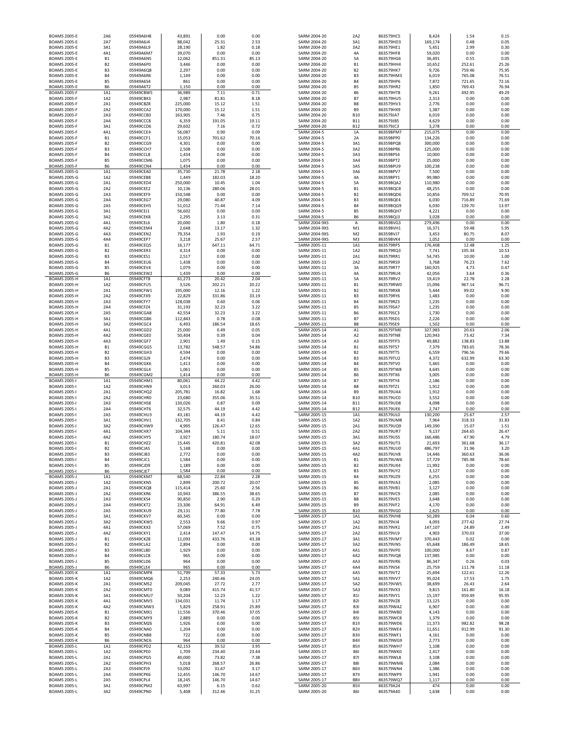| <b>BOAMS 2005-E</b>                        | 2A7                         | 05949A6J4              | 88,042            | 25.31            | 2.53                   | SARM 2004-20                                 | 3A1                       | 863579HD3              | 169,174           | 0.48             | 0.05           |
|--------------------------------------------|-----------------------------|------------------------|-------------------|------------------|------------------------|----------------------------------------------|---------------------------|------------------------|-------------------|------------------|----------------|
| <b>BOAMS 2005-E</b><br><b>BOAMS 2005-E</b> | 3A1<br>4A1                  | 05949A6L9<br>05949A6M7 | 28,190<br>39,070  | 1.82<br>0.00     | 0.18<br>0.00           | SARM 2004-20<br>SARM 2004-20                 | 3A2<br>4A                 | 863579HE1<br>863579HF8 | 5,451<br>59,020   | 2.99<br>0.00     | 0.30<br>0.00   |
| <b>BOAMS 2005-E</b>                        | <b>B1</b>                   | 05949A6N5              | 12,062            | 851.31           | 85.13                  | SARM 2004-20                                 | 5A                        | 863579HG6              | 36,491            | 0.55             | 0.05           |
| <b>BOAMS 2005-E</b>                        | B <sub>2</sub>              | 05949A6P0              | 3,446             | 0.00             | 0.00                   | SARM 2004-20                                 | <b>B1</b>                 | 863579HH4              | 10,652            | 252.61           | 25.26          |
| <b>BOAMS 2005-E</b>                        | B <sub>3</sub><br><b>B4</b> | 05949A6Q8              | 2,297             | 0.00             | 0.00                   | SARM 2004-20                                 | <b>B2</b>                 | 863579HK7              | 9,726             | 759.46           | 75.95<br>76.51 |
| <b>BOAMS 2005-E</b><br><b>BOAMS 2005-E</b> | <b>B5</b>                   | 05949A6R6<br>05949A6S4 | 1,149<br>861      | 0.00<br>0.00     | 0.00<br>0.00           | SARM 2004-20<br>SARM 2004-20                 | B3<br><b>B4</b>           | 863579HM3<br>863579HP6 | 6,019<br>7,872    | 765.08<br>721.65 | 72.16          |
| <b>BOAMS 2005-E</b>                        | <b>B6</b>                   | 05949A6T2              | 1,150             | 0.00             | 0.00                   | SARM 2004-20                                 | <b>B5</b>                 | 863579HR2              | 1,850             | 769.43           | 76.94          |
| <b>BOAMS 2005-F</b>                        | 1A1                         | 05949CBW5              | 36,989            | 7.11             | 0.71                   | SARM 2004-20                                 | <b>B6</b>                 | 863579HT8              | 9,261             | 492.95           | 49.29          |
| <b>BOAMS 2005-F</b><br><b>BOAMS 2005-F</b> | 1A2<br>2A1                  | 05949CBX3<br>05949CBZ8 | 2,987<br>225,000  | 81.81<br>15.12   | 8.18<br>1.51           | SARM 2004-20<br>SARM 2004-20                 | <b>B7</b><br>B8           | 863579HU5<br>863579HV3 | 2,313<br>2,776    | 0.00<br>0.00     | 0.00<br>0.00   |
| <b>BOAMS 2005-F</b>                        | 2A2                         | 05949CCA2              | 170,000           | 15.12            | 1.51                   | SARM 2004-20                                 | <b>B9</b>                 | 863579HX9              | 1,387             | 0.00             | 0.00           |
| <b>BOAMS 2005-F</b>                        | 2A3                         | 05949CCB0              | 163,905           | 7.46             | 0.75                   | SARM 2004-20                                 | <b>B10</b>                | 863579JA7              | 6,019             | 0.00             | 0.00           |
| <b>BOAMS 2005-F</b><br><b>BOAMS 2005-F</b> | 2A4<br>3A1                  | 05949CCC8<br>05949CCD6 | 6,359<br>29,602   | 191.05<br>7.16   | 19.11<br>0.72          | SARM 2004-20<br>SARM 2004-20                 | <b>B11</b><br><b>B12</b>  | 863579JB5<br>863579JC3 | 4,629<br>3,278    | 0.00<br>0.00     | 0.00<br>0.00   |
| <b>BOAMS 2005-F</b>                        | 4A1                         | 05949CCE4              | 56,087            | 0.90             | 0.09                   | SARM 2004-5                                  | $1A$                      | 86359BPM7              | 215,075           | 0.00             | 0.00           |
| <b>BOAMS 2005-F</b>                        | <b>B1</b>                   | 05949CCF1              | 15,053            | 701.62           | 70.16                  | SARM 2004-5                                  | 2A                        | 86359BPP0              | 134,226           | 0.00             | 0.00           |
| <b>BOAMS 2005-F</b>                        | B <sub>2</sub>              | 05949CCG9              | 4,301             | 0.00             | 0.00                   | SARM 2004-5                                  | 3A1                       | 86359BPQ8              | 300,000           | 0.00             | 0.00           |
| <b>BOAMS 2005-F</b><br><b>BOAMS 2005-F</b> | B <sub>3</sub><br><b>B4</b> | 05949CCH7<br>05949CCL8 | 2,508<br>1,434    | 0.00<br>0.00     | 0.00<br>0.00           | SARM 2004-5<br>SARM 2004-5                   | 3A2<br>3A3                | 86359BPR6<br>86359BPS4 | 125,000<br>10,000 | 0.00<br>0.00     | 0.00<br>0.00   |
| <b>BOAMS 2005-F</b>                        | B <sub>5</sub>              | 05949CCM6              | 1,075             | 0.00             | 0.00                   | SARM 2004-5                                  | 3A4                       | 86359BPT2              | 25,000            | 0.00             | 0.00           |
| <b>BOAMS 2005-F</b>                        | <b>B6</b>                   | 05949CCN4              | 1,434             | 0.00             | 0.00                   | SARM 2004-5                                  | 3A5                       | 86359BPU9              | 100,238           | 0.00             | 0.00           |
| <b>BOAMS 2005-G</b><br><b>BOAMS 2005-G</b> | 1A1<br>1A2                  | 05949CEA0<br>05949CEB8 | 35,730<br>1,449   | 21.78<br>182.03  | 2.18<br>18.20          | SARM 2004-5<br>SARM 2004-5                   | 3A6<br>4A                 | 86359BPV7<br>86359BPY1 | 7,500<br>99,980   | 0.00<br>0.00     | 0.00<br>0.00   |
| <b>BOAMS 2005-G</b>                        | 2A1                         | 05949CED4              | 250,000           | 10.45            | 1.04                   | SARM 2004-5                                  | 5A                        | 86359BQA2              | 110,980           | 0.00             | 0.00           |
| <b>BOAMS 2005-G</b>                        | 2A2                         | 05949CEE2              | 10,136            | 280.06           | 28.01                  | SARM 2004-5                                  | <b>B1</b>                 | 86359BQC8              | 48,255            | 0.00             | 0.00           |
| <b>BOAMS 2005-G</b><br><b>BOAMS 2005-G</b> | 2A3<br>2A4                  | 05949CEF9<br>05949CEG7 | 150,548<br>29,080 | 0.00<br>40.87    | 0.00<br>4.09           | SARM 2004-5<br>SARM 2004-5                   | <b>B2</b><br>B3           | 86359BQD6<br>86359BQE4 | 10,856<br>6,030   | 709.52<br>716.89 | 70.95<br>71.69 |
| <b>BOAMS 2005-G</b>                        | 2A5                         | 05949CEH5              | 51,012            | 71.44            | 7.14                   | SARM 2004-5                                  | <b>B4</b>                 | 86359BQG9              | 6,030             | 139.70           | 13.97          |
| <b>BOAMS 2005-G</b>                        | 3A1                         | 05949CEJ1              | 56,602            | 0.00             | 0.00                   | SARM 2004-5                                  | <b>B5</b>                 | 86359BQH7              | 4,221             | 0.00             | 0.00           |
| <b>BOAMS 2005-G</b>                        | 3A2                         | 05949CEK8              | 2,295             | 3.13             | 0.31                   | SARM 2004-5                                  | <b>B6</b>                 | 86359BQJ3              | 3,028             | 0.00             | 0.00           |
| <b>BOAMS 2005-G</b><br><b>BOAMS 2005-G</b> | 4A1<br>4A2                  | 05949CEL6<br>05949CEM4 | 20,000<br>2,648   | 1.80<br>13.17    | 0.18<br>1.32           | <b>SARM 2004-9XS</b><br><b>SARM 2004-9XS</b> | А<br>M1                   | 86359BVG3<br>86359BVH1 | 279,496<br>16,371 | 0.00<br>59.48    | 0.00<br>5.95   |
| <b>BOAMS 2005-G</b>                        | 4A3                         | 05949CEN2              | 79,354            | 1.93             | 0.19                   | <b>SARM 2004-9XS</b>                         | M <sub>2</sub>            | 86359BVJ7              | 3,453             | 80.75            | 8.07           |
| <b>BOAMS 2005-G</b>                        | 4A4                         | 05949CEP7              | 3,218             | 25.67            | 2.57                   | <b>SARM 2004-9XS</b>                         | M3                        | 86359BVK4              | 1,052             | 0.00             | 0.00           |
| <b>BOAMS 2005-G</b><br><b>BOAMS 2005-G</b> | <b>B1</b><br>B <sub>2</sub> | 05949CEQ5<br>05949CER3 | 16,177<br>4,314   | 647.11<br>0.00   | 64.71<br>0.00          | SARM 2005-11<br>SARM 2005-11                 | 1A1<br>1A2                | 863579RP5<br>863579RQ3 | 176,408<br>7,741  | 12.48<br>105.34  | 1.25<br>10.53  |
| <b>BOAMS 2005-G</b>                        | B <sub>3</sub>              | 05949CES1              | 2,517             | 0.00             | 0.00                   | SARM 2005-11                                 | 2A1                       | 863579RR1              | 54,745            | 10.00            | 1.00           |
| <b>BOAMS 2005-G</b>                        | <b>B4</b>                   | 05949CEU6              | 1,438             | 0.00             | 0.00                   | SARM 2005-11                                 | 2A2                       | 863579RS9              | 3,768             | 76.23            | 7.62           |
| <b>BOAMS 2005-G</b><br><b>BOAMS 2005-G</b> | <b>B5</b><br><b>B6</b>      | 05949CEV4<br>05949CEW2 | 1,079<br>1,439    | 0.00<br>0.00     | 0.00<br>0.00           | SARM 2005-11<br>SARM 2005-11                 | 3A<br>4A                  | 863579RT7<br>863579RU4 | 160,925<br>42,056 | 4.73<br>3.64     | 0.47<br>0.36   |
| <b>BOAMS 2005-H</b>                        | 1A1                         | 05949CFT8              | 61,273            | 20.42            | 2.04                   | SARM 2005-11                                 | 5A                        | 863579RV2              | 19,419            | 22.78            | 2.28           |
| <b>BOAMS 2005-H</b>                        | 1A2                         | 05949CFU5              | 3,526             | 202.21           | 20.22                  | SARM 2005-11                                 | <b>B1</b>                 | 863579RW0              | 15,096            | 967.14           | 96.71          |
| <b>BOAMS 2005-H</b>                        | 2A1                         | 05949CFW1              | 195,000           | 12.16            | 1.22                   | SARM 2005-11                                 | <b>B2</b>                 | 863579RX8              | 5,444             | 99.02            | 9.90           |
| <b>BOAMS 2005-H</b><br><b>BOAMS 2005-H</b> | 2A2<br>2A3                  | 05949CFX9<br>05949CFY7 | 22,829<br>128,038 | 331.86<br>0.60   | 33.19<br>0.06          | SARM 2005-11<br>SARM 2005-11                 | B3<br><b>B4</b>           | 863579RY6<br>863579RZ3 | 1,483<br>1,235    | 0.00<br>0.00     | 0.00<br>0.00   |
| <b>BOAMS 2005-H</b>                        | 2A4                         | 05949CFZ4              | 31,193            | 32.23            | 3.22                   | SARM 2005-11                                 | <b>B5</b>                 | 863579SA7              | 1,235             | 0.00             | 0.00           |
| <b>BOAMS 2005-H</b>                        | 2A5                         | 05949CGA8              | 42,554            | 32.23            | 3.22                   | SARM 2005-11                                 | <b>B6</b>                 | 863579SC3              | 1,730             | 0.00             | 0.00           |
| <b>BOAMS 2005-H</b><br><b>BOAMS 2005-H</b> | 3A1<br>3A2                  | 05949CGB6<br>05949CGC4 | 112,843<br>6,493  | 0.78<br>186.54   | 0.08<br>18.65          | SARM 2005-11<br>SARM 2005-11                 | <b>B7</b><br><b>B8</b>    | 863579SD1<br>863579SE9 | 2,226<br>1,502    | 0.00<br>0.00     | 0.00<br>0.00   |
| <b>BOAMS 2005-H</b>                        | 4A1                         | 05949CGD2              | 25,000            | 0.49             | 0.05                   | SARM 2005-14                                 | A1                        | 863579TM0              | 327,983           | 20.63            | 2.06           |
| <b>BOAMS 2005-H</b>                        | 4A2                         | 05949CGE0              | 50,404            | 0.39             | 0.04                   | SARM 2005-14                                 | A <sub>2</sub>            | 863579TN8              | 120,943           | 73.42            | 7.34           |
| <b>BOAMS 2005-H</b><br><b>BOAMS 2005-H</b> | 4A3<br><b>B1</b>            | 05949CGF7<br>05949CGG5 | 2,901<br>13,782   | 1.49<br>548.57   | 0.15<br>54.86          | SARM 2005-14<br>SARM 2005-14                 | A3<br>B1                  | 863579TP3<br>863579TS7 | 49,882<br>7,379   | 138.83<br>783.65 | 13.88<br>78.36 |
| <b>BOAMS 2005-H</b>                        | B <sub>2</sub>              | 05949CGH3              | 4,594             | 0.00             | 0.00                   | SARM 2005-14                                 | B <sub>2</sub>            | 863579TT5              | 6,559             | 796.56           | 79.66          |
| <b>BOAMS 2005-H</b>                        | B <sub>3</sub>              | 05949CGJ9              | 2,474             | 0.00             | 0.00                   | SARM 2005-14                                 | B3                        | 863579TU2              | 4,372             | 632.99           | 63.30          |
| <b>BOAMS 2005-H</b>                        | <b>B4</b><br><b>B5</b>      | 05949CGK6<br>05949CGL4 | 1,413             | 0.00<br>0.00     | 0.00<br>0.00           | SARM 2005-14<br>SARM 2005-14                 | <b>B4</b><br><b>B5</b>    | 863579TV0<br>863579TW8 | 5,465             | 0.00<br>0.00     | 0.00<br>0.00   |
| <b>BOAMS 2005-H</b><br><b>BOAMS 2005-H</b> | <b>B6</b>                   | 05949CGM2              | 1,061<br>1,414    | 0.00             | 0.00                   | SARM 2005-14                                 | <b>B6</b>                 | 863579TX6              | 4,645<br>3,005    | 0.00             | 0.00           |
| <b>BOAMS 2005-</b>                         | 1A1                         | 05949CHM1              | 80,061            | 44.22            | 4.42                   | SARM 2005-14                                 | <b>B7</b>                 | 863579TY4              | 2,186             | 0.00             | 0.00           |
| <b>BOAMS 2005-I</b>                        | 1A2                         | 05949CHN9              | 3,013             | 260.03           | 26.00                  | SARM 2005-14                                 | B8                        | 863579TZ1              | 1,912             | 0.00             | 0.00           |
| <b>BOAMS 2005-I</b><br><b>BOAMS 2005-</b>  | 2A1<br>2A2                  | 05949CHQ2<br>05949CHR0 | 205,781<br>23,680 | 16.82<br>355.06  | 1.68<br>35.51          | SARM 2005-14<br>SARM 2005-14                 | <b>B9</b><br><b>B10</b>   | 863579UA4<br>863579UC0 | 1,912<br>3,552    | 0.00<br>0.00     | 0.00<br>0.00   |
| <b>BOAMS 2005-</b>                         | 2A3                         | 05949CHS8              | 130,026           | 0.87             | 0.09                   | SARM 2005-14                                 | <b>B11</b>                | 863579UD8              | 4,098             | 0.00             | 0.00           |
| <b>BOAMS 2005-</b>                         | 2A4                         | 05949CHT6              | 32,575            | 44.19            | 4.42                   | SARM 2005-14                                 | <b>B12</b>                | 863579UE6              | 2,747             | 0.00             | 0.00           |
| <b>BOAMS 2005-</b><br><b>BOAMS 2005-</b>   | 2A5<br>3A1                  | 05949CHU3<br>05949CHV1 | 43,181<br>132,705 | 44.19<br>8.41    | 4.42<br>0.84           | SARM 2005-15<br>SARM 2005-15                 | 1A1<br>1A2                | 863579UL0<br>863579UM8 | 130,200<br>7,964  | 25.67<br>318.33  | 2.57<br>31.83  |
| <b>BOAMS 2005-</b>                         | 3A2                         | 05949CHW9              | 4,995             | 126.47           | 12.65                  | SARM 2005-15                                 | 2A1                       | 863579UQ9              | 149,390           | 15.07            | 1.51           |
| <b>BOAMS 2005-</b>                         | 4A1                         | 05949CHX7              | 104,344           | 5.11             | 0.51                   | SARM 2005-15                                 | 2A2                       | 863579UR7              | 9,137             | 264.65           | 26.47          |
| <b>BOAMS 2005-</b><br><b>BOAMS 2005-I</b>  | 4A2<br><b>B1</b>            | 05949CHY5<br>05949CHZ2 | 3,927<br>15,445   | 180.74<br>420.81 | 18.07<br>42.08         | SARM 2005-15<br>SARM 2005-15                 | 3A1<br>3A2                | 863579US5<br>863579UT3 | 166,486<br>21,693 | 47.90<br>361.68  | 4.79<br>36.17  |
| <b>BOAMS 2005-I</b>                        | B <sub>2</sub>              | 05949CJA5              | 5,148             | 0.00             | 0.00                   | SARM 2005-15                                 | 4A1                       | 863579UU0              | 486,797           | 31.96            | 3.20           |
| <b>BOAMS 2005-I</b>                        | B <sub>3</sub>              | 05949CJB3              | 2,772             | 0.00             | 0.00                   | SARM 2005-15                                 | 4A2                       | 863579UV8              | 14,446            | 360.63           | 36.06          |
| <b>BOAMS 2005-I</b><br><b>BOAMS 2005-I</b> | <b>B4</b><br><b>B5</b>      | 05949CJC1<br>05949CJD9 | 1,584<br>1,189    | 0.00<br>0.00     | 0.00<br>0.00           | SARM 2005-15<br>SARM 2005-15                 | <b>B1</b>                 | 863579UW6<br>863579UX4 | 17,729<br>11,992  | 785.98<br>0.00   | 78.60<br>0.00  |
| <b>BOAMS 2005-I</b>                        | <b>B6</b>                   | 05949CJE7              | 1,584             | 0.00             | 0.00                   | SARM 2005-15                                 | <b>B2</b><br>B3           | 863579UY2              | 3,127             | 0.00             | 0.00           |
| <b>BOAMS 2005-J</b>                        | 1A1                         | 05949CKM7              | 68,540            | 22.84            | 2.28                   | SARM 2005-15                                 | <b>B4</b>                 | 863579UZ9              | 6,255             | 0.00             | 0.00           |
| <b>BOAMS 2005-J</b>                        | 1A2                         | 05949CKN5              | 2,899             | 200.72           | 20.07                  | SARM 2005-15                                 | <b>B5</b>                 | 863579VA3              | 2,085             | 0.00             | 0.00           |
| <b>BOAMS 2005-J</b><br><b>BOAMS 2005-J</b> | 2A1<br>2A2                  | 05949CKQ8<br>05949CKR6 | 115,414<br>10,943 | 25.60<br>386.55  | 2.56<br>38.65          | SARM 2005-15<br>SARM 2005-15                 | <b>B6</b><br><b>B7</b>    | 863579VB1<br>863579VC9 | 3,127<br>2,085    | 0.00<br>0.00     | 0.00<br>0.00   |
| <b>BOAMS 2005-J</b>                        | 2A3                         | 05949CKS4              | 90,850            | 2.90             | 0.29                   | SARM 2005-15                                 | B8                        | 863579VE5              | 3,648             | 0.00             | 0.00           |
| <b>BOAMS 2005-J</b><br><b>BOAMS 2005-J</b> | 2A4<br>2A5                  | 05949CKT2<br>05949CKU9 | 23,306<br>29,131  | 64.91<br>77.80   | 6.49<br>7.78           | SARM 2005-15<br>SARM 2005-15                 | B9<br><b>B10</b>          | 863579VF2<br>863579VG0 | 4,170<br>2,625    | 0.00<br>0.00     | 0.00<br>0.00   |
| <b>BOAMS 2005-J</b>                        | 3A1                         | 05949CKV7              | 60,345            | 0.00             | 0.00                   | SARM 2005-17                                 | 1A1                       | 863579VH8              | 50,289            | 6.04             | 0.60           |
| <b>BOAMS 2005-J</b>                        | 3A2                         | 05949CKW5              | 2,553             | 9.66             | 0.97                   | SARM 2005-17                                 | 1A2                       | 863579VJ4              | 4,093             | 277.42           | 27.74          |
| <b>BOAMS 2005-J</b>                        | 4A1                         | 05949CKX3              | 57,069            | 7.52             | 0.75                   | SARM 2005-17                                 | 2A1                       | 863579VK1              | 147,107           | 24.89            | 2.49           |
| <b>BOAMS 2005-J</b><br><b>BOAMS 2005-J</b> | 4A2<br>B1                   | 05949CKY1<br>05949CKZ8 | 2,414<br>11,093   | 147.47<br>433.76 | 14.75<br>43.38         | SARM 2005-17<br>SARM 2005-17                 | 2A2<br>3A1                | 863579VL9<br>863579VM7 | 4,903<br>370,443  | 370.03<br>0.02   | 37.00<br>0.00  |
| <b>BOAMS 2005-J</b>                        | <b>B2</b>                   | 05949CLA2              | 2,894             | 0.00             | 0.00                   | SARM 2005-17                                 | 3A2                       | 863579VN5              | 65,648            | 186.49           | 18.65          |
| <b>BOAMS 2005-J</b>                        | B <sub>3</sub>              | 05949CLB0              | 1,929             | 0.00             | 0.00                   | SARM 2005-17                                 | 4A1                       | 863579VP0              | 100,000           | 8.67             | 0.87           |
| <b>BOAMS 2005-J</b><br><b>BOAMS 2005-J</b> | <b>B4</b><br><b>B5</b>      | 05949CLC8<br>05949CLD6 | 965<br>964        | 0.00<br>0.00     | 0.00<br>0.00           | SARM 2005-17<br>SARM 2005-17                 | 4A2<br>4A3                | 863579VQ8<br>863579VR6 | 137,985<br>86,347 | 0.00<br>0.26     | 0.00<br>0.03   |
| <b>BOAMS 2005-J</b>                        | <b>B6</b>                   | 05949CLE4              | 965               | 0.00             | 0.00                   | SARM 2005-17                                 | 4A4                       | 863579VS4              | 25,759            | 111.78           | 11.18          |
| <b>BOAMS 2005-K</b>                        | 1A1                         | 05949CMP8              | 51,799            | 57.33            | 5.73                   | SARM 2005-17                                 | 4A5                       | 863579VT2              | 25,694            | 122.61           | 12.26          |
| <b>BOAMS 2005-K</b><br><b>BOAMS 2005-K</b> | 1A2<br>2A1                  | 05949CMQ6<br>05949CMS2 | 2,253<br>209,045  | 240.46<br>27.72  | 24.05<br>2.77          | SARM 2005-17<br>SARM 2005-17                 | 5A1<br>5A2                | 863579VV7<br>863579VW5 | 95,024<br>38,699  | 17.53<br>26.43   | 1.75<br>2.64   |
| <b>BOAMS 2005-K</b>                        | 2A2                         | 05949CMT0              | 9,089             | 415.74           | 41.57                  | SARM 2005-17                                 | 5A3                       | 863579VX3              | 9,815             | 161.80           | 16.18          |
| <b>BOAMS 2005-K</b>                        | 3A1                         | 05949CMU7              | 50,204            | 12.23            | 1.22                   | SARM 2005-17                                 | <b>B1I</b>                | 863579VY1              | 15,197            | 959.49           | 95.95          |
| <b>BOAMS 2005-K</b><br><b>BOAMS 2005-K</b> | 4A1<br>4A2                  | 05949CMV5<br>05949CMW3 | 134,031<br>5,829  | 11.74<br>258.91  | 1.17<br>25.89          | SARM 2005-17<br>SARM 2005-17                 | <b>B21</b><br>B3I         | 863579VZ8<br>863579WA2 | 13,125<br>6,907   | 0.00<br>0.00     | 0.00<br>0.00   |
| <b>BOAMS 2005-K</b>                        | <b>B1</b>                   | 05949CMX1              | 11,556            | 370.46           | 37.05                  | SARM 2005-17                                 | <b>B41</b>                | 863579WB0              | 4,143             | 0.00             | 0.00           |
| <b>BOAMS 2005-K</b>                        | <b>B2</b>                   | 05949CMY9              | 2,889             | 0.00             | 0.00                   | SARM 2005-17                                 | <b>B51</b>                | 863579WC8              | 1,379             | 0.00             | 0.00           |
| <b>BOAMS 2005-K</b>                        | B3<br><b>B4</b>             | 05949CMZ6<br>05949CNA0 | 1,926<br>1,204    | 0.00<br>0.00     | 0.00<br>0.00           | SARM 2005-17                                 | B1II<br>B <sub>2</sub> II | 863579WD6<br>863579WE4 | 11,373<br>11,651  | 982.82<br>912.99 | 98.28<br>91.30 |
| <b>BOAMS 2005-K</b><br><b>BOAMS 2005-K</b> | <b>B5</b>                   | 05949CNB8              | 722               | 0.00             | 0.00                   | SARM 2005-17<br>SARM 2005-17                 | B3II                      | 863579WF1              | 4,161             | 0.00             | 0.00           |
| <b>BOAMS 2005-K</b>                        | <b>B6</b>                   | 05949CNC6              | 964               | 0.00             | 0.00                   | SARM 2005-17                                 | B4II                      | 863579WG9              | 2,773             | 0.00             | 0.00           |
| <b>BOAMS 2005-L</b><br><b>BOAMS 2005-L</b> | 1A1<br>1A2                  | 05949CPD2<br>05949CPE0 | 42,153<br>1,709   | 39.52<br>234.40  | 3.95<br>23.44          | SARM 2005-17<br>SARM 2005-17                 | B5II<br><b>B61</b>        | 863579WH7<br>863579WK0 | 1,108<br>2,417    | 0.00<br>0.00     | 0.00<br>0.00   |
| <b>BOAMS 2005-L</b>                        | 2A1                         | 05949CPG5              | 40,000            | 73.82            | 7.38                   | SARM 2005-17                                 | <b>B71</b>                | 863579WL8              | 3,108             | 0.00             | 0.00           |
| <b>BOAMS 2005-L</b>                        | 2A2                         | 05949CPH3              | 5,018             | 268.57           | 26.86                  | SARM 2005-17                                 | <b>B81</b>                | 863579WM6              | 2,084             | 0.00             | 0.00           |
| <b>BOAMS 2005-L</b>                        | 2A3                         | 05949CPJ9              | 53,092            | 31.67            | 3.17                   | SARM 2005-17                                 | <b>B6II</b>               | 863579WN4              | 1,386             | 0.00             | 0.00           |
| <b>BOAMS 2005-L</b>                        | 2A4                         | 05949CPK6              | 12,455            | 146.70           | 14.67                  | SARM 2005-17                                 | B7II                      | 863579WP9              | 1,941             | 0.00             | 0.00           |
|                                            |                             |                        |                   |                  |                        |                                              |                           |                        |                   |                  |                |
| <b>BOAMS 2005-L</b><br><b>BOAMS 2005-L</b> | 2A5<br>3A1<br>3A2           | 05949CPL4<br>05949CPM2 | 18,245<br>63,997  | 146.70<br>6.15   | 14.67<br>0.62<br>31.25 | SARM 2005-17<br>SARM 2005-20                 | B8II<br>B5II              | 863579WQ7<br>863579A24 | 1,117<br>474      | 0.00<br>0.00     | 0.00<br>0.00   |

| 05949A6H8              | 43,891            | 0.00            | 0.00          | SARM 2004-20                 | 2A2                              | 863579HC5              | 8,424            | 1.54            | 0.15          |
|------------------------|-------------------|-----------------|---------------|------------------------------|----------------------------------|------------------------|------------------|-----------------|---------------|
| 05949A6J4              | 88,042            | 25.31           | 2.53          | SARM 2004-20                 | 3A1                              | 863579HD3              | 169,174          | 0.48            | 0.05          |
| 05949A6L9              | 28,190            | 1.82            | 0.18          | SARM 2004-20                 | 3A2                              | 863579HE1              | 5,451            | 2.99            | 0.30          |
| 05949A6M7              | 39,070            | 0.00            | 0.00          | SARM 2004-20                 | 4A                               | 863579HF8              | 59,020           | 0.00            | 0.00          |
| 05949A6N5              | 12,062            | 851.31          | 85.13         | SARM 2004-20                 | 5A                               | 863579HG6              | 36,491           | 0.55            | 0.05          |
| 05949A6P0              | 3,446             | 0.00            | 0.00          | SARM 2004-20                 | <b>B1</b>                        | 863579HH4              | 10,652           | 252.61          | 25.26         |
| 05949A6Q8              | 2,297             | 0.00            | 0.00          | SARM 2004-20                 | <b>B2</b>                        | 863579HK7              | 9,726            | 759.46          | 75.95         |
| 05949A6R6              | 1,149             | 0.00            | 0.00          | SARM 2004-20                 | B <sub>3</sub>                   | 863579HM3              | 6,019            | 765.08          | 76.51         |
| 05949A6S4              | 861               | 0.00            | 0.00          | SARM 2004-20                 | <b>B4</b>                        | 863579HP6              | 7,872            | 721.65          | 72.16         |
| 05949A6T2              | 1,150             | 0.00            | 0.00          | SARM 2004-20                 | B <sub>5</sub>                   | 863579HR2              | 1,850            | 769.43          | 76.94         |
| 05949CBW5              | 36,989            | 7.11            | 0.71          | SARM 2004-20                 | <b>B6</b>                        | 863579HT8              | 9,261            | 492.95          | 49.29         |
| 05949CBX3<br>05949CBZ8 | 2,987<br>225,000  | 81.81<br>15.12  | 8.18<br>1.51  | SARM 2004-20<br>SARM 2004-20 | <b>B7</b><br>B <sub>8</sub>      | 863579HU5<br>863579HV3 | 2,313<br>2,776   | 0.00<br>0.00    | 0.00<br>0.00  |
| 05949CCA2              | 170,000           | 15.12           | 1.51          | SARM 2004-20                 | B <sub>9</sub>                   | 863579HX9              | 1,387            | 0.00            | 0.00          |
| 05949CCB0              | 163,905           | 7.46            | 0.75          | SARM 2004-20                 | <b>B10</b>                       | 863579JA7              | 6,019            | 0.00            | 0.00          |
| 059490008              | 6,359             | 191.05          | 19.11         | SARM 2004-20                 | <b>B11</b>                       | 863579JB5              | 4,629            | 0.00            | 0.00          |
| 05949CCD6              | 29,602            | 7.16            | 0.72          | SARM 2004-20                 | <b>B12</b>                       | 863579JC3              | 3,278            | 0.00            | 0.00          |
| 05949CCE4              | 56,087            | 0.90            | 0.09          | SARM 2004-5                  | 1A                               | 86359BPM7              | 215,075          | 0.00            | 0.00          |
| 05949CCF1              | 15,053            | 701.62          | 70.16         | SARM 2004-5                  | 2A                               | 86359BPP0              | 134,226          | 0.00            | 0.00          |
| 05949CCG9              | 4,301             | 0.00            | 0.00          | SARM 2004-5                  | 3A1                              | 86359BPQ8              | 300,000          | 0.00            | 0.00          |
| 05949CCH7              | 2,508             | 0.00            | 0.00          | SARM 2004-5                  | 3A2                              | 86359BPR6              | 125,000          | 0.00            | 0.00          |
| 05949CCL8              | 1,434             | 0.00            | 0.00          | SARM 2004-5                  | 3A3                              | 86359BPS4              | 10,000           | 0.00            | 0.00          |
| 05949CCM6              | 1,075             | 0.00            | 0.00          | SARM 2004-5                  | 3A4                              | 86359BPT2              | 25,000           | 0.00            | 0.00          |
| 05949CCN4              | 1,434             | 0.00            | 0.00          | SARM 2004-5                  | 3A5                              | 86359BPU9              | 100,238          | 0.00            | 0.00          |
| 05949CEA0              | 35,730            | 21.78           | 2.18          | SARM 2004-5                  | 3A6                              | 86359BPV7              | 7,500            | 0.00            | 0.00          |
| 05949CEB8              | 1,449             | 182.03          | 18.20         | SARM 2004-5                  | 4A                               | 86359BPY1              | 99,980           | 0.00            | 0.00          |
| 05949CED4              | 250,000           | 10.45           | 1.04          | SARM 2004-5                  | 5A                               | 86359BQA2              | 110,980          | 0.00            | 0.00          |
| 05949CEE2<br>05949CEF9 | 10,136<br>150,548 | 280.06<br>0.00  | 28.01<br>0.00 | SARM 2004-5<br>SARM 2004-5   | <b>B1</b><br>B <sub>2</sub>      | 86359BQC8<br>86359BQD6 | 48,255           | 0.00<br>709.52  | 0.00<br>70.95 |
| 05949CEG7              | 29,080            | 40.87           | 4.09          | SARM 2004-5                  | B <sub>3</sub>                   | 86359BQE4              | 10,856<br>6,030  | 716.89          | 71.69         |
| 05949CEH5              | 51,012            | 71.44           | 7.14          | SARM 2004-5                  | <b>B4</b>                        | 86359BQG9              | 6,030            | 139.70          | 13.97         |
| 05949CEJ1              | 56,602            | 0.00            | 0.00          | SARM 2004-5                  | B <sub>5</sub>                   | 86359BQH7              | 4,221            | 0.00            | 0.00          |
| 05949CEK8              | 2,295             | 3.13            | 0.31          | SARM 2004-5                  | B <sub>6</sub>                   | 86359BQJ3              | 3,028            | 0.00            | 0.00          |
| 05949CEL6              | 20,000            | 1.80            | 0.18          | <b>SARM 2004-9XS</b>         | А                                | 86359BVG3              | 279,496          | 0.00            | 0.00          |
| 05949CEM4              | 2,648             | 13.17           | 1.32          | <b>SARM 2004-9XS</b>         | M1                               | 86359BVH1              | 16,371           | 59.48           | 5.95          |
| 05949CEN2              | 79,354            | 1.93            | 0.19          | <b>SARM 2004-9XS</b>         | M <sub>2</sub>                   | 86359BVJ7              | 3,453            | 80.75           | 8.07          |
| 05949CEP7              | 3,218             | 25.67           | 2.57          | <b>SARM 2004-9XS</b>         | M3                               | 86359BVK4              | 1,052            | 0.00            | 0.00          |
| 05949CEQ5              | 16,177            | 647.11          | 64.71         | SARM 2005-11                 | 1A1                              | 863579RP5              | 176,408          | 12.48           | 1.25          |
| 05949CER3              | 4,314             | 0.00            | 0.00          | SARM 2005-11                 | 1A2                              | 863579RQ3              | 7,741            | 105.34          | 10.53         |
| 05949CES1              | 2,517             | 0.00            | 0.00          | SARM 2005-11                 | 2A1                              | 863579RR1              | 54,745           | 10.00           | 1.00          |
| 05949CEU6              | 1.438             | 0.00            | 0.00          | SARM 2005-11                 | 2A2                              | 863579RS9              | 3,768            | 76.23           | 7.62          |
| 05949CEV4              | 1,079             | 0.00            | 0.00          | SARM 2005-11                 | 3A                               | 863579RT7              | 160,925          | 4.73            | 0.47          |
| 05949CEW2              | 1,439             | 0.00            | 0.00          | SARM 2005-11                 | 4A                               | 863579RU4              | 42,056           | 3.64            | 0.36          |
| 05949CFT8              | 61,273            | 20.42           | 2.04<br>20.22 | SARM 2005-11                 | 5A                               | 863579RV2              | 19,419           | 22.78<br>967.14 | 2.28          |
| 05949CFU5<br>05949CFW1 | 3,526<br>195,000  | 202.21<br>12.16 | 1.22          | SARM 2005-11<br>SARM 2005-11 | <b>B1</b><br><b>B2</b>           | 863579RW0<br>863579RX8 | 15,096<br>5,444  | 99.02           | 96.71<br>9.90 |
| 05949CFX9              | 22,829            | 331.86          | 33.19         | SARM 2005-11                 | B <sub>3</sub>                   | 863579RY6              | 1,483            | 0.00            | 0.00          |
| 05949CFY7              | 128,038           | 0.60            | 0.06          | SARM 2005-11                 | <b>B4</b>                        | 863579RZ3              | 1,235            | 0.00            | 0.00          |
| 05949CFZ4              | 31,193            | 32.23           | 3.22          | SARM 2005-11                 | B <sub>5</sub>                   | 863579SA7              | 1,235            | 0.00            | 0.00          |
| 05949CGA8              | 42,554            | 32.23           | 3.22          | SARM 2005-11                 | <b>B6</b>                        | 863579SC3              | 1,730            | 0.00            | 0.00          |
| 05949CGB6              | 112,843           | 0.78            | 0.08          | SARM 2005-11                 | <b>B7</b>                        | 863579SD1              | 2,226            | 0.00            | 0.00          |
| 05949CGC4              | 6,493             | 186.54          | 18.65         | SARM 2005-11                 | B <sub>8</sub>                   | 863579SE9              | 1,502            | 0.00            | 0.00          |
| 05949CGD2              | 25,000            | 0.49            | 0.05          | SARM 2005-14                 | A1                               | 863579TM0              | 327,983          | 20.63           | 2.06          |
| 05949CGE0              | 50,404            | 0.39            | 0.04          | SARM 2005-14                 | A <sub>2</sub>                   | 863579TN8              | 120,943          | 73.42           | 7.34          |
| 05949CGF7              | 2,901             | 1.49            | 0.15          | SARM 2005-14                 | A <sub>3</sub>                   | 863579TP3              | 49,882           | 138.83          | 13.88         |
| 05949CGG5              | 13,782            | 548.57          | 54.86         | SARM 2005-14                 | <b>B1</b>                        | 863579TS7              | 7,379            | 783.65          | 78.36         |
| 05949CGH3              | 4,594             | 0.00            | 0.00          | SARM 2005-14                 | <b>B2</b>                        | 863579TT5              | 6,559            | 796.56          | 79.66         |
| 05949CGJ9              | 2,474             | 0.00            | 0.00          | SARM 2005-14                 | B <sub>3</sub>                   | 863579TU2              | 4,372            | 632.99          | 63.30         |
| 05949CGK6              | 1,413             | 0.00            | 0.00          | SARM 2005-14                 | <b>B4</b>                        | 863579TV0              | 5,465            | 0.00            | 0.00          |
| 05949CGL4              | 1,061             | 0.00            | 0.00          | SARM 2005-14                 | B <sub>5</sub>                   | 863579TW8              | 4,645            | 0.00            | 0.00          |
| 05949CGM2              | 1,414             | 0.00            | 0.00          | SARM 2005-14                 | <b>B6</b>                        | 863579TX6              | 3,005            | 0.00            | 0.00          |
| 05949CHM1              | 80,061            | 44.22           | 4.42          | SARM 2005-14                 | <b>B7</b>                        | 863579TY4              | 2,186            | 0.00            | 0.00          |
| 05949CHN9<br>05949CHQ2 | 3,013<br>205,781  | 260.03<br>16.82 | 26.00<br>1.68 | SARM 2005-14<br>SARM 2005-14 | B <sub>8</sub><br>B <sub>9</sub> | 863579TZ1<br>863579UA4 | 1,912<br>1,912   | 0.00<br>0.00    | 0.00<br>0.00  |
| 05949CHR0              | 23,680            | 355.06          | 35.51         | SARM 2005-14                 | <b>B10</b>                       | 863579UC0              | 3,552            | 0.00            | 0.00          |
| 05949CHS8              | 130,026           | 0.87            | 0.09          | SARM 2005-14                 | <b>B11</b>                       | 863579UD8              | 4,098            | 0.00            | 0.00          |
| 05949CHT6              | 32,575            | 44.19           | 4.42          | SARM 2005-14                 | <b>B12</b>                       | 863579UE6              | 2,747            | 0.00            | 0.00          |
| 05949CHU3              | 43,181            | 44.19           | 4.42          | SARM 2005-15                 | 1A1                              | 863579UL0              | 130,200          | 25.67           | 2.57          |
| 05949CHV1              | 132,705           | 8.41            | 0.84          | SARM 2005-15                 | 1A2                              | 863579UM8              | 7,964            | 318.33          | 31.83         |
| 05949CHW9              | 4,995             | 126.47          | 12.65         | SARM 2005-15                 | 2A1                              | 863579UQ9              | 149,390          | 15.07           | 1.51          |
| 05949CHX7              | 104,344           | 5.11            | 0.51          | SARM 2005-15                 | 2A2                              | 863579UR7              | 9,137            | 264.65          | 26.47         |
| 05949CHY5              | 3,927             | 180.74          | 18.07         | SARM 2005-15                 | 3A1                              | 863579US5              | 166,486          | 47.90           | 4.79          |
| 05949CHZ2              | 15,445            | 420.81          | 42.08         | SARM 2005-15                 | 3A2                              | 863579UT3              | 21,693           | 361.68          | 36.17         |
| 05949CJA5              | 5,148             | 0.00            | 0.00          | SARM 2005-15                 | 4A1                              | 863579UU0              | 486,797          | 31.96           | 3.20          |
| 05949CJB3              | 2,772             | 0.00            | 0.00          | SARM 2005-15                 | 4A2                              | 863579UV8              | 14,446           | 360.63          | 36.06         |
| 05949CJC1              | 1,584             | 0.00            | 0.00          | SARM 2005-15                 | <b>B1</b>                        | 863579UW6              | 17,729           | 785.98          | 78.60         |
| 05949CJD9<br>05949CJE7 | 1,189             | 0.00<br>0.00    | 0.00<br>0.00  | SARM 2005-15<br>SARM 2005-15 | <b>B2</b><br>B <sub>3</sub>      | 863579UX4<br>863579UY2 | 11,992           | 0.00            | 0.00          |
| 05949CKM7              | 1,584<br>68,540   | 22.84           | 2.28          | SARM 2005-15                 | <b>B4</b>                        | 863579UZ9              | 3,127<br>6,255   | 0.00<br>0.00    | 0.00<br>0.00  |
| 05949CKN5              | 2,899             | 200.72          | 20.07         | SARM 2005-15                 | <b>B5</b>                        | 863579VA3              | 2,085            | 0.00            | 0.00          |
| 05949CKQ8              | 115,414           | 25.60           | 2.56          | SARM 2005-15                 | B <sub>6</sub>                   | 863579VB1              | 3,127            | 0.00            | 0.00          |
| 05949CKR6              | 10,943            | 386.55          | 38.65         | SARM 2005-15                 | <b>B7</b>                        | 863579VC9              | 2,085            | 0.00            | 0.00          |
| 05949CKS4              | 90,850            | 2.90            | 0.29          | SARM 2005-15                 | B8                               | 863579VE5              | 3,648            | 0.00            | 0.00          |
| 05949CKT2              | 23,306            | 64.91           | 6.49          | SARM 2005-15                 | B <sub>9</sub>                   | 863579VF2              | 4,170            | 0.00            | 0.00          |
| 05949CKU9              | 29,131            | 77.80           | 7.78          | SARM 2005-15                 | <b>B10</b>                       | 863579VG0              | 2,625            | 0.00            | 0.00          |
| 05949CKV7              | 60,345            | 0.00            | 0.00          | SARM 2005-17                 | 1A1                              | 863579VH8              | 50,289           | 6.04            | 0.60          |
| 05949CKW5              | 2,553             | 9.66            | 0.97          | SARM 2005-17                 | 1A2                              | 863579VJ4              | 4,093            | 277.42          | 27.74         |
| 05949CKX3              | 57,069            | 7.52            | 0.75          | SARM 2005-17                 | 2A1                              | 863579VK1              | 147,107          | 24.89           | 2.49          |
| 05949CKY1<br>05949CKZ8 | 2,414<br>11,093   | 147.47          | 14.75         | SARM 2005-17                 | 2A2<br>3A1                       | 863579VL9              | 4,903<br>370,443 | 370.03          | 37.00         |
| 05949CLA2              | 2,894             | 433.76<br>0.00  | 43.38<br>0.00 | SARM 2005-17<br>SARM 2005-17 | 3A2                              | 863579VM7<br>863579VN5 | 65,648           | 0.02<br>186.49  | 0.00<br>18.65 |
| 05949CLB0              | 1,929             | 0.00            | 0.00          | SARM 2005-17                 | 4A1                              | 863579VP0              | 100,000          | 8.67            | 0.87          |
| 05949CLC8              | 965               | 0.00            | 0.00          | SARM 2005-17                 | 4A2                              | 863579VQ8              | 137,985          | 0.00            | 0.00          |
| 05949CLD6              | 964               | 0.00            | 0.00          | SARM 2005-17                 | 4A3                              | 863579VR6              | 86,347           | 0.26            | 0.03          |
| 05949CLE4              | 965               | 0.00            | 0.00          | SARM 2005-17                 | 4A4                              | 863579VS4              | 25,759           | 111.78          | 11.18         |
| 05949CMP8              | 51,799            | 57.33           | 5.73          | SARM 2005-17                 | 4A5                              | 863579VT2              | 25,694           | 122.61          | 12.26         |
| 05949CMQ6              | 2,253             | 240.46          | 24.05         | SARM 2005-17                 | 5A1                              | 863579VV7              | 95,024           | 17.53           | 1.75          |
| 05949CMS2              | 209,045           | 27.72           | 2.77          | SARM 2005-17                 | 5A2                              | 863579VW5              | 38,699           | 26.43           | 2.64          |
| 05949CMT0              | 9,089             | 415.74          | 41.57         | SARM 2005-17                 | 5A3                              | 863579VX3              | 9,815            | 161.80          | 16.18         |
| 05949CMU7              | 50,204            | 12.23           | 1.22          | SARM 2005-17                 | <b>B1I</b>                       | 863579VY1              | 15,197           | 959.49          | 95.95         |
| 05949CMV5              | 134,031           | 11.74           | 1.17          | SARM 2005-17                 | <b>B21</b>                       | 863579VZ8              | 13,125           | 0.00            | 0.00          |
| 05949CMW3              | 5,829             | 258.91          | 25.89         | SARM 2005-17                 | <b>B31</b>                       | 863579WA2              | 6,907            | 0.00            | 0.00          |
| 05949CMX1              | 11,556            | 370.46          | 37.05         | SARM 2005-17                 | <b>B41</b>                       | 863579WB0              | 4,143            | 0.00            | 0.00          |
| 05949CMY9              | 2,889             | 0.00            | 0.00          | SARM 2005-17                 | <b>B51</b>                       | 863579WC8              | 1,379            | 0.00            | 0.00          |
| 05949CMZ6              | 1,926             | 0.00            | 0.00          | SARM 2005-17                 | <b>B1II</b>                      | 863579WD6              | 11,373           | 982.82          | 98.28         |
| 05949CNA0<br>05949CNB8 | 1,204<br>722      | 0.00<br>0.00    | 0.00<br>0.00  | SARM 2005-17<br>SARM 2005-17 | B <sub>2</sub> II<br>B3II        | 863579WE4<br>863579WF1 | 11,651<br>4,161  | 912.99<br>0.00  | 91.30<br>0.00 |
| 05949CNC6              | 964               | 0.00            | 0.00          | SARM 2005-17                 | B4II                             | 863579WG9              | 2,773            | 0.00            | 0.00          |
| 05949CPD2              | 42,153            | 39.52           | 3.95          | SARM 2005-17                 | B5II                             | 863579WH7              | 1,108            | 0.00            | 0.00          |
| 05949CPE0              | 1,709             | 234.40          | 23.44         | SARM 2005-17                 | <b>B61</b>                       | 863579WK0              | 2,417            | 0.00            | 0.00          |
| 05949CPG5              | 40,000            | 73.82           | 7.38          | SARM 2005-17                 | <b>B71</b>                       | 863579WL8              | 3,108            | 0.00            | 0.00          |
| 05949CPH3              | 5,018             | 268.57          | 26.86         | SARM 2005-17                 | <b>B81</b>                       | 863579WM6              | 2,084            | 0.00            | 0.00          |
| 05949CPJ9              | 53,092            | 31.67           | 3.17          | SARM 2005-17                 | <b>B6II</b>                      | 863579WN4              | 1,386            | 0.00            | 0.00          |
| 05949CPK6              | 12,455            | 146.70          | 14.67         | SARM 2005-17                 | <b>B7II</b>                      | 863579WP9              | 1,941            | 0.00            | 0.00          |
| 05949CPL4              | 18,245            | 146.70          | 14.67         | SARM 2005-17                 | B8II                             | 863579WQ7              | 1,117            | 0.00            | 0.00          |
| 05949CPM2              | 63,997            | 6.15            | 0.62          | SARM 2005-20                 | B5II                             | 863579A24              | 474              | 0.00            | 0.00          |
| 05949CPN0              | 5,408             | 312.46          | 31.25         | SARM 2005-20                 | <b>B61</b>                       | 863579A40              | 1,638            | 0.00            | 0.00          |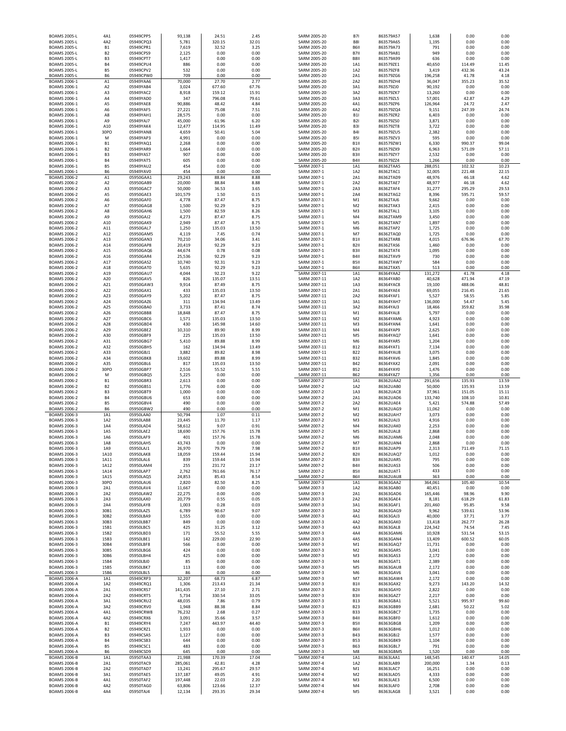| <b>BOAMS 2005-L</b> |                |           |         |        |       |              |                   |           |         |        |       |
|---------------------|----------------|-----------|---------|--------|-------|--------------|-------------------|-----------|---------|--------|-------|
|                     | 4A1            | 05949CPP5 | 93,138  | 24.51  | 2.45  | SARM 2005-20 | <b>B71</b>        | 863579A57 | 1,638   | 0.00   | 0.00  |
| <b>BOAMS 2005-L</b> | 4A2            | 05949CPQ3 | 5,781   | 320.15 | 32.01 | SARM 2005-20 | <b>B81</b>        | 863579A65 | 1,195   | 0.00   | 0.00  |
| <b>BOAMS 2005-L</b> | <b>B1</b>      | 05949CPR1 | 7,619   | 32.52  | 3.25  | SARM 2005-20 | <b>B6II</b>       | 863579A73 | 791     | 0.00   | 0.00  |
| <b>BOAMS 2005-L</b> | B <sub>2</sub> | 05949CPS9 | 2,125   | 0.00   | 0.00  | SARM 2005-20 | <b>B7II</b>       | 863579A81 | 949     | 0.00   | 0.00  |
| <b>BOAMS 2005-L</b> | B <sub>3</sub> | 05949CPT7 | 1,417   | 0.00   | 0.00  | SARM 2005-20 | <b>B8II</b>       | 863579A99 | 636     | 0.00   | 0.00  |
| <b>BOAMS 2005-L</b> | <b>B4</b>      | 05949CPU4 | 886     | 0.00   | 0.00  | SARM 2005-20 | 1A1               | 863579ZE1 | 40,650  | 114.49 | 11.45 |
| <b>BOAMS 2005-L</b> | <b>B5</b>      | 05949CPV2 | 532     | 0.00   | 0.00  | SARM 2005-20 | 1A2               | 863579ZF8 | 3,419   | 432.36 | 43.24 |
| <b>BOAMS 2005-L</b> | <b>B6</b>      | 05949CPW0 | 709     | 0.00   | 0.00  | SARM 2005-20 | 2A1               | 863579ZG6 | 196,258 | 41.78  | 4.18  |
|                     |                |           |         |        |       |              |                   |           |         |        |       |
| BOAMS 2006-1        | A1             | 05949YAA6 | 70,000  | 27.70  | 2.77  | SARM 2005-20 | 2A2               | 863579ZH4 | 36,047  | 355.23 | 35.52 |
| BOAMS 2006-1        | A <sub>2</sub> | 05949YAB4 | 3,024   | 677.60 | 67.76 | SARM 2005-20 | 3A1               | 863579ZJ0 | 90,192  | 0.00   | 0.00  |
| BOAMS 2006-1        | A3             | 05949YAC2 | 8,918   | 159.12 | 15.91 | SARM 2005-20 | 3A2               | 863579ZK7 | 13,260  | 0.00   | 0.00  |
| BOAMS 2006-1        | A4             | 05949YAD0 | 347     | 796.08 | 79.61 | SARM 2005-20 | 3A3               | 863579ZL5 | 57,001  | 42.87  | 4.29  |
| BOAMS 2006-1        | A5             | 05949YAE8 | 90,886  | 48.42  | 4.84  | SARM 2005-20 | 4A1               | 863579ZP6 | 126,964 | 24.72  | 2.47  |
| BOAMS 2006-1        | A6             | 05949YAF5 | 27,221  | 75.08  | 7.51  | SARM 2005-20 | 4A2               | 863579ZQ4 | 9,151   | 247.39 | 24.74 |
| BOAMS 2006-1        | A8             | 05949YAH1 | 28,575  | 0.00   | 0.00  | SARM 2005-20 | <b>B1I</b>        | 863579ZR2 | 6,403   | 0.00   | 0.00  |
| <b>BOAMS 2006-1</b> | A9             | 05949YAJ7 | 45,000  | 61.96  | 6.20  | SARM 2005-20 | <b>B21</b>        | 863579ZS0 | 3,871   | 0.00   | 0.00  |
| BOAMS 2006-1        | A10            | 05949YAK4 | 12,477  | 114.95 | 11.49 | SARM 2005-20 | <b>B31</b>        | 863579ZT8 | 3,722   | 0.00   | 0.00  |
| <b>BOAMS 2006-1</b> | 30PO           | 05949YAN8 | 4,659   | 50.41  | 5.04  | SARM 2005-20 | <b>B41</b>        | 863579ZU5 | 2,382   | 0.00   | 0.00  |
| <b>BOAMS 2006-1</b> | M              | 05949YAP3 | 4,991   | 0.00   | 0.00  | SARM 2005-20 | <b>B51</b>        | 863579ZV3 | 595     | 0.00   | 0.00  |
|                     |                | 05949YAO1 |         |        |       |              |                   |           |         |        |       |
| BOAMS 2006-1        | <b>B1</b>      |           | 2,268   | 0.00   | 0.00  | SARM 2005-20 | <b>B1II</b>       | 863579ZW1 | 6,330   | 990.37 | 99.04 |
| BOAMS 2006-1        | <b>B2</b>      | 05949YAR9 | 1,664   | 0.00   | 0.00  | SARM 2005-20 | <b>B2II</b>       | 863579ZX9 | 6,963   | 571.09 | 57.11 |
| BOAMS 2006-1        | B <sub>3</sub> | 05949YAS7 | 907     | 0.00   | 0.00  | SARM 2005-20 | B3II              | 863579ZY7 | 2,532   | 0.00   | 0.00  |
| BOAMS 2006-1        | <b>B4</b>      | 05949YAT5 | 605     | 0.00   | 0.00  | SARM 2005-20 | B4II              | 863579ZZ4 | 1,266   | 0.00   | 0.00  |
| BOAMS 2006-1        | <b>B5</b>      | 05949YAU2 | 454     | 0.00   | 0.00  | SARM 2007-1  | 1A1               | 86362TAA5 | 288,051 | 102.32 | 10.23 |
| BOAMS 2006-1        | B6             | 05949YAV0 | 454     | 0.00   | 0.00  | SARM 2007-1  | 1A2               | 86362TAC1 | 32,005  | 221.48 | 22.15 |
| BOAMS 2006-2        | A1             | 05950GAA1 | 29,243  | 88.84  | 8.88  | SARM 2007-1  | 2A1               | 86362TAD9 | 48,976  | 46.18  | 4.62  |
| BOAMS 2006-2        | A <sub>2</sub> | 05950GAB9 | 20,000  | 88.84  | 8.88  | SARM 2007-1  | 2A2               | 86362TAE7 | 48,977  | 46.18  | 4.62  |
| BOAMS 2006-2        | A3             | 05950GAC7 | 50,000  | 36.53  | 3.65  | SARM 2007-1  | 2A3               | 86362TAF4 | 31,277  | 295.29 | 29.53 |
| BOAMS 2006-2        | A5             | 05950GAE3 | 101,579 | 1.50   | 0.15  | SARM 2007-1  | 2A4               | 86362TAG2 | 8,396   | 595.71 | 59.57 |
| BOAMS 2006-2        | A6             | 05950GAF0 | 4,778   | 87.47  | 8.75  | SARM 2007-1  | M1                | 86362TAJ6 | 9,662   | 0.00   | 0.00  |
| BOAMS 2006-2        | A7             | 05950GAG8 | 1,500   | 92.29  | 9.23  | SARM 2007-1  | M <sub>2</sub>    | 86362TAK3 | 2,415   | 0.00   | 0.00  |
| <b>BOAMS 2006-2</b> | A8             | 05950GAH6 | 1,500   | 82.59  | 8.26  | SARM 2007-1  | M <sub>3</sub>    | 86362TAL1 | 3,105   | 0.00   | 0.00  |
|                     | A9             |           |         | 87.47  | 8.75  |              | M <sub>4</sub>    |           | 3,450   | 0.00   | 0.00  |
| BOAMS 2006-2        |                | 05950GAJ2 | 4,273   |        |       | SARM 2007-1  |                   | 86362TAM9 |         |        |       |
| <b>BOAMS 2006-2</b> | A10            | 05950GAK9 | 2,949   | 87.47  | 8.75  | SARM 2007-1  | M <sub>5</sub>    | 86362TAN7 | 1,897   | 0.00   | 0.00  |
| <b>BOAMS 2006-2</b> | A11            | 05950GAL7 | 1,250   | 135.03 | 13.50 | SARM 2007-1  | M <sub>6</sub>    | 86362TAP2 | 1,725   | 0.00   | 0.00  |
| BOAMS 2006-2        | A12            | 05950GAM5 | 4,119   | 7.45   | 0.74  | SARM 2007-1  | M <sub>7</sub>    | 86362TAQ0 | 1,725   | 0.00   | 0.00  |
| BOAMS 2006-2        | A13            | 05950GAN3 | 70,210  | 34.06  | 3.41  | SARM 2007-1  | <b>B1II</b>       | 86362TAR8 | 4,015   | 676.96 | 67.70 |
| BOAMS 2006-2        | A14            | 05950GAP8 | 20,419  | 92.29  | 9.23  | SARM 2007-1  | <b>B2II</b>       | 86362TAS6 | 1,460   | 0.00   | 0.00  |
| BOAMS 2006-2        | A15            | 05950GAQ6 | 44,674  | 0.78   | 0.08  | SARM 2007-1  | <b>B3I</b>        | 86362TAT4 | 1,095   | 0.00   | 0.00  |
| BOAMS 2006-2        | A16            | 05950GAR4 | 25,536  | 92.29  | 9.23  | SARM 2007-1  | B4II              | 86362TAV9 | 730     | 0.00   | 0.00  |
| BOAMS 2006-2        | A17            | 05950GAS2 | 10,740  | 92.31  | 9.23  | SARM 2007-1  | <b>B5II</b>       | 86362TAW7 | 584     | 0.00   | 0.00  |
| BOAMS 2006-2        | A18            | 05950GAT0 | 5,635   | 92.29  | 9.23  | SARM 2007-1  | <b>B6II</b>       | 86362TAX5 | 513     | 0.00   | 0.00  |
| BOAMS 2006-2        | A19            | 05950GAU7 | 4,044   | 92.23  | 9.22  | SARM 2007-11 | 1A1               | 86364YAA2 | 131,272 | 41.78  | 4.18  |
| BOAMS 2006-2        | A20            | 05950GAV5 | 826     | 135.07 | 13.51 | SARM 2007-11 | 1A2               | 86364YAB0 | 40,628  | 471.94 | 47.19 |
|                     |                |           |         |        |       | SARM 2007-11 |                   |           |         |        |       |
| BOAMS 2006-2        | A21            | 05950GAW3 | 9,914   | 87.49  | 8.75  |              | 1A3               | 86364YAC8 | 19,100  | 488.06 | 48.81 |
| BOAMS 2006-2        | A22            | 05950GAX1 | 433     | 135.03 | 13.50 | SARM 2007-11 | 2A1               | 86364YAE4 | 69,055  | 216.45 | 21.65 |
| BOAMS 2006-2        | A23            | 05950GAY9 | 5,202   | 87.47  | 8.75  | SARM 2007-11 | 2A2               | 86364YAF1 | 5,527   | 58.55  | 5.85  |
| BOAMS 2006-2        | A24            | 05950GAZ6 | 311     | 134.94 | 13.49 | SARM 2007-11 | 3A1               | 86364YAH7 | 136,000 | 54.47  | 5.45  |
| BOAMS 2006-2        | A25            | 05950GBA0 | 3,733   | 87.41  | 8.74  | SARM 2007-11 | 3A2               | 86364YAJ3 | 18,466  | 359.82 | 35.98 |
| BOAMS 2006-2        | A26            | 05950GBB8 | 18,848  | 87.47  | 8.75  | SARM 2007-11 | M1                | 86364YAL8 | 5,797   | 0.00   | 0.00  |
| BOAMS 2006-2        | A27            | 05950GBC6 | 1,571   | 135.03 | 13.50 | SARM 2007-11 | M <sub>2</sub>    | 86364YAM6 | 4,923   | 0.00   | 0.00  |
| BOAMS 2006-2        | A28            | 05950GBD4 | 430     | 145.98 | 14.60 | SARM 2007-11 | M3                | 86364YAN4 | 1,641   | 0.00   | 0.00  |
| BOAMS 2006-2        | A29            | 05950GBE2 | 10,310  | 89.90  | 8.99  | SARM 2007-11 | M <sub>4</sub>    | 86364YAP9 | 2,625   | 0.00   | 0.00  |
| BOAMS 2006-2        | A30            | 05950GBF9 | 225     | 135.03 | 13.50 | SARM 2007-11 | M <sub>5</sub>    | 86364YAQ7 | 1,641   | 0.00   | 0.00  |
| BOAMS 2006-2        | A31            | 05950GBG7 | 5,410   | 89.88  | 8.99  | SARM 2007-11 | M6                | 86364YAR5 | 1,204   | 0.00   | 0.00  |
| BOAMS 2006-2        | A32            | 05950GBH5 | 162     | 134.94 | 13.49 | SARM 2007-11 | <b>B12</b>        | 86364YAT1 | 7,134   | 0.00   | 0.00  |
|                     |                |           |         |        |       |              |                   |           |         |        |       |
| BOAMS 2006-2        | A33            | 05950GBJ1 | 3,882   | 89.82  | 8.98  | SARM 2007-11 | <b>B22</b>        | 86364YAU8 | 3,075   | 0.00   | 0.00  |
| BOAMS 2006-2        | A34            | 05950GBK8 | 19,602  | 89.88  | 8.99  | SARM 2007-11 | <b>B32</b>        | 86364YAV6 | 1,845   | 0.00   | 0.00  |
| <b>BOAMS 2006-2</b> | A35            | 05950GBL6 | 817     | 135.03 | 13.50 | SARM 2007-11 | <b>B42</b>        | 86364YAX2 | 2,091   | 0.00   | 0.00  |
| BOAMS 2006-2        | 30PO           | 05950GBP7 | 2,516   | 55.52  | 5.55  | SARM 2007-11 | <b>B52</b>        | 86364YAY0 | 1,476   | 0.00   | 0.00  |
|                     |                |           |         |        |       |              |                   |           |         |        |       |
| BOAMS 2006-2        | M              | 05950GBQ5 | 5,225   | 0.00   | 0.00  | SARM 2007-11 | <b>B62</b>        | 86364YAZ7 |         | 0.00   | 0.00  |
|                     |                |           |         |        |       |              |                   |           | 1,356   |        |       |
| BOAMS 2006-2        | B1             | 05950GBR3 | 2,613   | 0.00   | 0.00  | SARM 2007-2  | 1A1               | 86362UAA2 | 291,656 | 135.93 | 13.59 |
| BOAMS 2006-2        | B <sub>2</sub> | 05950GBS1 | 1,776   | 0.00   | 0.00  | SARM 2007-2  | 1A2               | 86362UAB0 | 50,000  | 135.93 | 13.59 |
| BOAMS 2006-2        | B <sub>3</sub> | 05950GBT9 | 1,000   | 0.00   | 0.00  | SARM 2007-2  | 1A3               | 86362UAC8 | 37,961  | 151.05 | 15.11 |
| BOAMS 2006-2        | <b>B4</b>      | 05950GBU6 | 653     | 0.00   | 0.00  | SARM 2007-2  | 2A1               | 86362UAD6 | 133,740 | 108.10 | 10.81 |
| BOAMS 2006-2        | <b>B5</b>      | 05950GBV4 | 490     | 0.00   | 0.00  | SARM 2007-2  | 2A2               | 86362UAE4 | 5,421   | 574.88 | 57.49 |
| BOAMS 2006-2        | <b>B6</b>      | 05950GBW2 | 490     | 0.00   | 0.00  | SARM 2007-2  | M1                | 86362UAG9 | 11,062  | 0.00   | 0.00  |
| BOAMS 2006-3        | 1A1            | 05950LAA0 | 50,794  | 1.07   | 0.11  | SARM 2007-2  | M <sub>2</sub>    | 86362UAH7 | 3,073   | 0.00   | 0.00  |
| BOAMS 2006-3        | 1A2            | 05950LAB8 | 23,445  | 11.70  | 1.17  | SARM 2007-2  | M <sub>3</sub>    | 86362UAJ3 | 4,916   | 0.00   | 0.00  |
| BOAMS 2006-3        | 1A4            | 05950LAD4 | 58,612  | 9.07   | 0.91  | SARM 2007-2  | M <sub>4</sub>    | 86362UAK0 | 2,253   | 0.00   | 0.00  |
| <b>BOAMS 2006-3</b> | 1A5            | 05950LAE2 | 18,690  | 157.76 | 15.78 | SARM 2007-2  | M <sub>5</sub>    | 86362UAL8 | 2,868   | 0.00   | 0.00  |
| BOAMS 2006-3        | 1A6            | 05950LAF9 | 401     | 157.76 | 15.78 | SARM 2007-2  | M6                | 86362UAM6 | 2,048   | 0.00   | 0.00  |
| <b>ROAMS 2006-3</b> | $1\Delta$      | 05950LAH5 | 43,743  | 0.00   | n nn  | SARM 2007-2  | <b>M7</b>         | 86362UAN4 | 2868    | 0.00   | 0.00  |
| BOAMS 2006-3        | 1A9            | 05950LAJ1 | 26,970  | 79.79  | 7.98  | SARM 2007-2  | <b>B1II</b>       | 86362UAP9 | 2,313   | 711.49 | 71.15 |
| BOAMS 2006-3        | 1A10           | 05950LAK8 | 18,059  | 159.44 | 15.94 | SARM 2007-2  | B <sub>2</sub> II | 86362UAQ7 | 1,012   | 0.00   | 0.00  |
|                     |                |           |         |        |       |              |                   | 86362UAR5 |         |        |       |
| BOAMS 2006-3        | 1A11           | 05950LAL6 | 839     | 159.44 | 15.94 | SARM 2007-2  | B3II              |           | 795     | 0.00   | 0.00  |
| BOAMS 2006-3        | 1A12           | 05950LAM4 | 255     | 231.72 | 23.17 | SARM 2007-2  | B4II              | 86362UAS3 | 506     | 0.00   | 0.00  |
| BOAMS 2006-3        | 1A14           | 05950LAP7 | 2,762   | 761.66 | 76.17 | SARM 2007-2  | <b>B5II</b>       | 86362UAT1 | 433     | 0.00   | 0.00  |
| BOAMS 2006-3        | 1A15           | 05950LAQ5 | 24,853  | 85.43  | 8.54  | SARM 2007-2  | <b>B6I</b>        | 86362UAU8 | 363     | 0.00   | 0.00  |
| BOAMS 2006-3        | 30PO           | 05950LAU6 | 2,820   | 82.50  | 8.25  | SARM 2007-3  | 1A1               | 86363GAA2 | 364,061 | 105.40 | 10.54 |
| BOAMS 2006-3        | 2A1            | 05950LAV4 | 11,667  | 0.00   | 0.00  | SARM 2007-3  | 1A2               | 86363GAB0 | 40,451  | 0.00   | 0.00  |
| BOAMS 2006-3        | 2A2            | 05950LAW2 | 22,275  | 0.00   | 0.00  | SARM 2007-3  | 2A1               | 86363GAD6 | 165,446 | 98.96  | 9.90  |
| BOAMS 2006-3        | 2A3            | 05950LAX0 | 20,779  | 0.55   | 0.05  | SARM 2007-3  | 2A2               | 86363GAE4 | 8,181   | 618.29 | 61.83 |
| BOAMS 2006-3        | 2A4            | 05950LAY8 | 1,003   | 0.28   | 0.03  | SARM 2007-3  | 3A1               | 86363GAF1 | 201,460 | 95.85  | 9.58  |
| BOAMS 2006-3        | 30B1           | 05950LAZ5 | 6,789   | 90.67  | 9.07  | SARM 2007-3  | 3A2               | 86363GAG9 | 9,962   | 539.61 | 53.96 |
| BOAMS 2006-3        | 30B2           | 05950LBA9 | 1,555   | 0.00   | 0.00  | SARM 2007-3  | 4A1               | 86363GAJ3 | 40,000  | 37.71  | 3.77  |
| BOAMS 2006-3        | 30B3           | 05950LBB7 | 849     | 0.00   | 0.00  | SARM 2007-3  | 4A2               | 86363GAK0 | 13,418  | 262.77 | 26.28 |
| BOAMS 2006-3        | 15B1           | 05950LBC5 | 425     | 31.25  | 3.12  | SARM 2007-3  | 4A3               | 86363GAL8 | 224,342 | 74.54  | 7.45  |
| BOAMS 2006-3        | 15B2           | 05950LBD3 | 171     | 55.52  | 5.55  | SARM 2007-3  | 4A4               | 86363GAM6 | 10,928  | 531.54 | 53.15 |
| BOAMS 2006-3        | 15B3           | 05950LBE1 | 142     | 229.00 | 22.90 | SARM 2007-3  | 4A5               | 86363GAN4 | 13,409  | 600.52 | 60.05 |
| BOAMS 2006-3        | 30B4           | 05950LBF8 | 566     | 0.00   | 0.00  | SARM 2007-3  | M1                | 86363GAQ7 | 11,731  | 0.00   | 0.00  |
| BOAMS 2006-3        | 30B5           | 05950LBG6 | 424     | 0.00   | 0.00  | SARM 2007-3  | M <sub>2</sub>    | 86363GAR5 | 3,041   | 0.00   | 0.00  |
| BOAMS 2006-3        | 30B6           | 05950LBH4 | 425     | 0.00   | 0.00  | SARM 2007-3  | M3                | 86363GAS3 | 2,172   | 0.00   | 0.00  |
| <b>BOAMS 2006-3</b> | 15B4           | 05950LBJ0 | 85      | 0.00   | 0.00  | SARM 2007-3  | M4                | 86363GAT1 | 2,389   | 0.00   | 0.00  |
|                     | 15B5           |           |         |        |       |              | M5                |           |         | 0.00   |       |
| BOAMS 2006-3        |                | 05950LBK7 | 113     | 0.00   | 0.00  | SARM 2007-3  |                   | 86363GAU8 | 2,172   |        | 0.00  |
| BOAMS 2006-3        | 15B6           | 05950LBL5 | 86      | 0.00   | 0.00  | SARM 2007-3  | M6                | 86363GAV6 | 3,041   | 0.00   | 0.00  |
| <b>BOAMS 2006-A</b> | 1A1            | 05949CRP3 | 32,207  | 68.73  | 6.87  | SARM 2007-3  | M7                | 86363GAW4 | 2,172   | 0.00   | 0.00  |
| <b>BOAMS 2006-A</b> | 1A2            | 05949CRQ1 | 1,306   | 213.43 | 21.34 | SARM 2007-3  | <b>B1II</b>       | 86363GAX2 | 9,273   | 143.20 | 14.32 |
| <b>BOAMS 2006-A</b> | 2A1            | 05949CRS7 | 141,435 | 27.10  | 2.71  | SARM 2007-3  | B <sub>2</sub> II | 86363GAY0 | 2,822   | 0.00   | 0.00  |
| <b>BOAMS 2006-A</b> | 2A2            | 05949CRT5 | 5,734   | 330.54 | 33.05 | SARM 2007-3  | B3II              | 86363GAZ7 | 2,217   | 0.00   | 0.00  |
| <b>BOAMS 2006-A</b> | 3A1            | 05949CRU2 | 48,035  | 7.86   | 0.79  | SARM 2007-3  | <b>B13</b>        | 86363GBA1 | 5,521   | 995.97 | 99.60 |
| <b>BOAMS 2006-A</b> | 3A2            | 05949CRV0 | 1,948   | 88.38  | 8.84  | SARM 2007-3  | <b>B23</b>        | 86363GBB9 | 2,681   | 50.22  | 5.02  |
| <b>BOAMS 2006-A</b> | 4A1            | 05949CRW8 | 76,232  | 2.68   | 0.27  | SARM 2007-3  | <b>B33</b>        | 86363GBC7 | 1,735   | 0.00   | 0.00  |
| <b>BOAMS 2006-A</b> | 4A2            | 05949CRX6 | 3,091   | 35.66  | 3.57  | SARM 2007-3  | B4I               | 86363GBF0 | 1,612   | 0.00   | 0.00  |
| <b>BOAMS 2006-A</b> | <b>B1</b>      | 05949CRY4 | 7,247   | 443.97 | 44.40 | SARM 2007-3  | <b>B5II</b>       | 86363GBG8 | 1,209   | 0.00   | 0.00  |
|                     |                | 05949CRZ1 | 1,933   |        |       | SARM 2007-3  | <b>B6II</b>       |           |         | 0.00   | 0.00  |
| <b>BOAMS 2006-A</b> | B <sub>2</sub> |           |         | 0.00   | 0.00  |              |                   | 86363GBH6 | 1,012   |        |       |
| <b>BOAMS 2006-A</b> | B <sub>3</sub> | 05949CSA5 | 1,127   | 0.00   | 0.00  | SARM 2007-3  | <b>B43</b>        | 86363GBJ2 | 1,577   | 0.00   | 0.00  |
| <b>BOAMS 2006-A</b> | <b>B4</b>      | 05949CSB3 | 644     | 0.00   | 0.00  | SARM 2007-3  | <b>B53</b>        | 86363GBK9 | 1,104   | 0.00   | 0.00  |
| <b>BOAMS 2006-A</b> | <b>B5</b>      | 05949CSC1 | 483     | 0.00   | 0.00  | SARM 2007-3  | <b>B63</b>        | 86363GBL7 | 791     | 0.00   | 0.00  |
| <b>BOAMS 2006-A</b> | <b>B6</b>      | 05949CSD9 | 645     | 0.00   | 0.00  | SARM 2007-3  | M8                | 86363GBM5 | 1,520   | 0.00   | 0.00  |
| <b>BOAMS 2006-B</b> | 1A1            | 05950TAA3 | 21,988  | 170.39 | 17.04 | SARM 2007-4  | 1A1               | 86363LAA1 | 148,545 | 140.47 | 14.05 |
| <b>BOAMS 2006-B</b> | 2A1            | 05950TAC9 | 285,061 | 42.81  | 4.28  | SARM 2007-4  | 1A2               | 86363LAB9 | 200,000 | 1.34   | 0.13  |
| <b>BOAMS 2006-B</b> | 2A2            | 05950TAD7 | 13,241  | 295.67 | 29.57 | SARM 2007-4  | M1                | 86363LAC7 | 16,251  | 0.00   | 0.00  |
| <b>BOAMS 2006-B</b> | 3A1            | 05950TAE5 | 137,187 | 49.05  | 4.91  | SARM 2007-4  | M <sub>2</sub>    | 86363LAD5 | 4,333   | 0.00   | 0.00  |
| <b>BOAMS 2006-B</b> | 4A1            | 05950TAF2 | 197,448 | 22.03  | 2.20  | SARM 2007-4  | M3                | 86363LAE3 | 6,500   | 0.00   | 0.00  |
| <b>BOAMS 2006-B</b> | 4A2            | 05950TAG0 | 63,806  | 123.66 | 12.37 | SARM 2007-4  | M4                | 86363LAF0 | 2,708   | 0.00   | 0.00  |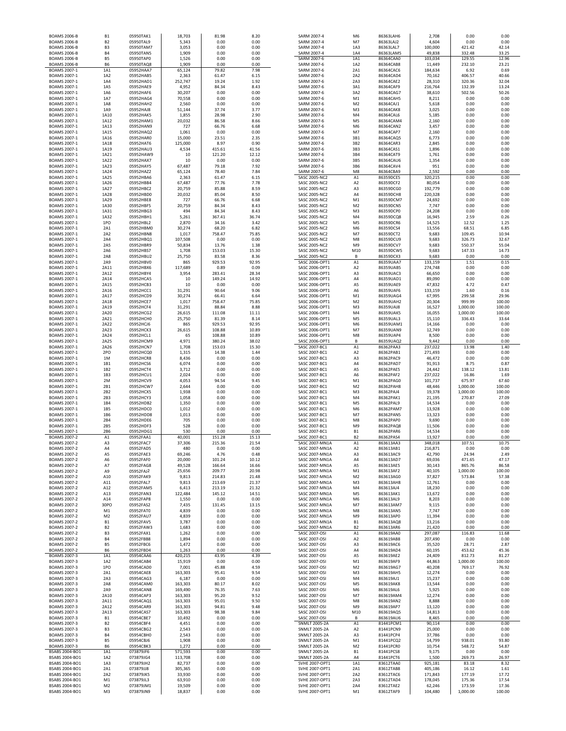| <b>BOAMS 2006-B</b>                        | <b>B1</b>                        | 05950TAK1              | 18,703             | 81.98            | 8.20           | SARM 2007-4                                  | M6                               | 86363LAH6              | 2,708              | 0.00                 | 0.00             |
|--------------------------------------------|----------------------------------|------------------------|--------------------|------------------|----------------|----------------------------------------------|----------------------------------|------------------------|--------------------|----------------------|------------------|
| <b>BOAMS 2006-B</b><br><b>BOAMS 2006-B</b> | B <sub>2</sub><br>B <sub>3</sub> | 05950TAL9<br>05950TAM7 | 5,343<br>3,053     | 0.00<br>0.00     | 0.00<br>0.00   | SARM 2007-4<br>SARM 2007-4                   | M7<br>1A3                        | 86363LAJ2<br>86363LAL7 | 4,604<br>100,000   | 0.00<br>421.42       | 0.00<br>42.14    |
| <b>BOAMS 2006-B</b>                        | <b>B4</b>                        | 05950TAN5              | 1,909              | 0.00             | 0.00           | SARM 2007-4                                  | 1A4                              | 86363LAM5              | 49,838             | 332.48               | 33.25            |
| <b>BOAMS 2006-B</b><br><b>BOAMS 2006-B</b> | B5<br><b>B6</b>                  | 05950TAP0<br>05950TAQ8 | 1,526<br>1,909     | 0.00<br>0.00     | 0.00<br>0.00   | SARM 2007-6<br>SARM 2007-6                   | 1A1<br>1A2                       | 86364CAA0<br>86364CAB8 | 103,034<br>11,449  | 129.55<br>232.10     | 12.96<br>23.21   |
| BOAMS 2007-1                               | 1A1                              | 05952HAA7              | 65,124             | 79.82            | 7.98           | SARM 2007-6                                  | 2A1                              | 86364CAC6              | 184,634            | 6.92                 | 0.69             |
| BOAMS 2007-1<br>BOAMS 2007-1               | 1A2<br>1A4                       | 05952HAB5<br>05952HAD1 | 2,363<br>252,747   | 61.47<br>19.24   | 6.15<br>1.92   | SARM 2007-6<br>SARM 2007-6                   | 2A2<br>2A3                       | 86364CAD4<br>86364CAE2 | 70,162<br>28,310   | 406.57<br>320.36     | 40.66<br>32.04   |
| BOAMS 2007-1                               | 1A5                              | 05952HAE9              | 4,952              | 84.34            | 8.43           | SARM 2007-6                                  | 3A1                              | 86364CAF9              | 216,764            | 132.39               | 13.24            |
| BOAMS 2007-1<br>BOAMS 2007-1               | 1A6<br>1A7                       | 05952HAF6<br>05952HAG4 | 30,207<br>70,558   | 0.00<br>0.00     | 0.00<br>0.00   | SARM 2007-6<br>SARM 2007-6                   | 3A2<br>M1                        | 86364CAG7<br>86364CAH5 | 38,610<br>8,211    | 502.56<br>0.00       | 50.26<br>0.00    |
| BOAMS 2007-1                               | 1A8                              | 05952HAH2              | 2,560              | 0.00             | 0.00           | SARM 2007-6                                  | M <sub>2</sub>                   | 86364CAJ1              | 5,618              | 0.00                 | 0.00             |
| BOAMS 2007-1<br><b>BOAMS 2007-1</b>        | 1A9<br>1A10                      | 05952HAJ8<br>05952HAK5 | 51,144<br>1,855    | 37.74<br>28.98   | 3.77<br>2.90   | SARM 2007-6<br>SARM 2007-6                   | M3<br>M4                         | 86364CAK8<br>86364CAL6 | 3,025<br>5,185     | 0.00<br>0.00         | 0.00<br>0.00     |
| BOAMS 2007-1                               | 1A12                             | 05952HAM1              | 20,032             | 86.58            | 8.66           | SARM 2007-6                                  | M <sub>5</sub>                   | 86364CAM4              | 2,160              | 0.00                 | 0.00             |
| BOAMS 2007-1<br>BOAMS 2007-1               | 1A13<br>1A15                     | 05952HAN9<br>05952HAQ2 | 727<br>1,061       | 66.76<br>0.00    | 6.68<br>0.00   | SARM 2007-6<br>SARM 2007-6                   | M <sub>6</sub><br>M7             | 86364CAN2<br>86364CAP7 | 3,457<br>2,160     | 0.00<br>0.00         | 0.00<br>0.00     |
| BOAMS 2007-1                               | 1A16                             | 05952HAR0              | 15,000             | 23.51            | 2.35           | SARM 2007-6                                  | 3B1                              | 86364CAQ5              | 6,773              | 0.00                 | 0.00             |
| BOAMS 2007-1<br>BOAMS 2007-1               | 1A18<br>1A19                     | 05952HAT6<br>05952HAU3 | 125,000<br>4,534   | 8.97<br>415.61   | 0.90<br>41.56  | SARM 2007-6<br>SARM 2007-6                   | 3B2<br>3B3                       | 86364CAR3<br>86364CAS1 | 2,845<br>1,896     | 0.00<br>0.00         | 0.00<br>0.00     |
| <b>BOAMS 2007-1</b>                        | 1A21<br>1A22                     | 05952HAW9<br>05952HAX7 | 10<br>10           | 121.20<br>0.00   | 12.12          | SARM 2007-6                                  | 3B4<br>3B5                       | 86364CAT9              | 1,761              | 0.00<br>0.00         | 0.00<br>0.00     |
| BOAMS 2007-1<br>BOAMS 2007-1               | 1A23                             | 05952HAY5              | 67,487             | 79.18            | 0.00<br>7.92   | SARM 2007-6<br>SARM 2007-6                   | 3B6                              | 86364CAU6<br>86364CAV4 | 1,354<br>951       | 0.00                 | 0.00             |
| BOAMS 2007-1<br>BOAMS 2007-1               | 1A24<br>1A25                     | 05952HAZ2<br>05952HBA6 | 65,124<br>2,363    | 78.40<br>61.47   | 7.84<br>6.15   | SARM 2007-6<br>SASC 2005-NC2                 | M8<br>A1                         | 86364CBA9<br>86359DCE5 | 2,592<br>320,215   | 0.00<br>0.00         | 0.00<br>0.00     |
| BOAMS 2007-1                               | 1A26                             | 05952HBB4              | 67,487             | 77.76            | 7.78           | SASC 2005-NC2                                | A2                               | 86359DCF2              | 80,054             | 0.00                 | 0.00             |
| <b>BOAMS 2007-1</b><br><b>BOAMS 2007-1</b> | 1A27<br>1A28                     | 05952HBC2<br>05952HBD0 | 20,759<br>20,032   | 85.88<br>85.04   | 8.59<br>8.50   | <b>SASC 2005-NC2</b><br><b>SASC 2005-NC2</b> | A3<br>A4                         | 86359DCG0<br>86359DCH8 | 192,779<br>220,328 | 0.00<br>0.00         | 0.00<br>0.00     |
| BOAMS 2007-1                               | 1A29                             | 05952HBE8              | 727                | 66.76            | 6.68           | SASC 2005-NC2                                | M1                               | 86359DCM7              | 24,692             | 0.00                 | 0.00             |
| BOAMS 2007-1<br>BOAMS 2007-1               | 1A30<br>1A31                     | 05952HBF5<br>05952HBG3 | 20,759<br>494      | 84.34<br>84.34   | 8.43<br>8.43   | <b>SASC 2005-NC2</b><br>SASC 2005-NC2        | M <sub>2</sub><br>M3             | 86359DCN5<br>86359DCP0 | 7,747<br>24,208    | 0.00<br>0.00         | 0.00<br>0.00     |
| BOAMS 2007-1                               | 1A32                             | 05952HBH1              | 5,261              | 367.41           | 36.74          | <b>SASC 2005-NC2</b>                         | M4                               | 86359DCQ8              | 16,945             | 2.59                 | 0.26             |
| <b>BOAMS 2007-1</b><br><b>BOAMS 2007-1</b> | 1P <sub>O</sub><br>2A1           | 05952HBL2<br>05952HBM0 | 2,870<br>30,274    | 34.16<br>68.20   | 3.42<br>6.82   | SASC 2005-NC2<br>SASC 2005-NC2               | M <sub>5</sub><br>M <sub>6</sub> | 86359DCR6<br>86359DCS4 | 14,525<br>13,556   | 12.52<br>68.51       | 1.25<br>6.85     |
| BOAMS 2007-1                               | 2A2                              | 05952HBN8              | 1,017              | 758.47           | 75.85          | SASC 2005-NC2                                | M <sub>7</sub>                   | 86359DCT2              | 9,683              | 109.45               | 10.94            |
| BOAMS 2007-1<br>BOAMS 2007-1               | 2A4<br>2A5                       | 05952HBQ1<br>05952HBR9 | 107,508<br>50,834  | 0.00<br>13.76    | 0.00<br>1.38   | SASC 2005-NC2<br>SASC 2005-NC2               | M8<br>M9                         | 86359DCU9<br>86359DCV7 | 9,683<br>9,683     | 326.73<br>550.37     | 32.67<br>55.04   |
| BOAMS 2007-1                               | 2A6                              | 05952HBS7              | 1,708              | 153.03           | 15.30          | SASC 2005-NC2                                | M10                              | 86359DCW5              | 9,683              | 147.33               | 14.73            |
| <b>BOAMS 2007-1</b><br>BOAMS 2007-1        | 2A8<br>2A9                       | 05952HBU2<br>05952HBV0 | 25,750<br>865      | 83.58<br>929.53  | 8.36<br>92.95  | <b>SASC 2005-NC2</b><br>SASC 2006-OPT1       | B<br>A1                          | 86359DCX3<br>86359UAA7 | 9,683<br>133,159   | 0.00<br>1.51         | 0.00<br>0.15     |
| BOAMS 2007-1                               | 2A11                             | 05952HBX6              | 117,689            | 0.89             | 0.09           | SASC 2006-OPT1                               | A <sub>2</sub>                   | 86359UAB5              | 274,748            | 0.00                 | 0.00             |
| BOAMS 2007-1<br><b>BOAMS 2007-1</b>        | 2A12<br>2A14                     | 05952HBY4<br>05952HCA5 | 3,954<br>10        | 283.41<br>149.24 | 28.34<br>14.92 | SASC 2006-OPT1<br>SASC 2006-OPT1             | A3<br>A4                         | 86359UAC3<br>86359UAD1 | 66,650<br>89,090   | 0.00<br>0.00         | 0.00<br>0.00     |
| BOAMS 2007-1                               | 2A15                             | 05952HCB3              | 10                 | 0.00             | 0.00           | SASC 2006-OPT1                               | A5                               | 86359UAE9              | 47,832             | 4.72                 | 0.47             |
| <b>BOAMS 2007-1</b><br><b>BOAMS 2007-1</b> | 2A16<br>2A17                     | 05952HCC1<br>05952HCD9 | 31,291<br>30,274   | 90.64<br>66.41   | 9.06<br>6.64   | SASC 2006-OPT1<br>SASC 2006-OPT1             | A6<br>M1                         | 86359UAF6<br>86359UAG4 | 133,159<br>67,995  | 1.60<br>299.58       | 0.16<br>29.96    |
| BOAMS 2007-1                               | 2A18                             | 05952HCE7              | 1,017              | 758.47           | 75.85          | SASC 2006-OPT1                               | M <sub>2</sub>                   | 86359UAH2              | 20,304             | 999.99               | 100.00           |
| BOAMS 2007-1<br>BOAMS 2007-1               | 2A19<br>2A20                     | 05952HCF4<br>05952HCG2 | 31,291<br>26,615   | 88.84<br>111.08  | 8.88<br>11.11  | SASC 2006-OPT1<br>SASC 2006-OPT1             | M3<br>M4                         | 86359UAJ8<br>86359UAK5 | 16,527<br>16,055   | 1,000.00<br>1,000.00 | 100.00<br>100.00 |
| BOAMS 2007-1                               | 2A21                             | 05952HCH0              | 25,750             | 81.39            | 8.14           | SASC 2006-OPT1                               | M <sub>5</sub>                   | 86359UAL3              | 15,110             | 336.43               | 33.64            |
| BOAMS 2007-1<br>BOAMS 2007-1               | 2A22<br>2A23                     | 05952HCJ6<br>05952HCK3 | 865<br>26,615      | 929.53<br>108.88 | 92.95<br>10.89 | SASC 2006-OPT1<br>SASC 2006-OPT1             | M6<br>M7                         | 86359UAM1<br>86359UAN9 | 14,166<br>12,749   | 0.00<br>0.00         | 0.00<br>0.00     |
| <b>BOAMS 2007-1</b>                        | 2A24<br>2A25                     | 05952HCL1              | 65<br>4,971        | 108.88<br>380.24 | 10.89<br>38.02 | SASC 2006-OPT1                               | M8<br>B                          | 86359UAP4<br>86359UAQ2 | 8,500<br>9,442     | 0.00<br>0.00         | 0.00<br>0.00     |
| BOAMS 2007-1<br>BOAMS 2007-1               | 2A26                             | 05952HCM9<br>05952HCN7 | 1,708              | 153.03           | 15.30          | SASC 2006-OPT1<br>SASC 2007-BC1              | A1                               | 86362PAA3              | 237,022            | 13.98                | 1.40             |
| BOAMS 2007-1<br>BOAMS 2007-1               | 2PO<br>1M                        | 05952HCQ0<br>05952HCR8 | 1,315<br>8,436     | 14.38<br>0.00    | 1.44<br>0.00   | SASC 2007-BC1<br>SASC 2007-BC1               | A2<br>A3                         | 86362PAB1<br>86362PAC9 | 271,493<br>46,472  | 0.00<br>0.00         | 0.00<br>0.00     |
| BOAMS 2007-1                               | 1B1                              | 05952HCS6              | 6,074              | 0.00             | 0.00           | SASC 2007-BC1                                | AA                               | 86362PAD7              | 91,913             | 8.75                 | 0.87             |
| <b>BOAMS 2007-1</b><br>BOAMS 2007-1        | 1B <sub>2</sub><br>1B3           | 05952HCT4<br>05952HCU1 | 3,712<br>2,024     | 0.00<br>0.00     | 0.00<br>0.00   | SASC 2007-BC1<br>SASC 2007-BC1               | A5<br>A <sub>6</sub>             | 86362PAE5<br>86362PAF2 | 24,442<br>237,022  | 138.12<br>16.86      | 13.81<br>1.69    |
| BOAMS 2007-1                               | 2M                               | 05952HCV9              | 4,053              | 94.54            | 9.45           | SASC 2007-BC1                                | M <sub>1</sub>                   | 86362PAG0              | 101,737            | 675.97               | 67.60            |
| BOAMS 2007-1<br>BOAMS 2007-1               | 2B1<br>2B2                       | 05952HCW7<br>05952HCX5 | 2,644<br>1,938     | 0.00<br>0.00     | 0.00<br>0.00   | SASC 2007-BC1<br>SASC 2007-BC1               | M <sub>2</sub><br>M3             | 86362PAH8<br>86362PAJ4 | 48,446<br>19,378   | 1,000.00<br>1,000.00 | 100.00<br>100.00 |
| <b>BOAMS 2007-1</b>                        | 2B3                              | 05952HCY3              | 1,058              | 0.00             | 0.00           | SASC 2007-BC1                                | M4                               | 86362PAK1              | 21,195             | 270.87               | 27.09            |
| BOAMS 2007-1<br>BOAMS 2007-1               | 1B4<br>1B <sub>5</sub>           | 05952HDB2<br>05952HDC0 | 1,350<br>1,012     | 0.00<br>0.00     | 0.00<br>0.00   | SASC 2007-BC1<br>SASC 2007-BC1               | M <sub>5</sub><br>M <sub>6</sub> | 86362PAL9<br>86362PAM7 | 14,534<br>13,928   | 0.00<br>0.00         | 0.00<br>0.00     |
| BOAMS 2007-1                               | 1B6                              | 05952HDD8              | 1,013              | 0.00             | 0.00           | SASC 2007-BC1                                | M7                               | 86362PAN5              | 13,323             | 0.00                 | 0.00             |
| BOAMS 2007-1<br>BOAMS 2007-1               | 2B4<br>2B5                       | 05952HDE6<br>05952HDF3 | 705<br>528         | 0.00<br>0.00     | 0.00<br>0.00   | SASC 2007-BC1<br>SASC 2007-BC1               | M8<br>M <sub>9</sub>             | 86362PAP0<br>86362PAQ8 | 9,690<br>11,506    | 0.00<br>0.00         | 0.00<br>0.00     |
| BOAMS 2007-1                               | 2B6                              | 05952HDG1              | 530                | 0.00             | 0.00           | SASC 2007-BC1                                | <b>B1</b>                        | 86362PAR6              | 14,534             | 0.00                 | 0.00             |
| <b>BOAMS 2007-2</b><br><b>BOAMS 2007-2</b> | A1<br>$\Delta$ 3                 | 05952FAA1<br>05952FAC7 | 40,001<br>37,306   | 151.28<br>21536  | 15.13<br>21.54 | SASC 2007-BC1<br>SASC 2007-MN1A              | <b>B2</b><br>$\Delta$ 1          | 86362PAS4<br>863613443 | 13,927<br>348,018  | 0.00<br><b>0751</b>  | 0.00<br>10.75    |
| BOAMS 2007-2                               | A4                               | 05952FAD5              | 480                | 0.00             | 0.00           | SASC 2007-MN1A                               | A <sub>2</sub>                   | 863613AB1              | 216,871            | 0.00                 | 0.00             |
| BOAMS 2007-2<br>BOAMS 2007-2               | A5<br>A6                         | 05952FAE3<br>05952FAF0 | 69,246<br>20,000   | 4.76<br>101.24   | 0.48<br>10.12  | SASC 2007-MN1A<br>SASC 2007-MN1A             | A3<br>A4                         | 863613AC9<br>863613AD7 | 42,790<br>69,036   | 24.94<br>471.65      | 2.49<br>47.17    |
| BOAMS 2007-2                               | A7                               | 05952FAG8              | 49,528             | 166.64           | 16.66          | SASC 2007-MN1A                               | A5                               | 863613AE5              | 30,143             | 865.76               | 86.58            |
| <b>BOAMS 2007-2</b><br>BOAMS 2007-2        | A9<br>A10                        | 05952FAJ2<br>05952FAK9 | 25,656<br>9,813    | 209.77<br>214.83 | 20.98<br>21.48 | <b>SASC 2007-MN1A</b><br>SASC 2007-MN1A      | M1<br>M <sub>2</sub>             | 863613AF2<br>863613AG0 | 40,105<br>37,827   | 1,000.00<br>573.84   | 100.00<br>57.38  |
| BOAMS 2007-2                               | A11                              | 05952FAL7<br>05952FAM5 | 9,813              | 213.69           | 21.37          | SASC 2007-MN1A                               | M3                               | 863613AH8              | 12,761             | 0.00                 | 0.00             |
| <b>BOAMS 2007-2</b><br><b>BOAMS 2007-2</b> | A12<br>A13                       | 05952FAN3              | 6,413<br>122,484   | 213.19<br>145.12 | 21.32<br>14.51 | SASC 2007-MN1A<br>SASC 2007-MN1A             | M4<br>M <sub>5</sub>             | 863613AJ4<br>863613AK1 | 18,230<br>13,672   | 0.00<br>0.00         | 0.00<br>0.00     |
| <b>BOAMS 2007-2</b><br><b>BOAMS 2007-2</b> | A14<br>30PO                      | 05952FAP8<br>05952FAS2 | 1,550<br>7,435     | 0.00<br>131.45   | 0.00<br>13.15  | SASC 2007-MN1A<br>SASC 2007-MN1A             | M <sub>6</sub><br>M <sub>7</sub> | 863613AL9<br>863613AM7 | 8,203<br>9,115     | 0.00<br>0.00         | 0.00<br>0.00     |
| <b>BOAMS 2007-2</b>                        | M1                               | 05952FAT0              | 4,839              | 0.00             | 0.00           | SASC 2007-MN1A                               | M8                               | 863613AN5              | 7,747              | 0.00                 | 0.00             |
| BOAMS 2007-2<br>BOAMS 2007-2               | M <sub>2</sub><br><b>B1</b>      | 05952FAU7<br>05952FAV5 | 4,839<br>3,787     | 0.00<br>0.00     | 0.00<br>0.00   | SASC 2007-MN1A<br>SASC 2007-MN1A             | M <sub>9</sub><br><b>B1</b>      | 863613AP0<br>863613AQ8 | 11,394<br>13,216   | 0.00<br>0.00         | 0.00<br>0.00     |
| BOAMS 2007-2                               | B <sub>2</sub>                   | 05952FAW3              | 1,683              | 0.00             | 0.00           | SASC 2007-MN1A                               | <b>B2</b>                        | 863613AR6              | 21,420             | 0.00                 | 0.00             |
| BOAMS 2007-2<br>BOAMS 2007-2               | B <sub>3</sub><br><b>B4</b>      | 05952FAX1<br>05952FBB8 | 1,262<br>1,894     | 0.00<br>0.00     | 0.00<br>0.00   | <b>SASC 2007-OSI</b><br><b>SASC 2007-OSI</b> | A <sub>1</sub><br>A <sub>2</sub> | 863619AA0<br>863619AB8 | 297,087<br>207,490 | 116.83<br>0.00       | 11.68<br>0.00    |
| BOAMS 2007-2                               | B5                               | 05952FBC6              | 1,472              | 0.00             | 0.00           | <b>SASC 2007-OSI</b>                         | A3                               | 863619AC6              | 35,520             | 28.71                | 2.87             |
| BOAMS 2007-2<br><b>BOAMS 2007-3</b>        | <b>B6</b><br>1A1                 | 05952FBD4<br>05954CAA6 | 1,263<br>420,215   | 0.00<br>43.95    | 0.00<br>4.39   | <b>SASC 2007-OSI</b><br><b>SASC 2007-OSI</b> | A4<br>A <sub>5</sub>             | 863619AD4<br>863619AE2 | 60,195<br>24,409   | 453.62<br>812.73     | 45.36<br>81.27   |
| <b>BOAMS 2007-3</b>                        | 1A2                              | 05954CAB4              | 15,919             | 0.00             | 0.00           | <b>SASC 2007-OSI</b>                         | M1                               | 863619AF9              | 44,863             | 1,000.00             | 100.00           |
| BOAMS 2007-3<br>BOAMS 2007-3               | 1PO<br>2A1                       | 05954CAD0<br>05954CAE8 | 7,001<br>163,303   | 45.88<br>95.41   | 4.59<br>9.54   | <b>SASC 2007-OSI</b><br><b>SASC 2007-OSI</b> | M <sub>2</sub><br>M <sub>3</sub> | 863619AG7<br>863619AH5 | 40,208<br>12,274   | 769.17<br>0.00       | 76.92<br>0.00    |
| BOAMS 2007-3                               | 2A3                              | 05954CAG3              | 6,187              | 0.00             | 0.00           | <b>SASC 2007-OSI</b>                         | M4                               | 863619AJ1              | 15,237             | 0.00                 | 0.00             |
| BOAMS 2007-3<br>BOAMS 2007-3               | 2A8<br>2A9                       | 05954CAM0<br>05954CAN8 | 163,303<br>169,490 | 80.17<br>76.35   | 8.02<br>7.63   | <b>SASC 2007-OSI</b><br><b>SASC 2007-OSI</b> | M5<br>M <sub>6</sub>             | 863619AK8<br>863619AL6 | 13,544<br>5,925    | 0.00<br>0.00         | 0.00<br>0.00     |
| BOAMS 2007-3                               | 2A10                             | 05954CAP3              | 163,303            | 95.20            | 9.52           | <b>SASC 2007-OSI</b>                         | M7                               | 863619AM4              | 12,274             | 0.00                 | 0.00             |
| BOAMS 2007-3<br>BOAMS 2007-3               | 2A11<br>2A12                     | 05954CAQ1<br>05954CAR9 | 163,303<br>163,303 | 95.01<br>94.81   | 9.50<br>9.48   | <b>SASC 2007-OSI</b><br><b>SASC 2007-OSI</b> | M8<br>M9                         | 863619AN2<br>863619AP7 | 8,888<br>13,120    | 0.00<br>0.00         | 0.00<br>0.00     |
| BOAMS 2007-3                               | 2A13                             | 05954CAS7              | 163,303            | 98.38            | 9.84           | <b>SASC 2007-OSI</b>                         | M10                              | 863619AQ5              | 14,813             | 0.00                 | 0.00             |
| BOAMS 2007-3<br>BOAMS 2007-3               | <b>B1</b><br>B <sub>2</sub>      | 05954CBE7<br>05954CBF4 | 10,492<br>4,451    | 0.00<br>0.00     | 0.00<br>0.00   | <b>SASC 2007-OSI</b><br><b>SNMLT 2005-2A</b> | B<br>A1                          | 863619AU6<br>81441PCM1 | 8,465<br>90,114    | 0.00<br>0.00         | 0.00<br>0.00     |
| <b>BOAMS 2007-3</b>                        | B <sub>3</sub>                   | 05954CBG2              | 2,543              | 0.00             | 0.00           | <b>SNMLT 2005-2A</b>                         | A <sub>2</sub>                   | 81441PCN9              | 25,000             | 0.00                 | 0.00             |
| <b>BOAMS 2007-3</b><br>BOAMS 2007-3        | <b>B4</b><br><b>B5</b>           | 05954CBH0<br>05954CBJ6 | 2,543<br>1,908     | 0.00<br>0.00     | 0.00<br>0.00   | <b>SNMLT 2005-2A</b><br><b>SNMLT 2005-2A</b> | A3<br>M1                         | 81441PCP4<br>81441PCQ2 | 37,786<br>14,799   | 0.00<br>938.01       | 0.00<br>93.80    |
| BOAMS 2007-3                               | <b>B6</b>                        | 05954CBK3              | 1,272              | 0.00             | 0.00           | <b>SNMLT 2005-2A</b>                         | M <sub>2</sub>                   | 81441PCR0              | 10,754             | 548.72               | 54.87            |
| BSABS 2004-BO1<br>BSABS 2004-BO1           | 1A1<br>1A2                       | 073879JF6<br>073879JG4 | 571,593<br>113,708 | 0.00<br>0.00     | 0.00<br>0.00   | <b>SNMLT 2005-2A</b><br><b>SNMLT 2005-2A</b> | <b>B1</b><br>A4                  | 81441PCS8<br>81441PCT6 | 9,175<br>1,500     | 0.00<br>269.73       | 0.00<br>26.97    |
| BSABS 2004-BO1                             | 1A3                              | 073879JH2              | 82,737             | 0.00             | 0.00           | SVHE 2007-OPT1                               | 1A1                              | 83612TAA0              | 925,181            | 83.18                | 8.32             |
| BSABS 2004-BO1<br>BSABS 2004-BO1           | 2A1<br>2A2                       | 073879JJ8<br>073879JK5 | 305,365<br>33,930  | 0.00<br>0.00     | 0.00<br>0.00   | SVHE 2007-OPT1<br>SVHE 2007-OPT1             | 2A1<br>2A2                       | 83612TAB8<br>83612TAC6 | 405,186<br>171,843 | 16.12<br>177.19      | 1.61<br>17.72    |
| BSABS 2004-BO1<br>BSABS 2004-BO1           | M1<br>M <sub>2</sub>             | 073879JL3<br>073879JM1 | 63,910<br>19,509   | 0.00<br>0.00     | 0.00<br>0.00   | SVHE 2007-OPT1<br>SVHE 2007-OPT1             | 2A3<br>2A4                       | 83612TAD4<br>83612TAE2 | 178,045<br>62,246  | 175.36<br>173.59     | 17.54<br>17.36   |
| BSABS 2004-BO1                             | M3                               | 073879JN9              | 18,837             | 0.00             | 0.00           | SVHE 2007-OPT1                               | M1                               | 83612TAF9              | 104,480            | 1,000.00             | 100.00           |